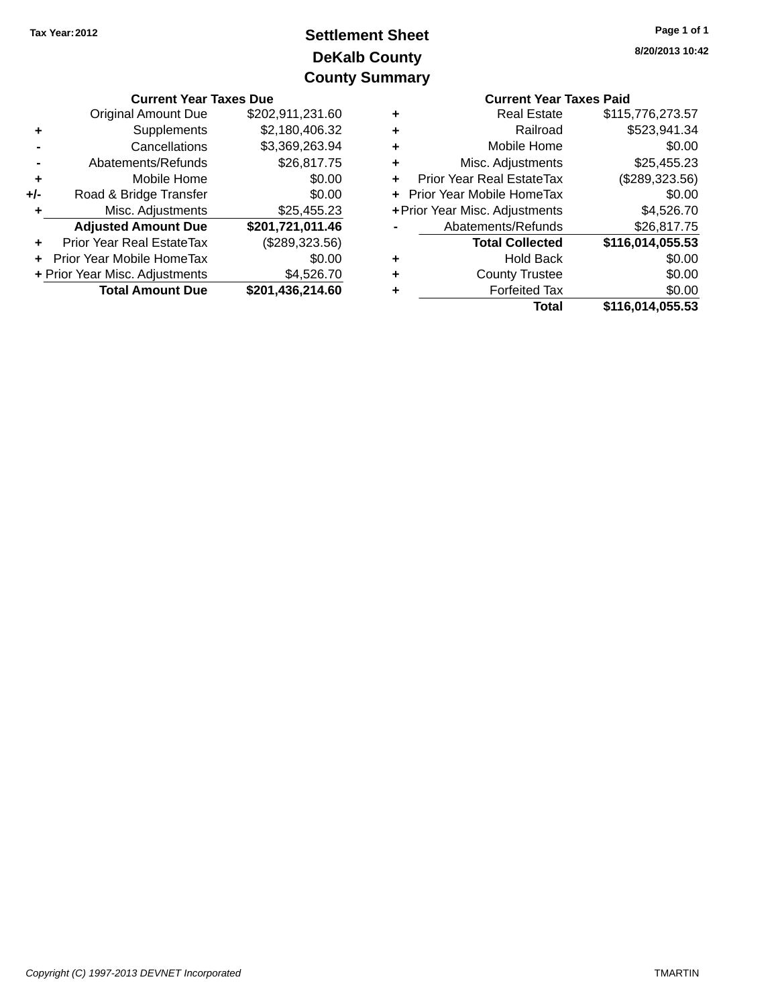## **DeKalb County Settlement Sheet Tax Year:2012 County Summary**

| <b>Current Year Taxes Due</b> |                                |                  |   | <b>Current Year Taxes Paid</b> |                  |  |
|-------------------------------|--------------------------------|------------------|---|--------------------------------|------------------|--|
|                               | <b>Original Amount Due</b>     | \$202,911,231.60 | ٠ | <b>Real Estate</b>             | \$115,776,273.57 |  |
|                               | Supplements                    | \$2,180,406.32   | ٠ | Railroad                       | \$523,941.34     |  |
|                               | Cancellations                  | \$3,369,263.94   | ٠ | Mobile Home                    | \$0.00           |  |
|                               | Abatements/Refunds             | \$26,817.75      | ÷ | Misc. Adjustments              | \$25,455.23      |  |
| ٠                             | Mobile Home                    | \$0.00           | ٠ | Prior Year Real EstateTax      | (\$289,323.56)   |  |
| $+/-$                         | Road & Bridge Transfer         | \$0.00           |   | + Prior Year Mobile HomeTax    | \$0.00           |  |
|                               | Misc. Adjustments              | \$25,455.23      |   | + Prior Year Misc. Adjustments | \$4,526.70       |  |
|                               | <b>Adjusted Amount Due</b>     | \$201,721,011.46 |   | Abatements/Refunds             | \$26,817.75      |  |
| ÷                             | Prior Year Real EstateTax      | (\$289,323.56)   |   | <b>Total Collected</b>         | \$116,014,055.53 |  |
|                               | + Prior Year Mobile HomeTax    | \$0.00           | ٠ | <b>Hold Back</b>               | \$0.00           |  |
|                               | + Prior Year Misc. Adjustments | \$4,526.70       | ٠ | <b>County Trustee</b>          | \$0.00           |  |
|                               | <b>Total Amount Due</b>        | \$201,436,214.60 | ٠ | <b>Forfeited Tax</b>           | \$0.00           |  |
|                               |                                |                  |   | Total                          | \$116,014,055,53 |  |

|   | <b>Current Year Taxes Paid</b>   |                  |
|---|----------------------------------|------------------|
| ٠ | <b>Real Estate</b>               | \$115,776,273.57 |
| ٠ | Railroad                         | \$523,941.34     |
| ٠ | Mobile Home                      | \$0.00           |
| ٠ | Misc. Adjustments                | \$25,455.23      |
| ٠ | Prior Year Real EstateTax        | (\$289,323.56)   |
| ÷ | <b>Prior Year Mobile HomeTax</b> | \$0.00           |
|   | + Prior Year Misc. Adjustments   | \$4,526.70       |
|   | Abatements/Refunds               | \$26,817.75      |
|   | <b>Total Collected</b>           | \$116,014,055.53 |
| ٠ | <b>Hold Back</b>                 | \$0.00           |
| ٠ | <b>County Trustee</b>            | \$0.00           |
| ٠ | <b>Forfeited Tax</b>             | \$0.00           |
|   | Total                            | \$116,014,055.53 |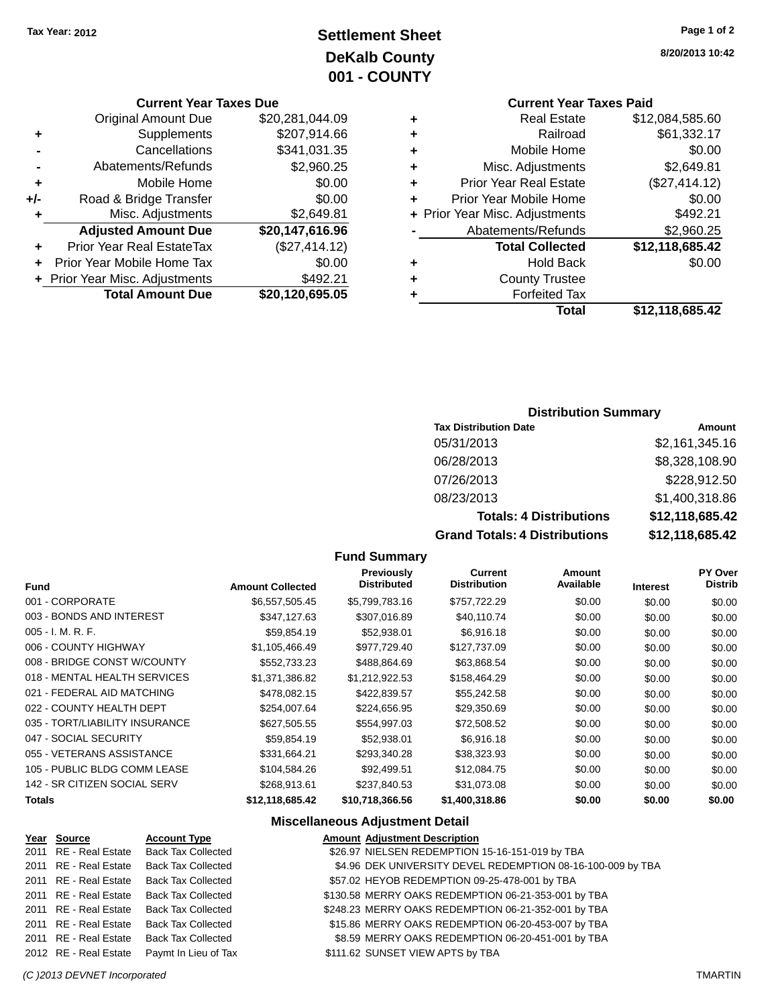## **Settlement Sheet Tax Year: 2012 Page 1 of 2 DeKalb County 001 - COUNTY**

#### **Current Year Taxes Due**

| <b>Original Amount Due</b> | \$20,281,044.09                |
|----------------------------|--------------------------------|
| Supplements                | \$207,914.66                   |
| Cancellations              | \$341,031.35                   |
| Abatements/Refunds         | \$2,960.25                     |
| Mobile Home                | \$0.00                         |
| Road & Bridge Transfer     | \$0.00                         |
| Misc. Adjustments          | \$2,649.81                     |
| <b>Adjusted Amount Due</b> | \$20,147,616.96                |
| Prior Year Real EstateTax  | (\$27,414.12)                  |
| Prior Year Mobile Home Tax | \$0.00                         |
|                            | \$492.21                       |
| <b>Total Amount Due</b>    | \$20,120,695.05                |
|                            | + Prior Year Misc. Adjustments |

# **Current Year Taxes Paid**

| ٠ | <b>Real Estate</b>             | \$12,084,585.60 |
|---|--------------------------------|-----------------|
| ٠ | Railroad                       | \$61,332.17     |
| ٠ | Mobile Home                    | \$0.00          |
| ٠ | Misc. Adjustments              | \$2,649.81      |
| ٠ | <b>Prior Year Real Estate</b>  | (\$27,414.12)   |
| ٠ | Prior Year Mobile Home         | \$0.00          |
|   | + Prior Year Misc. Adjustments | \$492.21        |
|   | Abatements/Refunds             | \$2,960.25      |
|   | <b>Total Collected</b>         | \$12,118,685.42 |
| ٠ | Hold Back                      | \$0.00          |
| ٠ | <b>County Trustee</b>          |                 |
| ٠ | <b>Forfeited Tax</b>           |                 |
|   | Total                          | \$12,118,685.42 |
|   |                                |                 |

### **Distribution Summary**

| <b>Tax Distribution Date</b>         | Amount          |
|--------------------------------------|-----------------|
| 05/31/2013                           | \$2,161,345.16  |
| 06/28/2013                           | \$8,328,108.90  |
| 07/26/2013                           | \$228,912.50    |
| 08/23/2013                           | \$1,400,318.86  |
| <b>Totals: 4 Distributions</b>       | \$12,118,685.42 |
| <b>Grand Totals: 4 Distributions</b> | \$12,118,685.42 |

#### **Fund Summary**

| <b>Fund</b>                    | <b>Amount Collected</b> | <b>Previously</b><br><b>Distributed</b> | Current<br><b>Distribution</b> | Amount<br>Available | <b>Interest</b> | <b>PY Over</b><br><b>Distrib</b> |
|--------------------------------|-------------------------|-----------------------------------------|--------------------------------|---------------------|-----------------|----------------------------------|
| 001 - CORPORATE                | \$6,557,505.45          | \$5,799,783.16                          | \$757,722.29                   | \$0.00              | \$0.00          | \$0.00                           |
| 003 - BONDS AND INTEREST       | \$347,127.63            | \$307,016.89                            | \$40,110.74                    | \$0.00              | \$0.00          | \$0.00                           |
| 005 - I. M. R. F.              | \$59.854.19             | \$52,938.01                             | \$6,916.18                     | \$0.00              | \$0.00          | \$0.00                           |
| 006 - COUNTY HIGHWAY           | \$1,105,466.49          | \$977,729.40                            | \$127,737.09                   | \$0.00              | \$0.00          | \$0.00                           |
| 008 - BRIDGE CONST W/COUNTY    | \$552,733.23            | \$488,864.69                            | \$63,868.54                    | \$0.00              | \$0.00          | \$0.00                           |
| 018 - MENTAL HEALTH SERVICES   | \$1.371.386.82          | \$1.212.922.53                          | \$158,464.29                   | \$0.00              | \$0.00          | \$0.00                           |
| 021 - FEDERAL AID MATCHING     | \$478,082.15            | \$422,839.57                            | \$55,242.58                    | \$0.00              | \$0.00          | \$0.00                           |
| 022 - COUNTY HEALTH DEPT       | \$254.007.64            | \$224.656.95                            | \$29,350.69                    | \$0.00              | \$0.00          | \$0.00                           |
| 035 - TORT/LIABILITY INSURANCE | \$627,505.55            | \$554,997.03                            | \$72,508.52                    | \$0.00              | \$0.00          | \$0.00                           |
| 047 - SOCIAL SECURITY          | \$59,854.19             | \$52,938.01                             | \$6,916.18                     | \$0.00              | \$0.00          | \$0.00                           |
| 055 - VETERANS ASSISTANCE      | \$331,664.21            | \$293,340.28                            | \$38,323.93                    | \$0.00              | \$0.00          | \$0.00                           |
| 105 - PUBLIC BLDG COMM LEASE   | \$104,584.26            | \$92,499.51                             | \$12,084.75                    | \$0.00              | \$0.00          | \$0.00                           |
| 142 - SR CITIZEN SOCIAL SERV   | \$268,913.61            | \$237.840.53                            | \$31,073.08                    | \$0.00              | \$0.00          | \$0.00                           |
| <b>Totals</b>                  | \$12,118,685.42         | \$10.718.366.56                         | \$1,400,318.86                 | \$0.00              | \$0.00          | \$0.00                           |

### **Miscellaneous Adjustment Detail**

| 2011 RE - Real Estate Back Tax Collected<br>\$26.97 NIELSEN REDEMPTION 15-16-151-019 by TBA             |  |
|---------------------------------------------------------------------------------------------------------|--|
|                                                                                                         |  |
| \$4.96 DEK UNIVERSITY DEVEL REDEMPTION 08-16-100-009 by TBA<br>2011 RE - Real Estate Back Tax Collected |  |
| 2011 RE - Real Estate<br><b>Back Tax Collected</b><br>\$57.02 HEYOB REDEMPTION 09-25-478-001 by TBA     |  |
| \$130.58 MERRY OAKS REDEMPTION 06-21-353-001 by TBA<br>2011 RE - Real Estate Back Tax Collected         |  |
| \$248.23 MERRY OAKS REDEMPTION 06-21-352-001 by TBA<br>2011 RE - Real Estate Back Tax Collected         |  |
| \$15.86 MERRY OAKS REDEMPTION 06-20-453-007 by TBA<br>2011 RE - Real Estate Back Tax Collected          |  |
| \$8.59 MERRY OAKS REDEMPTION 06-20-451-001 by TBA<br>2011 RE - Real Estate Back Tax Collected           |  |
| 2012 RE - Real Estate Paymt In Lieu of Tax<br>\$111.62 SUNSET VIEW APTS by TBA                          |  |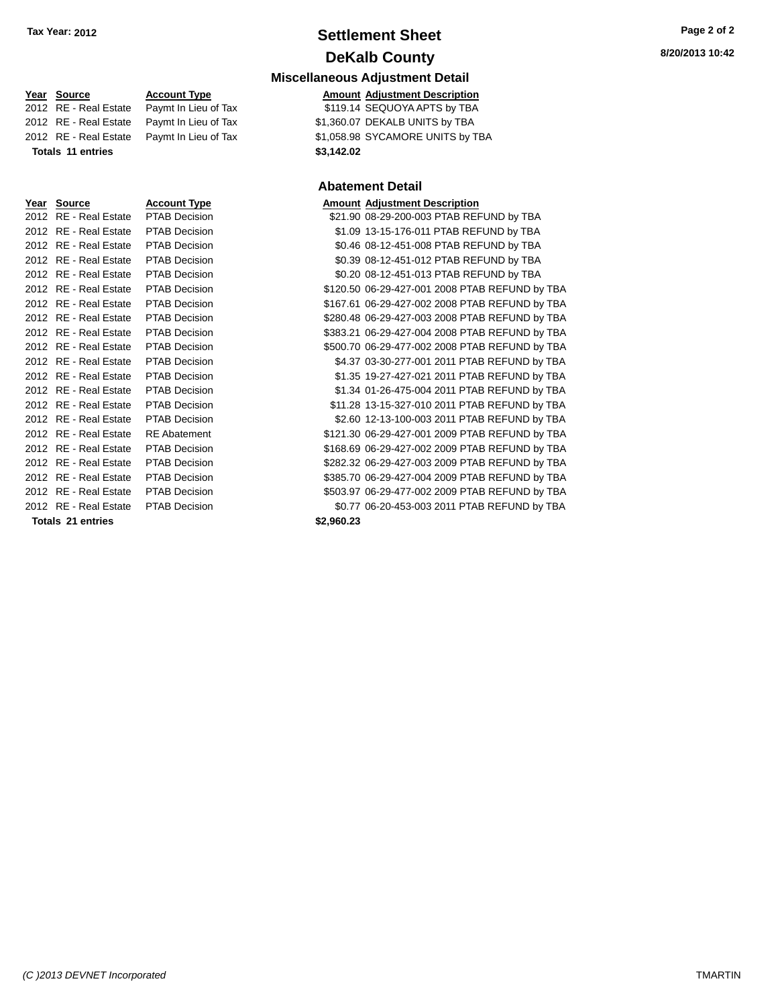## **Settlement Sheet Tax Year: 2012 Page 2 of 2 DeKalb County**

| <b>Miscellaneous Adjustment Detail</b> |  |  |
|----------------------------------------|--|--|
|                                        |  |  |

| <b>Amount Adjustment Description</b> |                                  |  |
|--------------------------------------|----------------------------------|--|
|                                      | \$119.14 SEQUOYA APTS by TBA     |  |
|                                      | \$1,360.07 DEKALB UNITS by TBA   |  |
|                                      | \$1,058.98 SYCAMORE UNITS by TBA |  |
| \$3,142.02                           |                                  |  |

#### **Abatement Detail**

| Year Source           | <b>Account Type</b>  |            | <b>Amount Adjustment Description</b>           |
|-----------------------|----------------------|------------|------------------------------------------------|
| 2012 RE - Real Estate | <b>PTAB Decision</b> |            | \$21.90 08-29-200-003 PTAB REFUND by TBA       |
| 2012 RE - Real Estate | PTAB Decision        |            | \$1.09 13-15-176-011 PTAB REFUND by TBA        |
| 2012 RE - Real Estate | PTAB Decision        |            | \$0.46 08-12-451-008 PTAB REFUND by TBA        |
| 2012 RE - Real Estate | <b>PTAB Decision</b> |            | \$0.39 08-12-451-012 PTAB REFUND by TBA        |
| 2012 RE - Real Estate | <b>PTAB Decision</b> |            | \$0.20 08-12-451-013 PTAB REFUND by TBA        |
| 2012 RE - Real Estate | PTAB Decision        |            | \$120.50 06-29-427-001 2008 PTAB REFUND by TBA |
| 2012 RE - Real Estate | <b>PTAB Decision</b> |            | \$167.61 06-29-427-002 2008 PTAB REFUND by TBA |
| 2012 RE - Real Estate | <b>PTAB Decision</b> |            | \$280.48 06-29-427-003 2008 PTAB REFUND by TBA |
| 2012 RE - Real Estate | <b>PTAB Decision</b> |            | \$383.21 06-29-427-004 2008 PTAB REFUND by TBA |
| 2012 RE - Real Estate | <b>PTAB Decision</b> |            | \$500.70 06-29-477-002 2008 PTAB REFUND by TBA |
| 2012 RE - Real Estate | PTAB Decision        |            | \$4.37 03-30-277-001 2011 PTAB REFUND by TBA   |
| 2012 RE - Real Estate | <b>PTAB Decision</b> |            | \$1.35 19-27-427-021 2011 PTAB REFUND by TBA   |
| 2012 RE - Real Estate | <b>PTAB Decision</b> |            | \$1.34 01-26-475-004 2011 PTAB REFUND by TBA   |
| 2012 RE - Real Estate | PTAB Decision        |            | \$11.28 13-15-327-010 2011 PTAB REFUND by TBA  |
| 2012 RE - Real Estate | <b>PTAB Decision</b> |            | \$2.60 12-13-100-003 2011 PTAB REFUND by TBA   |
| 2012 RE - Real Estate | <b>RE</b> Abatement  |            | \$121.30 06-29-427-001 2009 PTAB REFUND by TBA |
| 2012 RE - Real Estate | <b>PTAB Decision</b> |            | \$168.69 06-29-427-002 2009 PTAB REFUND by TBA |
| 2012 RE - Real Estate | <b>PTAB Decision</b> |            | \$282.32 06-29-427-003 2009 PTAB REFUND by TBA |
| 2012 RE - Real Estate | <b>PTAB Decision</b> |            | \$385.70 06-29-427-004 2009 PTAB REFUND by TBA |
| 2012 RE - Real Estate | <b>PTAB Decision</b> |            | \$503.97 06-29-477-002 2009 PTAB REFUND by TBA |
| 2012 RE - Real Estate | <b>PTAB Decision</b> |            | \$0.77 06-20-453-003 2011 PTAB REFUND by TBA   |
| Totale 21 antriae     |                      | \$2.960.23 |                                                |

**Year Source Account Type**  $\overline{2012}$  RE - Real Estate Paymt In Lieu of Tax 2012 RE - Real Estate Paymt In Lieu of Tax 2012 RE - Real Estate Paymt In Lieu of Tax **Totals 11 entries \$3,142.02 Year Source <b>Account Type** 

|      | 2012 RE - Real Estate               | <b>PTAB Decision</b> | \$21.90    |
|------|-------------------------------------|----------------------|------------|
|      | 2012 RE - Real Estate PTAB Decision |                      | \$1.09     |
| 2012 | RE - Real Estate                    | PTAB Decision        | \$0.46     |
| 2012 | RE - Real Estate                    | <b>PTAB Decision</b> | \$0.39     |
| 2012 | RE - Real Estate                    | <b>PTAB Decision</b> | \$0.20     |
| 2012 | RE - Real Estate                    | <b>PTAB Decision</b> | \$120.50   |
| 2012 | RE - Real Estate                    | <b>PTAB Decision</b> | \$167.61   |
| 2012 | RE - Real Estate                    | <b>PTAB Decision</b> | \$280.48   |
| 2012 | RE - Real Estate                    | <b>PTAB Decision</b> | \$383.21   |
| 2012 | RE - Real Estate                    | <b>PTAB Decision</b> | \$500.70   |
| 2012 | RE - Real Estate                    | <b>PTAB Decision</b> | \$4.37     |
|      | 2012 RE - Real Estate               | <b>PTAB Decision</b> | \$1.35     |
| 2012 | RE - Real Estate                    | <b>PTAB Decision</b> | \$1.34     |
|      | 2012 RE - Real Estate               | <b>PTAB Decision</b> | \$11.28    |
| 2012 | RE - Real Estate                    | <b>PTAB Decision</b> | \$2.60     |
| 2012 | RE - Real Estate                    | <b>RE</b> Abatement  | \$121.30   |
| 2012 | RE - Real Estate                    | <b>PTAB Decision</b> | \$168.69   |
|      | 2012 RE - Real Estate               | <b>PTAB Decision</b> | \$282.32   |
|      | 2012 RE - Real Estate               | <b>PTAB Decision</b> | \$385.70   |
|      | 2012 RE - Real Estate               | PTAB Decision        | \$503.97   |
|      | 2012 RE - Real Estate               | <b>PTAB Decision</b> | \$0.77     |
|      | Totals 21 entries                   |                      | \$2,960.23 |
|      |                                     |                      |            |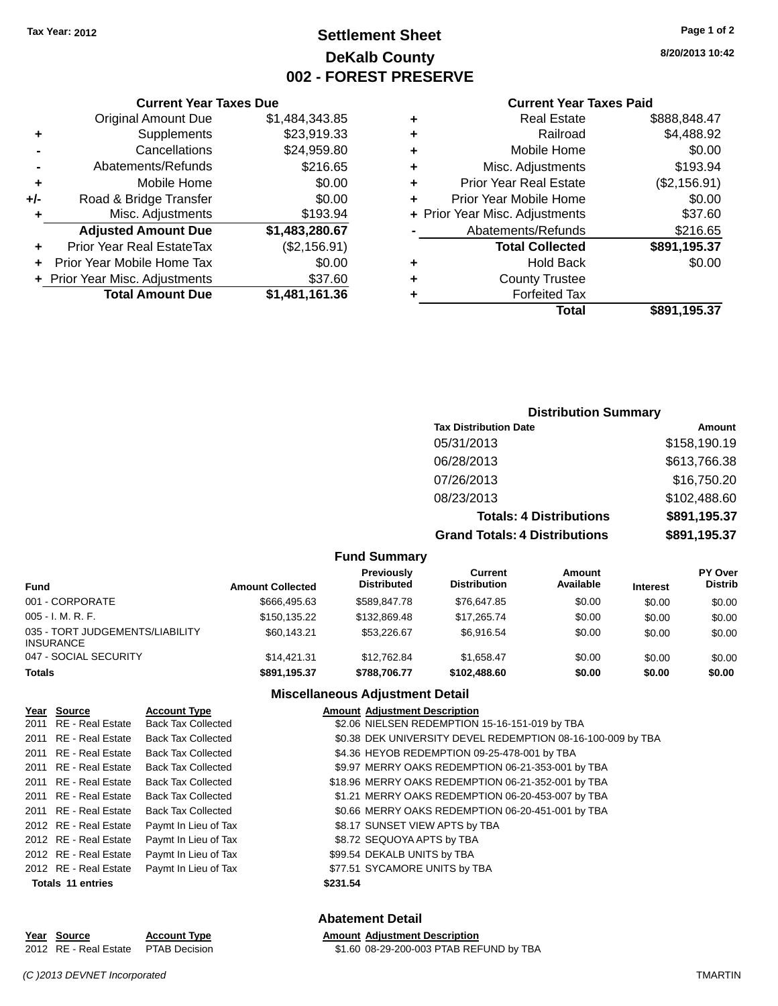## **Settlement Sheet Tax Year: 2012 Page 1 of 2 DeKalb County 002 - FOREST PRESERVE**

**8/20/2013 10:42**

#### **Current Year Taxes Paid**

| ٠ | <b>Real Estate</b>             | \$888,848.47 |
|---|--------------------------------|--------------|
| ٠ | Railroad                       | \$4,488.92   |
| ٠ | Mobile Home                    | \$0.00       |
| ٠ | Misc. Adjustments              | \$193.94     |
| ٠ | <b>Prior Year Real Estate</b>  | (\$2,156.91) |
| ٠ | Prior Year Mobile Home         | \$0.00       |
|   | + Prior Year Misc. Adjustments | \$37.60      |
|   | Abatements/Refunds             | \$216.65     |
|   | <b>Total Collected</b>         | \$891,195.37 |
| ٠ | Hold Back                      | \$0.00       |
| ٠ | <b>County Trustee</b>          |              |
|   | <b>Forfeited Tax</b>           |              |
|   | Total                          | \$891,195.37 |

|     | <b>Current Year Taxes Due</b>  |                |  |  |  |
|-----|--------------------------------|----------------|--|--|--|
|     | <b>Original Amount Due</b>     | \$1,484,343.85 |  |  |  |
| ٠   | Supplements                    | \$23,919.33    |  |  |  |
|     | Cancellations                  | \$24,959.80    |  |  |  |
|     | Abatements/Refunds             | \$216.65       |  |  |  |
| ٠   | Mobile Home                    | \$0.00         |  |  |  |
| +/- | Road & Bridge Transfer         | \$0.00         |  |  |  |
| ٠   | Misc. Adjustments              | \$193.94       |  |  |  |
|     | <b>Adjusted Amount Due</b>     | \$1,483,280.67 |  |  |  |
| ٠   | Prior Year Real EstateTax      | (\$2,156.91)   |  |  |  |
|     | Prior Year Mobile Home Tax     | \$0.00         |  |  |  |
|     | + Prior Year Misc. Adjustments | \$37.60        |  |  |  |
|     | <b>Total Amount Due</b>        | \$1,481,161.36 |  |  |  |

### **Distribution Summary**

| <b>Tax Distribution Date</b>         | Amount       |
|--------------------------------------|--------------|
| 05/31/2013                           | \$158,190.19 |
| 06/28/2013                           | \$613,766.38 |
| 07/26/2013                           | \$16,750.20  |
| 08/23/2013                           | \$102,488.60 |
| <b>Totals: 4 Distributions</b>       | \$891,195.37 |
| <b>Grand Totals: 4 Distributions</b> | \$891,195.37 |

#### **Fund Summary**

| Fund                                                | <b>Amount Collected</b> | Previously<br><b>Distributed</b> | Current<br><b>Distribution</b> | Amount<br>Available | <b>Interest</b> | <b>PY Over</b><br><b>Distrib</b> |
|-----------------------------------------------------|-------------------------|----------------------------------|--------------------------------|---------------------|-----------------|----------------------------------|
| 001 - CORPORATE                                     | \$666,495.63            | \$589,847.78                     | \$76,647.85                    | \$0.00              | \$0.00          | \$0.00                           |
| $005 - I. M. R. F.$                                 | \$150.135.22            | \$132,869.48                     | \$17,265.74                    | \$0.00              | \$0.00          | \$0.00                           |
| 035 - TORT JUDGEMENTS/LIABILITY<br><b>INSURANCE</b> | \$60.143.21             | \$53,226.67                      | \$6.916.54                     | \$0.00              | \$0.00          | \$0.00                           |
| 047 - SOCIAL SECURITY                               | \$14,421.31             | \$12,762.84                      | \$1.658.47                     | \$0.00              | \$0.00          | \$0.00                           |
| <b>Totals</b>                                       | \$891,195.37            | \$788,706.77                     | \$102.488.60                   | \$0.00              | \$0.00          | \$0.00                           |

### **Miscellaneous Adjustment Detail**

| Year Source              | <b>Account Type</b>       | <b>Amount Adjustment Description</b>                        |  |
|--------------------------|---------------------------|-------------------------------------------------------------|--|
| 2011 RE - Real Estate    | Back Tax Collected        | \$2.06 NIELSEN REDEMPTION 15-16-151-019 by TBA              |  |
| 2011 RE - Real Estate    | <b>Back Tax Collected</b> | \$0.38 DEK UNIVERSITY DEVEL REDEMPTION 08-16-100-009 by TBA |  |
| 2011 RE - Real Estate    | <b>Back Tax Collected</b> | \$4.36 HEYOB REDEMPTION 09-25-478-001 by TBA                |  |
| 2011 RE - Real Estate    | <b>Back Tax Collected</b> | \$9.97 MERRY OAKS REDEMPTION 06-21-353-001 by TBA           |  |
| 2011 RE - Real Estate    | <b>Back Tax Collected</b> | \$18.96 MERRY OAKS REDEMPTION 06-21-352-001 by TBA          |  |
| 2011 RE - Real Estate    | Back Tax Collected        | \$1.21 MERRY OAKS REDEMPTION 06-20-453-007 by TBA           |  |
| 2011 RE - Real Estate    | <b>Back Tax Collected</b> | \$0.66 MERRY OAKS REDEMPTION 06-20-451-001 by TBA           |  |
| 2012 RE - Real Estate    | Paymt In Lieu of Tax      | \$8.17 SUNSET VIEW APTS by TBA                              |  |
| 2012 RE - Real Estate    | Paymt In Lieu of Tax      | \$8.72 SEQUOYA APTS by TBA                                  |  |
| 2012 RE - Real Estate    | Paymt In Lieu of Tax      | \$99.54 DEKALB UNITS by TBA                                 |  |
| 2012 RE - Real Estate    | Paymt In Lieu of Tax      | \$77.51 SYCAMORE UNITS by TBA                               |  |
| <b>Totals 11 entries</b> |                           | \$231.54                                                    |  |

### **Abatement Detail**

| Year Source                         | <b>Account Type</b> | <b>Amount Adiustment Description</b>    |
|-------------------------------------|---------------------|-----------------------------------------|
| 2012 RE - Real Estate PTAB Decision |                     | \$1.60 08-29-200-003 PTAB REFUND by TBA |

**<u>Year Source</u>**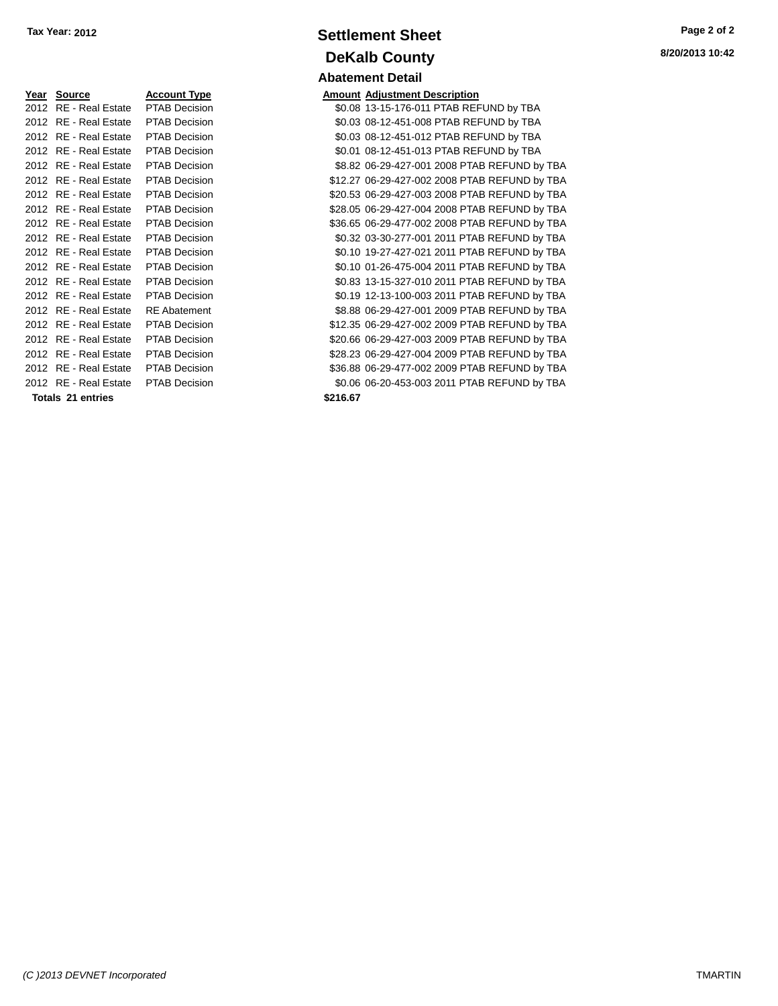| Year Source                          | <b>Account Type</b>  |          | <b>Amount Adjustment Description</b> |
|--------------------------------------|----------------------|----------|--------------------------------------|
| 2012 RE - Real Estate                | <b>PTAB Decision</b> |          | \$0.08 13-15-176-011 PTAB REF        |
| 2012 RE - Real Estate                | PTAB Decision        |          | \$0.03 08-12-451-008 PTAB REI        |
| 2012 RE - Real Estate                | <b>PTAB Decision</b> |          | \$0.03 08-12-451-012 PTAB REI        |
| 2012 RE - Real Estate                | <b>PTAB Decision</b> |          | \$0.01 08-12-451-013 PTAB REI        |
| 2012 RE - Real Estate                | PTAB Decision        |          | \$8.82 06-29-427-001 2008 PTA        |
| 2012 RE - Real Estate                | <b>PTAB Decision</b> |          | \$12.27 06-29-427-002 2008 PTA       |
| 2012 RE - Real Estate                | <b>PTAB Decision</b> |          | \$20.53 06-29-427-003 2008 PTA       |
| 2012 RE - Real Estate                | <b>PTAB Decision</b> |          | \$28.05 06-29-427-004 2008 PTA       |
| 2012 RE - Real Estate                | <b>PTAB Decision</b> |          | \$36.65 06-29-477-002 2008 PTA       |
| 2012 RE - Real Estate                | PTAB Decision        |          | \$0.32 03-30-277-001 2011 PTA        |
| 2012 RE - Real Estate                | <b>PTAB Decision</b> |          | \$0.10 19-27-427-021 2011 PTA        |
| 2012 RE - Real Estate                | <b>PTAB Decision</b> |          | \$0.10 01-26-475-004 2011 PTA        |
| 2012 RE - Real Estate                | <b>PTAB Decision</b> |          | \$0.83 13-15-327-010 2011 PTA        |
| 2012 RE - Real Estate                | <b>PTAB Decision</b> |          | \$0.19 12-13-100-003 2011 PTA        |
| 2012 RE - Real Estate                | <b>RE</b> Abatement  |          | \$8.88 06-29-427-001 2009 PTA        |
| 2012 RE - Real Estate                | <b>PTAB Decision</b> |          | \$12.35 06-29-427-002 2009 PTA       |
| 2012 RE - Real Estate                | <b>PTAB Decision</b> |          | \$20.66 06-29-427-003 2009 PTA       |
| 2012 RE - Real Estate                | <b>PTAB Decision</b> |          | \$28.23 06-29-427-004 2009 PTA       |
| 2012 RE - Real Estate                | PTAB Decision        |          | \$36.88 06-29-477-002 2009 PTA       |
| 2012 RE - Real Estate  PTAB Decision |                      |          | \$0.06 06-20-453-003 2011 PTA        |
| Totals 21 entries                    |                      | \$216.67 |                                      |

## **Settlement Sheet Tax Year: 2012 Page 2 of 2 DeKalb County Abatement Detail**

**8/20/2013 10:42**

| Year Source              | <b>Account Type</b>  |          | <b>Amount Adjustment Description</b>          |
|--------------------------|----------------------|----------|-----------------------------------------------|
| 2012 RE - Real Estate    | <b>PTAB Decision</b> |          | \$0.08 13-15-176-011 PTAB REFUND by TBA       |
| 2012 RE - Real Estate    | <b>PTAB Decision</b> |          | \$0.03 08-12-451-008 PTAB REFUND by TBA       |
| 2012 RE - Real Estate    | <b>PTAB Decision</b> |          | \$0.03 08-12-451-012 PTAB REFUND by TBA       |
| 2012 RE - Real Estate    | <b>PTAB Decision</b> |          | \$0.01 08-12-451-013 PTAB REFUND by TBA       |
| 2012 RE - Real Estate    | PTAB Decision        |          | \$8.82 06-29-427-001 2008 PTAB REFUND by TBA  |
| 2012 RE - Real Estate    | <b>PTAB Decision</b> |          | \$12.27 06-29-427-002 2008 PTAB REFUND by TBA |
| 2012 RE - Real Estate    | PTAB Decision        |          | \$20.53 06-29-427-003 2008 PTAB REFUND by TBA |
| 2012 RE - Real Estate    | PTAB Decision        |          | \$28.05 06-29-427-004 2008 PTAB REFUND by TBA |
| 2012 RE - Real Estate    | <b>PTAB Decision</b> |          | \$36.65 06-29-477-002 2008 PTAB REFUND by TBA |
| 2012 RE - Real Estate    | <b>PTAB Decision</b> |          | \$0.32 03-30-277-001 2011 PTAB REFUND by TBA  |
| 2012 RE - Real Estate    | PTAB Decision        |          | \$0.10 19-27-427-021 2011 PTAB REFUND by TBA  |
| 2012 RE - Real Estate    | PTAB Decision        |          | \$0.10 01-26-475-004 2011 PTAB REFUND by TBA  |
| 2012 RE - Real Estate    | <b>PTAB Decision</b> |          | \$0.83 13-15-327-010 2011 PTAB REFUND by TBA  |
| 2012 RE - Real Estate    | <b>PTAB Decision</b> |          | \$0.19 12-13-100-003 2011 PTAB REFUND by TBA  |
| 2012 RE - Real Estate    | <b>RE</b> Abatement  |          | \$8.88 06-29-427-001 2009 PTAB REFUND by TBA  |
| 2012 RE - Real Estate    | <b>PTAB Decision</b> |          | \$12.35 06-29-427-002 2009 PTAB REFUND by TBA |
| 2012 RE - Real Estate    | PTAB Decision        |          | \$20.66 06-29-427-003 2009 PTAB REFUND by TBA |
| 2012 RE - Real Estate    | PTAB Decision        |          | \$28.23 06-29-427-004 2009 PTAB REFUND by TBA |
| 2012 RE - Real Estate    | PTAB Decision        |          | \$36.88 06-29-477-002 2009 PTAB REFUND by TBA |
| 2012 RE - Real Estate    | <b>PTAB Decision</b> |          | \$0.06 06-20-453-003 2011 PTAB REFUND by TBA  |
| <b>Totals 21 entries</b> |                      | \$216.67 |                                               |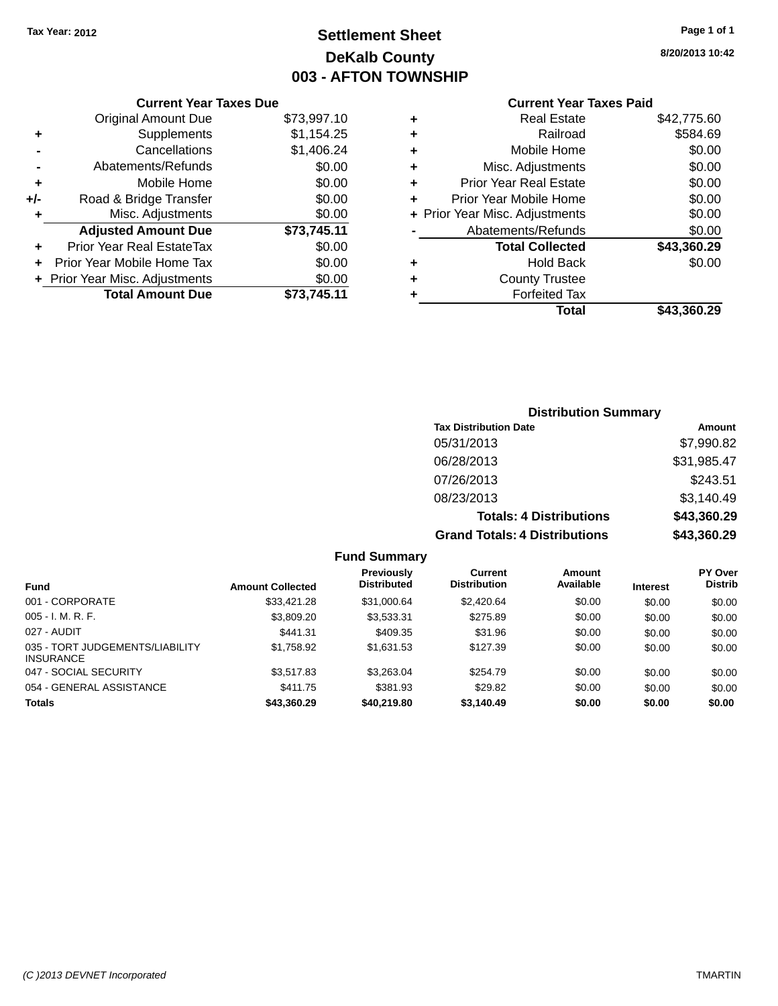**Current Year Taxes Due** Original Amount Due \$73,997.10

**Adjusted Amount Due \$73,745.11**

**Total Amount Due \$73,745.11**

**+** Supplements \$1,154.25 **-** Cancellations \$1,406.24 **-** Abatements/Refunds \$0.00 **+** Mobile Home \$0.00 **+/-** Road & Bridge Transfer \$0.00 **+** Misc. Adjustments \$0.00

**+** Prior Year Real EstateTax \$0.00 **+** Prior Year Mobile Home Tax \$0.00 **+ Prior Year Misc. Adjustments**  $$0.00$ 

## **Settlement Sheet Tax Year: 2012 Page 1 of 1 DeKalb County 003 - AFTON TOWNSHIP**

**8/20/2013 10:42**

### **Current Year Taxes Paid**

### **Distribution Summary Tax Distribution Date Amount** 05/31/2013 \$7,990.82 06/28/2013 \$31,985.47 07/26/2013 \$243.51 08/23/2013 \$3,140.49 **Totals: 4 Distributions \$43,360.29 Grand Totals: 4 Distributions \$43,360.29**

#### **Fund Summary**

| <b>Fund</b>                                         | <b>Amount Collected</b> | <b>Previously</b><br><b>Distributed</b> | Current<br><b>Distribution</b> | Amount<br>Available | <b>Interest</b> | <b>PY Over</b><br><b>Distrib</b> |
|-----------------------------------------------------|-------------------------|-----------------------------------------|--------------------------------|---------------------|-----------------|----------------------------------|
| 001 - CORPORATE                                     | \$33.421.28             | \$31,000.64                             | \$2,420.64                     | \$0.00              | \$0.00          | \$0.00                           |
| $005 - I. M. R. F.$                                 | \$3,809.20              | \$3,533.31                              | \$275.89                       | \$0.00              | \$0.00          | \$0.00                           |
| 027 - AUDIT                                         | \$441.31                | \$409.35                                | \$31.96                        | \$0.00              | \$0.00          | \$0.00                           |
| 035 - TORT JUDGEMENTS/LIABILITY<br><b>INSURANCE</b> | \$1.758.92              | \$1.631.53                              | \$127.39                       | \$0.00              | \$0.00          | \$0.00                           |
| 047 - SOCIAL SECURITY                               | \$3.517.83              | \$3,263.04                              | \$254.79                       | \$0.00              | \$0.00          | \$0.00                           |
| 054 - GENERAL ASSISTANCE                            | \$411.75                | \$381.93                                | \$29.82                        | \$0.00              | \$0.00          | \$0.00                           |
| Totals                                              | \$43,360.29             | \$40,219.80                             | \$3,140.49                     | \$0.00              | \$0.00          | \$0.00                           |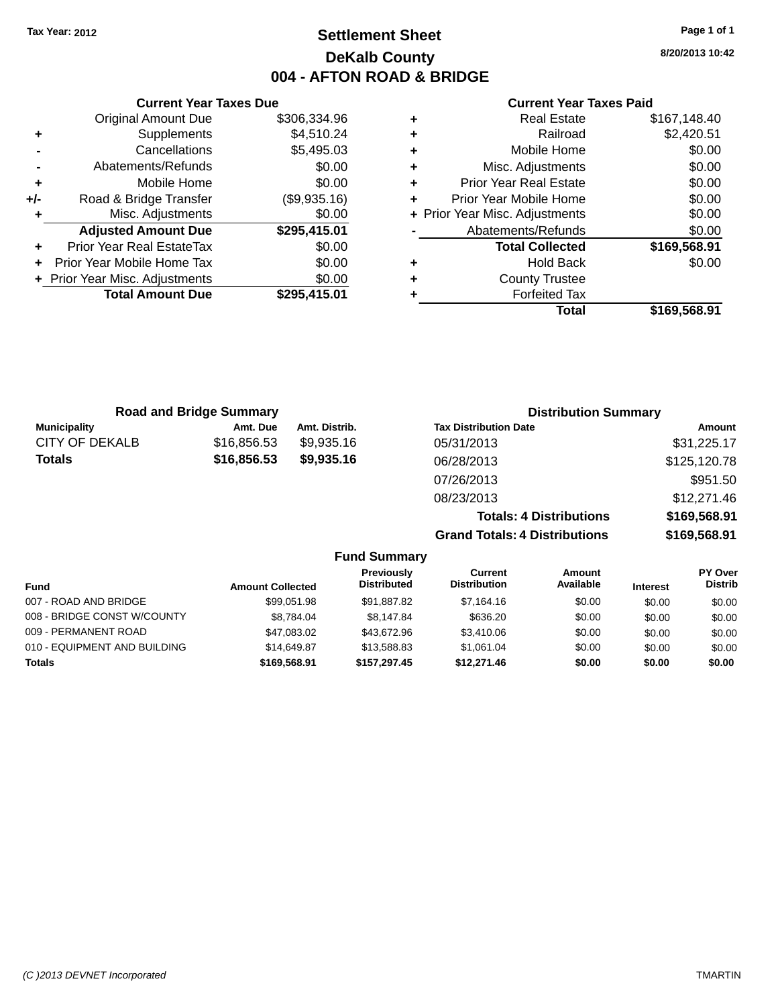## **Settlement Sheet Tax Year: 2012 Page 1 of 1 DeKalb County 004 - AFTON ROAD & BRIDGE**

**8/20/2013 10:42**

#### **Current Year Taxes Paid**

|     | <b>Current Year Taxes Due</b>    |              |  |  |  |
|-----|----------------------------------|--------------|--|--|--|
|     | <b>Original Amount Due</b>       | \$306,334.96 |  |  |  |
| ٠   | Supplements                      | \$4,510.24   |  |  |  |
|     | Cancellations                    | \$5,495.03   |  |  |  |
|     | Abatements/Refunds               | \$0.00       |  |  |  |
| ٠   | Mobile Home                      | \$0.00       |  |  |  |
| +/- | Road & Bridge Transfer           | (\$9,935.16) |  |  |  |
| ٠   | Misc. Adjustments                | \$0.00       |  |  |  |
|     | <b>Adjusted Amount Due</b>       | \$295,415.01 |  |  |  |
|     | <b>Prior Year Real EstateTax</b> | \$0.00       |  |  |  |
| ÷   | Prior Year Mobile Home Tax       | \$0.00       |  |  |  |
|     | + Prior Year Misc. Adjustments   | \$0.00       |  |  |  |
|     | <b>Total Amount Due</b>          | \$295,415.01 |  |  |  |
|     |                                  |              |  |  |  |

|   | <b>Real Estate</b>             | \$167,148.40 |
|---|--------------------------------|--------------|
| ٠ | Railroad                       | \$2,420.51   |
| ٠ | Mobile Home                    | \$0.00       |
| ٠ | Misc. Adjustments              | \$0.00       |
| ٠ | <b>Prior Year Real Estate</b>  | \$0.00       |
| ٠ | Prior Year Mobile Home         | \$0.00       |
|   | + Prior Year Misc. Adjustments | \$0.00       |
|   | Abatements/Refunds             | \$0.00       |
|   | <b>Total Collected</b>         | \$169,568.91 |
| ٠ | <b>Hold Back</b>               | \$0.00       |
| ٠ | <b>County Trustee</b>          |              |
| ٠ | <b>Forfeited Tax</b>           |              |
|   | Total                          | \$169,568.91 |
|   |                                |              |

| <b>Road and Bridge Summary</b> |             |               | <b>Distribution Summary</b>    |              |  |
|--------------------------------|-------------|---------------|--------------------------------|--------------|--|
| <b>Municipality</b>            | Amt. Due    | Amt. Distrib. | <b>Tax Distribution Date</b>   | Amount       |  |
| <b>CITY OF DEKALB</b>          | \$16,856.53 | \$9,935.16    | 05/31/2013                     | \$31,225.17  |  |
| <b>Totals</b>                  | \$16,856.53 | \$9,935.16    | 06/28/2013                     | \$125,120.78 |  |
|                                |             |               | 07/26/2013                     | \$951.50     |  |
|                                |             |               | 08/23/2013                     | \$12,271.46  |  |
|                                |             |               | <b>Totals: 4 Distributions</b> | \$169,568.91 |  |

**Grand Totals: 4 Distributions \$169,568.91**

|                              |                         | <b>Fund Summary</b>              |                                |                     |                 |                                  |
|------------------------------|-------------------------|----------------------------------|--------------------------------|---------------------|-----------------|----------------------------------|
| Fund                         | <b>Amount Collected</b> | Previously<br><b>Distributed</b> | Current<br><b>Distribution</b> | Amount<br>Available | <b>Interest</b> | <b>PY Over</b><br><b>Distrib</b> |
| 007 - ROAD AND BRIDGE        | \$99.051.98             | \$91,887.82                      | \$7,164,16                     | \$0.00              | \$0.00          | \$0.00                           |
| 008 - BRIDGE CONST W/COUNTY  | \$8.784.04              | \$8.147.84                       | \$636.20                       | \$0.00              | \$0.00          | \$0.00                           |
| 009 - PERMANENT ROAD         | \$47,083.02             | \$43,672.96                      | \$3,410.06                     | \$0.00              | \$0.00          | \$0.00                           |
| 010 - EQUIPMENT AND BUILDING | \$14,649.87             | \$13,588.83                      | \$1.061.04                     | \$0.00              | \$0.00          | \$0.00                           |
| <b>Totals</b>                | \$169,568.91            | \$157.297.45                     | \$12,271.46                    | \$0.00              | \$0.00          | \$0.00                           |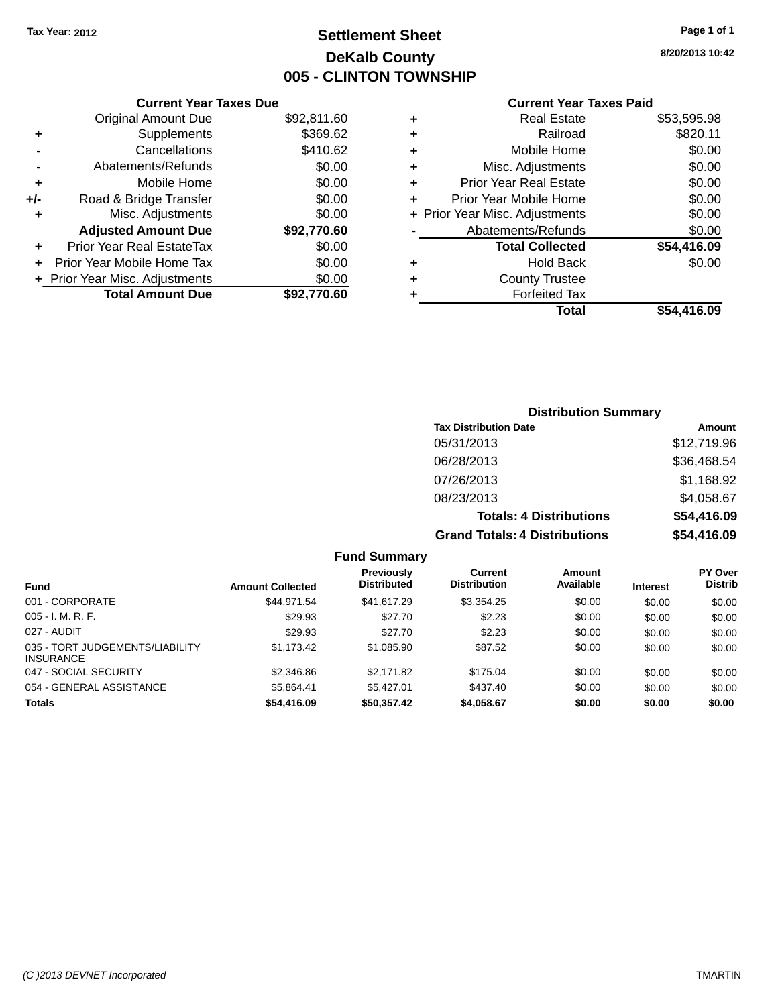## **Settlement Sheet Tax Year: 2012 Page 1 of 1 DeKalb County 005 - CLINTON TOWNSHIP**

**8/20/2013 10:42**

### **Current Year Taxes Paid**

|       | <b>Current Year Taxes Due</b>  |             |
|-------|--------------------------------|-------------|
|       | <b>Original Amount Due</b>     | \$92,811.60 |
| ٠     | Supplements                    | \$369.62    |
|       | Cancellations                  | \$410.62    |
|       | Abatements/Refunds             | \$0.00      |
| ٠     | Mobile Home                    | \$0.00      |
| $+/-$ | Road & Bridge Transfer         | \$0.00      |
| ٠     | Misc. Adjustments              | \$0.00      |
|       | <b>Adjusted Amount Due</b>     | \$92,770.60 |
| ٠     | Prior Year Real EstateTax      | \$0.00      |
|       | Prior Year Mobile Home Tax     | \$0.00      |
|       | + Prior Year Misc. Adjustments | \$0.00      |
|       | <b>Total Amount Due</b>        | \$92,770.60 |
|       |                                |             |

| ٠ | <b>Real Estate</b>             | \$53,595.98 |
|---|--------------------------------|-------------|
| ٠ | Railroad                       | \$820.11    |
| ٠ | Mobile Home                    | \$0.00      |
| ٠ | Misc. Adjustments              | \$0.00      |
| ٠ | <b>Prior Year Real Estate</b>  | \$0.00      |
| ٠ | Prior Year Mobile Home         | \$0.00      |
|   | + Prior Year Misc. Adjustments | \$0.00      |
|   | Abatements/Refunds             | \$0.00      |
|   | <b>Total Collected</b>         | \$54,416.09 |
| ٠ | <b>Hold Back</b>               | \$0.00      |
| ٠ | <b>County Trustee</b>          |             |
| ٠ | <b>Forfeited Tax</b>           |             |
|   | Total                          | \$54,416.09 |
|   |                                |             |

### **Distribution Summary Tax Distribution Date Amount** 05/31/2013 \$12,719.96 06/28/2013 \$36,468.54 07/26/2013 \$1,168.92 08/23/2013 \$4,058.67 **Totals: 4 Distributions \$54,416.09 Grand Totals: 4 Distributions \$54,416.09**

|                                                     |                         | <b>Fund Summary</b>                     |                                |                     |                 |                                  |
|-----------------------------------------------------|-------------------------|-----------------------------------------|--------------------------------|---------------------|-----------------|----------------------------------|
| <b>Fund</b>                                         | <b>Amount Collected</b> | <b>Previously</b><br><b>Distributed</b> | Current<br><b>Distribution</b> | Amount<br>Available | <b>Interest</b> | <b>PY Over</b><br><b>Distrib</b> |
| 001 - CORPORATE                                     | \$44.971.54             | \$41.617.29                             | \$3,354.25                     | \$0.00              | \$0.00          | \$0.00                           |
| $005 - I. M. R. F.$                                 | \$29.93                 | \$27.70                                 | \$2.23                         | \$0.00              | \$0.00          | \$0.00                           |
| 027 - AUDIT                                         | \$29.93                 | \$27.70                                 | \$2.23                         | \$0.00              | \$0.00          | \$0.00                           |
| 035 - TORT JUDGEMENTS/LIABILITY<br><b>INSURANCE</b> | \$1,173.42              | \$1,085.90                              | \$87.52                        | \$0.00              | \$0.00          | \$0.00                           |
| 047 - SOCIAL SECURITY                               | \$2,346.86              | \$2.171.82                              | \$175.04                       | \$0.00              | \$0.00          | \$0.00                           |
| 054 - GENERAL ASSISTANCE                            | \$5,864.41              | \$5.427.01                              | \$437.40                       | \$0.00              | \$0.00          | \$0.00                           |
| <b>Totals</b>                                       | \$54,416.09             | \$50,357.42                             | \$4,058.67                     | \$0.00              | \$0.00          | \$0.00                           |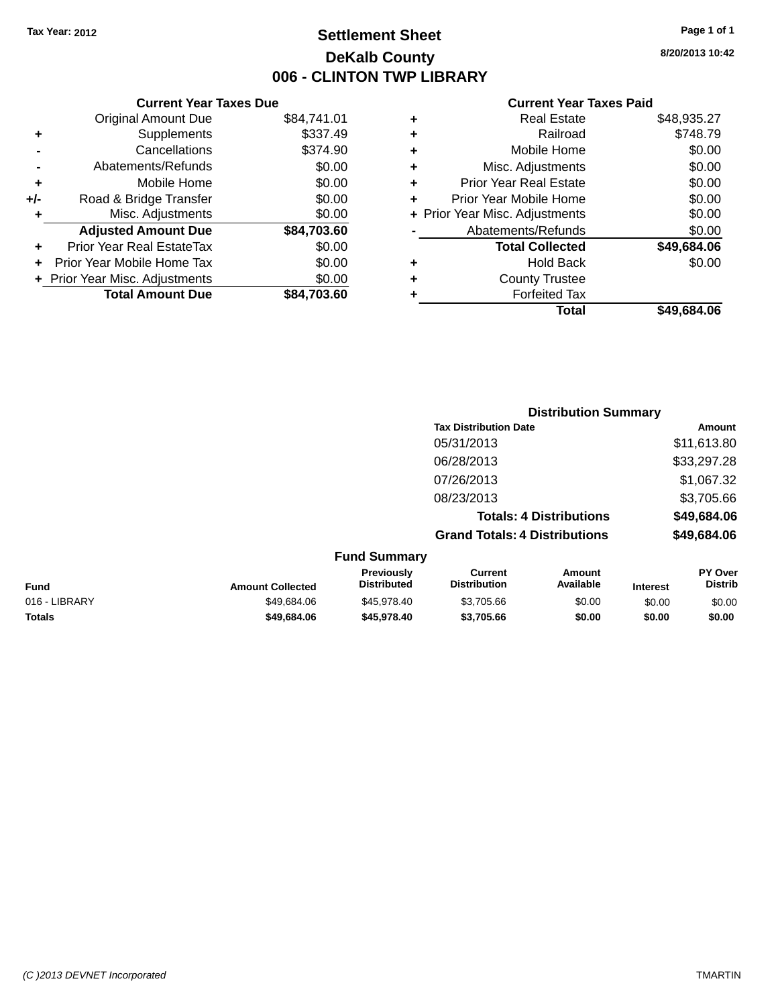## **Settlement Sheet Tax Year: 2012 Page 1 of 1 DeKalb County 006 - CLINTON TWP LIBRARY**

**8/20/2013 10:42**

| <b>Current Year Taxes Paid</b> |  |  |
|--------------------------------|--|--|
|                                |  |  |

|     | <b>Current Year Taxes Due</b>  |             |
|-----|--------------------------------|-------------|
|     | <b>Original Amount Due</b>     | \$84,741.01 |
| ٠   | Supplements                    | \$337.49    |
|     | Cancellations                  | \$374.90    |
|     | Abatements/Refunds             | \$0.00      |
| ٠   | Mobile Home                    | \$0.00      |
| +/- | Road & Bridge Transfer         | \$0.00      |
| ۰   | Misc. Adjustments              | \$0.00      |
|     | <b>Adjusted Amount Due</b>     | \$84,703.60 |
| ٠   | Prior Year Real EstateTax      | \$0.00      |
|     | Prior Year Mobile Home Tax     | \$0.00      |
|     | + Prior Year Misc. Adjustments | \$0.00      |
|     | <b>Total Amount Due</b>        | \$84.703.60 |
|     |                                |             |

| ٠ | Real Estate                    | \$48,935.27 |
|---|--------------------------------|-------------|
| ٠ | Railroad                       | \$748.79    |
| ٠ | Mobile Home                    | \$0.00      |
| ٠ | Misc. Adjustments              | \$0.00      |
| ٠ | <b>Prior Year Real Estate</b>  | \$0.00      |
| ٠ | Prior Year Mobile Home         | \$0.00      |
|   | + Prior Year Misc. Adjustments | \$0.00      |
|   | Abatements/Refunds             | \$0.00      |
|   | <b>Total Collected</b>         | \$49,684.06 |
| ٠ | Hold Back                      | \$0.00      |
| ٠ | <b>County Trustee</b>          |             |
| ٠ | <b>Forfeited Tax</b>           |             |
|   | Total                          | \$49,684.06 |
|   |                                |             |

|               |                                         |                                       | <b>Distribution Summary</b>    |          |                                  |
|---------------|-----------------------------------------|---------------------------------------|--------------------------------|----------|----------------------------------|
|               |                                         | <b>Tax Distribution Date</b>          |                                |          | Amount                           |
|               |                                         | 05/31/2013                            |                                |          | \$11,613.80                      |
|               |                                         | 06/28/2013                            |                                |          | \$33,297.28                      |
|               |                                         | 07/26/2013                            |                                |          | \$1,067.32                       |
|               |                                         | 08/23/2013                            |                                |          | \$3,705.66                       |
|               |                                         |                                       | <b>Totals: 4 Distributions</b> |          | \$49,684.06                      |
|               |                                         | <b>Grand Totals: 4 Distributions</b>  |                                |          | \$49,684.06                      |
|               | <b>Fund Summary</b>                     |                                       |                                |          |                                  |
| unt Collected | <b>Previously</b><br><b>Distributed</b> | <b>Current</b><br><b>Distribution</b> | Amount<br>Available            | Interest | <b>PY Over</b><br><b>Distrib</b> |

| Fund          | <b>Amount Collected</b> | Previously<br><b>Distributed</b> | Current<br><b>Distribution</b> | Amount<br>Available | Interest | <b>PY Over</b><br>Distrib |
|---------------|-------------------------|----------------------------------|--------------------------------|---------------------|----------|---------------------------|
| 016 - LIBRARY | \$49,684.06             | \$45.978.40                      | \$3.705.66                     | \$0.00              | \$0.00   | \$0.00                    |
| Totals        | \$49,684.06             | \$45,978,40                      | \$3,705.66                     | \$0.00              | \$0.00   | \$0.00                    |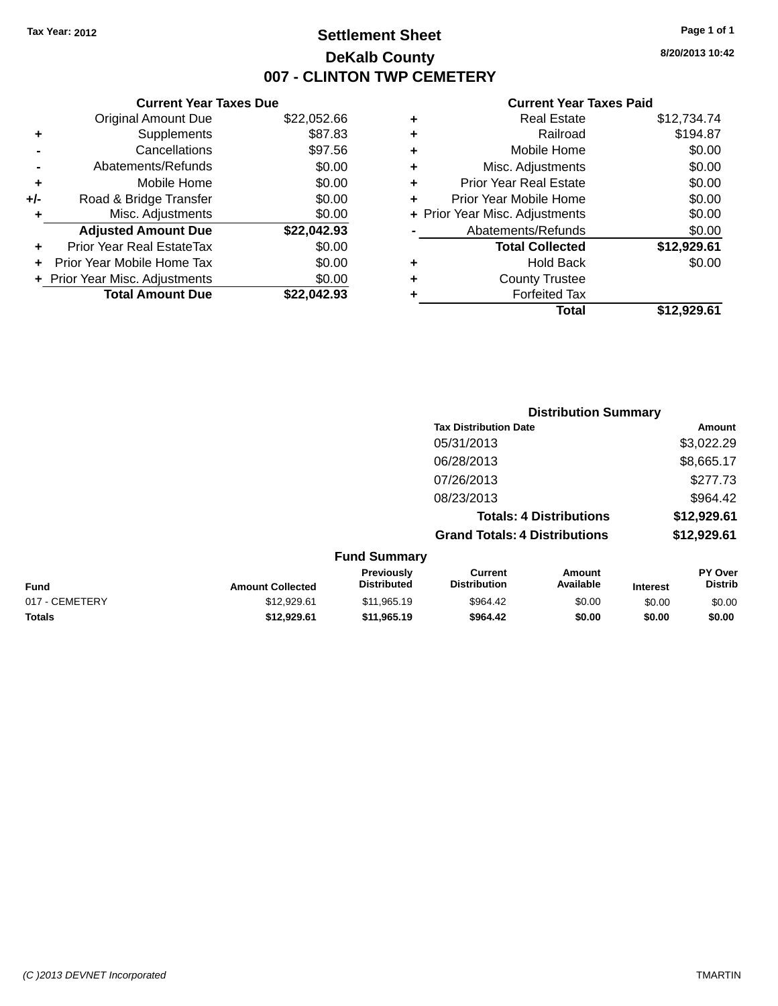## **Settlement Sheet Tax Year: 2012 Page 1 of 1 DeKalb County 007 - CLINTON TWP CEMETERY**

**8/20/2013 10:42**

| <b>Current Year Taxes Due</b> |                                |
|-------------------------------|--------------------------------|
| Original Amount Due           | \$22,052.66                    |
| Supplements                   | \$87.83                        |
| Cancellations                 | \$97.56                        |
| Abatements/Refunds            | \$0.00                         |
| Mobile Home                   | \$0.00                         |
| Road & Bridge Transfer        | \$0.00                         |
| Misc. Adjustments             | \$0.00                         |
| <b>Adjusted Amount Due</b>    | \$22,042.93                    |
| Prior Year Real EstateTax     | \$0.00                         |
| Prior Year Mobile Home Tax    | \$0.00                         |
|                               | \$0.00                         |
| <b>Total Amount Due</b>       | \$22,042.93                    |
|                               | + Prior Year Misc. Adjustments |

| ٠ | <b>Real Estate</b>             | \$12,734.74 |
|---|--------------------------------|-------------|
| ٠ | Railroad                       | \$194.87    |
| ٠ | Mobile Home                    | \$0.00      |
| ٠ | Misc. Adjustments              | \$0.00      |
| ٠ | <b>Prior Year Real Estate</b>  | \$0.00      |
| ٠ | Prior Year Mobile Home         | \$0.00      |
|   | + Prior Year Misc. Adjustments | \$0.00      |
|   | Abatements/Refunds             | \$0.00      |
|   | <b>Total Collected</b>         | \$12,929.61 |
| ٠ | <b>Hold Back</b>               | \$0.00      |
| ٠ | <b>County Trustee</b>          |             |
| ٠ | <b>Forfeited Tax</b>           |             |
|   | <b>Total</b>                   | \$12,929.61 |
|   |                                |             |

|                     | <b>Distribution Summary</b>          |             |
|---------------------|--------------------------------------|-------------|
|                     | <b>Tax Distribution Date</b>         | Amount      |
|                     | 05/31/2013                           | \$3,022.29  |
|                     | 06/28/2013                           | \$8,665.17  |
|                     | 07/26/2013                           | \$277.73    |
|                     | 08/23/2013                           | \$964.42    |
|                     | <b>Totals: 4 Distributions</b>       | \$12,929.61 |
|                     | <b>Grand Totals: 4 Distributions</b> | \$12,929.61 |
| <b>Fund Summary</b> |                                      |             |

| <b>Fund</b>    | <b>Amount Collected</b> | <b>Previously</b><br><b>Distributed</b> | Current<br><b>Distribution</b> | Amount<br><b>Available</b> | <b>Interest</b> | PY Over<br><b>Distrib</b> |
|----------------|-------------------------|-----------------------------------------|--------------------------------|----------------------------|-----------------|---------------------------|
| 017 - CEMETERY | \$12,929.61             | \$11,965.19                             | \$964.42                       | \$0.00                     | \$0.00          | \$0.00                    |
| Totals         | \$12,929.61             | \$11,965.19                             | \$964.42                       | \$0.00                     | \$0.00          | \$0.00                    |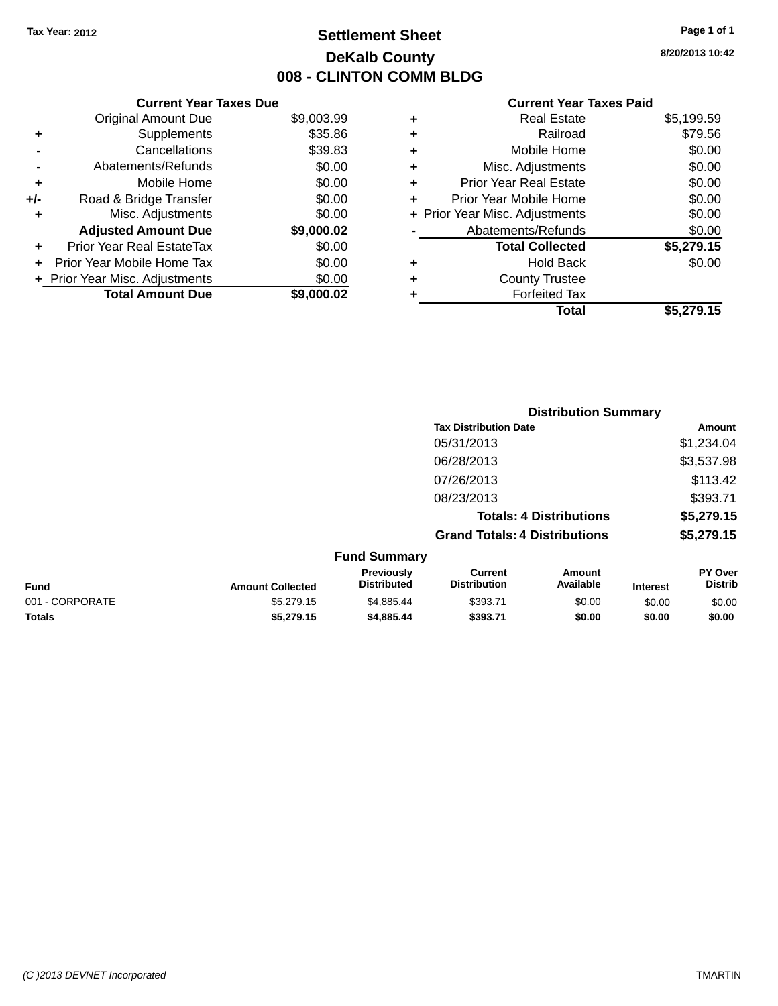## **Settlement Sheet Tax Year: 2012 Page 1 of 1 DeKalb County 008 - CLINTON COMM BLDG**

**8/20/2013 10:42**

|     | <b>Current Year Taxes Due</b>            |            |  |  |  |  |  |
|-----|------------------------------------------|------------|--|--|--|--|--|
|     | <b>Original Amount Due</b><br>\$9,003.99 |            |  |  |  |  |  |
| ٠   | Supplements                              | \$35.86    |  |  |  |  |  |
|     | Cancellations                            | \$39.83    |  |  |  |  |  |
|     | Abatements/Refunds                       | \$0.00     |  |  |  |  |  |
| ٠   | Mobile Home                              | \$0.00     |  |  |  |  |  |
| +/- | Road & Bridge Transfer                   | \$0.00     |  |  |  |  |  |
| ٠   | Misc. Adjustments                        | \$0.00     |  |  |  |  |  |
|     | <b>Adjusted Amount Due</b>               | \$9,000.02 |  |  |  |  |  |
| ٠   | Prior Year Real EstateTax                | \$0.00     |  |  |  |  |  |
| ÷   | Prior Year Mobile Home Tax               | \$0.00     |  |  |  |  |  |
|     | Prior Year Misc. Adjustments             | \$0.00     |  |  |  |  |  |
|     | <b>Total Amount Due</b>                  | \$9.000.02 |  |  |  |  |  |

|   | <b>Real Estate</b>             | \$5,199.59 |
|---|--------------------------------|------------|
| ٠ | Railroad                       | \$79.56    |
| ٠ | Mobile Home                    | \$0.00     |
| ٠ | Misc. Adjustments              | \$0.00     |
| ٠ | <b>Prior Year Real Estate</b>  | \$0.00     |
| ٠ | Prior Year Mobile Home         | \$0.00     |
|   | + Prior Year Misc. Adjustments | \$0.00     |
|   | Abatements/Refunds             | \$0.00     |
|   | <b>Total Collected</b>         | \$5,279.15 |
| ٠ | Hold Back                      | \$0.00     |
| ٠ | <b>County Trustee</b>          |            |
| ٠ | <b>Forfeited Tax</b>           |            |
|   | Total                          | \$5,279.15 |
|   |                                |            |

|                 |                         |                                  | <b>Distribution Summary</b>           |                     |                 |                           |  |
|-----------------|-------------------------|----------------------------------|---------------------------------------|---------------------|-----------------|---------------------------|--|
|                 |                         |                                  | <b>Tax Distribution Date</b>          |                     |                 | Amount                    |  |
|                 |                         |                                  | 05/31/2013                            |                     |                 | \$1,234.04                |  |
|                 |                         |                                  | 06/28/2013                            |                     |                 | \$3,537.98                |  |
|                 |                         |                                  | 07/26/2013                            |                     |                 | \$113.42                  |  |
|                 |                         |                                  | 08/23/2013                            |                     |                 | \$393.71                  |  |
|                 |                         |                                  | <b>Totals: 4 Distributions</b>        |                     |                 | \$5,279.15                |  |
|                 |                         |                                  | <b>Grand Totals: 4 Distributions</b>  |                     |                 | \$5,279.15                |  |
|                 |                         | <b>Fund Summary</b>              |                                       |                     |                 |                           |  |
| <b>Fund</b>     | <b>Amount Collected</b> | Previously<br><b>Distributed</b> | <b>Current</b><br><b>Distribution</b> | Amount<br>Available | <b>Interest</b> | PY Over<br><b>Distrib</b> |  |
| 001 - CORPORATE | \$5,279.15              | \$4,885.44                       | \$393.71                              | \$0.00              | \$0.00          | \$0.00                    |  |
| <b>Totals</b>   | \$5,279.15              | \$4,885.44                       | \$393.71                              | \$0.00              | \$0.00          | \$0.00                    |  |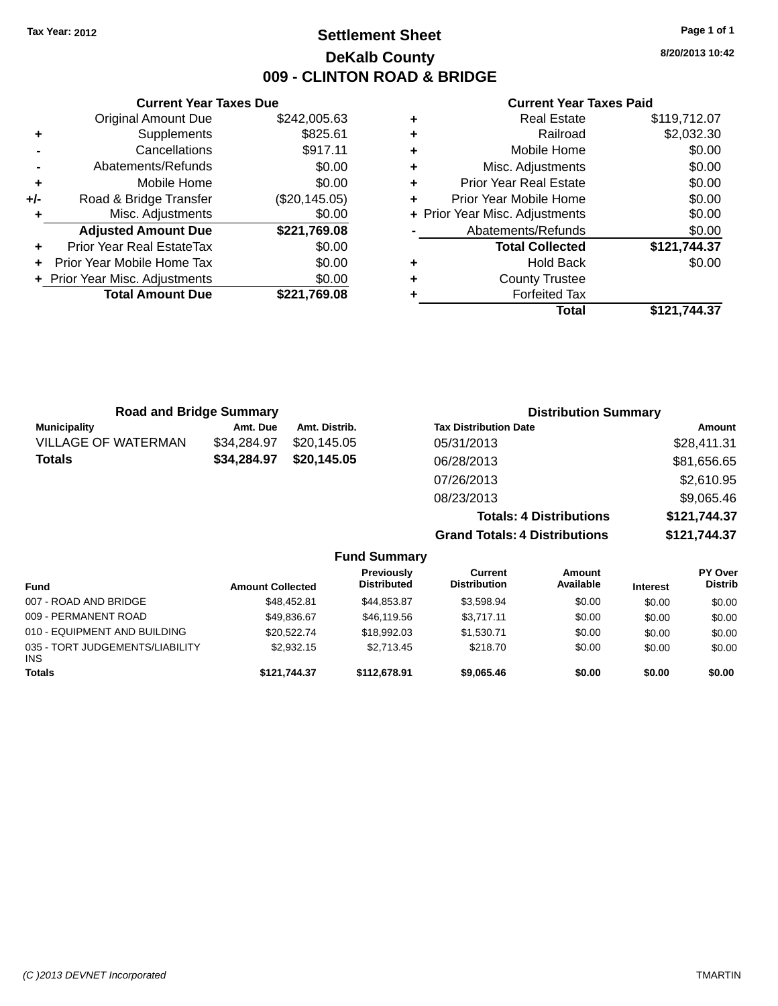## **Settlement Sheet Tax Year: 2012 Page 1 of 1 DeKalb County 009 - CLINTON ROAD & BRIDGE**

**8/20/2013 10:42**

#### **Current Year Taxes Paid**

|     | <b>Current Year Taxes Due</b>              |               |  |  |  |  |
|-----|--------------------------------------------|---------------|--|--|--|--|
|     | <b>Original Amount Due</b><br>\$242,005.63 |               |  |  |  |  |
| ٠   | \$825.61<br>Supplements                    |               |  |  |  |  |
|     | Cancellations                              | \$917.11      |  |  |  |  |
|     | Abatements/Refunds                         | \$0.00        |  |  |  |  |
| ٠   | Mobile Home                                | \$0.00        |  |  |  |  |
| +/- | Road & Bridge Transfer                     | (\$20,145.05) |  |  |  |  |
| ٠   | Misc. Adjustments                          | \$0.00        |  |  |  |  |
|     | <b>Adjusted Amount Due</b>                 | \$221,769.08  |  |  |  |  |
|     | <b>Prior Year Real EstateTax</b>           | \$0.00        |  |  |  |  |
|     | Prior Year Mobile Home Tax                 | \$0.00        |  |  |  |  |
|     | + Prior Year Misc. Adjustments             | \$0.00        |  |  |  |  |
|     | <b>Total Amount Due</b>                    | \$221.769.08  |  |  |  |  |
|     |                                            |               |  |  |  |  |

| <b>Real Estate</b>                 | \$119,712.07 |  |  |  |  |
|------------------------------------|--------------|--|--|--|--|
| Railroad                           | \$2,032.30   |  |  |  |  |
| Mobile Home                        | \$0.00       |  |  |  |  |
| Misc. Adjustments                  | \$0.00       |  |  |  |  |
| <b>Prior Year Real Estate</b><br>٠ |              |  |  |  |  |
| Prior Year Mobile Home             | \$0.00       |  |  |  |  |
| + Prior Year Misc. Adjustments     | \$0.00       |  |  |  |  |
| Abatements/Refunds                 | \$0.00       |  |  |  |  |
| <b>Total Collected</b>             | \$121,744.37 |  |  |  |  |
| <b>Hold Back</b>                   | \$0.00       |  |  |  |  |
| <b>County Trustee</b>              |              |  |  |  |  |
| <b>Forfeited Tax</b>               |              |  |  |  |  |
| Total                              | \$121,744.37 |  |  |  |  |
|                                    |              |  |  |  |  |

| <b>Road and Bridge Summary</b> |             |               | <b>Distribution Summary</b>    |              |
|--------------------------------|-------------|---------------|--------------------------------|--------------|
| <b>Municipality</b>            | Amt. Due    | Amt. Distrib. | <b>Tax Distribution Date</b>   | Amount       |
| <b>VILLAGE OF WATERMAN</b>     | \$34,284.97 | \$20,145.05   | 05/31/2013                     | \$28,411.31  |
| <b>Totals</b>                  | \$34,284.97 | \$20,145.05   | 06/28/2013                     | \$81,656.65  |
|                                |             |               | 07/26/2013                     | \$2,610.95   |
|                                |             |               | 08/23/2013                     | \$9,065.46   |
|                                |             |               | <b>Totals: 4 Distributions</b> | \$121,744.37 |

**Grand Totals: 4 Distributions \$121,744.37**

| <b>Fund Summary</b>                           |                         |                                  |                                |                     |                 |                                  |
|-----------------------------------------------|-------------------------|----------------------------------|--------------------------------|---------------------|-----------------|----------------------------------|
| <b>Fund</b>                                   | <b>Amount Collected</b> | Previously<br><b>Distributed</b> | Current<br><b>Distribution</b> | Amount<br>Available | <b>Interest</b> | <b>PY Over</b><br><b>Distrib</b> |
| 007 - ROAD AND BRIDGE                         | \$48,452.81             | \$44,853.87                      | \$3,598.94                     | \$0.00              | \$0.00          | \$0.00                           |
| 009 - PERMANENT ROAD                          | \$49.836.67             | \$46,119.56                      | \$3.717.11                     | \$0.00              | \$0.00          | \$0.00                           |
| 010 - EQUIPMENT AND BUILDING                  | \$20,522,74             | \$18,992.03                      | \$1.530.71                     | \$0.00              | \$0.00          | \$0.00                           |
| 035 - TORT JUDGEMENTS/LIABILITY<br><b>INS</b> | \$2,932.15              | \$2.713.45                       | \$218.70                       | \$0.00              | \$0.00          | \$0.00                           |
| <b>Totals</b>                                 | \$121.744.37            | \$112,678.91                     | \$9,065.46                     | \$0.00              | \$0.00          | \$0.00                           |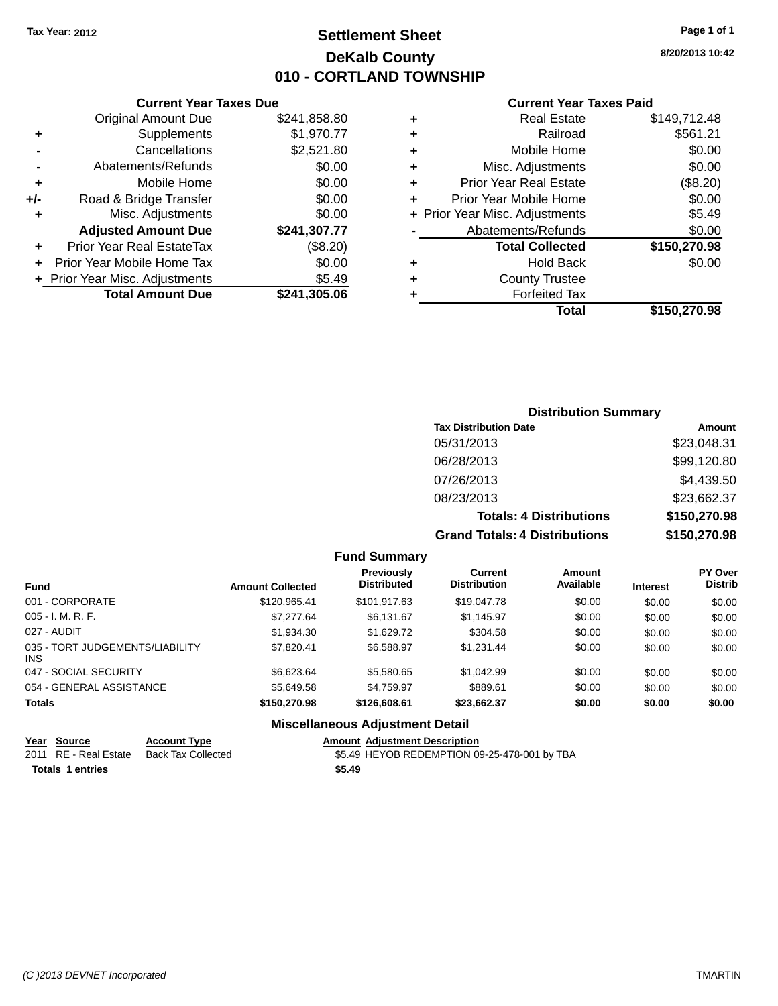## **Settlement Sheet Tax Year: 2012 Page 1 of 1 DeKalb County 010 - CORTLAND TOWNSHIP**

**8/20/2013 10:42**

#### **Current Year Taxes Paid**

|     | <b>Original Amount Due</b>     | \$241,858.80 |
|-----|--------------------------------|--------------|
| ٠   | Supplements                    | \$1,970.77   |
|     | Cancellations                  | \$2,521.80   |
|     | Abatements/Refunds             | \$0.00       |
| ٠   | Mobile Home                    | \$0.00       |
| +/- | Road & Bridge Transfer         | \$0.00       |
| ٠   | Misc. Adjustments              | \$0.00       |
|     | <b>Adjusted Amount Due</b>     | \$241,307.77 |
| ٠   | Prior Year Real EstateTax      | (\$8.20)     |
|     | Prior Year Mobile Home Tax     | \$0.00       |
|     | + Prior Year Misc. Adjustments | \$5.49       |
|     | <b>Total Amount Due</b>        | \$241,305.06 |
|     |                                |              |

**Current Year Taxes Due**

| ٠ | <b>Real Estate</b>             | \$149,712.48 |
|---|--------------------------------|--------------|
| ÷ | Railroad                       | \$561.21     |
| ٠ | Mobile Home                    | \$0.00       |
| ٠ | Misc. Adjustments              | \$0.00       |
| ٠ | <b>Prior Year Real Estate</b>  | (\$8.20)     |
| ٠ | Prior Year Mobile Home         | \$0.00       |
|   | + Prior Year Misc. Adjustments | \$5.49       |
|   | Abatements/Refunds             | \$0.00       |
|   | <b>Total Collected</b>         | \$150,270.98 |
| ٠ | Hold Back                      | \$0.00       |
| ٠ | <b>County Trustee</b>          |              |
| ٠ | <b>Forfeited Tax</b>           |              |
|   | Total                          | \$150,270.98 |
|   |                                |              |

### **Distribution Summary Tax Distribution Date Amount** 05/31/2013 \$23,048.31 06/28/2013 \$99,120.80 07/26/2013 \$4,439.50 08/23/2013 \$23,662.37 **Totals: 4 Distributions \$150,270.98 Grand Totals: 4 Distributions \$150,270.98**

#### **Fund Summary**

| <b>Fund</b>                             | <b>Amount Collected</b> | <b>Previously</b><br><b>Distributed</b> | Current<br><b>Distribution</b> | Amount<br>Available | <b>Interest</b> | <b>PY Over</b><br><b>Distrib</b> |
|-----------------------------------------|-------------------------|-----------------------------------------|--------------------------------|---------------------|-----------------|----------------------------------|
| 001 - CORPORATE                         | \$120.965.41            | \$101,917.63                            | \$19,047.78                    | \$0.00              | \$0.00          | \$0.00                           |
| $005 - I. M. R. F.$                     | \$7,277.64              | \$6.131.67                              | \$1,145.97                     | \$0.00              | \$0.00          | \$0.00                           |
| 027 - AUDIT                             | \$1,934.30              | \$1,629.72                              | \$304.58                       | \$0.00              | \$0.00          | \$0.00                           |
| 035 - TORT JUDGEMENTS/LIABILITY<br>INS. | \$7.820.41              | \$6,588.97                              | \$1.231.44                     | \$0.00              | \$0.00          | \$0.00                           |
| 047 - SOCIAL SECURITY                   | \$6,623,64              | \$5,580.65                              | \$1.042.99                     | \$0.00              | \$0.00          | \$0.00                           |
| 054 - GENERAL ASSISTANCE                | \$5,649.58              | \$4,759.97                              | \$889.61                       | \$0.00              | \$0.00          | \$0.00                           |
| <b>Totals</b>                           | \$150,270.98            | \$126,608.61                            | \$23,662.37                    | \$0.00              | \$0.00          | \$0.00                           |

#### **Miscellaneous Adjustment Detail**

| Year Source             | <b>Account Type</b>                      | <b>Amount Adiustment Description</b>         |
|-------------------------|------------------------------------------|----------------------------------------------|
|                         | 2011 RE - Real Estate Back Tax Collected | \$5.49 HEYOB REDEMPTION 09-25-478-001 by TBA |
| <b>Totals 1 entries</b> |                                          | \$5.49                                       |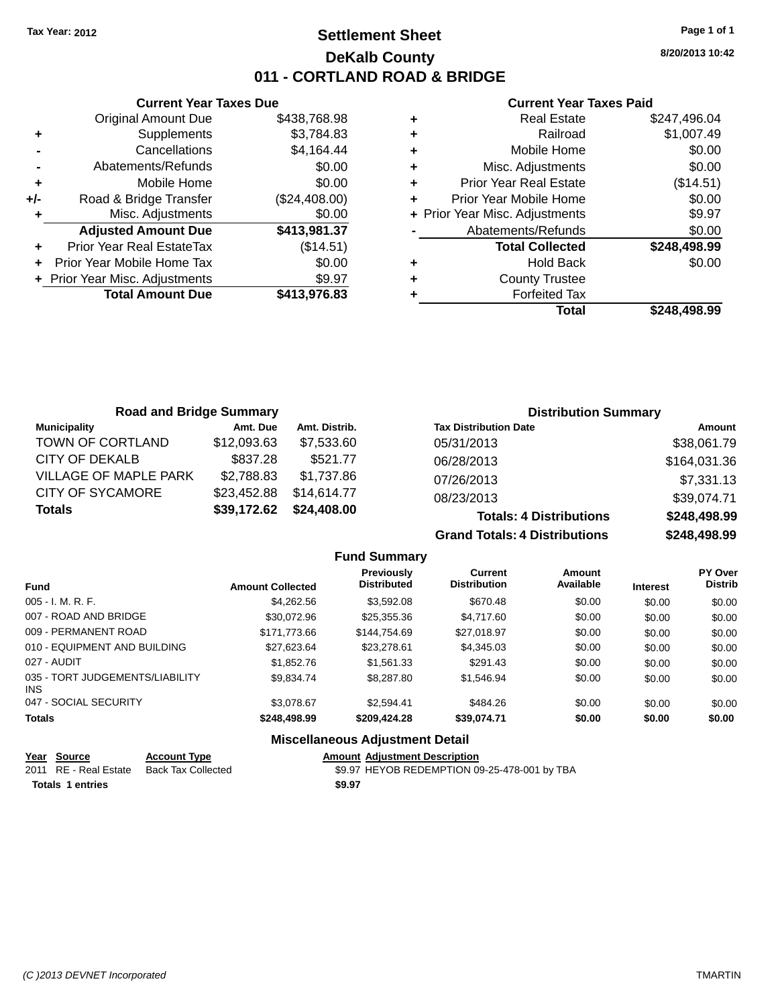## **Settlement Sheet Tax Year: 2012 Page 1 of 1 DeKalb County 011 - CORTLAND ROAD & BRIDGE**

**8/20/2013 10:42**

#### **Current Year Taxes Paid**

|     | <b>Current Year Taxes Due</b>  |               |  |  |
|-----|--------------------------------|---------------|--|--|
|     | <b>Original Amount Due</b>     | \$438,768.98  |  |  |
| ٠   | Supplements                    | \$3.784.83    |  |  |
|     | Cancellations                  | \$4,164.44    |  |  |
|     | Abatements/Refunds             | \$0.00        |  |  |
| ٠   | Mobile Home                    | \$0.00        |  |  |
| +/- | Road & Bridge Transfer         | (\$24,408.00) |  |  |
|     | \$0.00<br>Misc. Adjustments    |               |  |  |
|     | <b>Adjusted Amount Due</b>     | \$413,981.37  |  |  |
| ٠   | Prior Year Real EstateTax      | (\$14.51)     |  |  |
|     | Prior Year Mobile Home Tax     | \$0.00        |  |  |
|     | + Prior Year Misc. Adjustments | \$9.97        |  |  |
|     | <b>Total Amount Due</b>        | \$413.976.83  |  |  |
|     |                                |               |  |  |

|   | <b>Real Estate</b>             | \$247,496.04 |
|---|--------------------------------|--------------|
| ٠ | Railroad                       | \$1,007.49   |
| ٠ | Mobile Home                    | \$0.00       |
| ٠ | Misc. Adjustments              | \$0.00       |
| ٠ | <b>Prior Year Real Estate</b>  | (\$14.51)    |
| ٠ | Prior Year Mobile Home         | \$0.00       |
|   | + Prior Year Misc. Adjustments | \$9.97       |
|   | Abatements/Refunds             | \$0.00       |
|   | <b>Total Collected</b>         | \$248,498.99 |
| ٠ | <b>Hold Back</b>               | \$0.00       |
| ٠ | <b>County Trustee</b>          |              |
| ٠ | <b>Forfeited Tax</b>           |              |
|   | Total                          | \$248,498.99 |
|   |                                |              |

| <b>Road and Bridge Summary</b> |             |               | <b>Distribution Summary</b>    |              |  |
|--------------------------------|-------------|---------------|--------------------------------|--------------|--|
| <b>Municipality</b>            | Amt. Due    | Amt. Distrib. | <b>Tax Distribution Date</b>   | Amount       |  |
| TOWN OF CORTLAND               | \$12,093.63 | \$7,533,60    | 05/31/2013                     | \$38,061.79  |  |
| CITY OF DEKALB                 | \$837.28    | \$521.77      | 06/28/2013                     | \$164,031.36 |  |
| <b>VILLAGE OF MAPLE PARK</b>   | \$2,788.83  | \$1.737.86    | 07/26/2013                     | \$7,331.13   |  |
| <b>CITY OF SYCAMORE</b>        | \$23,452.88 | \$14,614.77   | 08/23/2013                     | \$39,074.71  |  |
| <b>Totals</b>                  | \$39,172.62 | \$24,408.00   | <b>Totals: 4 Distributions</b> | \$248,498.99 |  |

**Grand Totals: 4 Distributions \$248,498.99**

|                                         |                         |                                         |                                       |                            |                 | <b>**********</b>                |
|-----------------------------------------|-------------------------|-----------------------------------------|---------------------------------------|----------------------------|-----------------|----------------------------------|
|                                         |                         | <b>Fund Summary</b>                     |                                       |                            |                 |                                  |
| <b>Fund</b>                             | <b>Amount Collected</b> | <b>Previously</b><br><b>Distributed</b> | <b>Current</b><br><b>Distribution</b> | <b>Amount</b><br>Available | <b>Interest</b> | <b>PY Over</b><br><b>Distrib</b> |
| $005 - I. M. R. F.$                     | \$4.262.56              | \$3,592.08                              | \$670.48                              | \$0.00                     | \$0.00          | \$0.00                           |
| 007 - ROAD AND BRIDGE                   | \$30.072.96             | \$25,355,36                             | \$4.717.60                            | \$0.00                     | \$0.00          | \$0.00                           |
| 009 - PERMANENT ROAD                    | \$171,773,66            | \$144.754.69                            | \$27.018.97                           | \$0.00                     | \$0.00          | \$0.00                           |
| 010 - EQUIPMENT AND BUILDING            | \$27.623.64             | \$23,278.61                             | \$4.345.03                            | \$0.00                     | \$0.00          | \$0.00                           |
| 027 - AUDIT                             | \$1,852.76              | \$1,561,33                              | \$291.43                              | \$0.00                     | \$0.00          | \$0.00                           |
| 035 - TORT JUDGEMENTS/LIABILITY<br>INS. | \$9.834.74              | \$8,287.80                              | \$1.546.94                            | \$0.00                     | \$0.00          | \$0.00                           |
| 047 - SOCIAL SECURITY                   | \$3.078.67              | \$2.594.41                              | \$484.26                              | \$0.00                     | \$0.00          | \$0.00                           |
| <b>Totals</b>                           | \$248,498.99            | \$209,424.28                            | \$39,074.71                           | \$0.00                     | \$0.00          | \$0.00                           |
|                                         |                         |                                         |                                       |                            |                 |                                  |

#### **Miscellaneous Adjustment Detail**

| Year Source           | <b>Account Type</b> | <b>Amount Adiustment Description</b>         |
|-----------------------|---------------------|----------------------------------------------|
| 2011 RE - Real Estate | Back Tax Collected  | \$9.97 HEYOB REDEMPTION 09-25-478-001 by TBA |
| Totals 1 entries      |                     | \$9.97                                       |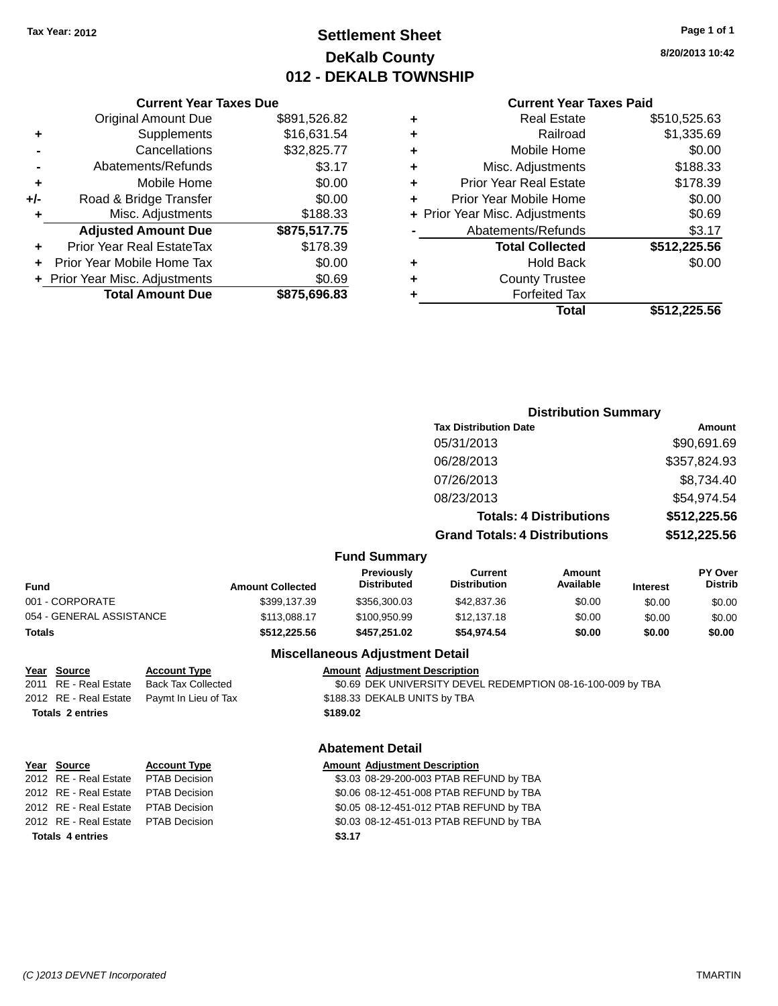## **Settlement Sheet Tax Year: 2012 Page 1 of 1 DeKalb County 012 - DEKALB TOWNSHIP**

**8/20/2013 10:42**

|     | <b>Current Year Taxes Due</b>  |              |  |  |  |  |
|-----|--------------------------------|--------------|--|--|--|--|
|     | <b>Original Amount Due</b>     | \$891,526.82 |  |  |  |  |
|     | Supplements                    | \$16,631.54  |  |  |  |  |
|     | Cancellations                  | \$32,825.77  |  |  |  |  |
|     | Abatements/Refunds             | \$3.17       |  |  |  |  |
| ٠   | \$0.00<br>Mobile Home          |              |  |  |  |  |
| +/- | Road & Bridge Transfer         | \$0.00       |  |  |  |  |
|     | Misc. Adjustments<br>\$188.33  |              |  |  |  |  |
|     | <b>Adjusted Amount Due</b>     | \$875,517.75 |  |  |  |  |
|     | Prior Year Real EstateTax      | \$178.39     |  |  |  |  |
|     | Prior Year Mobile Home Tax     | \$0.00       |  |  |  |  |
|     | + Prior Year Misc. Adjustments | \$0.69       |  |  |  |  |
|     | <b>Total Amount Due</b>        | \$875,696.83 |  |  |  |  |
|     |                                |              |  |  |  |  |

#### **Current Year Taxes Paid**

|   | Total                          | \$512,225.56 |
|---|--------------------------------|--------------|
| ٠ | <b>Forfeited Tax</b>           |              |
| ٠ | <b>County Trustee</b>          |              |
| ٠ | <b>Hold Back</b>               | \$0.00       |
|   | <b>Total Collected</b>         | \$512,225.56 |
|   | Abatements/Refunds             | \$3.17       |
|   | + Prior Year Misc. Adjustments | \$0.69       |
| ٠ | Prior Year Mobile Home         | \$0.00       |
| ٠ | <b>Prior Year Real Estate</b>  | \$178.39     |
| ٠ | Misc. Adjustments              | \$188.33     |
| ٠ | Mobile Home                    | \$0.00       |
| ÷ | Railroad                       | \$1,335.69   |
|   | <b>Real Estate</b>             | \$510,525.63 |

#### **Distribution Summary Tax Distribution Date Amount** 05/31/2013 \$90.691.69 06/28/2013 \$357,824.93 07/26/2013 \$8,734.40 08/23/2013 \$54,974.54 **Totals: 4 Distributions \$512,225.56 Grand Totals: 4 Distributions \$512,225.56 Fund Summary Fund Interest Amount Collected Distributed PY Over Distrib Amount Available Current Distribution Previously** 001 - CORPORATE \$399,137.39 \$356,300.03 \$42,837.36 \$0.00 \$0.00 \$0.00 054 - GENERAL ASSISTANCE \$113,088.17 \$100,950.99 \$12,137.18 \$0.00 \$0.00 \$0.00 **Totals \$512,225.56 \$457,251.02 \$54,974.54 \$0.00 \$0.00 \$0.00**

#### **Miscellaneous Adjustment Detail**

#### **Year Source Account Type Amount Adjustment Description**

2011 RE - Real Estate Back Tax Collected \$0.69 DEK UNIVERSITY DEVEL REDEMPTION 08-16-100-009 by TBA 2012 RE - Real Estate Paymt In Lieu of Tax \$188.33 DEKALB UNITS by TBA **Totals 2 entries \$189.02**

#### **Abatement Detail**

| Year Source                         | <b>Account Type</b>  |        | <b>Amount Adjustment Description</b>    |
|-------------------------------------|----------------------|--------|-----------------------------------------|
| 2012 RE - Real Estate PTAB Decision |                      |        | \$3.03 08-29-200-003 PTAB REFUND by TBA |
| 2012 RE - Real Estate               | <b>PTAB Decision</b> |        | \$0.06 08-12-451-008 PTAB REFUND by TBA |
| 2012 RE - Real Estate               | PTAB Decision        |        | \$0.05 08-12-451-012 PTAB REFUND by TBA |
| 2012 RE - Real Estate PTAB Decision |                      |        | \$0.03 08-12-451-013 PTAB REFUND by TBA |
| <b>Totals 4 entries</b>             |                      | \$3.17 |                                         |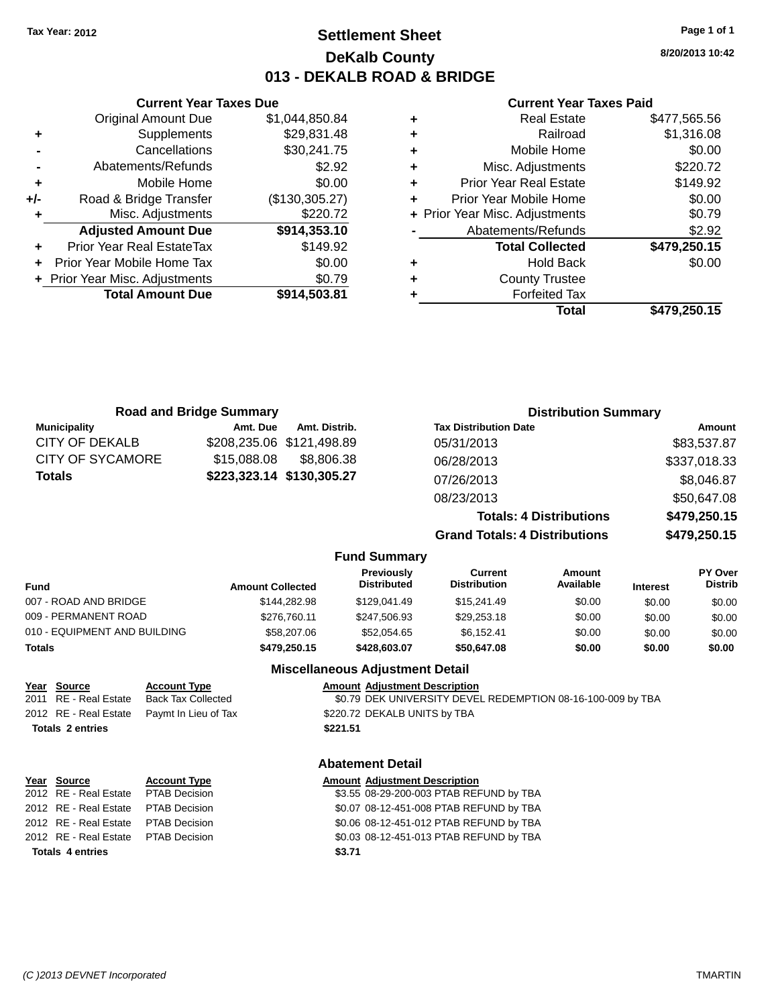### **Settlement Sheet Tax Year: 2012 Page 1 of 1 DeKalb County 013 - DEKALB ROAD & BRIDGE**

**8/20/2013 10:42**

#### **Current Year Taxes Paid**

| ٠ | <b>Real Estate</b>             | \$477.565.56 |
|---|--------------------------------|--------------|
| ٠ | Railroad                       | \$1,316.08   |
| ÷ | Mobile Home                    | \$0.00       |
| ٠ | Misc. Adjustments              | \$220.72     |
| ٠ | <b>Prior Year Real Estate</b>  | \$149.92     |
| ٠ | Prior Year Mobile Home         | \$0.00       |
|   | + Prior Year Misc. Adjustments | \$0.79       |
|   | Abatements/Refunds             | \$2.92       |
|   | <b>Total Collected</b>         | \$479,250.15 |
| ٠ | <b>Hold Back</b>               | \$0.00       |
| ٠ | <b>County Trustee</b>          |              |
| ٠ | <b>Forfeited Tax</b>           |              |
|   | Total                          | \$479.250.15 |

**Distribution Summary**

|     | <b>Current Year Taxes Due</b>    |                |  |  |
|-----|----------------------------------|----------------|--|--|
|     | <b>Original Amount Due</b>       | \$1,044,850.84 |  |  |
| ٠   | Supplements                      | \$29,831.48    |  |  |
|     | Cancellations                    | \$30,241.75    |  |  |
|     | Abatements/Refunds               | \$2.92         |  |  |
| ٠   | Mobile Home                      | \$0.00         |  |  |
| +/- | Road & Bridge Transfer           | (\$130,305.27) |  |  |
|     | \$220.72<br>Misc. Adjustments    |                |  |  |
|     | <b>Adjusted Amount Due</b>       | \$914,353.10   |  |  |
| ٠   | <b>Prior Year Real EstateTax</b> | \$149.92       |  |  |
|     | Prior Year Mobile Home Tax       | \$0.00         |  |  |
|     | + Prior Year Misc. Adjustments   | \$0.79         |  |  |
|     | <b>Total Amount Due</b>          | \$914,503.81   |  |  |
|     |                                  |                |  |  |

**Road and Bridge Summary**

| <b>Municipality</b>          | Amt. Due                  | Amt. Distrib. |                                  | <b>Tax Distribution Date</b>          |                                |                 | Amount                           |
|------------------------------|---------------------------|---------------|----------------------------------|---------------------------------------|--------------------------------|-----------------|----------------------------------|
| CITY OF DEKALB               | \$208,235.06 \$121,498.89 |               |                                  | 05/31/2013                            |                                |                 | \$83,537.87                      |
| CITY OF SYCAMORE             | \$15,088,08               | \$8,806,38    |                                  | 06/28/2013                            |                                |                 | \$337,018.33                     |
| <b>Totals</b>                | \$223,323.14 \$130,305.27 |               |                                  | 07/26/2013                            |                                |                 | \$8,046.87                       |
|                              |                           |               |                                  | 08/23/2013                            |                                |                 | \$50,647.08                      |
|                              |                           |               |                                  |                                       | <b>Totals: 4 Distributions</b> |                 | \$479,250.15                     |
|                              |                           |               |                                  | <b>Grand Totals: 4 Distributions</b>  |                                |                 | \$479,250.15                     |
|                              |                           |               | <b>Fund Summary</b>              |                                       |                                |                 |                                  |
| <b>Fund</b>                  | <b>Amount Collected</b>   |               | Previously<br><b>Distributed</b> | <b>Current</b><br><b>Distribution</b> | Amount<br>Available            | <b>Interest</b> | <b>PY Over</b><br><b>Distrib</b> |
| 007 - ROAD AND BRIDGE        |                           | \$144.282.98  | \$129,041.49                     | \$15,241.49                           | \$0.00                         | \$0.00          | \$0.00                           |
| 009 - PERMANENT ROAD         |                           | \$276.760.11  | \$247,506.93                     | \$29,253.18                           | \$0.00                         | \$0.00          | \$0.00                           |
| 010 - EQUIPMENT AND BUILDING |                           | \$58,207.06   | \$52,054.65                      | \$6,152.41                            | \$0.00                         | \$0.00          | \$0.00                           |
| Totals                       |                           | \$479,250.15  | \$428,603.07                     | \$50,647.08                           | \$0.00                         | \$0.00          | \$0.00                           |

### **Miscellaneous Adjustment Detail**

|                         | Year Source           | <b>Account Type</b>       | <b>Amount Adjustment Description</b>                        |
|-------------------------|-----------------------|---------------------------|-------------------------------------------------------------|
|                         | 2011 RE - Real Estate | <b>Back Tax Collected</b> | \$0.79 DEK UNIVERSITY DEVEL REDEMPTION 08-16-100-009 by TBA |
|                         | 2012 RE - Real Estate | Paymt In Lieu of Tax      | \$220.72 DEKALB UNITS by TBA                                |
| <b>Totals 2 entries</b> |                       |                           | \$221.51                                                    |
|                         |                       |                           |                                                             |
|                         |                       |                           | <b>Abatement Detail</b>                                     |
|                         | Year Source           | <b>Account Type</b>       | <b>Amount Adjustment Description</b>                        |
|                         | 2012 RE - Real Estate | <b>PTAB Decision</b>      | \$3.55 08-29-200-003 PTAB REFUND by TBA                     |
|                         |                       |                           |                                                             |

| <b>Totals 4 entries</b>              | \$3.71 |
|--------------------------------------|--------|
| 2012 RE - Real Estate PTAB Decision  | \$0.03 |
| 2012 RE - Real Estate  PTAB Decision | \$0.06 |
| 2012 RE - Real Estate PTAB Decision  | \$0.07 |
|                                      | ັນບ.ບບ |

2012 RE - Real Estate PTAB Decision \$0.07 08-12-451-008 PTAB REFUND by TBA 2012 RE - Real Estate PTAB Decision \$0.06 08-12-451-012 PTAB REFUND by TBA 2012 RE - Real Estate PTAB Decision \$0.03 08-12-451-013 PTAB REFUND by TBA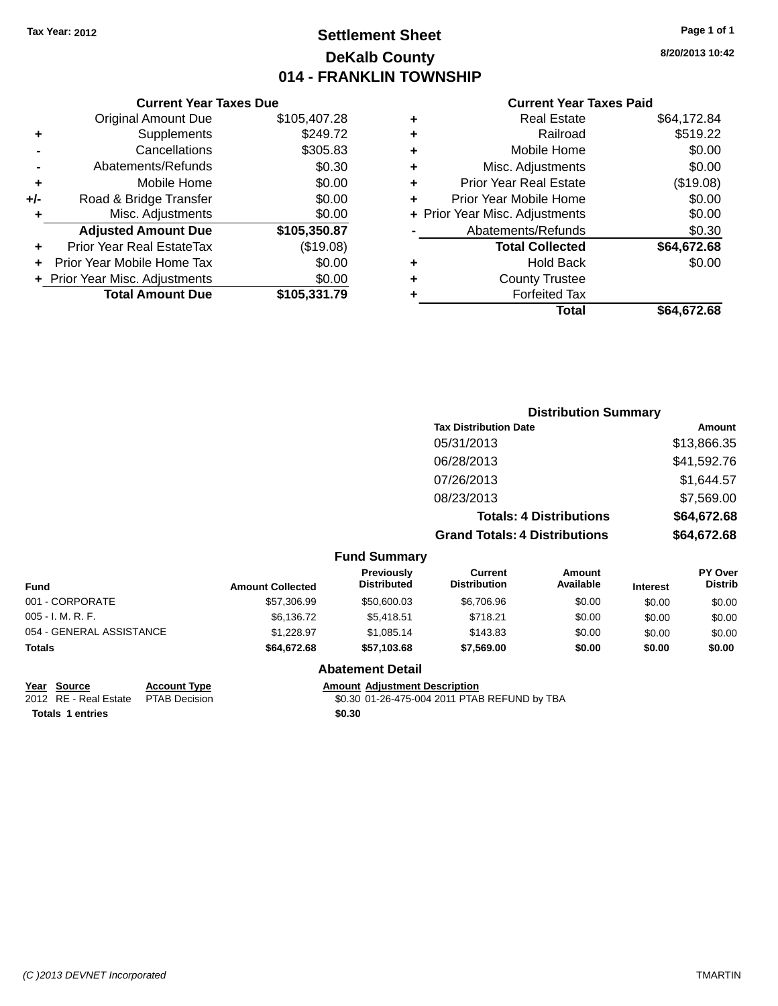## **Settlement Sheet Tax Year: 2012 Page 1 of 1 DeKalb County 014 - FRANKLIN TOWNSHIP**

**8/20/2013 10:42**

|  | <b>Current Year Taxes Paid</b> |  |  |  |
|--|--------------------------------|--|--|--|
|--|--------------------------------|--|--|--|

|     | <b>Current Year Taxes Due</b>  |              |
|-----|--------------------------------|--------------|
|     | <b>Original Amount Due</b>     | \$105,407.28 |
| ٠   | Supplements                    | \$249.72     |
|     | Cancellations                  | \$305.83     |
|     | Abatements/Refunds             | \$0.30       |
| ٠   | Mobile Home                    | \$0.00       |
| +/- | Road & Bridge Transfer         | \$0.00       |
| ÷   | Misc. Adjustments              | \$0.00       |
|     | <b>Adjusted Amount Due</b>     | \$105,350.87 |
| ٠   | Prior Year Real EstateTax      | (\$19.08)    |
|     | Prior Year Mobile Home Tax     | \$0.00       |
|     | + Prior Year Misc. Adjustments | \$0.00       |
|     | <b>Total Amount Due</b>        | \$105,331.79 |
|     |                                |              |

| ٠ | <b>Real Estate</b>             | \$64,172.84 |
|---|--------------------------------|-------------|
| ٠ | Railroad                       | \$519.22    |
| ٠ | Mobile Home                    | \$0.00      |
| ٠ | Misc. Adjustments              | \$0.00      |
| ٠ | Prior Year Real Estate         | (\$19.08)   |
| ÷ | Prior Year Mobile Home         | \$0.00      |
|   | + Prior Year Misc. Adjustments | \$0.00      |
|   | Abatements/Refunds             | \$0.30      |
|   | <b>Total Collected</b>         | \$64,672.68 |
| ٠ | Hold Back                      | \$0.00      |
| ٠ | <b>County Trustee</b>          |             |
| ٠ | <b>Forfeited Tax</b>           |             |
|   | Total                          | \$64,672.68 |
|   |                                |             |

|                          |                         |                                  |                                       | <b>Distribution Summary</b>    |                 |                                  |
|--------------------------|-------------------------|----------------------------------|---------------------------------------|--------------------------------|-----------------|----------------------------------|
|                          |                         |                                  | <b>Tax Distribution Date</b>          |                                |                 | Amount                           |
|                          |                         |                                  | 05/31/2013                            |                                |                 | \$13,866.35                      |
|                          |                         |                                  | 06/28/2013                            |                                |                 | \$41,592.76                      |
|                          |                         |                                  | 07/26/2013                            |                                |                 | \$1,644.57                       |
|                          |                         |                                  | 08/23/2013                            |                                |                 | \$7,569.00                       |
|                          |                         |                                  |                                       | <b>Totals: 4 Distributions</b> |                 | \$64,672.68                      |
|                          |                         |                                  | <b>Grand Totals: 4 Distributions</b>  |                                |                 | \$64,672.68                      |
|                          |                         | <b>Fund Summary</b>              |                                       |                                |                 |                                  |
| Fund                     | <b>Amount Collected</b> | Previously<br><b>Distributed</b> | <b>Current</b><br><b>Distribution</b> | Amount<br>Available            | <b>Interest</b> | <b>PY Over</b><br><b>Distrib</b> |
| 001 - CORPORATE          | \$57,306.99             | \$50,600.03                      | \$6,706.96                            | \$0.00                         | \$0.00          | \$0.00                           |
| 005 - I. M. R. F.        | \$6,136.72              | \$5,418.51                       | \$718.21                              | \$0.00                         | \$0.00          | \$0.00                           |
| 054 - GENERAL ASSISTANCE | \$1,228.97              | \$1,085.14                       | \$143.83                              | \$0.00                         | \$0.00          | \$0.00                           |
| Totals                   | \$64,672.68             | \$57,103.68                      | \$7,569.00                            | \$0.00                         | \$0.00          | \$0.00                           |

### **Abatement Detail**

**Totals 1 entries \$0.30**

**<u>Year Source</u> <b>Account Type Amount Adjustment Description**<br>2012 RE - Real Estate PTAB Decision \$0.30 01-26-475-004 2011 PTAE \$0.30 01-26-475-004 2011 PTAB REFUND by TBA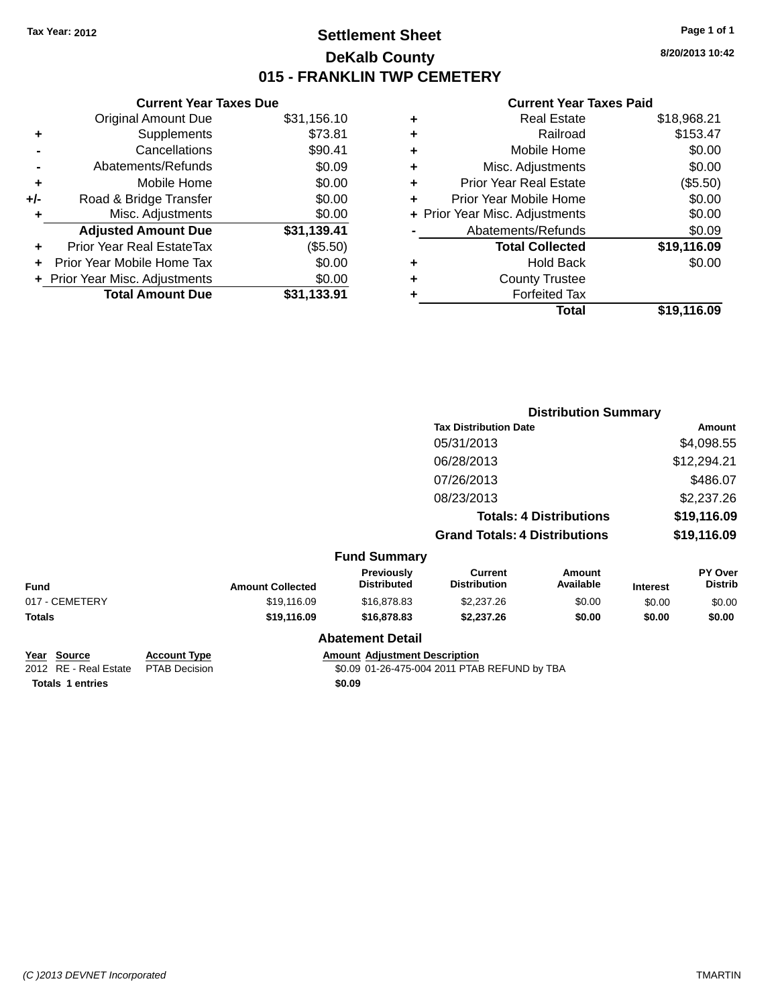## **Settlement Sheet Tax Year: 2012 Page 1 of 1 DeKalb County 015 - FRANKLIN TWP CEMETERY**

**8/20/2013 10:42**

#### **Current Year Taxes Paid**

|       | <b>Current Year Taxes Due</b>  |             |
|-------|--------------------------------|-------------|
|       | <b>Original Amount Due</b>     | \$31,156.10 |
| ٠     | Supplements                    | \$73.81     |
|       | Cancellations                  | \$90.41     |
|       | Abatements/Refunds             | \$0.09      |
| ٠     | Mobile Home                    | \$0.00      |
| $+/-$ | Road & Bridge Transfer         | \$0.00      |
| ٠     | Misc. Adjustments              | \$0.00      |
|       | <b>Adjusted Amount Due</b>     | \$31,139.41 |
|       | Prior Year Real EstateTax      | (\$5.50)    |
|       | Prior Year Mobile Home Tax     | \$0.00      |
|       | + Prior Year Misc. Adjustments | \$0.00      |
|       | <b>Total Amount Due</b>        | \$31.133.91 |
|       |                                |             |

| ٠ | <b>Real Estate</b>             | \$18,968.21 |
|---|--------------------------------|-------------|
| ٠ | Railroad                       | \$153.47    |
| ٠ | Mobile Home                    | \$0.00      |
| ٠ | Misc. Adjustments              | \$0.00      |
| ٠ | Prior Year Real Estate         | (\$5.50)    |
| ٠ | Prior Year Mobile Home         | \$0.00      |
|   | + Prior Year Misc. Adjustments | \$0.00      |
|   | Abatements/Refunds             | \$0.09      |
|   | <b>Total Collected</b>         | \$19,116.09 |
| ٠ | <b>Hold Back</b>               | \$0.00      |
| ٠ | <b>County Trustee</b>          |             |
| ٠ | <b>Forfeited Tax</b>           |             |
|   | Total                          | \$19.116.09 |
|   |                                |             |

|                                                |                                             |                         | <b>Distribution Summary</b>          |                                              |                                |                 |                           |  |
|------------------------------------------------|---------------------------------------------|-------------------------|--------------------------------------|----------------------------------------------|--------------------------------|-----------------|---------------------------|--|
|                                                |                                             |                         |                                      | <b>Tax Distribution Date</b>                 |                                |                 | Amount                    |  |
|                                                |                                             |                         |                                      | 05/31/2013                                   |                                |                 | \$4,098.55                |  |
|                                                |                                             |                         |                                      | 06/28/2013                                   |                                |                 | \$12,294.21               |  |
|                                                |                                             |                         |                                      | 07/26/2013                                   |                                | \$486.07        |                           |  |
|                                                |                                             |                         |                                      | 08/23/2013                                   |                                |                 | \$2,237.26                |  |
|                                                |                                             |                         |                                      |                                              | <b>Totals: 4 Distributions</b> |                 | \$19,116.09               |  |
|                                                |                                             |                         |                                      | <b>Grand Totals: 4 Distributions</b>         |                                | \$19,116.09     |                           |  |
|                                                |                                             |                         | <b>Fund Summary</b>                  |                                              |                                |                 |                           |  |
| <b>Fund</b>                                    |                                             | <b>Amount Collected</b> | Previously<br><b>Distributed</b>     | <b>Current</b><br><b>Distribution</b>        | Amount<br>Available            | <b>Interest</b> | PY Over<br><b>Distrib</b> |  |
| 017 - CEMETERY                                 |                                             | \$19,116.09             | \$16,878.83                          | \$2,237.26                                   | \$0.00                         | \$0.00          | \$0.00                    |  |
| <b>Totals</b>                                  |                                             | \$19,116.09             | \$16,878.83                          | \$2,237.26                                   | \$0.00                         | \$0.00          | \$0.00                    |  |
|                                                |                                             |                         | <b>Abatement Detail</b>              |                                              |                                |                 |                           |  |
| <b>Source</b><br>Year<br>2012 RE - Real Estate | <b>Account Type</b><br><b>PTAB Decision</b> |                         | <b>Amount Adjustment Description</b> | \$0.09 01-26-475-004 2011 PTAB REFUND by TBA |                                |                 |                           |  |

**Totals 1 entries \$0.09**

\$0.09 01-26-475-004 2011 PTAB REFUND by TBA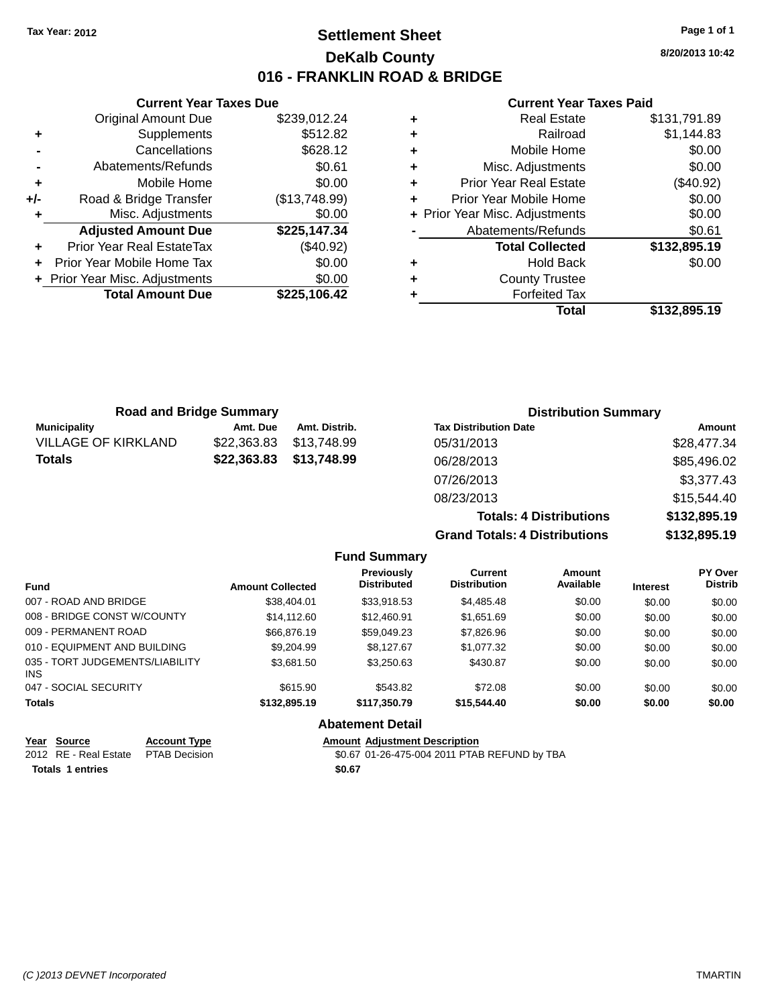**Current Year Taxes Due** Original Amount Due \$239,012.24

**Adjusted Amount Due \$225,147.34**

**Total Amount Due \$225,106.42**

**+** Supplements \$512.82 **-** Cancellations \$628.12 **-** Abatements/Refunds \$0.61 **+** Mobile Home \$0.00 **+/-** Road & Bridge Transfer (\$13,748.99) **+** Misc. Adjustments \$0.00

**+** Prior Year Real EstateTax (\$40.92) **+** Prior Year Mobile Home Tax \$0.00 **+** Prior Year Misc. Adjustments  $$0.00$ 

## **Settlement Sheet Tax Year: 2012 Page 1 of 1 DeKalb County 016 - FRANKLIN ROAD & BRIDGE**

**8/20/2013 10:42**

#### **Current Year Taxes Paid**

**Totals: 4 Distributions \$132,895.19**

**Grand Totals: 4 Distributions \$132,895.19**

| ٠ | <b>Real Estate</b>             | \$131,791.89 |
|---|--------------------------------|--------------|
|   | Railroad                       | \$1,144.83   |
|   | Mobile Home                    | \$0.00       |
| ٠ | Misc. Adjustments              | \$0.00       |
| ٠ | <b>Prior Year Real Estate</b>  | (\$40.92)    |
|   | Prior Year Mobile Home         | \$0.00       |
|   | + Prior Year Misc. Adjustments | \$0.00       |
|   | Abatements/Refunds             | \$0.61       |
|   | <b>Total Collected</b>         | \$132,895.19 |
| ٠ | <b>Hold Back</b>               | \$0.00       |
| ٠ | <b>County Trustee</b>          |              |
|   | <b>Forfeited Tax</b>           |              |
|   | Total                          | \$132,895.19 |
|   |                                |              |

|                     | <b>Road and Bridge Summary</b> |               | <b>Distribution Summary</b>  |             |
|---------------------|--------------------------------|---------------|------------------------------|-------------|
| <b>Municipality</b> | Amt. Due                       | Amt. Distrib. | <b>Tax Distribution Date</b> | Amount      |
| VILLAGE OF KIRKLAND | \$22,363.83                    | \$13,748.99   | 05/31/2013                   | \$28,477.34 |
| Totals              | \$22,363.83                    | \$13,748.99   | 06/28/2013                   | \$85,496.02 |
|                     |                                |               | 07/26/2013                   | \$3,377.43  |
|                     |                                |               | 08/23/2013                   | \$15,544.40 |

**Fund Summary Fund Interest Amount Collected Distributed PY Over Distrib Amount Available Current Distribution Previously** 007 - ROAD AND BRIDGE 6 .00 \$38,404.01 \$33,918.53 \$4,485.48 \$0.00 \$0.00 \$0.00 \$0.00 008 - BRIDGE CONST W/COUNTY  $$14,112.60$   $$12,460.91$   $$1,651.69$   $$0.00$   $$0.00$   $$0.00$ 009 - PERMANENT ROAD \$66,876.19 \$59,049.23 \$7,826.96 \$0.00 \$0.00 \$0.00 010 - EQUIPMENT AND BUILDING \$9,204.99 \$8,127.67 \$1,077.32 \$0.00 \$0.00 \$0.00 035 - TORT JUDGEMENTS/LIABILITY INS \$3,681.50 \$3,250.63 \$430.87 \$0.00 \$0.00 \$0.00 047 - SOCIAL SECURITY \$615.90 \$543.82 \$0.00 \$0.00 \$0.00 \$0.00 **Totals \$132,895.19 \$117,350.79 \$15,544.40 \$0.00 \$0.00 \$0.00 Abatement Detail**

| Year Source                         | <b>Account Type</b> | <b>Amount Adjustment Description</b>         |
|-------------------------------------|---------------------|----------------------------------------------|
| 2012 RE - Real Estate PTAB Decision |                     | \$0.67 01-26-475-004 2011 PTAB REFUND by TBA |
| Totals 1 entries                    |                     | \$0.67                                       |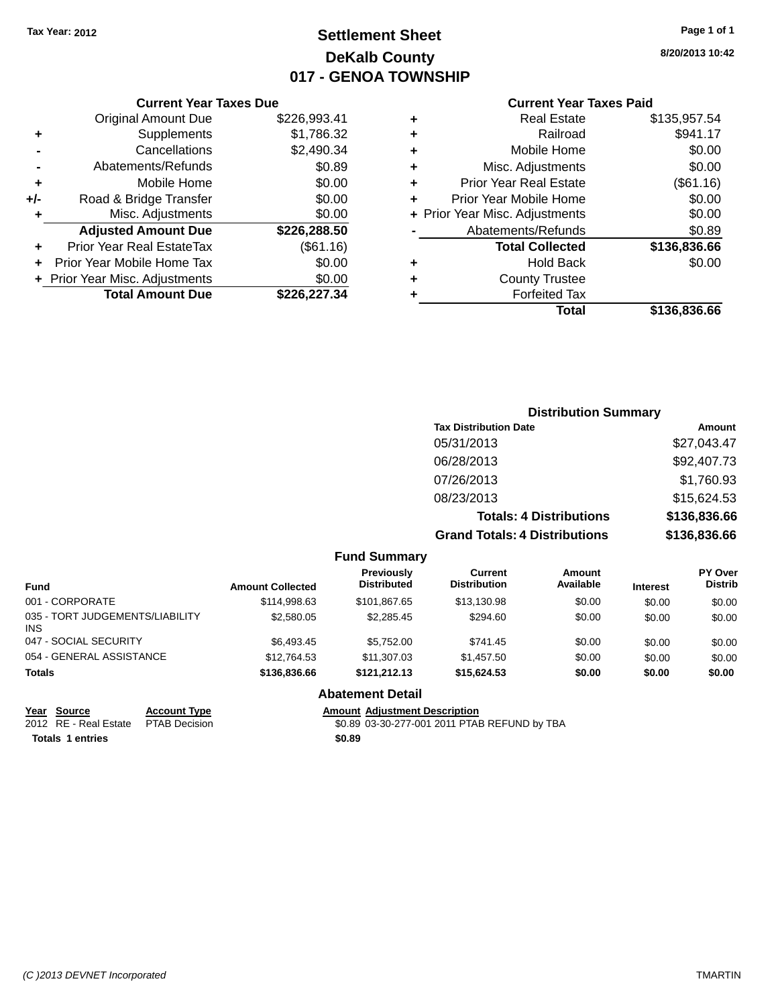## **Settlement Sheet Tax Year: 2012 Page 1 of 1 DeKalb County 017 - GENOA TOWNSHIP**

**8/20/2013 10:42**

#### **Current Year Taxes Paid**

|       | <b>Current Year Taxes Due</b>  |              |
|-------|--------------------------------|--------------|
|       | <b>Original Amount Due</b>     | \$226,993.41 |
| ٠     | Supplements                    | \$1,786.32   |
|       | Cancellations                  | \$2,490.34   |
|       | Abatements/Refunds             | \$0.89       |
| ٠     | Mobile Home                    | \$0.00       |
| $+/-$ | Road & Bridge Transfer         | \$0.00       |
| ٠     | Misc. Adjustments              | \$0.00       |
|       | <b>Adjusted Amount Due</b>     | \$226,288.50 |
| ٠     | Prior Year Real EstateTax      | (\$61.16)    |
|       | Prior Year Mobile Home Tax     | \$0.00       |
|       | + Prior Year Misc. Adjustments | \$0.00       |
|       | <b>Total Amount Due</b>        | \$226,227,34 |
|       |                                |              |

|   | <b>Real Estate</b>             | \$135,957.54 |
|---|--------------------------------|--------------|
| ٠ | Railroad                       | \$941.17     |
| ٠ | Mobile Home                    | \$0.00       |
| ٠ | Misc. Adjustments              | \$0.00       |
| ٠ | <b>Prior Year Real Estate</b>  | (\$61.16)    |
| ÷ | Prior Year Mobile Home         | \$0.00       |
|   | + Prior Year Misc. Adjustments | \$0.00       |
|   | Abatements/Refunds             | \$0.89       |
|   | <b>Total Collected</b>         | \$136,836.66 |
| ٠ | <b>Hold Back</b>               | \$0.00       |
| ÷ | <b>County Trustee</b>          |              |
| ٠ | <b>Forfeited Tax</b>           |              |
|   | Total                          | \$136,836.66 |

| <b>Distribution Summary</b>          |              |
|--------------------------------------|--------------|
| <b>Tax Distribution Date</b>         | Amount       |
| 05/31/2013                           | \$27,043.47  |
| 06/28/2013                           | \$92,407.73  |
| 07/26/2013                           | \$1,760.93   |
| 08/23/2013                           | \$15,624.53  |
| <b>Totals: 4 Distributions</b>       | \$136,836.66 |
| <b>Grand Totals: 4 Distributions</b> | \$136,836.66 |

|                                         |                         | <b>Fund Summary</b>                     |                                |                     |                 |                                  |
|-----------------------------------------|-------------------------|-----------------------------------------|--------------------------------|---------------------|-----------------|----------------------------------|
| <b>Fund</b>                             | <b>Amount Collected</b> | <b>Previously</b><br><b>Distributed</b> | Current<br><b>Distribution</b> | Amount<br>Available | <b>Interest</b> | <b>PY Over</b><br><b>Distrib</b> |
| 001 - CORPORATE                         | \$114.998.63            | \$101.867.65                            | \$13.130.98                    | \$0.00              | \$0.00          | \$0.00                           |
| 035 - TORT JUDGEMENTS/LIABILITY<br>INS. | \$2,580.05              | \$2,285.45                              | \$294.60                       | \$0.00              | \$0.00          | \$0.00                           |
| 047 - SOCIAL SECURITY                   | \$6,493.45              | \$5,752.00                              | \$741.45                       | \$0.00              | \$0.00          | \$0.00                           |
| 054 - GENERAL ASSISTANCE                | \$12,764.53             | \$11.307.03                             | \$1,457.50                     | \$0.00              | \$0.00          | \$0.00                           |
| <b>Totals</b>                           | \$136,836.66            | \$121.212.13                            | \$15,624.53                    | \$0.00              | \$0.00          | \$0.00                           |
|                                         |                         | <b>Abatement Detail</b>                 |                                |                     |                 |                                  |

| Year Source         |
|---------------------|
| 2012 RE - Real Esta |

**Totals 1 entries \$0.89**

**Account Type**<br>
TAB Decision **Amount Adjustment Description**<br>
\$0.89 03-30-277-001 2011 PTAE \$0.89 03-30-277-001 2011 PTAB REFUND by TBA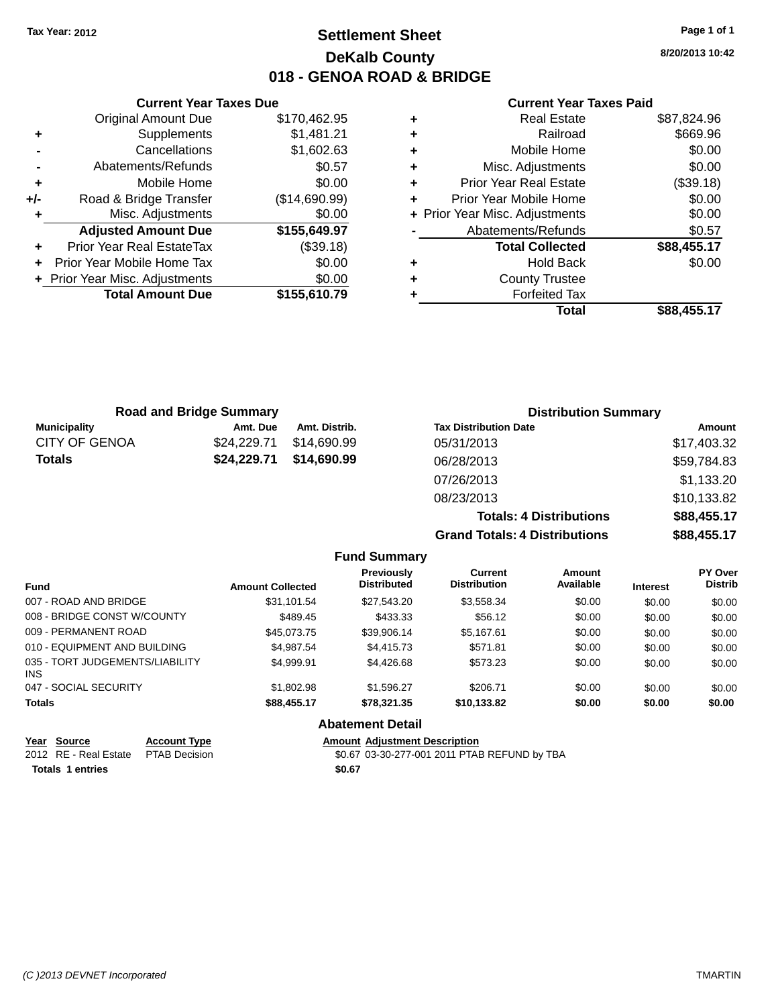## **Settlement Sheet Tax Year: 2012 Page 1 of 1 DeKalb County 018 - GENOA ROAD & BRIDGE**

**8/20/2013 10:42**

#### **Current Year Taxes Paid**

|     | <b>Original Amount Due</b>       | \$170,462.95  |
|-----|----------------------------------|---------------|
| ٠   | Supplements                      | \$1,481.21    |
|     | Cancellations                    | \$1,602.63    |
|     | Abatements/Refunds               | \$0.57        |
| ٠   | Mobile Home                      | \$0.00        |
| +/- | Road & Bridge Transfer           | (\$14,690.99) |
|     | Misc. Adjustments                | \$0.00        |
|     | <b>Adjusted Amount Due</b>       | \$155,649.97  |
| ÷   | <b>Prior Year Real EstateTax</b> | (\$39.18)     |
|     | Prior Year Mobile Home Tax       | \$0.00        |
|     | + Prior Year Misc. Adjustments   | \$0.00        |
|     | <b>Total Amount Due</b>          | \$155,610.79  |
|     |                                  |               |

**Current Year Taxes Due**

| ٠ | <b>Real Estate</b>             | \$87,824.96 |
|---|--------------------------------|-------------|
| ٠ | Railroad                       | \$669.96    |
| ٠ | Mobile Home                    | \$0.00      |
| ٠ | Misc. Adjustments              | \$0.00      |
| ٠ | <b>Prior Year Real Estate</b>  | (\$39.18)   |
| ٠ | Prior Year Mobile Home         | \$0.00      |
|   | + Prior Year Misc. Adjustments | \$0.00      |
|   | Abatements/Refunds             | \$0.57      |
|   | <b>Total Collected</b>         | \$88,455.17 |
| ٠ | <b>Hold Back</b>               | \$0.00      |
| ٠ | <b>County Trustee</b>          |             |
| ٠ | <b>Forfeited Tax</b>           |             |
|   | Total                          | \$88,455.17 |
|   |                                |             |

**Grand Totals: 4 Distributions \$88,455.17**

|                      | <b>Road and Bridge Summary</b> |               | <b>Distribution Summary</b>    |             |
|----------------------|--------------------------------|---------------|--------------------------------|-------------|
| <b>Municipality</b>  | Amt. Due                       | Amt. Distrib. | <b>Tax Distribution Date</b>   | Amount      |
| <b>CITY OF GENOA</b> | \$24,229.71                    | \$14.690.99   | 05/31/2013                     | \$17,403.32 |
| <b>Totals</b>        | \$24,229.71                    | \$14,690.99   | 06/28/2013                     | \$59,784.83 |
|                      |                                |               | 07/26/2013                     | \$1,133.20  |
|                      |                                |               | 08/23/2013                     | \$10,133.82 |
|                      |                                |               | <b>Totals: 4 Distributions</b> | \$88,455.17 |

**Fund Summary Fund Interest Amount Collected Distributed PY Over Distrib Amount Available Current Distribution Previously** 007 - ROAD AND BRIDGE \$31,101.54 \$27,543.20 \$3,558.34 \$0.00 \$0.00 \$0.00 \$0.00 008 - BRIDGE CONST W/COUNTY  $\begin{array}{ccc} $489.45 & $433.33 & $56.12 & $6.00 & $0.00 \end{array}$ 009 - PERMANENT ROAD \$45,073.75 \$39,906.14 \$5,167.61 \$0.00 \$0.00 \$0.00 \$0.00 010 - EQUIPMENT AND BUILDING \$4,987.54 \$4,415.73 \$571.81 \$0.00 \$0.00 \$0.00 \$0.00 035 - TORT JUDGEMENTS/LIABILITY INS \$4,999.91 \$4,426.68 \$573.23 \$0.00 \$0.00 \$0.00 047 - SOCIAL SECURITY \$1,802.98 \$1,596.27 \$206.71 \$0.00 \$0.00 \$0.00 **Totals \$88,455.17 \$78,321.35 \$10,133.82 \$0.00 \$0.00 \$0.00 Abatement Detail**

|                  | Year Source           | <b>Account Type</b> | <b>Amount Adjustment Description</b>         |
|------------------|-----------------------|---------------------|----------------------------------------------|
|                  | 2012 RE - Real Estate | PTAB Decision       | \$0.67 03-30-277-001 2011 PTAB REFUND by TBA |
| Totals 1 entries |                       |                     | \$0.67                                       |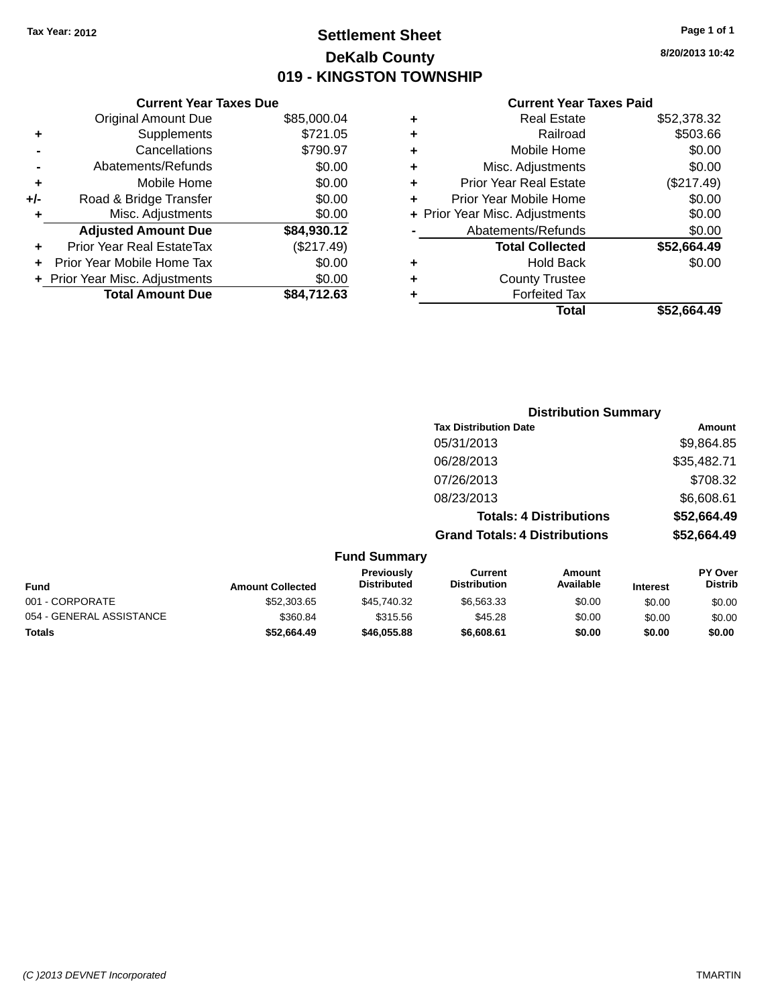## **Settlement Sheet Tax Year: 2012 Page 1 of 1 DeKalb County 019 - KINGSTON TOWNSHIP**

**8/20/2013 10:42**

|       | <b>Current Year Taxes Due</b>  |             |
|-------|--------------------------------|-------------|
|       | <b>Original Amount Due</b>     | \$85,000.04 |
| ٠     | Supplements                    | \$721.05    |
|       | Cancellations                  | \$790.97    |
|       | Abatements/Refunds             | \$0.00      |
| ٠     | Mobile Home                    | \$0.00      |
| $+/-$ | Road & Bridge Transfer         | \$0.00      |
|       | Misc. Adjustments              | \$0.00      |
|       | <b>Adjusted Amount Due</b>     | \$84,930.12 |
| ÷     | Prior Year Real EstateTax      | (\$217.49)  |
|       | Prior Year Mobile Home Tax     | \$0.00      |
|       | + Prior Year Misc. Adjustments | \$0.00      |
|       | <b>Total Amount Due</b>        | \$84.712.63 |
|       |                                |             |

| ٠ | <b>Real Estate</b>             | \$52,378.32 |
|---|--------------------------------|-------------|
| ٠ | Railroad                       | \$503.66    |
| ٠ | Mobile Home                    | \$0.00      |
| ٠ | Misc. Adjustments              | \$0.00      |
| ٠ | <b>Prior Year Real Estate</b>  | (\$217.49)  |
| ٠ | Prior Year Mobile Home         | \$0.00      |
|   | + Prior Year Misc. Adjustments | \$0.00      |
|   | Abatements/Refunds             | \$0.00      |
|   | <b>Total Collected</b>         | \$52,664.49 |
| ٠ | Hold Back                      | \$0.00      |
| ٠ | <b>County Trustee</b>          |             |
| ٠ | <b>Forfeited Tax</b>           |             |
|   | Total                          | \$52,664.49 |
|   |                                |             |

|                     | <b>Distribution Summary</b>          |             |
|---------------------|--------------------------------------|-------------|
|                     | <b>Tax Distribution Date</b>         | Amount      |
|                     | 05/31/2013                           | \$9,864.85  |
|                     | 06/28/2013                           | \$35,482.71 |
|                     | 07/26/2013                           | \$708.32    |
|                     | 08/23/2013                           | \$6,608.61  |
|                     | <b>Totals: 4 Distributions</b>       | \$52,664.49 |
|                     | <b>Grand Totals: 4 Distributions</b> | \$52,664.49 |
| <b>Fund Summary</b> |                                      |             |

| <b>Fund</b>              | <b>Amount Collected</b> | <b>Previously</b><br><b>Distributed</b> | Current<br><b>Distribution</b> | Amount<br>Available | <b>Interest</b> | <b>PY Over</b><br><b>Distrib</b> |
|--------------------------|-------------------------|-----------------------------------------|--------------------------------|---------------------|-----------------|----------------------------------|
| 001 - CORPORATE          | \$52,303.65             | \$45.740.32                             | \$6.563.33                     | \$0.00              | \$0.00          | \$0.00                           |
| 054 - GENERAL ASSISTANCE | \$360.84                | \$315.56                                | \$45.28                        | \$0.00              | \$0.00          | \$0.00                           |
| <b>Totals</b>            | \$52.664.49             | \$46,055.88                             | \$6,608,61                     | \$0.00              | \$0.00          | \$0.00                           |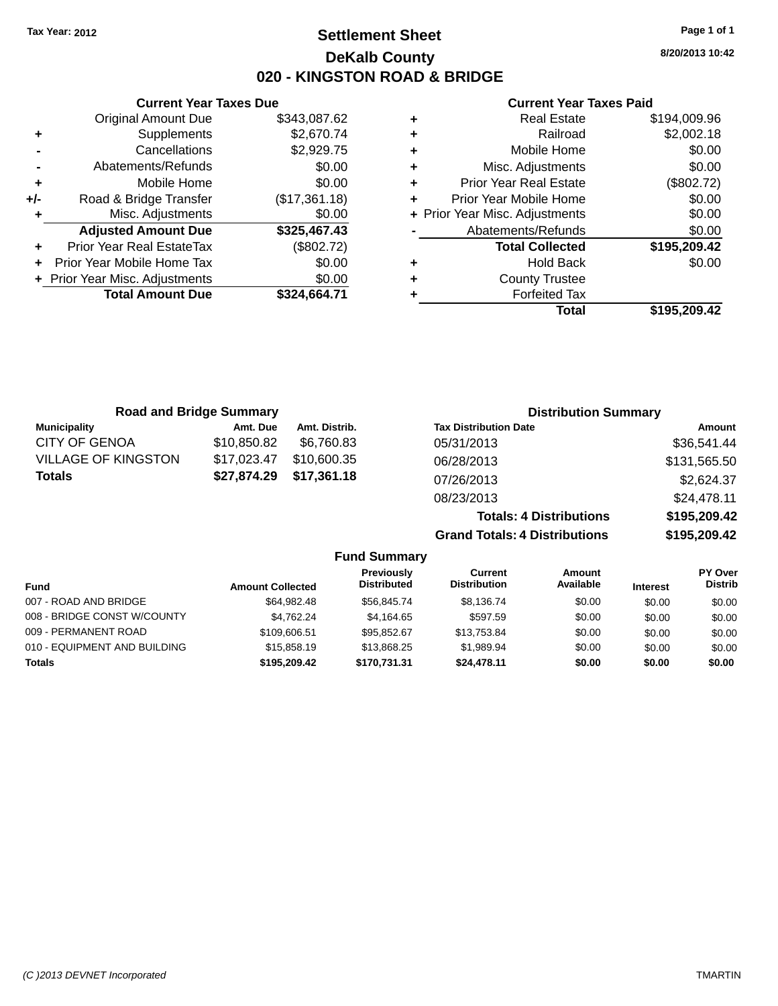## **Settlement Sheet Tax Year: 2012 Page 1 of 1 DeKalb County 020 - KINGSTON ROAD & BRIDGE**

**8/20/2013 10:42**

#### **Current Year Taxes Paid**

|     | <b>Current Year Taxes Due</b>  |               |  |
|-----|--------------------------------|---------------|--|
|     | <b>Original Amount Due</b>     | \$343,087.62  |  |
| ٠   | Supplements                    | \$2,670.74    |  |
|     | Cancellations                  | \$2,929.75    |  |
|     | Abatements/Refunds             | \$0.00        |  |
| ٠   | Mobile Home                    | \$0.00        |  |
| +/- | Road & Bridge Transfer         | (\$17,361.18) |  |
| ٠   | Misc. Adjustments              | \$0.00        |  |
|     | <b>Adjusted Amount Due</b>     | \$325,467.43  |  |
| ÷   | Prior Year Real EstateTax      | (\$802.72)    |  |
|     | Prior Year Mobile Home Tax     | \$0.00        |  |
|     | + Prior Year Misc. Adjustments | \$0.00        |  |
|     | <b>Total Amount Due</b>        | \$324,664.71  |  |
|     |                                |               |  |

|   | <b>Real Estate</b>             | \$194,009.96 |
|---|--------------------------------|--------------|
| ٠ | Railroad                       | \$2,002.18   |
| ٠ | Mobile Home                    | \$0.00       |
| ٠ | Misc. Adjustments              | \$0.00       |
| ٠ | <b>Prior Year Real Estate</b>  | (\$802.72)   |
| ÷ | Prior Year Mobile Home         | \$0.00       |
|   | + Prior Year Misc. Adjustments | \$0.00       |
|   | Abatements/Refunds             | \$0.00       |
|   | <b>Total Collected</b>         | \$195,209.42 |
| ٠ | <b>Hold Back</b>               | \$0.00       |
| ٠ | <b>County Trustee</b>          |              |
| ٠ | <b>Forfeited Tax</b>           |              |
|   | Total                          | \$195,209.42 |
|   |                                |              |

| <b>Road and Bridge Summary</b> |             |               | <b>Distribution Summary</b>    |              |
|--------------------------------|-------------|---------------|--------------------------------|--------------|
| <b>Municipality</b>            | Amt. Due    | Amt. Distrib. | <b>Tax Distribution Date</b>   | Amount       |
| <b>CITY OF GENOA</b>           | \$10,850.82 | \$6.760.83    | 05/31/2013                     | \$36,541.44  |
| <b>VILLAGE OF KINGSTON</b>     | \$17,023.47 | \$10,600.35   | 06/28/2013                     | \$131,565.50 |
| <b>Totals</b>                  | \$27,874.29 | \$17,361.18   | 07/26/2013                     | \$2,624.37   |
|                                |             |               | 08/23/2013                     | \$24,478.11  |
|                                |             |               | <b>Totals: 4 Distributions</b> | \$195,209.42 |

**Grand Totals: 4 Distributions \$195,209.42**

| <b>Fund Summary</b>          |                         |                                  |                                       |                            |                 |                           |
|------------------------------|-------------------------|----------------------------------|---------------------------------------|----------------------------|-----------------|---------------------------|
| <b>Fund</b>                  | <b>Amount Collected</b> | Previously<br><b>Distributed</b> | <b>Current</b><br><b>Distribution</b> | <b>Amount</b><br>Available | <b>Interest</b> | PY Over<br><b>Distrib</b> |
| 007 - ROAD AND BRIDGE        | \$64.982.48             | \$56,845,74                      | \$8.136.74                            | \$0.00                     | \$0.00          | \$0.00                    |
| 008 - BRIDGE CONST W/COUNTY  | \$4.762.24              | \$4.164.65                       | \$597.59                              | \$0.00                     | \$0.00          | \$0.00                    |
| 009 - PERMANENT ROAD         | \$109,606.51            | \$95.852.67                      | \$13,753.84                           | \$0.00                     | \$0.00          | \$0.00                    |
| 010 - EQUIPMENT AND BUILDING | \$15,858.19             | \$13,868,25                      | \$1,989.94                            | \$0.00                     | \$0.00          | \$0.00                    |
| <b>Totals</b>                | \$195,209.42            | \$170,731.31                     | \$24.478.11                           | \$0.00                     | \$0.00          | \$0.00                    |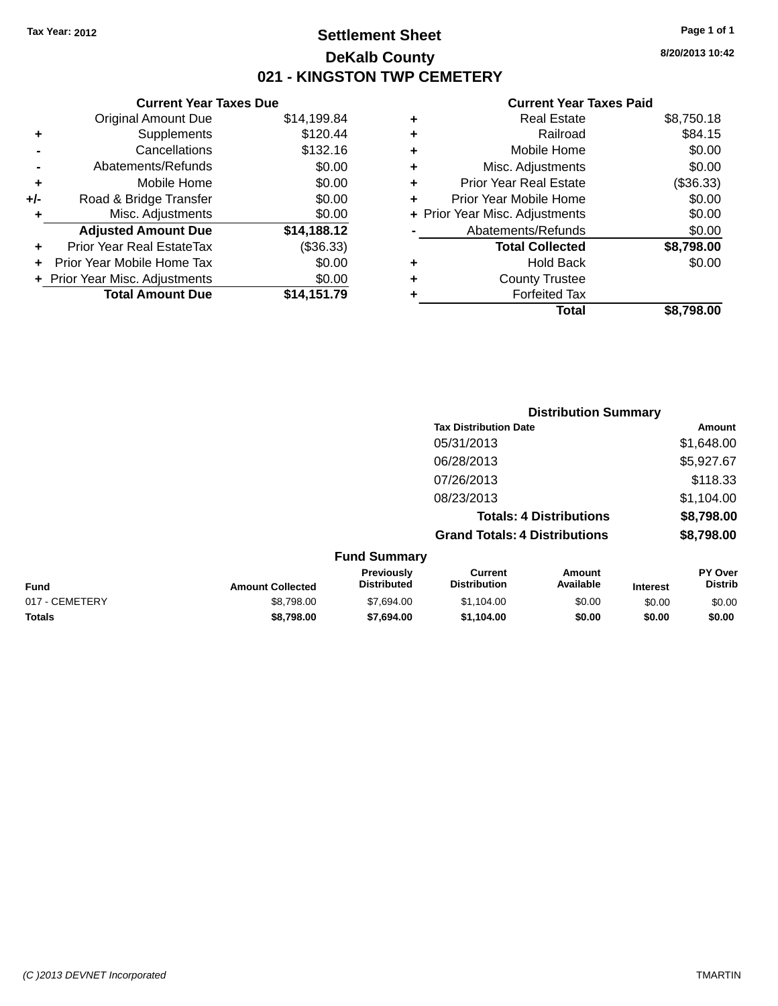## **Settlement Sheet Tax Year: 2012 Page 1 of 1 DeKalb County 021 - KINGSTON TWP CEMETERY**

**8/20/2013 10:42**

|                   |   | <b>Total</b>                   | \$8,798.00 |
|-------------------|---|--------------------------------|------------|
|                   |   | <b>Forfeited Tax</b>           |            |
| $\frac{.00}{.79}$ | ٠ | <b>County Trustee</b>          |            |
| .00               | ٠ | <b>Hold Back</b>               | \$0.00     |
| 33)               |   | <b>Total Collected</b>         | \$8,798.00 |
| $\overline{12}$   |   | Abatements/Refunds             | \$0.00     |
| .00               |   | + Prior Year Misc. Adjustments | \$0.00     |
| .00               | ٠ | Prior Year Mobile Home         | \$0.00     |
| .00               | ٠ | <b>Prior Year Real Estate</b>  | (\$36.33)  |
| .00               | ٠ | Misc. Adjustments              | \$0.00     |
| .16               | ٠ | Mobile Home                    | \$0.00     |
| .44               | ٠ | Railroad                       | \$84.15    |
| .84               | ٠ | <b>Real Estate</b>             | \$8,750.18 |
|                   |   |                                |            |

|     | <b>Current Year Taxes Due</b>    |             |
|-----|----------------------------------|-------------|
|     | <b>Original Amount Due</b>       | \$14,199.84 |
| ÷   | Supplements                      | \$120.44    |
|     | Cancellations                    | \$132.16    |
|     | Abatements/Refunds               | \$0.00      |
| ٠   | Mobile Home                      | \$0.00      |
| +/- | Road & Bridge Transfer           | \$0.00      |
| ٠   | Misc. Adjustments                | \$0.00      |
|     | <b>Adjusted Amount Due</b>       | \$14,188.12 |
| ٠   | <b>Prior Year Real EstateTax</b> | (\$36.33)   |
|     | Prior Year Mobile Home Tax       | \$0.00      |
|     | + Prior Year Misc. Adjustments   | \$0.00      |
|     | <b>Total Amount Due</b>          | \$14,151.79 |
|     |                                  |             |

|                 |                                  | <b>Distribution Summary</b>           |                                |          |                                  |
|-----------------|----------------------------------|---------------------------------------|--------------------------------|----------|----------------------------------|
|                 |                                  | <b>Tax Distribution Date</b>          |                                |          | Amount                           |
|                 |                                  | 05/31/2013                            |                                |          | \$1,648.00                       |
|                 |                                  | 06/28/2013                            |                                |          | \$5,927.67                       |
|                 |                                  | 07/26/2013                            |                                |          | \$118.33                         |
|                 |                                  | 08/23/2013                            |                                |          | \$1,104.00                       |
|                 |                                  |                                       | <b>Totals: 4 Distributions</b> |          | \$8,798.00                       |
|                 |                                  | <b>Grand Totals: 4 Distributions</b>  |                                |          | \$8,798.00                       |
|                 | <b>Fund Summary</b>              |                                       |                                |          |                                  |
| mount Collected | Previously<br><b>Distributed</b> | <b>Current</b><br><b>Distribution</b> | Amount<br>Available            | Intoract | <b>PY Over</b><br><b>Distrib</b> |

| <b>Fund</b>    | <b>Amount Collected</b> | <b>Previousiv</b><br><b>Distributed</b> | Current<br><b>Distribution</b> | Amount<br>Available | <b>Interest</b> | <b>PY Over</b><br>Distrib |
|----------------|-------------------------|-----------------------------------------|--------------------------------|---------------------|-----------------|---------------------------|
| 017 - CEMETERY | \$8,798,00              | \$7.694.00                              | \$1.104.00                     | \$0.00              | \$0.00          | \$0.00                    |
| <b>Totals</b>  | \$8,798,00              | \$7.694.00                              | \$1.104.00                     | \$0.00              | \$0.00          | \$0.00                    |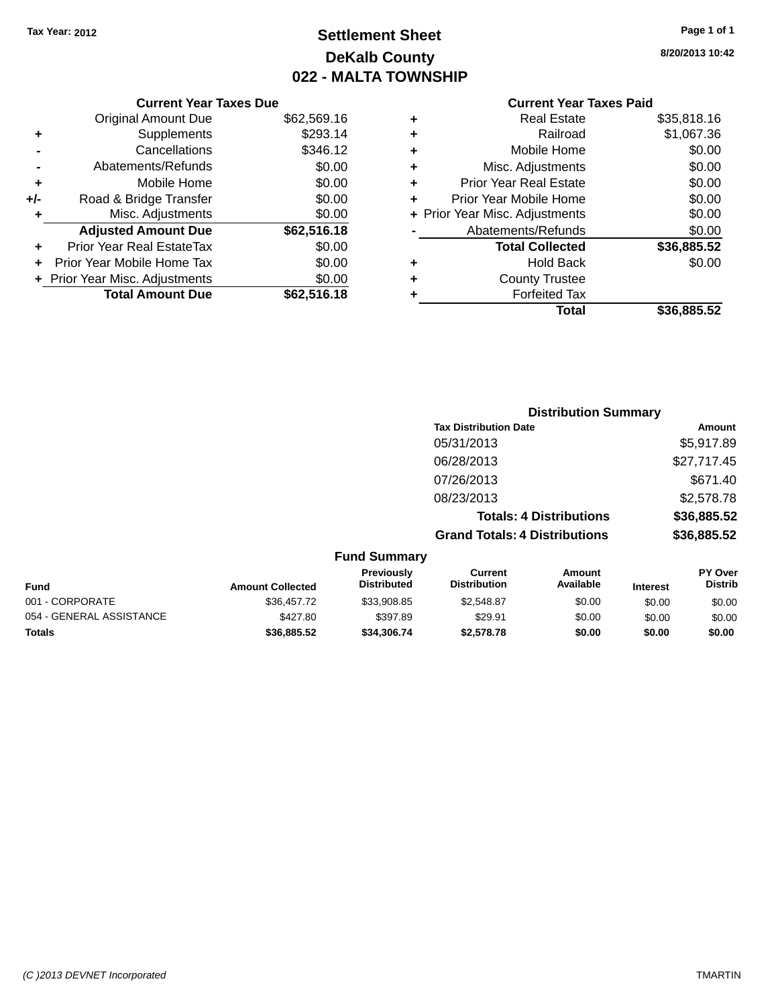## **Settlement Sheet Tax Year: 2012 Page 1 of 1 DeKalb County 022 - MALTA TOWNSHIP**

**8/20/2013 10:42**

|   | Total                          | \$36,885.52 |
|---|--------------------------------|-------------|
|   | <b>Forfeited Tax</b>           |             |
| ٠ | <b>County Trustee</b>          |             |
| ٠ | <b>Hold Back</b>               | \$0.00      |
|   | <b>Total Collected</b>         | \$36,885.52 |
|   | Abatements/Refunds             | \$0.00      |
|   | + Prior Year Misc. Adjustments | \$0.00      |
|   | Prior Year Mobile Home         | \$0.00      |
| ٠ | <b>Prior Year Real Estate</b>  | \$0.00      |
| ٠ | Misc. Adjustments              | \$0.00      |
| ٠ | Mobile Home                    | \$0.00      |
| ٠ | Railroad                       | \$1,067.36  |
| ٠ | <b>Real Estate</b>             | \$35,818.16 |
|   |                                |             |

|     | <b>Current Year Taxes Due</b>    |             |
|-----|----------------------------------|-------------|
|     | <b>Original Amount Due</b>       | \$62,569.16 |
| ٠   | Supplements                      | \$293.14    |
|     | Cancellations                    | \$346.12    |
|     | Abatements/Refunds               | \$0.00      |
| ٠   | Mobile Home                      | \$0.00      |
| +/- | Road & Bridge Transfer           | \$0.00      |
| ٠   | Misc. Adjustments                | \$0.00      |
|     | <b>Adjusted Amount Due</b>       | \$62,516.18 |
|     | <b>Prior Year Real EstateTax</b> | \$0.00      |
|     | Prior Year Mobile Home Tax       | \$0.00      |
|     | + Prior Year Misc. Adjustments   | \$0.00      |
|     | <b>Total Amount Due</b>          | \$62,516.18 |

|                | <b>Distribution Summary</b>          |             |
|----------------|--------------------------------------|-------------|
|                | <b>Tax Distribution Date</b>         | Amount      |
|                | 05/31/2013                           | \$5,917.89  |
|                | 06/28/2013                           | \$27,717.45 |
|                | 07/26/2013                           | \$671.40    |
|                | 08/23/2013                           | \$2,578.78  |
|                | <b>Totals: 4 Distributions</b>       | \$36,885.52 |
|                | <b>Grand Totals: 4 Distributions</b> | \$36,885.52 |
| <b>Summary</b> |                                      |             |

|                          |                         | <b>Fund Summary</b>              |                                |                     |                 |                                  |
|--------------------------|-------------------------|----------------------------------|--------------------------------|---------------------|-----------------|----------------------------------|
| <b>Fund</b>              | <b>Amount Collected</b> | Previously<br><b>Distributed</b> | Current<br><b>Distribution</b> | Amount<br>Available | <b>Interest</b> | <b>PY Over</b><br><b>Distrib</b> |
| 001 - CORPORATE          | \$36,457.72             | \$33,908.85                      | \$2,548.87                     | \$0.00              | \$0.00          | \$0.00                           |
| 054 - GENERAL ASSISTANCE | \$427.80                | \$397.89                         | \$29.91                        | \$0.00              | \$0.00          | \$0.00                           |
| <b>Totals</b>            | \$36,885.52             | \$34,306.74                      | \$2,578.78                     | \$0.00              | \$0.00          | \$0.00                           |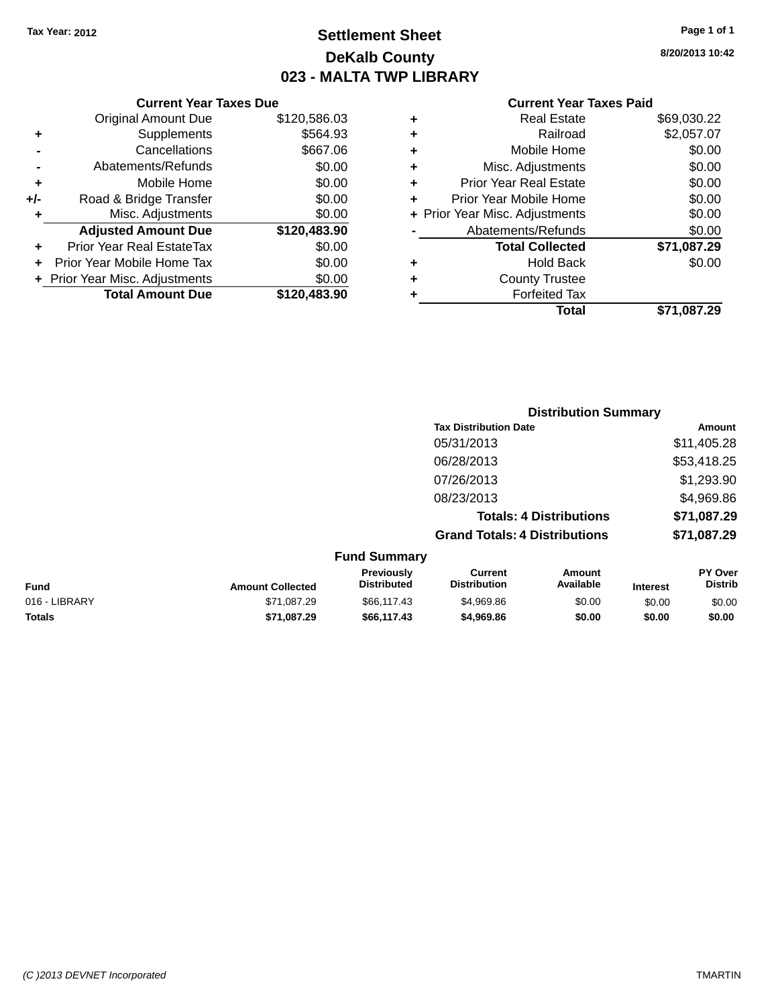## **Settlement Sheet Tax Year: 2012 Page 1 of 1 DeKalb County 023 - MALTA TWP LIBRARY**

**8/20/2013 10:42**

|     | <b>Current Year Taxes Due</b>  |              |  |  |  |
|-----|--------------------------------|--------------|--|--|--|
|     | <b>Original Amount Due</b>     | \$120,586.03 |  |  |  |
| ٠   | Supplements                    | \$564.93     |  |  |  |
|     | Cancellations                  | \$667.06     |  |  |  |
|     | Abatements/Refunds             | \$0.00       |  |  |  |
| ٠   | Mobile Home                    | \$0.00       |  |  |  |
| +/- | Road & Bridge Transfer         | \$0.00       |  |  |  |
|     | Misc. Adjustments              | \$0.00       |  |  |  |
|     | <b>Adjusted Amount Due</b>     | \$120,483.90 |  |  |  |
| ٠   | Prior Year Real EstateTax      | \$0.00       |  |  |  |
|     | Prior Year Mobile Home Tax     | \$0.00       |  |  |  |
|     | + Prior Year Misc. Adjustments | \$0.00       |  |  |  |
|     | <b>Total Amount Due</b>        | \$120,483.90 |  |  |  |
|     |                                |              |  |  |  |

|   | <b>Real Estate</b>             | \$69,030.22 |
|---|--------------------------------|-------------|
| ٠ | Railroad                       | \$2,057.07  |
| ٠ | Mobile Home                    | \$0.00      |
| ٠ | Misc. Adjustments              | \$0.00      |
| ٠ | <b>Prior Year Real Estate</b>  | \$0.00      |
| ٠ | Prior Year Mobile Home         | \$0.00      |
|   | + Prior Year Misc. Adjustments | \$0.00      |
|   | Abatements/Refunds             | \$0.00      |
|   | <b>Total Collected</b>         | \$71,087.29 |
| ٠ | <b>Hold Back</b>               | \$0.00      |
|   | <b>County Trustee</b>          |             |
| ٠ | <b>Forfeited Tax</b>           |             |
|   | Total                          | \$71,087.29 |
|   |                                |             |

|                     | <b>Distribution Summary</b>          |             |
|---------------------|--------------------------------------|-------------|
|                     | <b>Tax Distribution Date</b>         | Amount      |
|                     | 05/31/2013                           | \$11,405.28 |
|                     | 06/28/2013                           | \$53,418.25 |
|                     | 07/26/2013                           | \$1,293.90  |
|                     | 08/23/2013                           | \$4,969.86  |
|                     | <b>Totals: 4 Distributions</b>       | \$71,087.29 |
|                     | <b>Grand Totals: 4 Distributions</b> | \$71,087.29 |
| <b>Fund Summary</b> |                                      |             |

| Fund          | <b>Amount Collected</b> | <b>Previously</b><br><b>Distributed</b> | Current<br><b>Distribution</b> | Amount<br>Available | <b>Interest</b> | <b>PY Over</b><br><b>Distrib</b> |
|---------------|-------------------------|-----------------------------------------|--------------------------------|---------------------|-----------------|----------------------------------|
| 016 - LIBRARY | \$71,087.29             | \$66,117,43                             | \$4,969.86                     | \$0.00              | \$0.00          | \$0.00                           |
| <b>Totals</b> | \$71.087.29             | \$66,117.43                             | \$4,969.86                     | \$0.00              | \$0.00          | \$0.00                           |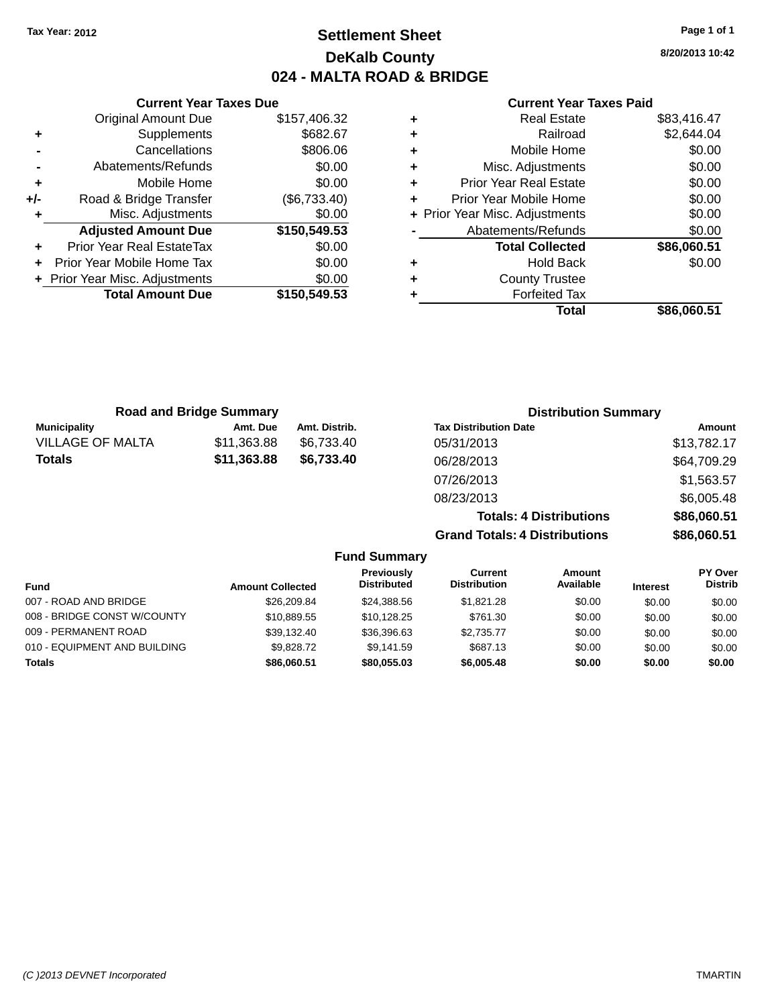## **Settlement Sheet Tax Year: 2012 Page 1 of 1 DeKalb County 024 - MALTA ROAD & BRIDGE**

**8/20/2013 10:42**

#### **Current Year Taxes Paid**

|     | <b>Current Year Taxes Due</b>  |              |
|-----|--------------------------------|--------------|
|     | <b>Original Amount Due</b>     | \$157,406.32 |
| ٠   | Supplements                    | \$682.67     |
|     | Cancellations                  | \$806.06     |
|     | Abatements/Refunds             | \$0.00       |
| ٠   | Mobile Home                    | \$0.00       |
| +/- | Road & Bridge Transfer         | (\$6,733.40) |
| ٠   | Misc. Adjustments              | \$0.00       |
|     | <b>Adjusted Amount Due</b>     | \$150,549.53 |
| ٠   | Prior Year Real EstateTax      | \$0.00       |
|     | Prior Year Mobile Home Tax     | \$0.00       |
|     | + Prior Year Misc. Adjustments | \$0.00       |
|     | <b>Total Amount Due</b>        | \$150,549.53 |
|     |                                |              |

| ٠ | <b>Real Estate</b>             | \$83,416.47 |
|---|--------------------------------|-------------|
| ٠ | Railroad                       | \$2,644.04  |
| ٠ | Mobile Home                    | \$0.00      |
| ٠ | Misc. Adjustments              | \$0.00      |
| ٠ | <b>Prior Year Real Estate</b>  | \$0.00      |
| ٠ | Prior Year Mobile Home         | \$0.00      |
|   | + Prior Year Misc. Adjustments | \$0.00      |
|   | Abatements/Refunds             | \$0.00      |
|   | <b>Total Collected</b>         | \$86,060.51 |
| ٠ | <b>Hold Back</b>               | \$0.00      |
| ٠ | <b>County Trustee</b>          |             |
| ٠ | <b>Forfeited Tax</b>           |             |
|   | Total                          | \$86,060.51 |
|   |                                |             |

|                         | <b>Road and Bridge Summary</b> |               | <b>Distribution Summary</b>    |             |
|-------------------------|--------------------------------|---------------|--------------------------------|-------------|
| <b>Municipality</b>     | Amt. Due                       | Amt. Distrib. | <b>Tax Distribution Date</b>   | Amount      |
| <b>VILLAGE OF MALTA</b> | \$11,363.88                    | \$6.733.40    | 05/31/2013                     | \$13,782.17 |
| <b>Totals</b>           | \$11,363.88                    | \$6.733.40    | 06/28/2013                     | \$64,709.29 |
|                         |                                |               | 07/26/2013                     | \$1,563.57  |
|                         |                                |               | 08/23/2013                     | \$6,005.48  |
|                         |                                |               | <b>Totals: 4 Distributions</b> | \$86,060.51 |

**Grand Totals: 4 Distributions \$86,060.51**

| <b>Fund Summary</b>          |                         |                                         |                                |                     |                 |                                  |
|------------------------------|-------------------------|-----------------------------------------|--------------------------------|---------------------|-----------------|----------------------------------|
| Fund                         | <b>Amount Collected</b> | <b>Previously</b><br><b>Distributed</b> | Current<br><b>Distribution</b> | Amount<br>Available | <b>Interest</b> | <b>PY Over</b><br><b>Distrib</b> |
| 007 - ROAD AND BRIDGE        | \$26,209.84             | \$24,388.56                             | \$1,821,28                     | \$0.00              | \$0.00          | \$0.00                           |
| 008 - BRIDGE CONST W/COUNTY  | \$10.889.55             | \$10.128.25                             | \$761.30                       | \$0.00              | \$0.00          | \$0.00                           |
| 009 - PERMANENT ROAD         | \$39.132.40             | \$36,396.63                             | \$2.735.77                     | \$0.00              | \$0.00          | \$0.00                           |
| 010 - EQUIPMENT AND BUILDING | \$9,828,72              | \$9.141.59                              | \$687.13                       | \$0.00              | \$0.00          | \$0.00                           |
| <b>Totals</b>                | \$86,060.51             | \$80,055,03                             | \$6,005.48                     | \$0.00              | \$0.00          | \$0.00                           |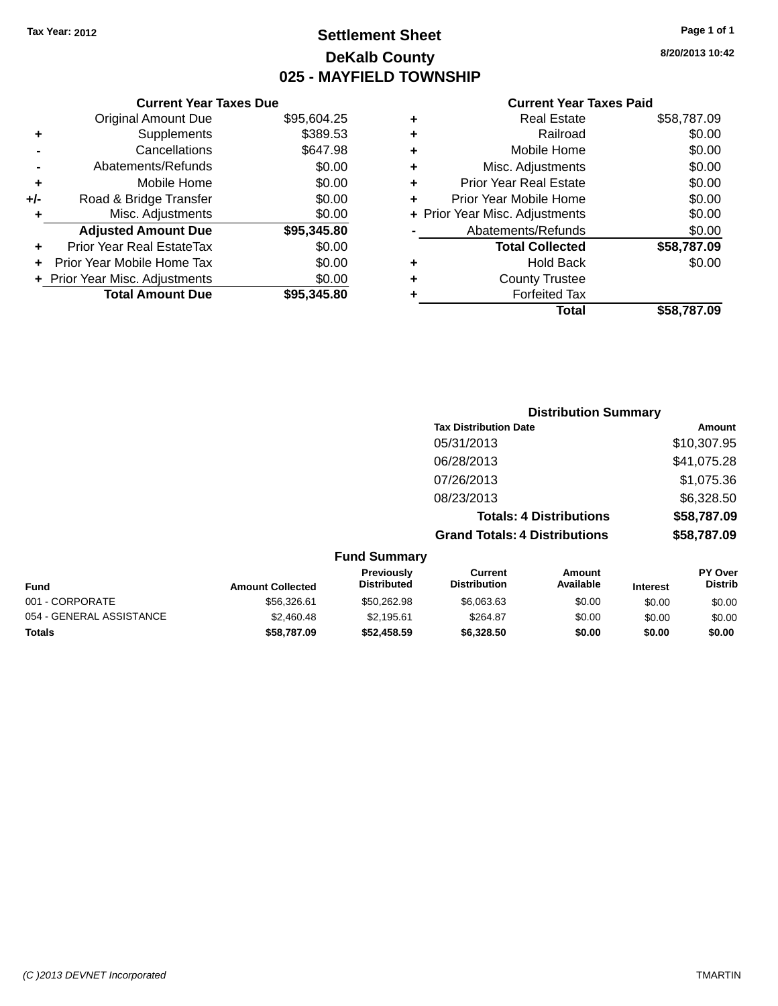## **Settlement Sheet Tax Year: 2012 Page 1 of 1 DeKalb County 025 - MAYFIELD TOWNSHIP**

**8/20/2013 10:42**

|     | <b>Current Year Taxes Due</b>  |             |  |
|-----|--------------------------------|-------------|--|
|     | <b>Original Amount Due</b>     | \$95,604.25 |  |
| ٠   | Supplements                    | \$389.53    |  |
|     | Cancellations                  | \$647.98    |  |
|     | Abatements/Refunds             | \$0.00      |  |
| ٠   | Mobile Home                    | \$0.00      |  |
| +/- | Road & Bridge Transfer         | \$0.00      |  |
| ٠   | Misc. Adjustments              | \$0.00      |  |
|     | <b>Adjusted Amount Due</b>     | \$95,345.80 |  |
| ٠   | Prior Year Real EstateTax      | \$0.00      |  |
|     | Prior Year Mobile Home Tax     | \$0.00      |  |
|     | + Prior Year Misc. Adjustments | \$0.00      |  |
|     | <b>Total Amount Due</b>        | \$95,345.80 |  |
|     |                                |             |  |

|   | <b>Real Estate</b>             | \$58,787.09 |
|---|--------------------------------|-------------|
| ٠ | Railroad                       | \$0.00      |
| ٠ | Mobile Home                    | \$0.00      |
| ٠ | Misc. Adjustments              | \$0.00      |
| ٠ | <b>Prior Year Real Estate</b>  | \$0.00      |
| ÷ | Prior Year Mobile Home         | \$0.00      |
|   | + Prior Year Misc. Adjustments | \$0.00      |
|   | Abatements/Refunds             | \$0.00      |
|   | <b>Total Collected</b>         | \$58,787.09 |
| ٠ | <b>Hold Back</b>               | \$0.00      |
| ٠ | <b>County Trustee</b>          |             |
| ٠ | <b>Forfeited Tax</b>           |             |
|   | Total                          | \$58,787.09 |
|   |                                |             |

|                     | <b>Distribution Summary</b>          |               |
|---------------------|--------------------------------------|---------------|
|                     | <b>Tax Distribution Date</b>         | <b>Amount</b> |
|                     | 05/31/2013                           | \$10,307.95   |
|                     | 06/28/2013                           | \$41,075.28   |
|                     | 07/26/2013                           | \$1,075.36    |
|                     | 08/23/2013                           | \$6,328.50    |
|                     | <b>Totals: 4 Distributions</b>       | \$58,787.09   |
|                     | <b>Grand Totals: 4 Distributions</b> | \$58,787.09   |
| <b>Fund Summary</b> |                                      |               |

| <b>Amount Collected</b> | <b>Previously</b><br><b>Distributed</b> | Current<br><b>Distribution</b> | Amount<br>Available | <b>Interest</b> | <b>PY Over</b><br><b>Distrib</b> |  |
|-------------------------|-----------------------------------------|--------------------------------|---------------------|-----------------|----------------------------------|--|
| \$56,326.61             | \$50,262.98                             | \$6,063.63                     | \$0.00              | \$0.00          | \$0.00                           |  |
| \$2,460.48              | \$2.195.61                              | \$264.87                       | \$0.00              | \$0.00          | \$0.00                           |  |
| \$58,787.09             | \$52,458.59                             | \$6,328,50                     | \$0.00              | \$0.00          | \$0.00                           |  |
|                         |                                         | .                              |                     |                 |                                  |  |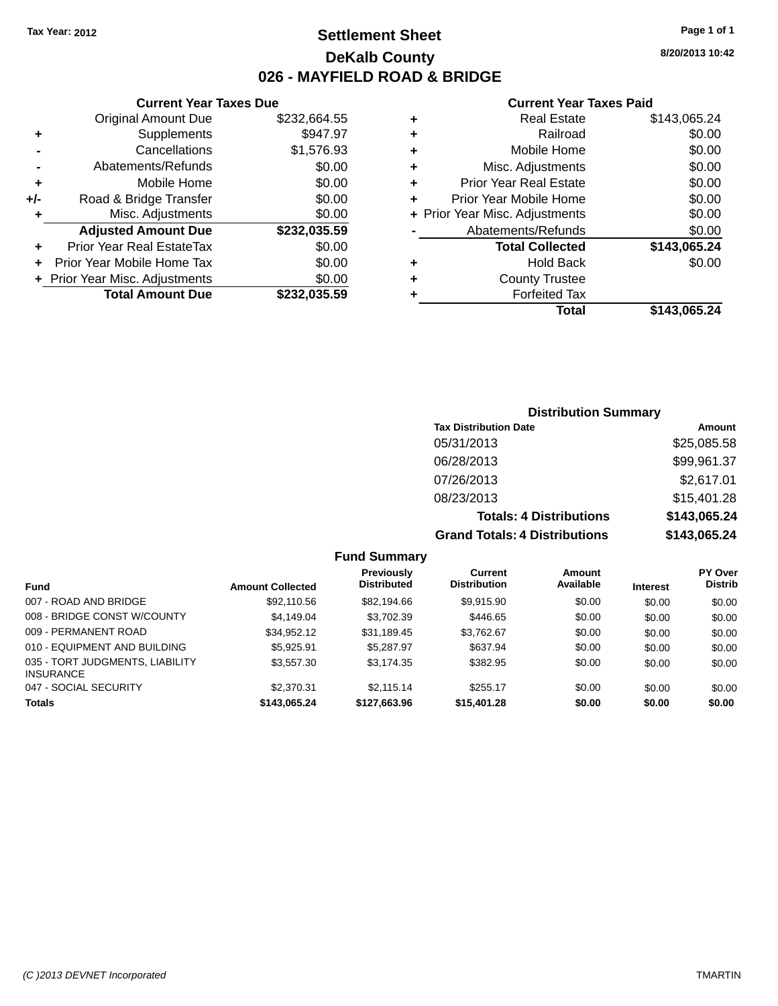### **Settlement Sheet Tax Year: 2012 Page 1 of 1 DeKalb County 026 - MAYFIELD ROAD & BRIDGE**

#### **Current Year Taxes Due**

|     | <b>Original Amount Due</b>       | \$232,664.55 |
|-----|----------------------------------|--------------|
| ٠   | Supplements                      | \$947.97     |
|     | Cancellations                    | \$1,576.93   |
|     | Abatements/Refunds               | \$0.00       |
| ٠   | Mobile Home                      | \$0.00       |
| +/- | Road & Bridge Transfer           | \$0.00       |
| ٠   | Misc. Adjustments                | \$0.00       |
|     | <b>Adjusted Amount Due</b>       | \$232,035.59 |
| ÷   | <b>Prior Year Real EstateTax</b> | \$0.00       |
|     | Prior Year Mobile Home Tax       | \$0.00       |
|     | + Prior Year Misc. Adjustments   | \$0.00       |
|     | <b>Total Amount Due</b>          | \$232,035.59 |
|     |                                  |              |

#### **Current Year Taxes Paid**

| ٠ | <b>Real Estate</b>             | \$143,065.24 |
|---|--------------------------------|--------------|
| ٠ | Railroad                       | \$0.00       |
| ٠ | Mobile Home                    | \$0.00       |
| ٠ | Misc. Adjustments              | \$0.00       |
| ٠ | <b>Prior Year Real Estate</b>  | \$0.00       |
| ٠ | Prior Year Mobile Home         | \$0.00       |
|   | + Prior Year Misc. Adjustments | \$0.00       |
|   | Abatements/Refunds             | \$0.00       |
|   | <b>Total Collected</b>         | \$143,065.24 |
| ٠ | Hold Back                      | \$0.00       |
| ٠ | <b>County Trustee</b>          |              |
| ٠ | <b>Forfeited Tax</b>           |              |
|   | Total                          | \$143,065.24 |
|   |                                |              |

### **Distribution Summary Tax Distribution Date Amount** 05/31/2013 \$25,085.58 06/28/2013 \$99,961.37 07/26/2013 \$2,617.01 08/23/2013 \$15,401.28 **Totals: 4 Distributions \$143,065.24 Grand Totals: 4 Distributions \$143,065.24**

### **Fund Summary**

|                                                     |                         | <b>Previously</b>  | Current             | <b>Amount</b> |                 | <b>PY Over</b> |
|-----------------------------------------------------|-------------------------|--------------------|---------------------|---------------|-----------------|----------------|
| <b>Fund</b>                                         | <b>Amount Collected</b> | <b>Distributed</b> | <b>Distribution</b> | Available     | <b>Interest</b> | <b>Distrib</b> |
| 007 - ROAD AND BRIDGE                               | \$92,110.56             | \$82,194.66        | \$9.915.90          | \$0.00        | \$0.00          | \$0.00         |
| 008 - BRIDGE CONST W/COUNTY                         | \$4.149.04              | \$3,702.39         | \$446.65            | \$0.00        | \$0.00          | \$0.00         |
| 009 - PERMANENT ROAD                                | \$34.952.12             | \$31.189.45        | \$3.762.67          | \$0.00        | \$0.00          | \$0.00         |
| 010 - EQUIPMENT AND BUILDING                        | \$5.925.91              | \$5,287.97         | \$637.94            | \$0.00        | \$0.00          | \$0.00         |
| 035 - TORT JUDGMENTS, LIABILITY<br><b>INSURANCE</b> | \$3,557.30              | \$3.174.35         | \$382.95            | \$0.00        | \$0.00          | \$0.00         |
| 047 - SOCIAL SECURITY                               | \$2,370.31              | \$2.115.14         | \$255.17            | \$0.00        | \$0.00          | \$0.00         |
| <b>Totals</b>                                       | \$143,065.24            | \$127,663.96       | \$15,401.28         | \$0.00        | \$0.00          | \$0.00         |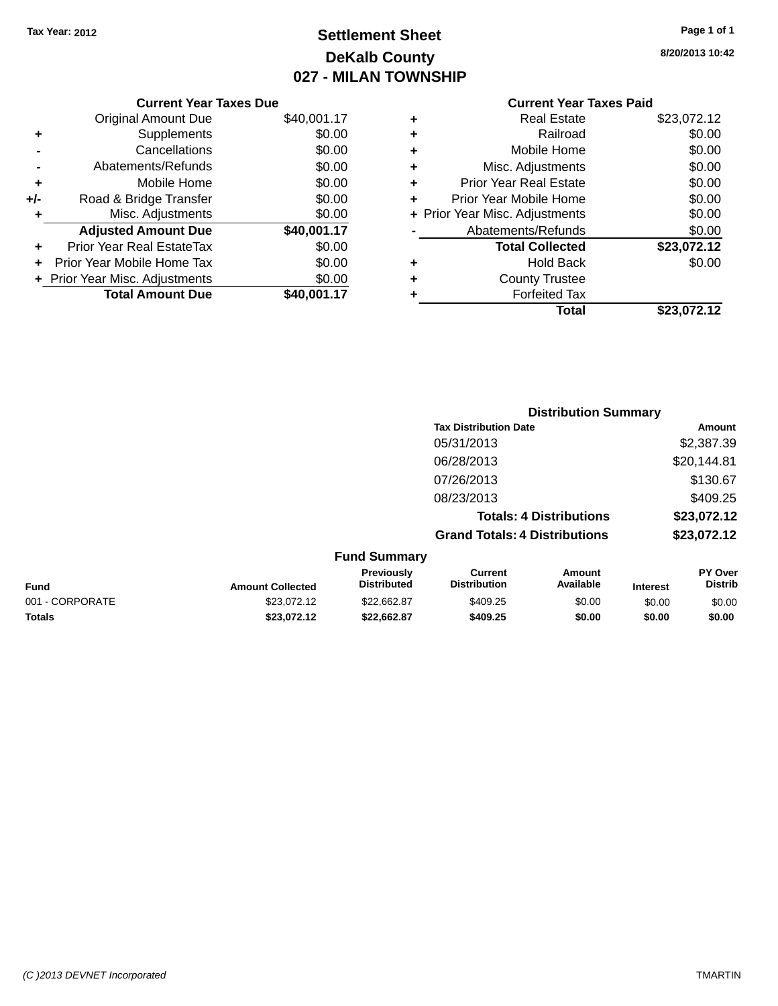## **Settlement Sheet Tax Year: 2012 Page 1 of 1 DeKalb County 027 - MILAN TOWNSHIP**

**8/20/2013 10:42**

|     | <b>Current Year Taxes Due</b> |             |
|-----|-------------------------------|-------------|
|     | <b>Original Amount Due</b>    | \$40,001.17 |
| ٠   | Supplements                   | \$0.00      |
|     | Cancellations                 | \$0.00      |
|     | Abatements/Refunds            | \$0.00      |
| ٠   | Mobile Home                   | \$0.00      |
| +/- | Road & Bridge Transfer        | \$0.00      |
| ٠   | Misc. Adjustments             | \$0.00      |
|     | <b>Adjusted Amount Due</b>    | \$40,001.17 |
| ٠   | Prior Year Real EstateTax     | \$0.00      |
|     | Prior Year Mobile Home Tax    | \$0.00      |
|     | Prior Year Misc. Adjustments  | \$0.00      |
|     | <b>Total Amount Due</b>       | \$40,001.17 |
|     |                               |             |

|   | <b>Real Estate</b>             | \$23,072.12 |
|---|--------------------------------|-------------|
| ٠ | Railroad                       | \$0.00      |
| ٠ | Mobile Home                    | \$0.00      |
| ٠ | Misc. Adjustments              | \$0.00      |
| ٠ | <b>Prior Year Real Estate</b>  | \$0.00      |
| ٠ | Prior Year Mobile Home         | \$0.00      |
|   | + Prior Year Misc. Adjustments | \$0.00      |
|   | Abatements/Refunds             | \$0.00      |
|   | <b>Total Collected</b>         | \$23,072.12 |
| ٠ | <b>Hold Back</b>               | \$0.00      |
| ٠ | <b>County Trustee</b>          |             |
| ٠ | <b>Forfeited Tax</b>           |             |
|   | Total                          | \$23.072.12 |
|   |                                |             |

|                 |                         |                                  |                                       | <b>Distribution Summary</b>    |                 |                           |
|-----------------|-------------------------|----------------------------------|---------------------------------------|--------------------------------|-----------------|---------------------------|
|                 |                         |                                  | <b>Tax Distribution Date</b>          |                                |                 | Amount                    |
|                 |                         |                                  | 05/31/2013                            |                                |                 | \$2,387.39                |
|                 |                         |                                  | 06/28/2013                            |                                |                 | \$20,144.81               |
|                 |                         |                                  | 07/26/2013                            |                                |                 | \$130.67                  |
|                 |                         |                                  | 08/23/2013                            |                                |                 | \$409.25                  |
|                 |                         |                                  |                                       | <b>Totals: 4 Distributions</b> |                 | \$23,072.12               |
|                 |                         |                                  | <b>Grand Totals: 4 Distributions</b>  |                                |                 | \$23,072.12               |
|                 |                         | <b>Fund Summary</b>              |                                       |                                |                 |                           |
| <b>Fund</b>     | <b>Amount Collected</b> | Previously<br><b>Distributed</b> | <b>Current</b><br><b>Distribution</b> | Amount<br>Available            | <b>Interest</b> | PY Over<br><b>Distrib</b> |
| 001 - CORPORATE | \$23,072.12             | \$22,662.87                      | \$409.25                              | \$0.00                         | \$0.00          | \$0.00                    |
| <b>Totals</b>   | \$23,072.12             | \$22,662.87                      | \$409.25                              | \$0.00                         | \$0.00          | \$0.00                    |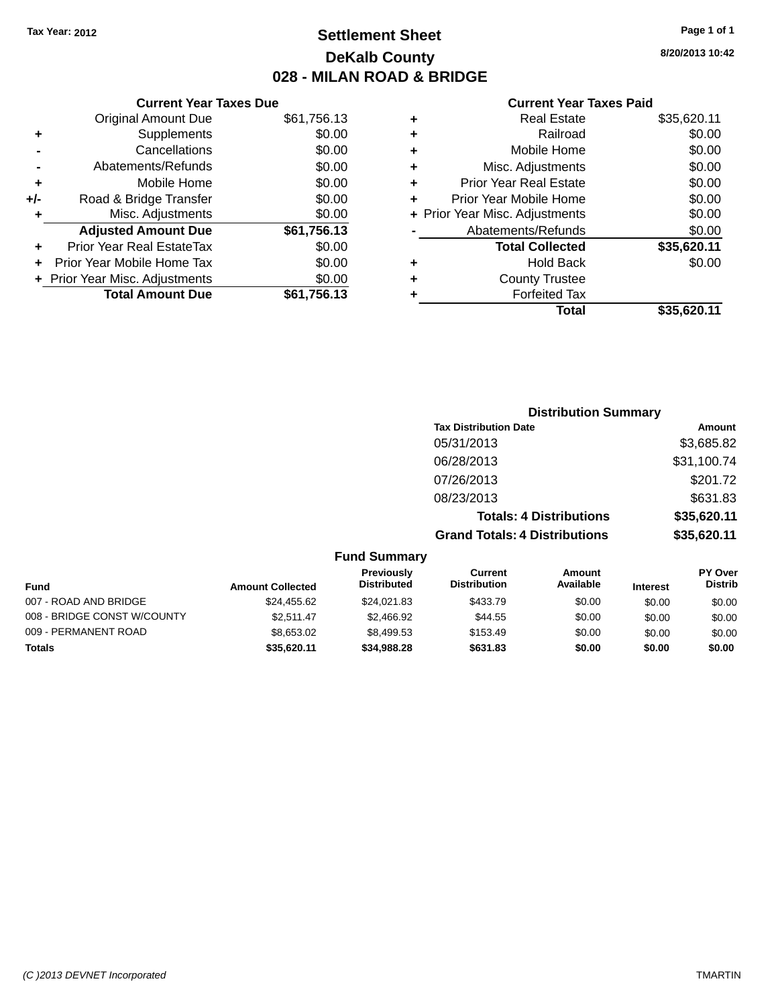## **Settlement Sheet Tax Year: 2012 Page 1 of 1 DeKalb County 028 - MILAN ROAD & BRIDGE**

|     | <b>Current Year Taxes Due</b>  |             |
|-----|--------------------------------|-------------|
|     | <b>Original Amount Due</b>     | \$61,756.13 |
| ٠   | Supplements                    | \$0.00      |
|     | Cancellations                  | \$0.00      |
|     | Abatements/Refunds             | \$0.00      |
| ٠   | Mobile Home                    | \$0.00      |
| +/- | Road & Bridge Transfer         | \$0.00      |
| ٠   | Misc. Adjustments              | \$0.00      |
|     | <b>Adjusted Amount Due</b>     | \$61,756.13 |
| ÷   | Prior Year Real EstateTax      | \$0.00      |
|     | Prior Year Mobile Home Tax     | \$0.00      |
|     | + Prior Year Misc. Adjustments | \$0.00      |
|     | <b>Total Amount Due</b>        | \$61,756.13 |
|     |                                |             |

|   | <b>Real Estate</b>             | \$35,620.11 |
|---|--------------------------------|-------------|
| ٠ | Railroad                       | \$0.00      |
| ٠ | Mobile Home                    | \$0.00      |
| ٠ | Misc. Adjustments              | \$0.00      |
| ٠ | <b>Prior Year Real Estate</b>  | \$0.00      |
| ٠ | Prior Year Mobile Home         | \$0.00      |
|   | + Prior Year Misc. Adjustments | \$0.00      |
|   | Abatements/Refunds             | \$0.00      |
|   | <b>Total Collected</b>         | \$35,620.11 |
| ٠ | <b>Hold Back</b>               | \$0.00      |
| ٠ | <b>County Trustee</b>          |             |
|   | <b>Forfeited Tax</b>           |             |
|   | Total                          | \$35,620.11 |
|   |                                |             |

| <b>Distribution Summary</b>          |             |
|--------------------------------------|-------------|
| <b>Tax Distribution Date</b>         | Amount      |
| 05/31/2013                           | \$3,685.82  |
| 06/28/2013                           | \$31,100.74 |
| 07/26/2013                           | \$201.72    |
| 08/23/2013                           | \$631.83    |
| <b>Totals: 4 Distributions</b>       | \$35,620.11 |
| <b>Grand Totals: 4 Distributions</b> | \$35,620.11 |

| <b>Fund Summary</b> |  |
|---------------------|--|
|---------------------|--|

| Fund                        | <b>Amount Collected</b> | <b>Previously</b><br><b>Distributed</b> | Current<br><b>Distribution</b> | Amount<br>Available | <b>Interest</b> | <b>PY Over</b><br><b>Distrib</b> |
|-----------------------------|-------------------------|-----------------------------------------|--------------------------------|---------------------|-----------------|----------------------------------|
| 007 - ROAD AND BRIDGE       | \$24,455.62             | \$24,021.83                             | \$433.79                       | \$0.00              | \$0.00          | \$0.00                           |
| 008 - BRIDGE CONST W/COUNTY | \$2.511.47              | \$2,466.92                              | \$44.55                        | \$0.00              | \$0.00          | \$0.00                           |
| 009 - PERMANENT ROAD        | \$8,653.02              | \$8,499.53                              | \$153.49                       | \$0.00              | \$0.00          | \$0.00                           |
| Totals                      | \$35.620.11             | \$34,988,28                             | \$631.83                       | \$0.00              | \$0.00          | \$0.00                           |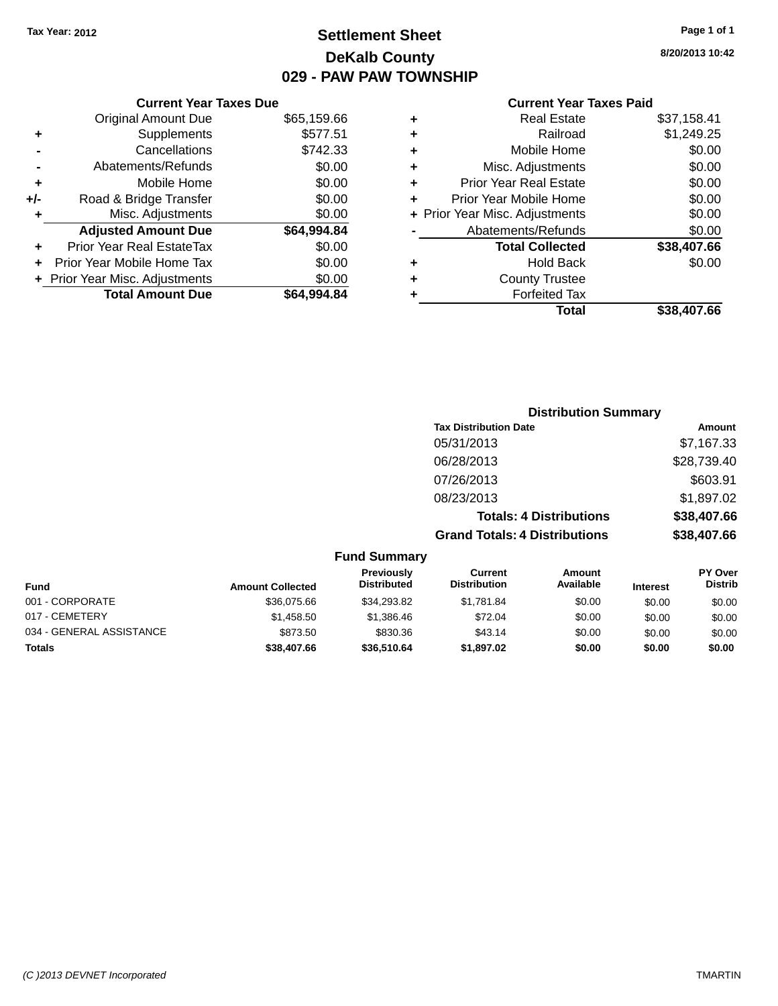## **Settlement Sheet Tax Year: 2012 Page 1 of 1 DeKalb County 029 - PAW PAW TOWNSHIP**

#### **Current Year Taxes Due**

|     | <b>Original Amount Due</b>     | \$65,159.66 |
|-----|--------------------------------|-------------|
| ٠   | Supplements                    | \$577.51    |
|     | Cancellations                  | \$742.33    |
|     | Abatements/Refunds             | \$0.00      |
| ٠   | Mobile Home                    | \$0.00      |
| +/- | Road & Bridge Transfer         | \$0.00      |
| ٠   | Misc. Adjustments              | \$0.00      |
|     | <b>Adjusted Amount Due</b>     | \$64,994.84 |
|     | Prior Year Real EstateTax      | \$0.00      |
|     | Prior Year Mobile Home Tax     | \$0.00      |
|     | + Prior Year Misc. Adjustments | \$0.00      |
|     | <b>Total Amount Due</b>        | \$64.994.84 |

#### **Current Year Taxes Paid**

|   | <b>Real Estate</b>             | \$37,158.41 |
|---|--------------------------------|-------------|
| ٠ | Railroad                       | \$1,249.25  |
| ٠ | Mobile Home                    | \$0.00      |
| ٠ | Misc. Adjustments              | \$0.00      |
| ٠ | <b>Prior Year Real Estate</b>  | \$0.00      |
| ٠ | Prior Year Mobile Home         | \$0.00      |
|   | + Prior Year Misc. Adjustments | \$0.00      |
|   | Abatements/Refunds             | \$0.00      |
|   | <b>Total Collected</b>         | \$38,407.66 |
| ٠ | <b>Hold Back</b>               | \$0.00      |
| ٠ | <b>County Trustee</b>          |             |
| ٠ | <b>Forfeited Tax</b>           |             |
|   | Total                          | \$38,407.66 |
|   |                                |             |

### **Distribution Summary Tax Distribution Date Amount** 05/31/2013 \$7,167.33 06/28/2013 \$28,739.40 07/26/2013 \$603.91 08/23/2013 \$1,897.02 **Totals: 4 Distributions \$38,407.66 Grand Totals: 4 Distributions \$38,407.66**

### **Fund Summary**

| <b>Fund</b>              | <b>Amount Collected</b> | <b>Previously</b><br><b>Distributed</b> | Current<br><b>Distribution</b> | Amount<br>Available | <b>Interest</b> | PY Over<br><b>Distrib</b> |
|--------------------------|-------------------------|-----------------------------------------|--------------------------------|---------------------|-----------------|---------------------------|
| 001 - CORPORATE          | \$36,075,66             | \$34,293.82                             | \$1.781.84                     | \$0.00              | \$0.00          | \$0.00                    |
| 017 - CEMETERY           | \$1,458.50              | \$1,386.46                              | \$72.04                        | \$0.00              | \$0.00          | \$0.00                    |
| 034 - GENERAL ASSISTANCE | \$873.50                | \$830.36                                | \$43.14                        | \$0.00              | \$0.00          | \$0.00                    |
| <b>Totals</b>            | \$38,407.66             | \$36,510.64                             | \$1,897.02                     | \$0.00              | \$0.00          | \$0.00                    |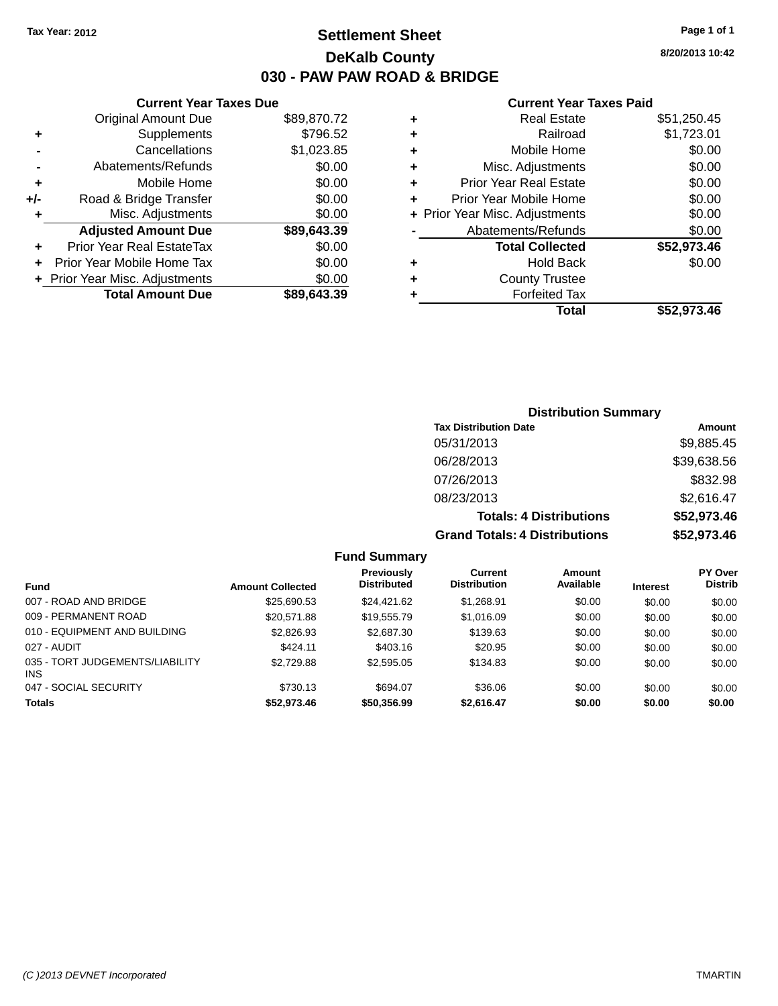### **Settlement Sheet Tax Year: 2012 Page 1 of 1 DeKalb County 030 - PAW PAW ROAD & BRIDGE**

**8/20/2013 10:42**

#### **Current Year Taxes Paid**

| \$89,870.72 |
|-------------|
| \$796.52    |
| \$1,023.85  |
| \$0.00      |
| \$0.00      |
| \$0.00      |
| \$0.00      |
| \$89,643.39 |
| \$0.00      |
| \$0.00      |
| \$0.00      |
|             |
|             |

| ٠ | <b>Real Estate</b>             | \$51,250.45 |
|---|--------------------------------|-------------|
| ٠ | Railroad                       | \$1,723.01  |
| ٠ | Mobile Home                    | \$0.00      |
| ٠ | Misc. Adjustments              | \$0.00      |
| ٠ | <b>Prior Year Real Estate</b>  | \$0.00      |
| ٠ | Prior Year Mobile Home         | \$0.00      |
|   | + Prior Year Misc. Adjustments | \$0.00      |
|   | Abatements/Refunds             | \$0.00      |
|   | <b>Total Collected</b>         | \$52,973.46 |
| ٠ | <b>Hold Back</b>               | \$0.00      |
| ٠ | <b>County Trustee</b>          |             |
| ٠ | <b>Forfeited Tax</b>           |             |
|   | Total                          | \$52,973.46 |
|   |                                |             |

| <b>Distribution Summary</b>          |             |
|--------------------------------------|-------------|
| <b>Tax Distribution Date</b>         | Amount      |
| 05/31/2013                           | \$9,885.45  |
| 06/28/2013                           | \$39,638.56 |
| 07/26/2013                           | \$832.98    |
| 08/23/2013                           | \$2,616.47  |
| <b>Totals: 4 Distributions</b>       | \$52,973.46 |
| <b>Grand Totals: 4 Distributions</b> | \$52,973.46 |

#### **Fund Summary**

| Fund                                    | <b>Amount Collected</b> | Previously<br><b>Distributed</b> | <b>Current</b><br><b>Distribution</b> | Amount<br>Available | <b>Interest</b> | <b>PY Over</b><br><b>Distrib</b> |
|-----------------------------------------|-------------------------|----------------------------------|---------------------------------------|---------------------|-----------------|----------------------------------|
| 007 - ROAD AND BRIDGE                   | \$25,690.53             | \$24.421.62                      | \$1.268.91                            | \$0.00              | \$0.00          | \$0.00                           |
| 009 - PERMANENT ROAD                    | \$20,571.88             | \$19,555.79                      | \$1,016.09                            | \$0.00              | \$0.00          | \$0.00                           |
| 010 - EQUIPMENT AND BUILDING            | \$2,826.93              | \$2,687.30                       | \$139.63                              | \$0.00              | \$0.00          | \$0.00                           |
| 027 - AUDIT                             | \$424.11                | \$403.16                         | \$20.95                               | \$0.00              | \$0.00          | \$0.00                           |
| 035 - TORT JUDGEMENTS/LIABILITY<br>INS. | \$2,729.88              | \$2,595.05                       | \$134.83                              | \$0.00              | \$0.00          | \$0.00                           |
| 047 - SOCIAL SECURITY                   | \$730.13                | \$694.07                         | \$36.06                               | \$0.00              | \$0.00          | \$0.00                           |
| <b>Totals</b>                           | \$52,973.46             | \$50,356.99                      | \$2,616.47                            | \$0.00              | \$0.00          | \$0.00                           |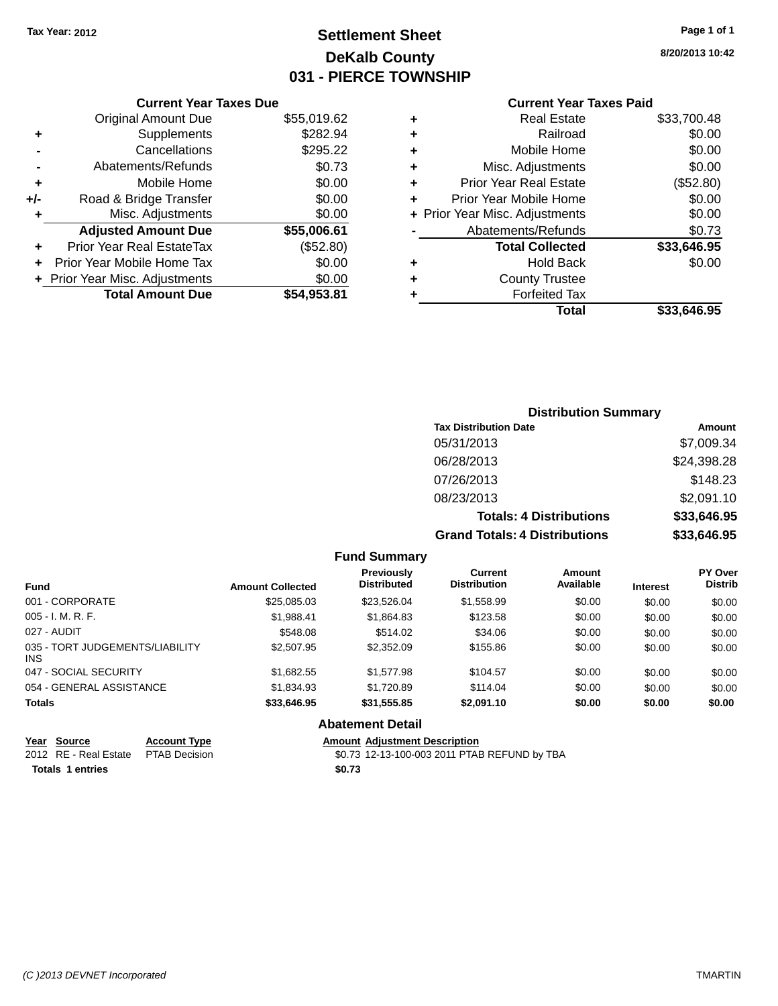## **Settlement Sheet Tax Year: 2012 Page 1 of 1 DeKalb County 031 - PIERCE TOWNSHIP**

**8/20/2013 10:42**

#### **Current Year Taxes Paid**

|       | <b>Current Year Taxes Due</b>  |             |  |  |  |
|-------|--------------------------------|-------------|--|--|--|
|       | <b>Original Amount Due</b>     | \$55,019.62 |  |  |  |
| ٠     | Supplements                    | \$282.94    |  |  |  |
|       | Cancellations                  | \$295.22    |  |  |  |
|       | Abatements/Refunds             | \$0.73      |  |  |  |
| ٠     | Mobile Home                    | \$0.00      |  |  |  |
| $+/-$ | Road & Bridge Transfer         | \$0.00      |  |  |  |
| ٠     | Misc. Adjustments              | \$0.00      |  |  |  |
|       | <b>Adjusted Amount Due</b>     | \$55,006.61 |  |  |  |
| ٠     | Prior Year Real EstateTax      | (\$52.80)   |  |  |  |
|       | Prior Year Mobile Home Tax     | \$0.00      |  |  |  |
|       | + Prior Year Misc. Adjustments | \$0.00      |  |  |  |
|       | <b>Total Amount Due</b>        | \$54,953.81 |  |  |  |
|       |                                |             |  |  |  |

| ٠ | <b>Real Estate</b>             | \$33,700.48 |
|---|--------------------------------|-------------|
| ٠ | Railroad                       | \$0.00      |
| ٠ | Mobile Home                    | \$0.00      |
| ٠ | Misc. Adjustments              | \$0.00      |
| ٠ | Prior Year Real Estate         | (\$52.80)   |
| ٠ | Prior Year Mobile Home         | \$0.00      |
|   | + Prior Year Misc. Adjustments | \$0.00      |
|   | Abatements/Refunds             | \$0.73      |
|   | <b>Total Collected</b>         | \$33,646.95 |
| ٠ | Hold Back                      | \$0.00      |
| ٠ | <b>County Trustee</b>          |             |
| ٠ | <b>Forfeited Tax</b>           |             |
|   | Total                          | \$33,646.95 |
|   |                                |             |

### **Distribution Summary Tax Distribution Date Amount** 05/31/2013 \$7,009.34 06/28/2013 \$24,398.28 07/26/2013 \$148.23 08/23/2013 \$2,091.10 **Totals: 4 Distributions \$33,646.95 Grand Totals: 4 Distributions \$33,646.95**

#### **Fund Summary**

| <b>Fund</b>                             | <b>Amount Collected</b> | <b>Previously</b><br><b>Distributed</b> | Current<br><b>Distribution</b> | Amount<br>Available | <b>Interest</b> | <b>PY Over</b><br><b>Distrib</b> |
|-----------------------------------------|-------------------------|-----------------------------------------|--------------------------------|---------------------|-----------------|----------------------------------|
| 001 - CORPORATE                         | \$25,085.03             | \$23,526.04                             | \$1,558.99                     | \$0.00              | \$0.00          | \$0.00                           |
| 005 - I. M. R. F.                       | \$1,988.41              | \$1,864.83                              | \$123.58                       | \$0.00              | \$0.00          | \$0.00                           |
| 027 - AUDIT                             | \$548.08                | \$514.02                                | \$34.06                        | \$0.00              | \$0.00          | \$0.00                           |
| 035 - TORT JUDGEMENTS/LIABILITY<br>INS. | \$2,507.95              | \$2,352.09                              | \$155.86                       | \$0.00              | \$0.00          | \$0.00                           |
| 047 - SOCIAL SECURITY                   | \$1,682.55              | \$1,577.98                              | \$104.57                       | \$0.00              | \$0.00          | \$0.00                           |
| 054 - GENERAL ASSISTANCE                | \$1,834.93              | \$1,720.89                              | \$114.04                       | \$0.00              | \$0.00          | \$0.00                           |
| <b>Totals</b>                           | \$33,646.95             | \$31,555.85                             | \$2,091.10                     | \$0.00              | \$0.00          | \$0.00                           |

#### **Abatement Detail**

| Year Source             | <b>Account Type</b> |        | <b>Amount Adiustment Description</b>         |
|-------------------------|---------------------|--------|----------------------------------------------|
| 2012 RE - Real Estate   | PTAB Decision       |        | \$0.73 12-13-100-003 2011 PTAB REFUND by TBA |
| <b>Totals 1 entries</b> |                     | \$0.73 |                                              |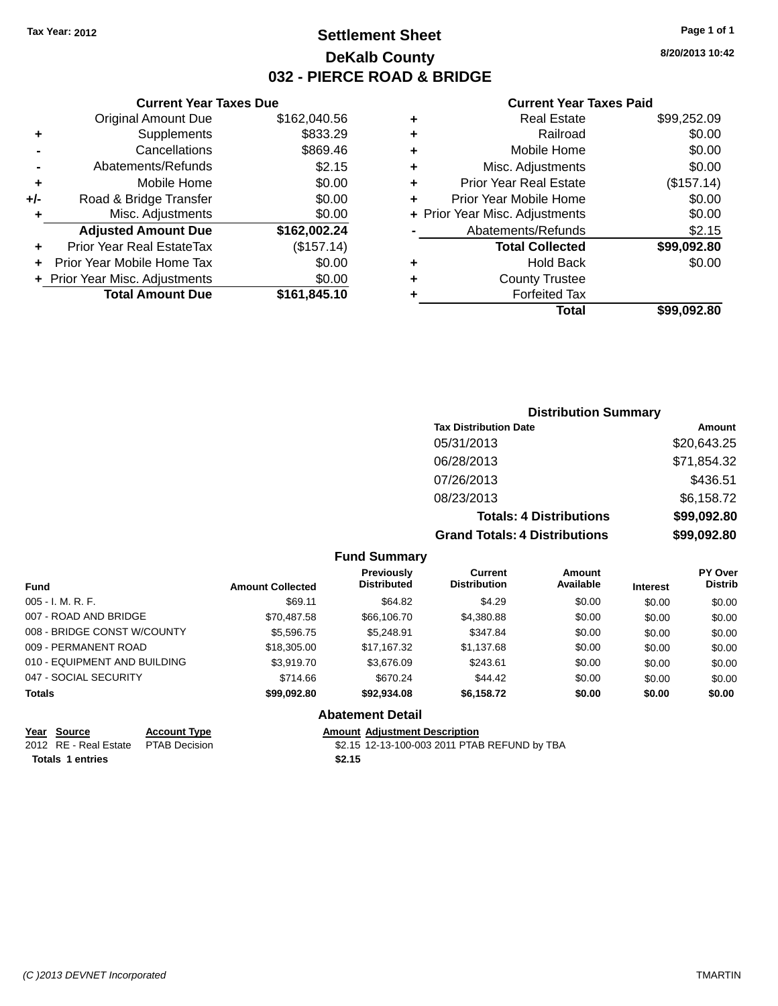## **Settlement Sheet Tax Year: 2012 Page 1 of 1 DeKalb County 032 - PIERCE ROAD & BRIDGE**

**8/20/2013 10:42**

#### **Current Year Taxes Paid**

|     | <b>Current Year Taxes Due</b>  |              |  |  |
|-----|--------------------------------|--------------|--|--|
|     | <b>Original Amount Due</b>     | \$162,040.56 |  |  |
| ٠   | Supplements                    | \$833.29     |  |  |
|     | Cancellations                  | \$869.46     |  |  |
|     | Abatements/Refunds             | \$2.15       |  |  |
| ٠   | Mobile Home                    | \$0.00       |  |  |
| +/- | Road & Bridge Transfer         | \$0.00       |  |  |
| ٠   | Misc. Adjustments              | \$0.00       |  |  |
|     | <b>Adjusted Amount Due</b>     | \$162,002.24 |  |  |
| ÷   | Prior Year Real EstateTax      | (\$157.14)   |  |  |
|     | Prior Year Mobile Home Tax     | \$0.00       |  |  |
|     | + Prior Year Misc. Adjustments | \$0.00       |  |  |
|     | <b>Total Amount Due</b>        | \$161,845.10 |  |  |
|     |                                |              |  |  |

| ٠ | <b>Real Estate</b>             | \$99,252.09 |
|---|--------------------------------|-------------|
| ٠ | Railroad                       | \$0.00      |
| ٠ | Mobile Home                    | \$0.00      |
| ٠ | Misc. Adjustments              | \$0.00      |
| ٠ | <b>Prior Year Real Estate</b>  | (\$157.14)  |
| ٠ | Prior Year Mobile Home         | \$0.00      |
|   | + Prior Year Misc. Adjustments | \$0.00      |
|   | Abatements/Refunds             | \$2.15      |
|   | <b>Total Collected</b>         | \$99,092.80 |
| ٠ | <b>Hold Back</b>               | \$0.00      |
| ٠ | <b>County Trustee</b>          |             |
| ٠ | <b>Forfeited Tax</b>           |             |
|   | Total                          | \$99,092.80 |
|   |                                |             |

### **Distribution Summary Tax Distribution Date Amount** 05/31/2013 \$20,643.25 06/28/2013 \$71,854.32 07/26/2013 \$436.51 08/23/2013 \$6,158.72 **Totals: 4 Distributions \$99,092.80 Grand Totals: 4 Distributions \$99,092.80**

|  | <b>Fund Summary</b> |  |
|--|---------------------|--|
|--|---------------------|--|

| <b>Fund</b>                  | <b>Amount Collected</b> | <b>Previously</b><br><b>Distributed</b> | Current<br><b>Distribution</b> | Amount<br>Available | <b>Interest</b> | <b>PY Over</b><br><b>Distrib</b> |
|------------------------------|-------------------------|-----------------------------------------|--------------------------------|---------------------|-----------------|----------------------------------|
| $005 - I. M. R. F.$          | \$69.11                 | \$64.82                                 | \$4.29                         | \$0.00              | \$0.00          | \$0.00                           |
| 007 - ROAD AND BRIDGE        | \$70,487.58             | \$66,106.70                             | \$4,380.88                     | \$0.00              | \$0.00          | \$0.00                           |
| 008 - BRIDGE CONST W/COUNTY  | \$5,596.75              | \$5,248.91                              | \$347.84                       | \$0.00              | \$0.00          | \$0.00                           |
| 009 - PERMANENT ROAD         | \$18,305.00             | \$17,167.32                             | \$1,137.68                     | \$0.00              | \$0.00          | \$0.00                           |
| 010 - EQUIPMENT AND BUILDING | \$3,919.70              | \$3,676.09                              | \$243.61                       | \$0.00              | \$0.00          | \$0.00                           |
| 047 - SOCIAL SECURITY        | \$714.66                | \$670.24                                | \$44.42                        | \$0.00              | \$0.00          | \$0.00                           |
| <b>Totals</b>                | \$99,092.80             | \$92,934.08                             | \$6,158.72                     | \$0.00              | \$0.00          | \$0.00                           |
|                              |                         | <b>Abatement Detail</b>                 |                                |                     |                 |                                  |

| Year Source                         | <b>Account Type</b> |        | <b>Amount Adiustment Description</b>         |
|-------------------------------------|---------------------|--------|----------------------------------------------|
| 2012 RE - Real Estate PTAB Decision |                     |        | \$2.15 12-13-100-003 2011 PTAB REFUND by TBA |
| <b>Totals 1 entries</b>             |                     | \$2.15 |                                              |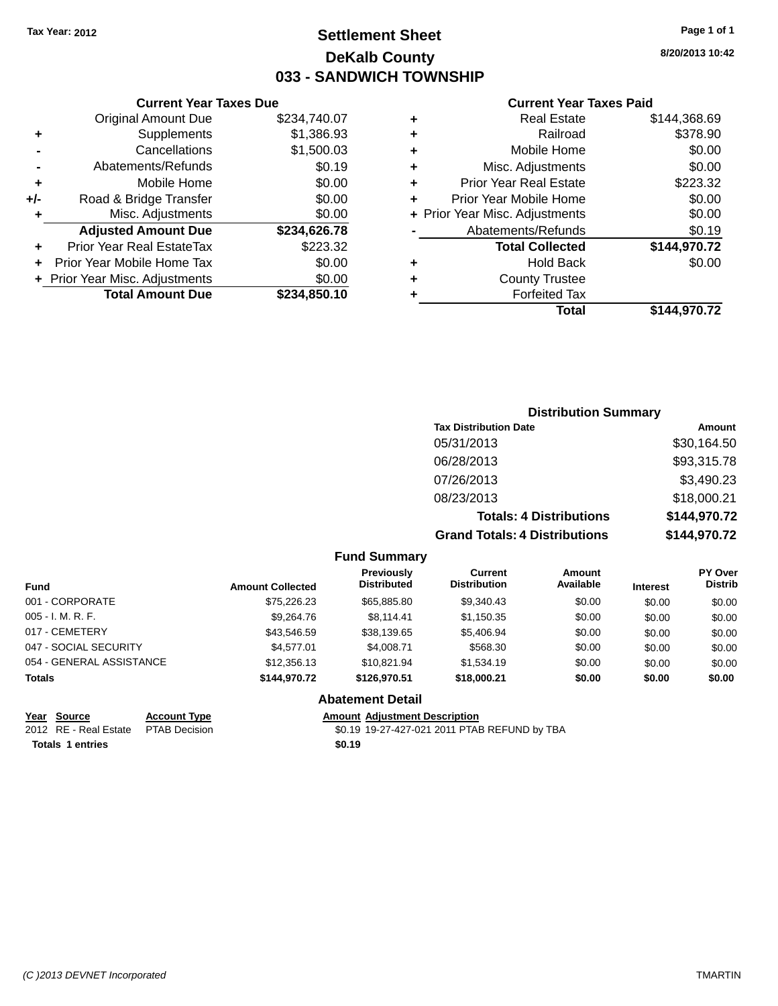## **Settlement Sheet Tax Year: 2012 Page 1 of 1 DeKalb County 033 - SANDWICH TOWNSHIP**

**8/20/2013 10:42**

#### **Current Year Taxes Paid**

|     | <b>Total Amount Due</b>          | \$234,850.10 |
|-----|----------------------------------|--------------|
|     | + Prior Year Misc. Adjustments   | \$0.00       |
|     | Prior Year Mobile Home Tax       | \$0.00       |
| ٠   | <b>Prior Year Real EstateTax</b> | \$223.32     |
|     | <b>Adjusted Amount Due</b>       | \$234,626.78 |
| ٠   | Misc. Adjustments                | \$0.00       |
| +/- | Road & Bridge Transfer           | \$0.00       |
| ٠   | Mobile Home                      | \$0.00       |
|     | Abatements/Refunds               | \$0.19       |
|     | Cancellations                    | \$1,500.03   |
| ٠   | Supplements                      | \$1,386.93   |
|     | <b>Original Amount Due</b>       | \$234,740.07 |
|     |                                  |              |

**Current Year Taxes Due**

| ٠ | <b>Real Estate</b>             | \$144,368.69 |
|---|--------------------------------|--------------|
| ٠ | Railroad                       | \$378.90     |
| ٠ | Mobile Home                    | \$0.00       |
| ٠ | Misc. Adjustments              | \$0.00       |
| ٠ | <b>Prior Year Real Estate</b>  | \$223.32     |
| ٠ | Prior Year Mobile Home         | \$0.00       |
|   | + Prior Year Misc. Adjustments | \$0.00       |
|   | Abatements/Refunds             | \$0.19       |
|   | <b>Total Collected</b>         | \$144,970.72 |
| ٠ | <b>Hold Back</b>               | \$0.00       |
| ٠ | <b>County Trustee</b>          |              |
| ٠ | <b>Forfeited Tax</b>           |              |
|   | Total                          | \$144,970.72 |
|   |                                |              |

### **Distribution Summary Tax Distribution Date Amount** 05/31/2013 \$30,164.50 06/28/2013 \$93,315.78 07/26/2013 \$3,490.23 08/23/2013 \$18,000.21 **Totals: 4 Distributions \$144,970.72 Grand Totals: 4 Distributions \$144,970.72**

#### **Fund Summary**

| <b>Fund</b>              | <b>Amount Collected</b> | Previously<br><b>Distributed</b> | Current<br><b>Distribution</b> | Amount<br>Available | <b>Interest</b> | <b>PY Over</b><br><b>Distrib</b> |
|--------------------------|-------------------------|----------------------------------|--------------------------------|---------------------|-----------------|----------------------------------|
| 001 - CORPORATE          | \$75,226.23             | \$65,885.80                      | \$9,340.43                     | \$0.00              | \$0.00          | \$0.00                           |
| $005 - I. M. R. F.$      | \$9,264.76              | \$8.114.41                       | \$1,150.35                     | \$0.00              | \$0.00          | \$0.00                           |
| 017 - CEMETERY           | \$43.546.59             | \$38,139.65                      | \$5.406.94                     | \$0.00              | \$0.00          | \$0.00                           |
| 047 - SOCIAL SECURITY    | \$4.577.01              | \$4.008.71                       | \$568.30                       | \$0.00              | \$0.00          | \$0.00                           |
| 054 - GENERAL ASSISTANCE | \$12,356.13             | \$10.821.94                      | \$1,534.19                     | \$0.00              | \$0.00          | \$0.00                           |
| <b>Totals</b>            | \$144,970.72            | \$126,970.51                     | \$18,000.21                    | \$0.00              | \$0.00          | \$0.00                           |

#### **Abatement Detail**

# **<u>Year Source</u> <b>Account Type Amount Adjustment Description**<br>2012 RE - Real Estate PTAB Decision **\$0.19 19-27-427-021 2011 PTA**

\$0.19 19-27-427-021 2011 PTAB REFUND by TBA

**Totals 1 entries \$0.19**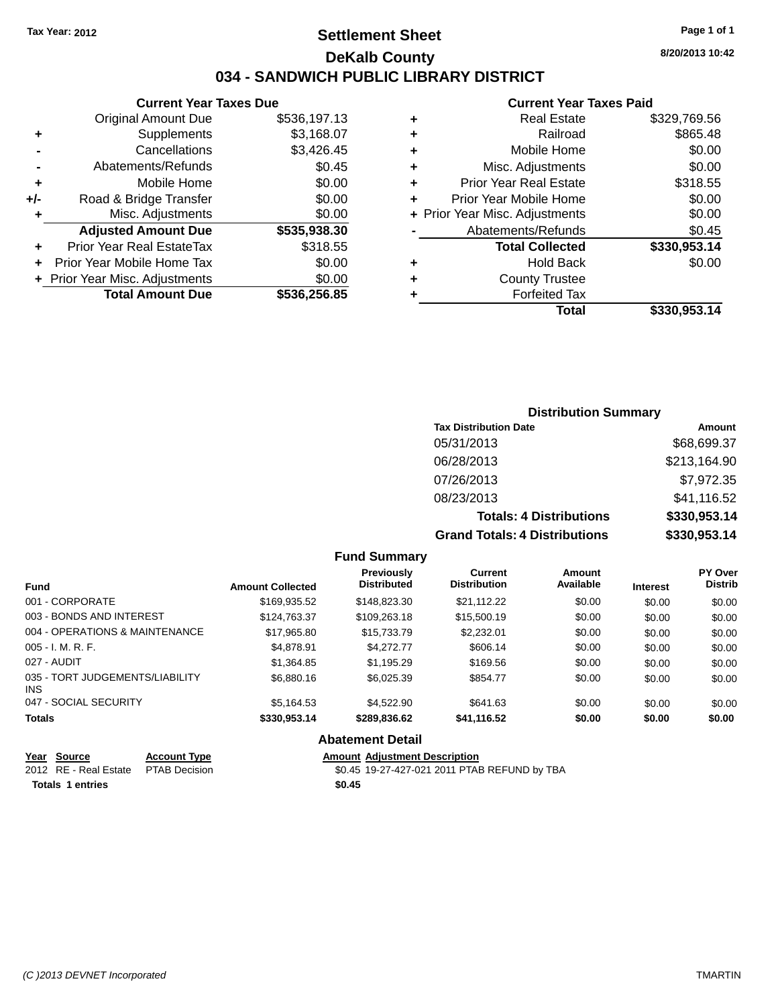# **Settlement Sheet Tax Year: 2012 Page 1 of 1 DeKalb County 034 - SANDWICH PUBLIC LIBRARY DISTRICT**

**Current Year Taxes Due**

|     | <b>Total Amount Due</b>        | \$536,256.85 |
|-----|--------------------------------|--------------|
|     | + Prior Year Misc. Adjustments | \$0.00       |
|     | Prior Year Mobile Home Tax     | \$0.00       |
|     | Prior Year Real EstateTax      | \$318.55     |
|     | <b>Adjusted Amount Due</b>     | \$535,938.30 |
| ٠   | Misc. Adjustments              | \$0.00       |
| +/- | Road & Bridge Transfer         | \$0.00       |
| ٠   | Mobile Home                    | \$0.00       |
|     | Abatements/Refunds             | \$0.45       |
|     | Cancellations                  | \$3,426.45   |
| ٠   | Supplements                    | \$3,168.07   |
|     | <b>Original Amount Due</b>     | \$536,197.13 |

#### **Current Year Taxes Paid**

|   | Real Estate                    | \$329,769.56 |
|---|--------------------------------|--------------|
| ٠ | Railroad                       | \$865.48     |
| ٠ | Mobile Home                    | \$0.00       |
| ٠ | Misc. Adjustments              | \$0.00       |
| ٠ | <b>Prior Year Real Estate</b>  | \$318.55     |
| ÷ | Prior Year Mobile Home         | \$0.00       |
|   | + Prior Year Misc. Adjustments | \$0.00       |
|   | Abatements/Refunds             | \$0.45       |
|   | <b>Total Collected</b>         | \$330,953.14 |
| ٠ | <b>Hold Back</b>               | \$0.00       |
| ٠ | <b>County Trustee</b>          |              |
|   | <b>Forfeited Tax</b>           |              |
|   | Total                          | \$330,953.14 |
|   |                                |              |

# **Distribution Summary Tax Distribution Date Amount** 05/31/2013 \$68,699.37 06/28/2013 \$213,164.90 07/26/2013 \$7,972.35 08/23/2013 \$41,116.52 **Totals: 4 Distributions \$330,953.14 Grand Totals: 4 Distributions \$330,953.14**

## **Fund Summary**

| <b>Fund</b>                             | <b>Amount Collected</b> | <b>Previously</b><br><b>Distributed</b> | Current<br><b>Distribution</b> | Amount<br>Available | <b>Interest</b> | PY Over<br><b>Distrib</b> |
|-----------------------------------------|-------------------------|-----------------------------------------|--------------------------------|---------------------|-----------------|---------------------------|
| 001 - CORPORATE                         | \$169,935.52            | \$148,823,30                            | \$21.112.22                    | \$0.00              | \$0.00          | \$0.00                    |
| 003 - BONDS AND INTEREST                | \$124,763.37            | \$109,263.18                            | \$15,500.19                    | \$0.00              | \$0.00          | \$0.00                    |
| 004 - OPERATIONS & MAINTENANCE          | \$17,965.80             | \$15,733,79                             | \$2,232.01                     | \$0.00              | \$0.00          | \$0.00                    |
| $005 - I. M. R. F.$                     | \$4.878.91              | \$4.272.77                              | \$606.14                       | \$0.00              | \$0.00          | \$0.00                    |
| 027 - AUDIT                             | \$1,364.85              | \$1.195.29                              | \$169.56                       | \$0.00              | \$0.00          | \$0.00                    |
| 035 - TORT JUDGEMENTS/LIABILITY<br>INS. | \$6,880.16              | \$6,025.39                              | \$854.77                       | \$0.00              | \$0.00          | \$0.00                    |
| 047 - SOCIAL SECURITY                   | \$5.164.53              | \$4,522.90                              | \$641.63                       | \$0.00              | \$0.00          | \$0.00                    |
| <b>Totals</b>                           | \$330,953.14            | \$289,836.62                            | \$41,116.52                    | \$0.00              | \$0.00          | \$0.00                    |

#### **Abatement Detail**

| Year Source                         | <b>Account Type</b> |        | <b>Amount Adiustment Description</b>         |
|-------------------------------------|---------------------|--------|----------------------------------------------|
| 2012 RE - Real Estate PTAB Decision |                     |        | \$0.45 19-27-427-021 2011 PTAB REFUND by TBA |
| <b>Totals 1 entries</b>             |                     | \$0.45 |                                              |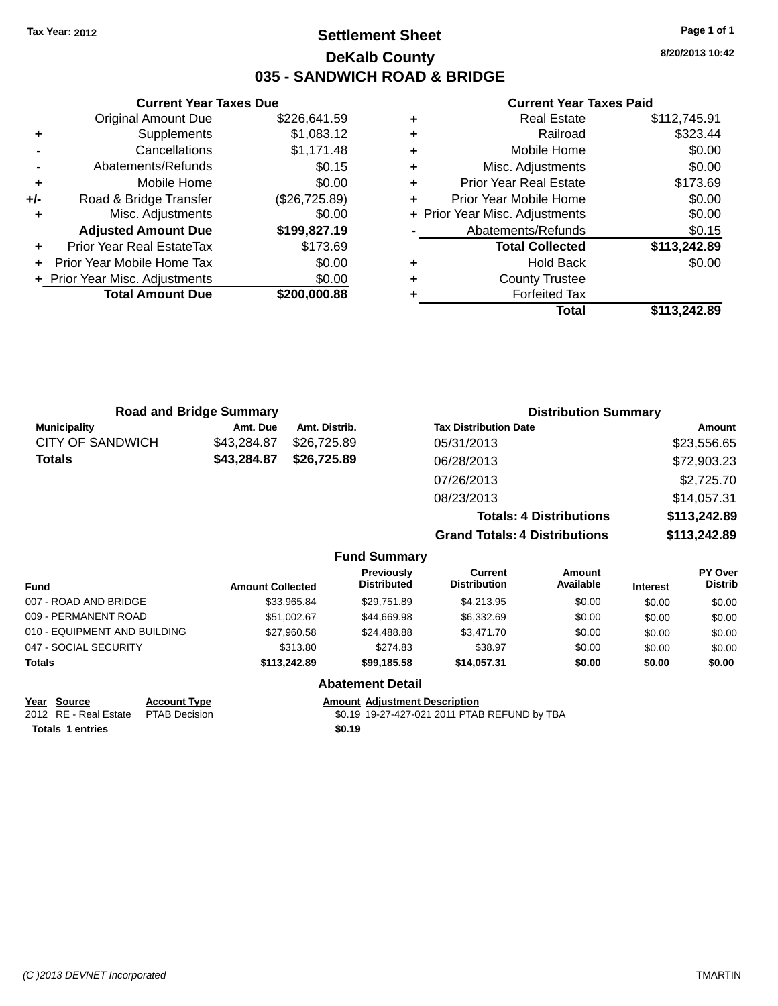# **Settlement Sheet Tax Year: 2012 Page 1 of 1 DeKalb County 035 - SANDWICH ROAD & BRIDGE**

**8/20/2013 10:42**

#### **Current Year Taxes Paid**

|     | <b>Current Year Taxes Due</b>  |               |
|-----|--------------------------------|---------------|
|     | <b>Original Amount Due</b>     | \$226,641.59  |
| ٠   | Supplements                    | \$1,083.12    |
|     | Cancellations                  | \$1,171.48    |
|     | Abatements/Refunds             | \$0.15        |
| ٠   | Mobile Home                    | \$0.00        |
| +/- | Road & Bridge Transfer         | (\$26,725.89) |
| ٠   | Misc. Adjustments              | \$0.00        |
|     | <b>Adjusted Amount Due</b>     | \$199,827.19  |
|     | Prior Year Real EstateTax      | \$173.69      |
|     | Prior Year Mobile Home Tax     | \$0.00        |
|     | + Prior Year Misc. Adjustments | \$0.00        |
|     | <b>Total Amount Due</b>        | \$200.000.88  |
|     |                                |               |

| ٠ | <b>Real Estate</b>             | \$112,745.91 |
|---|--------------------------------|--------------|
| ÷ | Railroad                       | \$323.44     |
| ÷ | Mobile Home                    | \$0.00       |
| ٠ | Misc. Adjustments              | \$0.00       |
| ٠ | <b>Prior Year Real Estate</b>  | \$173.69     |
| ٠ | Prior Year Mobile Home         | \$0.00       |
|   | + Prior Year Misc. Adjustments | \$0.00       |
|   | Abatements/Refunds             | \$0.15       |
|   | <b>Total Collected</b>         | \$113,242.89 |
| ٠ | <b>Hold Back</b>               | \$0.00       |
| ٠ | <b>County Trustee</b>          |              |
| ٠ | <b>Forfeited Tax</b>           |              |
|   | Total                          | \$113,242.89 |
|   |                                |              |

|                         | <b>Road and Bridge Summary</b> |                     | <b>Distribution Summary</b>          |              |
|-------------------------|--------------------------------|---------------------|--------------------------------------|--------------|
| <b>Municipality</b>     | Amt. Due                       | Amt. Distrib.       | <b>Tax Distribution Date</b>         | Amount       |
| <b>CITY OF SANDWICH</b> | \$43,284.87                    | \$26,725.89         | 05/31/2013                           | \$23,556.65  |
| <b>Totals</b>           | \$43,284.87                    | \$26,725.89         | 06/28/2013                           | \$72,903.23  |
|                         |                                |                     | 07/26/2013                           | \$2,725.70   |
|                         |                                |                     | 08/23/2013                           | \$14,057.31  |
|                         |                                |                     | <b>Totals: 4 Distributions</b>       | \$113,242.89 |
|                         |                                |                     | <b>Grand Totals: 4 Distributions</b> | \$113,242.89 |
|                         |                                | <b>Fund Summary</b> |                                      |              |

| <b>Fund</b>                  | <b>Amount Collected</b> | Previously<br><b>Distributed</b> | Current<br><b>Distribution</b> | <b>Amount</b><br>Available | <b>Interest</b> | <b>PY Over</b><br><b>Distrib</b> |
|------------------------------|-------------------------|----------------------------------|--------------------------------|----------------------------|-----------------|----------------------------------|
| 007 - ROAD AND BRIDGE        | \$33.965.84             | \$29.751.89                      | \$4,213.95                     | \$0.00                     | \$0.00          | \$0.00                           |
| 009 - PERMANENT ROAD         | \$51.002.67             | \$44,669.98                      | \$6.332.69                     | \$0.00                     | \$0.00          | \$0.00                           |
| 010 - EQUIPMENT AND BUILDING | \$27.960.58             | \$24,488.88                      | \$3.471.70                     | \$0.00                     | \$0.00          | \$0.00                           |
| 047 - SOCIAL SECURITY        | \$313.80                | \$274.83                         | \$38.97                        | \$0.00                     | \$0.00          | \$0.00                           |
| <b>Totals</b>                | \$113,242,89            | \$99,185.58                      | \$14,057.31                    | \$0.00                     | \$0.00          | \$0.00                           |
|                              |                         |                                  |                                |                            |                 |                                  |

#### **Abatement Detail**

**<u>Year Source</u> <b>Account Type Amount Adjustment Description**<br>2012 RE - Real Estate PTAB Decision **\$0.19** 19-27-427-021 2011 PTAE **Totals 1 entries \$0.19**

\$0.19 19-27-427-021 2011 PTAB REFUND by TBA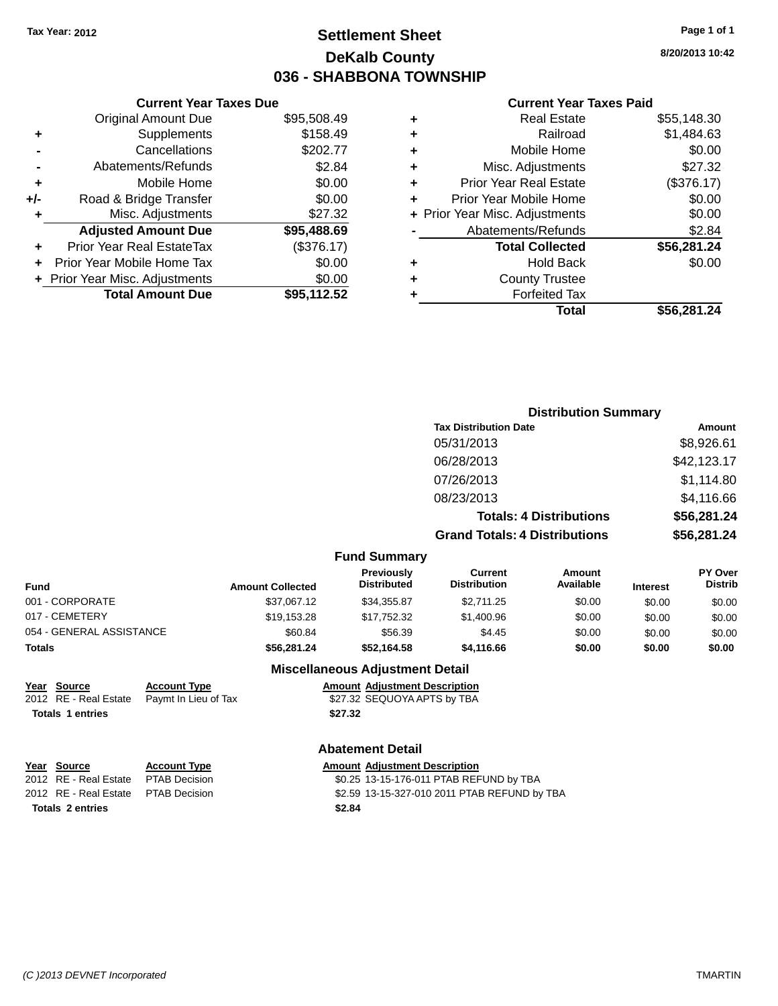# **Settlement Sheet Tax Year: 2012 Page 1 of 1 DeKalb County 036 - SHABBONA TOWNSHIP**

**8/20/2013 10:42**

#### **Current Year Taxes Paid**

|     | <b>Original Amount Due</b>     | \$95,508.49 |
|-----|--------------------------------|-------------|
| ٠   | Supplements                    | \$158.49    |
|     | Cancellations                  | \$202.77    |
|     | Abatements/Refunds             | \$2.84      |
| ٠   | Mobile Home                    | \$0.00      |
| +/- | Road & Bridge Transfer         | \$0.00      |
| ٠   | Misc. Adjustments              | \$27.32     |
|     | <b>Adjusted Amount Due</b>     | \$95,488.69 |
| ٠   | Prior Year Real EstateTax      | (\$376.17)  |
| ٠   | Prior Year Mobile Home Tax     | \$0.00      |
|     | + Prior Year Misc. Adjustments | \$0.00      |
|     | <b>Total Amount Due</b>        | \$95,112.52 |
|     |                                |             |

**Current Year Taxes Due**

| ٠ | <b>Real Estate</b>             | \$55,148.30 |
|---|--------------------------------|-------------|
| ٠ | Railroad                       | \$1,484.63  |
| ٠ | Mobile Home                    | \$0.00      |
| ٠ | Misc. Adjustments              | \$27.32     |
| ٠ | <b>Prior Year Real Estate</b>  | (\$376.17)  |
| ٠ | Prior Year Mobile Home         | \$0.00      |
|   | + Prior Year Misc. Adjustments | \$0.00      |
|   | Abatements/Refunds             | \$2.84      |
|   | <b>Total Collected</b>         | \$56,281.24 |
| ٠ | <b>Hold Back</b>               | \$0.00      |
| ٠ | <b>County Trustee</b>          |             |
| ٠ | <b>Forfeited Tax</b>           |             |
|   | Total                          | \$56,281.24 |
|   |                                |             |

#### **Distribution Summary Tax Distribution Date Amount** 05/31/2013 \$8,926.61 06/28/2013 \$42,123.17 07/26/2013 \$1,114.80 08/23/2013 \$4,116.66 **Totals: 4 Distributions \$56,281.24 Grand Totals: 4 Distributions \$56,281.24 Fund Summary PY Over Distrib Amount Available Current Distribution Previously Amount Collected Distributed**

|                          |                         | <b>Previously</b>               | Current             | Amount    |                 | <b>PY Over</b> |
|--------------------------|-------------------------|---------------------------------|---------------------|-----------|-----------------|----------------|
| <b>Fund</b>              | <b>Amount Collected</b> | <b>Distributed</b>              | <b>Distribution</b> | Available | <b>Interest</b> | <b>Distrib</b> |
| 001 - CORPORATE          | \$37.067.12             | \$34.355.87                     | \$2.711.25          | \$0.00    | \$0.00          | \$0.00         |
| 017 - CEMETERY           | \$19,153.28             | \$17,752.32                     | \$1,400.96          | \$0.00    | \$0.00          | \$0.00         |
| 054 - GENERAL ASSISTANCE | \$60.84                 | \$56.39                         | \$4.45              | \$0.00    | \$0.00          | \$0.00         |
| Totals                   | \$56,281,24             | \$52.164.58                     | \$4,116,66          | \$0.00    | \$0.00          | \$0.00         |
|                          |                         | Miccollangeus Adjustment Detail |                     |           |                 |                |

## **Miscellaneous Adjustment Detail**

| Year Source             | <b>Account Type</b>                        | <b>Amount Adjustment Description</b> |
|-------------------------|--------------------------------------------|--------------------------------------|
|                         | 2012 RE - Real Estate Paymt In Lieu of Tax | \$27.32 SEQUOYA APTS by TBA          |
| <b>Totals 1 entries</b> |                                            | \$27.32                              |

## **Abatement Detail**

| <u>Year Source</u>                  | <b>Account Type</b> |        | <b>Amount Adjustment Description</b>         |
|-------------------------------------|---------------------|--------|----------------------------------------------|
| 2012 RE - Real Estate               | PTAB Decision       |        | \$0.25 13-15-176-011 PTAB REFUND by TBA      |
| 2012 RE - Real Estate PTAB Decision |                     |        | \$2.59 13-15-327-010 2011 PTAB REFUND by TBA |
| Totals 2 entries                    |                     | \$2.84 |                                              |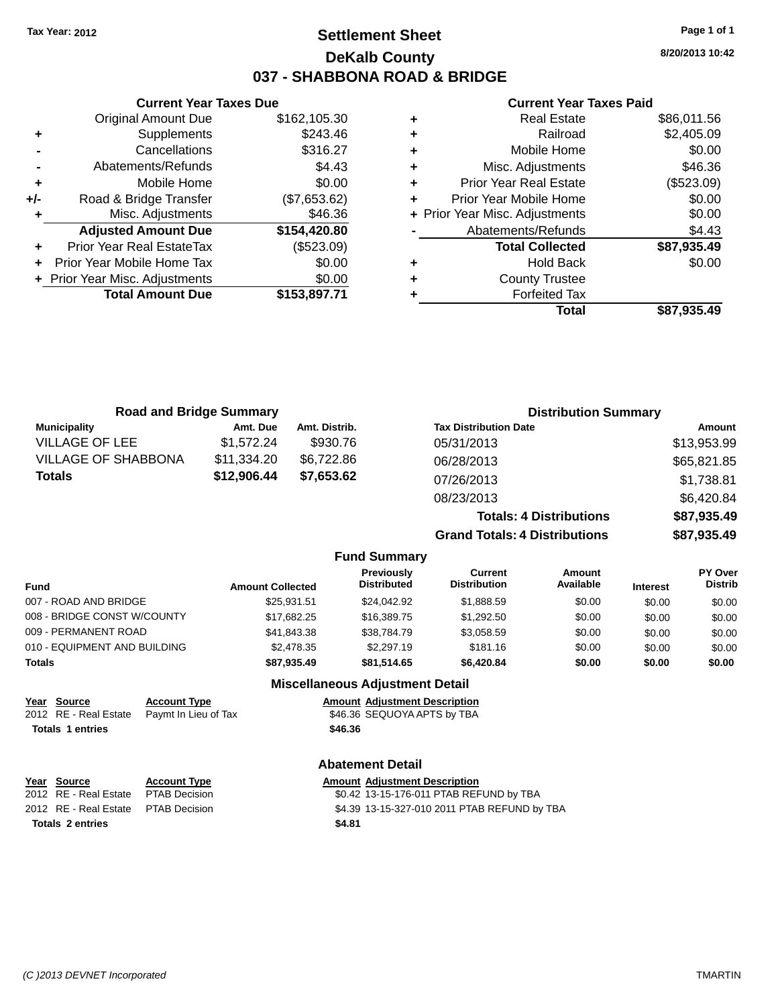# **Settlement Sheet Tax Year: 2012 Page 1 of 1 DeKalb County 037 - SHABBONA ROAD & BRIDGE**

**8/20/2013 10:42**

#### **Current Year Taxes Paid**

|     | <b>Current Year Taxes Due</b>    |              |   |                    |
|-----|----------------------------------|--------------|---|--------------------|
|     | <b>Original Amount Due</b>       | \$162,105.30 | ٠ |                    |
|     | Supplements                      | \$243.46     | ٠ |                    |
|     | Cancellations                    | \$316.27     | ٠ |                    |
|     | Abatements/Refunds               | \$4.43       |   | М                  |
|     | Mobile Home                      | \$0.00       | ٠ | Prior <sup>1</sup> |
| +/- | Road & Bridge Transfer           | (\$7,653.62) | ÷ | Prior Ye           |
|     | Misc. Adjustments                | \$46.36      |   | + Prior Year M     |
|     | <b>Adjusted Amount Due</b>       | \$154,420.80 |   | Abat               |
|     | <b>Prior Year Real EstateTax</b> | (\$523.09)   |   |                    |
|     | Prior Year Mobile Home Tax       | \$0.00       | ٠ |                    |
|     | + Prior Year Misc. Adjustments   | \$0.00       |   |                    |
|     | <b>Total Amount Due</b>          | \$153,897.71 |   |                    |
|     |                                  |              |   |                    |

|   | <b>Real Estate</b>             | \$86,011.56 |
|---|--------------------------------|-------------|
| ٠ | Railroad                       | \$2,405.09  |
| ٠ | Mobile Home                    | \$0.00      |
| ٠ | Misc. Adjustments              | \$46.36     |
| ٠ | <b>Prior Year Real Estate</b>  | (\$523.09)  |
| ÷ | Prior Year Mobile Home         | \$0.00      |
|   | + Prior Year Misc. Adjustments | \$0.00      |
|   | Abatements/Refunds             | \$4.43      |
|   | <b>Total Collected</b>         | \$87,935.49 |
|   | <b>Hold Back</b>               | \$0.00      |
| ٠ | <b>County Trustee</b>          |             |
|   | <b>Forfeited Tax</b>           |             |
|   | Total                          | \$87,935.49 |
|   |                                |             |

|                              | <b>Road and Bridge Summary</b> |                         |                                        |                                         | <b>Distribution Summary</b>    |                 |                           |
|------------------------------|--------------------------------|-------------------------|----------------------------------------|-----------------------------------------|--------------------------------|-----------------|---------------------------|
| <b>Municipality</b>          | Amt. Due                       | Amt. Distrib.           |                                        | <b>Tax Distribution Date</b>            |                                |                 | <b>Amount</b>             |
| <b>VILLAGE OF LEE</b>        | \$1,572.24                     | \$930.76                |                                        | 05/31/2013                              |                                |                 | \$13,953.99               |
| <b>VILLAGE OF SHABBONA</b>   | \$11,334.20                    | \$6,722.86              |                                        | 06/28/2013                              |                                |                 | \$65,821.85               |
| <b>Totals</b>                | \$12,906.44                    | \$7,653.62              |                                        | 07/26/2013                              |                                |                 | \$1,738.81                |
|                              |                                |                         |                                        | 08/23/2013                              |                                |                 | \$6,420.84                |
|                              |                                |                         |                                        |                                         | <b>Totals: 4 Distributions</b> |                 | \$87,935.49               |
|                              |                                |                         |                                        | <b>Grand Totals: 4 Distributions</b>    |                                |                 | \$87,935.49               |
|                              |                                |                         | <b>Fund Summary</b>                    |                                         |                                |                 |                           |
| Fund                         |                                | <b>Amount Collected</b> | Previously<br><b>Distributed</b>       | <b>Current</b><br><b>Distribution</b>   | Amount<br>Available            | <b>Interest</b> | PY Over<br><b>Distrib</b> |
| 007 - ROAD AND BRIDGE        |                                | \$25,931.51             | \$24,042.92                            | \$1,888.59                              | \$0.00                         | \$0.00          | \$0.00                    |
| 008 - BRIDGE CONST W/COUNTY  |                                | \$17.682.25             | \$16,389.75                            | \$1,292.50                              | \$0.00                         | \$0.00          | \$0.00                    |
| 009 - PERMANENT ROAD         |                                | \$41,843.38             | \$38,784.79                            | \$3,058.59                              | \$0.00                         | \$0.00          | \$0.00                    |
| 010 - EQUIPMENT AND BUILDING |                                | \$2,478.35              | \$2,297.19                             | \$181.16                                | \$0.00                         | \$0.00          | \$0.00                    |
| <b>Totals</b>                |                                | \$87,935.49             | \$81,514.65                            | \$6,420.84                              | \$0.00                         | \$0.00          | \$0.00                    |
|                              |                                |                         | <b>Miscellaneous Adjustment Detail</b> |                                         |                                |                 |                           |
| Year Source                  | <b>Account Type</b>            |                         | <b>Amount Adjustment Description</b>   |                                         |                                |                 |                           |
| 2012 RE - Real Estate        | Paymt In Lieu of Tax           |                         | \$46.36 SEQUOYA APTS by TBA            |                                         |                                |                 |                           |
| <b>Totals 1 entries</b>      |                                |                         | \$46.36                                |                                         |                                |                 |                           |
|                              |                                |                         | <b>Abatement Detail</b>                |                                         |                                |                 |                           |
| Year Source                  | <b>Account Type</b>            |                         | <b>Amount Adjustment Description</b>   |                                         |                                |                 |                           |
| 2012 RE - Real Estate        | <b>PTAB Decision</b>           |                         |                                        | \$0.42 13-15-176-011 PTAB REFUND by TBA |                                |                 |                           |

2012 RE - Real Estate PTAB Decision \$4.39 13-15-327-010 2011 PTAB REFUND by TBA **Totals 2 entries \$4.81**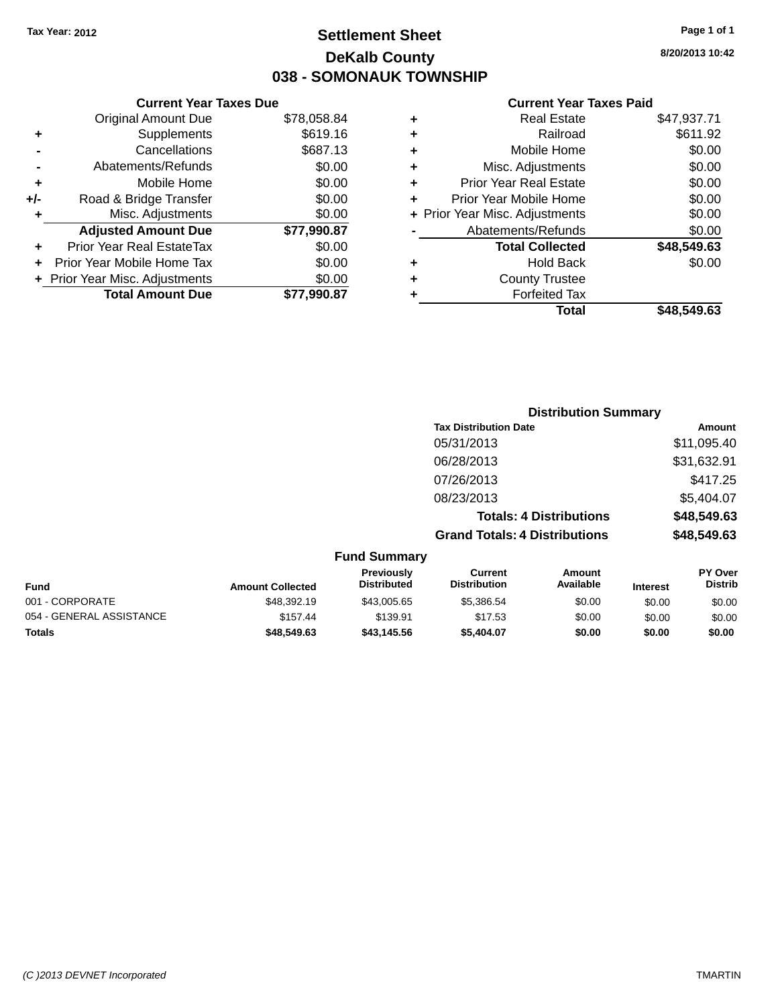# **Settlement Sheet Tax Year: 2012 Page 1 of 1 DeKalb County 038 - SOMONAUK TOWNSHIP**

**8/20/2013 10:42**

#### **Current Year Taxes Paid**

|       | <b>Current Year Taxes Due</b>  |             |
|-------|--------------------------------|-------------|
|       | <b>Original Amount Due</b>     | \$78,058.84 |
| ٠     | Supplements                    | \$619.16    |
|       | Cancellations                  | \$687.13    |
|       | Abatements/Refunds             | \$0.00      |
| ٠     | Mobile Home                    | \$0.00      |
| $+/-$ | Road & Bridge Transfer         | \$0.00      |
| ٠     | Misc. Adjustments              | \$0.00      |
|       | <b>Adjusted Amount Due</b>     | \$77,990.87 |
| ٠     | Prior Year Real EstateTax      | \$0.00      |
|       | Prior Year Mobile Home Tax     | \$0.00      |
|       | + Prior Year Misc. Adjustments | \$0.00      |
|       | <b>Total Amount Due</b>        | \$77.990.87 |
|       |                                |             |

| ٠ | <b>Real Estate</b>             | \$47,937.71 |
|---|--------------------------------|-------------|
| ٠ | Railroad                       | \$611.92    |
| ٠ | Mobile Home                    | \$0.00      |
| ٠ | Misc. Adjustments              | \$0.00      |
| ٠ | <b>Prior Year Real Estate</b>  | \$0.00      |
| ÷ | Prior Year Mobile Home         | \$0.00      |
|   | + Prior Year Misc. Adjustments | \$0.00      |
|   | Abatements/Refunds             | \$0.00      |
|   | <b>Total Collected</b>         | \$48,549.63 |
| ٠ | Hold Back                      | \$0.00      |
| ÷ | <b>County Trustee</b>          |             |
| ٠ | <b>Forfeited Tax</b>           |             |
|   | Total                          | \$48.549.63 |
|   |                                |             |

|                          |                         |                                  |                                       | <b>Distribution Summary</b>    |                 |                           |
|--------------------------|-------------------------|----------------------------------|---------------------------------------|--------------------------------|-----------------|---------------------------|
|                          |                         |                                  | <b>Tax Distribution Date</b>          |                                |                 | Amount                    |
|                          |                         |                                  | 05/31/2013                            |                                |                 | \$11,095.40               |
|                          |                         |                                  | 06/28/2013                            |                                |                 | \$31,632.91               |
|                          |                         |                                  | 07/26/2013                            |                                |                 | \$417.25                  |
|                          |                         |                                  | 08/23/2013                            |                                |                 | \$5,404.07                |
|                          |                         |                                  |                                       | <b>Totals: 4 Distributions</b> |                 | \$48,549.63               |
|                          |                         |                                  | <b>Grand Totals: 4 Distributions</b>  |                                |                 | \$48,549.63               |
|                          |                         | <b>Fund Summary</b>              |                                       |                                |                 |                           |
| <b>Fund</b>              | <b>Amount Collected</b> | Previously<br><b>Distributed</b> | <b>Current</b><br><b>Distribution</b> | Amount<br>Available            | <b>Interest</b> | PY Over<br><b>Distrib</b> |
| 001 - CORPORATE          | \$48,392.19             | \$43,005.65                      | \$5,386.54                            | \$0.00                         | \$0.00          | \$0.00                    |
| 054 - GENERAL ASSISTANCE | \$157.44                | \$139.91                         | \$17.53                               | \$0.00                         | \$0.00          | \$0.00                    |

**Totals \$48,549.63 \$43,145.56 \$5,404.07 \$0.00 \$0.00 \$0.00**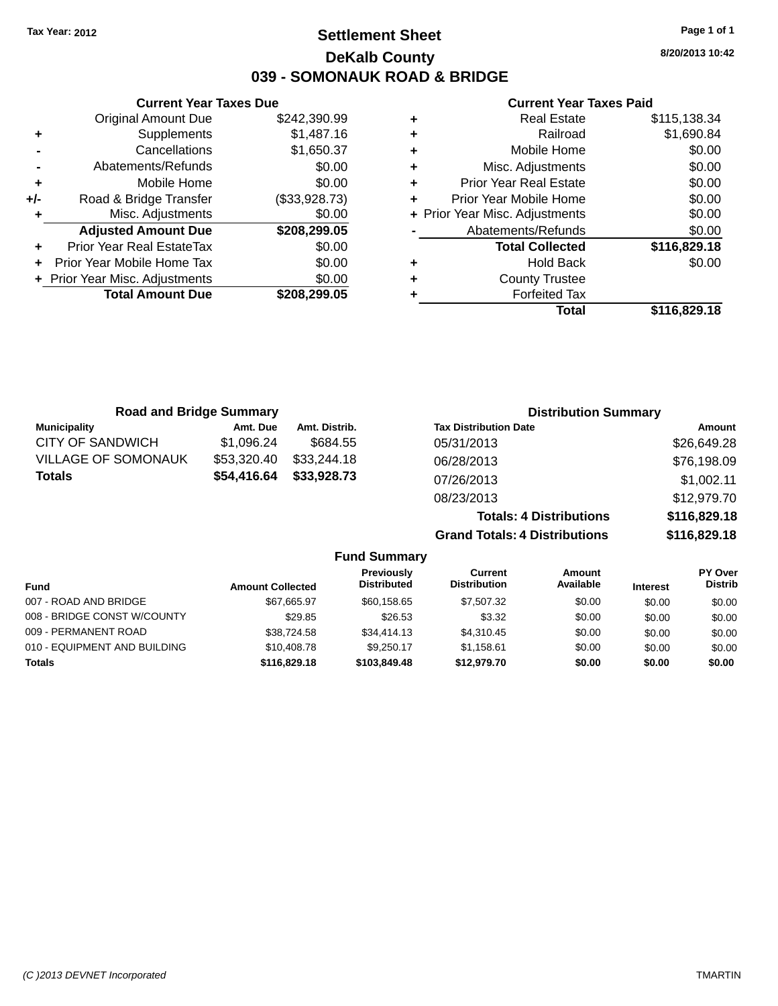# **Settlement Sheet Tax Year: 2012 Page 1 of 1 DeKalb County 039 - SOMONAUK ROAD & BRIDGE**

**8/20/2013 10:42**

#### **Current Year Taxes Paid**

|   | <b>Real Estate</b>             | \$115,138.34 |
|---|--------------------------------|--------------|
| ٠ | Railroad                       | \$1,690.84   |
| ٠ | Mobile Home                    | \$0.00       |
| ٠ | Misc. Adjustments              | \$0.00       |
| ٠ | <b>Prior Year Real Estate</b>  | \$0.00       |
| ٠ | Prior Year Mobile Home         | \$0.00       |
|   | + Prior Year Misc. Adjustments | \$0.00       |
|   | Abatements/Refunds             | \$0.00       |
|   | <b>Total Collected</b>         | \$116,829.18 |
| ٠ | Hold Back                      | \$0.00       |
| ٠ | <b>County Trustee</b>          |              |
|   | <b>Forfeited Tax</b>           |              |
|   | Total                          | \$116,829.18 |

|     | <b>Current Year Taxes Due</b>    |               |
|-----|----------------------------------|---------------|
|     | Original Amount Due              | \$242,390.99  |
| ٠   | Supplements                      | \$1,487.16    |
|     | Cancellations                    | \$1,650.37    |
|     | Abatements/Refunds               | \$0.00        |
| ٠   | Mobile Home                      | \$0.00        |
| +/- | Road & Bridge Transfer           | (\$33,928.73) |
|     | Misc. Adjustments                | \$0.00        |
|     | <b>Adjusted Amount Due</b>       | \$208,299.05  |
|     | <b>Prior Year Real EstateTax</b> | \$0.00        |
|     | Prior Year Mobile Home Tax       | \$0.00        |
|     | + Prior Year Misc. Adjustments   | \$0.00        |
|     | <b>Total Amount Due</b>          | \$208,299.05  |
|     |                                  |               |

|                            | <b>Road and Bridge Summary</b> |               | <b>Distribution Summary</b>          |              |
|----------------------------|--------------------------------|---------------|--------------------------------------|--------------|
| <b>Municipality</b>        | Amt. Due                       | Amt. Distrib. | <b>Tax Distribution Date</b>         | Amount       |
| <b>CITY OF SANDWICH</b>    | \$1,096.24                     | \$684.55      | 05/31/2013                           | \$26,649.28  |
| <b>VILLAGE OF SOMONAUK</b> | \$53,320.40                    | \$33,244.18   | 06/28/2013                           | \$76,198.09  |
| <b>Totals</b>              | \$54,416.64                    | \$33,928.73   | 07/26/2013                           | \$1,002.11   |
|                            |                                |               | 08/23/2013                           | \$12,979.70  |
|                            |                                |               | <b>Totals: 4 Distributions</b>       | \$116,829.18 |
|                            |                                |               | <b>Grand Totals: 4 Distributions</b> | \$116,829.18 |

|                              |                         | <b>Fund Summary</b>              |                                |                            |                 |                                  |
|------------------------------|-------------------------|----------------------------------|--------------------------------|----------------------------|-----------------|----------------------------------|
| <b>Fund</b>                  | <b>Amount Collected</b> | Previously<br><b>Distributed</b> | Current<br><b>Distribution</b> | <b>Amount</b><br>Available | <b>Interest</b> | <b>PY Over</b><br><b>Distrib</b> |
| 007 - ROAD AND BRIDGE        | \$67,665.97             | \$60,158.65                      | \$7,507.32                     | \$0.00                     | \$0.00          | \$0.00                           |
| 008 - BRIDGE CONST W/COUNTY  | \$29.85                 | \$26.53                          | \$3.32                         | \$0.00                     | \$0.00          | \$0.00                           |
| 009 - PERMANENT ROAD         | \$38.724.58             | \$34,414.13                      | \$4.310.45                     | \$0.00                     | \$0.00          | \$0.00                           |
| 010 - EQUIPMENT AND BUILDING | \$10,408.78             | \$9.250.17                       | \$1.158.61                     | \$0.00                     | \$0.00          | \$0.00                           |
| <b>Totals</b>                | \$116,829.18            | \$103,849,48                     | \$12,979.70                    | \$0.00                     | \$0.00          | \$0.00                           |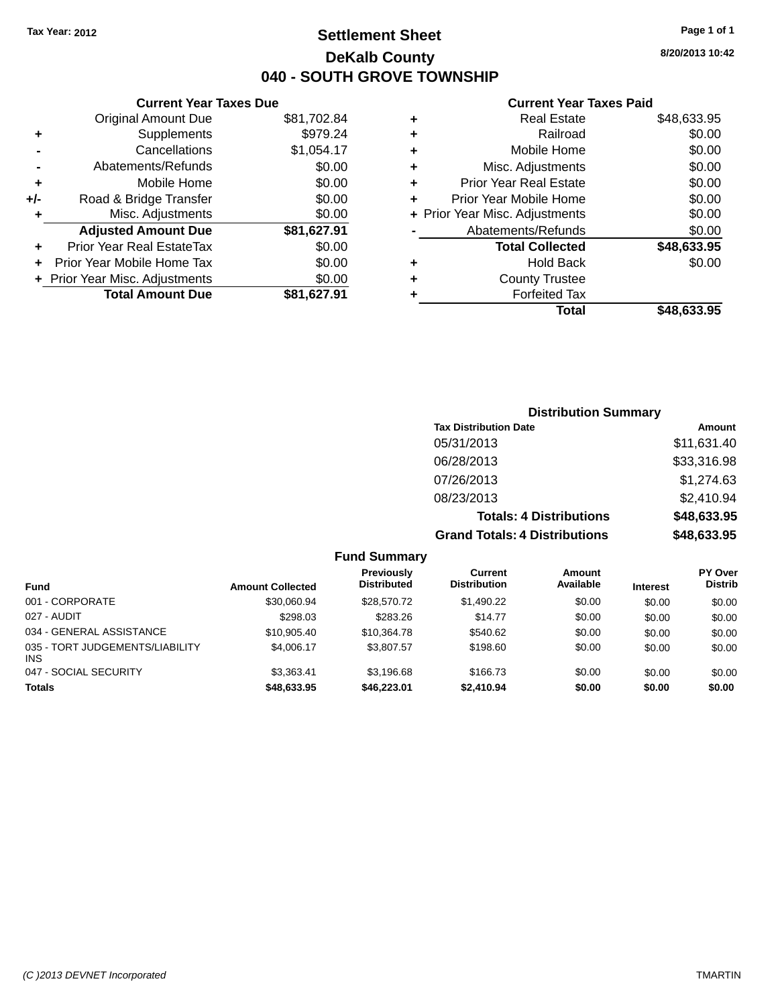# **Settlement Sheet Tax Year: 2012 Page 1 of 1 DeKalb County 040 - SOUTH GROVE TOWNSHIP**

**8/20/2013 10:42**

#### **Current Year Taxes Paid**

|     | <b>Total Amount Due</b>        | \$81,627.91 |
|-----|--------------------------------|-------------|
|     | + Prior Year Misc. Adjustments | \$0.00      |
| ٠   | Prior Year Mobile Home Tax     | \$0.00      |
| ٠   | Prior Year Real EstateTax      | \$0.00      |
|     | <b>Adjusted Amount Due</b>     | \$81,627.91 |
| ٠   | Misc. Adjustments              | \$0.00      |
| +/- | Road & Bridge Transfer         | \$0.00      |
| ٠   | Mobile Home                    | \$0.00      |
|     | Abatements/Refunds             | \$0.00      |
|     | Cancellations                  | \$1,054.17  |
| ٠   | Supplements                    | \$979.24    |
|     | <b>Original Amount Due</b>     | \$81,702.84 |
|     |                                |             |

**Current Year Taxes Due**

|   | <b>Real Estate</b>             | \$48,633.95 |
|---|--------------------------------|-------------|
| ٠ | Railroad                       | \$0.00      |
| ٠ | Mobile Home                    | \$0.00      |
| ٠ | Misc. Adjustments              | \$0.00      |
| ٠ | <b>Prior Year Real Estate</b>  | \$0.00      |
| ٠ | Prior Year Mobile Home         | \$0.00      |
|   | + Prior Year Misc. Adjustments | \$0.00      |
|   | Abatements/Refunds             | \$0.00      |
|   | <b>Total Collected</b>         | \$48,633.95 |
| ٠ | <b>Hold Back</b>               | \$0.00      |
| ٠ | <b>County Trustee</b>          |             |
| ٠ | <b>Forfeited Tax</b>           |             |
|   | Total                          | \$48,633.95 |
|   |                                |             |

# **Distribution Summary Tax Distribution Date Amount** 05/31/2013 \$11,631.40 06/28/2013 \$33,316.98 07/26/2013 \$1,274.63 08/23/2013 \$2,410.94 **Totals: 4 Distributions \$48,633.95 Grand Totals: 4 Distributions \$48,633.95**

|                                         |                         | <b>Fund Summary</b>                     |                                |                     |                 |                                  |
|-----------------------------------------|-------------------------|-----------------------------------------|--------------------------------|---------------------|-----------------|----------------------------------|
| <b>Fund</b>                             | <b>Amount Collected</b> | <b>Previously</b><br><b>Distributed</b> | Current<br><b>Distribution</b> | Amount<br>Available | <b>Interest</b> | <b>PY Over</b><br><b>Distrib</b> |
| 001 - CORPORATE                         | \$30.060.94             | \$28,570.72                             | \$1,490.22                     | \$0.00              | \$0.00          | \$0.00                           |
| 027 - AUDIT                             | \$298.03                | \$283.26                                | \$14.77                        | \$0.00              | \$0.00          | \$0.00                           |
| 034 - GENERAL ASSISTANCE                | \$10,905.40             | \$10.364.78                             | \$540.62                       | \$0.00              | \$0.00          | \$0.00                           |
| 035 - TORT JUDGEMENTS/LIABILITY<br>INS. | \$4,006.17              | \$3,807.57                              | \$198.60                       | \$0.00              | \$0.00          | \$0.00                           |
| 047 - SOCIAL SECURITY                   | \$3.363.41              | \$3.196.68                              | \$166.73                       | \$0.00              | \$0.00          | \$0.00                           |
| <b>Totals</b>                           | \$48,633.95             | \$46,223.01                             | \$2,410.94                     | \$0.00              | \$0.00          | \$0.00                           |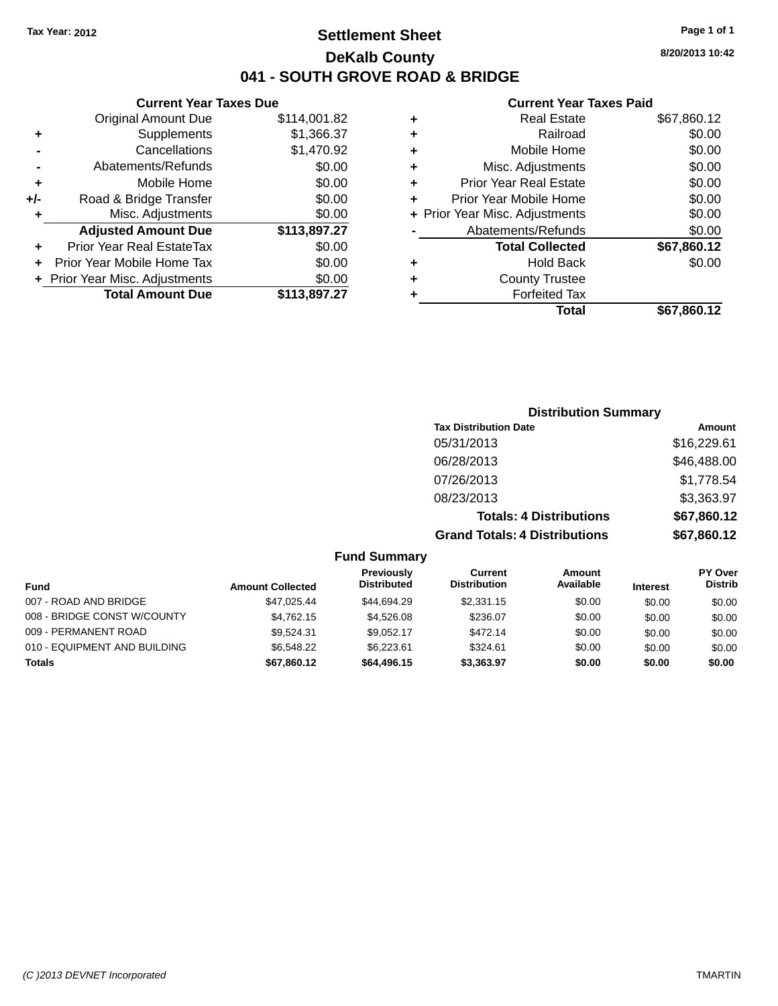# **Settlement Sheet Tax Year: 2012 Page 1 of 1 DeKalb County 041 - SOUTH GROVE ROAD & BRIDGE**

**Current Year Taxes Due**

|     | <b>Original Amount Due</b>     | \$114,001.82 |
|-----|--------------------------------|--------------|
| ٠   | Supplements                    | \$1,366.37   |
|     | Cancellations                  | \$1,470.92   |
|     | Abatements/Refunds             | \$0.00       |
| ٠   | Mobile Home                    | \$0.00       |
| +/- | Road & Bridge Transfer         | \$0.00       |
| ٠   | Misc. Adjustments              | \$0.00       |
|     | <b>Adjusted Amount Due</b>     | \$113,897.27 |
| ÷   | Prior Year Real EstateTax      | \$0.00       |
|     | Prior Year Mobile Home Tax     | \$0.00       |
|     | + Prior Year Misc. Adjustments | \$0.00       |
|     | <b>Total Amount Due</b>        | \$113,897.27 |
|     |                                |              |

#### **Current Year Taxes Paid**

|   | <b>Real Estate</b>             | \$67,860.12 |
|---|--------------------------------|-------------|
| ٠ | Railroad                       | \$0.00      |
| ٠ | Mobile Home                    | \$0.00      |
| ٠ | Misc. Adjustments              | \$0.00      |
| ٠ | <b>Prior Year Real Estate</b>  | \$0.00      |
| ٠ | Prior Year Mobile Home         | \$0.00      |
|   | + Prior Year Misc. Adjustments | \$0.00      |
|   | Abatements/Refunds             | \$0.00      |
|   | <b>Total Collected</b>         | \$67,860.12 |
| ٠ | <b>Hold Back</b>               | \$0.00      |
| ٠ | <b>County Trustee</b>          |             |
| ٠ | <b>Forfeited Tax</b>           |             |
|   | Total                          | \$67,860.12 |
|   |                                |             |

| <b>Distribution Summary</b>          |             |  |  |  |
|--------------------------------------|-------------|--|--|--|
| <b>Tax Distribution Date</b>         | Amount      |  |  |  |
| 05/31/2013                           | \$16,229.61 |  |  |  |
| 06/28/2013                           | \$46,488.00 |  |  |  |
| 07/26/2013                           | \$1,778.54  |  |  |  |
| 08/23/2013                           | \$3,363.97  |  |  |  |
| <b>Totals: 4 Distributions</b>       | \$67,860.12 |  |  |  |
| <b>Grand Totals: 4 Distributions</b> | \$67,860.12 |  |  |  |

# **Fund Summary**

|                              |                         | Previously<br><b>Distributed</b> | Current<br><b>Distribution</b> | Amount<br>Available |                 | <b>PY Over</b><br><b>Distrib</b> |
|------------------------------|-------------------------|----------------------------------|--------------------------------|---------------------|-----------------|----------------------------------|
| <b>Fund</b>                  | <b>Amount Collected</b> |                                  |                                |                     | <b>Interest</b> |                                  |
| 007 - ROAD AND BRIDGE        | \$47,025.44             | \$44.694.29                      | \$2,331.15                     | \$0.00              | \$0.00          | \$0.00                           |
| 008 - BRIDGE CONST W/COUNTY  | \$4.762.15              | \$4.526.08                       | \$236.07                       | \$0.00              | \$0.00          | \$0.00                           |
| 009 - PERMANENT ROAD         | \$9.524.31              | \$9.052.17                       | \$472.14                       | \$0.00              | \$0.00          | \$0.00                           |
| 010 - EQUIPMENT AND BUILDING | \$6,548.22              | \$6.223.61                       | \$324.61                       | \$0.00              | \$0.00          | \$0.00                           |
| Totals                       | \$67,860.12             | \$64,496.15                      | \$3.363.97                     | \$0.00              | \$0.00          | \$0.00                           |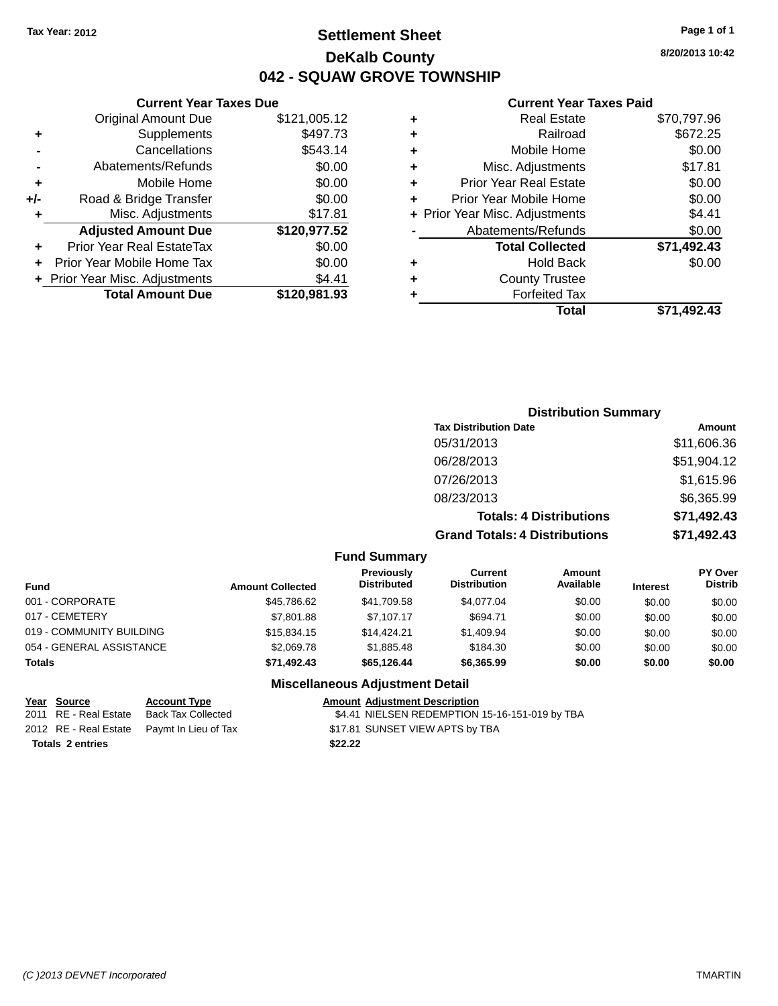# **Settlement Sheet Tax Year: 2012 Page 1 of 1 DeKalb County 042 - SQUAW GROVE TOWNSHIP**

**8/20/2013 10:42**

#### **Current Year Taxes Paid**

|     | <b>Total Amount Due</b>        | \$120,981.93 |
|-----|--------------------------------|--------------|
|     | + Prior Year Misc. Adjustments | \$4.41       |
|     | Prior Year Mobile Home Tax     | \$0.00       |
| ٠   | Prior Year Real EstateTax      | \$0.00       |
|     | <b>Adjusted Amount Due</b>     | \$120,977.52 |
| ٠   | Misc. Adjustments              | \$17.81      |
| +/- | Road & Bridge Transfer         | \$0.00       |
| ٠   | Mobile Home                    | \$0.00       |
|     | Abatements/Refunds             | \$0.00       |
|     | Cancellations                  | \$543.14     |
| ٠   | Supplements                    | \$497.73     |
|     | <b>Original Amount Due</b>     | \$121,005.12 |
|     |                                |              |

**Current Year Taxes Due**

| \$672.25<br>Railroad<br>٠<br>\$0.00<br>Mobile Home<br>٠<br>\$17.81<br>Misc. Adjustments<br>٠<br>\$0.00<br><b>Prior Year Real Estate</b><br>٠<br>\$0.00<br>Prior Year Mobile Home<br>÷<br>\$4.41<br>+ Prior Year Misc. Adjustments<br>\$0.00<br>Abatements/Refunds<br>\$71,492.43<br><b>Total Collected</b><br>\$0.00<br><b>Hold Back</b><br>٠<br><b>County Trustee</b><br>٠<br><b>Forfeited Tax</b><br>٠ | ٠ | <b>Real Estate</b> | \$70,797.96 |
|----------------------------------------------------------------------------------------------------------------------------------------------------------------------------------------------------------------------------------------------------------------------------------------------------------------------------------------------------------------------------------------------------------|---|--------------------|-------------|
|                                                                                                                                                                                                                                                                                                                                                                                                          |   |                    |             |
|                                                                                                                                                                                                                                                                                                                                                                                                          |   |                    |             |
|                                                                                                                                                                                                                                                                                                                                                                                                          |   |                    |             |
|                                                                                                                                                                                                                                                                                                                                                                                                          |   |                    |             |
|                                                                                                                                                                                                                                                                                                                                                                                                          |   |                    |             |
|                                                                                                                                                                                                                                                                                                                                                                                                          |   |                    |             |
|                                                                                                                                                                                                                                                                                                                                                                                                          |   |                    |             |
|                                                                                                                                                                                                                                                                                                                                                                                                          |   |                    |             |
|                                                                                                                                                                                                                                                                                                                                                                                                          |   |                    |             |
|                                                                                                                                                                                                                                                                                                                                                                                                          |   |                    |             |
|                                                                                                                                                                                                                                                                                                                                                                                                          |   |                    |             |
|                                                                                                                                                                                                                                                                                                                                                                                                          |   | Total              | \$71,492.43 |

# **Distribution Summary Tax Distribution Date Amount** 05/31/2013 \$11,606.36 06/28/2013 \$51,904.12 07/26/2013 \$1,615.96 08/23/2013 \$6,365.99 **Totals: 4 Distributions \$71,492.43 Grand Totals: 4 Distributions \$71,492.43**

#### **Fund Summary**

| <b>Amount Collected</b> | <b>Previously</b><br><b>Distributed</b> | Current<br><b>Distribution</b> | Amount<br>Available | <b>Interest</b> | <b>PY Over</b><br><b>Distrib</b> |
|-------------------------|-----------------------------------------|--------------------------------|---------------------|-----------------|----------------------------------|
| \$45,786.62             | \$41,709.58                             | \$4.077.04                     | \$0.00              | \$0.00          | \$0.00                           |
| \$7,801.88              | \$7.107.17                              | \$694.71                       | \$0.00              | \$0.00          | \$0.00                           |
| \$15,834.15             | \$14,424.21                             | \$1,409.94                     | \$0.00              | \$0.00          | \$0.00                           |
| \$2,069.78              | \$1,885.48                              | \$184.30                       | \$0.00              | \$0.00          | \$0.00                           |
| \$71.492.43             | \$65.126.44                             | \$6,365.99                     | \$0.00              | \$0.00          | \$0.00                           |
|                         |                                         |                                |                     |                 |                                  |

#### **Miscellaneous Adjustment Detail**

| Year Source             | <b>Account Type</b>                        |         | <b>Amount Adiustment Description</b>           |
|-------------------------|--------------------------------------------|---------|------------------------------------------------|
|                         | 2011 RE - Real Estate Back Tax Collected   |         | \$4.41 NIELSEN REDEMPTION 15-16-151-019 by TBA |
|                         | 2012 RE - Real Estate Paymt In Lieu of Tax |         | \$17.81 SUNSET VIEW APTS by TBA                |
| <b>Totals 2 entries</b> |                                            | \$22.22 |                                                |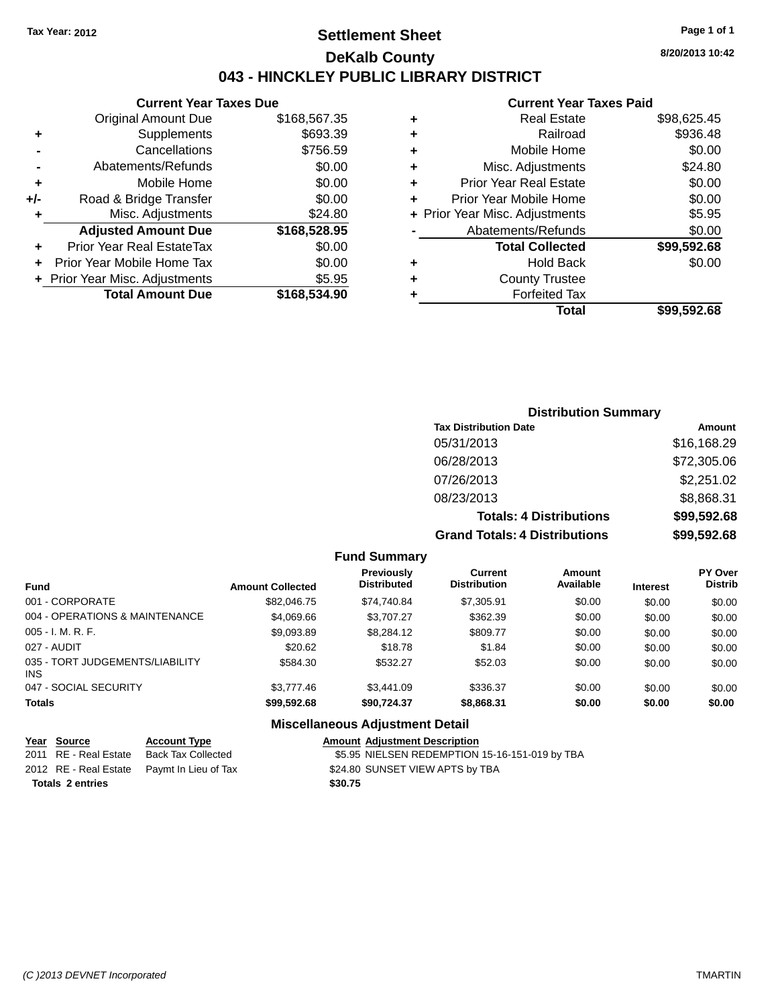# **Settlement Sheet Tax Year: 2012 Page 1 of 1 DeKalb County 043 - HINCKLEY PUBLIC LIBRARY DISTRICT**

**Current Year Taxes Due**

|       | <b>Original Amount Due</b>     | \$168,567.35 |
|-------|--------------------------------|--------------|
| ٠     | Supplements                    | \$693.39     |
|       | Cancellations                  | \$756.59     |
|       | Abatements/Refunds             | \$0.00       |
| ÷     | Mobile Home                    | \$0.00       |
| $+/-$ | Road & Bridge Transfer         | \$0.00       |
| ٠     | Misc. Adjustments              | \$24.80      |
|       | <b>Adjusted Amount Due</b>     | \$168,528.95 |
| ÷     | Prior Year Real EstateTax      | \$0.00       |
|       | Prior Year Mobile Home Tax     | \$0.00       |
|       | + Prior Year Misc. Adjustments | \$5.95       |
|       | <b>Total Amount Due</b>        | \$168,534.90 |
|       |                                |              |

#### **Current Year Taxes Paid**

|   | Real Estate                    | \$98,625.45 |
|---|--------------------------------|-------------|
| ٠ | Railroad                       | \$936.48    |
| ٠ | Mobile Home                    | \$0.00      |
| ٠ | Misc. Adjustments              | \$24.80     |
| ٠ | <b>Prior Year Real Estate</b>  | \$0.00      |
| ÷ | Prior Year Mobile Home         | \$0.00      |
|   | + Prior Year Misc. Adjustments | \$5.95      |
|   | Abatements/Refunds             | \$0.00      |
|   | <b>Total Collected</b>         | \$99,592.68 |
| ٠ | Hold Back                      | \$0.00      |
| ٠ | <b>County Trustee</b>          |             |
|   | <b>Forfeited Tax</b>           |             |
|   | Total                          | \$99.592.68 |
|   |                                |             |

# **Distribution Summary Tax Distribution Date Amount**

| <b>Grand Totals: 4 Distributions</b> | \$99,592.68 |
|--------------------------------------|-------------|
| <b>Totals: 4 Distributions</b>       | \$99,592.68 |
| 08/23/2013                           | \$8,868.31  |
| 07/26/2013                           | \$2,251.02  |
| 06/28/2013                           | \$72,305.06 |
| 05/31/2013                           | \$16,168.29 |
| iax Distribution Date                | AMOUNT      |

#### **Fund Summary**

| <b>Fund</b>                             | <b>Amount Collected</b> | <b>Previously</b><br><b>Distributed</b> | Current<br><b>Distribution</b> | Amount<br>Available | <b>Interest</b> | <b>PY Over</b><br><b>Distrib</b> |
|-----------------------------------------|-------------------------|-----------------------------------------|--------------------------------|---------------------|-----------------|----------------------------------|
| 001 - CORPORATE                         | \$82,046.75             | \$74,740.84                             | \$7,305.91                     | \$0.00              | \$0.00          | \$0.00                           |
| 004 - OPERATIONS & MAINTENANCE          | \$4,069.66              | \$3.707.27                              | \$362.39                       | \$0.00              | \$0.00          | \$0.00                           |
| $005 - I. M. R. F.$                     | \$9,093.89              | \$8,284.12                              | \$809.77                       | \$0.00              | \$0.00          | \$0.00                           |
| 027 - AUDIT                             | \$20.62                 | \$18.78                                 | \$1.84                         | \$0.00              | \$0.00          | \$0.00                           |
| 035 - TORT JUDGEMENTS/LIABILITY<br>INS. | \$584.30                | \$532.27                                | \$52.03                        | \$0.00              | \$0.00          | \$0.00                           |
| 047 - SOCIAL SECURITY                   | \$3,777.46              | \$3,441.09                              | \$336.37                       | \$0.00              | \$0.00          | \$0.00                           |
| <b>Totals</b>                           | \$99,592.68             | \$90,724.37                             | \$8,868.31                     | \$0.00              | \$0.00          | \$0.00                           |

# **Miscellaneous Adjustment Detail**

| Year Source             | <b>Account Type</b>                        |         | <b>Amount Adiustment Description</b>           |
|-------------------------|--------------------------------------------|---------|------------------------------------------------|
| 2011 RE - Real Estate   | Back Tax Collected                         |         | \$5.95 NIELSEN REDEMPTION 15-16-151-019 by TBA |
|                         | 2012 RE - Real Estate Paymt In Lieu of Tax |         | \$24.80 SUNSET VIEW APTS by TBA                |
| <b>Totals 2 entries</b> |                                            | \$30.75 |                                                |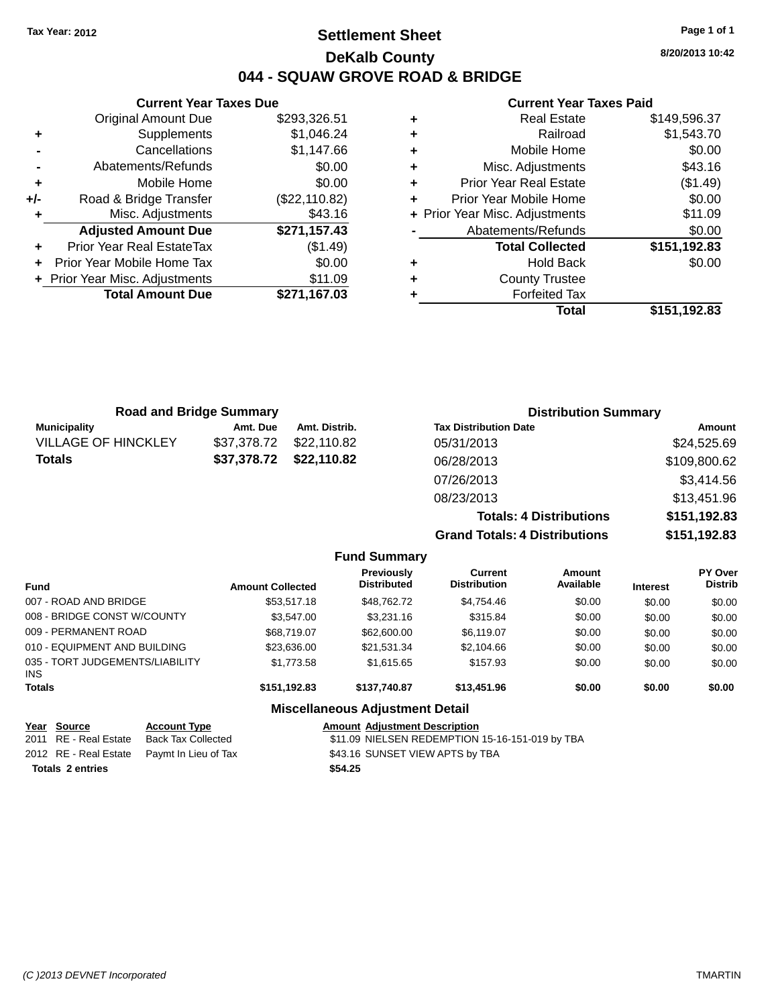# **Settlement Sheet Tax Year: 2012 Page 1 of 1 DeKalb County 044 - SQUAW GROVE ROAD & BRIDGE**

**8/20/2013 10:42**

#### **Current Year Taxes Paid**

|     | <b>Current Year Taxes Due</b>  |               |
|-----|--------------------------------|---------------|
|     | <b>Original Amount Due</b>     | \$293,326.51  |
| ٠   | Supplements                    | \$1,046.24    |
|     | Cancellations                  | \$1,147.66    |
|     | Abatements/Refunds             | \$0.00        |
| ٠   | Mobile Home                    | \$0.00        |
| +/- | Road & Bridge Transfer         | (\$22,110.82) |
| ٠   | Misc. Adjustments              | \$43.16       |
|     | <b>Adjusted Amount Due</b>     | \$271,157.43  |
| ٠   | Prior Year Real EstateTax      | (\$1.49)      |
| ÷   | Prior Year Mobile Home Tax     | \$0.00        |
|     | + Prior Year Misc. Adjustments | \$11.09       |
|     | <b>Total Amount Due</b>        | \$271,167.03  |
|     |                                |               |

|   | <b>Real Estate</b>             | \$149,596.37 |
|---|--------------------------------|--------------|
| ٠ | Railroad                       | \$1,543.70   |
| ٠ | Mobile Home                    | \$0.00       |
| ٠ | Misc. Adjustments              | \$43.16      |
| ٠ | <b>Prior Year Real Estate</b>  | (\$1.49)     |
| ٠ | Prior Year Mobile Home         | \$0.00       |
|   | + Prior Year Misc. Adjustments | \$11.09      |
|   | Abatements/Refunds             | \$0.00       |
|   | <b>Total Collected</b>         | \$151,192.83 |
| ٠ | <b>Hold Back</b>               | \$0.00       |
| ٠ | <b>County Trustee</b>          |              |
| ٠ | <b>Forfeited Tax</b>           |              |
|   | Total                          | \$151,192.83 |
|   |                                |              |

| <b>Road and Bridge Summary</b> |             |               | <b>Distribution Summary</b>  |              |  |
|--------------------------------|-------------|---------------|------------------------------|--------------|--|
| Municipality                   | Amt. Due    | Amt. Distrib. | <b>Tax Distribution Date</b> | Amount       |  |
| <b>VILLAGE OF HINCKLEY</b>     | \$37,378.72 | \$22.110.82   | 05/31/2013                   | \$24,525.69  |  |
| <b>Totals</b>                  | \$37,378.72 | \$22,110.82   | 06/28/2013                   | \$109,800.62 |  |
|                                |             |               | 07/26/2013                   | \$3,414.56   |  |
|                                |             |               | 08/23/2013                   | \$13,451.96  |  |
|                                |             |               |                              |              |  |

**Totals: 4 Distributions \$151,192.83 Grand Totals: 4 Distributions \$151,192.83 Fund Summary Amount Current Previously**

| <b>Fund</b>                                   | <b>Amount Collected</b> | Previously<br><b>Distributed</b>       | <b>Current</b><br><b>Distribution</b> | Amount<br>Available | <b>Interest</b> | <b>PY Over</b><br><b>Distrib</b> |
|-----------------------------------------------|-------------------------|----------------------------------------|---------------------------------------|---------------------|-----------------|----------------------------------|
| 007 - ROAD AND BRIDGE                         | \$53,517.18             | \$48.762.72                            | \$4,754.46                            | \$0.00              | \$0.00          | \$0.00                           |
| 008 - BRIDGE CONST W/COUNTY                   | \$3.547.00              | \$3,231.16                             | \$315.84                              | \$0.00              | \$0.00          | \$0.00                           |
| 009 - PERMANENT ROAD                          | \$68,719.07             | \$62,600.00                            | \$6,119.07                            | \$0.00              | \$0.00          | \$0.00                           |
| 010 - EQUIPMENT AND BUILDING                  | \$23,636.00             | \$21.531.34                            | \$2,104.66                            | \$0.00              | \$0.00          | \$0.00                           |
| 035 - TORT JUDGEMENTS/LIABILITY<br><b>INS</b> | \$1,773.58              | \$1,615.65                             | \$157.93                              | \$0.00              | \$0.00          | \$0.00                           |
| <b>Totals</b>                                 | \$151,192.83            | \$137.740.87                           | \$13,451.96                           | \$0.00              | \$0.00          | \$0.00                           |
|                                               |                         | <b>Miscellaneous Adjustment Detail</b> |                                       |                     |                 |                                  |

# **Year Source Account Type Amount Adjustment Description**

| <u>rear source</u>      | Account Ivpe                               | Amount Adiustment Description                   |
|-------------------------|--------------------------------------------|-------------------------------------------------|
| 2011 RE - Real Estate   | Back Tax Collected                         | \$11.09 NIELSEN REDEMPTION 15-16-151-019 by TBA |
|                         | 2012 RE - Real Estate Paymt In Lieu of Tax | \$43.16 SUNSET VIEW APTS by TBA                 |
| <b>Totals 2 entries</b> |                                            | \$54.25                                         |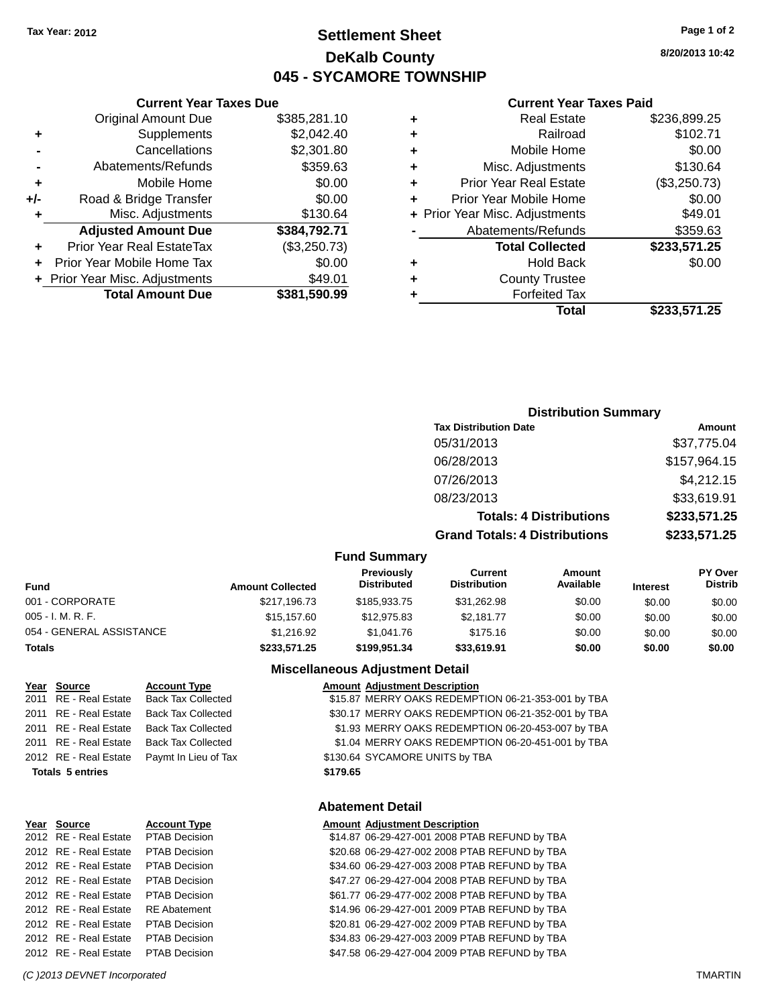# **Settlement Sheet Tax Year: 2012 Page 1 of 2 DeKalb County 045 - SYCAMORE TOWNSHIP**

**8/20/2013 10:42**

#### **Current Year Taxes Paid**

|     | <b>Original Amount Due</b>     | \$385,281.10 |
|-----|--------------------------------|--------------|
| ٠   | Supplements                    | \$2,042.40   |
|     | Cancellations                  | \$2,301.80   |
|     | Abatements/Refunds             | \$359.63     |
| ÷   | Mobile Home                    | \$0.00       |
| +/- | Road & Bridge Transfer         | \$0.00       |
| ٠   | Misc. Adjustments              | \$130.64     |
|     | <b>Adjusted Amount Due</b>     | \$384,792.71 |
| ٠   | Prior Year Real EstateTax      | (\$3,250.73) |
| ÷   | Prior Year Mobile Home Tax     | \$0.00       |
|     | + Prior Year Misc. Adjustments | \$49.01      |
|     | <b>Total Amount Due</b>        | \$381,590.99 |
|     |                                |              |

**Current Year Taxes Due**

| ٠ | <b>Real Estate</b>             | \$236,899.25 |
|---|--------------------------------|--------------|
| ٠ | Railroad                       | \$102.71     |
| ٠ | Mobile Home                    | \$0.00       |
| ٠ | Misc. Adjustments              | \$130.64     |
| ٠ | <b>Prior Year Real Estate</b>  | (\$3,250.73) |
| ٠ | Prior Year Mobile Home         | \$0.00       |
|   | + Prior Year Misc. Adjustments | \$49.01      |
|   | Abatements/Refunds             | \$359.63     |
|   | <b>Total Collected</b>         | \$233,571.25 |
| ٠ | <b>Hold Back</b>               | \$0.00       |
| ٠ | <b>County Trustee</b>          |              |
| ٠ | <b>Forfeited Tax</b>           |              |
|   | Total                          | \$233,571.25 |
|   |                                |              |

# **Distribution Summary Tax Distribution Date Amount** 05/31/2013 \$37,775.04 06/28/2013 \$157,964.15 07/26/2013 \$4,212.15 08/23/2013 \$33,619.91 **Totals: 4 Distributions \$233,571.25 Grand Totals: 4 Distributions \$233,571.25**

#### **Fund Summary**

| Fund                     | <b>Amount Collected</b> | <b>Previously</b><br><b>Distributed</b> | Current<br><b>Distribution</b> | Amount<br>Available | <b>Interest</b> | <b>PY Over</b><br><b>Distrib</b> |
|--------------------------|-------------------------|-----------------------------------------|--------------------------------|---------------------|-----------------|----------------------------------|
| 001 - CORPORATE          | \$217.196.73            | \$185,933,75                            | \$31.262.98                    | \$0.00              | \$0.00          | \$0.00                           |
| 005 - I. M. R. F.        | \$15,157.60             | \$12,975.83                             | \$2.181.77                     | \$0.00              | \$0.00          | \$0.00                           |
| 054 - GENERAL ASSISTANCE | \$1.216.92              | \$1.041.76                              | \$175.16                       | \$0.00              | \$0.00          | \$0.00                           |
| Totals                   | \$233,571.25            | \$199.951.34                            | \$33,619.91                    | \$0.00              | \$0.00          | \$0.00                           |

#### **Miscellaneous Adjustment Detail**

| Year Source             | <b>Account Type</b>       |          | <b>Amount Adjustment Description</b>               |
|-------------------------|---------------------------|----------|----------------------------------------------------|
| 2011 RE - Real Estate   | <b>Back Tax Collected</b> |          | \$15.87 MERRY OAKS REDEMPTION 06-21-353-001 by TBA |
| 2011 RE - Real Estate   | <b>Back Tax Collected</b> |          | \$30.17 MERRY OAKS REDEMPTION 06-21-352-001 by TBA |
| 2011 RE - Real Estate   | <b>Back Tax Collected</b> |          | \$1.93 MERRY OAKS REDEMPTION 06-20-453-007 by TBA  |
| 2011 RE - Real Estate   | <b>Back Tax Collected</b> |          | \$1.04 MERRY OAKS REDEMPTION 06-20-451-001 by TBA  |
| 2012 RE - Real Estate   | Paymt In Lieu of Tax      |          | \$130.64 SYCAMORE UNITS by TBA                     |
| <b>Totals 5 entries</b> |                           | \$179.65 |                                                    |
|                         |                           |          |                                                    |

#### **Abatement Detail**

| Year Source           | <b>Account Type</b>  | <b>Amount Adjustment Description</b>          |
|-----------------------|----------------------|-----------------------------------------------|
| 2012 RE - Real Estate | PTAB Decision        | \$14.87 06-29-427-001 2008 PTAB REFUND by TBA |
| 2012 RE - Real Estate | <b>PTAB Decision</b> | \$20.68 06-29-427-002 2008 PTAB REFUND by TBA |
| 2012 RE - Real Estate | PTAB Decision        | \$34.60 06-29-427-003 2008 PTAB REFUND by TBA |
| 2012 RE - Real Estate | <b>PTAB Decision</b> | \$47.27 06-29-427-004 2008 PTAB REFUND by TBA |
| 2012 RE - Real Estate | PTAB Decision        | \$61.77 06-29-477-002 2008 PTAB REFUND by TBA |
| 2012 RE - Real Estate | <b>RE</b> Abatement  | \$14.96 06-29-427-001 2009 PTAB REFUND by TBA |
| 2012 RE - Real Estate | PTAB Decision        | \$20.81 06-29-427-002 2009 PTAB REFUND by TBA |
| 2012 RE - Real Estate | PTAB Decision        | \$34.83 06-29-427-003 2009 PTAB REFUND by TBA |
| 2012 RE - Real Estate | <b>PTAB Decision</b> | \$47.58 06-29-427-004 2009 PTAB REFUND by TBA |

#### *(C )2013 DEVNET Incorporated* TMARTIN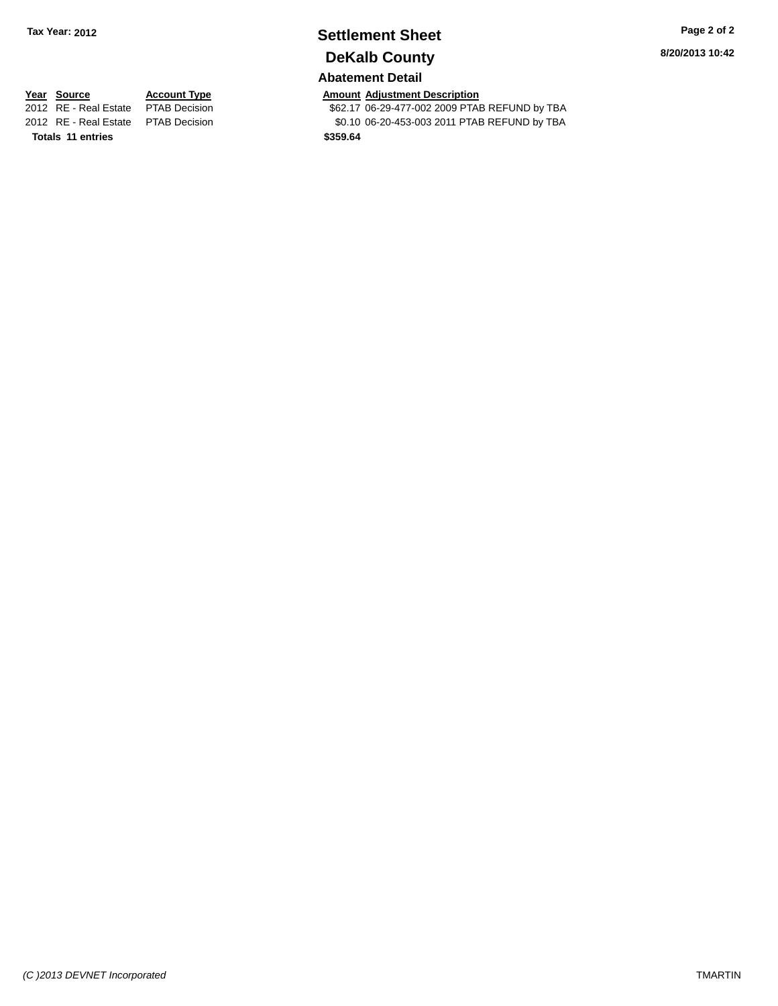# **Settlement Sheet Tax Year: 2012 Page 2 of 2 DeKalb County**

# **Abatement Detail**

\$62.17 06-29-477-002 2009 PTAB REFUND by TBA

**8/20/2013 10:42**

# **Year Source Account Type Amount Adjustment Description**<br>2012 RE - Real Estate PTAB Decision **Amount 1998** 862.17 06-29-477-002 2009 PTAE 2012 RE - Real Estate PTAB Decision \$0.10 06-20-453-003 2011 PTAB REFUND by TBA **Totals 11 entries \$359.64**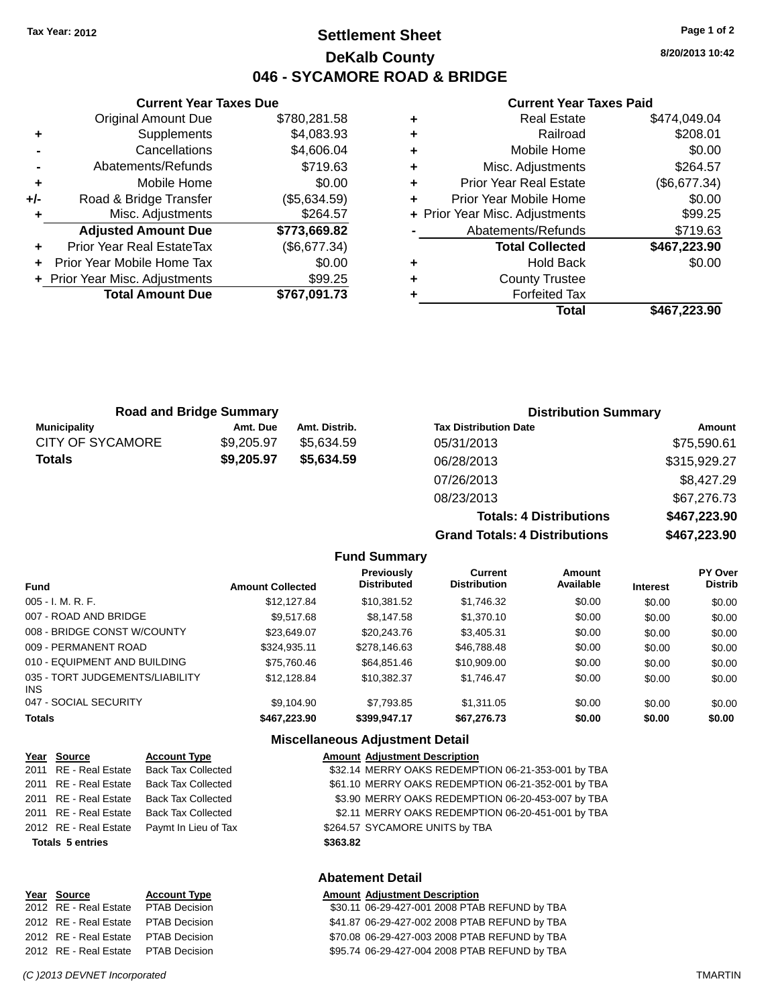**Current Year Taxes Due** Original Amount Due \$780,281.58

**Adjusted Amount Due \$773,669.82**

**Total Amount Due \$767,091.73**

**+** Supplements \$4,083.93 **-** Cancellations \$4,606.04 **-** Abatements/Refunds \$719.63 **+** Mobile Home \$0.00 **+/-** Road & Bridge Transfer (\$5,634.59) **+** Misc. Adjustments \$264.57

**+** Prior Year Real EstateTax (\$6,677.34) **+** Prior Year Mobile Home Tax \$0.00 **+** Prior Year Misc. Adjustments \$99.25

# **Settlement Sheet Tax Year: 2012 Page 1 of 2 DeKalb County 046 - SYCAMORE ROAD & BRIDGE**

**8/20/2013 10:42**

#### **Current Year Taxes Paid**

**Totals: 4 Distributions \$467,223.90**

**Grand Totals: 4 Distributions \$467,223.90**

| ٠ | <b>Real Estate</b>             | \$474,049.04 |
|---|--------------------------------|--------------|
| ٠ | Railroad                       | \$208.01     |
| ٠ | Mobile Home                    | \$0.00       |
| ٠ | Misc. Adjustments              | \$264.57     |
| ٠ | <b>Prior Year Real Estate</b>  | (\$6,677.34) |
| ٠ | Prior Year Mobile Home         | \$0.00       |
|   | + Prior Year Misc. Adjustments | \$99.25      |
|   | Abatements/Refunds             | \$719.63     |
|   | <b>Total Collected</b>         | \$467,223.90 |
| ٠ | <b>Hold Back</b>               | \$0.00       |
| ٠ | <b>County Trustee</b>          |              |
|   | <b>Forfeited Tax</b>           |              |
|   | Total                          | \$467,223.90 |
|   |                                |              |

|                         |                                |               | <b>Total</b>                 | \$4 |
|-------------------------|--------------------------------|---------------|------------------------------|-----|
|                         |                                |               |                              |     |
|                         |                                |               |                              |     |
|                         | <b>Road and Bridge Summary</b> |               | <b>Distribution Summary</b>  |     |
| <b>Municipality</b>     | Amt. Due                       | Amt. Distrib. | <b>Tax Distribution Date</b> |     |
| <b>CITY OF SYCAMORE</b> | \$9,205.97                     | \$5,634.59    | 05/31/2013                   |     |

| Road and Bridge Summary |            |               | <b>Distribution Summary</b>  |              |  |
|-------------------------|------------|---------------|------------------------------|--------------|--|
| <b>Municipality</b>     | Amt. Due   | Amt. Distrib. | <b>Tax Distribution Date</b> | Amount       |  |
| CITY OF SYCAMORE        | \$9.205.97 | \$5.634.59    | 05/31/2013                   | \$75,590.61  |  |
| Totals                  | \$9,205.97 | \$5.634.59    | 06/28/2013                   | \$315,929.27 |  |
|                         |            |               | 07/26/2013                   | \$8,427.29   |  |
|                         |            |               | 08/23/2013                   | \$67,276.73  |  |
|                         |            |               |                              |              |  |

|                                        |                         | <b>Fund Summary</b>                     |                                       |                     |                 |                                  |
|----------------------------------------|-------------------------|-----------------------------------------|---------------------------------------|---------------------|-----------------|----------------------------------|
| <b>Fund</b>                            | <b>Amount Collected</b> | <b>Previously</b><br><b>Distributed</b> | <b>Current</b><br><b>Distribution</b> | Amount<br>Available | <b>Interest</b> | <b>PY Over</b><br><b>Distrib</b> |
| 005 - I. M. R. F.                      | \$12,127.84             | \$10.381.52                             | \$1,746,32                            | \$0.00              | \$0.00          | \$0.00                           |
| 007 - ROAD AND BRIDGE                  | \$9.517.68              | \$8,147.58                              | \$1,370.10                            | \$0.00              | \$0.00          | \$0.00                           |
| 008 - BRIDGE CONST W/COUNTY            | \$23,649.07             | \$20,243.76                             | \$3,405.31                            | \$0.00              | \$0.00          | \$0.00                           |
| 009 - PERMANENT ROAD                   | \$324.935.11            | \$278,146.63                            | \$46,788,48                           | \$0.00              | \$0.00          | \$0.00                           |
| 010 - EQUIPMENT AND BUILDING           | \$75,760,46             | \$64.851.46                             | \$10,909.00                           | \$0.00              | \$0.00          | \$0.00                           |
| 035 - TORT JUDGEMENTS/LIABILITY<br>INS | \$12.128.84             | \$10.382.37                             | \$1.746.47                            | \$0.00              | \$0.00          | \$0.00                           |
| 047 - SOCIAL SECURITY                  | \$9.104.90              | \$7.793.85                              | \$1.311.05                            | \$0.00              | \$0.00          | \$0.00                           |
| <b>Totals</b>                          | \$467.223.90            | \$399,947.17                            | \$67.276.73                           | \$0.00              | \$0.00          | \$0.00                           |

#### **Miscellaneous Adjustment Detail Year Source Account Type Amount Adjustment Description**

| <u>rear source</u>      | <b>ACCOUNT TYPE</b>       | Amount Adjustment Description                      |
|-------------------------|---------------------------|----------------------------------------------------|
| 2011 RE - Real Estate   | <b>Back Tax Collected</b> | \$32.14 MERRY OAKS REDEMPTION 06-21-353-001 by TBA |
| 2011 RE - Real Estate   | <b>Back Tax Collected</b> | \$61.10 MERRY OAKS REDEMPTION 06-21-352-001 by TBA |
| 2011 RE - Real Estate   | Back Tax Collected        | \$3.90 MERRY OAKS REDEMPTION 06-20-453-007 by TBA  |
| 2011 RE - Real Estate   | Back Tax Collected        | \$2.11 MERRY OAKS REDEMPTION 06-20-451-001 by TBA  |
| 2012 RE - Real Estate   | Paymt In Lieu of Tax      | \$264.57 SYCAMORE UNITS by TBA                     |
| <b>Totals 5 entries</b> |                           | \$363.82                                           |
|                         |                           | <b>Abatement Detail</b>                            |

| rear <b>Source</b>     | ACCOUNT TYPE         |
|------------------------|----------------------|
| 2012 RE - Real Estate  | <b>PTAB Decision</b> |
| 2012 RE - Real Estate  | <b>PTAB Decision</b> |
| 2012 RE - Real Estate  | <b>PTAB Decision</b> |
| 2012 RF - Real Estate. | <b>PTAB Decision</b> |

**Year** Source **Account Type A** Annount Adjustment Description

\$30.11 06-29-427-001 2008 PTAB REFUND by TBA \$41.87 06-29-427-002 2008 PTAB REFUND by TBA \$70.08 06-29-427-003 2008 PTAB REFUND by TBA \$95.74 06-29-427-004 2008 PTAB REFUND by TBA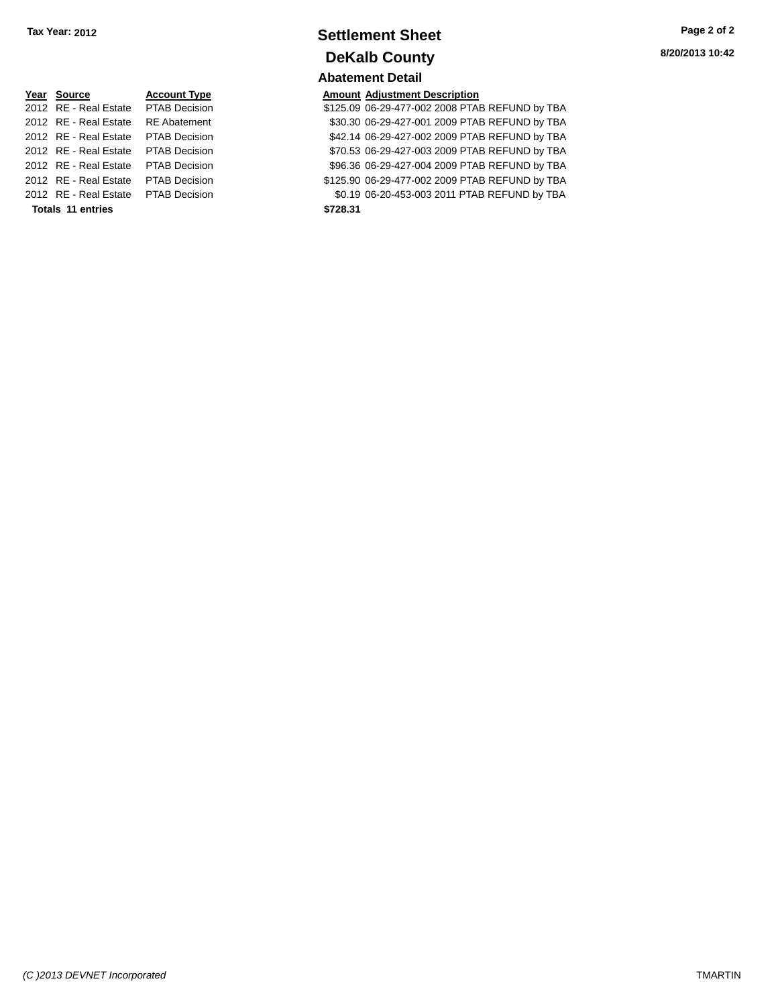# **<u>Year Source</u> <b>Account Type Amount Adjustment Description**<br>2012 RE - Real Estate PTAB Decision **Amount 125.09 06-29-477-002 2008 PTA**

**Totals 11 entries \$728.31**

# **Settlement Sheet Tax Year: 2012 Page 2 of 2 DeKalb County**

# **Abatement Detail**

\$125.09 06-29-477-002 2008 PTAB REFUND by TBA 2012 RE - Real Estate RE Abatement \$30.30 06-29-427-001 2009 PTAB REFUND by TBA 2012 RE - Real Estate PTAB Decision \$42.14 06-29-427-002 2009 PTAB REFUND by TBA 2012 RE - Real Estate PTAB Decision \$70.53 06-29-427-003 2009 PTAB REFUND by TBA 2012 RE - Real Estate PTAB Decision \$96.36 06-29-427-004 2009 PTAB REFUND by TBA 2012 RE - Real Estate PTAB Decision \$125.90 06-29-477-002 2009 PTAB REFUND by TBA 2012 RE - Real Estate PTAB Decision \$0.19 06-20-453-003 2011 PTAB REFUND by TBA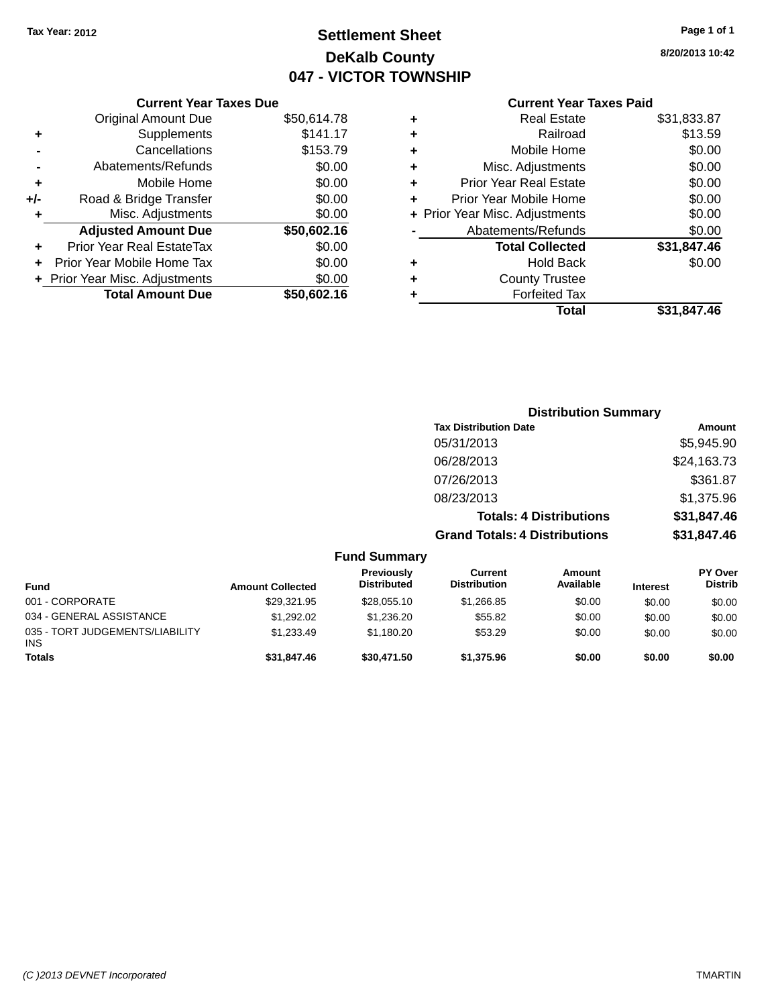# **Settlement Sheet Tax Year: 2012 Page 1 of 1 DeKalb County 047 - VICTOR TOWNSHIP**

**8/20/2013 10:42**

# **Current Year Taxes Paid**

|     | <b>Current Year Taxes Due</b>  |             |
|-----|--------------------------------|-------------|
|     | <b>Original Amount Due</b>     | \$50,614.78 |
| ÷   | Supplements                    | \$141.17    |
|     | Cancellations                  | \$153.79    |
|     | Abatements/Refunds             | \$0.00      |
| ٠   | Mobile Home                    | \$0.00      |
| +/- | Road & Bridge Transfer         | \$0.00      |
| ٠   | Misc. Adjustments              | \$0.00      |
|     | <b>Adjusted Amount Due</b>     | \$50,602.16 |
| ÷   | Prior Year Real EstateTax      | \$0.00      |
|     | Prior Year Mobile Home Tax     | \$0.00      |
|     | + Prior Year Misc. Adjustments | \$0.00      |
|     | <b>Total Amount Due</b>        | \$50,602.16 |
|     |                                |             |

|   | <b>Real Estate</b>             | \$31,833.87 |
|---|--------------------------------|-------------|
| ٠ | Railroad                       | \$13.59     |
| ٠ | Mobile Home                    | \$0.00      |
| ٠ | Misc. Adjustments              | \$0.00      |
| ٠ | <b>Prior Year Real Estate</b>  | \$0.00      |
| ÷ | Prior Year Mobile Home         | \$0.00      |
|   | + Prior Year Misc. Adjustments | \$0.00      |
|   | Abatements/Refunds             | \$0.00      |
|   | <b>Total Collected</b>         | \$31,847.46 |
| ٠ | Hold Back                      | \$0.00      |
|   | <b>County Trustee</b>          |             |
| ٠ | <b>Forfeited Tax</b>           |             |
|   | <b>Total</b>                   | \$31,847.46 |

|                     | <b>Distribution Summary</b>          |             |
|---------------------|--------------------------------------|-------------|
|                     | <b>Tax Distribution Date</b>         | Amount      |
|                     | 05/31/2013                           | \$5,945.90  |
|                     | 06/28/2013                           | \$24,163.73 |
|                     | 07/26/2013                           | \$361.87    |
|                     | 08/23/2013                           | \$1,375.96  |
|                     | <b>Totals: 4 Distributions</b>       | \$31,847.46 |
|                     | <b>Grand Totals: 4 Distributions</b> | \$31,847.46 |
| <b>Fund Summary</b> |                                      |             |

| Fund                                   | <b>Amount Collected</b> | <b>Previously</b><br><b>Distributed</b> | Current<br><b>Distribution</b> | Amount<br>Available | <b>Interest</b> | <b>PY Over</b><br><b>Distrib</b> |  |  |
|----------------------------------------|-------------------------|-----------------------------------------|--------------------------------|---------------------|-----------------|----------------------------------|--|--|
| 001 - CORPORATE                        | \$29,321.95             | \$28,055.10                             | \$1,266.85                     | \$0.00              | \$0.00          | \$0.00                           |  |  |
| 034 - GENERAL ASSISTANCE               | \$1.292.02              | \$1.236.20                              | \$55.82                        | \$0.00              | \$0.00          | \$0.00                           |  |  |
| 035 - TORT JUDGEMENTS/LIABILITY<br>INS | \$1.233.49              | \$1.180.20                              | \$53.29                        | \$0.00              | \$0.00          | \$0.00                           |  |  |
| <b>Totals</b>                          | \$31,847.46             | \$30,471.50                             | \$1,375.96                     | \$0.00              | \$0.00          | \$0.00                           |  |  |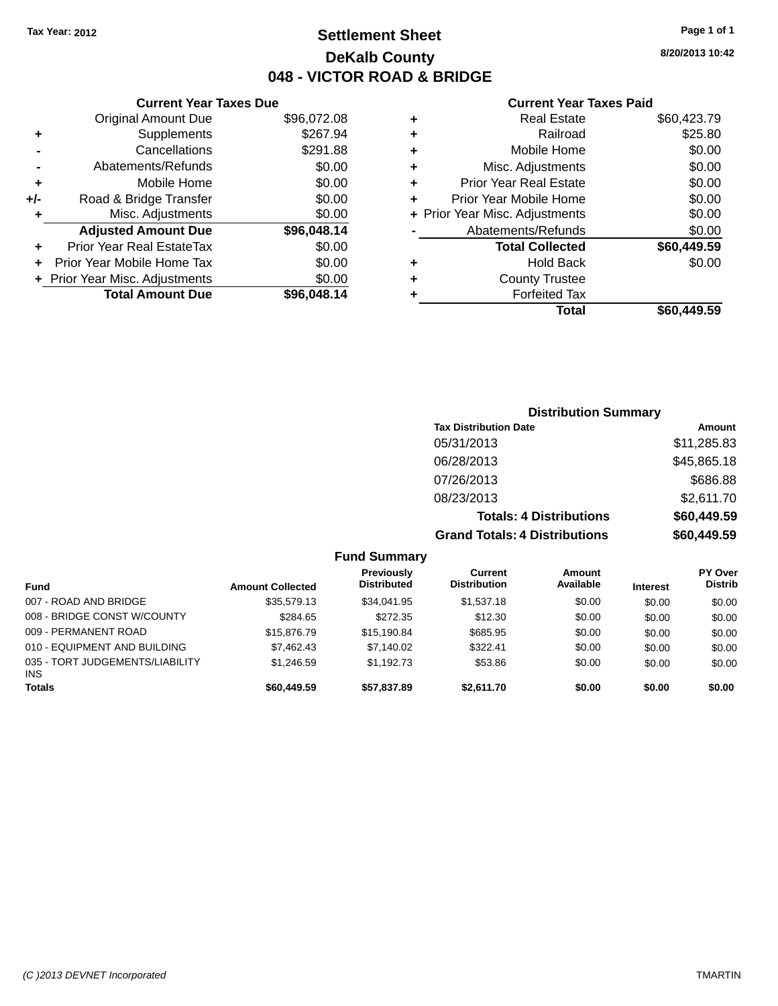# **Settlement Sheet Tax Year: 2012 Page 1 of 1 DeKalb County 048 - VICTOR ROAD & BRIDGE**

|     | <b>Current Year Taxes Due</b>  |             |
|-----|--------------------------------|-------------|
|     | <b>Original Amount Due</b>     | \$96,072.08 |
| ٠   | Supplements                    | \$267.94    |
|     | Cancellations                  | \$291.88    |
|     | Abatements/Refunds             | \$0.00      |
| ٠   | Mobile Home                    | \$0.00      |
| +/- | Road & Bridge Transfer         | \$0.00      |
| ٠   | Misc. Adjustments              | \$0.00      |
|     | <b>Adjusted Amount Due</b>     | \$96,048.14 |
| ٠   | Prior Year Real EstateTax      | \$0.00      |
| ÷   | Prior Year Mobile Home Tax     | \$0.00      |
|     | + Prior Year Misc. Adjustments | \$0.00      |
|     | <b>Total Amount Due</b>        | \$96,048.14 |
|     |                                |             |

|   | <b>Current Year Taxes Paid</b> |             |
|---|--------------------------------|-------------|
| ٠ | Real Estate                    | \$60,423.79 |
| ٠ | Railroad                       | \$25.80     |
| ٠ | Mobile Home                    | \$0.00      |
| ٠ | Misc. Adjustments              | \$0.00      |
| ٠ | <b>Prior Year Real Estate</b>  | \$0.00      |
|   | Prior Year Mobile Home         | \$0.00      |
|   | + Prior Year Misc. Adjustments | \$0.00      |
|   | Abatements/Refunds             | \$0.00      |
|   | <b>Total Collected</b>         | \$60,449.59 |
| ٠ | Hold Back                      | \$0.00      |
|   | <b>County Trustee</b>          |             |
|   | <b>Forfeited Tax</b>           |             |
|   | Total                          | \$60,449.59 |

# **Distribution Summary Tax Distribution Date Amount** 05/31/2013 \$11,285.83 06/28/2013 \$45,865.18 07/26/2013 \$686.88 08/23/2013 \$2,611.70 **Totals: 4 Distributions \$60,449.59 Grand Totals: 4 Distributions \$60,449.59**

| <b>Fund Summary</b>                     |                         |                                  |                                |                     |                 |                                  |
|-----------------------------------------|-------------------------|----------------------------------|--------------------------------|---------------------|-----------------|----------------------------------|
| <b>Fund</b>                             | <b>Amount Collected</b> | Previously<br><b>Distributed</b> | Current<br><b>Distribution</b> | Amount<br>Available | <b>Interest</b> | <b>PY Over</b><br><b>Distrib</b> |
| 007 - ROAD AND BRIDGE                   | \$35,579.13             | \$34,041.95                      | \$1,537.18                     | \$0.00              | \$0.00          | \$0.00                           |
| 008 - BRIDGE CONST W/COUNTY             | \$284.65                | \$272.35                         | \$12.30                        | \$0.00              | \$0.00          | \$0.00                           |
| 009 - PERMANENT ROAD                    | \$15,876.79             | \$15.190.84                      | \$685.95                       | \$0.00              | \$0.00          | \$0.00                           |
| 010 - EQUIPMENT AND BUILDING            | \$7,462.43              | \$7,140.02                       | \$322.41                       | \$0.00              | \$0.00          | \$0.00                           |
| 035 - TORT JUDGEMENTS/LIABILITY<br>INS. | \$1,246.59              | \$1,192.73                       | \$53.86                        | \$0.00              | \$0.00          | \$0.00                           |
| <b>Totals</b>                           | \$60,449.59             | \$57,837.89                      | \$2,611.70                     | \$0.00              | \$0.00          | \$0.00                           |

**8/20/2013 10:42**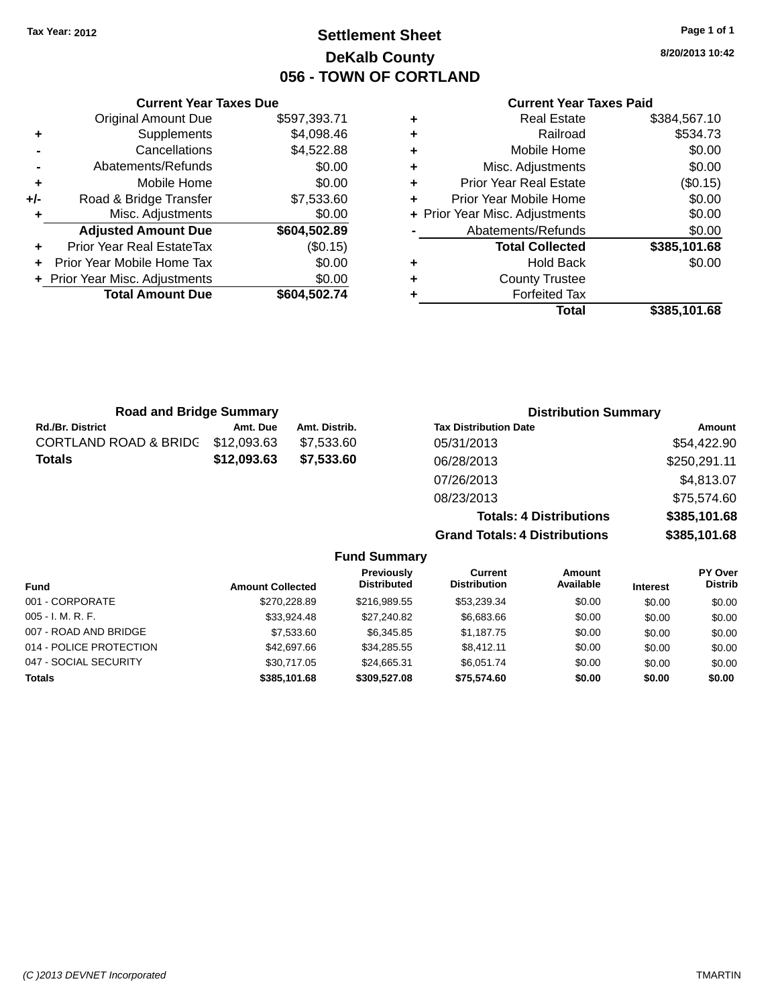# **Settlement Sheet Tax Year: 2012 Page 1 of 1 DeKalb County 056 - TOWN OF CORTLAND**

**8/20/2013 10:42**

#### **Current Year Taxes Paid**

| ٠ | <b>Real Estate</b>             | \$384,567.10 |
|---|--------------------------------|--------------|
| ٠ | Railroad                       | \$534.73     |
| ٠ | Mobile Home                    | \$0.00       |
| ٠ | Misc. Adjustments              | \$0.00       |
| ٠ | <b>Prior Year Real Estate</b>  | (\$0.15)     |
| ÷ | Prior Year Mobile Home         | \$0.00       |
|   | + Prior Year Misc. Adjustments | \$0.00       |
|   | Abatements/Refunds             | \$0.00       |
|   | <b>Total Collected</b>         | \$385,101.68 |
| ٠ | <b>Hold Back</b>               | \$0.00       |
| ٠ | <b>County Trustee</b>          |              |
| ٠ | <b>Forfeited Tax</b>           |              |
|   | Total                          | \$385.101.68 |

|     | <b>Current Year Taxes Due</b>    |              |
|-----|----------------------------------|--------------|
|     | <b>Original Amount Due</b>       | \$597,393.71 |
| ٠   | Supplements                      | \$4,098.46   |
|     | Cancellations                    | \$4,522.88   |
|     | Abatements/Refunds               | \$0.00       |
| ٠   | Mobile Home                      | \$0.00       |
| +/- | Road & Bridge Transfer           | \$7,533.60   |
|     | Misc. Adjustments                | \$0.00       |
|     | <b>Adjusted Amount Due</b>       | \$604,502.89 |
| ÷   | <b>Prior Year Real EstateTax</b> | (\$0.15)     |
|     | Prior Year Mobile Home Tax       | \$0.00       |
|     | + Prior Year Misc. Adjustments   | \$0.00       |
|     | <b>Total Amount Due</b>          | \$604,502.74 |
|     |                                  |              |

| <b>Road and Bridge Summary</b>   |             |               | <b>Distribution Summary</b>    |              |  |
|----------------------------------|-------------|---------------|--------------------------------|--------------|--|
| <b>Rd./Br. District</b>          | Amt. Due    | Amt. Distrib. | <b>Tax Distribution Date</b>   | Amount       |  |
| <b>CORTLAND ROAD &amp; BRIDG</b> | \$12,093.63 | \$7.533.60    | 05/31/2013                     | \$54,422.90  |  |
| <b>Totals</b>                    | \$12,093.63 | \$7,533.60    | 06/28/2013                     | \$250,291.11 |  |
|                                  |             |               | 07/26/2013                     | \$4,813.07   |  |
|                                  |             |               | 08/23/2013                     | \$75.574.60  |  |
|                                  |             |               | <b>Totals: 4 Distributions</b> | \$385,101.68 |  |

**Grand Totals: 4 Distributions \$385,101.68**

|                         |                         | <b>Fund Summary</b>                     |                                |                     |                 |                           |
|-------------------------|-------------------------|-----------------------------------------|--------------------------------|---------------------|-----------------|---------------------------|
| <b>Fund</b>             | <b>Amount Collected</b> | <b>Previously</b><br><b>Distributed</b> | Current<br><b>Distribution</b> | Amount<br>Available | <b>Interest</b> | PY Over<br><b>Distrib</b> |
| 001 - CORPORATE         | \$270,228.89            | \$216,989.55                            | \$53,239.34                    | \$0.00              | \$0.00          | \$0.00                    |
| $005 - I. M. R. F.$     | \$33,924.48             | \$27,240.82                             | \$6,683.66                     | \$0.00              | \$0.00          | \$0.00                    |
| 007 - ROAD AND BRIDGE   | \$7,533.60              | \$6,345.85                              | \$1,187.75                     | \$0.00              | \$0.00          | \$0.00                    |
| 014 - POLICE PROTECTION | \$42,697.66             | \$34,285.55                             | \$8.412.11                     | \$0.00              | \$0.00          | \$0.00                    |
| 047 - SOCIAL SECURITY   | \$30.717.05             | \$24.665.31                             | \$6.051.74                     | \$0.00              | \$0.00          | \$0.00                    |
| <b>Totals</b>           | \$385,101.68            | \$309,527.08                            | \$75.574.60                    | \$0.00              | \$0.00          | \$0.00                    |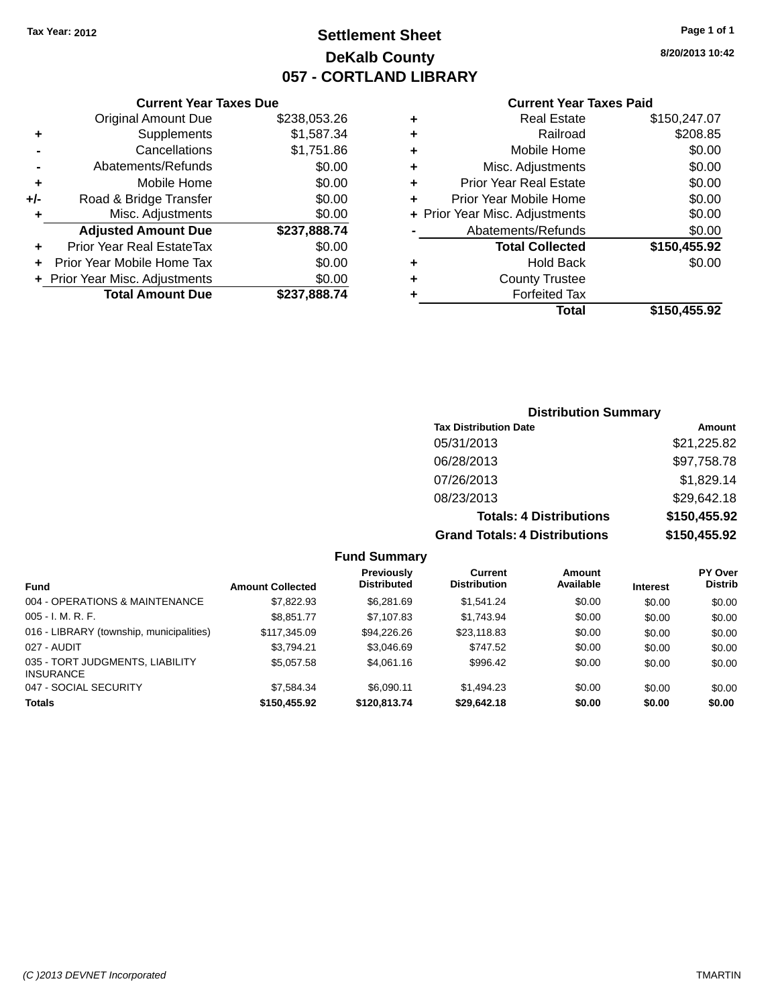# **Settlement Sheet Tax Year: 2012 Page 1 of 1 DeKalb County 057 - CORTLAND LIBRARY**

**8/20/2013 10:42**

#### **Current Year Taxes Paid**

|     | <b>Current Year Taxes Due</b>  |              |
|-----|--------------------------------|--------------|
|     | <b>Original Amount Due</b>     | \$238,053.26 |
| ٠   | Supplements                    | \$1,587.34   |
|     | Cancellations                  | \$1,751.86   |
|     | Abatements/Refunds             | \$0.00       |
| ٠   | Mobile Home                    | \$0.00       |
| +/- | Road & Bridge Transfer         | \$0.00       |
| ٠   | Misc. Adjustments              | \$0.00       |
|     | <b>Adjusted Amount Due</b>     | \$237,888.74 |
| ÷   | Prior Year Real EstateTax      | \$0.00       |
| ÷   | Prior Year Mobile Home Tax     | \$0.00       |
|     | + Prior Year Misc. Adjustments | \$0.00       |
|     | <b>Total Amount Due</b>        | \$237,888.74 |
|     |                                |              |

|   | <b>Real Estate</b>             | \$150,247.07 |
|---|--------------------------------|--------------|
| ٠ | Railroad                       | \$208.85     |
| ٠ | Mobile Home                    | \$0.00       |
| ٠ | Misc. Adjustments              | \$0.00       |
| ٠ | <b>Prior Year Real Estate</b>  | \$0.00       |
| ٠ | Prior Year Mobile Home         | \$0.00       |
|   | + Prior Year Misc. Adjustments | \$0.00       |
|   | Abatements/Refunds             | \$0.00       |
|   | <b>Total Collected</b>         | \$150,455.92 |
| ٠ | <b>Hold Back</b>               | \$0.00       |
| ٠ | <b>County Trustee</b>          |              |
| ٠ | <b>Forfeited Tax</b>           |              |
|   | Total                          | \$150,455.92 |
|   |                                |              |

# **Distribution Summary Tax Distribution Date Amount** 05/31/2013 \$21,225.82 06/28/2013 \$97,758.78 07/26/2013 \$1,829.14 08/23/2013 \$29,642.18 **Totals: 4 Distributions \$150,455.92 Grand Totals: 4 Distributions \$150,455.92**

#### **Fund Summary**

| Fund                                                | <b>Amount Collected</b> | <b>Previously</b><br><b>Distributed</b> | Current<br><b>Distribution</b> | Amount<br>Available | <b>Interest</b> | PY Over<br><b>Distrib</b> |
|-----------------------------------------------------|-------------------------|-----------------------------------------|--------------------------------|---------------------|-----------------|---------------------------|
| 004 - OPERATIONS & MAINTENANCE                      | \$7,822.93              | \$6,281.69                              | \$1.541.24                     | \$0.00              | \$0.00          | \$0.00                    |
| $005 - I. M. R. F.$                                 | \$8,851.77              | \$7,107.83                              | \$1.743.94                     | \$0.00              | \$0.00          | \$0.00                    |
| 016 - LIBRARY (township, municipalities)            | \$117.345.09            | \$94,226.26                             | \$23,118.83                    | \$0.00              | \$0.00          | \$0.00                    |
| 027 - AUDIT                                         | \$3.794.21              | \$3,046.69                              | \$747.52                       | \$0.00              | \$0.00          | \$0.00                    |
| 035 - TORT JUDGMENTS, LIABILITY<br><b>INSURANCE</b> | \$5,057.58              | \$4,061.16                              | \$996.42                       | \$0.00              | \$0.00          | \$0.00                    |
| 047 - SOCIAL SECURITY                               | \$7.584.34              | \$6.090.11                              | \$1.494.23                     | \$0.00              | \$0.00          | \$0.00                    |
| <b>Totals</b>                                       | \$150,455.92            | \$120.813.74                            | \$29,642.18                    | \$0.00              | \$0.00          | \$0.00                    |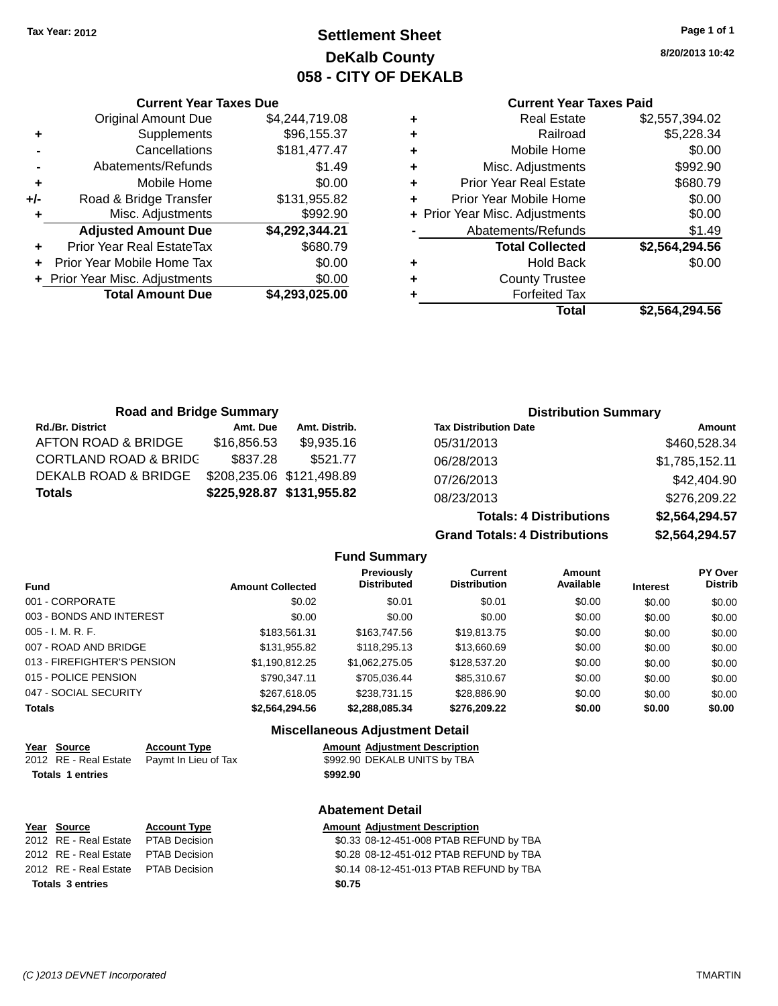# **Settlement Sheet Tax Year: 2012 Page 1 of 1 DeKalb County 058 - CITY OF DEKALB**

**8/20/2013 10:42**

#### **Current Year Taxes Paid**

|   | <b>Real Estate</b>             | \$2,557,394.02 |
|---|--------------------------------|----------------|
| ٠ | Railroad                       | \$5,228.34     |
| ٠ | Mobile Home                    | \$0.00         |
| ٠ | Misc. Adjustments              | \$992.90       |
| ٠ | <b>Prior Year Real Estate</b>  | \$680.79       |
|   | Prior Year Mobile Home         | \$0.00         |
|   | + Prior Year Misc. Adjustments | \$0.00         |
|   | Abatements/Refunds             | \$1.49         |
|   | <b>Total Collected</b>         | \$2,564,294.56 |
| ٠ | <b>Hold Back</b>               | \$0.00         |
| ٠ | <b>County Trustee</b>          |                |
|   | <b>Forfeited Tax</b>           |                |
|   | Total                          | \$2.564.294.56 |

|     | <b>Current Year Taxes Due</b>  |                |
|-----|--------------------------------|----------------|
|     | <b>Original Amount Due</b>     | \$4,244,719.08 |
| ٠   | Supplements                    | \$96,155.37    |
|     | Cancellations                  | \$181,477.47   |
|     | Abatements/Refunds             | \$1.49         |
| ٠   | Mobile Home                    | \$0.00         |
| +/- | Road & Bridge Transfer         | \$131,955.82   |
| ٠   | Misc. Adjustments              | \$992.90       |
|     | <b>Adjusted Amount Due</b>     | \$4,292,344.21 |
| ÷   | Prior Year Real EstateTax      | \$680.79       |
|     | Prior Year Mobile Home Tax     | \$0.00         |
|     | + Prior Year Misc. Adjustments | \$0.00         |
|     | <b>Total Amount Due</b>        | \$4,293,025.00 |
|     |                                |                |

| <b>Road and Bridge Summary</b>   |             |                           | <b>Distribution Summary</b>  |                |
|----------------------------------|-------------|---------------------------|------------------------------|----------------|
| <b>Rd./Br. District</b>          | Amt. Due    | Amt. Distrib.             | <b>Tax Distribution Date</b> | Amount         |
| AFTON ROAD & BRIDGE              | \$16,856.53 | \$9,935.16                | 05/31/2013                   | \$460,528.34   |
| <b>CORTLAND ROAD &amp; BRIDG</b> | \$837.28    | \$521.77                  | 06/28/2013                   | \$1,785,152.11 |
| DEKALB ROAD & BRIDGE             |             | \$208,235.06 \$121,498.89 | 07/26/2013                   | \$42,404.90    |
| <b>Totals</b>                    |             | \$225,928.87 \$131,955.82 | 08/23/2013                   | \$276,209.22   |

**Totals: 4 Distributions \$2,564,294.57 Grand Totals: 4 Distributions \$2,564,294.57**

|                             |                         | <b>Fund Summary</b>                     |                                       |                     |                 |                           |
|-----------------------------|-------------------------|-----------------------------------------|---------------------------------------|---------------------|-----------------|---------------------------|
| <b>Fund</b>                 | <b>Amount Collected</b> | <b>Previously</b><br><b>Distributed</b> | <b>Current</b><br><b>Distribution</b> | Amount<br>Available | <b>Interest</b> | PY Over<br><b>Distrib</b> |
| 001 - CORPORATE             | \$0.02                  | \$0.01                                  | \$0.01                                | \$0.00              | \$0.00          | \$0.00                    |
| 003 - BONDS AND INTEREST    | \$0.00                  | \$0.00                                  | \$0.00                                | \$0.00              | \$0.00          | \$0.00                    |
| 005 - I. M. R. F.           | \$183.561.31            | \$163,747.56                            | \$19,813.75                           | \$0.00              | \$0.00          | \$0.00                    |
| 007 - ROAD AND BRIDGE.      | \$131,955.82            | \$118,295.13                            | \$13,660.69                           | \$0.00              | \$0.00          | \$0.00                    |
| 013 - FIREFIGHTER'S PENSION | \$1.190.812.25          | \$1.062.275.05                          | \$128,537,20                          | \$0.00              | \$0.00          | \$0.00                    |
| 015 - POLICE PENSION        | \$790.347.11            | \$705.036.44                            | \$85,310.67                           | \$0.00              | \$0.00          | \$0.00                    |
| 047 - SOCIAL SECURITY       | \$267.618.05            | \$238.731.15                            | \$28.886.90                           | \$0.00              | \$0.00          | \$0.00                    |
| <b>Totals</b>               | \$2.564.294.56          | \$2.288.085.34                          | \$276.209.22                          | \$0.00              | \$0.00          | \$0.00                    |
|                             |                         | Miccollangeus Adjustment Detail         |                                       |                     |                 |                           |

#### **Miscellaneous Adjustment Detail**

| Year Source             | <b>Account Type</b>                        |          | <b>Amount Adiustment Description</b> |
|-------------------------|--------------------------------------------|----------|--------------------------------------|
|                         | 2012 RE - Real Estate Paymt In Lieu of Tax |          | \$992.90 DEKALB UNITS by TBA         |
| <b>Totals 1 entries</b> |                                            | \$992.90 |                                      |

| Year Source                          | <b>Account Type</b> | <b>Amount Adjus</b> |  |
|--------------------------------------|---------------------|---------------------|--|
| 2012 RE - Real Estate  PTAB Decision |                     | \$0.33 08-12        |  |
| 2012 RE - Real Estate  PTAB Decision |                     | \$0.28 08-12        |  |
| 2012 RE - Real Estate  PTAB Decision |                     | \$0.14 08-12        |  |
| Totals 3 entries                     |                     | \$0.75              |  |

**Abatement Detail**

# **<u>Stment Description</u>**

2-451-008 PTAB REFUND by TBA 2-451-012 PTAB REFUND by TBA 2-451-013 PTAB REFUND by TBA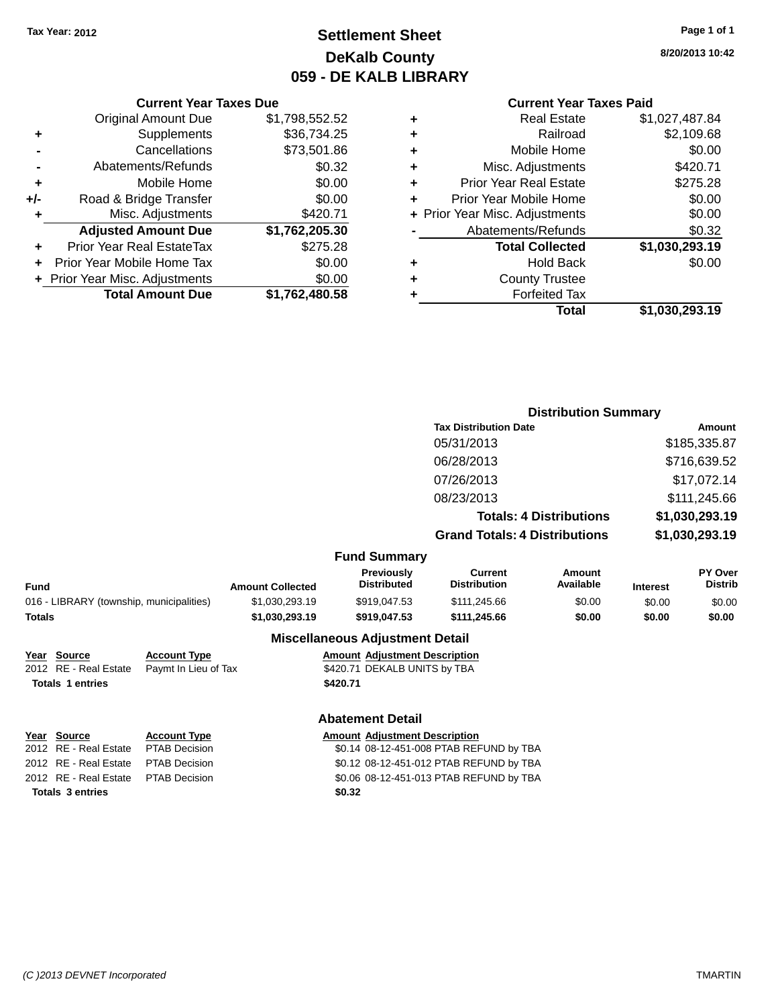# **Settlement Sheet Tax Year: 2012 Page 1 of 1 DeKalb County 059 - DE KALB LIBRARY**

**8/20/2013 10:42**

|     | <b>Current Year Taxes Due</b>    |                |
|-----|----------------------------------|----------------|
|     | <b>Original Amount Due</b>       | \$1,798,552.52 |
| ٠   | Supplements                      | \$36,734.25    |
|     | Cancellations                    | \$73,501.86    |
|     | Abatements/Refunds               | \$0.32         |
| ٠   | Mobile Home                      | \$0.00         |
| +/- | Road & Bridge Transfer           | \$0.00         |
| ٠   | Misc. Adjustments                | \$420.71       |
|     | <b>Adjusted Amount Due</b>       | \$1,762,205.30 |
| ÷   | <b>Prior Year Real EstateTax</b> | \$275.28       |
|     | Prior Year Mobile Home Tax       | \$0.00         |
|     | + Prior Year Misc. Adjustments   | \$0.00         |
|     | <b>Total Amount Due</b>          | \$1,762,480.58 |
|     |                                  |                |

#### **Current Year Taxes Paid**

|   | Total                          | \$1,030,293.19 |
|---|--------------------------------|----------------|
| ٠ | <b>Forfeited Tax</b>           |                |
| ٠ | <b>County Trustee</b>          |                |
| ٠ | <b>Hold Back</b>               | \$0.00         |
|   | <b>Total Collected</b>         | \$1,030,293.19 |
|   | Abatements/Refunds             | \$0.32         |
|   | + Prior Year Misc. Adjustments | \$0.00         |
| ٠ | Prior Year Mobile Home         | \$0.00         |
| ٠ | <b>Prior Year Real Estate</b>  | \$275.28       |
| ٠ | Misc. Adjustments              | \$420.71       |
| ٠ | Mobile Home                    | \$0.00         |
| ÷ | Railroad                       | \$2,109.68     |
|   | Real Estate                    | \$1,027,487.84 |

|                                          |                         |                                  | <b>Distribution Summary</b>          |                                |                 |                                  |
|------------------------------------------|-------------------------|----------------------------------|--------------------------------------|--------------------------------|-----------------|----------------------------------|
|                                          |                         |                                  | <b>Tax Distribution Date</b>         |                                |                 | <b>Amount</b>                    |
|                                          |                         |                                  | 05/31/2013                           |                                |                 | \$185,335.87                     |
|                                          |                         |                                  | 06/28/2013                           |                                |                 | \$716,639.52                     |
|                                          |                         |                                  | 07/26/2013                           |                                |                 | \$17,072.14                      |
|                                          |                         |                                  | 08/23/2013                           |                                |                 | \$111,245.66                     |
|                                          |                         |                                  |                                      | <b>Totals: 4 Distributions</b> |                 | \$1,030,293.19                   |
|                                          |                         |                                  | <b>Grand Totals: 4 Distributions</b> |                                |                 | \$1,030,293.19                   |
|                                          |                         | <b>Fund Summary</b>              |                                      |                                |                 |                                  |
| <b>Fund</b>                              | <b>Amount Collected</b> | Previously<br><b>Distributed</b> | Current<br><b>Distribution</b>       | <b>Amount</b><br>Available     | <b>Interest</b> | <b>PY Over</b><br><b>Distrib</b> |
| 016 - LIBRARY (township, municipalities) | \$1,030,293.19          | \$919,047.53                     | \$111,245.66                         | \$0.00                         | \$0.00          | \$0.00                           |
| Totals                                   | \$1,030,293.19          | \$919,047.53                     | \$111,245.66                         | \$0.00                         | \$0.00          | \$0.00                           |
|                                          |                         | Miccellenceus Adjustment Detail  |                                      |                                |                 |                                  |

#### **Miscellaneous Adjustment Detail**

| Year Source             | <b>Account Type</b>                        | <b>Amount Adjustment Description</b> |
|-------------------------|--------------------------------------------|--------------------------------------|
|                         | 2012 RE - Real Estate Paymt In Lieu of Tax | \$420.71 DEKALB UNITS by TBA         |
| <b>Totals 1 entries</b> |                                            | \$420.71                             |

#### **Abatement Detail**

| Year Source                         | <b>Account Type</b> | Amount |
|-------------------------------------|---------------------|--------|
| 2012 RE - Real Estate PTAB Decision |                     | \$0.14 |
| 2012 RE - Real Estate PTAB Decision |                     | \$0.12 |
| 2012 RE - Real Estate PTAB Decision |                     | \$0.06 |
| Totals 3 entries                    |                     | \$0.32 |

**Year** Source **Account Type Account Type Amount Adjustment Description** 2014 08-12-451-008 PTAB REFUND by TBA 2012 08-12-451-012 PTAB REFUND by TBA 001 **2012 80.06 08-12-451-013 PTAB REFUND by TBA**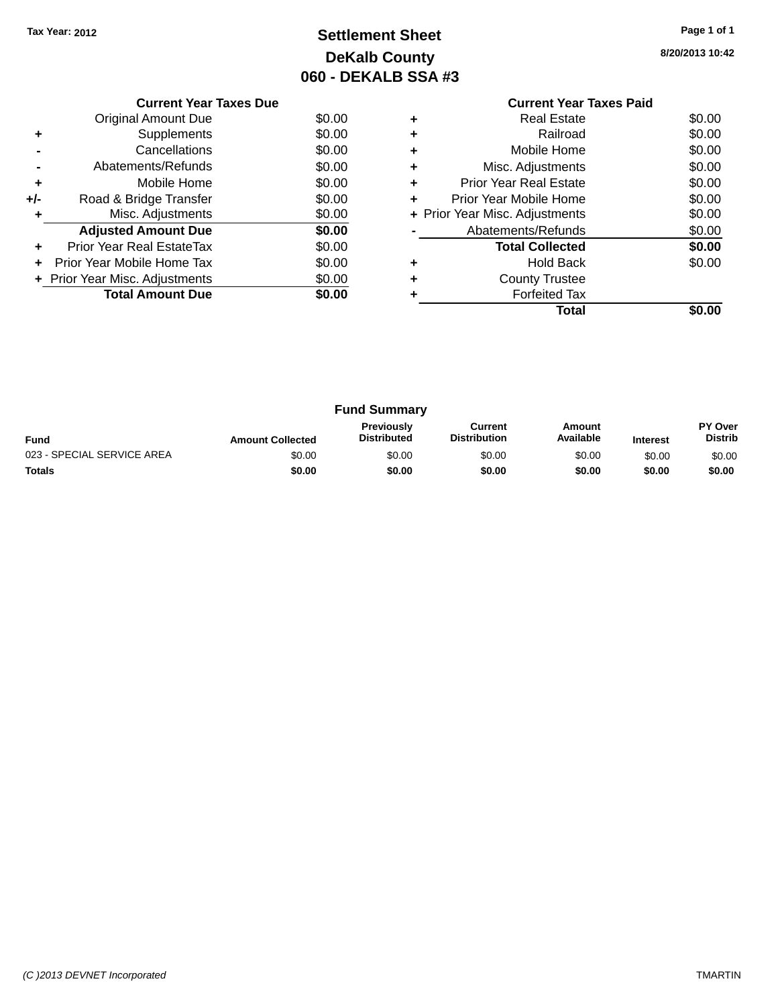# **Settlement Sheet Tax Year: 2012 Page 1 of 1 DeKalb County 060 - DEKALB SSA #3**

**8/20/2013 10:42**

|     | <b>Current Year Taxes Due</b>     |        |
|-----|-----------------------------------|--------|
|     | Original Amount Due               | \$0.00 |
|     | Supplements                       | \$0.00 |
|     | Cancellations                     | \$0.00 |
|     | Abatements/Refunds                | \$0.00 |
| ٠   | Mobile Home                       | \$0.00 |
| +/- | Road & Bridge Transfer            | \$0.00 |
|     | Misc. Adjustments                 | \$0.00 |
|     | <b>Adjusted Amount Due</b>        | \$0.00 |
| ÷   | Prior Year Real EstateTax         | \$0.00 |
|     | <b>Prior Year Mobile Home Tax</b> | \$0.00 |
|     | + Prior Year Misc. Adjustments    | \$0.00 |
|     | <b>Total Amount Due</b>           | \$0.00 |
|     |                                   |        |

## **Current Year Taxes Paid +** Real Estate \$0.00 **+** Railroad \$0.00 **+** Mobile Home \$0.00 **+** Misc. Adjustments \$0.00 **+** Prior Year Real Estate \$0.00 **+** Prior Year Mobile Home \$0.00<br> **+** Prior Year Misc. Adjustments \$0.00 **+ Prior Year Misc. Adjustments -** Abatements/Refunds \$0.00 **Total Collected \$0.00 +** Hold Back \$0.00 **+** County Trustee **+** Forfeited Tax **Total \$0.00**

|                            |                         | <b>Fund Summary</b>                     |                                |                     |                 |                                  |
|----------------------------|-------------------------|-----------------------------------------|--------------------------------|---------------------|-----------------|----------------------------------|
| <b>Fund</b>                | <b>Amount Collected</b> | <b>Previously</b><br><b>Distributed</b> | Current<br><b>Distribution</b> | Amount<br>Available | <b>Interest</b> | <b>PY Over</b><br><b>Distrib</b> |
| 023 - SPECIAL SERVICE AREA | \$0.00                  | \$0.00                                  | \$0.00                         | \$0.00              | \$0.00          | \$0.00                           |
| <b>Totals</b>              | \$0.00                  | \$0.00                                  | \$0.00                         | \$0.00              | \$0.00          | \$0.00                           |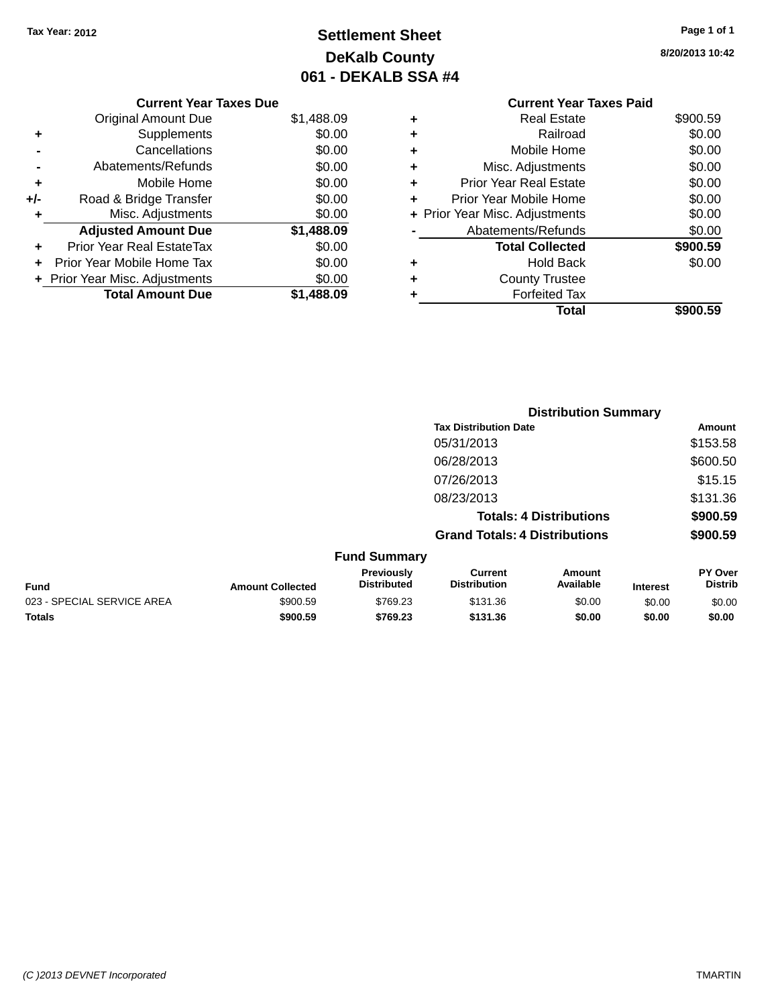# **Settlement Sheet Tax Year: 2012 Page 1 of 1 DeKalb County 061 - DEKALB SSA #4**

| Curre                    |   |            | <b>Current Year Taxes Due</b>    |       |
|--------------------------|---|------------|----------------------------------|-------|
| Rea                      | ٠ | \$1,488.09 | <b>Original Amount Due</b>       |       |
|                          |   | \$0.00     | <b>Supplements</b>               |       |
| Mobile                   |   | \$0.00     | Cancellations                    |       |
| Misc. Adjus              | ٠ | \$0.00     | Abatements/Refunds               |       |
| Prior Year Rea           | ٠ | \$0.00     | Mobile Home                      | ٠     |
| <b>Prior Year Mobile</b> | ٠ | \$0.00     | Road & Bridge Transfer           | $+/-$ |
| + Prior Year Misc. Adjus |   | \$0.00     | Misc. Adjustments                |       |
| Abatements/F             |   | \$1,488.09 | <b>Adjusted Amount Due</b>       |       |
| <b>Total Co</b>          |   | \$0.00     | <b>Prior Year Real EstateTax</b> |       |
| Ho                       | ٠ | \$0.00     | Prior Year Mobile Home Tax       |       |
| County                   |   | \$0.00     | + Prior Year Misc. Adjustments   |       |
| Forfei                   | ٠ | \$1,488.09 | <b>Total Amount Due</b>          |       |

# **8/20/2013 10:42**

|   | <b>Current Year Taxes Paid</b> |          |
|---|--------------------------------|----------|
| ٠ | <b>Real Estate</b>             | \$900.59 |
| ٠ | Railroad                       | \$0.00   |
| ٠ | Mobile Home                    | \$0.00   |
|   | Misc. Adjustments              | \$0.00   |
| ٠ | <b>Prior Year Real Estate</b>  | \$0.00   |
| ٠ | Prior Year Mobile Home         | \$0.00   |
|   | + Prior Year Misc. Adjustments | \$0.00   |
|   | Abatements/Refunds             | \$0.00   |
|   | <b>Total Collected</b>         | \$900.59 |
|   | <b>Hold Back</b>               | \$0.00   |
|   | <b>County Trustee</b>          |          |
|   | <b>Forfeited Tax</b>           |          |
|   | Total                          | \$900.59 |
|   |                                |          |

|                            |                         |                                  |                                       | <b>Distribution Summary</b>    |                 |                           |
|----------------------------|-------------------------|----------------------------------|---------------------------------------|--------------------------------|-----------------|---------------------------|
|                            |                         |                                  | <b>Tax Distribution Date</b>          |                                |                 | <b>Amount</b>             |
|                            |                         |                                  | 05/31/2013                            |                                |                 | \$153.58                  |
|                            |                         |                                  | 06/28/2013                            |                                |                 | \$600.50                  |
|                            |                         |                                  | 07/26/2013                            |                                |                 | \$15.15                   |
|                            |                         |                                  | 08/23/2013                            |                                |                 | \$131.36                  |
|                            |                         |                                  |                                       | <b>Totals: 4 Distributions</b> |                 | \$900.59                  |
|                            |                         |                                  | <b>Grand Totals: 4 Distributions</b>  |                                |                 | \$900.59                  |
|                            |                         | <b>Fund Summary</b>              |                                       |                                |                 |                           |
| <b>Fund</b>                | <b>Amount Collected</b> | Previously<br><b>Distributed</b> | <b>Current</b><br><b>Distribution</b> | Amount<br>Available            | <b>Interest</b> | PY Over<br><b>Distrib</b> |
| 023 - SPECIAL SERVICE AREA | \$900.59                | \$769.23                         | \$131.36                              | \$0.00                         | \$0.00          | \$0.00                    |
| Totals                     | \$900.59                | \$769.23                         | \$131.36                              | \$0.00                         | \$0.00          | \$0.00                    |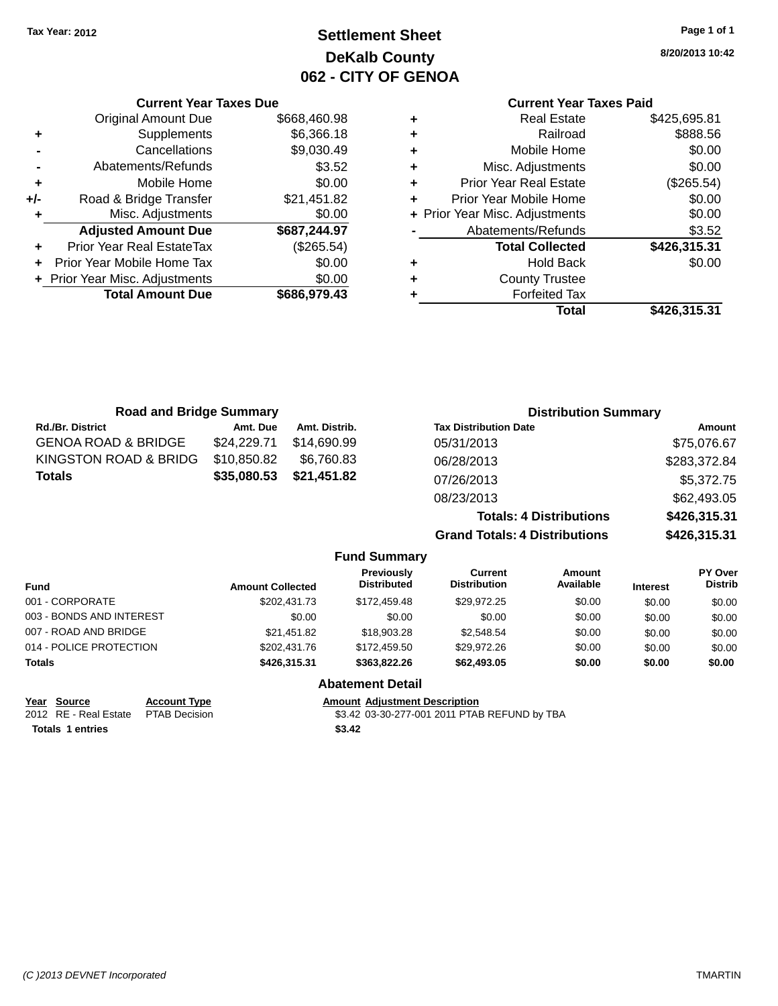# **Settlement Sheet Tax Year: 2012 Page 1 of 1 DeKalb County 062 - CITY OF GENOA**

**8/20/2013 10:42**

# **Current Year Taxes Paid**

|     | <b>Current Year Taxes Due</b>    |              |
|-----|----------------------------------|--------------|
|     | <b>Original Amount Due</b>       | \$668,460.98 |
| ٠   | Supplements                      | \$6,366.18   |
|     | Cancellations                    | \$9,030.49   |
|     | Abatements/Refunds               | \$3.52       |
| ٠   | Mobile Home                      | \$0.00       |
| +/- | Road & Bridge Transfer           | \$21,451.82  |
| ٠   | Misc. Adjustments                | \$0.00       |
|     | <b>Adjusted Amount Due</b>       | \$687,244.97 |
| ٠   | <b>Prior Year Real EstateTax</b> | (\$265.54)   |
|     | Prior Year Mobile Home Tax       | \$0.00       |
|     | + Prior Year Misc. Adjustments   | \$0.00       |
|     | <b>Total Amount Due</b>          | \$686,979.43 |
|     |                                  |              |

| ٠ | <b>Real Estate</b>             | \$425,695.81 |
|---|--------------------------------|--------------|
| ٠ | Railroad                       | \$888.56     |
| ٠ | Mobile Home                    | \$0.00       |
| ٠ | Misc. Adjustments              | \$0.00       |
| ٠ | <b>Prior Year Real Estate</b>  | (\$265.54)   |
| ٠ | Prior Year Mobile Home         | \$0.00       |
|   | + Prior Year Misc. Adjustments | \$0.00       |
|   | Abatements/Refunds             | \$3.52       |
|   | <b>Total Collected</b>         | \$426,315.31 |
| ٠ | <b>Hold Back</b>               | \$0.00       |
| ٠ | <b>County Trustee</b>          |              |
| ٠ | <b>Forfeited Tax</b>           |              |
|   | Total                          | \$426,315.31 |
|   |                                |              |

| <b>Road and Bridge Summary</b> |             |               | <b>Distribution Summary</b>          |              |
|--------------------------------|-------------|---------------|--------------------------------------|--------------|
| <b>Rd./Br. District</b>        | Amt. Due    | Amt. Distrib. | <b>Tax Distribution Date</b>         | Amount       |
| <b>GENOA ROAD &amp; BRIDGE</b> | \$24,229.71 | \$14,690.99   | 05/31/2013                           | \$75,076.67  |
| KINGSTON ROAD & BRIDG          | \$10,850.82 | \$6,760.83    | 06/28/2013                           | \$283,372.84 |
| <b>Totals</b>                  | \$35,080.53 | \$21,451.82   | 07/26/2013                           | \$5,372.75   |
|                                |             |               | 08/23/2013                           | \$62,493.05  |
|                                |             |               | <b>Totals: 4 Distributions</b>       | \$426,315.31 |
|                                |             |               | <b>Grand Totals: 4 Distributions</b> | \$426,315.31 |

|                          |                         | <b>Fund Summary</b>              |                                |                            |                 |                                  |
|--------------------------|-------------------------|----------------------------------|--------------------------------|----------------------------|-----------------|----------------------------------|
| Fund                     | <b>Amount Collected</b> | Previously<br><b>Distributed</b> | Current<br><b>Distribution</b> | <b>Amount</b><br>Available | <b>Interest</b> | <b>PY Over</b><br><b>Distrib</b> |
| 001 - CORPORATE          | \$202.431.73            | \$172,459.48                     | \$29.972.25                    | \$0.00                     | \$0.00          | \$0.00                           |
| 003 - BONDS AND INTEREST | \$0.00                  | \$0.00                           | \$0.00                         | \$0.00                     | \$0.00          | \$0.00                           |
| 007 - ROAD AND BRIDGE    | \$21,451.82             | \$18,903.28                      | \$2,548.54                     | \$0.00                     | \$0.00          | \$0.00                           |
| 014 - POLICE PROTECTION  | \$202,431.76            | \$172,459.50                     | \$29,972.26                    | \$0.00                     | \$0.00          | \$0.00                           |
| <b>Totals</b>            | \$426,315,31            | \$363.822.26                     | \$62,493.05                    | \$0.00                     | \$0.00          | \$0.00                           |
|                          |                         | <b>Ahatement Detail</b>          |                                |                            |                 |                                  |

|                                      |                     | ADUCTION DUCHI                               |
|--------------------------------------|---------------------|----------------------------------------------|
| Year Source                          | <b>Account Type</b> | <b>Amount Adiustment Description</b>         |
| 2012 RE - Real Estate  PTAB Decision |                     | \$3.42 03-30-277-001 2011 PTAB REFUND by TBA |
| <b>Totals 1 entries</b>              |                     | \$3.42                                       |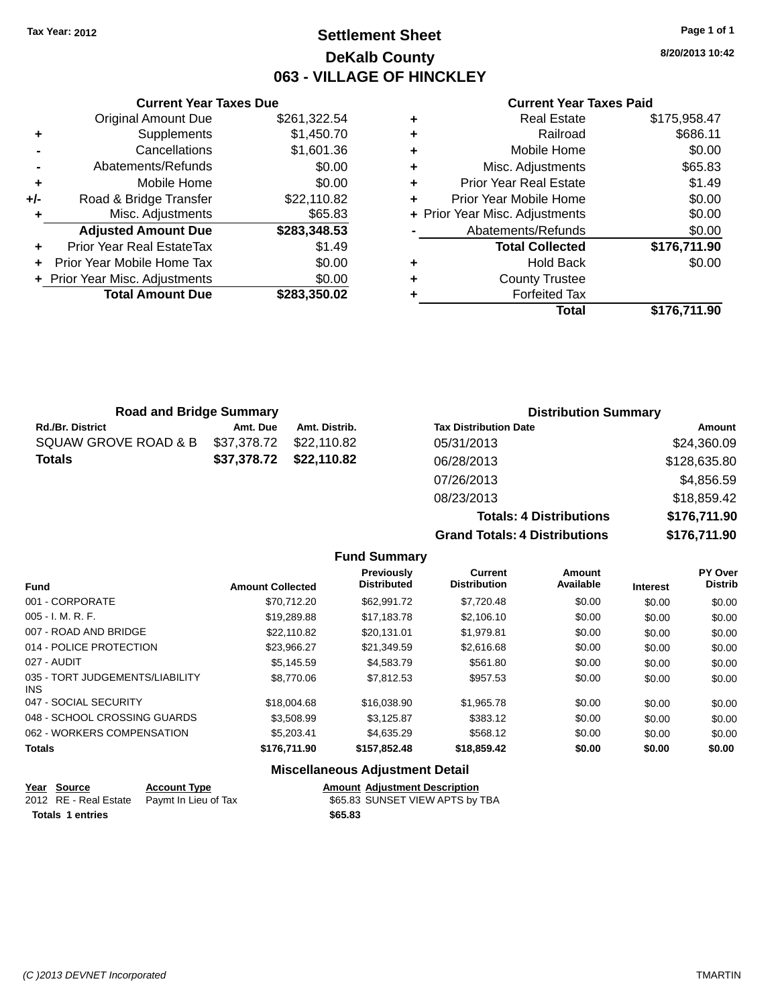# **Settlement Sheet Tax Year: 2012 Page 1 of 1 DeKalb County 063 - VILLAGE OF HINCKLEY**

**8/20/2013 10:42**

#### **Current Year Taxes Paid**

|       | <b>Current Year Taxes Due</b>  |              |
|-------|--------------------------------|--------------|
|       | <b>Original Amount Due</b>     | \$261,322.54 |
| ٠     | Supplements                    | \$1,450.70   |
|       | Cancellations                  | \$1,601.36   |
|       | Abatements/Refunds             | \$0.00       |
| ٠     | Mobile Home                    | \$0.00       |
| $+/-$ | Road & Bridge Transfer         | \$22,110.82  |
| ٠     | Misc. Adjustments              | \$65.83      |
|       | <b>Adjusted Amount Due</b>     | \$283,348.53 |
| ÷     | Prior Year Real EstateTax      | \$1.49       |
|       | Prior Year Mobile Home Tax     | \$0.00       |
|       | + Prior Year Misc. Adjustments | \$0.00       |
|       | <b>Total Amount Due</b>        | \$283.350.02 |
|       |                                |              |

|   | <b>Real Estate</b>             | \$175,958.47 |
|---|--------------------------------|--------------|
| ٠ | Railroad                       | \$686.11     |
| ٠ | Mobile Home                    | \$0.00       |
| ٠ | Misc. Adjustments              | \$65.83      |
| ٠ | <b>Prior Year Real Estate</b>  | \$1.49       |
| ÷ | Prior Year Mobile Home         | \$0.00       |
|   | + Prior Year Misc. Adjustments | \$0.00       |
|   | Abatements/Refunds             | \$0.00       |
|   | <b>Total Collected</b>         | \$176,711.90 |
| ٠ | <b>Hold Back</b>               | \$0.00       |
| ٠ | <b>County Trustee</b>          |              |
| ٠ | <b>Forfeited Tax</b>           |              |
|   | Total                          | \$176,711.90 |
|   |                                |              |

| <b>Road and Bridge Summary</b> |             |                         | <b>Distribution Summary</b>  |              |
|--------------------------------|-------------|-------------------------|------------------------------|--------------|
| <b>Rd./Br. District</b>        | Amt. Due    | Amt. Distrib.           | <b>Tax Distribution Date</b> | Amount       |
| SQUAW GROVE ROAD & B           | \$37,378.72 | \$22.110.82             | 05/31/2013                   | \$24,360.09  |
| <b>Totals</b>                  |             | \$37,378.72 \$22,110.82 | 06/28/2013                   | \$128,635.80 |
|                                |             |                         | 07/26/2013                   | \$4,856.59   |
|                                |             |                         |                              |              |

08/23/2013 \$18,859.42 **Totals: 4 Distributions \$176,711.90 Grand Totals: 4 Distributions \$176,711.90**

|                                               |                         | <b>Fund Summary</b>                    |                                       |                            |                 |                                  |
|-----------------------------------------------|-------------------------|----------------------------------------|---------------------------------------|----------------------------|-----------------|----------------------------------|
| <b>Fund</b>                                   | <b>Amount Collected</b> | Previously<br><b>Distributed</b>       | <b>Current</b><br><b>Distribution</b> | <b>Amount</b><br>Available | <b>Interest</b> | <b>PY Over</b><br><b>Distrib</b> |
| 001 - CORPORATE                               | \$70.712.20             | \$62,991.72                            | \$7,720.48                            | \$0.00                     | \$0.00          | \$0.00                           |
| $005 - I. M. R. F.$                           | \$19,289.88             | \$17,183.78                            | \$2,106.10                            | \$0.00                     | \$0.00          | \$0.00                           |
| 007 - ROAD AND BRIDGE                         | \$22.110.82             | \$20.131.01                            | \$1,979.81                            | \$0.00                     | \$0.00          | \$0.00                           |
| 014 - POLICE PROTECTION                       | \$23,966.27             | \$21,349.59                            | \$2,616.68                            | \$0.00                     | \$0.00          | \$0.00                           |
| 027 - AUDIT                                   | \$5,145.59              | \$4,583.79                             | \$561.80                              | \$0.00                     | \$0.00          | \$0.00                           |
| 035 - TORT JUDGEMENTS/LIABILITY<br><b>INS</b> | \$8,770.06              | \$7,812.53                             | \$957.53                              | \$0.00                     | \$0.00          | \$0.00                           |
| 047 - SOCIAL SECURITY                         | \$18,004.68             | \$16,038,90                            | \$1,965.78                            | \$0.00                     | \$0.00          | \$0.00                           |
| 048 - SCHOOL CROSSING GUARDS                  | \$3,508.99              | \$3,125.87                             | \$383.12                              | \$0.00                     | \$0.00          | \$0.00                           |
| 062 - WORKERS COMPENSATION                    | \$5,203.41              | \$4,635.29                             | \$568.12                              | \$0.00                     | \$0.00          | \$0.00                           |
| <b>Totals</b>                                 | \$176,711.90            | \$157,852.48                           | \$18,859.42                           | \$0.00                     | \$0.00          | \$0.00                           |
|                                               |                         | <b>Miscellaneous Adjustment Detail</b> |                                       |                            |                 |                                  |

| Year Source             | <b>Account Type</b>                        |         | <b>Amount Adiustment Description</b> |
|-------------------------|--------------------------------------------|---------|--------------------------------------|
|                         | 2012 RE - Real Estate Paymt In Lieu of Tax |         | \$65.83 SUNSET VIEW APTS by TBA      |
| <b>Totals 1 entries</b> |                                            | \$65.83 |                                      |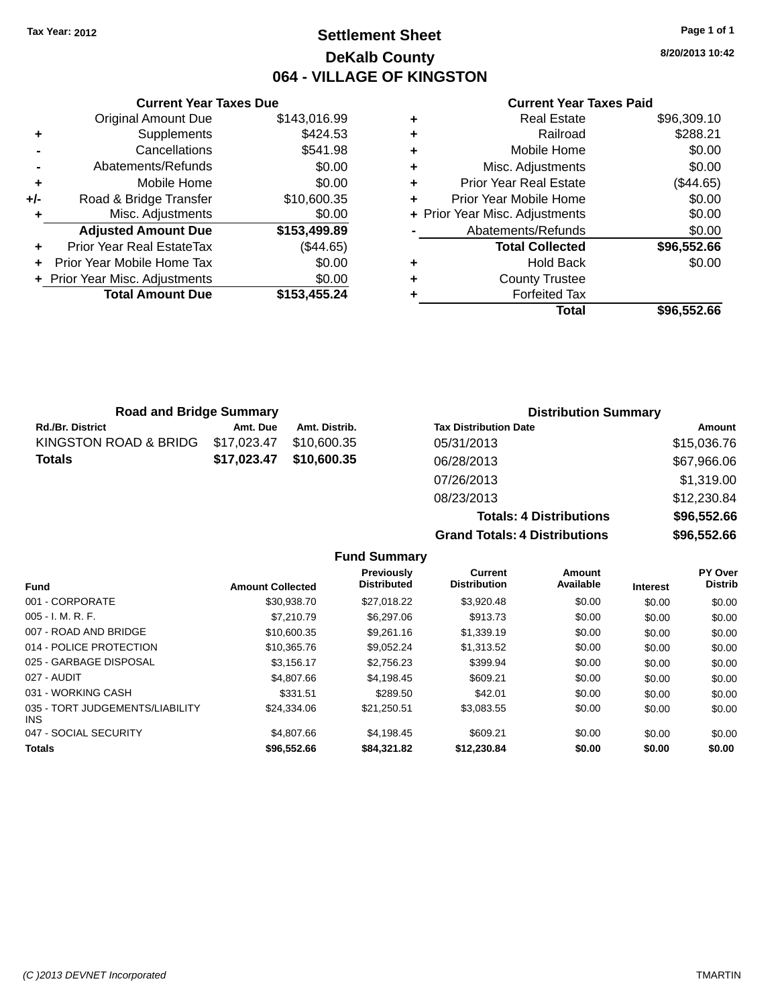# **Settlement Sheet Tax Year: 2012 Page 1 of 1 DeKalb County 064 - VILLAGE OF KINGSTON**

**8/20/2013 10:42**

#### **Current Year Taxes Paid**

|     | <b>Original Amount Due</b>     | \$143,016.99 |
|-----|--------------------------------|--------------|
| ٠   | Supplements                    | \$424.53     |
|     | Cancellations                  | \$541.98     |
|     | Abatements/Refunds             | \$0.00       |
| ٠   | Mobile Home                    | \$0.00       |
| +/- | Road & Bridge Transfer         | \$10,600.35  |
| ٠   | Misc. Adjustments              | \$0.00       |
|     | <b>Adjusted Amount Due</b>     | \$153,499.89 |
| ٠   | Prior Year Real EstateTax      | (\$44.65)    |
| ٠   | Prior Year Mobile Home Tax     | \$0.00       |
|     | + Prior Year Misc. Adjustments | \$0.00       |
|     | <b>Total Amount Due</b>        | \$153,455.24 |
|     |                                |              |

**Current Year Taxes Due**

|   | <b>Real Estate</b>             | \$96,309.10 |
|---|--------------------------------|-------------|
| ٠ | Railroad                       | \$288.21    |
| ٠ | Mobile Home                    | \$0.00      |
| ٠ | Misc. Adjustments              | \$0.00      |
| ٠ | <b>Prior Year Real Estate</b>  | (\$44.65)   |
| ÷ | Prior Year Mobile Home         | \$0.00      |
|   | + Prior Year Misc. Adjustments | \$0.00      |
|   | Abatements/Refunds             | \$0.00      |
|   | <b>Total Collected</b>         | \$96,552.66 |
| ٠ | Hold Back                      | \$0.00      |
| ٠ | <b>County Trustee</b>          |             |
| ٠ | <b>Forfeited Tax</b>           |             |
|   | Total                          | \$96,552.66 |
|   |                                |             |

**Totals: 4 Distributions \$96,552.66**

| <b>Road and Bridge Summary</b> |             |               | <b>Distribution Summary</b>  |             |
|--------------------------------|-------------|---------------|------------------------------|-------------|
| <b>Rd./Br. District</b>        | Amt. Due    | Amt. Distrib. | <b>Tax Distribution Date</b> | Amount      |
| KINGSTON ROAD & BRIDG          | \$17,023.47 | \$10,600.35   | 05/31/2013                   | \$15,036.76 |
| <b>Totals</b>                  | \$17,023.47 | \$10,600.35   | 06/28/2013                   | \$67,966.06 |
|                                |             |               | 07/26/2013                   | \$1,319.00  |
|                                |             |               | 08/23/2013                   | \$12,230.84 |

**Grand Totals: 4 Distributions \$96,552.66 Fund Summary Fund Interest Amount Collected Distributed PY Over Distrib Amount Available Current Distribution Previously** 001 - CORPORATE \$30,938.70 \$27,018.22 \$3,920.48 \$0.00 \$0.00 \$0.00 005 - I. M. R. F. \$7,210.79 \$6,297.06 \$913.73 \$0.00 \$0.00 \$0.00 007 - ROAD AND BRIDGE \$10,600.35 \$9,261.16 \$1,339.19 \$0.00 \$0.00 \$0.00 \$0.00 014 - POLICE PROTECTION \$10,365.76 \$9,052.24 \$1,313.52 \$0.00 \$0.00 \$0.00 \$0.00 025 - GARBAGE DISPOSAL \$3,156.17 \$2,756.23 \$0.00 \$0.00 \$0.00 \$0.00

| <b>Totals</b>                                 | \$96,552.66 | \$84,321.82 | \$12,230.84 | \$0.00 | \$0.00 | \$0.00 |
|-----------------------------------------------|-------------|-------------|-------------|--------|--------|--------|
| 047 - SOCIAL SECURITY                         | \$4,807.66  | \$4.198.45  | \$609.21    | \$0.00 | \$0.00 | \$0.00 |
| 035 - TORT JUDGEMENTS/LIABILITY<br><b>INS</b> | \$24.334.06 | \$21.250.51 | \$3.083.55  | \$0.00 | \$0.00 | \$0.00 |
| 031 - WORKING CASH                            | \$331.51    | \$289.50    | \$42.01     | \$0.00 | \$0.00 | \$0.00 |
| 027 - AUDIT                                   | \$4,807.66  | \$4.198.45  | \$609.21    | \$0.00 | \$0.00 | \$0.00 |
|                                               |             |             |             |        |        |        |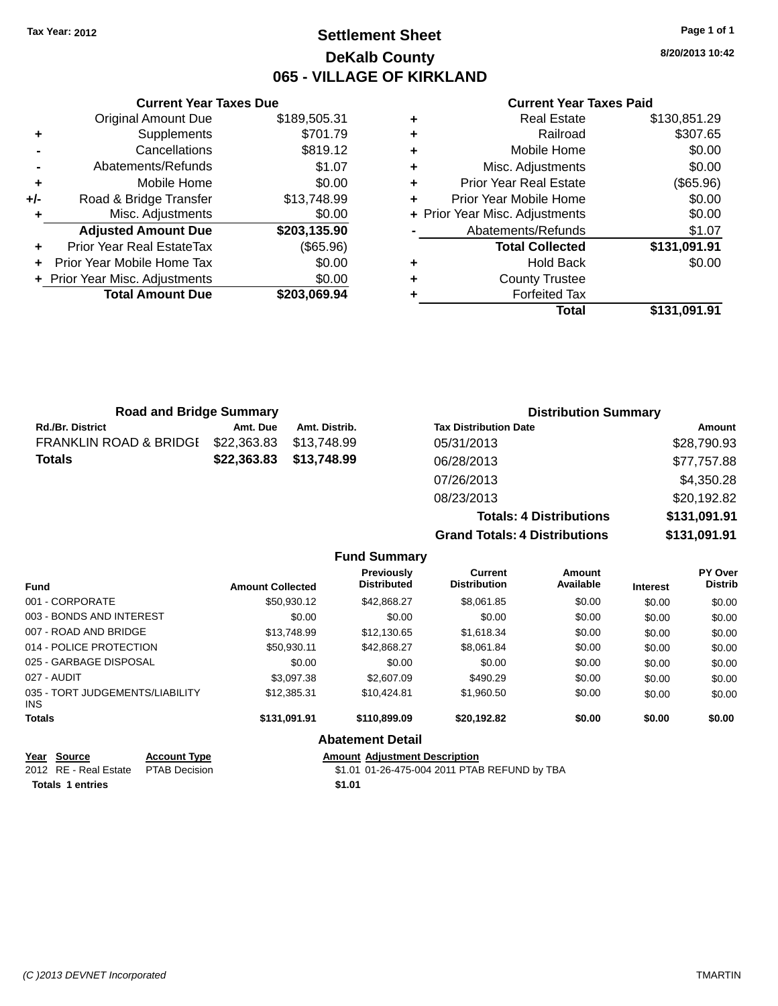# **Settlement Sheet Tax Year: 2012 Page 1 of 1 DeKalb County 065 - VILLAGE OF KIRKLAND**

**8/20/2013 10:42**

#### **Current Year Taxes Paid**

|     | <b>Current Year Taxes Due</b>  |              |  |
|-----|--------------------------------|--------------|--|
|     | <b>Original Amount Due</b>     | \$189,505.31 |  |
| ٠   | Supplements                    | \$701.79     |  |
|     | Cancellations                  | \$819.12     |  |
|     | Abatements/Refunds             | \$1.07       |  |
| ٠   | Mobile Home                    | \$0.00       |  |
| +/- | Road & Bridge Transfer         | \$13,748.99  |  |
| ٠   | Misc. Adjustments              | \$0.00       |  |
|     | <b>Adjusted Amount Due</b>     | \$203,135.90 |  |
| ٠   | Prior Year Real EstateTax      | (\$65.96)    |  |
|     | Prior Year Mobile Home Tax     | \$0.00       |  |
|     | + Prior Year Misc. Adjustments | \$0.00       |  |
|     | <b>Total Amount Due</b>        | \$203,069.94 |  |
|     |                                |              |  |

|   | <b>Real Estate</b>             | \$130,851.29 |
|---|--------------------------------|--------------|
| ٠ | Railroad                       | \$307.65     |
| ٠ | Mobile Home                    | \$0.00       |
| ٠ | Misc. Adjustments              | \$0.00       |
| ٠ | <b>Prior Year Real Estate</b>  | (\$65.96)    |
| ÷ | Prior Year Mobile Home         | \$0.00       |
|   | + Prior Year Misc. Adjustments | \$0.00       |
|   | Abatements/Refunds             | \$1.07       |
|   | <b>Total Collected</b>         | \$131,091.91 |
| ٠ | <b>Hold Back</b>               | \$0.00       |
| ٠ | <b>County Trustee</b>          |              |
| ٠ | <b>Forfeited Tax</b>           |              |
|   | Total                          | \$131,091.91 |
|   |                                |              |

| <b>Road and Bridge Summary</b>    |             |               | <b>Distribution Summary</b>    |              |
|-----------------------------------|-------------|---------------|--------------------------------|--------------|
| <b>Rd./Br. District</b>           | Amt. Due    | Amt. Distrib. | <b>Tax Distribution Date</b>   | Amount       |
| <b>FRANKLIN ROAD &amp; BRIDGI</b> | \$22,363.83 | \$13,748.99   | 05/31/2013                     | \$28,790.93  |
| <b>Totals</b>                     | \$22,363.83 | \$13,748.99   | 06/28/2013                     | \$77,757.88  |
|                                   |             |               | 07/26/2013                     | \$4,350.28   |
|                                   |             |               | 08/23/2013                     | \$20,192.82  |
|                                   |             |               | <b>Totals: 4 Distributions</b> | \$131,091.91 |

**Grand Totals: 4 Distributions \$131,091.91**

|                                         |                         |                                         | Grand Totals. 4 Distributions  |                     |                 | J1J1, UJ1J1               |
|-----------------------------------------|-------------------------|-----------------------------------------|--------------------------------|---------------------|-----------------|---------------------------|
|                                         |                         | <b>Fund Summary</b>                     |                                |                     |                 |                           |
| <b>Fund</b>                             | <b>Amount Collected</b> | <b>Previously</b><br><b>Distributed</b> | Current<br><b>Distribution</b> | Amount<br>Available | <b>Interest</b> | PY Over<br><b>Distrib</b> |
| 001 - CORPORATE                         | \$50.930.12             | \$42,868,27                             | \$8,061.85                     | \$0.00              | \$0.00          | \$0.00                    |
| 003 - BONDS AND INTEREST                | \$0.00                  | \$0.00                                  | \$0.00                         | \$0.00              | \$0.00          | \$0.00                    |
| 007 - ROAD AND BRIDGE                   | \$13,748.99             | \$12,130.65                             | \$1,618.34                     | \$0.00              | \$0.00          | \$0.00                    |
| 014 - POLICE PROTECTION                 | \$50,930.11             | \$42,868.27                             | \$8,061.84                     | \$0.00              | \$0.00          | \$0.00                    |
| 025 - GARBAGE DISPOSAL                  | \$0.00                  | \$0.00                                  | \$0.00                         | \$0.00              | \$0.00          | \$0.00                    |
| 027 - AUDIT                             | \$3.097.38              | \$2,607.09                              | \$490.29                       | \$0.00              | \$0.00          | \$0.00                    |
| 035 - TORT JUDGEMENTS/LIABILITY<br>INS. | \$12,385,31             | \$10,424.81                             | \$1,960.50                     | \$0.00              | \$0.00          | \$0.00                    |
| <b>Totals</b>                           | \$131.091.91            | \$110,899.09                            | \$20,192.82                    | \$0.00              | \$0.00          | \$0.00                    |
|                                         |                         | <b>Abatement Detail</b>                 |                                |                     |                 |                           |

| Year Source                         | <b>Account Type</b> |        | <b>Amount Adiustment Description</b>         |
|-------------------------------------|---------------------|--------|----------------------------------------------|
| 2012 RE - Real Estate PTAB Decision |                     |        | \$1.01 01-26-475-004 2011 PTAB REFUND by TBA |
| <b>Totals 1 entries</b>             |                     | \$1.01 |                                              |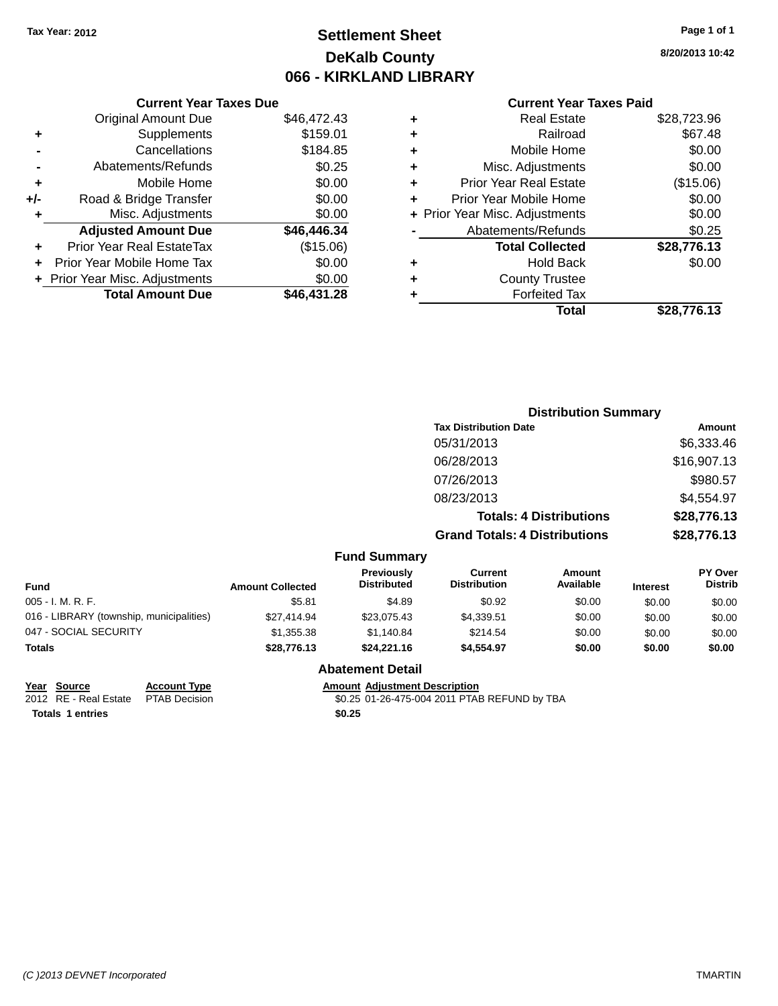# **Settlement Sheet Tax Year: 2012 Page 1 of 1 DeKalb County 066 - KIRKLAND LIBRARY**

#### **Current Year Taxes Due**

|       | <b>Original Amount Due</b>       | \$46,472.43 |
|-------|----------------------------------|-------------|
| ٠     | Supplements                      | \$159.01    |
|       | Cancellations                    | \$184.85    |
|       | Abatements/Refunds               | \$0.25      |
| ٠     | Mobile Home                      | \$0.00      |
| $+/-$ | Road & Bridge Transfer           | \$0.00      |
| ٠     | Misc. Adjustments                | \$0.00      |
|       | <b>Adjusted Amount Due</b>       | \$46,446.34 |
| ÷     | <b>Prior Year Real EstateTax</b> | (\$15.06)   |
|       | Prior Year Mobile Home Tax       | \$0.00      |
|       | + Prior Year Misc. Adjustments   | \$0.00      |
|       | <b>Total Amount Due</b>          | \$46,431.28 |
|       |                                  |             |

#### **Current Year Taxes Paid**

| ٠ | <b>Real Estate</b>             | \$28,723.96 |
|---|--------------------------------|-------------|
| ٠ | Railroad                       | \$67.48     |
| ٠ | Mobile Home                    | \$0.00      |
| ٠ | Misc. Adjustments              | \$0.00      |
| ٠ | <b>Prior Year Real Estate</b>  | (\$15.06)   |
| ٠ | Prior Year Mobile Home         | \$0.00      |
|   | + Prior Year Misc. Adjustments | \$0.00      |
|   | Abatements/Refunds             | \$0.25      |
|   | <b>Total Collected</b>         | \$28,776.13 |
| ٠ | <b>Hold Back</b>               | \$0.00      |
| ٠ | <b>County Trustee</b>          |             |
| ٠ | <b>Forfeited Tax</b>           |             |
|   | Total                          | \$28.776.13 |
|   |                                |             |

# **Distribution Summary Tax Distribution Date Amount** 05/31/2013 \$6,333.46 06/28/2013 \$16,907.13 07/26/2013 \$980.57 08/23/2013 \$4,554.97 **Totals: 4 Distributions \$28,776.13 Grand Totals: 4 Distributions \$28,776.13**

#### **Fund Summary**

| Fund                                     | <b>Amount Collected</b> | <b>Previously</b><br><b>Distributed</b> | Current<br><b>Distribution</b> | Amount<br>Available | <b>Interest</b> | <b>PY Over</b><br><b>Distrib</b> |
|------------------------------------------|-------------------------|-----------------------------------------|--------------------------------|---------------------|-----------------|----------------------------------|
| 005 - I. M. R. F.                        | \$5.81                  | \$4.89                                  | \$0.92                         | \$0.00              | \$0.00          | \$0.00                           |
| 016 - LIBRARY (township, municipalities) | \$27,414.94             | \$23,075.43                             | \$4,339.51                     | \$0.00              | \$0.00          | \$0.00                           |
| 047 - SOCIAL SECURITY                    | \$1,355,38              | \$1.140.84                              | \$214.54                       | \$0.00              | \$0.00          | \$0.00                           |
| Totals                                   | \$28,776.13             | \$24,221.16                             | \$4.554.97                     | \$0.00              | \$0.00          | \$0.00                           |

#### **Abatement Detail**

**<u>Year Source</u> <b>Account Type Amount Adjustment Description**<br>2012 RE - Real Estate PTAB Decision **60.25 01-26-475-004 2011 PTAE** 

\$0.25 01-26-475-004 2011 PTAB REFUND by TBA **Totals 1 entries \$0.25**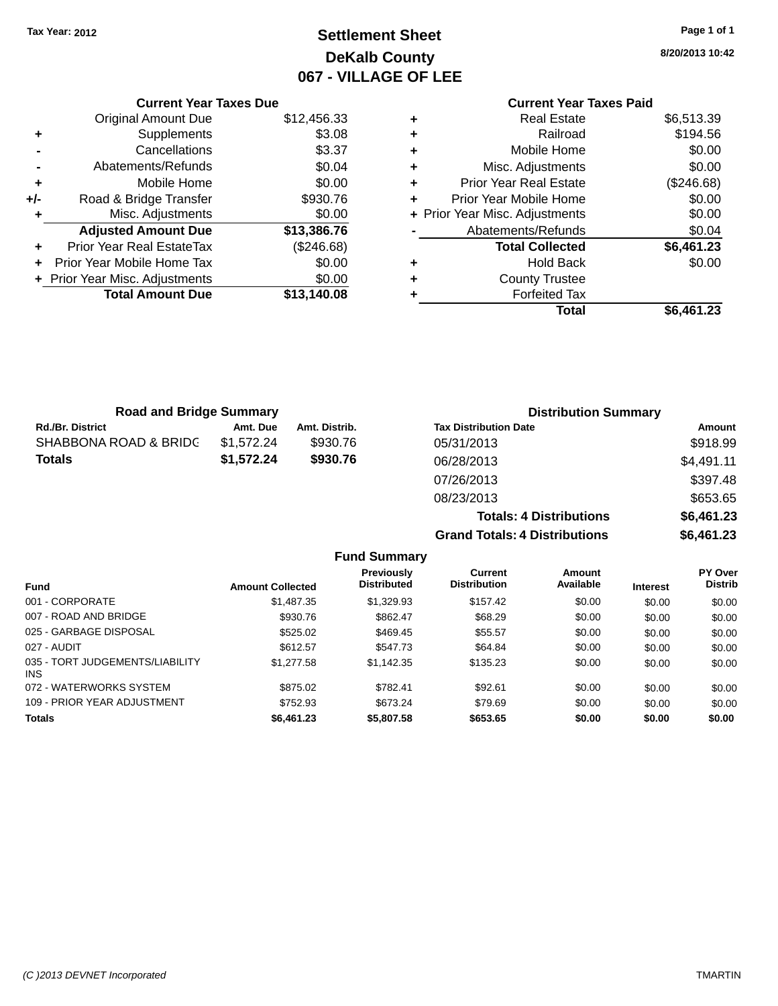# **Settlement Sheet Tax Year: 2012 Page 1 of 1 DeKalb County 067 - VILLAGE OF LEE**

**8/20/2013 10:42**

# **Current Year Taxes Paid**

|       | <b>Current Year Taxes Due</b>    |             |  |  |  |
|-------|----------------------------------|-------------|--|--|--|
|       | <b>Original Amount Due</b>       | \$12,456.33 |  |  |  |
| ٠     | Supplements                      | \$3.08      |  |  |  |
|       | Cancellations                    | \$3.37      |  |  |  |
|       | Abatements/Refunds               | \$0.04      |  |  |  |
| ٠     | Mobile Home                      | \$0.00      |  |  |  |
| $+/-$ | Road & Bridge Transfer           | \$930.76    |  |  |  |
|       | Misc. Adjustments                | \$0.00      |  |  |  |
|       | <b>Adjusted Amount Due</b>       | \$13,386.76 |  |  |  |
| ÷     | <b>Prior Year Real EstateTax</b> | (\$246.68)  |  |  |  |
|       | Prior Year Mobile Home Tax       | \$0.00      |  |  |  |
|       | + Prior Year Misc. Adjustments   | \$0.00      |  |  |  |
|       | <b>Total Amount Due</b>          | \$13,140,08 |  |  |  |
|       |                                  |             |  |  |  |

| ٠ | <b>Real Estate</b>             | \$6,513.39 |
|---|--------------------------------|------------|
| ٠ | Railroad                       | \$194.56   |
| ٠ | Mobile Home                    | \$0.00     |
| ٠ | Misc. Adjustments              | \$0.00     |
| ٠ | <b>Prior Year Real Estate</b>  | (\$246.68) |
| ٠ | Prior Year Mobile Home         | \$0.00     |
|   | + Prior Year Misc. Adjustments | \$0.00     |
|   | Abatements/Refunds             | \$0.04     |
|   | <b>Total Collected</b>         | \$6,461.23 |
| ٠ | <b>Hold Back</b>               | \$0.00     |
| ٠ | <b>County Trustee</b>          |            |
| ٠ | <b>Forfeited Tax</b>           |            |
|   | <b>Total</b>                   | \$6,461.23 |
|   |                                |            |

| <b>Road and Bridge Summary</b> |            |               | <b>Distribution Summary</b>    |            |  |
|--------------------------------|------------|---------------|--------------------------------|------------|--|
| <b>Rd./Br. District</b>        | Amt. Due   | Amt. Distrib. | <b>Tax Distribution Date</b>   | Amount     |  |
| SHABBONA ROAD & BRIDC          | \$1,572.24 | \$930.76      | 05/31/2013                     | \$918.99   |  |
| <b>Totals</b>                  | \$1,572.24 | \$930.76      | 06/28/2013                     | \$4,491.11 |  |
|                                |            |               | 07/26/2013                     | \$397.48   |  |
|                                |            |               | 08/23/2013                     | \$653.65   |  |
|                                |            |               | <b>Totals: 4 Distributions</b> | \$6,461.23 |  |

**Grand Totals: 4 Distributions \$6,461.23**

|                                         |                         | <b>Fund Summary</b>              |                                |                     |                 |                                  |
|-----------------------------------------|-------------------------|----------------------------------|--------------------------------|---------------------|-----------------|----------------------------------|
| <b>Fund</b>                             | <b>Amount Collected</b> | Previously<br><b>Distributed</b> | Current<br><b>Distribution</b> | Amount<br>Available | <b>Interest</b> | <b>PY Over</b><br><b>Distrib</b> |
| 001 - CORPORATE                         | \$1,487.35              | \$1,329.93                       | \$157.42                       | \$0.00              | \$0.00          | \$0.00                           |
| 007 - ROAD AND BRIDGE                   | \$930.76                | \$862.47                         | \$68.29                        | \$0.00              | \$0.00          | \$0.00                           |
| 025 - GARBAGE DISPOSAL                  | \$525.02                | \$469.45                         | \$55.57                        | \$0.00              | \$0.00          | \$0.00                           |
| 027 - AUDIT                             | \$612.57                | \$547.73                         | \$64.84                        | \$0.00              | \$0.00          | \$0.00                           |
| 035 - TORT JUDGEMENTS/LIABILITY<br>INS. | \$1,277.58              | \$1.142.35                       | \$135.23                       | \$0.00              | \$0.00          | \$0.00                           |
| 072 - WATERWORKS SYSTEM                 | \$875.02                | \$782.41                         | \$92.61                        | \$0.00              | \$0.00          | \$0.00                           |
| 109 - PRIOR YEAR ADJUSTMENT             | \$752.93                | \$673.24                         | \$79.69                        | \$0.00              | \$0.00          | \$0.00                           |
| <b>Totals</b>                           | \$6,461.23              | \$5,807.58                       | \$653.65                       | \$0.00              | \$0.00          | \$0.00                           |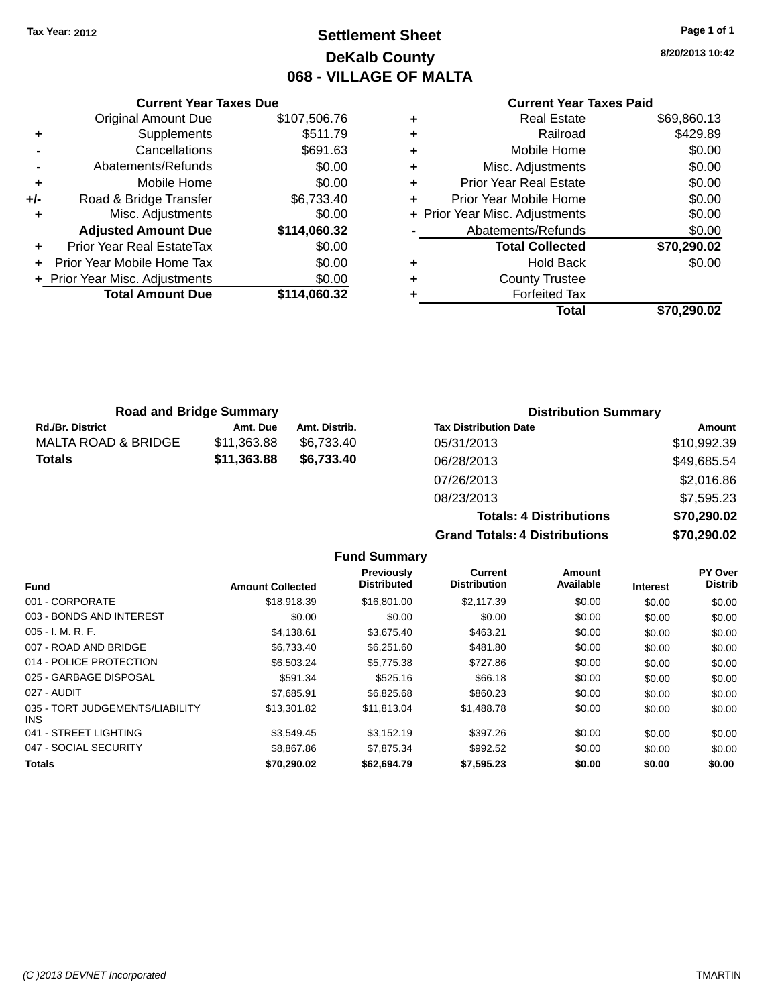# **Settlement Sheet Tax Year: 2012 Page 1 of 1 DeKalb County 068 - VILLAGE OF MALTA**

**8/20/2013 10:42**

# **Current Year Taxes Paid**

|       | <b>Current Year Taxes Due</b>  |              |
|-------|--------------------------------|--------------|
|       | <b>Original Amount Due</b>     | \$107,506.76 |
| ٠     | Supplements                    | \$511.79     |
|       | Cancellations                  | \$691.63     |
|       | Abatements/Refunds             | \$0.00       |
| ٠     | Mobile Home                    | \$0.00       |
| $+/-$ | Road & Bridge Transfer         | \$6,733.40   |
| ٠     | Misc. Adjustments              | \$0.00       |
|       | <b>Adjusted Amount Due</b>     | \$114,060.32 |
|       | Prior Year Real EstateTax      | \$0.00       |
|       | Prior Year Mobile Home Tax     | \$0.00       |
|       | + Prior Year Misc. Adjustments | \$0.00       |
|       | <b>Total Amount Due</b>        | \$114,060.32 |
|       |                                |              |

|   | <b>Real Estate</b>             | \$69,860.13 |
|---|--------------------------------|-------------|
| ٠ | Railroad                       | \$429.89    |
| ٠ | Mobile Home                    | \$0.00      |
| ٠ | Misc. Adjustments              | \$0.00      |
| ٠ | <b>Prior Year Real Estate</b>  | \$0.00      |
| ٠ | Prior Year Mobile Home         | \$0.00      |
|   | + Prior Year Misc. Adjustments | \$0.00      |
|   | Abatements/Refunds             | \$0.00      |
|   | <b>Total Collected</b>         | \$70,290.02 |
| ٠ | Hold Back                      | \$0.00      |
| ٠ | <b>County Trustee</b>          |             |
| ٠ | <b>Forfeited Tax</b>           |             |
|   | Total                          | \$70,290.02 |
|   |                                |             |

| <b>Road and Bridge Summary</b> |             |               | <b>Distribution Summary</b>  |             |  |
|--------------------------------|-------------|---------------|------------------------------|-------------|--|
| <b>Rd./Br. District</b>        | Amt. Due    | Amt. Distrib. | <b>Tax Distribution Date</b> | Amount      |  |
| <b>MALTA ROAD &amp; BRIDGE</b> | \$11,363.88 | \$6.733.40    | 05/31/2013                   | \$10,992.39 |  |
| <b>Totals</b>                  | \$11,363.88 | \$6,733.40    | 06/28/2013                   | \$49,685.54 |  |
|                                |             |               | 07/26/2013                   | \$2,016.86  |  |
|                                |             |               |                              |             |  |

| <b>Grand Totals: 4 Distributions</b> | \$70,290.02 |
|--------------------------------------|-------------|
| <b>Totals: 4 Distributions</b>       | \$70,290.02 |
| 08/23/2013                           | \$7,595.23  |
| 07/26/2013                           | \$2,016.86  |
| 06/28/2013                           | \$49,085.54 |

|                                         |                         | <b>Fund Summary</b>                     |                                |                     |                 |                           |
|-----------------------------------------|-------------------------|-----------------------------------------|--------------------------------|---------------------|-----------------|---------------------------|
| Fund                                    | <b>Amount Collected</b> | <b>Previously</b><br><b>Distributed</b> | Current<br><b>Distribution</b> | Amount<br>Available | <b>Interest</b> | PY Over<br><b>Distrib</b> |
| 001 - CORPORATE                         | \$18,918,39             | \$16,801.00                             | \$2,117.39                     | \$0.00              | \$0.00          | \$0.00                    |
| 003 - BONDS AND INTEREST                | \$0.00                  | \$0.00                                  | \$0.00                         | \$0.00              | \$0.00          | \$0.00                    |
| $005 - I. M. R. F.$                     | \$4,138.61              | \$3,675.40                              | \$463.21                       | \$0.00              | \$0.00          | \$0.00                    |
| 007 - ROAD AND BRIDGE                   | \$6,733.40              | \$6,251.60                              | \$481.80                       | \$0.00              | \$0.00          | \$0.00                    |
| 014 - POLICE PROTECTION                 | \$6,503.24              | \$5,775.38                              | \$727.86                       | \$0.00              | \$0.00          | \$0.00                    |
| 025 - GARBAGE DISPOSAL                  | \$591.34                | \$525.16                                | \$66.18                        | \$0.00              | \$0.00          | \$0.00                    |
| 027 - AUDIT                             | \$7.685.91              | \$6,825,68                              | \$860.23                       | \$0.00              | \$0.00          | \$0.00                    |
| 035 - TORT JUDGEMENTS/LIABILITY<br>INS. | \$13,301.82             | \$11,813.04                             | \$1,488.78                     | \$0.00              | \$0.00          | \$0.00                    |
| 041 - STREET LIGHTING                   | \$3.549.45              | \$3.152.19                              | \$397.26                       | \$0.00              | \$0.00          | \$0.00                    |
| 047 - SOCIAL SECURITY                   | \$8,867.86              | \$7,875,34                              | \$992.52                       | \$0.00              | \$0.00          | \$0.00                    |
| <b>Totals</b>                           | \$70,290.02             | \$62,694.79                             | \$7,595.23                     | \$0.00              | \$0.00          | \$0.00                    |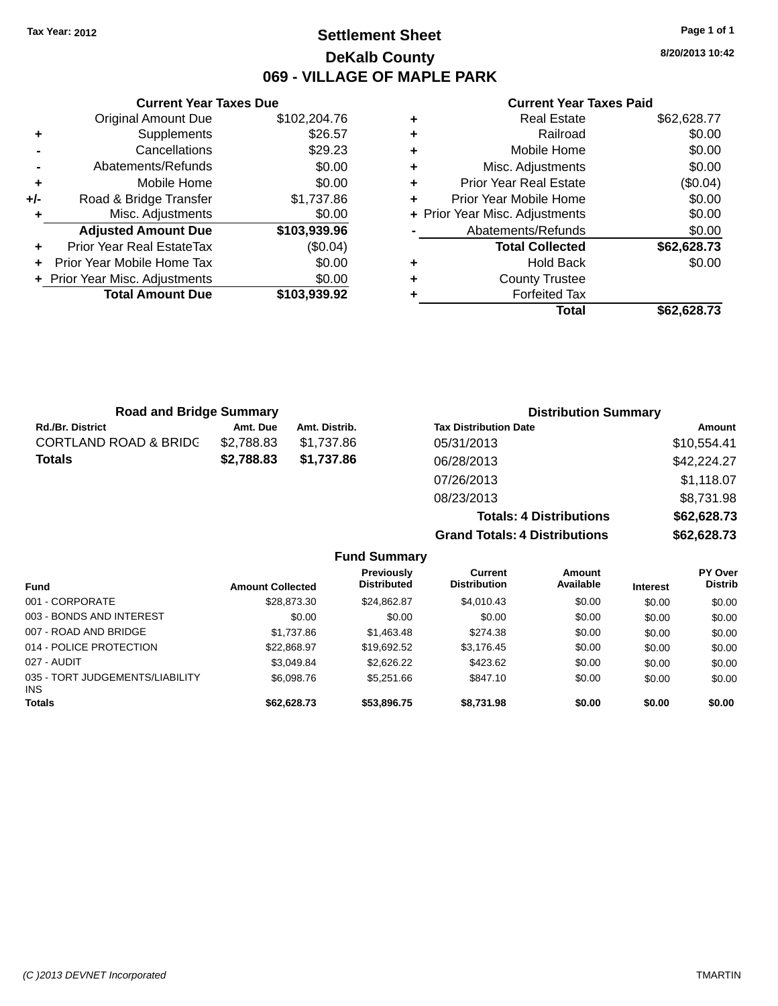# **Settlement Sheet Tax Year: 2012 Page 1 of 1 DeKalb County 069 - VILLAGE OF MAPLE PARK**

**8/20/2013 10:42**

#### **Current Year Taxes Paid**

|     | <b>Original Amount Due</b>     | \$102,204.76 |
|-----|--------------------------------|--------------|
| ٠   | Supplements                    | \$26.57      |
|     | Cancellations                  | \$29.23      |
|     | Abatements/Refunds             | \$0.00       |
| ٠   | Mobile Home                    | \$0.00       |
| +/- | Road & Bridge Transfer         | \$1,737.86   |
|     | Misc. Adjustments              | \$0.00       |
|     | <b>Adjusted Amount Due</b>     | \$103,939.96 |
| ÷   | Prior Year Real EstateTax      | (\$0.04)     |
| ÷   | Prior Year Mobile Home Tax     | \$0.00       |
|     | + Prior Year Misc. Adjustments | \$0.00       |
|     | <b>Total Amount Due</b>        | \$103,939.92 |
|     |                                |              |

**Current Year Taxes Due**

| ٠ | <b>Real Estate</b>             | \$62,628.77 |
|---|--------------------------------|-------------|
| ٠ | Railroad                       | \$0.00      |
| ٠ | Mobile Home                    | \$0.00      |
| ٠ | Misc. Adjustments              | \$0.00      |
| ٠ | <b>Prior Year Real Estate</b>  | (\$0.04)    |
| ÷ | Prior Year Mobile Home         | \$0.00      |
|   | + Prior Year Misc. Adjustments | \$0.00      |
|   | Abatements/Refunds             | \$0.00      |
|   | <b>Total Collected</b>         | \$62,628.73 |
| ٠ | <b>Hold Back</b>               | \$0.00      |
| ٠ | <b>County Trustee</b>          |             |
|   | <b>Forfeited Tax</b>           |             |
|   | Total                          | \$62,628.73 |

**Totals: 4 Distributions \$62,628.73**

**Grand Totals: 4 Distributions \$62,628.73**

| <b>Road and Bridge Summary</b>   |            |               | <b>Distribution Summary</b>  |             |
|----------------------------------|------------|---------------|------------------------------|-------------|
| <b>Rd./Br. District</b>          | Amt. Due   | Amt. Distrib. | <b>Tax Distribution Date</b> | Amount      |
| <b>CORTLAND ROAD &amp; BRIDC</b> | \$2,788.83 | \$1.737.86    | 05/31/2013                   | \$10,554.41 |
| Totals                           | \$2,788.83 | \$1,737.86    | 06/28/2013                   | \$42,224.27 |
|                                  |            |               | 07/26/2013                   | \$1,118.07  |
|                                  |            |               | 08/23/2013                   | \$8,731.98  |

**Fund Summary Fund Interest Amount Collected Distributed PY Over Distrib Amount Available Current Distribution Previously** 001 - CORPORATE \$28,873.30 \$24,862.87 \$4,010.43 \$0.00 \$0.00 \$0.00 003 - BONDS AND INTEREST  $$0.00$   $$0.00$   $$0.00$   $$0.00$   $$0.00$   $$0.00$   $$0.00$   $$0.00$ 007 - ROAD AND BRIDGE \$1,737.86 \$1,463.48 \$274.38 \$0.00 \$0.00 \$0.00 \$0.00 014 - POLICE PROTECTION \$22,868.97 \$19,692.52 \$3,176.45 \$0.00 \$0.00 \$0.00 \$0.00 027 - AUDIT \$3,049.84 \$2,626.22 \$423.62 \$0.00 \$0.00 \$0.00 035 - TORT JUDGEMENTS/LIABILITY INS \$6,098.76 \$5,251.66 \$847.10 \$0.00 \$0.00 \$0.00 **Totals \$62,628.73 \$53,896.75 \$8,731.98 \$0.00 \$0.00 \$0.00**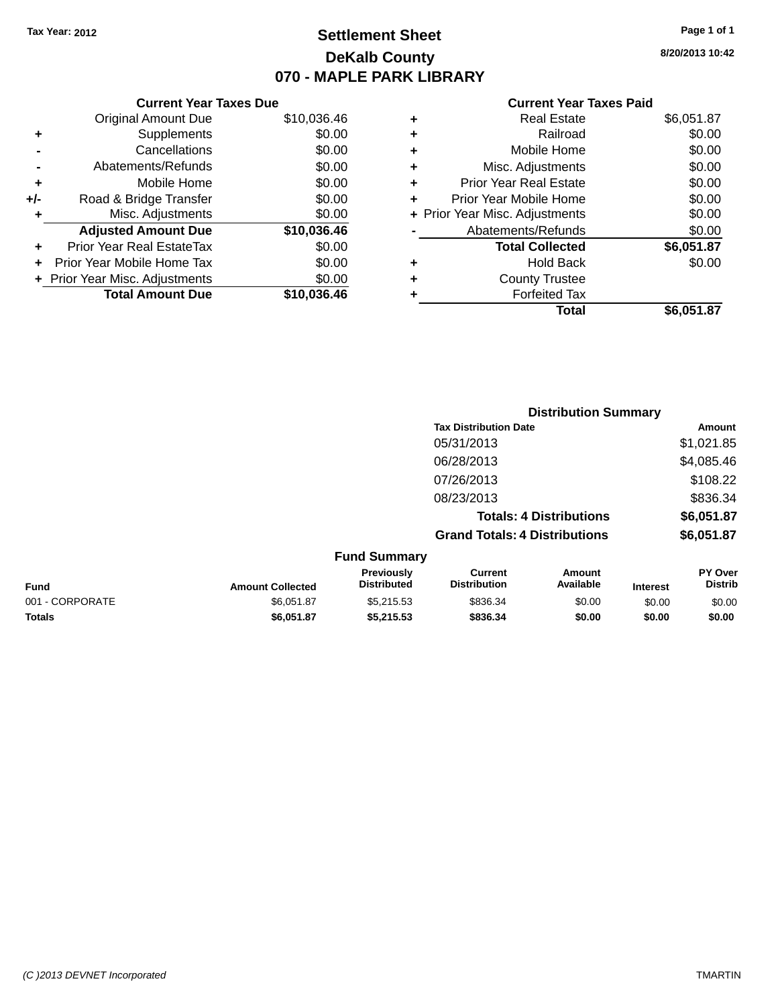# **Settlement Sheet Tax Year: 2012 Page 1 of 1 DeKalb County 070 - MAPLE PARK LIBRARY**

**8/20/2013 10:42**

#### **Current Year Taxes Paid**

|     | <b>Current Year Taxes Due</b>  |             |
|-----|--------------------------------|-------------|
|     | <b>Original Amount Due</b>     | \$10,036.46 |
| ٠   | Supplements                    | \$0.00      |
|     | Cancellations                  | \$0.00      |
|     | Abatements/Refunds             | \$0.00      |
| ٠   | Mobile Home                    | \$0.00      |
| +/- | Road & Bridge Transfer         | \$0.00      |
| ٠   | Misc. Adjustments              | \$0.00      |
|     | <b>Adjusted Amount Due</b>     | \$10,036.46 |
| ÷   | Prior Year Real EstateTax      | \$0.00      |
|     | Prior Year Mobile Home Tax     | \$0.00      |
|     | + Prior Year Misc. Adjustments | \$0.00      |
|     | <b>Total Amount Due</b>        | \$10,036.46 |
|     |                                |             |

|   | Real Estate                    | \$6,051.87 |
|---|--------------------------------|------------|
| ٠ | Railroad                       | \$0.00     |
| ٠ | Mobile Home                    | \$0.00     |
| ٠ | Misc. Adjustments              | \$0.00     |
| ٠ | <b>Prior Year Real Estate</b>  | \$0.00     |
| ÷ | Prior Year Mobile Home         | \$0.00     |
|   | + Prior Year Misc. Adjustments | \$0.00     |
|   | Abatements/Refunds             | \$0.00     |
|   | <b>Total Collected</b>         | \$6,051.87 |
| ٠ | Hold Back                      | \$0.00     |
|   | <b>County Trustee</b>          |            |
| ٠ | <b>Forfeited Tax</b>           |            |
|   | Total                          | \$6,051.87 |
|   |                                |            |

|                         |                                  | <b>Distribution Summary</b>                                         |                                |                 |                                  |  |
|-------------------------|----------------------------------|---------------------------------------------------------------------|--------------------------------|-----------------|----------------------------------|--|
|                         |                                  | <b>Tax Distribution Date</b>                                        |                                |                 | Amount                           |  |
|                         |                                  | 05/31/2013                                                          |                                | \$1,021.85      |                                  |  |
|                         |                                  | 06/28/2013                                                          | \$4,085.46                     |                 |                                  |  |
|                         |                                  | 07/26/2013                                                          |                                |                 | \$108.22                         |  |
|                         |                                  | 08/23/2013                                                          |                                |                 | \$836.34                         |  |
|                         |                                  |                                                                     | <b>Totals: 4 Distributions</b> |                 | \$6,051.87                       |  |
|                         |                                  | <b>Grand Totals: 4 Distributions</b>                                |                                |                 | \$6,051.87                       |  |
|                         | <b>Fund Summary</b>              |                                                                     |                                |                 |                                  |  |
| <b>Amount Collected</b> | Previously<br><b>Distributed</b> | <b>Current</b><br><b>Distribution</b>                               | Amount<br>Available            | <b>Interest</b> | <b>PY Over</b><br><b>Distrib</b> |  |
|                         | $\bigcap_{n=1}^{\infty}$         | $\mathbf{a} \mathbf{a} \mathbf{a} \mathbf{a} \mathbf{a} \mathbf{b}$ | $\sim$ $\sim$                  | $\cdots$        | $\cdots$                         |  |

| <b>Fund</b>     | <b>Amount Collected</b> | .<br><b>Distributed</b> | --------<br><b>Distribution</b> | .<br>Available | <b>Interest</b> | .<br><b>Distrib</b> |
|-----------------|-------------------------|-------------------------|---------------------------------|----------------|-----------------|---------------------|
| 001 - CORPORATE | \$6.051.87              | \$5.215.53              | \$836.34                        | \$0.00         | \$0.00          | \$0.00              |
| <b>Totals</b>   | \$6.051.87              | \$5.215.53              | \$836.34                        | \$0.00         | \$0.00          | \$0.00              |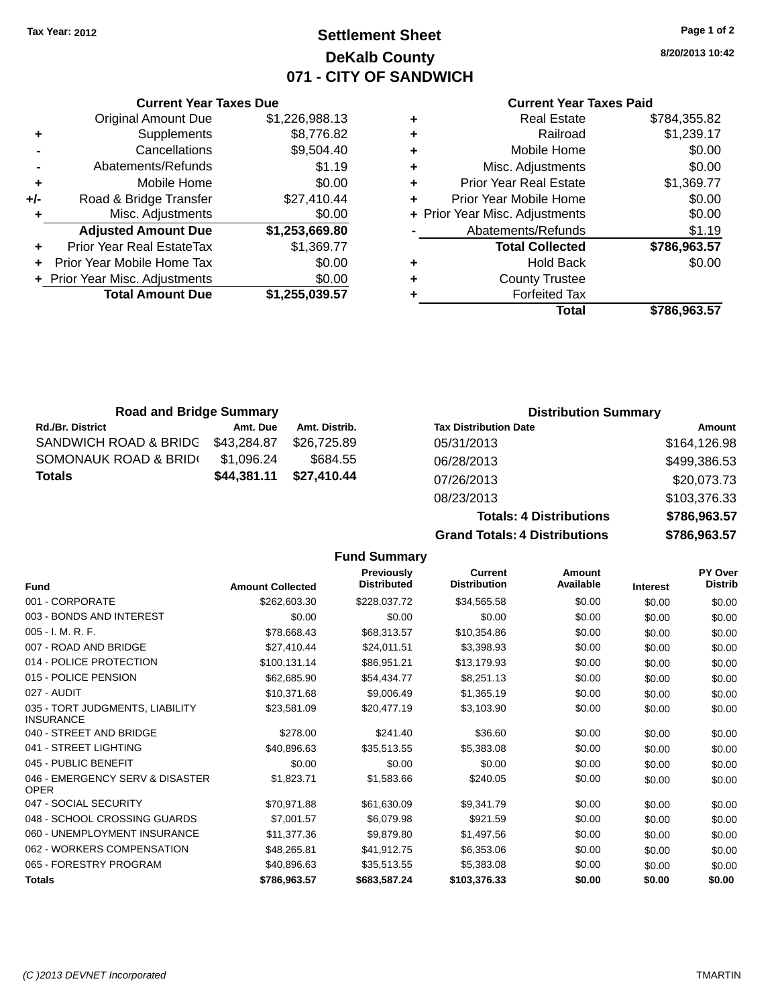**Current Year Taxes Due** Original Amount Due \$1,226,988.1

# **Settlement Sheet Tax Year: 2012 Page 1 of 2 DeKalb County 071 - CITY OF SANDWICH**

**8/20/2013 10:42**

#### **Current Year Taxes Paid**

|                                  |                                |   | Total                         | \$786,963.57                   |
|----------------------------------|--------------------------------|---|-------------------------------|--------------------------------|
| <b>Total Amount Due</b>          | \$1,255,039.57                 |   | <b>Forfeited Tax</b>          |                                |
|                                  | \$0.00                         | ٠ | <b>County Trustee</b>         |                                |
| Prior Year Mobile Home Tax       | \$0.00                         | ٠ | <b>Hold Back</b>              | \$0.00                         |
| <b>Prior Year Real EstateTax</b> | \$1,369.77                     |   | <b>Total Collected</b>        | \$786,963.57                   |
| <b>Adjusted Amount Due</b>       | \$1,253,669.80                 |   | Abatements/Refunds            | \$1.19                         |
| Misc. Adjustments                | \$0.00                         |   |                               | \$0.00                         |
| Road & Bridge Transfer           | \$27,410.44                    |   | Prior Year Mobile Home        | \$0.00                         |
| Mobile Home                      | \$0.00                         | ٠ | <b>Prior Year Real Estate</b> | \$1,369.77                     |
| Abatements/Refunds               | \$1.19                         | ٠ | Misc. Adjustments             | \$0.00                         |
| Cancellations                    | \$9,504.40                     | ٠ | Mobile Home                   | \$0.00                         |
| Supplements                      | \$8,776.82                     | ٠ | Railroad                      | \$1,239.17                     |
| <b>Original Amount Due</b>       | \$1,226,988.13                 | ٠ | <b>Real Estate</b>            | \$784,355.82                   |
|                                  | + Prior Year Misc. Adjustments |   |                               | + Prior Year Misc. Adjustments |

| <b>Road and Bridge Summary</b> |             |               | <b>Distribution Summary</b>  |              |
|--------------------------------|-------------|---------------|------------------------------|--------------|
| <b>Rd./Br. District</b>        | Amt. Due    | Amt. Distrib. | <b>Tax Distribution Date</b> | Amount       |
| SANDWICH ROAD & BRIDG          | \$43,284.87 | \$26,725,89   | 05/31/2013                   | \$164,126.98 |
| SOMONAUK ROAD & BRID(          | \$1,096.24  | \$684.55      | 06/28/2013                   | \$499,386.53 |
| <b>Totals</b>                  | \$44,381.11 | \$27,410.44   | 07/26/2013                   | \$20,073.73  |

**Fund Summary**

08/23/2013 \$103,376.33 **Totals: 4 Distributions \$786,963.57 Grand Totals: 4 Distributions \$786,963.57**

| <b>Fund</b>                                         | <b>Amount Collected</b> | Previously<br><b>Distributed</b> | Current<br><b>Distribution</b> | Amount<br>Available | <b>Interest</b> | PY Over<br><b>Distrib</b> |
|-----------------------------------------------------|-------------------------|----------------------------------|--------------------------------|---------------------|-----------------|---------------------------|
| 001 - CORPORATE                                     | \$262,603.30            | \$228,037.72                     | \$34,565.58                    | \$0.00              | \$0.00          | \$0.00                    |
| 003 - BONDS AND INTEREST                            | \$0.00                  | \$0.00                           | \$0.00                         | \$0.00              | \$0.00          | \$0.00                    |
| $005 - I. M. R. F.$                                 | \$78,668.43             | \$68,313.57                      | \$10,354.86                    | \$0.00              | \$0.00          | \$0.00                    |
| 007 - ROAD AND BRIDGE                               | \$27,410.44             | \$24,011.51                      | \$3,398.93                     | \$0.00              | \$0.00          | \$0.00                    |
| 014 - POLICE PROTECTION                             | \$100,131.14            | \$86,951.21                      | \$13,179.93                    | \$0.00              | \$0.00          | \$0.00                    |
| 015 - POLICE PENSION                                | \$62,685.90             | \$54,434.77                      | \$8,251.13                     | \$0.00              | \$0.00          | \$0.00                    |
| 027 - AUDIT                                         | \$10,371.68             | \$9,006.49                       | \$1,365.19                     | \$0.00              | \$0.00          | \$0.00                    |
| 035 - TORT JUDGMENTS, LIABILITY<br><b>INSURANCE</b> | \$23,581.09             | \$20,477.19                      | \$3,103.90                     | \$0.00              | \$0.00          | \$0.00                    |
| 040 - STREET AND BRIDGE                             | \$278.00                | \$241.40                         | \$36.60                        | \$0.00              | \$0.00          | \$0.00                    |
| 041 - STREET LIGHTING                               | \$40,896.63             | \$35,513.55                      | \$5,383.08                     | \$0.00              | \$0.00          | \$0.00                    |
| 045 - PUBLIC BENEFIT                                | \$0.00                  | \$0.00                           | \$0.00                         | \$0.00              | \$0.00          | \$0.00                    |
| 046 - EMERGENCY SERV & DISASTER<br><b>OPER</b>      | \$1,823.71              | \$1,583.66                       | \$240.05                       | \$0.00              | \$0.00          | \$0.00                    |
| 047 - SOCIAL SECURITY                               | \$70,971.88             | \$61,630.09                      | \$9,341.79                     | \$0.00              | \$0.00          | \$0.00                    |
| 048 - SCHOOL CROSSING GUARDS                        | \$7,001.57              | \$6,079.98                       | \$921.59                       | \$0.00              | \$0.00          | \$0.00                    |
| 060 - UNEMPLOYMENT INSURANCE                        | \$11,377.36             | \$9,879.80                       | \$1,497.56                     | \$0.00              | \$0.00          | \$0.00                    |
| 062 - WORKERS COMPENSATION                          | \$48,265.81             | \$41,912.75                      | \$6,353.06                     | \$0.00              | \$0.00          | \$0.00                    |
| 065 - FORESTRY PROGRAM                              | \$40,896.63             | \$35,513.55                      | \$5,383.08                     | \$0.00              | \$0.00          | \$0.00                    |
| <b>Totals</b>                                       | \$786,963.57            | \$683,587.24                     | \$103,376.33                   | \$0.00              | \$0.00          | \$0.00                    |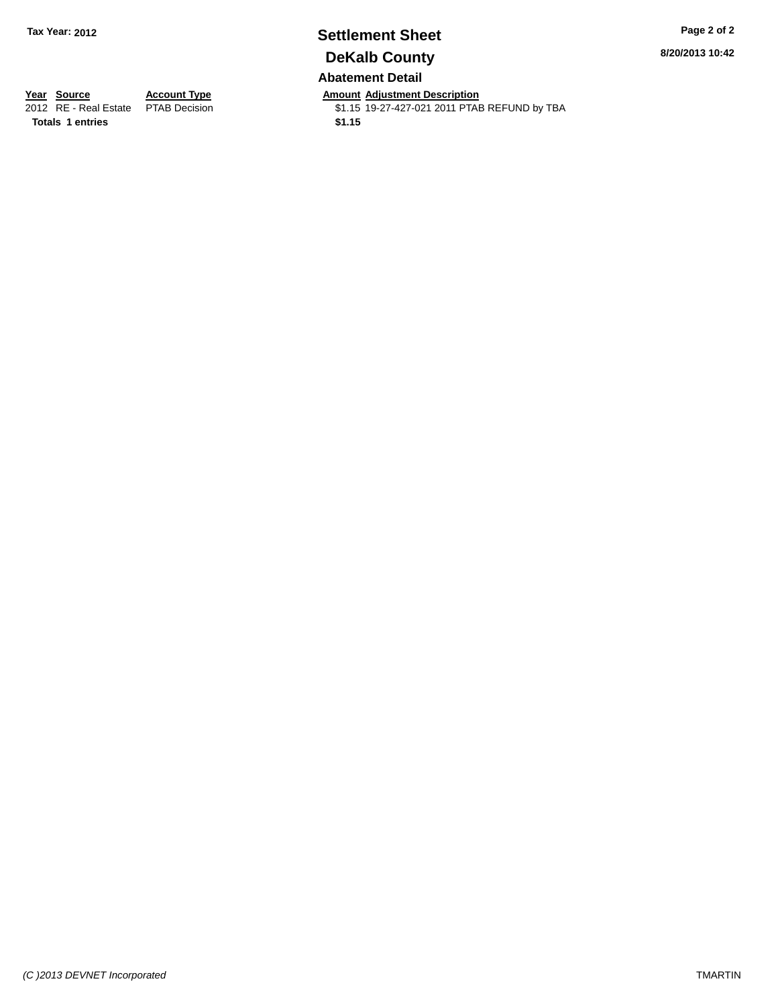# **Settlement Sheet Tax Year: 2012 Page 2 of 2 DeKalb County Abatement Detail**

**8/20/2013 10:42**

**Totals 1 entries \$1.15**

**Year Source Account Type Amount Adjustment Description**<br>2012 RE - Real Estate PTAB Decision **Amount Adjustment Description** \$1.15 19-27-427-021 2011 PTAB REFUND by TBA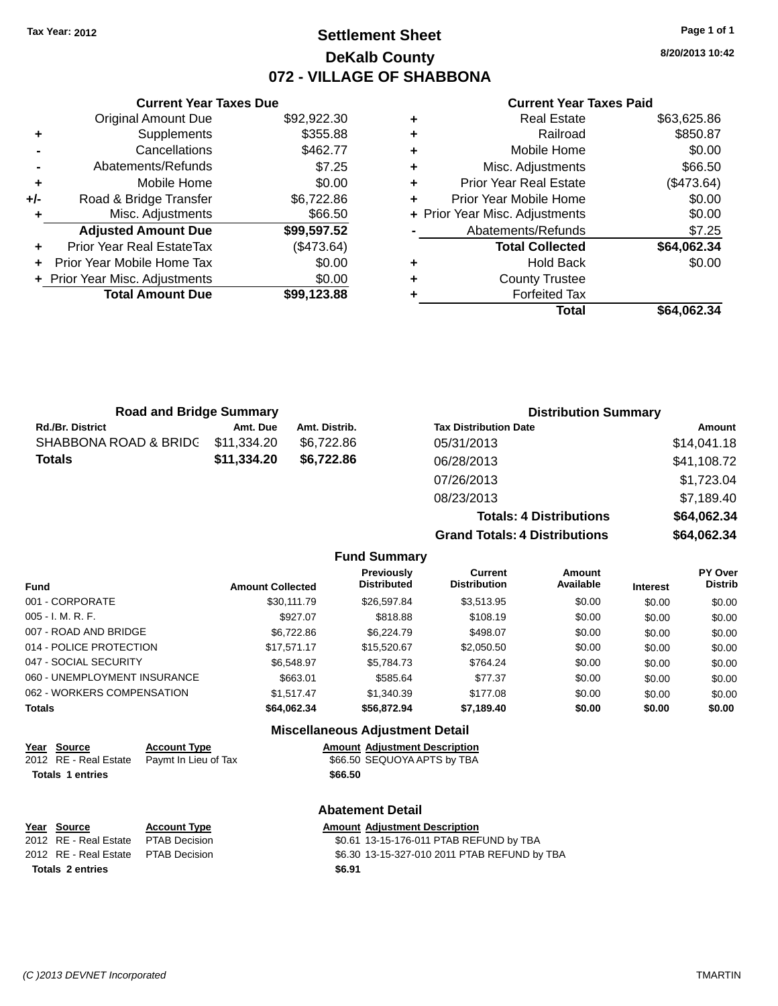# **Settlement Sheet Tax Year: 2012 Page 1 of 1 DeKalb County 072 - VILLAGE OF SHABBONA**

**8/20/2013 10:42**

#### **Current Year Taxes Paid**

|     | <b>Current Year Taxes Due</b>  |             |
|-----|--------------------------------|-------------|
|     | <b>Original Amount Due</b>     | \$92,922.30 |
| ٠   | Supplements                    | \$355.88    |
|     | Cancellations                  | \$462.77    |
|     | Abatements/Refunds             | \$7.25      |
| ٠   | Mobile Home                    | \$0.00      |
| +/- | Road & Bridge Transfer         | \$6,722.86  |
|     | Misc. Adjustments              | \$66.50     |
|     | <b>Adjusted Amount Due</b>     | \$99,597.52 |
|     | Prior Year Real EstateTax      | (\$473.64)  |
|     | Prior Year Mobile Home Tax     | \$0.00      |
|     | + Prior Year Misc. Adjustments | \$0.00      |
|     | <b>Total Amount Due</b>        | \$99,123.88 |
|     |                                |             |

| ٠ | <b>Real Estate</b>             | \$63,625.86 |
|---|--------------------------------|-------------|
| ٠ | Railroad                       | \$850.87    |
| ٠ | Mobile Home                    | \$0.00      |
| ٠ | Misc. Adjustments              | \$66.50     |
| ٠ | <b>Prior Year Real Estate</b>  | (\$473.64)  |
| ٠ | Prior Year Mobile Home         | \$0.00      |
|   | + Prior Year Misc. Adjustments | \$0.00      |
|   | Abatements/Refunds             | \$7.25      |
|   | <b>Total Collected</b>         | \$64,062.34 |
| ٠ | <b>Hold Back</b>               | \$0.00      |
| ٠ | <b>County Trustee</b>          |             |
| ٠ | <b>Forfeited Tax</b>           |             |
|   | Total                          | \$64,062.34 |
|   |                                |             |

| <b>Road and Bridge Summary</b> |             |               | <b>Distribution Summary</b>  |             |  |
|--------------------------------|-------------|---------------|------------------------------|-------------|--|
| <b>Rd./Br. District</b>        | Amt. Due    | Amt. Distrib. | <b>Tax Distribution Date</b> | Amount      |  |
| SHABBONA ROAD & BRIDC          | \$11,334.20 | \$6.722.86    | 05/31/2013                   | \$14,041.18 |  |
| <b>Totals</b>                  | \$11,334.20 | \$6,722.86    | 06/28/2013                   | \$41,108.72 |  |
|                                |             |               | 07/26/2013                   | \$1,723.04  |  |
|                                |             |               | 08/23/2013                   | \$7,189.40  |  |

**Totals: 4 Distributions \$64,062.34 Grand Totals: 4 Distributions \$64,062.34**

|                              |                         | <b>Fund Summary</b>                      |                                       |                     |                 |                                  |
|------------------------------|-------------------------|------------------------------------------|---------------------------------------|---------------------|-----------------|----------------------------------|
| <b>Fund</b>                  | <b>Amount Collected</b> | Previously<br><b>Distributed</b>         | <b>Current</b><br><b>Distribution</b> | Amount<br>Available | <b>Interest</b> | <b>PY Over</b><br><b>Distrib</b> |
| 001 - CORPORATE              | \$30.111.79             | \$26,597.84                              | \$3,513.95                            | \$0.00              | \$0.00          | \$0.00                           |
| 005 - I. M. R. F.            | \$927.07                | \$818.88                                 | \$108.19                              | \$0.00              | \$0.00          | \$0.00                           |
| 007 - ROAD AND BRIDGE        | \$6,722.86              | \$6,224.79                               | \$498.07                              | \$0.00              | \$0.00          | \$0.00                           |
| 014 - POLICE PROTECTION      | \$17.571.17             | \$15,520.67                              | \$2,050.50                            | \$0.00              | \$0.00          | \$0.00                           |
| 047 - SOCIAL SECURITY        | \$6,548.97              | \$5.784.73                               | \$764.24                              | \$0.00              | \$0.00          | \$0.00                           |
| 060 - UNEMPLOYMENT INSURANCE | \$663.01                | \$585.64                                 | \$77.37                               | \$0.00              | \$0.00          | \$0.00                           |
| 062 - WORKERS COMPENSATION   | \$1.517.47              | \$1,340.39                               | \$177.08                              | \$0.00              | \$0.00          | \$0.00                           |
| Totals                       | \$64.062.34             | \$56,872.94                              | \$7,189.40                            | \$0.00              | \$0.00          | \$0.00                           |
|                              |                         | <b>Missellanessen Adhiedriche Detail</b> |                                       |                     |                 |                                  |

#### **Miscellaneous Adjustment Detail**

| Year Source             | <b>Account Type</b>                        |         | <b>Amount Adjustment Description</b> |
|-------------------------|--------------------------------------------|---------|--------------------------------------|
|                         | 2012 RE - Real Estate Paymt In Lieu of Tax |         | \$66.50 SEQUOYA APTS by TBA          |
| <b>Totals 1 entries</b> |                                            | \$66.50 |                                      |

|                         |                                     | <b>Abatement Detail</b> |  |                                              |
|-------------------------|-------------------------------------|-------------------------|--|----------------------------------------------|
|                         | Year Source                         | <b>Account Type</b>     |  | <b>Amount Adiustment Description</b>         |
|                         | 2012 RE - Real Estate               | PTAB Decision           |  | \$0.61 13-15-176-011 PTAB REFUND by TBA      |
|                         | 2012 RE - Real Estate PTAB Decision |                         |  | \$6.30 13-15-327-010 2011 PTAB REFUND by TBA |
| <b>Totals 2 entries</b> |                                     | \$6.91                  |  |                                              |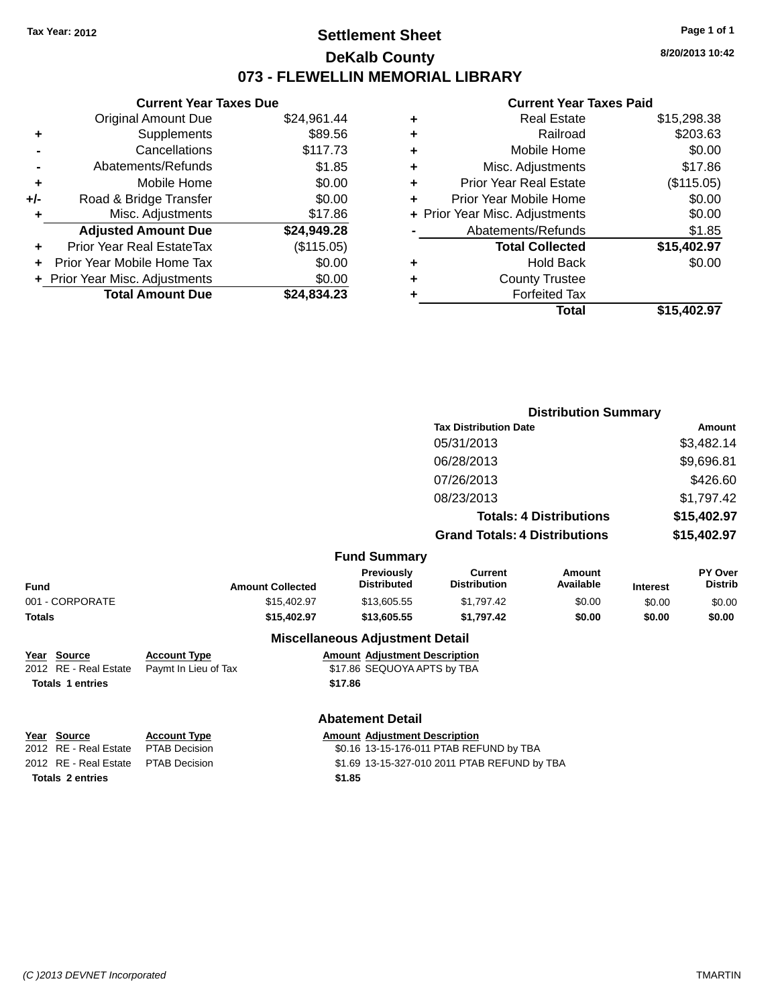# **Settlement Sheet Tax Year: 2012 Page 1 of 1 DeKalb County 073 - FLEWELLIN MEMORIAL LIBRARY**

**8/20/2013 10:42**

## **Current Year Taxes Paid**

| <b>Current</b>            |   | <b>Current Year Taxes Due</b> |                                  |     |  |
|---------------------------|---|-------------------------------|----------------------------------|-----|--|
| Real I                    | ٠ | \$24,961.44                   | Original Amount Due              |     |  |
| Ra                        | ٠ | \$89.56                       | Supplements                      |     |  |
| Mobile                    | ٠ | \$117.73                      | Cancellations                    |     |  |
| Misc. Adjusti             | ٠ | \$1.85                        | Abatements/Refunds               |     |  |
| Prior Year Real E         | ÷ | \$0.00                        | Mobile Home                      | ÷   |  |
| Prior Year Mobile         |   | \$0.00                        | Road & Bridge Transfer           | +/- |  |
| + Prior Year Misc. Adjust |   | \$17.86                       | Misc. Adjustments                |     |  |
| Abatements/Re             |   | \$24,949.28                   | <b>Adjusted Amount Due</b>       |     |  |
| <b>Total Coll</b>         |   | (\$115.05)                    | <b>Prior Year Real EstateTax</b> |     |  |
| Hold                      | ٠ | \$0.00                        | Prior Year Mobile Home Tax       |     |  |
| County Tr                 | ٠ | \$0.00                        | + Prior Year Misc. Adjustments   |     |  |
| Forfeite                  |   | \$24,834.23                   | <b>Total Amount Due</b>          |     |  |
|                           |   |                               |                                  |     |  |

|   | <b>Real Estate</b>             | \$15,298.38 |
|---|--------------------------------|-------------|
| ÷ | Railroad                       | \$203.63    |
|   | Mobile Home                    | \$0.00      |
| ٠ | Misc. Adjustments              | \$17.86     |
| ٠ | <b>Prior Year Real Estate</b>  | (\$115.05)  |
| ÷ | Prior Year Mobile Home         | \$0.00      |
|   | + Prior Year Misc. Adjustments | \$0.00      |
|   | Abatements/Refunds             | \$1.85      |
|   | <b>Total Collected</b>         | \$15,402.97 |
|   | <b>Hold Back</b>               | \$0.00      |
| ٠ | <b>County Trustee</b>          |             |
|   | <b>Forfeited Tax</b>           |             |
|   | Total                          | \$15,402.97 |
|   |                                |             |

|                                      |                                             |                                                                     | <b>Distribution Summary</b>                                            |                     |                 |                           |
|--------------------------------------|---------------------------------------------|---------------------------------------------------------------------|------------------------------------------------------------------------|---------------------|-----------------|---------------------------|
|                                      | <b>Tax Distribution Date</b><br>05/31/2013  |                                                                     |                                                                        |                     |                 | Amount                    |
|                                      |                                             |                                                                     |                                                                        |                     |                 | \$3,482.14                |
|                                      |                                             |                                                                     | 06/28/2013                                                             |                     |                 | \$9,696.81                |
|                                      |                                             |                                                                     | 07/26/2013                                                             |                     | \$426.60        |                           |
|                                      |                                             |                                                                     | 08/23/2013                                                             |                     |                 | \$1,797.42                |
|                                      |                                             |                                                                     | <b>Totals: 4 Distributions</b><br><b>Grand Totals: 4 Distributions</b> |                     |                 | \$15,402.97               |
|                                      |                                             |                                                                     |                                                                        |                     | \$15,402.97     |                           |
|                                      |                                             | <b>Fund Summary</b>                                                 |                                                                        |                     |                 |                           |
| <b>Fund</b>                          | <b>Amount Collected</b>                     | Previously<br><b>Distributed</b>                                    | <b>Current</b><br><b>Distribution</b>                                  | Amount<br>Available | <b>Interest</b> | PY Over<br><b>Distrib</b> |
| 001 - CORPORATE                      | \$15,402.97                                 | \$13,605.55                                                         | \$1,797.42                                                             | \$0.00              | \$0.00          | \$0.00                    |
| <b>Totals</b>                        | \$15,402.97                                 | \$13,605.55                                                         | \$1,797.42                                                             | \$0.00              | \$0.00          | \$0.00                    |
|                                      |                                             | <b>Miscellaneous Adjustment Detail</b>                              |                                                                        |                     |                 |                           |
| Year Source<br>2012 RE - Real Estate | <b>Account Type</b><br>Paymt In Lieu of Tax | <b>Amount Adjustment Description</b><br>\$17.86 SEQUOYA APTS by TBA |                                                                        |                     |                 |                           |
| <b>Totals 1 entries</b>              |                                             | \$17.86                                                             |                                                                        |                     |                 |                           |

**Totals 2 entries \$1.85**

#### **Abatement Detail**

# **<u>Year Source</u> <b>Account Type Amount Adjustment Description**<br>2012 RE - Real Estate PTAB Decision **Amount 1998** 13-15-176-011 PTAB REF \$0.16 13-15-176-011 PTAB REFUND by TBA 2012 RE - Real Estate PTAB Decision \$1.69 13-15-327-010 2011 PTAB REFUND by TBA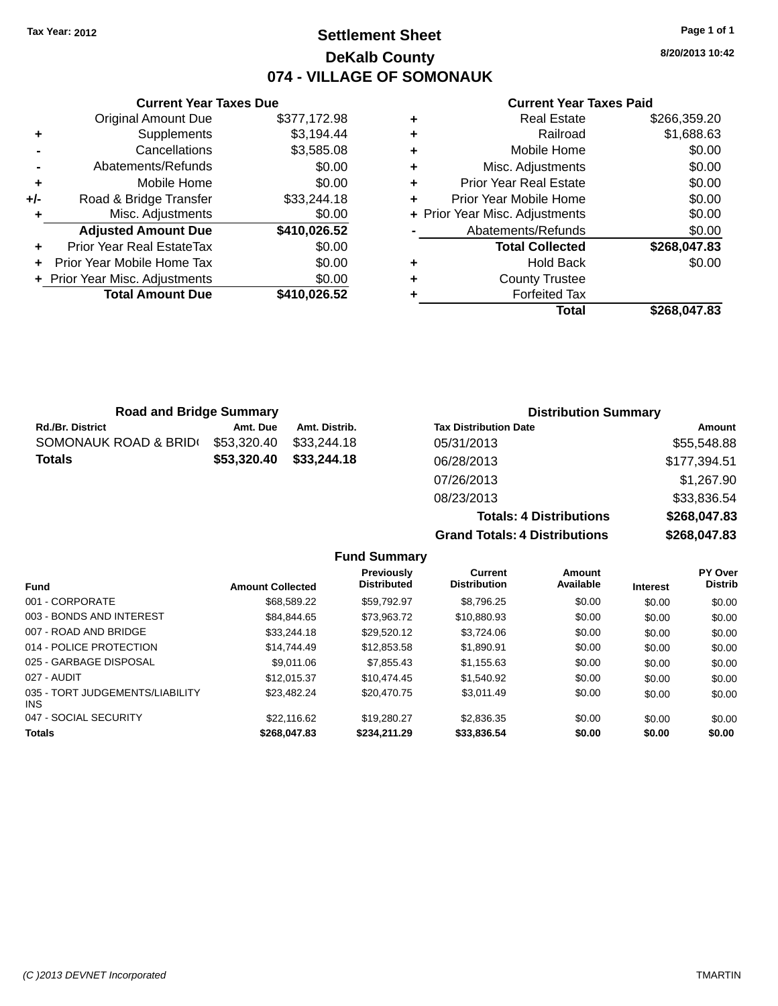### **Settlement Sheet Tax Year: 2012 Page 1 of 1 DeKalb County 074 - VILLAGE OF SOMONAUK**

**Current Year Taxes Due** Original Amount Due \$377,172.98 **+** Supplements \$3,194.44 **-** Cancellations \$3,585.08 **-** Abatements/Refunds \$0.00 **+** Mobile Home \$0.00 **+/-** Road & Bridge Transfer \$33,244.18 **+** Misc. Adjustments \$0.00 **Adjusted Amount Due \$410,026.52 +** Prior Year Real EstateTax \$0.00 **+** Prior Year Mobile Home Tax \$0.00 **+ Prior Year Misc. Adjustments**  $$0.00$ **Total Amount Due \$410,026.52**

#### **Current Year Taxes Paid**

|   | <b>Real Estate</b>             | \$266,359.20 |
|---|--------------------------------|--------------|
| ٠ | Railroad                       | \$1,688.63   |
| ٠ | Mobile Home                    | \$0.00       |
| ٠ | Misc. Adjustments              | \$0.00       |
| ٠ | <b>Prior Year Real Estate</b>  | \$0.00       |
|   | Prior Year Mobile Home         | \$0.00       |
|   | + Prior Year Misc. Adjustments | \$0.00       |
|   | Abatements/Refunds             | \$0.00       |
|   | <b>Total Collected</b>         | \$268,047.83 |
| ٠ | <b>Hold Back</b>               | \$0.00       |
| ٠ | <b>County Trustee</b>          |              |
|   | <b>Forfeited Tax</b>           |              |
|   | Total                          | \$268.047.83 |
|   |                                |              |

| <b>Road and Bridge Summary</b> |             |               | <b>Distribution Summary</b>  |              |  |
|--------------------------------|-------------|---------------|------------------------------|--------------|--|
| Rd./Br. District               | Amt. Due    | Amt. Distrib. | <b>Tax Distribution Date</b> | Amount       |  |
| SOMONAUK ROAD & BRID(          | \$53,320.40 | \$33,244.18   | 05/31/2013                   | \$55,548.88  |  |
| Totals                         | \$53,320.40 | \$33,244.18   | 06/28/2013                   | \$177,394.51 |  |
|                                |             |               | 07/26/2013                   | \$1,267.90   |  |
|                                |             |               | 08/23/2013                   | \$33,836.54  |  |
|                                |             |               | Totale: A Dietributione      | \$26804783   |  |

**Grand Totals:** 

| Totals: 4 Distributions | \$268,047.83 |
|-------------------------|--------------|
| Totals: 4 Distributions | \$268,047.83 |
|                         |              |

| <b>Fund Summary</b>                     |                         |                                         |                                       |                     |                 |                                  |
|-----------------------------------------|-------------------------|-----------------------------------------|---------------------------------------|---------------------|-----------------|----------------------------------|
| Fund                                    | <b>Amount Collected</b> | <b>Previously</b><br><b>Distributed</b> | <b>Current</b><br><b>Distribution</b> | Amount<br>Available | <b>Interest</b> | <b>PY Over</b><br><b>Distrib</b> |
| 001 - CORPORATE                         | \$68,589,22             | \$59.792.97                             | \$8,796.25                            | \$0.00              | \$0.00          | \$0.00                           |
| 003 - BONDS AND INTEREST                | \$84.844.65             | \$73,963.72                             | \$10,880.93                           | \$0.00              | \$0.00          | \$0.00                           |
| 007 - ROAD AND BRIDGE                   | \$33,244.18             | \$29.520.12                             | \$3.724.06                            | \$0.00              | \$0.00          | \$0.00                           |
| 014 - POLICE PROTECTION                 | \$14,744.49             | \$12,853.58                             | \$1,890.91                            | \$0.00              | \$0.00          | \$0.00                           |
| 025 - GARBAGE DISPOSAL                  | \$9,011,06              | \$7,855,43                              | \$1,155.63                            | \$0.00              | \$0.00          | \$0.00                           |
| 027 - AUDIT                             | \$12,015.37             | \$10,474.45                             | \$1.540.92                            | \$0.00              | \$0.00          | \$0.00                           |
| 035 - TORT JUDGEMENTS/LIABILITY<br>INS. | \$23,482.24             | \$20,470.75                             | \$3,011.49                            | \$0.00              | \$0.00          | \$0.00                           |
| 047 - SOCIAL SECURITY                   | \$22,116.62             | \$19,280.27                             | \$2,836.35                            | \$0.00              | \$0.00          | \$0.00                           |
| <b>Totals</b>                           | \$268,047.83            | \$234,211,29                            | \$33,836.54                           | \$0.00              | \$0.00          | \$0.00                           |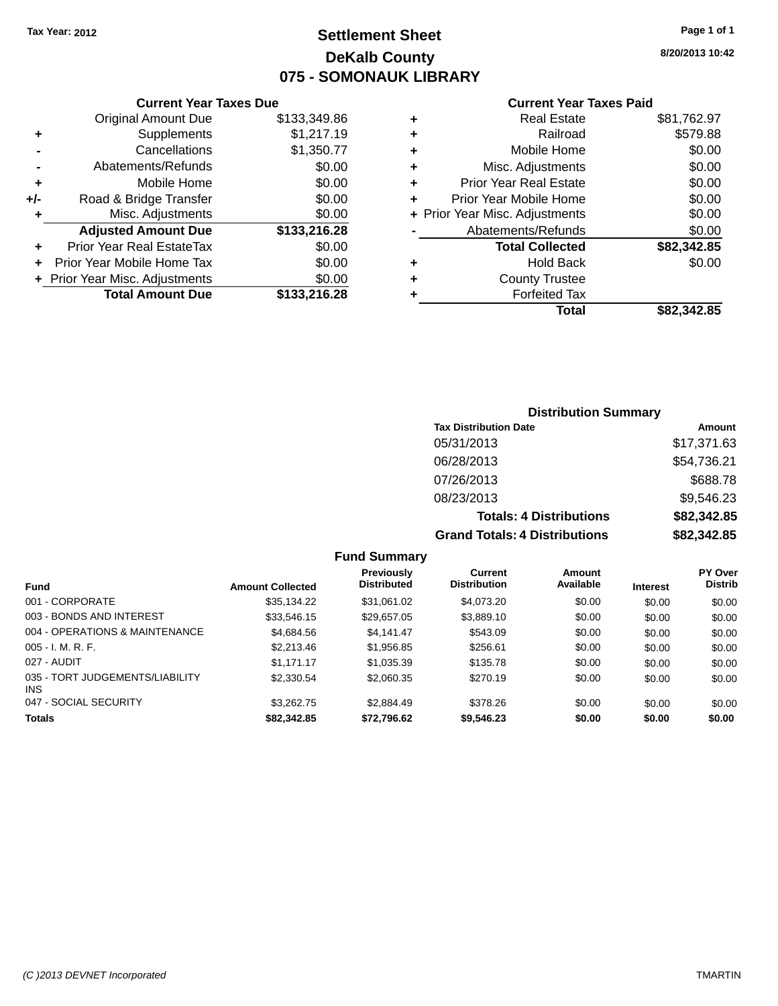### **Settlement Sheet Tax Year: 2012 Page 1 of 1 DeKalb County 075 - SOMONAUK LIBRARY**

**8/20/2013 10:42**

#### **Current Year Taxes Paid**

|     | <b>Current Year Taxes Due</b>  |              |  |  |  |
|-----|--------------------------------|--------------|--|--|--|
|     | <b>Original Amount Due</b>     | \$133,349.86 |  |  |  |
| ٠   | Supplements                    | \$1,217.19   |  |  |  |
|     | Cancellations                  | \$1,350.77   |  |  |  |
|     | Abatements/Refunds             | \$0.00       |  |  |  |
| ٠   | Mobile Home                    | \$0.00       |  |  |  |
| +/- | Road & Bridge Transfer         | \$0.00       |  |  |  |
| ٠   | Misc. Adjustments              | \$0.00       |  |  |  |
|     | <b>Adjusted Amount Due</b>     | \$133,216.28 |  |  |  |
| ٠   | Prior Year Real EstateTax      | \$0.00       |  |  |  |
| ÷   | Prior Year Mobile Home Tax     | \$0.00       |  |  |  |
|     | + Prior Year Misc. Adjustments | \$0.00       |  |  |  |
|     | <b>Total Amount Due</b>        | \$133,216.28 |  |  |  |
|     |                                |              |  |  |  |

|   | <b>Real Estate</b>             | \$81,762.97 |
|---|--------------------------------|-------------|
| ٠ | Railroad                       | \$579.88    |
| ٠ | Mobile Home                    | \$0.00      |
| ٠ | Misc. Adjustments              | \$0.00      |
| ٠ | <b>Prior Year Real Estate</b>  | \$0.00      |
| ٠ | Prior Year Mobile Home         | \$0.00      |
|   | + Prior Year Misc. Adjustments | \$0.00      |
|   | Abatements/Refunds             | \$0.00      |
|   | <b>Total Collected</b>         | \$82,342.85 |
| ٠ | <b>Hold Back</b>               | \$0.00      |
| ٠ | <b>County Trustee</b>          |             |
| ٠ | <b>Forfeited Tax</b>           |             |
|   | Total                          | \$82.342.85 |
|   |                                |             |

### **Distribution Summary Tax Distribution Date Amount** 05/31/2013 \$17,371.63 06/28/2013 \$54,736.21 07/26/2013 \$688.78 08/23/2013 \$9,546.23 **Totals: 4 Distributions \$82,342.85 Grand Totals: 4 Distributions \$82,342.85**

#### **Fund Summary**

| Fund                                          | <b>Amount Collected</b> | Previously<br><b>Distributed</b> | Current<br><b>Distribution</b> | <b>Amount</b><br>Available | <b>Interest</b> | <b>PY Over</b><br><b>Distrib</b> |
|-----------------------------------------------|-------------------------|----------------------------------|--------------------------------|----------------------------|-----------------|----------------------------------|
| 001 - CORPORATE                               | \$35,134.22             | \$31,061.02                      | \$4,073.20                     | \$0.00                     | \$0.00          | \$0.00                           |
| 003 - BONDS AND INTEREST                      | \$33,546.15             | \$29,657.05                      | \$3,889.10                     | \$0.00                     | \$0.00          | \$0.00                           |
| 004 - OPERATIONS & MAINTENANCE                | \$4,684.56              | \$4.141.47                       | \$543.09                       | \$0.00                     | \$0.00          | \$0.00                           |
| $005 - I. M. R. F.$                           | \$2,213.46              | \$1,956.85                       | \$256.61                       | \$0.00                     | \$0.00          | \$0.00                           |
| 027 - AUDIT                                   | \$1.171.17              | \$1,035.39                       | \$135.78                       | \$0.00                     | \$0.00          | \$0.00                           |
| 035 - TORT JUDGEMENTS/LIABILITY<br><b>INS</b> | \$2,330.54              | \$2,060.35                       | \$270.19                       | \$0.00                     | \$0.00          | \$0.00                           |
| 047 - SOCIAL SECURITY                         | \$3.262.75              | \$2,884.49                       | \$378.26                       | \$0.00                     | \$0.00          | \$0.00                           |
| <b>Totals</b>                                 | \$82,342.85             | \$72,796.62                      | \$9,546.23                     | \$0.00                     | \$0.00          | \$0.00                           |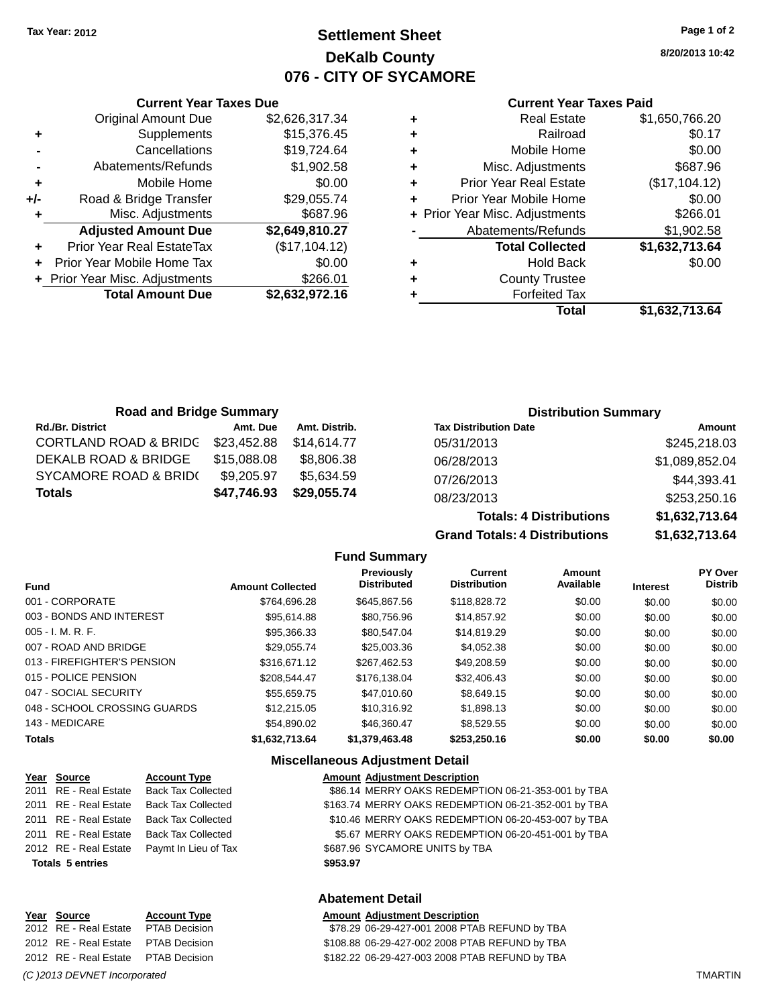### **Settlement Sheet Tax Year: 2012 Page 1 of 2 DeKalb County 076 - CITY OF SYCAMORE**

**8/20/2013 10:42**

#### **Current Year Taxes Paid**

|     | <b>Current Year Taxes Due</b>  |                |                   |
|-----|--------------------------------|----------------|-------------------|
|     | <b>Original Amount Due</b>     | \$2,626,317.34 | ٠                 |
|     | Supplements                    | \$15,376.45    | ٠                 |
|     | Cancellations                  | \$19,724.64    | ٠                 |
|     | Abatements/Refunds             | \$1,902.58     | ٠                 |
|     | Mobile Home                    | \$0.00         | ٠                 |
| +/- | Road & Bridge Transfer         | \$29,055.74    | P                 |
|     | Misc. Adjustments              | \$687.96       | + Prior $\lambda$ |
|     | <b>Adjusted Amount Due</b>     | \$2,649,810.27 |                   |
|     | Prior Year Real EstateTax      | (\$17,104.12)  |                   |
|     | Prior Year Mobile Home Tax     | \$0.00         | ٠                 |
|     | + Prior Year Misc. Adjustments | \$266.01       |                   |
|     | <b>Total Amount Due</b>        | \$2,632,972.16 |                   |
|     |                                |                |                   |

|   | <b>Real Estate</b>             | \$1,650,766.20 |
|---|--------------------------------|----------------|
| ٠ | Railroad                       | \$0.17         |
| ٠ | Mobile Home                    | \$0.00         |
| ٠ | Misc. Adjustments              | \$687.96       |
|   | Prior Year Real Estate         | (\$17,104.12)  |
|   | Prior Year Mobile Home         | \$0.00         |
|   | + Prior Year Misc. Adjustments | \$266.01       |
|   | Abatements/Refunds             | \$1,902.58     |
|   | <b>Total Collected</b>         | \$1,632,713.64 |
| ٠ | Hold Back                      | \$0.00         |
|   | <b>County Trustee</b>          |                |
|   | <b>Forfeited Tax</b>           |                |
|   | <b>Total</b>                   | \$1,632,713.64 |
|   |                                |                |

**Totals: 4 Distributions \$1,632,713.64**

| <b>Road and Bridge Summary</b>   |             |               | <b>Distribution Summary</b>  |                |  |
|----------------------------------|-------------|---------------|------------------------------|----------------|--|
| <b>Rd./Br. District</b>          | Amt. Due    | Amt. Distrib. | <b>Tax Distribution Date</b> | Amount         |  |
| <b>CORTLAND ROAD &amp; BRIDG</b> | \$23,452.88 | \$14.614.77   | 05/31/2013                   | \$245,218.03   |  |
| DEKALB ROAD & BRIDGE             | \$15,088.08 | \$8.806.38    | 06/28/2013                   | \$1,089,852.04 |  |
| SYCAMORE ROAD & BRID(            | \$9,205.97  | \$5.634.59    | 07/26/2013                   | \$44,393.41    |  |
| <b>Totals</b>                    | \$47,746.93 | \$29,055.74   | 08/23/2013                   | \$253,250.16   |  |

#### **Grand Totals: 4 Distributions \$1,632,713.64 Fund Summary**

|                              |                         | vullillu v                       |                                       |                     |                 |                           |
|------------------------------|-------------------------|----------------------------------|---------------------------------------|---------------------|-----------------|---------------------------|
| <b>Fund</b>                  | <b>Amount Collected</b> | Previously<br><b>Distributed</b> | <b>Current</b><br><b>Distribution</b> | Amount<br>Available | <b>Interest</b> | PY Over<br><b>Distrib</b> |
| 001 - CORPORATE              | \$764.696.28            | \$645,867.56                     | \$118,828,72                          | \$0.00              | \$0.00          | \$0.00                    |
| 003 - BONDS AND INTEREST     | \$95,614.88             | \$80,756.96                      | \$14,857.92                           | \$0.00              | \$0.00          | \$0.00                    |
| $005 - I. M. R. F.$          | \$95,366.33             | \$80,547.04                      | \$14,819.29                           | \$0.00              | \$0.00          | \$0.00                    |
| 007 - ROAD AND BRIDGE        | \$29.055.74             | \$25,003.36                      | \$4,052.38                            | \$0.00              | \$0.00          | \$0.00                    |
| 013 - FIREFIGHTER'S PENSION  | \$316,671.12            | \$267,462.53                     | \$49,208.59                           | \$0.00              | \$0.00          | \$0.00                    |
| 015 - POLICE PENSION         | \$208,544,47            | \$176,138,04                     | \$32,406.43                           | \$0.00              | \$0.00          | \$0.00                    |
| 047 - SOCIAL SECURITY        | \$55.659.75             | \$47,010.60                      | \$8,649.15                            | \$0.00              | \$0.00          | \$0.00                    |
| 048 - SCHOOL CROSSING GUARDS | \$12,215,05             | \$10.316.92                      | \$1,898.13                            | \$0.00              | \$0.00          | \$0.00                    |
| 143 - MEDICARE               | \$54,890.02             | \$46,360.47                      | \$8.529.55                            | \$0.00              | \$0.00          | \$0.00                    |
| <b>Totals</b>                | \$1.632.713.64          | \$1,379,463,48                   | \$253,250.16                          | \$0.00              | \$0.00          | \$0.00                    |

#### **Miscellaneous Adjustment Detail**

| Year Source             | <b>Account Type</b>       | <b>Amount Adjustment Description</b>                |
|-------------------------|---------------------------|-----------------------------------------------------|
| 2011 RE - Real Estate   | <b>Back Tax Collected</b> | \$86.14 MERRY OAKS REDEMPTION 06-21-353-001 by TBA  |
| 2011 RE - Real Estate   | <b>Back Tax Collected</b> | \$163.74 MERRY OAKS REDEMPTION 06-21-352-001 by TBA |
| 2011 RE - Real Estate   | <b>Back Tax Collected</b> | \$10.46 MERRY OAKS REDEMPTION 06-20-453-007 by TBA  |
| 2011 RE - Real Estate   | <b>Back Tax Collected</b> | \$5.67 MERRY OAKS REDEMPTION 06-20-451-001 by TBA   |
| 2012 RE - Real Estate   | Paymt In Lieu of Tax      | \$687.96 SYCAMORE UNITS by TBA                      |
| <b>Totals 5 entries</b> |                           | \$953.97                                            |
|                         |                           |                                                     |

#### **Abatement Detail**

| Year Source                         | <b>Account Type</b> | <b>Amount Adjustment Description</b>           |
|-------------------------------------|---------------------|------------------------------------------------|
| 2012 RE - Real Estate               | PTAB Decision       | \$78.29 06-29-427-001 2008 PTAB REFUND by TBA  |
| 2012 RE - Real Estate PTAB Decision |                     | \$108.88 06-29-427-002 2008 PTAB REFUND by TBA |
| 2012 RE - Real Estate PTAB Decision |                     | \$182.22 06-29-427-003 2008 PTAB REFUND by TBA |

*(C )2013 DEVNET Incorporated* TMARTIN

**Year Source Account Type**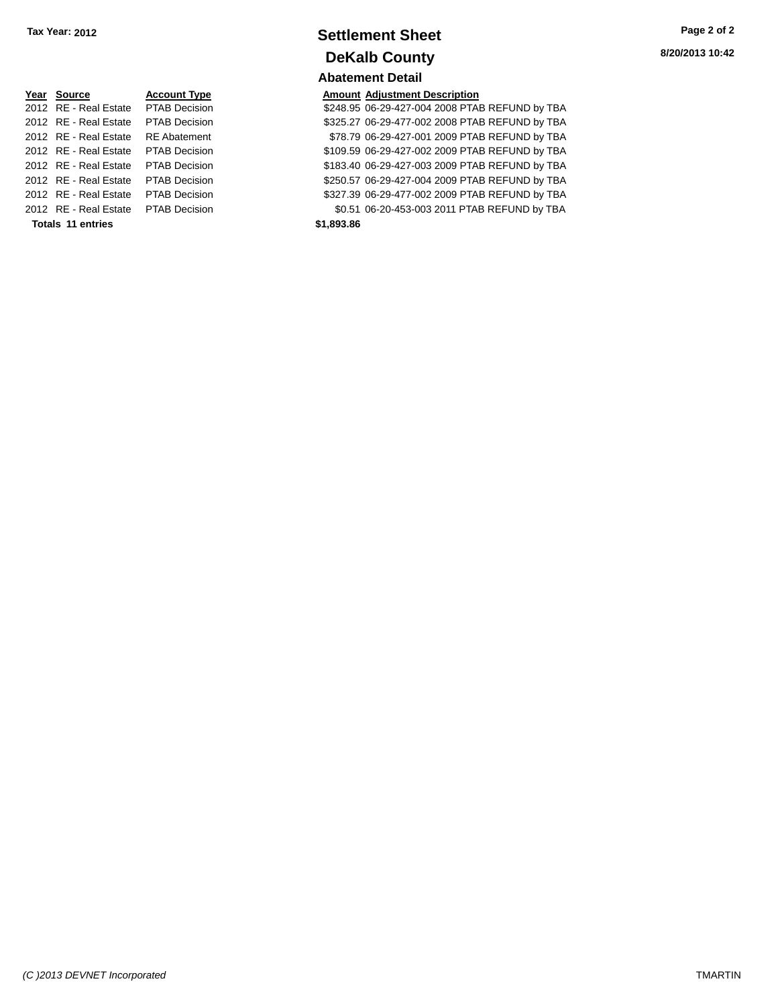| Year Source           | <b>Account Type</b>  | <b>Amount</b> |
|-----------------------|----------------------|---------------|
| 2012 RE - Real Estate | <b>PTAB Decision</b> | \$248.95      |
| 2012 RE - Real Estate | <b>PTAB Decision</b> | \$325.27      |
| 2012 RE - Real Estate | <b>RE</b> Abatement  | \$78.79       |
| 2012 RE - Real Estate | <b>PTAB Decision</b> | \$109.59      |
| 2012 RE - Real Estate | <b>PTAB Decision</b> | \$183.40      |
| 2012 RE - Real Estate | <b>PTAB Decision</b> | \$250.57      |
| 2012 RE - Real Estate | <b>PTAB Decision</b> | \$327.39      |
| 2012 RE - Real Estate | <b>PTAB Decision</b> | \$0.51        |
| Totals 11 entries     |                      | \$1,893.86    |

### **Settlement Sheet Tax Year: 2012 Page 2 of 2 DeKalb County Abatement Detail**

### **Amount Adjustment Description**

\$248.95 06-29-427-004 2008 PTAB REFUND by TBA \$325.27 06-29-477-002 2008 PTAB REFUND by TBA \$78.79 06-29-427-001 2009 PTAB REFUND by TBA \$109.59 06-29-427-002 2009 PTAB REFUND by TBA \$183.40 06-29-427-003 2009 PTAB REFUND by TBA \$250.57 06-29-427-004 2009 PTAB REFUND by TBA \$327.39 06-29-477-002 2009 PTAB REFUND by TBA \$0.51 06-20-453-003 2011 PTAB REFUND by TBA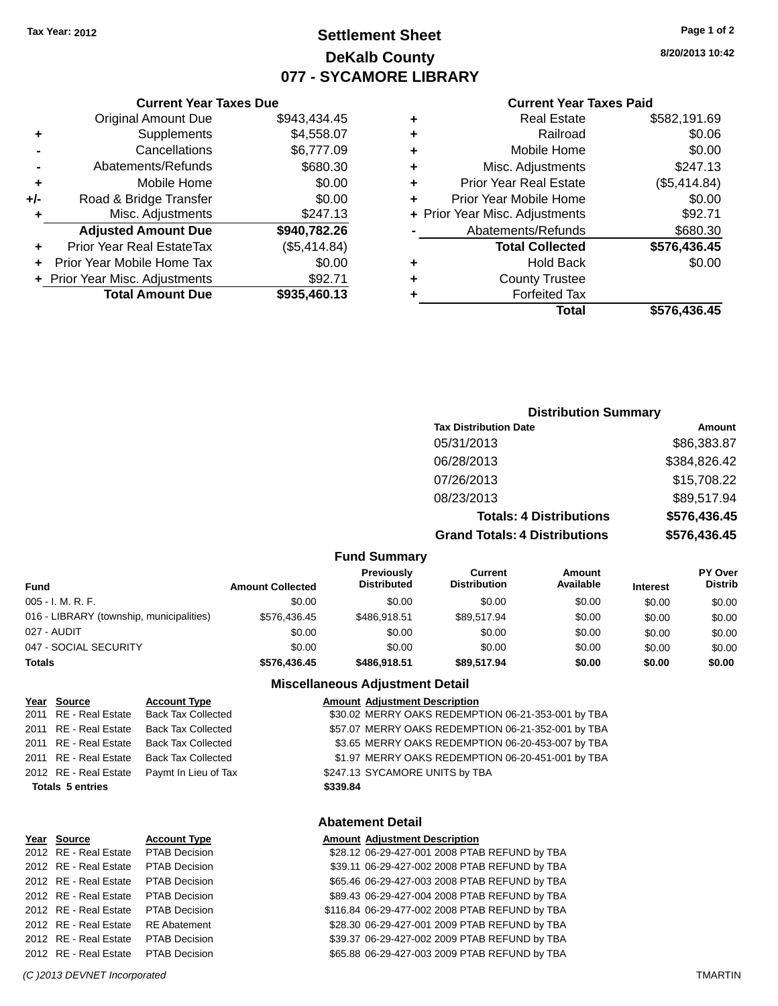### **Settlement Sheet Tax Year: 2012 Page 1 of 2 DeKalb County 077 - SYCAMORE LIBRARY**

**8/20/2013 10:42**

#### **Current Year Taxes Paid**

|   | Total                          | \$576,436.45 |
|---|--------------------------------|--------------|
| ٠ | <b>Forfeited Tax</b>           |              |
| ٠ | <b>County Trustee</b>          |              |
| ٠ | <b>Hold Back</b>               | \$0.00       |
|   | <b>Total Collected</b>         | \$576,436.45 |
|   | Abatements/Refunds             | \$680.30     |
|   | + Prior Year Misc. Adjustments | \$92.71      |
| ٠ | Prior Year Mobile Home         | \$0.00       |
| ٠ | <b>Prior Year Real Estate</b>  | (\$5,414.84) |
| ٠ | Misc. Adjustments              | \$247.13     |
| ٠ | Mobile Home                    | \$0.00       |
| ٠ | Railroad                       | \$0.06       |
| ٠ | <b>Real Estate</b>             | \$582,191.69 |
|   |                                |              |

### Original Amount Due \$943,434.45 **+** Supplements \$4,558.07 **-** Cancellations \$6,777.09 **-** Abatements/Refunds \$680.30 **+** Mobile Home \$0.00 **+/-** Road & Bridge Transfer \$0.00

| ٠ | Misc. Adjustments                | \$247.13     |
|---|----------------------------------|--------------|
|   | <b>Adjusted Amount Due</b>       | \$940,782.26 |
| ÷ | <b>Prior Year Real EstateTax</b> | (\$5,414.84) |
|   | + Prior Year Mobile Home Tax     | \$0.00       |
|   | + Prior Year Misc. Adjustments   | \$92.71      |
|   | <b>Total Amount Due</b>          | \$935,460.13 |

**Current Year Taxes Due**

### **Distribution Summary**

| <b>Tax Distribution Date</b>         | Amount       |
|--------------------------------------|--------------|
| 05/31/2013                           | \$86,383.87  |
| 06/28/2013                           | \$384,826.42 |
| 07/26/2013                           | \$15,708.22  |
| 08/23/2013                           | \$89,517.94  |
| <b>Totals: 4 Distributions</b>       | \$576,436.45 |
| <b>Grand Totals: 4 Distributions</b> | \$576,436.45 |

#### **Fund Summary**

| <b>Fund</b>                              | <b>Amount Collected</b> | <b>Previously</b><br><b>Distributed</b> | Current<br><b>Distribution</b> | Amount<br>Available | <b>Interest</b> | <b>PY Over</b><br><b>Distrib</b> |
|------------------------------------------|-------------------------|-----------------------------------------|--------------------------------|---------------------|-----------------|----------------------------------|
| 005 - I. M. R. F.                        | \$0.00                  | \$0.00                                  | \$0.00                         | \$0.00              | \$0.00          | \$0.00                           |
| 016 - LIBRARY (township, municipalities) | \$576.436.45            | \$486.918.51                            | \$89.517.94                    | \$0.00              | \$0.00          | \$0.00                           |
| 027 - AUDIT                              | \$0.00                  | \$0.00                                  | \$0.00                         | \$0.00              | \$0.00          | \$0.00                           |
| 047 - SOCIAL SECURITY                    | \$0.00                  | \$0.00                                  | \$0.00                         | \$0.00              | \$0.00          | \$0.00                           |
| <b>Totals</b>                            | \$576,436.45            | \$486,918.51                            | \$89,517.94                    | \$0.00              | \$0.00          | \$0.00                           |

#### **Miscellaneous Adjustment Detail**

| Year Source             | <b>Account Type</b>       |          | <b>Amount Adjustment Description</b>               |
|-------------------------|---------------------------|----------|----------------------------------------------------|
| 2011 RE - Real Estate   | <b>Back Tax Collected</b> |          | \$30.02 MERRY OAKS REDEMPTION 06-21-353-001 by TBA |
| 2011 RE - Real Estate   | <b>Back Tax Collected</b> |          | \$57.07 MERRY OAKS REDEMPTION 06-21-352-001 by TBA |
| 2011 RE - Real Estate   | <b>Back Tax Collected</b> |          | \$3.65 MERRY OAKS REDEMPTION 06-20-453-007 by TBA  |
| 2011 RE - Real Estate   | <b>Back Tax Collected</b> |          | \$1.97 MERRY OAKS REDEMPTION 06-20-451-001 by TBA  |
| 2012 RE - Real Estate   | Paymt In Lieu of Tax      |          | \$247.13 SYCAMORE UNITS by TBA                     |
| <b>Totals 5 entries</b> |                           | \$339.84 |                                                    |
|                         |                           |          |                                                    |
|                         |                           |          |                                                    |

#### **Abatement Detail**

**Amount Adjustment Description** 

| Year Source           | <b>Account Type</b>  |
|-----------------------|----------------------|
| 2012 RE - Real Estate | <b>PTAB Decision</b> |
| 2012 RE - Real Estate | <b>PTAB Decision</b> |
| 2012 RE - Real Estate | <b>PTAB Decision</b> |
| 2012 RE - Real Estate | <b>PTAB Decision</b> |
| 2012 RE - Real Estate | <b>PTAB Decision</b> |
| 2012 RE - Real Estate | <b>RE</b> Abatement  |
| 2012 RE - Real Estate | <b>PTAB Decision</b> |
| 2012 RF - Real Estate | <b>PTAB Decision</b> |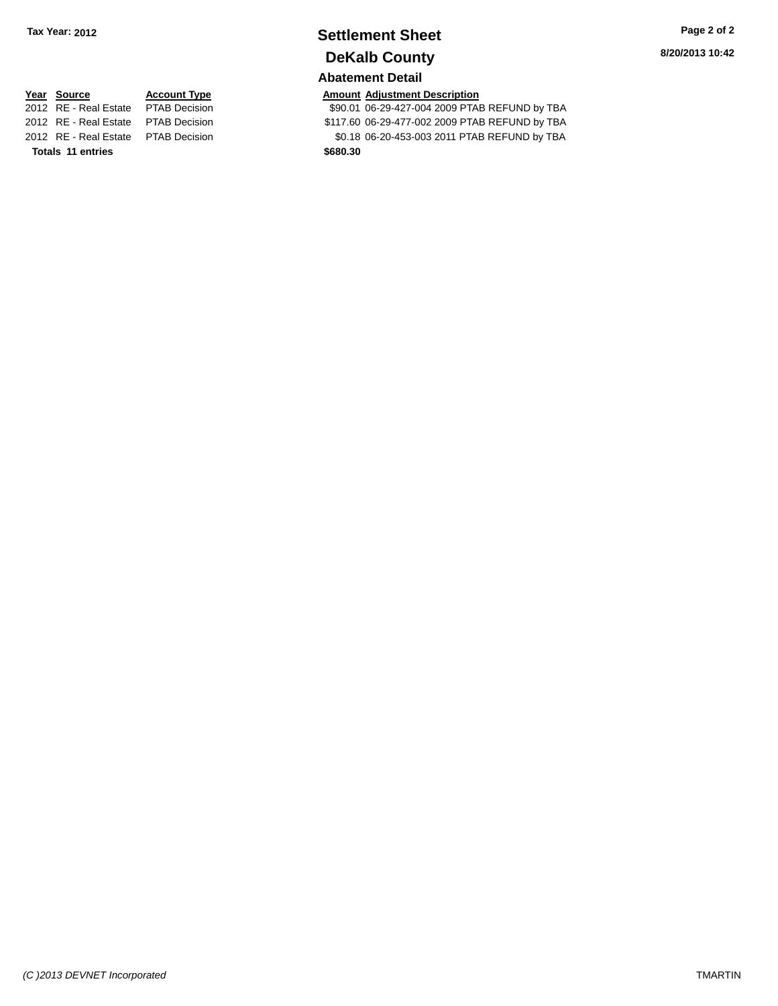## **Settlement Sheet Tax Year: 2012 Page 2 of 2 DeKalb County**

### **Abatement Detail**

**<u>Year Source</u> <b>Account Type Amount Adjustment Description**<br>2012 RE - Real Estate PTAB Decision **Amount 100-29-427-004 2009 PTA** 

\$90.01 06-29-427-004 2009 PTAB REFUND by TBA 2012 RE - Real Estate PTAB Decision \$117.60 06-29-477-002 2009 PTAB REFUND by TBA 2012 RE - Real Estate PTAB Decision \$0.18 06-20-453-003 2011 PTAB REFUND by TBA

**Totals 11 entries \$680.30**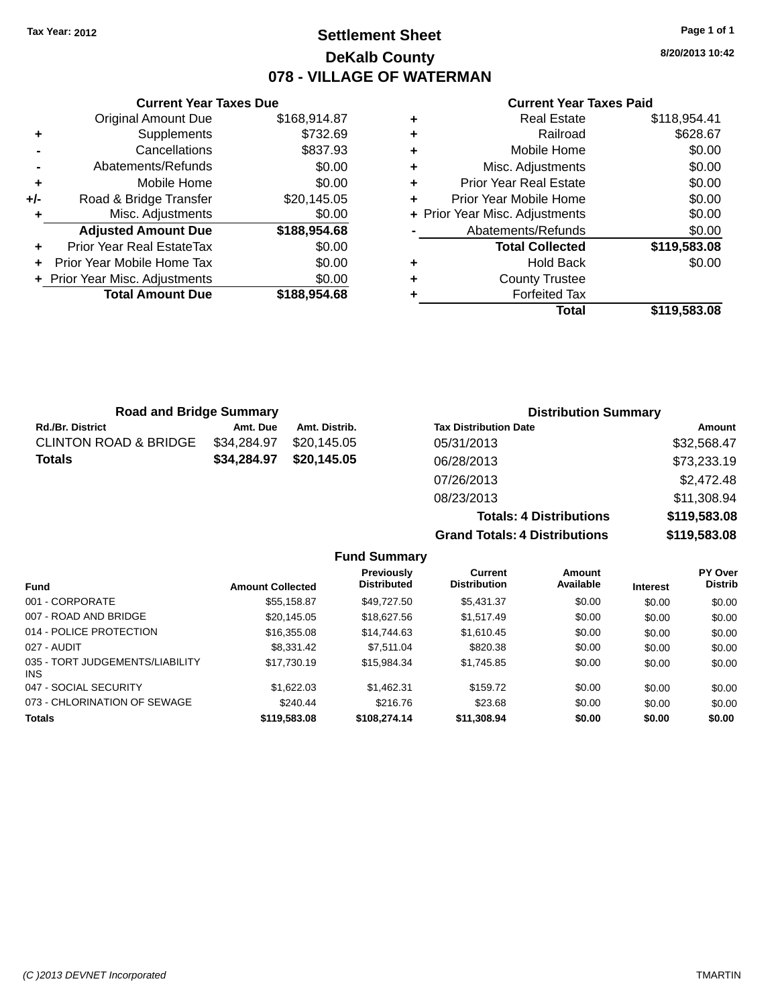### **Settlement Sheet Tax Year: 2012 Page 1 of 1 DeKalb County 078 - VILLAGE OF WATERMAN**

**8/20/2013 10:42**

#### **Current Year Taxes Paid**

|     | <b>Original Amount Due</b>     | \$168,914.87 |
|-----|--------------------------------|--------------|
| ٠   | Supplements                    | \$732.69     |
|     | Cancellations                  | \$837.93     |
|     | Abatements/Refunds             | \$0.00       |
| ٠   | Mobile Home                    | \$0.00       |
| +/- | Road & Bridge Transfer         | \$20,145.05  |
|     | Misc. Adjustments              | \$0.00       |
|     | <b>Adjusted Amount Due</b>     | \$188,954.68 |
| ÷   | Prior Year Real EstateTax      | \$0.00       |
|     | Prior Year Mobile Home Tax     | \$0.00       |
|     | + Prior Year Misc. Adjustments | \$0.00       |
|     | <b>Total Amount Due</b>        | \$188,954.68 |
|     |                                |              |

**Current Year Taxes Due**

| ٠ | <b>Forfeited Tax</b><br>Total  | \$119,583.08 |
|---|--------------------------------|--------------|
| ٠ | <b>County Trustee</b>          |              |
|   |                                |              |
| ٠ | <b>Hold Back</b>               | \$0.00       |
|   | <b>Total Collected</b>         | \$119,583.08 |
|   | Abatements/Refunds             | \$0.00       |
|   | + Prior Year Misc. Adjustments | \$0.00       |
| ٠ | Prior Year Mobile Home         | \$0.00       |
| ٠ | <b>Prior Year Real Estate</b>  | \$0.00       |
| ٠ | Misc. Adjustments              | \$0.00       |
| ٠ | Mobile Home                    | \$0.00       |
| ÷ | Railroad                       | \$628.67     |
| ٠ | <b>Real Estate</b>             | \$118,954.41 |

| <b>Road and Bridge Summary</b>   |             |               | <b>Distribution Summary</b>  |             |
|----------------------------------|-------------|---------------|------------------------------|-------------|
| <b>Rd./Br. District</b>          | Amt. Due    | Amt. Distrib. | <b>Tax Distribution Date</b> | Amount      |
| <b>CLINTON ROAD &amp; BRIDGE</b> | \$34,284.97 | \$20.145.05   | 05/31/2013                   | \$32,568.47 |
| <b>Totals</b>                    | \$34,284.97 | \$20,145.05   | 06/28/2013                   | \$73,233.19 |
|                                  |             |               | 07/26/2013                   | \$2,472.48  |
|                                  |             |               | 08/23/2013                   | \$11,308.94 |

047 - SOCIAL SECURITY \$1,622.03 \$1,462.31 \$1,59.72 \$0.00 \$0.00 \$0.00 073 - CHLORINATION OF SEWAGE \$240.44 \$216.76 \$23.68 \$0.00 \$0.00 \$0.00 \$0.00 **Totals \$119,583.08 \$108,274.14 \$11,308.94 \$0.00 \$0.00 \$0.00**

**Totals: 4 Distributions \$119,583.08 Grand Totals: 4 Distributions \$119,583.08 Fund Summary Fund Interest Amount Collected Distributed PY Over Distrib Amount Available Current Distribution Previously** 001 - CORPORATE \$55,158.87 \$49,727.50 \$5,431.37 \$0.00 \$0.00 \$0.00 007 - ROAD AND BRIDGE 60.00 \$20,145.05 \$18,627.56 \$1,517.49 \$0.00 \$0.00 \$0.00 \$0.00 014 - POLICE PROTECTION \$16,355.08 \$14,744.63 \$1,610.45 \$0.00 \$0.00 \$0.00 \$0.00 027 - AUDIT \$8,331.42 \$7,511.04 \$820.38 \$0.00 \$0.00 \$0.00

\$17,730.19 \$15,984.34 \$1,745.85 \$0.00 \$0.00 \$0.00 \$0.00

035 - TORT JUDGEMENTS/LIABILITY

INS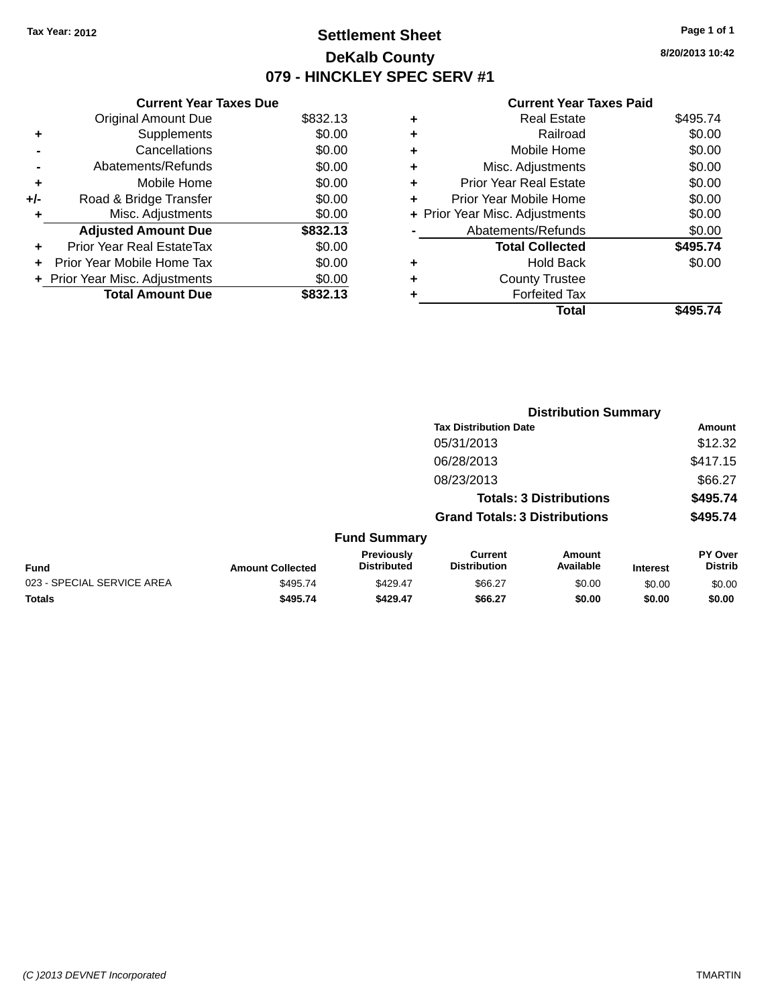### **Settlement Sheet Tax Year: 2012 Page 1 of 1 DeKalb County 079 - HINCKLEY SPEC SERV #1**

**8/20/2013 10:42**

#### **Current Year Taxes Paid**

|     | <b>Current Year Taxes Due</b>  |          |
|-----|--------------------------------|----------|
|     | <b>Original Amount Due</b>     | \$832.13 |
| ٠   | Supplements                    | \$0.00   |
|     | Cancellations                  | \$0.00   |
|     | Abatements/Refunds             | \$0.00   |
| ٠   | Mobile Home                    | \$0.00   |
| +/- | Road & Bridge Transfer         | \$0.00   |
| ٠   | Misc. Adjustments              | \$0.00   |
|     | <b>Adjusted Amount Due</b>     | \$832.13 |
| ٠   | Prior Year Real EstateTax      | \$0.00   |
| ÷   | Prior Year Mobile Home Tax     | \$0.00   |
|     | + Prior Year Misc. Adjustments | \$0.00   |
|     | <b>Total Amount Due</b>        | \$832.13 |

| ٠ | Real Estate                    | \$495.74 |
|---|--------------------------------|----------|
| ٠ | Railroad                       | \$0.00   |
| ٠ | Mobile Home                    | \$0.00   |
| ٠ | Misc. Adjustments              | \$0.00   |
| ٠ | <b>Prior Year Real Estate</b>  | \$0.00   |
| ٠ | Prior Year Mobile Home         | \$0.00   |
|   | + Prior Year Misc. Adjustments | \$0.00   |
|   | Abatements/Refunds             | \$0.00   |
|   | <b>Total Collected</b>         | \$495.74 |
| ٠ | Hold Back                      | \$0.00   |
|   | <b>County Trustee</b>          |          |
| ٠ | <b>Forfeited Tax</b>           |          |
|   | Total                          | \$495.74 |
|   |                                |          |

|                            |                         |                                  |                                       | <b>Distribution Summary</b>    |                 |                                  |
|----------------------------|-------------------------|----------------------------------|---------------------------------------|--------------------------------|-----------------|----------------------------------|
|                            |                         |                                  | <b>Tax Distribution Date</b>          |                                |                 | Amount                           |
|                            |                         |                                  | 05/31/2013                            |                                |                 | \$12.32                          |
|                            |                         |                                  | 06/28/2013                            |                                |                 | \$417.15                         |
|                            |                         |                                  | 08/23/2013                            |                                |                 | \$66.27                          |
|                            |                         |                                  |                                       | <b>Totals: 3 Distributions</b> |                 | \$495.74                         |
|                            |                         |                                  | <b>Grand Totals: 3 Distributions</b>  |                                |                 | \$495.74                         |
|                            |                         | <b>Fund Summary</b>              |                                       |                                |                 |                                  |
| <b>Fund</b>                | <b>Amount Collected</b> | Previously<br><b>Distributed</b> | <b>Current</b><br><b>Distribution</b> | Amount<br>Available            | <b>Interest</b> | <b>PY Over</b><br><b>Distrib</b> |
| 023 - SPECIAL SERVICE AREA | \$495.74                | \$429.47                         | \$66.27                               | \$0.00                         | \$0.00          | \$0.00                           |
| <b>Totals</b>              | \$495.74                | \$429.47                         | \$66.27                               | \$0.00                         | \$0.00          | \$0.00                           |
|                            |                         |                                  |                                       |                                |                 |                                  |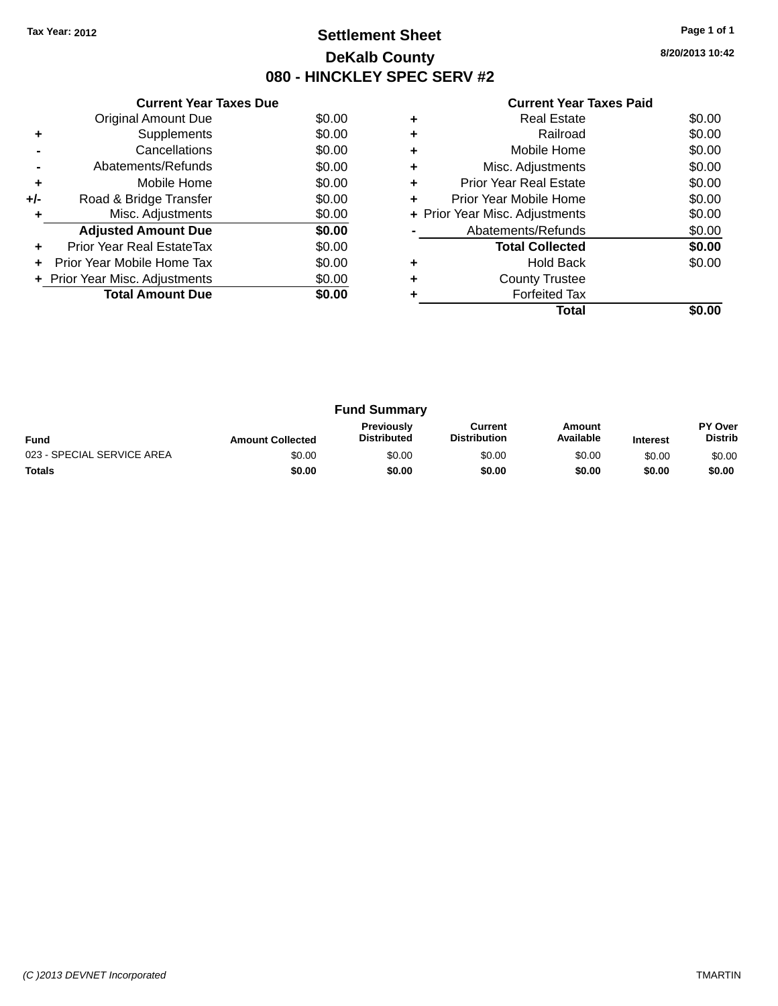### **Settlement Sheet Tax Year: 2012 Page 1 of 1 DeKalb County 080 - HINCKLEY SPEC SERV #2**

**8/20/2013 10:42**

| <b>Current Year Taxes Paid</b> |  |  |  |
|--------------------------------|--|--|--|
|--------------------------------|--|--|--|

|     | <b>Current Year Taxes Due</b>  |        |  |  |  |
|-----|--------------------------------|--------|--|--|--|
|     | <b>Original Amount Due</b>     | \$0.00 |  |  |  |
| ٠   | Supplements                    | \$0.00 |  |  |  |
|     | Cancellations                  | \$0.00 |  |  |  |
|     | Abatements/Refunds             | \$0.00 |  |  |  |
| ÷   | Mobile Home                    | \$0.00 |  |  |  |
| +/- | Road & Bridge Transfer         | \$0.00 |  |  |  |
| ٠   | Misc. Adjustments              | \$0.00 |  |  |  |
|     | <b>Adjusted Amount Due</b>     | \$0.00 |  |  |  |
| ÷   | Prior Year Real EstateTax      | \$0.00 |  |  |  |
| ÷   | Prior Year Mobile Home Tax     | \$0.00 |  |  |  |
|     | + Prior Year Misc. Adjustments | \$0.00 |  |  |  |
|     | <b>Total Amount Due</b>        | \$0.00 |  |  |  |
|     |                                |        |  |  |  |

|   | <b>Real Estate</b>             | \$0.00 |
|---|--------------------------------|--------|
|   | Railroad                       | \$0.00 |
|   | Mobile Home                    | \$0.00 |
| ٠ | Misc. Adjustments              | \$0.00 |
| ٠ | Prior Year Real Estate         | \$0.00 |
| ÷ | Prior Year Mobile Home         | \$0.00 |
|   | + Prior Year Misc. Adjustments | \$0.00 |
|   | Abatements/Refunds             | \$0.00 |
|   | <b>Total Collected</b>         | \$0.00 |
|   | <b>Hold Back</b>               | \$0.00 |
|   | <b>County Trustee</b>          |        |
|   | <b>Forfeited Tax</b>           |        |
|   | Total                          |        |

| <b>Fund Summary</b>        |                         |                                         |                                |                     |                 |                                  |
|----------------------------|-------------------------|-----------------------------------------|--------------------------------|---------------------|-----------------|----------------------------------|
| <b>Fund</b>                | <b>Amount Collected</b> | <b>Previously</b><br><b>Distributed</b> | Current<br><b>Distribution</b> | Amount<br>Available | <b>Interest</b> | <b>PY Over</b><br><b>Distrib</b> |
| 023 - SPECIAL SERVICE AREA | \$0.00                  | \$0.00                                  | \$0.00                         | \$0.00              | \$0.00          | \$0.00                           |
| <b>Totals</b>              | \$0.00                  | \$0.00                                  | \$0.00                         | \$0.00              | \$0.00          | \$0.00                           |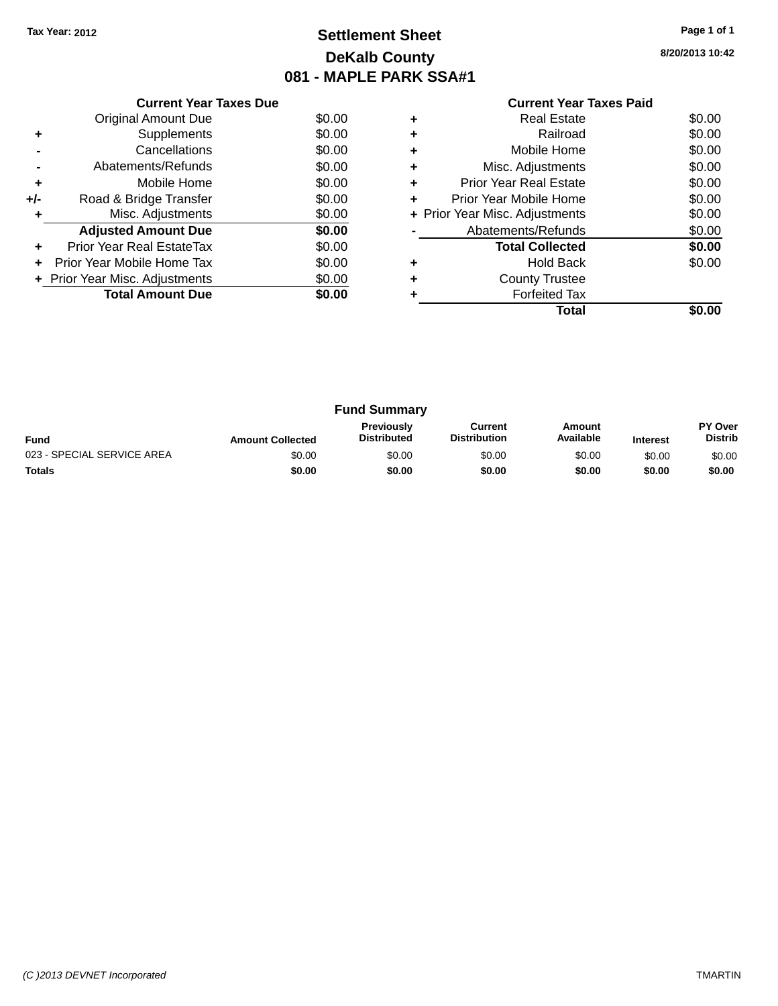### **Settlement Sheet Tax Year: 2012 Page 1 of 1 DeKalb County 081 - MAPLE PARK SSA#1**

**8/20/2013 10:42**

|     | <b>Current Year Taxes Due</b>  |        |  |  |  |
|-----|--------------------------------|--------|--|--|--|
|     | <b>Original Amount Due</b>     | \$0.00 |  |  |  |
| ٠   | Supplements                    | \$0.00 |  |  |  |
|     | Cancellations                  | \$0.00 |  |  |  |
|     | Abatements/Refunds             | \$0.00 |  |  |  |
| ٠   | Mobile Home                    | \$0.00 |  |  |  |
| +/- | Road & Bridge Transfer         | \$0.00 |  |  |  |
|     | Misc. Adjustments              | \$0.00 |  |  |  |
|     | <b>Adjusted Amount Due</b>     | \$0.00 |  |  |  |
|     | Prior Year Real EstateTax      | \$0.00 |  |  |  |
|     | Prior Year Mobile Home Tax     | \$0.00 |  |  |  |
|     | + Prior Year Misc. Adjustments | \$0.00 |  |  |  |
|     | <b>Total Amount Due</b>        | \$0.00 |  |  |  |
|     |                                |        |  |  |  |

### **Current Year Taxes Paid**

|   | <b>Real Estate</b>             | \$0.00 |
|---|--------------------------------|--------|
| ٠ | Railroad                       | \$0.00 |
| ٠ | Mobile Home                    | \$0.00 |
| ٠ | Misc. Adjustments              | \$0.00 |
| ٠ | <b>Prior Year Real Estate</b>  | \$0.00 |
| ٠ | Prior Year Mobile Home         | \$0.00 |
|   | + Prior Year Misc. Adjustments | \$0.00 |
|   | Abatements/Refunds             | \$0.00 |
|   | <b>Total Collected</b>         | \$0.00 |
| ٠ | <b>Hold Back</b>               | \$0.00 |
| ٠ | <b>County Trustee</b>          |        |
|   | <b>Forfeited Tax</b>           |        |
|   | Total                          |        |
|   |                                |        |

|                            |                         | <b>Fund Summary</b>                     |                                |                     |                 |                           |
|----------------------------|-------------------------|-----------------------------------------|--------------------------------|---------------------|-----------------|---------------------------|
| <b>Fund</b>                | <b>Amount Collected</b> | <b>Previously</b><br><b>Distributed</b> | Current<br><b>Distribution</b> | Amount<br>Available | <b>Interest</b> | PY Over<br><b>Distrib</b> |
| 023 - SPECIAL SERVICE AREA | \$0.00                  | \$0.00                                  | \$0.00                         | \$0.00              | \$0.00          | \$0.00                    |
| <b>Totals</b>              | \$0.00                  | \$0.00                                  | \$0.00                         | \$0.00              | \$0.00          | \$0.00                    |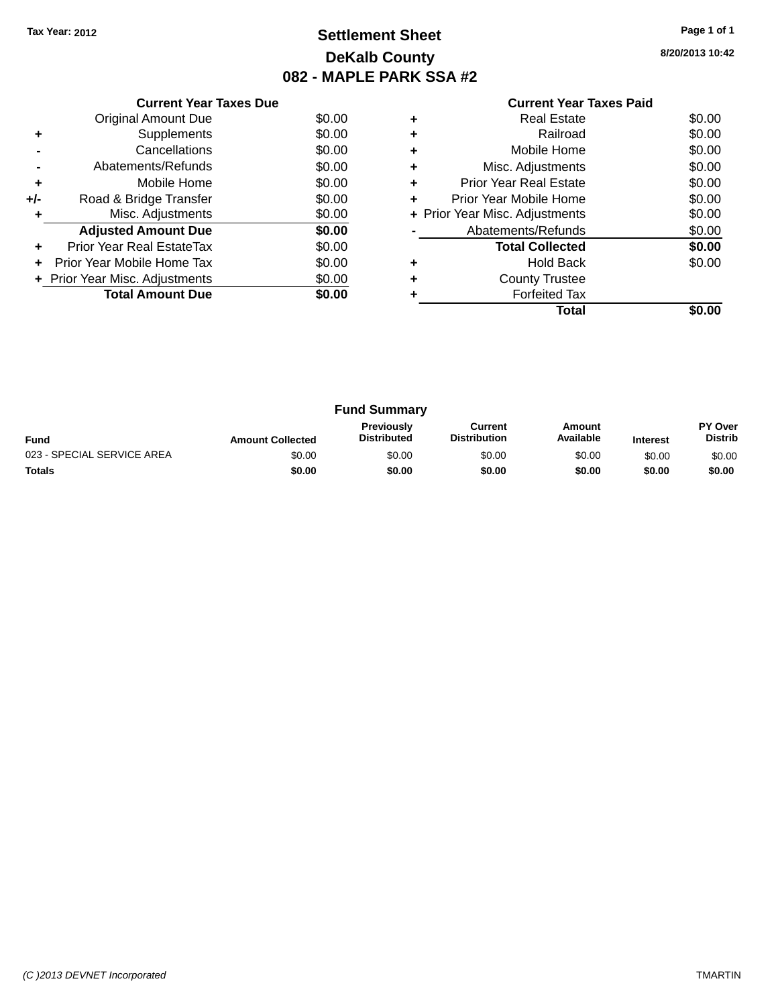### **Settlement Sheet Tax Year: 2012 Page 1 of 1 DeKalb County 082 - MAPLE PARK SSA #2**

**8/20/2013 10:42**

|     | <b>Current Year Taxes Due</b>  |        |
|-----|--------------------------------|--------|
|     | <b>Original Amount Due</b>     | \$0.00 |
| ÷   | Supplements                    | \$0.00 |
|     | Cancellations                  | \$0.00 |
|     | Abatements/Refunds             | \$0.00 |
| ٠   | Mobile Home                    | \$0.00 |
| +/- | Road & Bridge Transfer         | \$0.00 |
| ٠   | Misc. Adjustments              | \$0.00 |
|     | <b>Adjusted Amount Due</b>     | \$0.00 |
| ÷   | Prior Year Real EstateTax      | \$0.00 |
| ٠   | Prior Year Mobile Home Tax     | \$0.00 |
|     | + Prior Year Misc. Adjustments | \$0.00 |
|     | <b>Total Amount Due</b>        | \$0.00 |
|     |                                |        |

|   | <b>Real Estate</b>             | \$0.00 |
|---|--------------------------------|--------|
| ٠ | Railroad                       | \$0.00 |
| ٠ | Mobile Home                    | \$0.00 |
| ٠ | Misc. Adjustments              | \$0.00 |
| ٠ | <b>Prior Year Real Estate</b>  | \$0.00 |
| ٠ | Prior Year Mobile Home         | \$0.00 |
|   | + Prior Year Misc. Adjustments | \$0.00 |
|   | Abatements/Refunds             | \$0.00 |
|   | <b>Total Collected</b>         | \$0.00 |
|   | <b>Hold Back</b>               | \$0.00 |
| ٠ | <b>County Trustee</b>          |        |
|   | <b>Forfeited Tax</b>           |        |
|   | Total                          |        |

| <b>Fund Summary</b>        |                         |                                         |                                |                     |                 |                                  |
|----------------------------|-------------------------|-----------------------------------------|--------------------------------|---------------------|-----------------|----------------------------------|
| <b>Fund</b>                | <b>Amount Collected</b> | <b>Previously</b><br><b>Distributed</b> | Current<br><b>Distribution</b> | Amount<br>Available | <b>Interest</b> | <b>PY Over</b><br><b>Distrib</b> |
| 023 - SPECIAL SERVICE AREA | \$0.00                  | \$0.00                                  | \$0.00                         | \$0.00              | \$0.00          | \$0.00                           |
| <b>Totals</b>              | \$0.00                  | \$0.00                                  | \$0.00                         | \$0.00              | \$0.00          | \$0.00                           |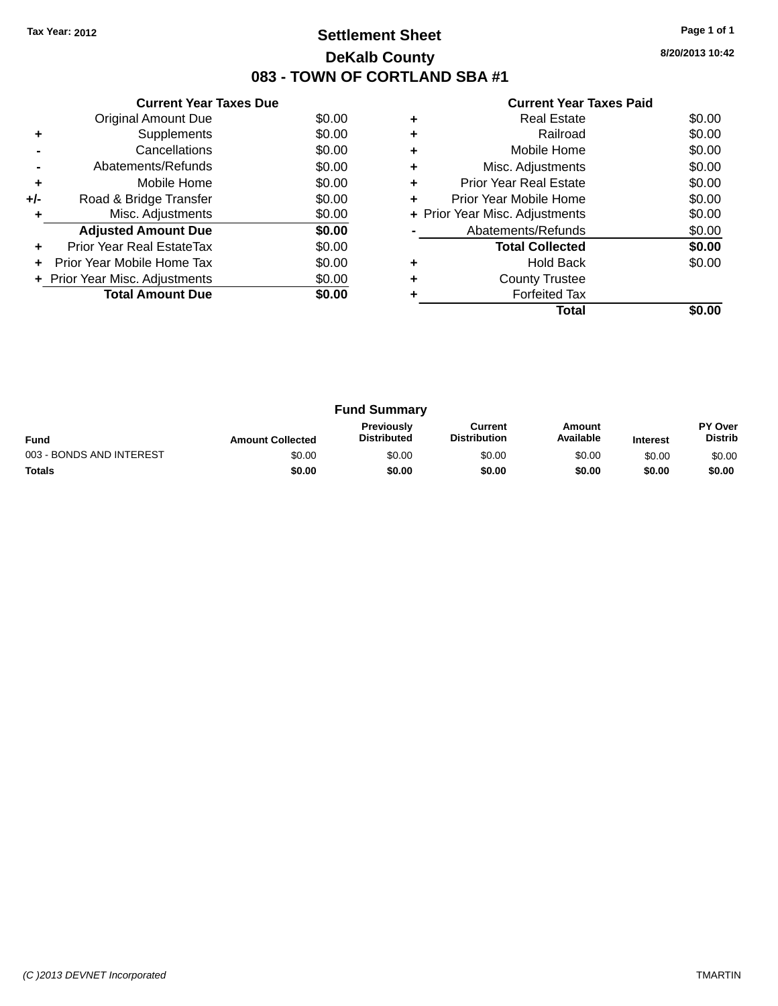### **Settlement Sheet Tax Year: 2012 Page 1 of 1 DeKalb County 083 - TOWN OF CORTLAND SBA #1**

**8/20/2013 10:42**

#### **Current Year Taxes Paid**

|     | <b>Current Year Taxes Due</b>  |        |
|-----|--------------------------------|--------|
|     | Original Amount Due            | \$0.00 |
| ÷   | Supplements                    | \$0.00 |
|     | Cancellations                  | \$0.00 |
|     | Abatements/Refunds             | \$0.00 |
| ٠   | Mobile Home                    | \$0.00 |
| +/- | Road & Bridge Transfer         | \$0.00 |
| ٠   | Misc. Adjustments              | \$0.00 |
|     | <b>Adjusted Amount Due</b>     | \$0.00 |
| ٠   | Prior Year Real EstateTax      | \$0.00 |
| ÷   | Prior Year Mobile Home Tax     | \$0.00 |
|     | + Prior Year Misc. Adjustments | \$0.00 |
|     | <b>Total Amount Due</b>        | \$0.00 |
|     |                                |        |

|   | <b>Real Estate</b>             | \$0.00 |
|---|--------------------------------|--------|
|   | Railroad                       | \$0.00 |
|   | Mobile Home                    | \$0.00 |
| ٠ | Misc. Adjustments              | \$0.00 |
| ٠ | Prior Year Real Estate         | \$0.00 |
| ٠ | Prior Year Mobile Home         | \$0.00 |
|   | + Prior Year Misc. Adjustments | \$0.00 |
|   | Abatements/Refunds             | \$0.00 |
|   | <b>Total Collected</b>         | \$0.00 |
|   | <b>Hold Back</b>               | \$0.00 |
|   | <b>County Trustee</b>          |        |
|   | <b>Forfeited Tax</b>           |        |
|   | Total                          |        |

| <b>Fund Summary</b>      |                         |                                         |                                |                     |                 |                           |
|--------------------------|-------------------------|-----------------------------------------|--------------------------------|---------------------|-----------------|---------------------------|
| <b>Fund</b>              | <b>Amount Collected</b> | <b>Previously</b><br><b>Distributed</b> | Current<br><b>Distribution</b> | Amount<br>Available | <b>Interest</b> | PY Over<br><b>Distrib</b> |
| 003 - BONDS AND INTEREST | \$0.00                  | \$0.00                                  | \$0.00                         | \$0.00              | \$0.00          | \$0.00                    |
| <b>Totals</b>            | \$0.00                  | \$0.00                                  | \$0.00                         | \$0.00              | \$0.00          | \$0.00                    |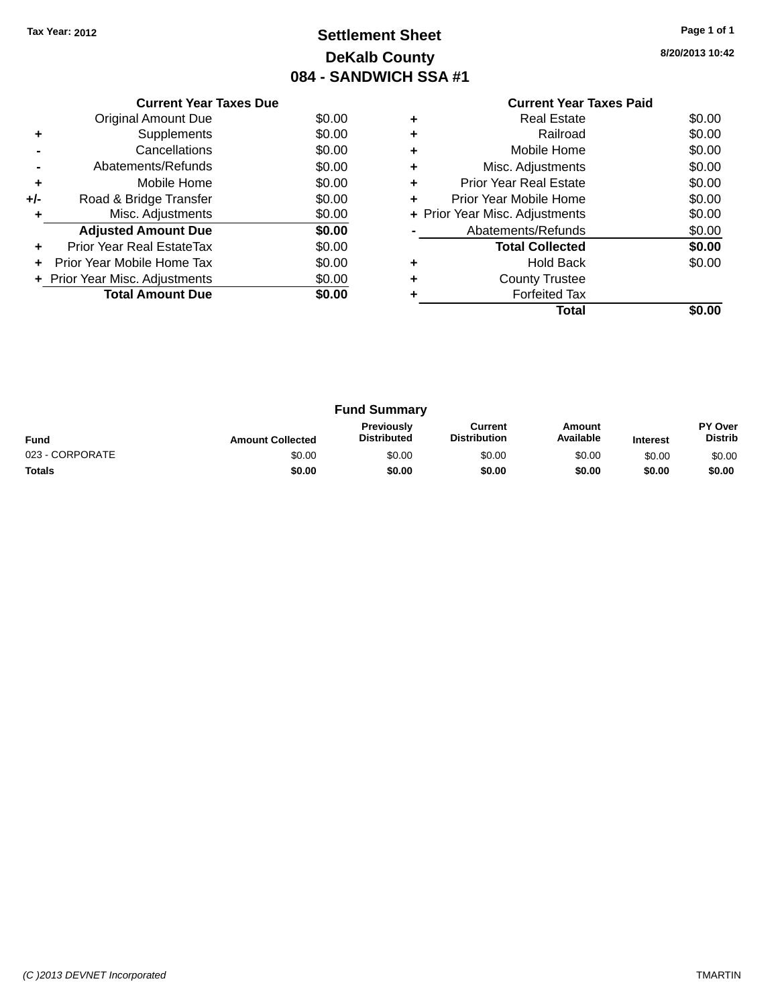### **Settlement Sheet Tax Year: 2012 Page 1 of 1 DeKalb County 084 - SANDWICH SSA #1**

**8/20/2013 10:42**

|     | <b>Current Year Taxes Due</b>  |        |  |  |  |  |  |
|-----|--------------------------------|--------|--|--|--|--|--|
|     | Original Amount Due            | \$0.00 |  |  |  |  |  |
|     | Supplements                    | \$0.00 |  |  |  |  |  |
|     | Cancellations                  | \$0.00 |  |  |  |  |  |
|     | Abatements/Refunds             | \$0.00 |  |  |  |  |  |
| ٠   | Mobile Home                    | \$0.00 |  |  |  |  |  |
| +/- | Road & Bridge Transfer         | \$0.00 |  |  |  |  |  |
| ٠   | Misc. Adjustments              | \$0.00 |  |  |  |  |  |
|     | <b>Adjusted Amount Due</b>     | \$0.00 |  |  |  |  |  |
| ÷   | Prior Year Real EstateTax      | \$0.00 |  |  |  |  |  |
| ÷   | Prior Year Mobile Home Tax     | \$0.00 |  |  |  |  |  |
|     | + Prior Year Misc. Adjustments | \$0.00 |  |  |  |  |  |
|     | <b>Total Amount Due</b>        | \$0.00 |  |  |  |  |  |
|     |                                |        |  |  |  |  |  |

### **Current Year Taxes Paid +** Real Estate \$0.00 **+** Railroad \$0.00 **+** Mobile Home \$0.00 **+** Misc. Adjustments \$0.00 **+** Prior Year Real Estate \$0.00 **+** Prior Year Mobile Home \$0.00<br> **+** Prior Year Misc. Adjustments \$0.00 **+ Prior Year Misc. Adjustments -** Abatements/Refunds \$0.00 **Total Collected \$0.00 +** Hold Back \$0.00 **+** County Trustee **+** Forfeited Tax

**Total \$0.00**

| <b>Fund Summary</b> |                         |                                  |                                |                     |                 |                           |
|---------------------|-------------------------|----------------------------------|--------------------------------|---------------------|-----------------|---------------------------|
| <b>Fund</b>         | <b>Amount Collected</b> | Previously<br><b>Distributed</b> | Current<br><b>Distribution</b> | Amount<br>Available | <b>Interest</b> | PY Over<br><b>Distrib</b> |
| 023 - CORPORATE     | \$0.00                  | \$0.00                           | \$0.00                         | \$0.00              | \$0.00          | \$0.00                    |
| <b>Totals</b>       | \$0.00                  | \$0.00                           | \$0.00                         | \$0.00              | \$0.00          | \$0.00                    |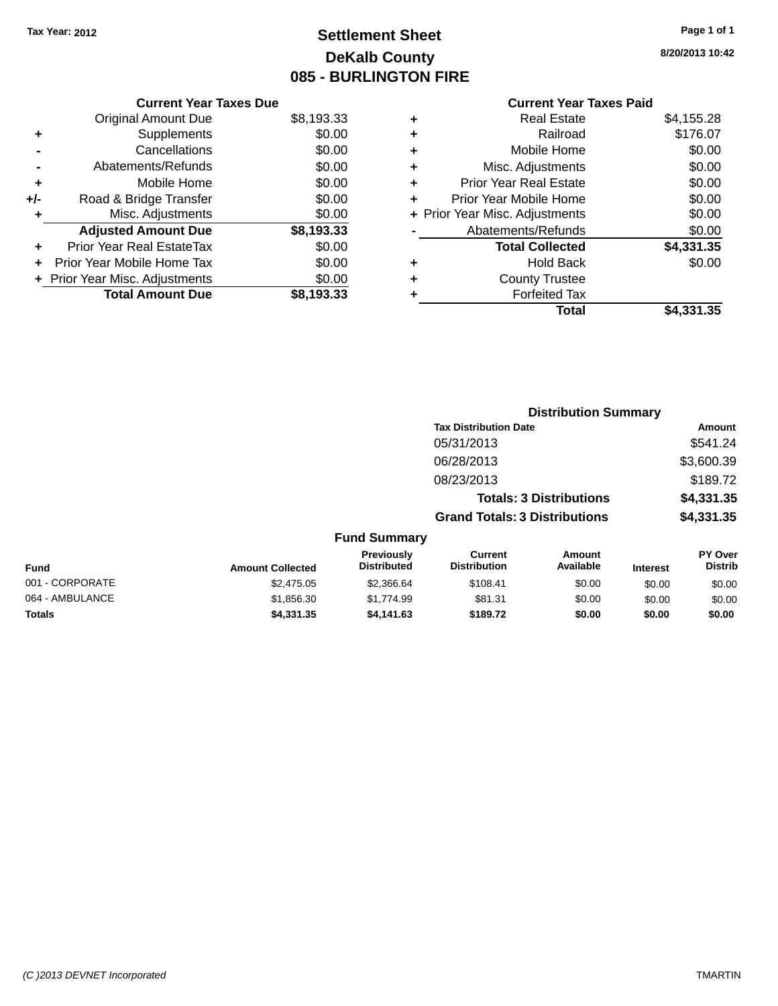### **Settlement Sheet Tax Year: 2012 Page 1 of 1 DeKalb County 085 - BURLINGTON FIRE**

**8/20/2013 10:42**

### **Current Year Taxes Paid**

|       | <b>Current Year Taxes Due</b> |            |
|-------|-------------------------------|------------|
|       | <b>Original Amount Due</b>    | \$8,193.33 |
| ٠     | Supplements                   | \$0.00     |
|       | Cancellations                 | \$0.00     |
|       | Abatements/Refunds            | \$0.00     |
| ÷     | Mobile Home                   | \$0.00     |
| $+/-$ | Road & Bridge Transfer        | \$0.00     |
|       | Misc. Adjustments             | \$0.00     |
|       | <b>Adjusted Amount Due</b>    | \$8,193.33 |
| ÷     | Prior Year Real EstateTax     | \$0.00     |
|       | Prior Year Mobile Home Tax    | \$0.00     |
|       | Prior Year Misc. Adjustments  | \$0.00     |
|       | <b>Total Amount Due</b>       | \$8.193.33 |
|       |                               |            |

| ٠ | <b>Real Estate</b>             | \$4,155.28 |
|---|--------------------------------|------------|
| ٠ | Railroad                       | \$176.07   |
| ٠ | Mobile Home                    | \$0.00     |
| ٠ | Misc. Adjustments              | \$0.00     |
| ٠ | <b>Prior Year Real Estate</b>  | \$0.00     |
| ÷ | Prior Year Mobile Home         | \$0.00     |
|   | + Prior Year Misc. Adjustments | \$0.00     |
|   | Abatements/Refunds             | \$0.00     |
|   | <b>Total Collected</b>         | \$4,331.35 |
| ٠ | Hold Back                      | \$0.00     |
| ÷ | <b>County Trustee</b>          |            |
| ٠ | <b>Forfeited Tax</b>           |            |
|   | Total                          | \$4,331.35 |
|   |                                |            |

|                 |                         |                                  |                                       | <b>Distribution Summary</b> |                 |                                  |
|-----------------|-------------------------|----------------------------------|---------------------------------------|-----------------------------|-----------------|----------------------------------|
|                 |                         |                                  | <b>Tax Distribution Date</b>          |                             |                 | Amount                           |
|                 |                         |                                  | 05/31/2013                            |                             |                 | \$541.24                         |
|                 |                         |                                  | 06/28/2013                            |                             |                 | \$3,600.39                       |
|                 |                         |                                  | 08/23/2013                            |                             |                 | \$189.72                         |
|                 |                         |                                  | <b>Totals: 3 Distributions</b>        |                             |                 | \$4,331.35                       |
|                 |                         |                                  | <b>Grand Totals: 3 Distributions</b>  |                             |                 | \$4,331.35                       |
|                 |                         | <b>Fund Summary</b>              |                                       |                             |                 |                                  |
| <b>Fund</b>     | <b>Amount Collected</b> | Previously<br><b>Distributed</b> | <b>Current</b><br><b>Distribution</b> | Amount<br>Available         | <b>Interest</b> | <b>PY Over</b><br><b>Distrib</b> |
| 001 - CORPORATE | \$2,475.05              | \$2,366.64                       | \$108.41                              | \$0.00                      | \$0.00          | \$0.00                           |
| 064 - AMBULANCE | \$1,856.30              | \$1,774.99                       | \$81.31                               | \$0.00                      | \$0.00          | \$0.00                           |

**Totals \$4,331.35 \$4,141.63 \$189.72 \$0.00 \$0.00 \$0.00**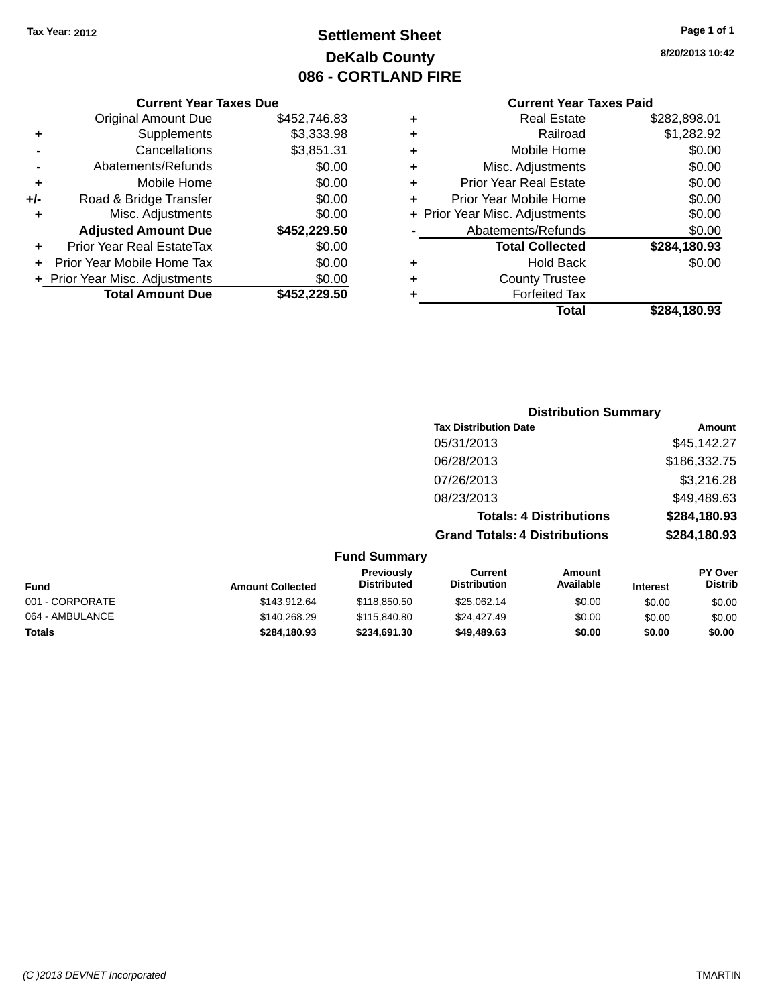### **Settlement Sheet Tax Year: 2012 Page 1 of 1 DeKalb County 086 - CORTLAND FIRE**

| <b>Current Year Taxes Due</b>  |              |
|--------------------------------|--------------|
| <b>Original Amount Due</b>     | \$452,746.83 |
| Supplements                    | \$3,333.98   |
| Cancellations                  | \$3,851.31   |
| Abatements/Refunds             | \$0.00       |
| Mobile Home                    | \$0.00       |
| Road & Bridge Transfer         | \$0.00       |
| Misc. Adjustments              | \$0.00       |
| <b>Adjusted Amount Due</b>     | \$452,229.50 |
| Prior Year Real EstateTax      | \$0.00       |
| Prior Year Mobile Home Tax     | \$0.00       |
| + Prior Year Misc. Adjustments | \$0.00       |
| <b>Total Amount Due</b>        | \$452.229.50 |
|                                |              |

#### **Current Year Taxes Paid**

| ٠ | <b>Real Estate</b>             | \$282,898.01 |
|---|--------------------------------|--------------|
| ٠ | Railroad                       | \$1,282.92   |
| ٠ | Mobile Home                    | \$0.00       |
| ٠ | Misc. Adjustments              | \$0.00       |
| ٠ | <b>Prior Year Real Estate</b>  | \$0.00       |
| ٠ | Prior Year Mobile Home         | \$0.00       |
|   | + Prior Year Misc. Adjustments | \$0.00       |
|   | Abatements/Refunds             | \$0.00       |
|   | <b>Total Collected</b>         | \$284,180.93 |
| ٠ | Hold Back                      | \$0.00       |
| ٠ | <b>County Trustee</b>          |              |
| ٠ | <b>Forfeited Tax</b>           |              |
|   | Total                          | \$284,180.93 |
|   |                                |              |

### **Distribution Summary Tax Distribution Date Amount** 05/31/2013 \$45,142.27 06/28/2013 \$186,332.75 07/26/2013 \$3,216.28 08/23/2013 \$49,489.63 **Totals: 4 Distributions \$284,180.93 Grand Totals: 4 Distributions \$284,180.93**

#### **Fund Summary**

| <b>Fund</b>     | <b>Amount Collected</b> | <b>Previously</b><br><b>Distributed</b> | Current<br><b>Distribution</b> | Amount<br>Available | <b>Interest</b> | <b>PY Over</b><br><b>Distrib</b> |
|-----------------|-------------------------|-----------------------------------------|--------------------------------|---------------------|-----------------|----------------------------------|
| 001 - CORPORATE | \$143.912.64            | \$118,850.50                            | \$25.062.14                    | \$0.00              | \$0.00          | \$0.00                           |
| 064 - AMBULANCE | \$140,268.29            | \$115,840.80                            | \$24,427.49                    | \$0.00              | \$0.00          | \$0.00                           |
| <b>Totals</b>   | \$284.180.93            | \$234.691.30                            | \$49,489.63                    | \$0.00              | \$0.00          | \$0.00                           |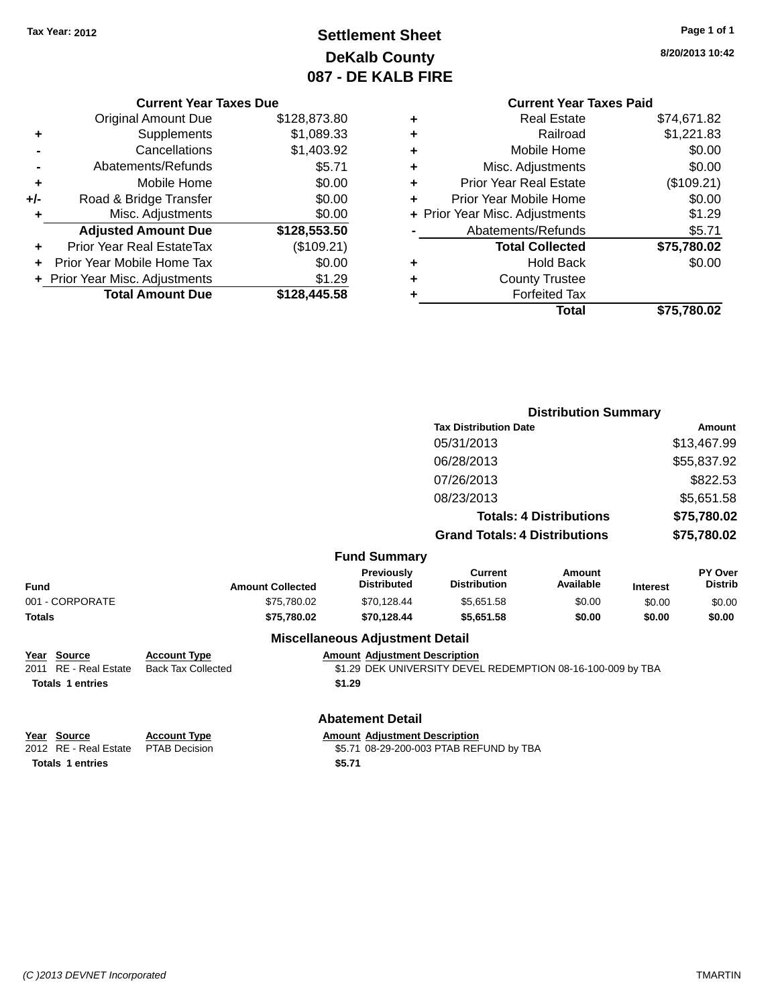### **Settlement Sheet Tax Year: 2012 Page 1 of 1 DeKalb County 087 - DE KALB FIRE**

**8/20/2013 10:42**

# **Current Year Taxes Paid**

|     | <b>Current Year Taxes Due</b>  |              |
|-----|--------------------------------|--------------|
|     | <b>Original Amount Due</b>     | \$128,873.80 |
| ٠   | Supplements                    | \$1,089.33   |
|     | Cancellations                  | \$1,403.92   |
|     | Abatements/Refunds             | \$5.71       |
| ٠   | Mobile Home                    | \$0.00       |
| +/- | Road & Bridge Transfer         | \$0.00       |
| ٠   | Misc. Adjustments              | \$0.00       |
|     | <b>Adjusted Amount Due</b>     | \$128,553.50 |
| ٠   | Prior Year Real EstateTax      | (\$109.21)   |
|     | Prior Year Mobile Home Tax     | \$0.00       |
|     | + Prior Year Misc. Adjustments | \$1.29       |
|     | <b>Total Amount Due</b>        | \$128,445.58 |
|     |                                |              |

|   | <b>Real Estate</b>             | \$74,671.82 |
|---|--------------------------------|-------------|
| ٠ | Railroad                       | \$1,221.83  |
| ٠ | Mobile Home                    | \$0.00      |
| ٠ | Misc. Adjustments              | \$0.00      |
| ٠ | <b>Prior Year Real Estate</b>  | (\$109.21)  |
| ٠ | Prior Year Mobile Home         | \$0.00      |
|   | + Prior Year Misc. Adjustments | \$1.29      |
|   | Abatements/Refunds             | \$5.71      |
|   | <b>Total Collected</b>         |             |
|   |                                | \$75,780.02 |
| ٠ | <b>Hold Back</b>               | \$0.00      |
| ٠ | <b>County Trustee</b>          |             |
|   | <b>Forfeited Tax</b>           |             |
|   | Total                          | \$75,780.02 |

|                         |                           |                                        | <b>Distribution Summary</b>                                 |                                |                 |                           |
|-------------------------|---------------------------|----------------------------------------|-------------------------------------------------------------|--------------------------------|-----------------|---------------------------|
|                         |                           | <b>Tax Distribution Date</b>           |                                                             | <b>Amount</b>                  |                 |                           |
|                         |                           |                                        | 05/31/2013                                                  |                                |                 | \$13,467.99               |
|                         |                           |                                        | 06/28/2013                                                  |                                |                 | \$55,837.92               |
|                         |                           |                                        | 07/26/2013                                                  |                                |                 | \$822.53                  |
|                         |                           |                                        | 08/23/2013                                                  |                                |                 | \$5,651.58                |
|                         |                           |                                        |                                                             | <b>Totals: 4 Distributions</b> |                 | \$75,780.02               |
|                         |                           |                                        | <b>Grand Totals: 4 Distributions</b>                        |                                |                 | \$75,780.02               |
|                         |                           | <b>Fund Summary</b>                    |                                                             |                                |                 |                           |
| <b>Fund</b>             | <b>Amount Collected</b>   | Previously<br><b>Distributed</b>       | <b>Current</b><br><b>Distribution</b>                       | Amount<br>Available            | <b>Interest</b> | PY Over<br><b>Distrib</b> |
| 001 - CORPORATE         | \$75,780.02               | \$70,128.44                            | \$5,651.58                                                  | \$0.00                         | \$0.00          | \$0.00                    |
| Totals                  | \$75,780.02               | \$70,128.44                            | \$5,651.58                                                  | \$0.00                         | \$0.00          | \$0.00                    |
|                         |                           | <b>Miscellaneous Adjustment Detail</b> |                                                             |                                |                 |                           |
| Year Source             | <b>Account Type</b>       | <b>Amount Adjustment Description</b>   |                                                             |                                |                 |                           |
| 2011 RE - Real Estate   | <b>Back Tax Collected</b> |                                        | \$1.29 DEK UNIVERSITY DEVEL REDEMPTION 08-16-100-009 by TBA |                                |                 |                           |
| <b>Totals 1 entries</b> |                           | \$1.29                                 |                                                             |                                |                 |                           |
|                         |                           | <b>Abatement Detail</b>                |                                                             |                                |                 |                           |

**Totals 1 entries \$5.71**

**<u>Year Source</u> <b>Account Type Amount Adjustment Description**<br>2012 RE - Real Estate PTAB Decision **Amount 1998-29-200-003** PTAB REF \$5.71 08-29-200-003 PTAB REFUND by TBA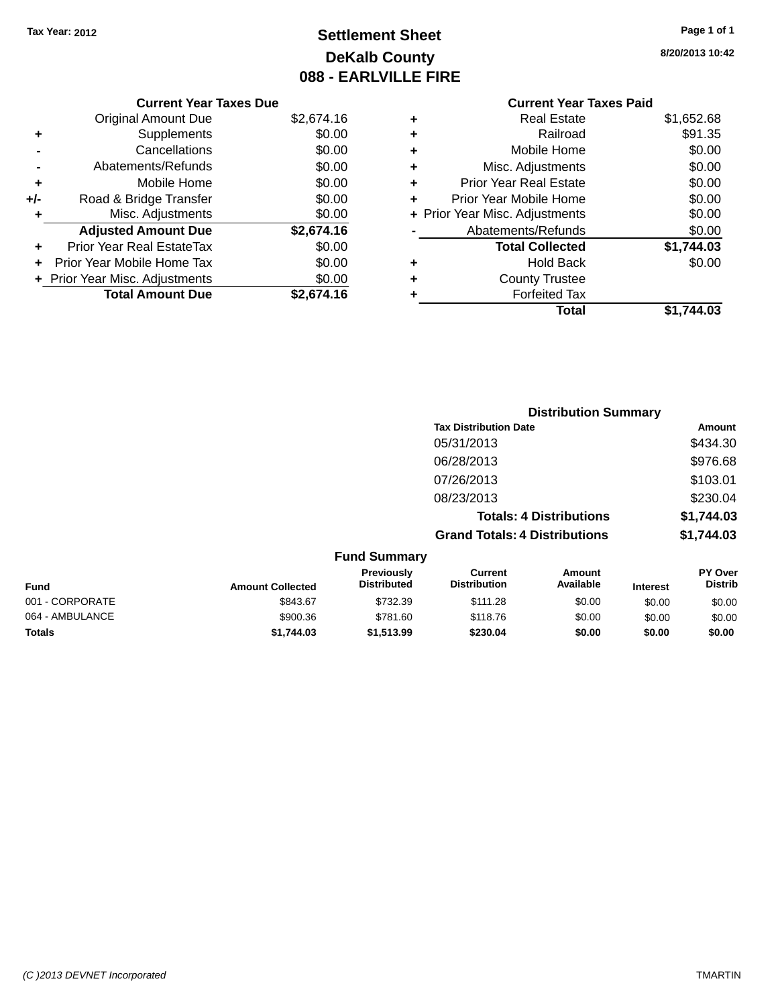## **Settlement Sheet Tax Year: 2012 Page 1 of 1 DeKalb County 088 - EARLVILLE FIRE**

**8/20/2013 10:42**

|     | <b>Current Year Taxes Due</b>  |            |
|-----|--------------------------------|------------|
|     | <b>Original Amount Due</b>     | \$2,674.16 |
| ٠   | Supplements                    | \$0.00     |
|     | Cancellations                  | \$0.00     |
|     | Abatements/Refunds             | \$0.00     |
| ٠   | Mobile Home                    | \$0.00     |
| +/- | Road & Bridge Transfer         | \$0.00     |
| ÷   | Misc. Adjustments              | \$0.00     |
|     | <b>Adjusted Amount Due</b>     | \$2,674.16 |
| ٠   | Prior Year Real EstateTax      | \$0.00     |
|     | Prior Year Mobile Home Tax     | \$0.00     |
|     | + Prior Year Misc. Adjustments | \$0.00     |
|     | <b>Total Amount Due</b>        | \$2.674.16 |

### **Current Year Taxes Paid +** Real Estate \$1,652.68

| ٠ | Railroad                       | \$91.35    |
|---|--------------------------------|------------|
| ÷ | Mobile Home                    | \$0.00     |
| ٠ | Misc. Adjustments              | \$0.00     |
| ٠ | Prior Year Real Estate         | \$0.00     |
| ٠ | Prior Year Mobile Home         | \$0.00     |
|   | + Prior Year Misc. Adjustments | \$0.00     |
|   | Abatements/Refunds             | \$0.00     |
|   | <b>Total Collected</b>         | \$1,744.03 |
| ٠ | <b>Hold Back</b>               | \$0.00     |
| ٠ | <b>County Trustee</b>          |            |
|   | <b>Forfeited Tax</b>           |            |
|   | Total                          | \$1.744.03 |

|                 |                         |                                  |                                       | <b>Distribution Summary</b>    |                 |                           |
|-----------------|-------------------------|----------------------------------|---------------------------------------|--------------------------------|-----------------|---------------------------|
|                 |                         |                                  | <b>Tax Distribution Date</b>          |                                |                 | Amount                    |
|                 |                         |                                  | 05/31/2013                            |                                |                 | \$434.30                  |
|                 |                         |                                  | 06/28/2013                            |                                |                 | \$976.68                  |
|                 |                         |                                  | 07/26/2013                            |                                |                 | \$103.01                  |
|                 |                         |                                  | 08/23/2013                            |                                |                 | \$230.04                  |
|                 |                         |                                  |                                       | <b>Totals: 4 Distributions</b> |                 | \$1,744.03                |
|                 |                         |                                  | <b>Grand Totals: 4 Distributions</b>  |                                |                 | \$1,744.03                |
|                 |                         | <b>Fund Summary</b>              |                                       |                                |                 |                           |
| <b>Fund</b>     | <b>Amount Collected</b> | Previously<br><b>Distributed</b> | <b>Current</b><br><b>Distribution</b> | Amount<br>Available            | <b>Interest</b> | PY Over<br><b>Distrib</b> |
| 001 - CORPORATE | \$843.67                | \$732.39                         | \$111.28                              | \$0.00                         | \$0.00          | \$0.00                    |
| 064 - AMBULANCE | \$900.36                | \$781.60                         | \$118.76                              | \$0.00                         | \$0.00          | \$0.00                    |

**Totals \$1,744.03 \$1,513.99 \$230.04 \$0.00 \$0.00 \$0.00**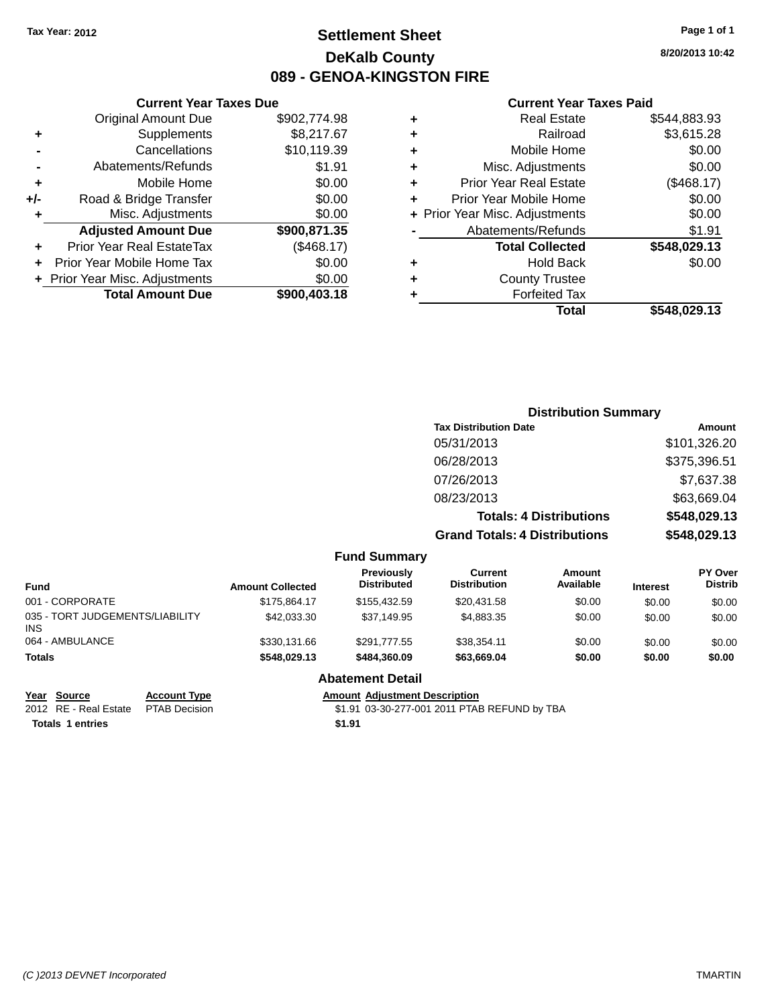### **Settlement Sheet Tax Year: 2012 Page 1 of 1 DeKalb County 089 - GENOA-KINGSTON FIRE**

**8/20/2013 10:42**

#### **Current Year Taxes Paid**

|   | Total                          | \$548,029.13 |
|---|--------------------------------|--------------|
|   | <b>Forfeited Tax</b>           |              |
| ٠ | <b>County Trustee</b>          |              |
| ٠ | <b>Hold Back</b>               | \$0.00       |
|   | <b>Total Collected</b>         | \$548,029.13 |
|   | Abatements/Refunds             | \$1.91       |
|   | + Prior Year Misc. Adjustments | \$0.00       |
| ٠ | Prior Year Mobile Home         | \$0.00       |
| ٠ | <b>Prior Year Real Estate</b>  | (\$468.17)   |
| ٠ | Misc. Adjustments              | \$0.00       |
| ٠ | Mobile Home                    | \$0.00       |
| ٠ | Railroad                       | \$3,615.28   |
| ٠ | <b>Real Estate</b>             | \$544,883.93 |
|   |                                |              |

|     | <b>Current Year Taxes Due</b>    |              |
|-----|----------------------------------|--------------|
|     | <b>Original Amount Due</b>       | \$902,774.98 |
| ٠   | Supplements                      | \$8,217.67   |
|     | Cancellations                    | \$10,119.39  |
|     | Abatements/Refunds               | \$1.91       |
| ٠   | Mobile Home                      | \$0.00       |
| +/- | Road & Bridge Transfer           | \$0.00       |
| ٠   | Misc. Adjustments                | \$0.00       |
|     | <b>Adjusted Amount Due</b>       | \$900,871.35 |
|     | <b>Prior Year Real EstateTax</b> | (\$468.17)   |
|     | Prior Year Mobile Home Tax       | \$0.00       |
|     | + Prior Year Misc. Adjustments   | \$0.00       |
|     | <b>Total Amount Due</b>          | \$900,403.18 |

|                     | <b>Distribution Summary</b>          |              |
|---------------------|--------------------------------------|--------------|
|                     | <b>Tax Distribution Date</b>         | Amount       |
|                     | 05/31/2013                           | \$101,326.20 |
|                     | 06/28/2013                           | \$375,396.51 |
|                     | 07/26/2013                           | \$7,637.38   |
|                     | 08/23/2013                           | \$63,669.04  |
|                     | <b>Totals: 4 Distributions</b>       | \$548,029.13 |
|                     | <b>Grand Totals: 4 Distributions</b> | \$548,029.13 |
| <b>Fund Summary</b> |                                      |              |

| Fund                                    | <b>Amount Collected</b> | Previously<br><b>Distributed</b> | Current<br><b>Distribution</b> | Amount<br>Available | <b>Interest</b> | PY Over<br><b>Distrib</b> |
|-----------------------------------------|-------------------------|----------------------------------|--------------------------------|---------------------|-----------------|---------------------------|
| 001 - CORPORATE                         | \$175.864.17            | \$155,432.59                     | \$20.431.58                    | \$0.00              | \$0.00          | \$0.00                    |
| 035 - TORT JUDGEMENTS/LIABILITY<br>INS. | \$42,033,30             | \$37.149.95                      | \$4.883.35                     | \$0.00              | \$0.00          | \$0.00                    |
| 064 - AMBULANCE                         | \$330,131,66            | \$291.777.55                     | \$38,354.11                    | \$0.00              | \$0.00          | \$0.00                    |
| <b>Totals</b>                           | \$548.029.13            | \$484.360.09                     | \$63.669.04                    | \$0.00              | \$0.00          | \$0.00                    |

#### **Abatement Detail**

**<u>Year Source</u> <b>Account Type Amount Adjustment Description**<br>2012 RE - Real Estate PTAB Decision \$1.91 03-30-277-001 2011 PTAE **Totals 1 entries \$1.91**

\$1.91 03-30-277-001 2011 PTAB REFUND by TBA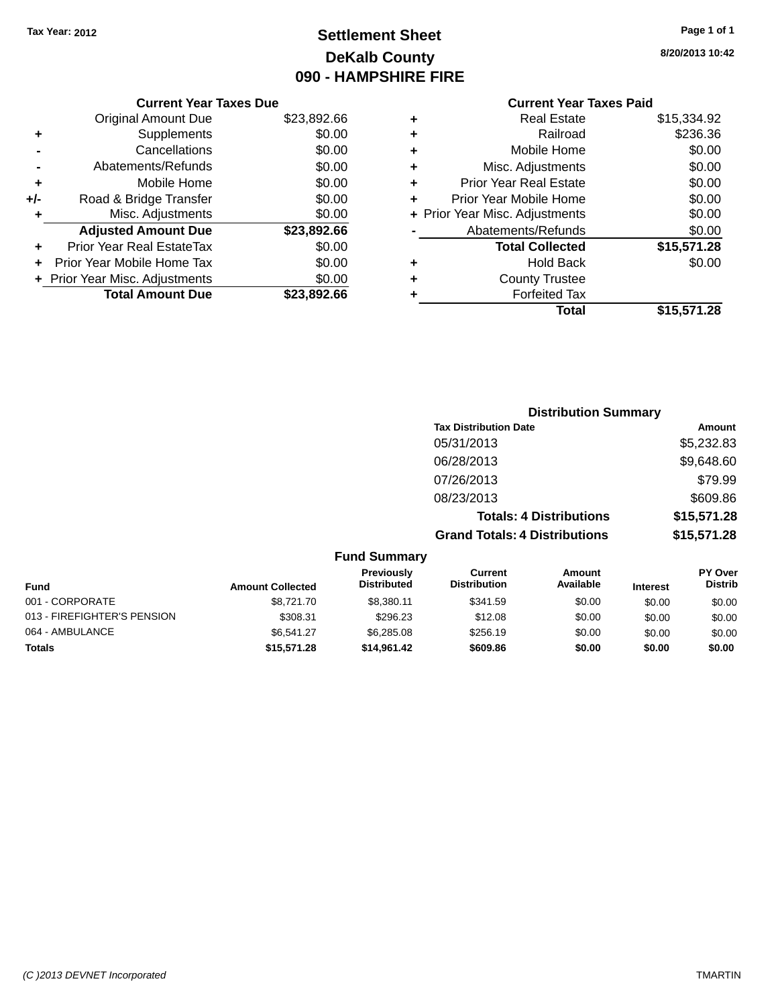### **Settlement Sheet Tax Year: 2012 Page 1 of 1 DeKalb County 090 - HAMPSHIRE FIRE**

**8/20/2013 10:42**

## **Current Year Taxes Paid**

|     | <b>Current Year Taxes Due</b>  |             |
|-----|--------------------------------|-------------|
|     | <b>Original Amount Due</b>     | \$23,892.66 |
| ٠   | Supplements                    | \$0.00      |
|     | Cancellations                  | \$0.00      |
|     | Abatements/Refunds             | \$0.00      |
| ٠   | Mobile Home                    | \$0.00      |
| +/- | Road & Bridge Transfer         | \$0.00      |
| ٠   | Misc. Adjustments              | \$0.00      |
|     | <b>Adjusted Amount Due</b>     | \$23,892.66 |
| ÷   | Prior Year Real EstateTax      | \$0.00      |
|     | Prior Year Mobile Home Tax     | \$0.00      |
|     | + Prior Year Misc. Adjustments | \$0.00      |
|     | <b>Total Amount Due</b>        | \$23,892.66 |
|     |                                |             |

| ٠ | <b>Real Estate</b>             | \$15,334.92 |
|---|--------------------------------|-------------|
| ٠ | Railroad                       | \$236.36    |
| ٠ | Mobile Home                    | \$0.00      |
| ٠ | Misc. Adjustments              | \$0.00      |
| ٠ | <b>Prior Year Real Estate</b>  | \$0.00      |
| ٠ | Prior Year Mobile Home         | \$0.00      |
|   | + Prior Year Misc. Adjustments | \$0.00      |
|   | Abatements/Refunds             | \$0.00      |
|   | <b>Total Collected</b>         | \$15,571.28 |
| ٠ | Hold Back                      | \$0.00      |
| ٠ | <b>County Trustee</b>          |             |
| ٠ | <b>Forfeited Tax</b>           |             |
|   | Total                          | \$15,571.28 |
|   |                                |             |

|                     | <b>Distribution Summary</b>          |             |
|---------------------|--------------------------------------|-------------|
|                     | <b>Tax Distribution Date</b>         | Amount      |
|                     | 05/31/2013                           | \$5,232.83  |
|                     | 06/28/2013                           | \$9,648.60  |
|                     | 07/26/2013                           | \$79.99     |
|                     | 08/23/2013                           | \$609.86    |
|                     | <b>Totals: 4 Distributions</b>       | \$15,571.28 |
|                     | <b>Grand Totals: 4 Distributions</b> | \$15,571.28 |
| <b>Fund Summary</b> |                                      |             |

| Previously<br>Current<br>Amount<br>Available<br><b>Distributed</b><br><b>Distribution</b><br><b>Fund</b><br><b>Amount Collected</b><br><b>Interest</b><br>001 - CORPORATE<br>\$8,721,70<br>\$341.59<br>\$8.380.11<br>\$0.00<br>\$0.00<br>013 - FIREFIGHTER'S PENSION<br>\$308.31<br>\$296.23<br>\$12.08<br>\$0.00<br>\$0.00<br>064 - AMBULANCE<br>\$256.19<br>\$6,285,08<br>\$6.541.27<br>\$0.00<br>\$0.00<br>\$609.86<br><b>Totals</b><br>\$15,571.28<br>\$0.00<br>\$0.00<br>\$14.961.42 | unu vunnnar y |  |  |  |  |  |                                  |
|-------------------------------------------------------------------------------------------------------------------------------------------------------------------------------------------------------------------------------------------------------------------------------------------------------------------------------------------------------------------------------------------------------------------------------------------------------------------------------------------|---------------|--|--|--|--|--|----------------------------------|
|                                                                                                                                                                                                                                                                                                                                                                                                                                                                                           |               |  |  |  |  |  | <b>PY Over</b><br><b>Distrib</b> |
|                                                                                                                                                                                                                                                                                                                                                                                                                                                                                           |               |  |  |  |  |  | \$0.00                           |
|                                                                                                                                                                                                                                                                                                                                                                                                                                                                                           |               |  |  |  |  |  | \$0.00                           |
|                                                                                                                                                                                                                                                                                                                                                                                                                                                                                           |               |  |  |  |  |  | \$0.00                           |
|                                                                                                                                                                                                                                                                                                                                                                                                                                                                                           |               |  |  |  |  |  | \$0.00                           |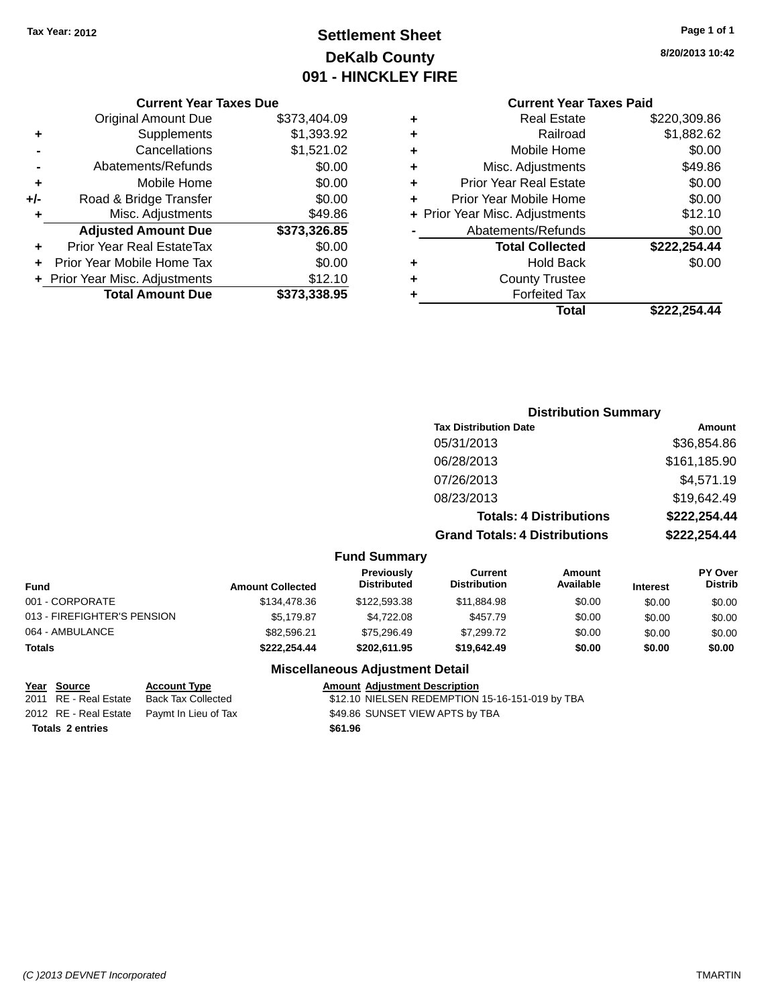### **Settlement Sheet Tax Year: 2012 Page 1 of 1 DeKalb County 091 - HINCKLEY FIRE**

### **8/20/2013 10:42**

|  |  | <b>Current</b> |
|--|--|----------------|
|  |  |                |

|     | <b>Current Year Taxes Due</b>  |              |
|-----|--------------------------------|--------------|
|     | <b>Original Amount Due</b>     | \$373,404.09 |
| ٠   | Supplements                    | \$1,393.92   |
|     | Cancellations                  | \$1,521.02   |
|     | Abatements/Refunds             | \$0.00       |
| ٠   | Mobile Home                    | \$0.00       |
| +/- | Road & Bridge Transfer         | \$0.00       |
|     | Misc. Adjustments              | \$49.86      |
|     | <b>Adjusted Amount Due</b>     | \$373,326.85 |
| ٠   | Prior Year Real EstateTax      | \$0.00       |
|     | Prior Year Mobile Home Tax     | \$0.00       |
|     | + Prior Year Misc. Adjustments | \$12.10      |
|     | <b>Total Amount Due</b>        | \$373.338.95 |
|     |                                |              |

|   | <b>Current Year Taxes Paid</b> |              |
|---|--------------------------------|--------------|
| ٠ | <b>Real Estate</b>             | \$220,309.86 |
| ٠ | Railroad                       | \$1,882.62   |
| ٠ | Mobile Home                    | \$0.00       |
| ٠ | Misc. Adjustments              | \$49.86      |
| ٠ | <b>Prior Year Real Estate</b>  | \$0.00       |
| ٠ | Prior Year Mobile Home         | \$0.00       |
|   | + Prior Year Misc. Adjustments | \$12.10      |
|   | Abatements/Refunds             | \$0.00       |
|   | <b>Total Collected</b>         | \$222,254.44 |
| ٠ | <b>Hold Back</b>               | \$0.00       |
| ٠ | <b>County Trustee</b>          |              |
| ٠ | <b>Forfeited Tax</b>           |              |
|   | Total                          | \$222,254.44 |
|   |                                |              |

|                     | <b>Distribution Summary</b>          |              |
|---------------------|--------------------------------------|--------------|
|                     | <b>Tax Distribution Date</b>         | Amount       |
|                     | 05/31/2013                           | \$36,854.86  |
|                     | 06/28/2013                           | \$161,185.90 |
|                     | 07/26/2013                           | \$4,571.19   |
|                     | 08/23/2013                           | \$19,642.49  |
|                     | <b>Totals: 4 Distributions</b>       | \$222,254.44 |
|                     | <b>Grand Totals: 4 Distributions</b> | \$222,254.44 |
| <b>Fund Summary</b> |                                      |              |

|  | <b>Fund Summary</b> |
|--|---------------------|
|--|---------------------|

| Fund                        | <b>Amount Collected</b> | <b>Previously</b><br><b>Distributed</b> | Current<br><b>Distribution</b> | Amount<br>Available | <b>Interest</b> | PY Over<br><b>Distrib</b> |
|-----------------------------|-------------------------|-----------------------------------------|--------------------------------|---------------------|-----------------|---------------------------|
| 001 - CORPORATE             | \$134,478.36            | \$122,593,38                            | \$11.884.98                    | \$0.00              | \$0.00          | \$0.00                    |
| 013 - FIREFIGHTER'S PENSION | \$5.179.87              | \$4.722.08                              | \$457.79                       | \$0.00              | \$0.00          | \$0.00                    |
| 064 - AMBULANCE             | \$82.596.21             | \$75.296.49                             | \$7.299.72                     | \$0.00              | \$0.00          | \$0.00                    |
| Totals                      | \$222.254.44            | \$202.611.95                            | \$19,642.49                    | \$0.00              | \$0.00          | \$0.00                    |

### **Miscellaneous Adjustment Detail**

| Year Source             | <b>Account Type</b>                        |         | <b>Amount Adjustment Description</b>            |
|-------------------------|--------------------------------------------|---------|-------------------------------------------------|
| 2011 RE - Real Estate   | Back Tax Collected                         |         | \$12.10 NIELSEN REDEMPTION 15-16-151-019 by TBA |
|                         | 2012 RE - Real Estate Paymt In Lieu of Tax |         | \$49.86 SUNSET VIEW APTS by TBA                 |
| <b>Totals 2 entries</b> |                                            | \$61.96 |                                                 |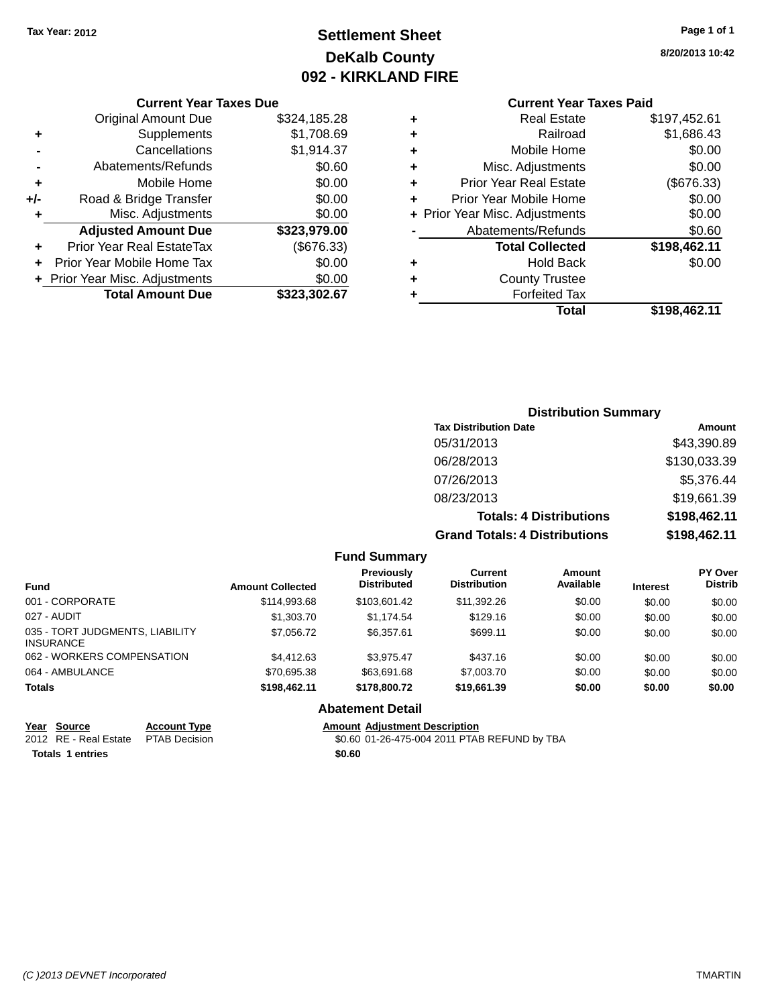### **Settlement Sheet Tax Year: 2012 Page 1 of 1 DeKalb County 092 - KIRKLAND FIRE**

**8/20/2013 10:42**

#### **Current Year Taxes Paid**

| 28              | ٠ | <b>Real Estate</b>             | \$197,452.61 |
|-----------------|---|--------------------------------|--------------|
| 59              | ٠ | Railroad                       | \$1,686.43   |
| 37              | ٠ | Mobile Home                    | \$0.00       |
| 50              | ٠ | Misc. Adjustments              | \$0.00       |
| 00              | ٠ | <b>Prior Year Real Estate</b>  | (\$676.33)   |
| 00              | ÷ | Prior Year Mobile Home         | \$0.00       |
| $\overline{0}$  |   | + Prior Year Misc. Adjustments | \$0.00       |
| $\overline{50}$ |   | Abatements/Refunds             | \$0.60       |
| 3)              |   | <b>Total Collected</b>         | \$198,462.11 |
| 90              | ٠ | <b>Hold Back</b>               | \$0.00       |
| $\frac{10}{57}$ | ٠ | <b>County Trustee</b>          |              |
|                 |   | <b>Forfeited Tax</b>           |              |
|                 |   | Total                          | \$198,462.11 |
|                 |   |                                |              |

#### **Current Year Taxes Due** Original Amount Due \$324,185.2 **+** Supplements \$1,708.69 **-** Cancellations \$1,914.3 **-** Abatements/Refunds \$0.6 **+** Mobile Home \$0.000 **+/-** Road & Bridge Transfer \$0.000 **+** Road & Bridge Transfer<br> **+** Misc. Adjustments \$0.000 + \$0.000 + \$0.000 + \$0.00 **+** Misc. Adjustments **Adjusted Amount Due \$323,979.00 +** Prior Year Real EstateTax (\$676.33) **+** Prior Year Mobile Home Tax \$0.000 **+ Prior Year Misc. Adjustments \$0.000 \$0.000 \$1.000 \$1.000 \$1.000 \$1.000 \$1.000 \$1.000 \$1.000 \$1.000 \$1.000 \$1.000 \$1.000 \$1.000 \$1.000 \$1.000 \$1.000 \$1.000 \$1.000 \$1.000 \$1.000 \$1.000 \$1.000 \$1.000 \$1.000 \$1.000 \$1.000 \$ Total Amount Due \$323,302.6**

|                     | <b>Distribution Summary</b>          |              |
|---------------------|--------------------------------------|--------------|
|                     | <b>Tax Distribution Date</b>         | Amount       |
|                     | 05/31/2013                           | \$43,390.89  |
|                     | 06/28/2013                           | \$130,033.39 |
|                     | 07/26/2013                           | \$5,376.44   |
|                     | 08/23/2013                           | \$19,661.39  |
|                     | <b>Totals: 4 Distributions</b>       | \$198,462.11 |
|                     | <b>Grand Totals: 4 Distributions</b> | \$198,462.11 |
| <b>Fund Summary</b> |                                      |              |

| <b>Fund</b>                                         | <b>Amount Collected</b> | Previously<br><b>Distributed</b> | Current<br><b>Distribution</b> | <b>Amount</b><br>Available | <b>Interest</b> | <b>PY Over</b><br><b>Distrib</b> |
|-----------------------------------------------------|-------------------------|----------------------------------|--------------------------------|----------------------------|-----------------|----------------------------------|
| 001 - CORPORATE                                     | \$114,993.68            | \$103.601.42                     | \$11,392.26                    | \$0.00                     | \$0.00          | \$0.00                           |
| 027 - AUDIT                                         | \$1,303.70              | \$1.174.54                       | \$129.16                       | \$0.00                     | \$0.00          | \$0.00                           |
| 035 - TORT JUDGMENTS, LIABILITY<br><b>INSURANCE</b> | \$7,056.72              | \$6,357.61                       | \$699.11                       | \$0.00                     | \$0.00          | \$0.00                           |
| 062 - WORKERS COMPENSATION                          | \$4,412.63              | \$3.975.47                       | \$437.16                       | \$0.00                     | \$0.00          | \$0.00                           |
| 064 - AMBULANCE                                     | \$70,695.38             | \$63,691.68                      | \$7,003.70                     | \$0.00                     | \$0.00          | \$0.00                           |
| <b>Totals</b>                                       | \$198,462.11            | \$178,800.72                     | \$19,661.39                    | \$0.00                     | \$0.00          | \$0.00                           |
|                                                     |                         | Abotamant Datail                 |                                |                            |                 |                                  |

### **Abatement Detail**

**Year Source Account Type Amount Adjustment Description**

2012 RE - Real Estate PTAB Decision \$0.60 01-26-475-004 2011 PTAB REFUND by TBA

**Totals 1 entries \$0.60**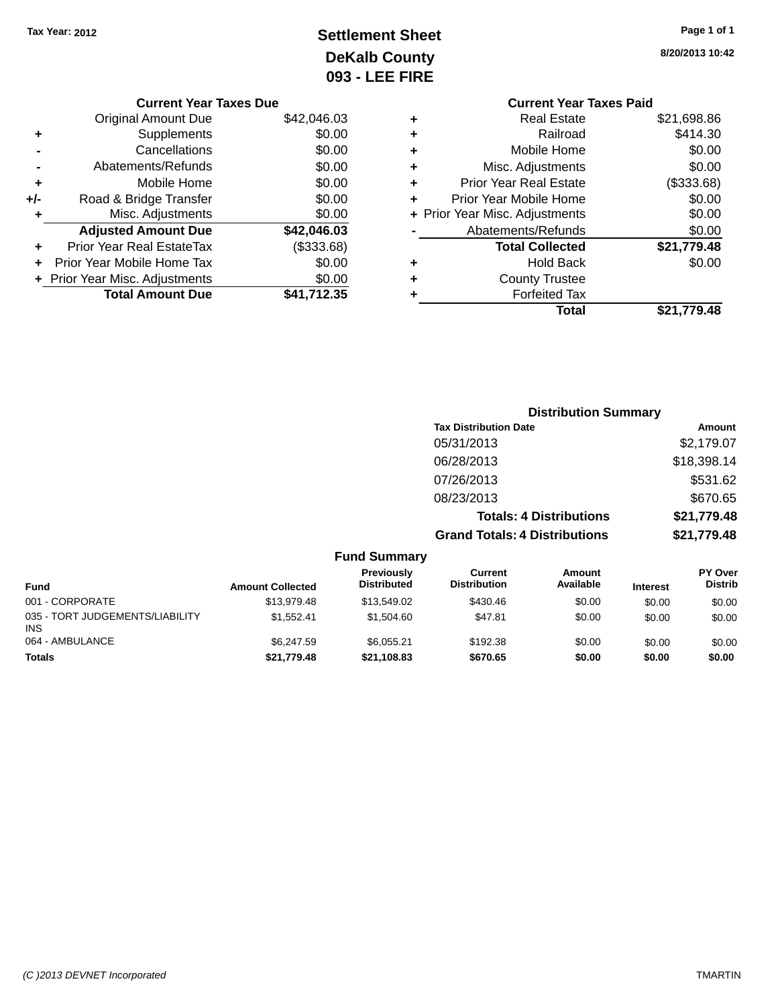## **Settlement Sheet Tax Year: 2012 Page 1 of 1 DeKalb County 093 - LEE FIRE**

| \$42,046.03<br><b>Original Amount Due</b> |             |
|-------------------------------------------|-------------|
|                                           |             |
| Supplements<br>٠                          | \$0.00      |
| Cancellations                             | \$0.00      |
| Abatements/Refunds                        | \$0.00      |
| Mobile Home<br>٠                          | \$0.00      |
| Road & Bridge Transfer<br>+/-             | \$0.00      |
| Misc. Adjustments<br>٠                    | \$0.00      |
| <b>Adjusted Amount Due</b><br>\$42,046.03 |             |
| Prior Year Real EstateTax<br>٠            | (\$333.68)  |
| Prior Year Mobile Home Tax<br>٠           | \$0.00      |
| + Prior Year Misc. Adjustments            | \$0.00      |
| <b>Total Amount Due</b>                   | \$41,712.35 |

**8/20/2013 10:42**

|   | <b>Current Year Taxes Paid</b> |             |
|---|--------------------------------|-------------|
| ٠ | <b>Real Estate</b>             | \$21,698.86 |
| ٠ | Railroad                       | \$414.30    |
| ٠ | Mobile Home                    | \$0.00      |
| ٠ | Misc. Adjustments              | \$0.00      |
| ٠ | <b>Prior Year Real Estate</b>  | (\$333.68)  |
| ÷ | Prior Year Mobile Home         | \$0.00      |
|   | + Prior Year Misc. Adjustments | \$0.00      |
|   | Abatements/Refunds             | \$0.00      |
|   | <b>Total Collected</b>         | \$21,779.48 |
| ٠ | <b>Hold Back</b>               | \$0.00      |
|   | <b>County Trustee</b>          |             |
| ٠ | <b>Forfeited Tax</b>           |             |
|   | Total                          | \$21,779.48 |
|   |                                |             |

|                     | <b>Distribution Summary</b>          |             |
|---------------------|--------------------------------------|-------------|
|                     | <b>Tax Distribution Date</b>         | Amount      |
|                     | 05/31/2013                           | \$2,179.07  |
|                     | 06/28/2013                           | \$18,398.14 |
|                     | 07/26/2013                           | \$531.62    |
|                     | 08/23/2013                           | \$670.65    |
|                     | <b>Totals: 4 Distributions</b>       | \$21,779.48 |
|                     | <b>Grand Totals: 4 Distributions</b> | \$21,779.48 |
| <b>Fund Summary</b> |                                      |             |

| <b>Fund</b>                                   | <b>Amount Collected</b> | Previously<br><b>Distributed</b> | Current<br><b>Distribution</b> | Amount<br>Available | <b>Interest</b> | <b>PY Over</b><br><b>Distrib</b> |
|-----------------------------------------------|-------------------------|----------------------------------|--------------------------------|---------------------|-----------------|----------------------------------|
| 001 - CORPORATE                               | \$13,979.48             | \$13,549.02                      | \$430.46                       | \$0.00              | \$0.00          | \$0.00                           |
| 035 - TORT JUDGEMENTS/LIABILITY<br><b>INS</b> | \$1.552.41              | \$1.504.60                       | \$47.81                        | \$0.00              | \$0.00          | \$0.00                           |
| 064 - AMBULANCE                               | \$6,247.59              | \$6.055.21                       | \$192.38                       | \$0.00              | \$0.00          | \$0.00                           |
| <b>Totals</b>                                 | \$21,779.48             | \$21,108.83                      | \$670.65                       | \$0.00              | \$0.00          | \$0.00                           |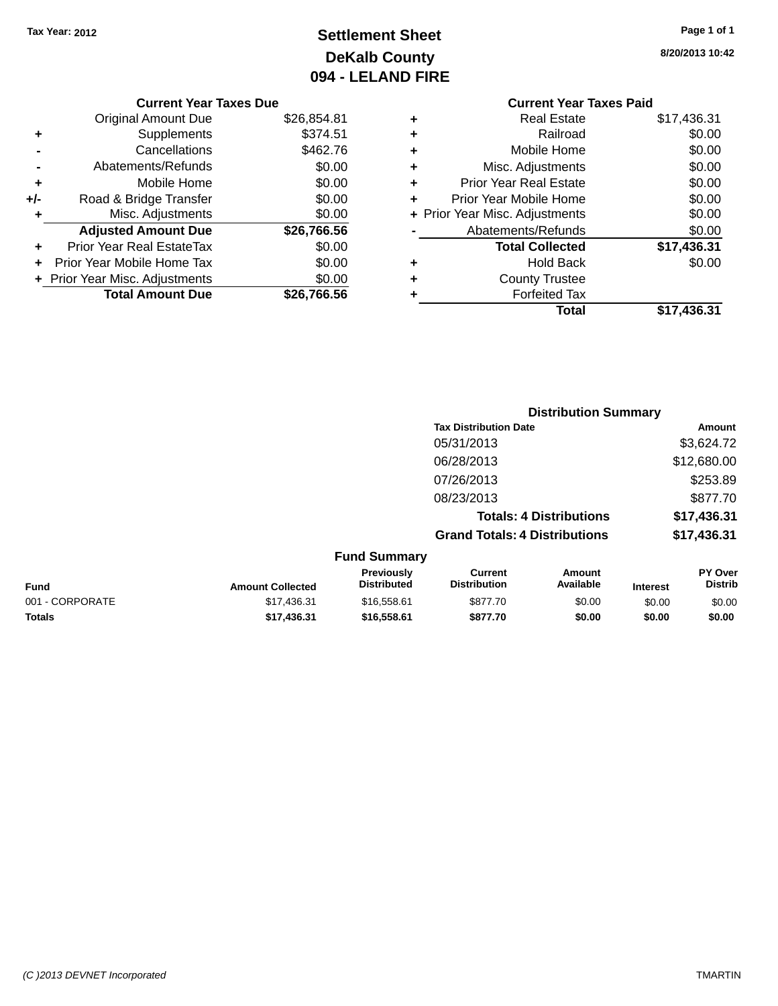## **Settlement Sheet Tax Year: 2012 Page 1 of 1 DeKalb County 094 - LELAND FIRE**

**8/20/2013 10:42**

### **Current Year Taxes Due**

|     | <b>Original Amount Due</b>     | \$26,854.81 |
|-----|--------------------------------|-------------|
|     | Supplements                    | \$374.51    |
|     | Cancellations                  | \$462.76    |
|     | Abatements/Refunds             | \$0.00      |
| ٠   | Mobile Home                    | \$0.00      |
| +/- | Road & Bridge Transfer         | \$0.00      |
| ٠   | Misc. Adjustments              | \$0.00      |
|     | <b>Adjusted Amount Due</b>     | \$26,766.56 |
| ٠   | Prior Year Real EstateTax      | \$0.00      |
|     | Prior Year Mobile Home Tax     | \$0.00      |
|     | + Prior Year Misc. Adjustments | \$0.00      |
|     | <b>Total Amount Due</b>        | \$26.766.56 |

### **Current Year Taxes Paid +** Real Estate \$17,436.31 **+** Railroad \$0.00 **+** Mobile Home \$0.00 **+** Misc. Adjustments \$0.00 **+** Prior Year Real Estate \$0.00 **+** Prior Year Mobile Home \$0.00 **+ Prior Year Misc. Adjustments**  $$0.00$ **-** Abatements/Refunds \$0.00 **Total Collected \$17,436.31 +** Hold Back \$0.00 **+** County Trustee **+** Forfeited Tax **Total \$17,436.31**

|                 |                         |                                  |                                       | <b>Distribution Summary</b>    |                 |                           |
|-----------------|-------------------------|----------------------------------|---------------------------------------|--------------------------------|-----------------|---------------------------|
|                 |                         |                                  | <b>Tax Distribution Date</b>          |                                |                 | Amount                    |
|                 |                         |                                  | 05/31/2013                            |                                |                 | \$3,624.72                |
|                 |                         |                                  | 06/28/2013                            |                                |                 | \$12,680.00               |
|                 |                         |                                  | 07/26/2013                            |                                |                 | \$253.89                  |
|                 |                         |                                  | 08/23/2013                            |                                |                 | \$877.70                  |
|                 |                         |                                  |                                       | <b>Totals: 4 Distributions</b> |                 | \$17,436.31               |
|                 |                         |                                  | <b>Grand Totals: 4 Distributions</b>  |                                |                 | \$17,436.31               |
|                 |                         | <b>Fund Summary</b>              |                                       |                                |                 |                           |
| <b>Fund</b>     | <b>Amount Collected</b> | Previously<br><b>Distributed</b> | <b>Current</b><br><b>Distribution</b> | Amount<br>Available            | <b>Interest</b> | PY Over<br><b>Distrib</b> |
| 001 - CORPORATE | \$17,436.31             | \$16,558.61                      | \$877.70                              | \$0.00                         | \$0.00          | \$0.00                    |
| <b>Totals</b>   | \$17,436.31             | \$16,558.61                      | \$877.70                              | \$0.00                         | \$0.00          | \$0.00                    |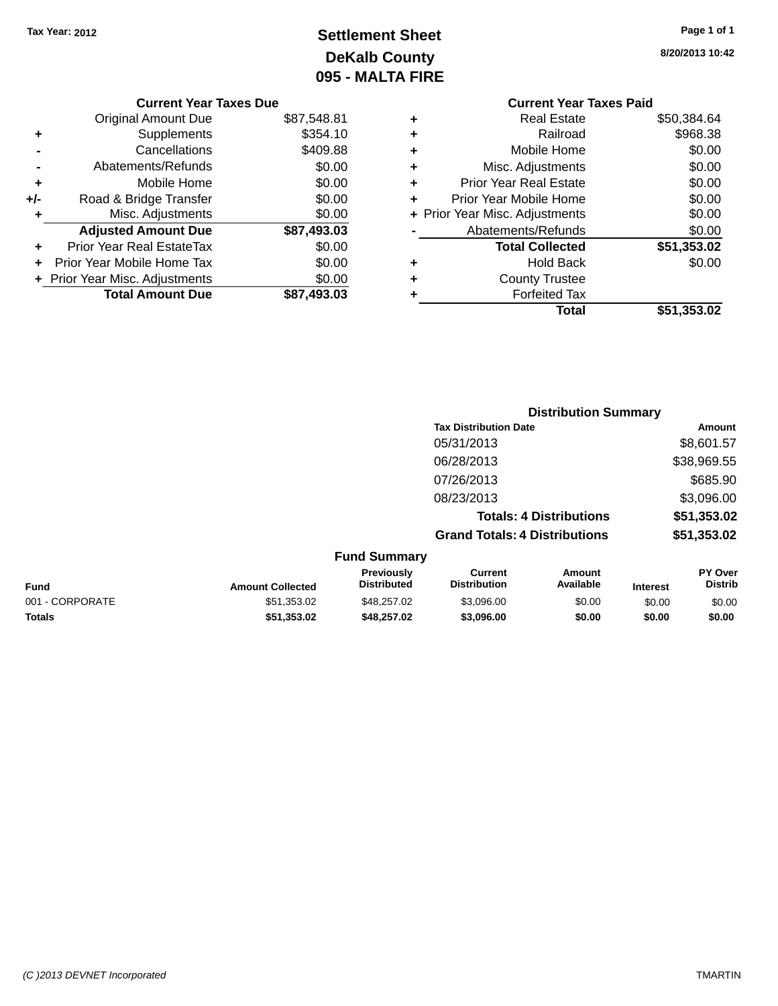## **Settlement Sheet Tax Year: 2012 Page 1 of 1 DeKalb County 095 - MALTA FIRE**

**8/20/2013 10:42**

|   | <b>Current Year Taxes Paid</b> |             |
|---|--------------------------------|-------------|
| ٠ | Real Estate                    | \$50,384.64 |
| ٠ | Railroad                       | \$968.38    |
| ٠ | Mobile Home                    | \$0.00      |
| ٠ | Misc. Adjustments              | \$0.00      |
| ٠ | <b>Prior Year Real Estate</b>  | \$0.00      |
| ٠ | Prior Year Mobile Home         | \$0.00      |
|   | + Prior Year Misc. Adjustments | \$0.00      |
|   | Abatements/Refunds             | \$0.00      |
|   | <b>Total Collected</b>         | \$51,353.02 |
| ٠ | <b>Hold Back</b>               | \$0.00      |
| ٠ | <b>County Trustee</b>          |             |
|   | <b>Forfeited Tax</b>           |             |
|   | Total                          | \$51,353.02 |
|   |                                |             |

|     | <b>Current Year Taxes Due</b>  |             |
|-----|--------------------------------|-------------|
|     | Original Amount Due            | \$87,548.81 |
| ٠   | Supplements                    | \$354.10    |
|     | Cancellations                  | \$409.88    |
|     | Abatements/Refunds             | \$0.00      |
| ٠   | Mobile Home                    | \$0.00      |
| +/- | Road & Bridge Transfer         | \$0.00      |
| ٠   | Misc. Adjustments              | \$0.00      |
|     | <b>Adjusted Amount Due</b>     | \$87,493.03 |
| ÷   | Prior Year Real EstateTax      | \$0.00      |
|     | Prior Year Mobile Home Tax     | \$0.00      |
|     | + Prior Year Misc. Adjustments | \$0.00      |
|     | <b>Total Amount Due</b>        | \$87.493.03 |
|     |                                |             |

|                     | <b>Distribution Summary</b>          |               |
|---------------------|--------------------------------------|---------------|
|                     | <b>Tax Distribution Date</b>         | <b>Amount</b> |
|                     | 05/31/2013                           | \$8,601.57    |
|                     | 06/28/2013                           | \$38,969.55   |
|                     | 07/26/2013                           | \$685.90      |
|                     | 08/23/2013                           | \$3,096.00    |
|                     | <b>Totals: 4 Distributions</b>       | \$51,353.02   |
|                     | <b>Grand Totals: 4 Distributions</b> | \$51,353.02   |
| <b>Fund Summary</b> |                                      |               |
|                     |                                      |               |

| <b>Fund</b>     | <b>Amount Collected</b> | <b>Previously</b><br><b>Distributed</b> | Current<br><b>Distribution</b> | Amount<br>Available | <b>Interest</b> | <b>PY Over</b><br>Distrib |
|-----------------|-------------------------|-----------------------------------------|--------------------------------|---------------------|-----------------|---------------------------|
| 001 - CORPORATE | \$51,353.02             | \$48.257.02                             | \$3.096.00                     | \$0.00              | \$0.00          | \$0.00                    |
| <b>Totals</b>   | \$51.353.02             | \$48.257.02                             | \$3.096.00                     | \$0.00              | \$0.00          | \$0.00                    |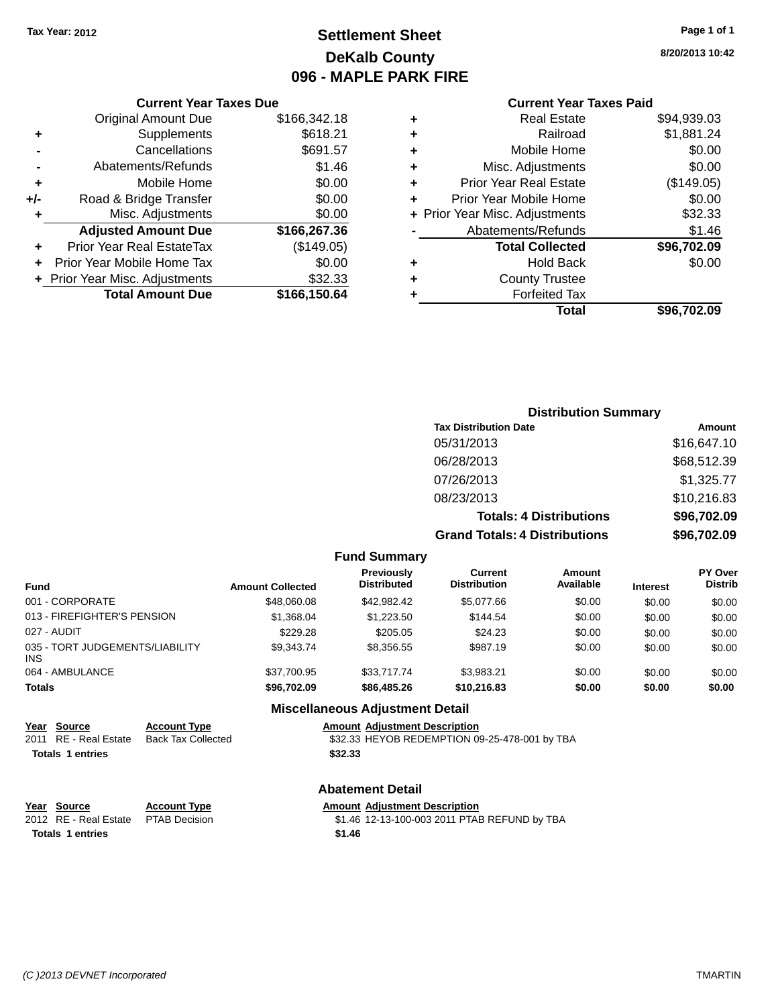### **Settlement Sheet Tax Year: 2012 Page 1 of 1 DeKalb County 096 - MAPLE PARK FIRE**

**8/20/2013 10:42**

#### **Current Year Taxes Paid**

|     | <b>Current Year Taxes Due</b>  |              |
|-----|--------------------------------|--------------|
|     | <b>Original Amount Due</b>     | \$166,342.18 |
| ٠   | Supplements                    | \$618.21     |
|     | Cancellations                  | \$691.57     |
|     | Abatements/Refunds             | \$1.46       |
| ÷   | Mobile Home                    | \$0.00       |
| +/- | Road & Bridge Transfer         | \$0.00       |
| ۰   | Misc. Adjustments              | \$0.00       |
|     | <b>Adjusted Amount Due</b>     | \$166,267.36 |
|     | Prior Year Real EstateTax      | (\$149.05)   |
|     | Prior Year Mobile Home Tax     | \$0.00       |
|     | + Prior Year Misc. Adjustments | \$32.33      |
|     | <b>Total Amount Due</b>        | \$166,150.64 |
|     |                                |              |

| ٠ | <b>Real Estate</b>             | \$94,939.03 |
|---|--------------------------------|-------------|
| ٠ | Railroad                       | \$1,881.24  |
| ٠ | Mobile Home                    | \$0.00      |
| ٠ | Misc. Adjustments              | \$0.00      |
| ٠ | Prior Year Real Estate         | (\$149.05)  |
| ٠ | Prior Year Mobile Home         | \$0.00      |
|   | + Prior Year Misc. Adjustments | \$32.33     |
|   | Abatements/Refunds             | \$1.46      |
|   | <b>Total Collected</b>         | \$96,702.09 |
| ٠ | <b>Hold Back</b>               | \$0.00      |
| ٠ | <b>County Trustee</b>          |             |
| ٠ | <b>Forfeited Tax</b>           |             |
|   | Total                          | \$96,702.09 |
|   |                                |             |

### **Distribution Summary Tax Distribution Date Amount** 05/31/2013 \$16,647.10 06/28/2013 \$68,512.39 07/26/2013 \$1,325.77 08/23/2013 \$10,216.83 **Totals: 4 Distributions \$96,702.09 Grand Totals: 4 Distributions \$96,702.09**

#### **Fund Summary**

| <b>Fund</b>                                   | <b>Amount Collected</b> | Previously<br><b>Distributed</b> | Current<br><b>Distribution</b> | Amount<br>Available | <b>Interest</b> | <b>PY Over</b><br><b>Distrib</b> |
|-----------------------------------------------|-------------------------|----------------------------------|--------------------------------|---------------------|-----------------|----------------------------------|
| 001 - CORPORATE                               | \$48,060,08             | \$42,982.42                      | \$5,077.66                     | \$0.00              | \$0.00          | \$0.00                           |
| 013 - FIREFIGHTER'S PENSION                   | \$1,368,04              | \$1,223.50                       | \$144.54                       | \$0.00              | \$0.00          | \$0.00                           |
| 027 - AUDIT                                   | \$229.28                | \$205.05                         | \$24.23                        | \$0.00              | \$0.00          | \$0.00                           |
| 035 - TORT JUDGEMENTS/LIABILITY<br><b>INS</b> | \$9,343.74              | \$8,356.55                       | \$987.19                       | \$0.00              | \$0.00          | \$0.00                           |
| 064 - AMBULANCE                               | \$37.700.95             | \$33,717,74                      | \$3.983.21                     | \$0.00              | \$0.00          | \$0.00                           |
| <b>Totals</b>                                 | \$96,702.09             | \$86,485.26                      | \$10,216.83                    | \$0.00              | \$0.00          | \$0.00                           |

#### **Miscellaneous Adjustment Detail**

**<u>Year Source</u> <b>Account Type Amount Adjustment Description**<br>2011 RE - Real Estate Back Tax Collected \$32.33 HEYOB REDEMPTION 0 \$32.33 HEYOB REDEMPTION 09-25-478-001 by TBA **Totals 1 entries \$32.33**

#### **Abatement Detail**

| Year Source           | <b>Account Type</b> |        | <b>Amount Adjustment Description</b>         |
|-----------------------|---------------------|--------|----------------------------------------------|
| 2012 RE - Real Estate | PTAB Decision       |        | \$1.46 12-13-100-003 2011 PTAB REFUND by TBA |
| Totals 1 entries      |                     | \$1.46 |                                              |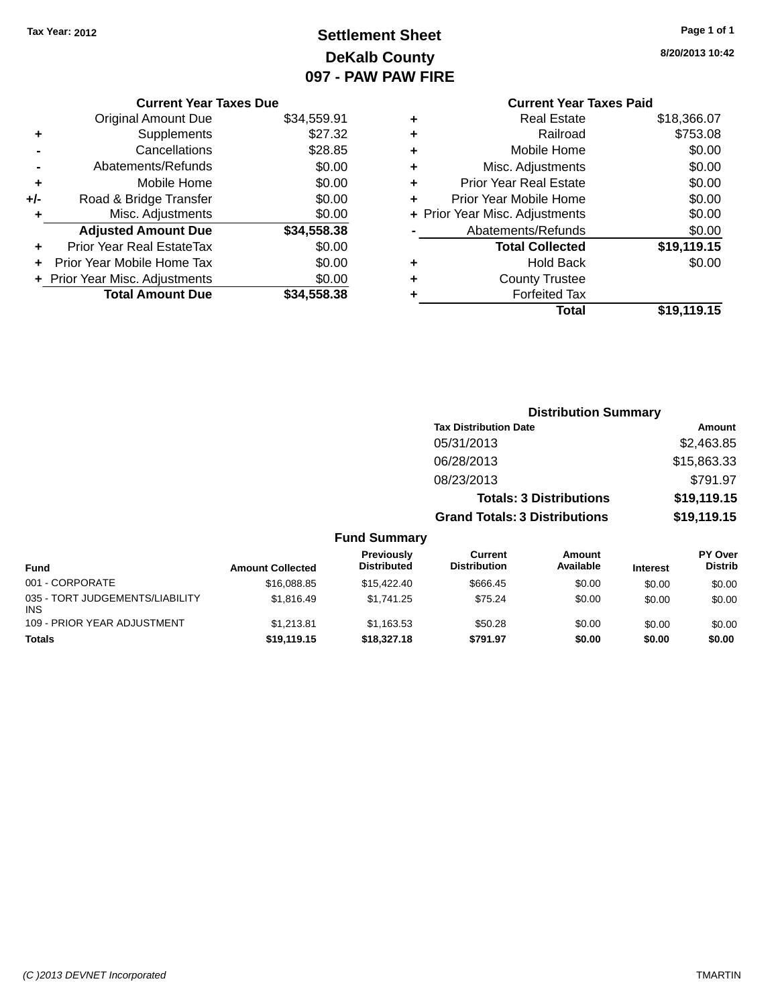### **Settlement Sheet Tax Year: 2012 Page 1 of 1 DeKalb County 097 - PAW PAW FIRE**

**8/20/2013 10:42**

|     | <b>Current Year Taxes Due</b>  |             |
|-----|--------------------------------|-------------|
|     | <b>Original Amount Due</b>     | \$34,559.91 |
| ٠   | Supplements                    | \$27.32     |
|     | Cancellations                  | \$28.85     |
|     | Abatements/Refunds             | \$0.00      |
| ٠   | Mobile Home                    | \$0.00      |
| +/- | Road & Bridge Transfer         | \$0.00      |
|     | Misc. Adjustments              | \$0.00      |
|     | <b>Adjusted Amount Due</b>     | \$34,558.38 |
| ٠   | Prior Year Real EstateTax      | \$0.00      |
| ÷   | Prior Year Mobile Home Tax     | \$0.00      |
|     | + Prior Year Misc. Adjustments | \$0.00      |
|     | <b>Total Amount Due</b>        | \$34,558.38 |
|     |                                |             |

|   | <b>Current Year Taxes Paid</b> |             |
|---|--------------------------------|-------------|
| ٠ | Real Estate                    | \$18,366.07 |
| ٠ | Railroad                       | \$753.08    |
| ٠ | Mobile Home                    | \$0.00      |
| ٠ | Misc. Adjustments              | \$0.00      |
| ٠ | <b>Prior Year Real Estate</b>  | \$0.00      |
| ٠ | Prior Year Mobile Home         | \$0.00      |
|   | + Prior Year Misc. Adjustments | \$0.00      |
|   | Abatements/Refunds             | \$0.00      |
|   | <b>Total Collected</b>         | \$19,119.15 |
| ٠ | <b>Hold Back</b>               | \$0.00      |
|   | <b>County Trustee</b>          |             |
|   | <b>Forfeited Tax</b>           |             |
|   | Total                          | \$19,119.15 |

|                                         |                         |                                  | <b>Distribution Summary</b>           |                                |                 |                           |
|-----------------------------------------|-------------------------|----------------------------------|---------------------------------------|--------------------------------|-----------------|---------------------------|
|                                         |                         |                                  | <b>Tax Distribution Date</b>          |                                |                 | <b>Amount</b>             |
|                                         |                         |                                  | 05/31/2013                            |                                |                 | \$2,463.85                |
|                                         |                         |                                  | 06/28/2013                            |                                |                 | \$15,863.33               |
|                                         |                         |                                  | 08/23/2013                            |                                |                 | \$791.97                  |
|                                         |                         |                                  |                                       | <b>Totals: 3 Distributions</b> |                 | \$19,119.15               |
|                                         |                         |                                  | <b>Grand Totals: 3 Distributions</b>  |                                |                 | \$19,119.15               |
|                                         |                         | <b>Fund Summary</b>              |                                       |                                |                 |                           |
| <b>Fund</b>                             | <b>Amount Collected</b> | Previously<br><b>Distributed</b> | <b>Current</b><br><b>Distribution</b> | <b>Amount</b><br>Available     | <b>Interest</b> | PY Over<br><b>Distrib</b> |
| 001 - CORPORATE                         | \$16,088.85             | \$15,422.40                      | \$666.45                              | \$0.00                         | \$0.00          | \$0.00                    |
| 035 - TORT JUDGEMENTS/LIABILITY<br>INS. | \$1,816.49              | \$1,741.25                       | \$75.24                               | \$0.00                         | \$0.00          | \$0.00                    |
| 109 - PRIOR YEAR ADJUSTMENT             | \$1,213.81              | \$1,163.53                       | \$50.28                               | \$0.00                         | \$0.00          | \$0.00                    |
| Totals                                  | \$19,119.15             | \$18,327.18                      | \$791.97                              | \$0.00                         | \$0.00          | \$0.00                    |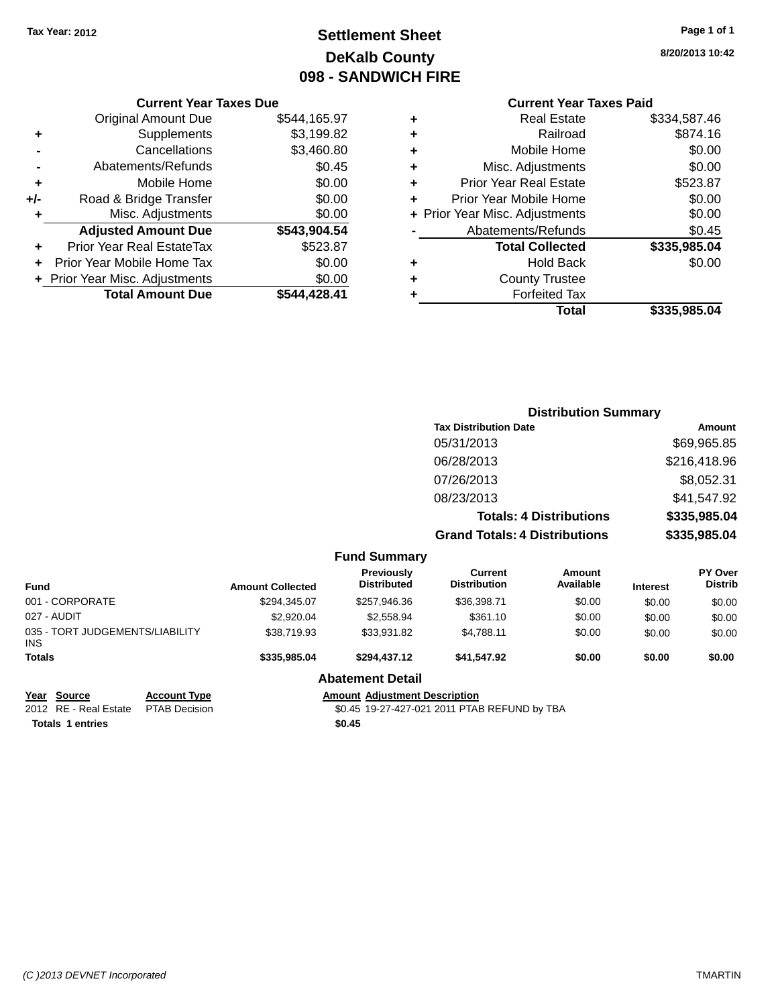### **Settlement Sheet Tax Year: 2012 Page 1 of 1 DeKalb County 098 - SANDWICH FIRE**

**8/20/2013 10:42**

### **Current Year Taxes Paid**

|     | <b>Current Year Taxes Due</b>    |              |  |
|-----|----------------------------------|--------------|--|
|     | <b>Original Amount Due</b>       | \$544,165.97 |  |
| ٠   | Supplements                      | \$3,199.82   |  |
|     | Cancellations                    | \$3,460.80   |  |
|     | Abatements/Refunds               | \$0.45       |  |
| ٠   | Mobile Home                      | \$0.00       |  |
| +/- | Road & Bridge Transfer           | \$0.00       |  |
| ٠   | Misc. Adjustments                | \$0.00       |  |
|     | <b>Adjusted Amount Due</b>       | \$543,904.54 |  |
| ٠   | <b>Prior Year Real EstateTax</b> | \$523.87     |  |
|     | Prior Year Mobile Home Tax       | \$0.00       |  |
|     | + Prior Year Misc. Adjustments   | \$0.00       |  |
|     | <b>Total Amount Due</b>          | \$544.428.41 |  |
|     |                                  |              |  |

|   | <b>Real Estate</b>             | \$334,587.46 |
|---|--------------------------------|--------------|
| ٠ | Railroad                       | \$874.16     |
| ٠ | Mobile Home                    | \$0.00       |
| ٠ | Misc. Adjustments              | \$0.00       |
| ٠ | <b>Prior Year Real Estate</b>  | \$523.87     |
| ٠ | Prior Year Mobile Home         | \$0.00       |
|   | + Prior Year Misc. Adjustments | \$0.00       |
|   | Abatements/Refunds             | \$0.45       |
|   | <b>Total Collected</b>         | \$335,985.04 |
| ٠ | Hold Back                      | \$0.00       |
| ٠ | <b>County Trustee</b>          |              |
| ٠ | <b>Forfeited Tax</b>           |              |
|   | Total                          | \$335,985.04 |
|   |                                |              |

|                                    |                                         | <b>Distribution Summary</b>          |                                |          |                                  |  |
|------------------------------------|-----------------------------------------|--------------------------------------|--------------------------------|----------|----------------------------------|--|
|                                    |                                         | <b>Tax Distribution Date</b>         |                                |          | Amount                           |  |
|                                    |                                         | 05/31/2013                           |                                |          | \$69,965.85                      |  |
|                                    |                                         | 06/28/2013                           |                                |          | \$216,418.96                     |  |
|                                    |                                         | 07/26/2013                           |                                |          | \$8,052.31                       |  |
|                                    |                                         | 08/23/2013                           |                                |          | \$41,547.92                      |  |
|                                    |                                         |                                      | <b>Totals: 4 Distributions</b> |          | \$335,985.04                     |  |
|                                    |                                         | <b>Grand Totals: 4 Distributions</b> |                                |          | \$335,985.04                     |  |
|                                    | <b>Fund Summary</b>                     |                                      |                                |          |                                  |  |
| $\sim$ $\sim$ $\sim$ $\sim$ $\sim$ | <b>Previously</b><br><b>Dietributed</b> | Current<br>Dietribution              | Amount<br>Availabla            | $\cdots$ | <b>PY Over</b><br><b>Dietrih</b> |  |

| Fund                                          | <b>Amount Collected</b> | Previously<br><b>Distributed</b> | Current<br><b>Distribution</b> | Amount<br>Available | <b>Interest</b> | <b>PY Over</b><br><b>Distrib</b> |
|-----------------------------------------------|-------------------------|----------------------------------|--------------------------------|---------------------|-----------------|----------------------------------|
| 001 - CORPORATE                               | \$294,345.07            | \$257,946.36                     | \$36,398.71                    | \$0.00              | \$0.00          | \$0.00                           |
| 027 - AUDIT                                   | \$2,920.04              | \$2,558.94                       | \$361.10                       | \$0.00              | \$0.00          | \$0.00                           |
| 035 - TORT JUDGEMENTS/LIABILITY<br><b>INS</b> | \$38,719.93             | \$33.931.82                      | \$4.788.11                     | \$0.00              | \$0.00          | \$0.00                           |
| <b>Totals</b>                                 | \$335,985,04            | \$294.437.12                     | \$41.547.92                    | \$0.00              | \$0.00          | \$0.00                           |
|                                               |                         | <b>Abatement Detail</b>          |                                |                     |                 |                                  |

**Totals 1 entries \$0.45**

**Year Source Account Type Anneunt Adjustment Description**<br>2012 RE - Real Estate PTAB Decision **Amount Adjustment Description** \$0.45 19-27-427-021 2011 PTAB REFUND by TBA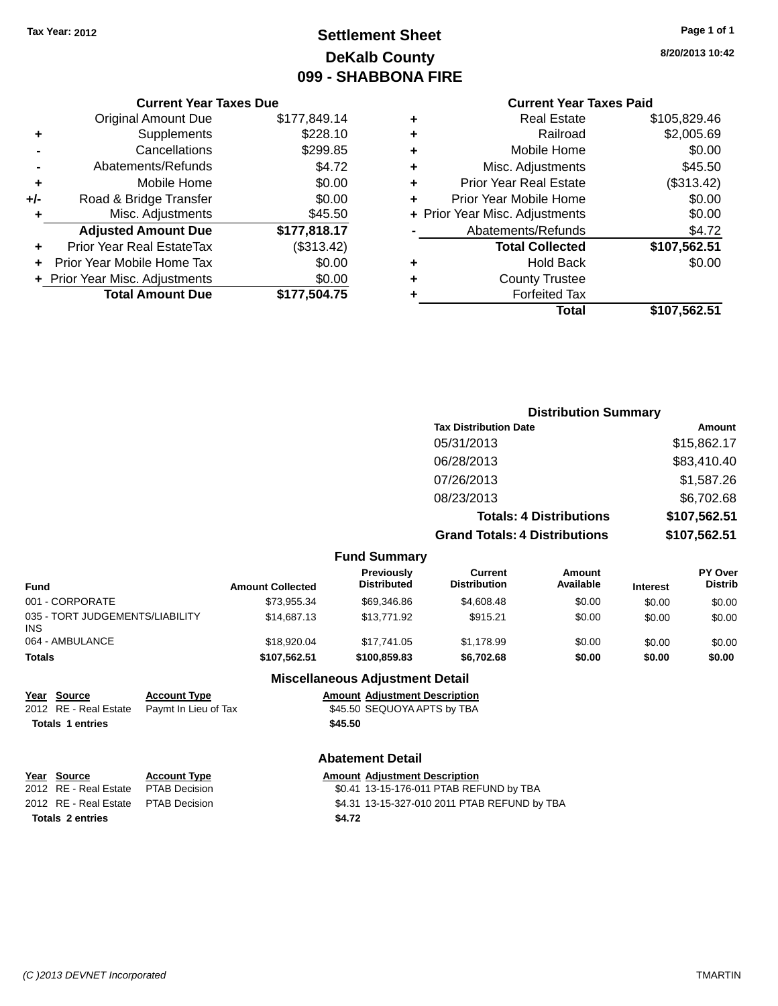### **Settlement Sheet Tax Year: 2012 Page 1 of 1 DeKalb County 099 - SHABBONA FIRE**

**8/20/2013 10:42**

#### **Current Year Taxes Paid**

|     | <b>Current Year Taxes Due</b>  |              |
|-----|--------------------------------|--------------|
|     | <b>Original Amount Due</b>     | \$177,849.14 |
| ٠   | Supplements                    | \$228.10     |
|     | Cancellations                  | \$299.85     |
|     | Abatements/Refunds             | \$4.72       |
| ٠   | Mobile Home                    | \$0.00       |
| +/- | Road & Bridge Transfer         | \$0.00       |
|     | Misc. Adjustments              | \$45.50      |
|     | <b>Adjusted Amount Due</b>     | \$177,818.17 |
| ٠   | Prior Year Real EstateTax      | (\$313.42)   |
|     | Prior Year Mobile Home Tax     | \$0.00       |
|     | + Prior Year Misc. Adjustments | \$0.00       |
|     | <b>Total Amount Due</b>        | \$177,504.75 |
|     |                                |              |

| ٠ | <b>Real Estate</b>             | \$105,829.46 |
|---|--------------------------------|--------------|
| ٠ | Railroad                       | \$2,005.69   |
| ٠ | Mobile Home                    | \$0.00       |
| ٠ | Misc. Adjustments              | \$45.50      |
| ٠ | <b>Prior Year Real Estate</b>  | (\$313.42)   |
| ٠ | Prior Year Mobile Home         | \$0.00       |
|   | + Prior Year Misc. Adjustments | \$0.00       |
|   | Abatements/Refunds             | \$4.72       |
|   | <b>Total Collected</b>         | \$107,562.51 |
| ٠ | Hold Back                      | \$0.00       |
| ٠ | <b>County Trustee</b>          |              |
| ٠ | <b>Forfeited Tax</b>           |              |
|   | Total                          | \$107,562.51 |
|   |                                |              |

| <b>Distribution Summary</b>          |              |
|--------------------------------------|--------------|
| <b>Tax Distribution Date</b>         | Amount       |
| 05/31/2013                           | \$15,862.17  |
| 06/28/2013                           | \$83,410.40  |
| 07/26/2013                           | \$1,587.26   |
| 08/23/2013                           | \$6,702.68   |
| <b>Totals: 4 Distributions</b>       | \$107,562.51 |
| <b>Grand Totals: 4 Distributions</b> | \$107,562.51 |

| <b>Fund Summary</b> |  |
|---------------------|--|
|---------------------|--|

| <b>Fund</b>                            | <b>Amount Collected</b> | <b>Previously</b><br><b>Distributed</b> | Current<br><b>Distribution</b> | Amount<br>Available | <b>Interest</b> | <b>PY Over</b><br><b>Distrib</b> |
|----------------------------------------|-------------------------|-----------------------------------------|--------------------------------|---------------------|-----------------|----------------------------------|
| 001 - CORPORATE                        | \$73,955.34             | \$69,346.86                             | \$4,608.48                     | \$0.00              | \$0.00          | \$0.00                           |
| 035 - TORT JUDGEMENTS/LIABILITY<br>INS | \$14,687.13             | \$13,771.92                             | \$915.21                       | \$0.00              | \$0.00          | \$0.00                           |
| 064 - AMBULANCE                        | \$18,920.04             | \$17.741.05                             | \$1.178.99                     | \$0.00              | \$0.00          | \$0.00                           |
| Totals                                 | \$107.562.51            | \$100,859.83                            | \$6,702.68                     | \$0.00              | \$0.00          | \$0.00                           |

### **Miscellaneous Adjustment Detail**

| Year Source             | <b>Account Type</b>  | <b>Amount Adjustment Description</b> |
|-------------------------|----------------------|--------------------------------------|
| 2012 RE - Real Estate   | Pavmt In Lieu of Tax | \$45.50 SEQUOYA APTS by TBA          |
| <b>Totals 1 entries</b> |                      | \$45.50                              |

#### **Abatement Detail**

| Year Source                          | <b>Account Type</b> |        | <b>Amount Adjustment Description</b>         |
|--------------------------------------|---------------------|--------|----------------------------------------------|
| 2012 RE - Real Estate PTAB Decision  |                     |        | \$0.41 13-15-176-011 PTAB REFUND by TBA      |
| 2012 RE - Real Estate  PTAB Decision |                     |        | \$4.31 13-15-327-010 2011 PTAB REFUND by TBA |
| <b>Totals 2 entries</b>              |                     | \$4.72 |                                              |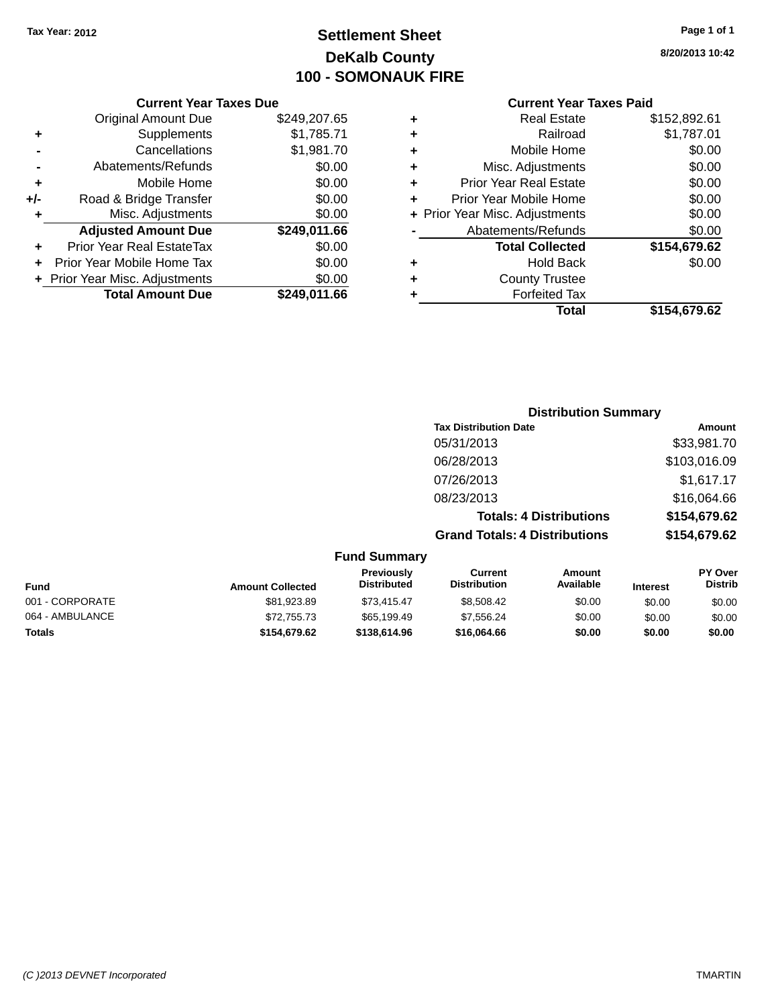### **Settlement Sheet Tax Year: 2012 Page 1 of 1 DeKalb County 100 - SOMONAUK FIRE**

**8/20/2013 10:42**

### **Current Year Taxes Paid +** Real Estate \$152,892.61

|              |   | Total                          | \$154,679.62 |
|--------------|---|--------------------------------|--------------|
| \$249,011.66 |   | <b>Forfeited Tax</b>           |              |
| \$0.00       | ٠ | <b>County Trustee</b>          |              |
| \$0.00       | ٠ | <b>Hold Back</b>               | \$0.00       |
| \$0.00       |   | <b>Total Collected</b>         | \$154,679.62 |
| \$249,011.66 |   | Abatements/Refunds             | \$0.00       |
| \$0.00       |   | + Prior Year Misc. Adjustments | \$0.00       |
| \$0.00       | ٠ | Prior Year Mobile Home         | \$0.00       |
| \$0.00       | ٠ | <b>Prior Year Real Estate</b>  | \$0.00       |
| \$0.00       | ٠ | Misc. Adjustments              | \$0.00       |
| \$1,981.70   | ٠ | Mobile Home                    | \$0.00       |
| \$1,785.71   | ٠ | Railroad                       | \$1,787.01   |
| \$249,207.65 | ٠ | <b>Real Estate</b>             | \$152,892.61 |
| IUAVU PUV    |   | OUITOIR TOUT TUACO FUIU        |              |

| <b>Distribution Summary</b>  |              |
|------------------------------|--------------|
| <b>Tax Distribution Date</b> | Amount       |
| 05/31/2013                   | \$33,981.70  |
| 06/28/2013                   | \$103,016.09 |
| 07/26/2013                   | \$1,617.17   |

08/23/2013 \$16,064.66

**Totals: 4 Distributions \$154,679.62**

**Grand Totals: 4 Distributions \$154,679.62 Fund Summary Fund Interest Amount Collected Distributed PY Over Distrib Amount Available Current Distribution Previously** 001 - CORPORATE \$81,923.89 \$73,415.47 \$8,508.42 \$0.00 \$0.00 \$0.00 064 - AMBULANCE 6 \$72,755.73 \$65,199.49 \$7,556.24 \$0.00 \$0.00 \$0.00 \$0.00 **Totals \$154,679.62 \$138,614.96 \$16,064.66 \$0.00 \$0.00 \$0.00**

|     | <b>Original Amount Due</b>     | \$249,207.65 |
|-----|--------------------------------|--------------|
| ٠   | Supplements                    | \$1,785.71   |
|     | Cancellations                  | \$1,981.70   |
|     | Abatements/Refunds             | \$0.00       |
| ÷   | Mobile Home                    | \$0.00       |
| +/- | Road & Bridge Transfer         | \$0.00       |
| ٠   | Misc. Adjustments              | \$0.00       |
|     | <b>Adjusted Amount Due</b>     | \$249,011.66 |
|     | Prior Year Real EstateTax      | \$0.00       |
|     |                                |              |
|     | Prior Year Mobile Home Tax     | \$0.00       |
|     | + Prior Year Misc. Adjustments | \$0.00       |
|     | <b>Total Amount Due</b>        | \$249,011.66 |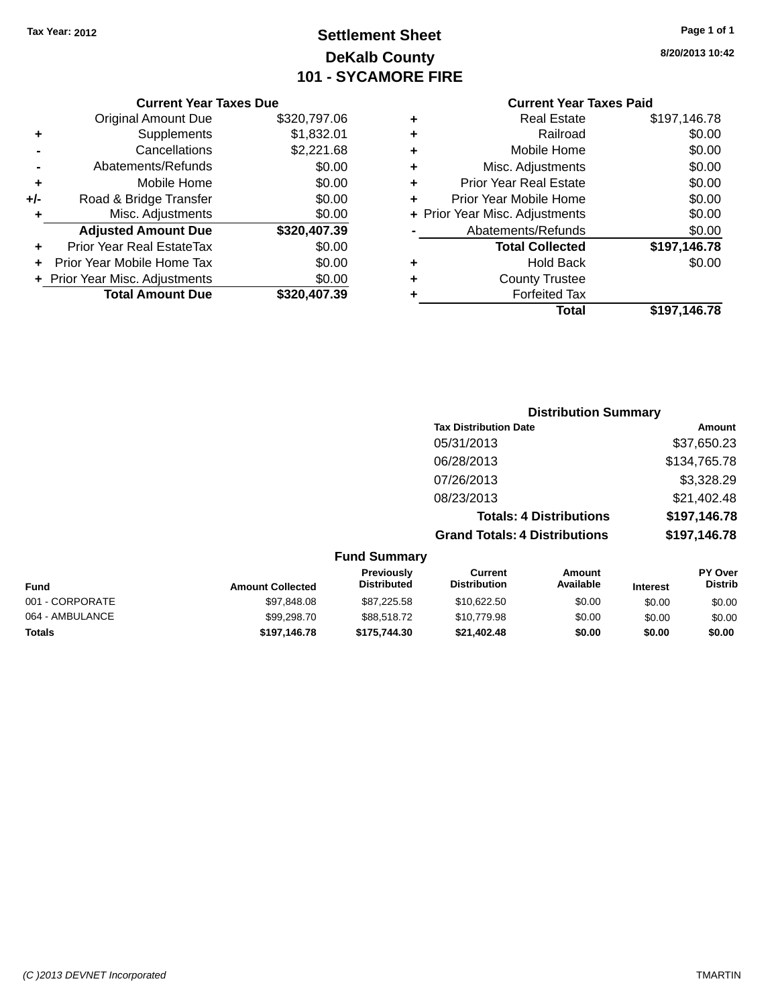### **Settlement Sheet Tax Year: 2012 Page 1 of 1 DeKalb County 101 - SYCAMORE FIRE**

**8/20/2013 10:42**

### **Current Year Taxes Paid**

|     | <b>Current Year Taxes Due</b>  |              |
|-----|--------------------------------|--------------|
|     | <b>Original Amount Due</b>     | \$320,797.06 |
| ÷   | Supplements                    | \$1,832.01   |
|     | Cancellations                  | \$2,221.68   |
|     | Abatements/Refunds             | \$0.00       |
| ٠   | Mobile Home                    | \$0.00       |
| +/- | Road & Bridge Transfer         | \$0.00       |
| ٠   | Misc. Adjustments              | \$0.00       |
|     | <b>Adjusted Amount Due</b>     | \$320,407.39 |
|     | Prior Year Real EstateTax      | \$0.00       |
|     | Prior Year Mobile Home Tax     | \$0.00       |
|     | + Prior Year Misc. Adjustments | \$0.00       |
|     | <b>Total Amount Due</b>        | \$320,407.39 |
|     |                                |              |

| ٠ | <b>Real Estate</b>             | \$197,146.78 |
|---|--------------------------------|--------------|
| ٠ | Railroad                       | \$0.00       |
| ٠ | Mobile Home                    | \$0.00       |
| ٠ | Misc. Adjustments              | \$0.00       |
| ٠ | Prior Year Real Estate         | \$0.00       |
| ٠ | Prior Year Mobile Home         | \$0.00       |
|   | + Prior Year Misc. Adjustments | \$0.00       |
|   | Abatements/Refunds             | \$0.00       |
|   | <b>Total Collected</b>         | \$197,146.78 |
| ٠ | Hold Back                      | \$0.00       |
| ٠ | <b>County Trustee</b>          |              |
| ٠ | <b>Forfeited Tax</b>           |              |
|   | Total                          | \$197,146.78 |
|   |                                |              |

|                     | <b>Distribution Summary</b>          |              |
|---------------------|--------------------------------------|--------------|
|                     | <b>Tax Distribution Date</b>         | Amount       |
|                     | 05/31/2013                           | \$37,650.23  |
|                     | 06/28/2013                           | \$134,765.78 |
|                     | 07/26/2013                           | \$3,328.29   |
|                     | 08/23/2013                           | \$21,402.48  |
|                     | <b>Totals: 4 Distributions</b>       | \$197,146.78 |
|                     | <b>Grand Totals: 4 Distributions</b> | \$197,146.78 |
| <b>Fund Summary</b> |                                      |              |

| <b>Fund</b>     | <b>Amount Collected</b> | <b>Previously</b><br><b>Distributed</b> | Current<br><b>Distribution</b> | Amount<br>Available | <b>Interest</b> | <b>PY Over</b><br><b>Distrib</b> |
|-----------------|-------------------------|-----------------------------------------|--------------------------------|---------------------|-----------------|----------------------------------|
| 001 - CORPORATE | \$97,848.08             | \$87,225.58                             | \$10,622.50                    | \$0.00              | \$0.00          | \$0.00                           |
| 064 - AMBULANCE | \$99,298.70             | \$88,518,72                             | \$10,779.98                    | \$0.00              | \$0.00          | \$0.00                           |
| <b>Totals</b>   | \$197.146.78            | \$175,744.30                            | \$21,402.48                    | \$0.00              | \$0.00          | \$0.00                           |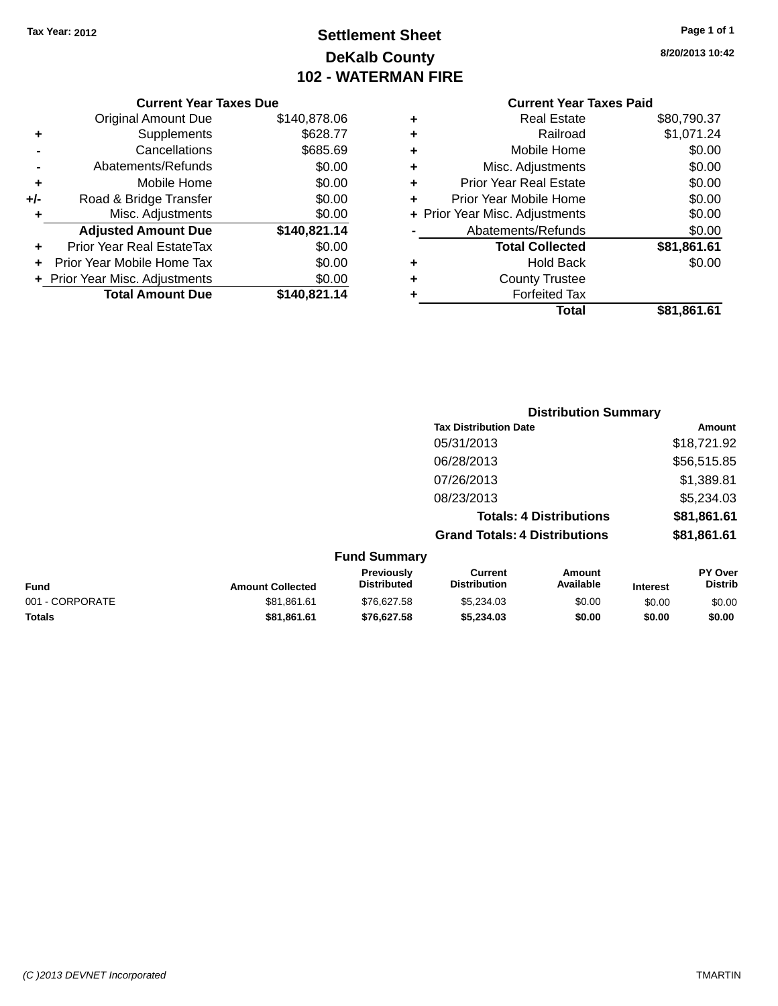### **Settlement Sheet Tax Year: 2012 Page 1 of 1 DeKalb County 102 - WATERMAN FIRE**

**8/20/2013 10:42**

### **Current Year Taxes Paid**

|     | <b>Current Year Taxes Due</b>  |              |
|-----|--------------------------------|--------------|
|     | <b>Original Amount Due</b>     | \$140,878.06 |
| ٠   | Supplements                    | \$628.77     |
|     | Cancellations                  | \$685.69     |
|     | Abatements/Refunds             | \$0.00       |
| ٠   | Mobile Home                    | \$0.00       |
| +/- | Road & Bridge Transfer         | \$0.00       |
| ٠   | Misc. Adjustments              | \$0.00       |
|     | <b>Adjusted Amount Due</b>     | \$140,821.14 |
| ٠   | Prior Year Real EstateTax      | \$0.00       |
|     | Prior Year Mobile Home Tax     | \$0.00       |
|     | + Prior Year Misc. Adjustments | \$0.00       |
|     | <b>Total Amount Due</b>        | \$140,821.14 |
|     |                                |              |

|   | <b>Real Estate</b>             | \$80,790.37 |
|---|--------------------------------|-------------|
| ٠ | Railroad                       | \$1,071.24  |
| ٠ | Mobile Home                    | \$0.00      |
| ٠ | Misc. Adjustments              | \$0.00      |
| ٠ | <b>Prior Year Real Estate</b>  | \$0.00      |
| ٠ | Prior Year Mobile Home         | \$0.00      |
|   | + Prior Year Misc. Adjustments | \$0.00      |
|   | Abatements/Refunds             | \$0.00      |
|   | <b>Total Collected</b>         | \$81,861.61 |
| ٠ | <b>Hold Back</b>               | \$0.00      |
| ٠ | <b>County Trustee</b>          |             |
| ٠ | <b>Forfeited Tax</b>           |             |
|   | Total                          | \$81,861.61 |
|   |                                |             |

|                     |                                      | <b>Distribution Summary</b>    |                |
|---------------------|--------------------------------------|--------------------------------|----------------|
|                     | <b>Tax Distribution Date</b>         |                                | Amount         |
|                     | 05/31/2013                           |                                | \$18,721.92    |
|                     | 06/28/2013                           |                                | \$56,515.85    |
|                     | 07/26/2013                           |                                | \$1,389.81     |
|                     | 08/23/2013                           |                                | \$5,234.03     |
|                     |                                      | <b>Totals: 4 Distributions</b> | \$81,861.61    |
|                     | <b>Grand Totals: 4 Distributions</b> |                                | \$81,861.61    |
| <b>Fund Summary</b> |                                      |                                |                |
| <b>Previously</b>   | Current                              | Amount                         | <b>PY Over</b> |

| <b>Fund</b>     | <b>Amount Collected</b> | <b>Previously</b><br><b>Distributed</b> | Current<br><b>Distribution</b> | Amount<br>Available | <b>Interest</b> | <b>PY Over</b><br><b>Distrib</b> |
|-----------------|-------------------------|-----------------------------------------|--------------------------------|---------------------|-----------------|----------------------------------|
| 001 - CORPORATE | \$81.861.61             | \$76,627.58                             | \$5.234.03                     | \$0.00              | \$0.00          | \$0.00                           |
| <b>Totals</b>   | \$81.861.61             | \$76,627.58                             | \$5.234.03                     | \$0.00              | \$0.00          | \$0.00                           |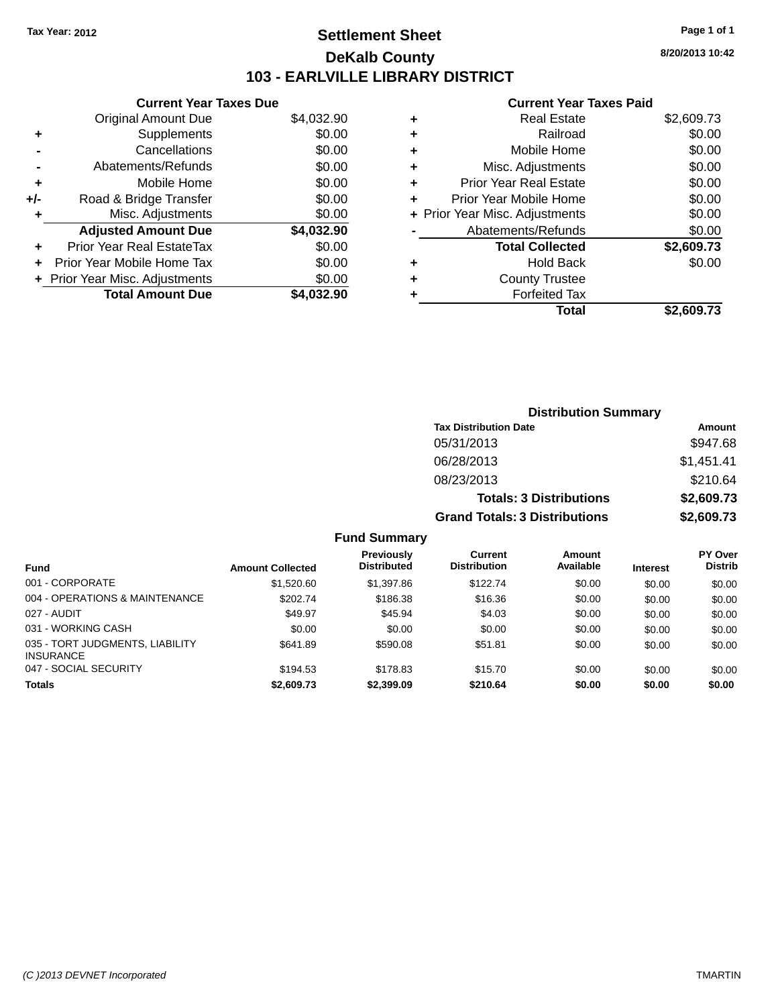### **Settlement Sheet Tax Year: 2012 Page 1 of 1 DeKalb County 103 - EARLVILLE LIBRARY DISTRICT**

**8/20/2013 10:42**

#### **Current Year Taxes Paid**

| <b>Current Year Taxes Due</b> |            |
|-------------------------------|------------|
| <b>Original Amount Due</b>    | \$4,032.90 |
| Supplements                   | \$0.00     |
| Cancellations                 | \$0.00     |
| Abatements/Refunds            | \$0.00     |
| Mobile Home                   | \$0.00     |
| Road & Bridge Transfer        | \$0.00     |
| Misc. Adjustments             | \$0.00     |
| <b>Adjusted Amount Due</b>    | \$4,032.90 |
| Prior Year Real EstateTax     | \$0.00     |
| Prior Year Mobile Home Tax    | \$0.00     |
| Prior Year Misc. Adjustments  | \$0.00     |
| <b>Total Amount Due</b>       | \$4.032.90 |
|                               |            |

| ٠ | <b>Real Estate</b>             | \$2,609.73 |
|---|--------------------------------|------------|
| ٠ | Railroad                       | \$0.00     |
| ٠ | Mobile Home                    | \$0.00     |
| ٠ | Misc. Adjustments              | \$0.00     |
| ٠ | <b>Prior Year Real Estate</b>  | \$0.00     |
| ٠ | Prior Year Mobile Home         | \$0.00     |
|   | + Prior Year Misc. Adjustments | \$0.00     |
|   | Abatements/Refunds             | \$0.00     |
|   | <b>Total Collected</b>         | \$2,609.73 |
| ٠ | Hold Back                      | \$0.00     |
| ٠ | <b>County Trustee</b>          |            |
| ٠ | <b>Forfeited Tax</b>           |            |
|   | Total                          | \$2.609.73 |
|   |                                |            |

| <b>Distribution Summary</b>          |            |  |  |  |
|--------------------------------------|------------|--|--|--|
| <b>Tax Distribution Date</b>         | Amount     |  |  |  |
| 05/31/2013                           | \$947.68   |  |  |  |
| 06/28/2013                           | \$1,451.41 |  |  |  |
| 08/23/2013                           | \$210.64   |  |  |  |
| <b>Totals: 3 Distributions</b>       | \$2,609.73 |  |  |  |
| <b>Grand Totals: 3 Distributions</b> | \$2,609.73 |  |  |  |

### **Fund Summary**

| <b>Fund</b>                                         | <b>Amount Collected</b> | <b>Previously</b><br><b>Distributed</b> | Current<br><b>Distribution</b> | <b>Amount</b><br>Available | <b>Interest</b> | <b>PY Over</b><br><b>Distrib</b> |
|-----------------------------------------------------|-------------------------|-----------------------------------------|--------------------------------|----------------------------|-----------------|----------------------------------|
| 001 - CORPORATE                                     | \$1,520.60              | \$1,397.86                              | \$122.74                       | \$0.00                     | \$0.00          | \$0.00                           |
| 004 - OPERATIONS & MAINTENANCE                      | \$202.74                | \$186.38                                | \$16.36                        | \$0.00                     | \$0.00          | \$0.00                           |
| 027 - AUDIT                                         | \$49.97                 | \$45.94                                 | \$4.03                         | \$0.00                     | \$0.00          | \$0.00                           |
| 031 - WORKING CASH                                  | \$0.00                  | \$0.00                                  | \$0.00                         | \$0.00                     | \$0.00          | \$0.00                           |
| 035 - TORT JUDGMENTS, LIABILITY<br><b>INSURANCE</b> | \$641.89                | \$590.08                                | \$51.81                        | \$0.00                     | \$0.00          | \$0.00                           |
| 047 - SOCIAL SECURITY                               | \$194.53                | \$178.83                                | \$15.70                        | \$0.00                     | \$0.00          | \$0.00                           |
| Totals                                              | \$2,609.73              | \$2,399.09                              | \$210.64                       | \$0.00                     | \$0.00          | \$0.00                           |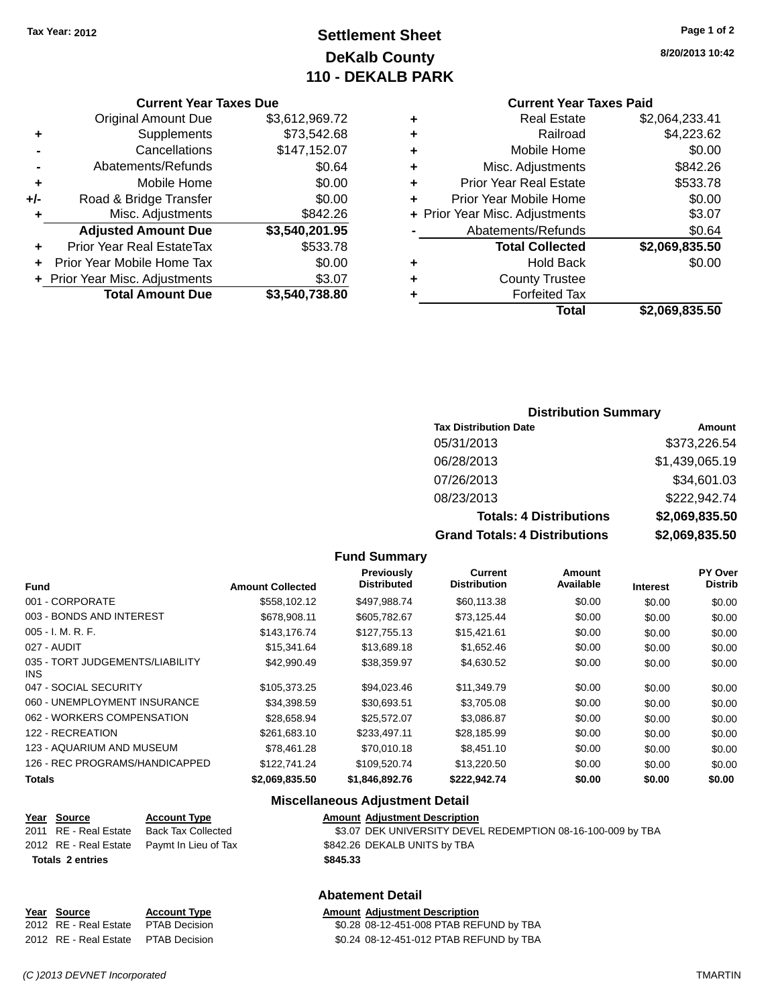### **Settlement Sheet Tax Year: 2012 Page 1 of 2 DeKalb County 110 - DEKALB PARK**

**8/20/2013 10:42**

#### **Current Year Taxes Paid**

|     | <b>Current Year Taxes Due</b>  |                |  |  |  |  |
|-----|--------------------------------|----------------|--|--|--|--|
|     | <b>Original Amount Due</b>     | \$3,612,969.72 |  |  |  |  |
| ٠   | Supplements                    | \$73,542.68    |  |  |  |  |
|     | Cancellations                  | \$147,152.07   |  |  |  |  |
|     | Abatements/Refunds             | \$0.64         |  |  |  |  |
| ٠   | Mobile Home                    | \$0.00         |  |  |  |  |
| +/- | Road & Bridge Transfer         | \$0.00         |  |  |  |  |
| ٠   | Misc. Adjustments              | \$842.26       |  |  |  |  |
|     | <b>Adjusted Amount Due</b>     | \$3,540,201.95 |  |  |  |  |
| ٠   | Prior Year Real EstateTax      | \$533.78       |  |  |  |  |
| ÷   | Prior Year Mobile Home Tax     | \$0.00         |  |  |  |  |
|     | + Prior Year Misc. Adjustments | \$3.07         |  |  |  |  |
|     | <b>Total Amount Due</b>        | \$3,540,738.80 |  |  |  |  |

| ٠ | <b>Real Estate</b>             | \$2,064,233.41 |
|---|--------------------------------|----------------|
| ٠ | Railroad                       | \$4,223.62     |
| ٠ | Mobile Home                    | \$0.00         |
| ٠ | Misc. Adjustments              | \$842.26       |
| ٠ | <b>Prior Year Real Estate</b>  | \$533.78       |
| ٠ | Prior Year Mobile Home         | \$0.00         |
|   | + Prior Year Misc. Adjustments | \$3.07         |
|   | Abatements/Refunds             | \$0.64         |
|   | <b>Total Collected</b>         | \$2,069,835.50 |
| ٠ | <b>Hold Back</b>               | \$0.00         |
| ٠ | <b>County Trustee</b>          |                |
| ٠ | <b>Forfeited Tax</b>           |                |
|   | Total                          | \$2,069,835.50 |
|   |                                |                |

### **Distribution Summary**

| <b>Tax Distribution Date</b>         | Amount         |
|--------------------------------------|----------------|
| 05/31/2013                           | \$373,226.54   |
| 06/28/2013                           | \$1,439,065.19 |
| 07/26/2013                           | \$34,601.03    |
| 08/23/2013                           | \$222,942.74   |
| <b>Totals: 4 Distributions</b>       | \$2,069,835.50 |
| <b>Grand Totals: 4 Distributions</b> | \$2,069,835.50 |

#### **Fund Summary**

| <b>Fund</b>                                   | <b>Amount Collected</b> | Previously<br><b>Distributed</b> | Current<br><b>Distribution</b> | Amount<br>Available | <b>Interest</b> | PY Over<br><b>Distrib</b> |
|-----------------------------------------------|-------------------------|----------------------------------|--------------------------------|---------------------|-----------------|---------------------------|
| 001 - CORPORATE                               | \$558.102.12            | \$497.988.74                     | \$60,113.38                    | \$0.00              | \$0.00          | \$0.00                    |
| 003 - BONDS AND INTEREST                      | \$678,908.11            | \$605.782.67                     | \$73,125.44                    | \$0.00              | \$0.00          | \$0.00                    |
| $005 - I. M. R. F.$                           | \$143,176.74            | \$127.755.13                     | \$15,421.61                    | \$0.00              | \$0.00          | \$0.00                    |
| 027 - AUDIT                                   | \$15,341.64             | \$13,689.18                      | \$1,652.46                     | \$0.00              | \$0.00          | \$0.00                    |
| 035 - TORT JUDGEMENTS/LIABILITY<br><b>INS</b> | \$42,990.49             | \$38,359.97                      | \$4,630.52                     | \$0.00              | \$0.00          | \$0.00                    |
| 047 - SOCIAL SECURITY                         | \$105.373.25            | \$94.023.46                      | \$11,349.79                    | \$0.00              | \$0.00          | \$0.00                    |
| 060 - UNEMPLOYMENT INSURANCE                  | \$34.398.59             | \$30.693.51                      | \$3,705,08                     | \$0.00              | \$0.00          | \$0.00                    |
| 062 - WORKERS COMPENSATION                    | \$28.658.94             | \$25,572.07                      | \$3.086.87                     | \$0.00              | \$0.00          | \$0.00                    |
| 122 - RECREATION                              | \$261,683.10            | \$233.497.11                     | \$28.185.99                    | \$0.00              | \$0.00          | \$0.00                    |
| 123 - AQUARIUM AND MUSEUM                     | \$78,461.28             | \$70,010.18                      | \$8.451.10                     | \$0.00              | \$0.00          | \$0.00                    |
| 126 - REC PROGRAMS/HANDICAPPED                | \$122,741.24            | \$109.520.74                     | \$13,220.50                    | \$0.00              | \$0.00          | \$0.00                    |
| <b>Totals</b>                                 | \$2,069,835.50          | \$1,846,892.76                   | \$222.942.74                   | \$0.00              | \$0.00          | \$0.00                    |

### **Miscellaneous Adjustment Detail**

|                         |  | Year Source           | <b>Account Type</b>                        |          | <b>Amount Adjustment Description</b>                        |
|-------------------------|--|-----------------------|--------------------------------------------|----------|-------------------------------------------------------------|
|                         |  | 2011 RE - Real Estate | Back Tax Collected                         |          | \$3.07 DEK UNIVERSITY DEVEL REDEMPTION 08-16-100-009 by TBA |
|                         |  |                       | 2012 RE - Real Estate Paymt In Lieu of Tax |          | \$842.26 DEKALB UNITS by TBA                                |
| <b>Totals 2 entries</b> |  |                       |                                            | \$845.33 |                                                             |
|                         |  |                       |                                            |          |                                                             |

### **Abatement Detail**

| Year Source                          | <b>Account Type</b> | <b>Amount Adjustment Description</b>    |
|--------------------------------------|---------------------|-----------------------------------------|
| 2012 RE - Real Estate  PTAB Decision |                     | \$0.28 08-12-451-008 PTAB REFUND by TBA |
| 2012 RE - Real Estate PTAB Decision  |                     | \$0.24 08-12-451-012 PTAB REFUND by TBA |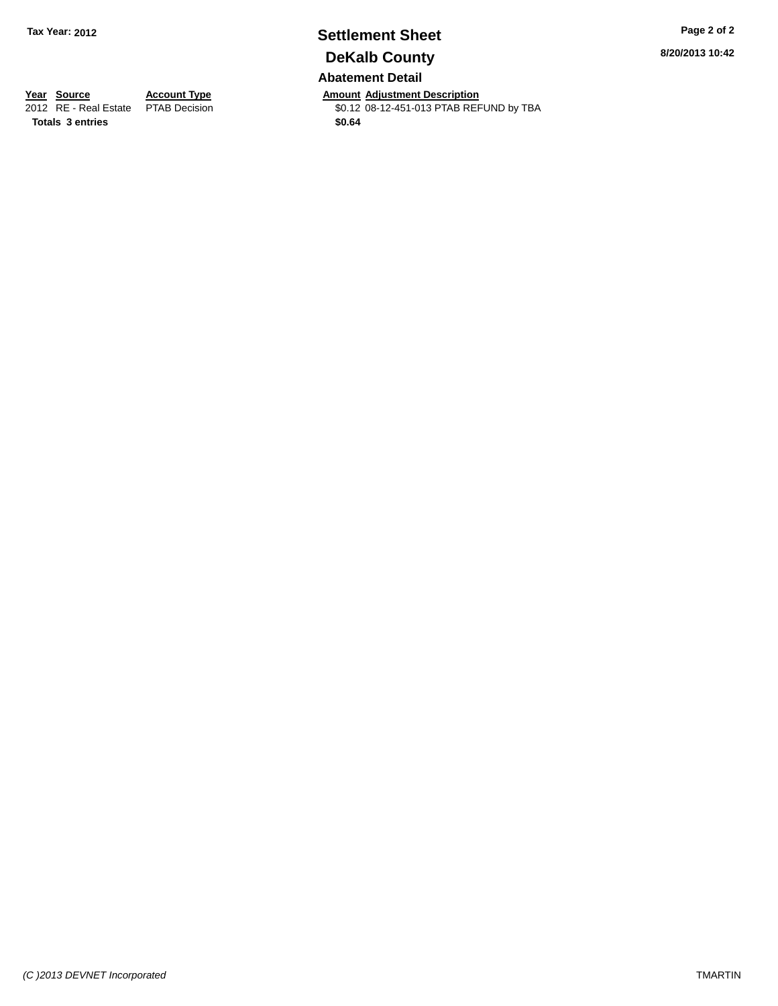## **Settlement Sheet Tax Year: 2012 Page 2 of 2 DeKalb County**

**Abatement Detail**

**Year Source Account Type Anneurs Amount Adjustment Description**<br>
2012 RE - Real Estate PTAB Decision **Amount 2012** 08-12-451-013 PTAB REF \$0.12 08-12-451-013 PTAB REFUND by TBA **8/20/2013 10:42**

**Totals 3 entries \$0.64**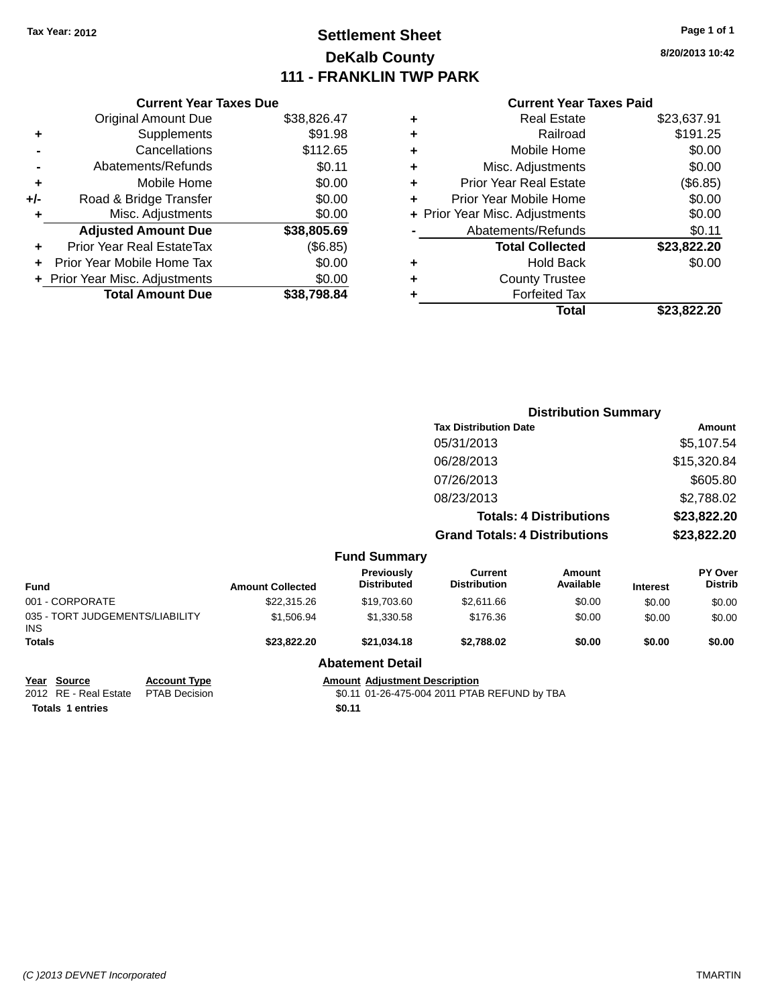### **Settlement Sheet Tax Year: 2012 Page 1 of 1 DeKalb County 111 - FRANKLIN TWP PARK**

**8/20/2013 10:42**

| <b>Current Year Taxes Paid</b> |  |  |  |
|--------------------------------|--|--|--|
|--------------------------------|--|--|--|

|     | <b>Current Year Taxes Due</b>  |             |
|-----|--------------------------------|-------------|
|     | <b>Original Amount Due</b>     | \$38,826.47 |
| ٠   | Supplements                    | \$91.98     |
|     | Cancellations                  | \$112.65    |
|     | Abatements/Refunds             | \$0.11      |
| ٠   | Mobile Home                    | \$0.00      |
| +/- | Road & Bridge Transfer         | \$0.00      |
| ٠   | Misc. Adjustments              | \$0.00      |
|     | <b>Adjusted Amount Due</b>     | \$38,805.69 |
| ٠   | Prior Year Real EstateTax      | (\$6.85)    |
|     | Prior Year Mobile Home Tax     | \$0.00      |
|     | + Prior Year Misc. Adjustments | \$0.00      |
|     | <b>Total Amount Due</b>        | \$38.798.84 |

|   | <b>Real Estate</b>             | \$23,637.91 |
|---|--------------------------------|-------------|
| ٠ | Railroad                       | \$191.25    |
| ٠ | Mobile Home                    | \$0.00      |
| ٠ | Misc. Adjustments              | \$0.00      |
| ٠ | Prior Year Real Estate         | (\$6.85)    |
| ٠ | Prior Year Mobile Home         | \$0.00      |
|   | + Prior Year Misc. Adjustments | \$0.00      |
|   | Abatements/Refunds             | \$0.11      |
|   | <b>Total Collected</b>         | \$23,822.20 |
| ٠ | Hold Back                      | \$0.00      |
| ٠ | <b>County Trustee</b>          |             |
| ٠ | <b>Forfeited Tax</b>           |             |
|   | <b>Total</b>                   | \$23,822,20 |
|   |                                |             |

|                                               |                                              |                                      | <b>Distribution Summary</b>           |                                |                 |                           |
|-----------------------------------------------|----------------------------------------------|--------------------------------------|---------------------------------------|--------------------------------|-----------------|---------------------------|
|                                               |                                              |                                      | <b>Tax Distribution Date</b>          |                                | Amount          |                           |
|                                               |                                              |                                      | 05/31/2013                            |                                |                 | \$5,107.54                |
|                                               |                                              |                                      | 06/28/2013                            |                                |                 | \$15,320.84               |
|                                               |                                              |                                      | 07/26/2013                            |                                |                 | \$605.80                  |
|                                               |                                              |                                      | 08/23/2013                            |                                |                 | \$2,788.02                |
|                                               |                                              |                                      |                                       | <b>Totals: 4 Distributions</b> |                 | \$23,822.20               |
|                                               |                                              |                                      | <b>Grand Totals: 4 Distributions</b>  |                                | \$23,822.20     |                           |
|                                               |                                              | <b>Fund Summary</b>                  |                                       |                                |                 |                           |
| <b>Fund</b>                                   | <b>Amount Collected</b>                      | Previously<br><b>Distributed</b>     | <b>Current</b><br><b>Distribution</b> | <b>Amount</b><br>Available     | <b>Interest</b> | PY Over<br><b>Distrib</b> |
| 001 - CORPORATE                               | \$22,315.26                                  | \$19,703.60                          | \$2,611.66                            | \$0.00                         | \$0.00          | \$0.00                    |
| 035 - TORT JUDGEMENTS/LIABILITY<br>INS.       | \$1,506.94                                   | \$1,330.58                           | \$176.36                              | \$0.00                         | \$0.00          | \$0.00                    |
| Totals                                        | \$23,822.20                                  | \$21,034.18                          | \$2,788.02                            | \$0.00                         | \$0.00          | \$0.00                    |
|                                               |                                              | <b>Abatement Detail</b>              |                                       |                                |                 |                           |
| Year Source<br><b>Account Type</b>            |                                              | <b>Amount Adjustment Description</b> |                                       |                                |                 |                           |
| 2012 RE - Real Estate<br><b>PTAB Decision</b> | \$0.11 01-26-475-004 2011 PTAB REFUND by TBA |                                      |                                       |                                |                 |                           |

**Totals 1 entries \$0.11**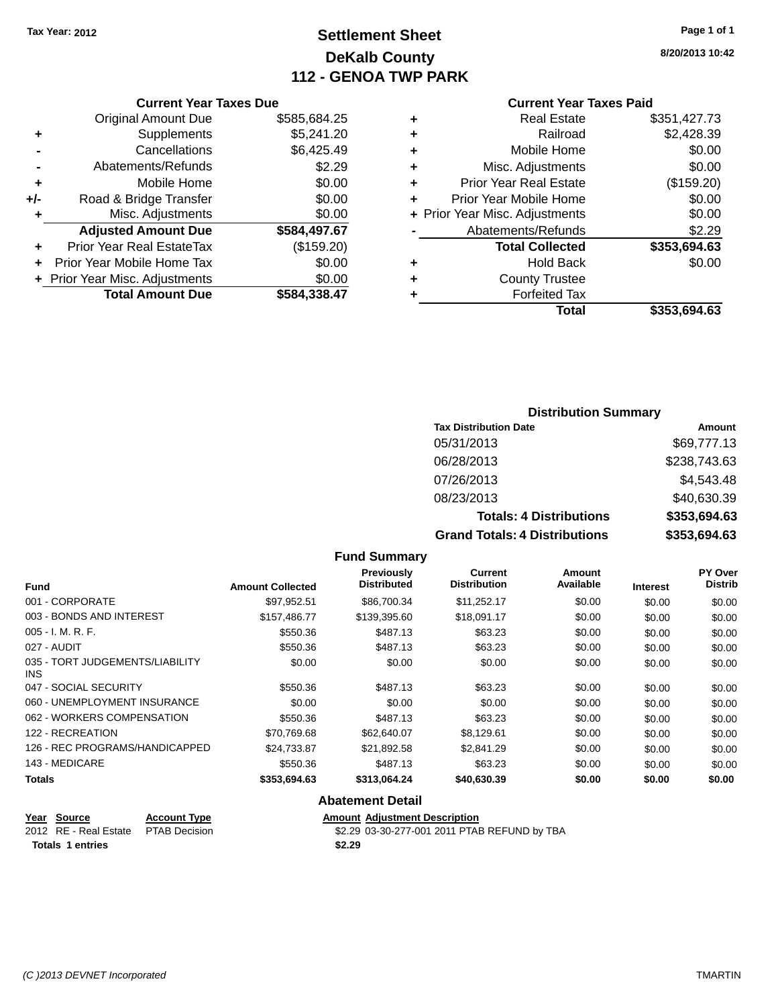### **Settlement Sheet Tax Year: 2012 Page 1 of 1 DeKalb County 112 - GENOA TWP PARK**

**8/20/2013 10:42**

#### **Current Year Taxes Paid**

### **Current Year Taxes Due** Original Amount Due \$585,684.25 **+** Supplements \$5,241.20 **-** Cancellations \$6,425.49 **-** Abatements/Refunds \$2.29 **+** Mobile Home \$0.00 **+/-** Road & Bridge Transfer \$0.00 **+** Misc. Adjustments \$0.00 **Adjusted Amount Due \$584,497.67 +** Prior Year Real EstateTax (\$159.20) **+** Prior Year Mobile Home Tax \$0.00 **+** Prior Year Misc. Adjustments \$0.00

| <u>1101 TCAI MISC. AUJUSUTICITIS</u> | wu.uu        |
|--------------------------------------|--------------|
| <b>Total Amount Due</b>              | \$584,338.47 |

#### **Distribution Summary**

| <b>Tax Distribution Date</b>         | Amount       |
|--------------------------------------|--------------|
| 05/31/2013                           | \$69,777.13  |
| 06/28/2013                           | \$238,743.63 |
| 07/26/2013                           | \$4,543.48   |
| 08/23/2013                           | \$40,630.39  |
| <b>Totals: 4 Distributions</b>       | \$353,694.63 |
| <b>Grand Totals: 4 Distributions</b> | \$353,694.63 |

#### **Fund Summary Fund Interest Amount Collected Distributed PY Over Distrib Amount Available Current Distribution Previously** 001 - CORPORATE \$97,952.51 \$86,700.34 \$11,252.17 \$0.00 \$0.00 \$0.00 003 - BONDS AND INTEREST 6157,486.77 \$139,395.60 \$18,091.17 \$0.00 \$0.00 \$0.00 005 - I. M. R. F. \$550.36 \$487.13 \$63.23 \$0.00 \$0.00 \$0.00 027 - AUDIT \$550.36 \$487.13 \$63.23 \$0.00 \$0.00 \$0.00 035 - TORT JUDGEMENTS/LIABILITY INS \$0.00 \$0.00 \$0.00 \$0.00 \$0.00 \$0.00 047 - SOCIAL SECURITY \$550.36 \$487.13 \$63.23 \$0.00 \$0.00 \$0.00 \$0.00 060 - UNEMPLOYMENT INSURANCE  $$0.00$   $$0.00$   $$0.00$   $$0.00$   $$0.00$   $$0.00$   $$0.00$ 062 - WORKERS COMPENSATION \$550.36 \$487.13 \$63.23 \$0.00 \$0.00 \$0.00 \$0.00 122 - RECREATION \$70,769.68 \$62,640.07 \$8,129.61 \$0.00 \$0.00 \$0.00 126 - REC PROGRAMS/HANDICAPPED \$24,733.87 \$21,892.58 \$2,841.29 \$0.00 \$0.00 \$0.00 \$0.00 143 - MEDICARE \$550.36 \$487.13 \$63.23 \$0.00 \$0.00 \$0.00 **Totals \$353,694.63 \$313,064.24 \$40,630.39 \$0.00 \$0.00 \$0.00 Abatement Detail**

### **Year Source Account Type Amount Adjustment Description Totals 1 entries \$2.29**

2012 RE - Real Estate PTAB Decision \$2.29 03-30-277-001 2011 PTAB REFUND by TBA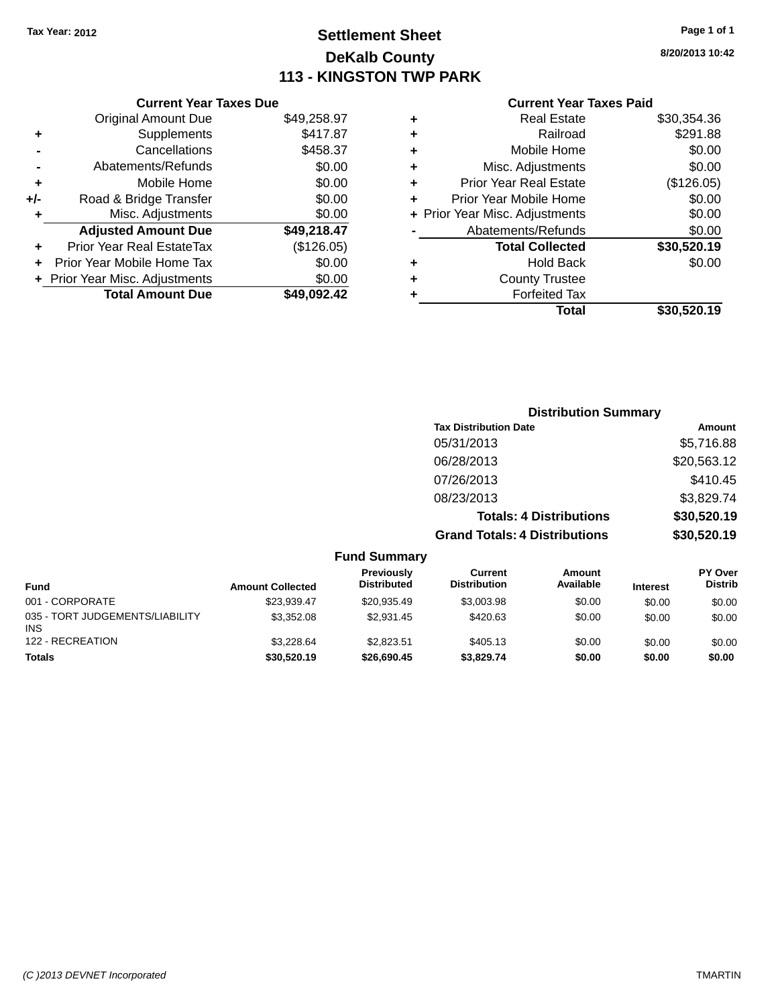## **Settlement Sheet Tax Year: 2012 Page 1 of 1 DeKalb County 113 - KINGSTON TWP PARK**

**8/20/2013 10:42**

#### **Current Year Taxes Paid**

| <b>Current Year Taxes Due</b>  |             |  |  |  |  |  |
|--------------------------------|-------------|--|--|--|--|--|
| <b>Original Amount Due</b>     | \$49,258.97 |  |  |  |  |  |
| Supplements                    | \$417.87    |  |  |  |  |  |
| Cancellations                  | \$458.37    |  |  |  |  |  |
| Abatements/Refunds             | \$0.00      |  |  |  |  |  |
| Mobile Home                    | \$0.00      |  |  |  |  |  |
| Road & Bridge Transfer         | \$0.00      |  |  |  |  |  |
| Misc. Adjustments              | \$0.00      |  |  |  |  |  |
| <b>Adjusted Amount Due</b>     | \$49,218.47 |  |  |  |  |  |
| Prior Year Real EstateTax      | (\$126.05)  |  |  |  |  |  |
| Prior Year Mobile Home Tax     | \$0.00      |  |  |  |  |  |
| + Prior Year Misc. Adjustments | \$0.00      |  |  |  |  |  |
| <b>Total Amount Due</b>        | \$49.092.42 |  |  |  |  |  |
|                                |             |  |  |  |  |  |

|   | <b>Real Estate</b>             | \$30,354.36 |
|---|--------------------------------|-------------|
| ٠ | Railroad                       | \$291.88    |
| ٠ | Mobile Home                    | \$0.00      |
| ٠ | Misc. Adjustments              | \$0.00      |
| ٠ | <b>Prior Year Real Estate</b>  | (\$126.05)  |
| ÷ | Prior Year Mobile Home         | \$0.00      |
|   | + Prior Year Misc. Adjustments | \$0.00      |
|   | Abatements/Refunds             | \$0.00      |
|   | <b>Total Collected</b>         | \$30,520.19 |
| ٠ | <b>Hold Back</b>               | \$0.00      |
| ٠ | <b>County Trustee</b>          |             |
| ٠ | <b>Forfeited Tax</b>           |             |
|   | Total                          | \$30,520.19 |
|   |                                |             |

| <b>Distribution Summary</b>          |             |
|--------------------------------------|-------------|
| <b>Tax Distribution Date</b>         | Amount      |
| 05/31/2013                           | \$5,716.88  |
| 06/28/2013                           | \$20,563.12 |
| 07/26/2013                           | \$410.45    |
| 08/23/2013                           | \$3,829.74  |
| <b>Totals: 4 Distributions</b>       | \$30,520.19 |
| <b>Grand Totals: 4 Distributions</b> | \$30,520.19 |

|                                               |                         | <b>Fund Summary</b>              |                                |                            |                 |                                  |
|-----------------------------------------------|-------------------------|----------------------------------|--------------------------------|----------------------------|-----------------|----------------------------------|
| <b>Fund</b>                                   | <b>Amount Collected</b> | Previously<br><b>Distributed</b> | Current<br><b>Distribution</b> | <b>Amount</b><br>Available | <b>Interest</b> | <b>PY Over</b><br><b>Distrib</b> |
| 001 - CORPORATE                               | \$23.939.47             | \$20.935.49                      | \$3,003.98                     | \$0.00                     | \$0.00          | \$0.00                           |
| 035 - TORT JUDGEMENTS/LIABILITY<br><b>INS</b> | \$3,352.08              | \$2.931.45                       | \$420.63                       | \$0.00                     | \$0.00          | \$0.00                           |
| 122 - RECREATION                              | \$3.228.64              | \$2.823.51                       | \$405.13                       | \$0.00                     | \$0.00          | \$0.00                           |
| <b>Totals</b>                                 | \$30,520.19             | \$26,690.45                      | \$3,829.74                     | \$0.00                     | \$0.00          | \$0.00                           |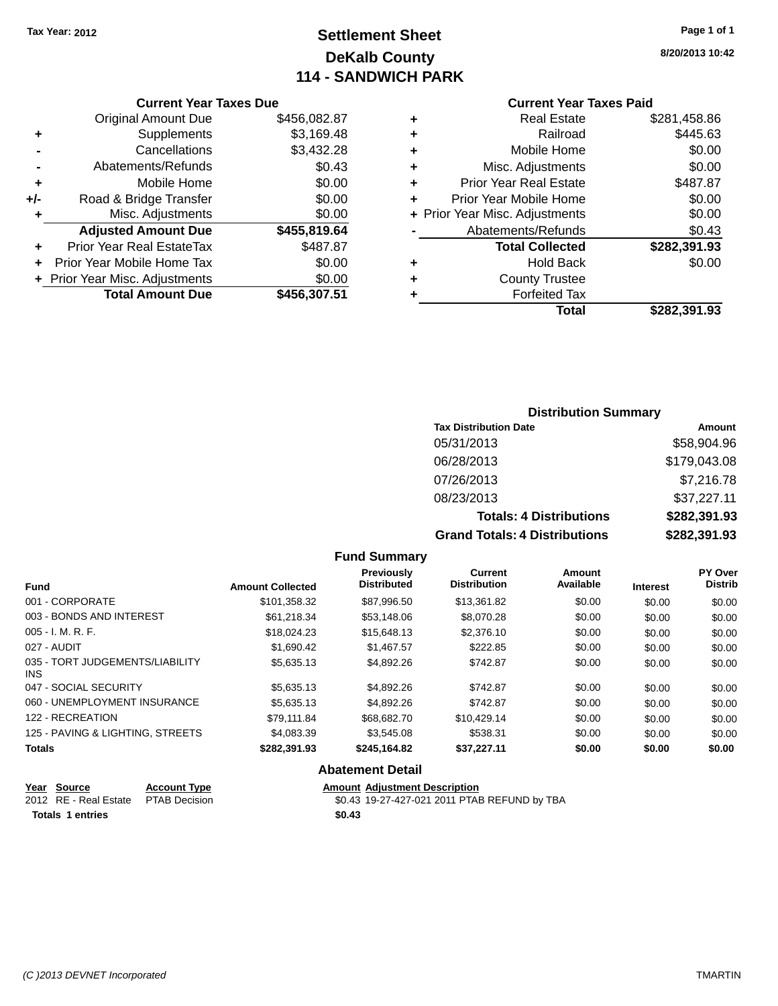## **Settlement Sheet Tax Year: 2012 Page 1 of 1 DeKalb County 114 - SANDWICH PARK**

**8/20/2013 10:42**

#### **Current Year Taxes Paid**

|     | <b>Current Year Taxes Due</b> |              |  |  |  |  |  |  |
|-----|-------------------------------|--------------|--|--|--|--|--|--|
|     | <b>Original Amount Due</b>    | \$456,082.87 |  |  |  |  |  |  |
| ٠   | Supplements                   | \$3,169.48   |  |  |  |  |  |  |
|     | Cancellations                 | \$3,432.28   |  |  |  |  |  |  |
|     | Abatements/Refunds            | \$0.43       |  |  |  |  |  |  |
| ٠   | Mobile Home                   | \$0.00       |  |  |  |  |  |  |
| +/- | Road & Bridge Transfer        | \$0.00       |  |  |  |  |  |  |
| ٠   | Misc. Adjustments             | \$0.00       |  |  |  |  |  |  |
|     | <b>Adjusted Amount Due</b>    | \$455,819.64 |  |  |  |  |  |  |
| ٠   | Prior Year Real EstateTax     | \$487.87     |  |  |  |  |  |  |
| ÷   | Prior Year Mobile Home Tax    | \$0.00       |  |  |  |  |  |  |
|     | Prior Year Misc. Adjustments  | \$0.00       |  |  |  |  |  |  |
|     | <b>Total Amount Due</b>       | \$456,307.51 |  |  |  |  |  |  |
|     |                               |              |  |  |  |  |  |  |

| ٠ | <b>Real Estate</b>             | \$281,458.86 |
|---|--------------------------------|--------------|
| ٠ | Railroad                       | \$445.63     |
| ٠ | Mobile Home                    | \$0.00       |
| ٠ | Misc. Adjustments              | \$0.00       |
| ٠ | <b>Prior Year Real Estate</b>  | \$487.87     |
| ÷ | Prior Year Mobile Home         | \$0.00       |
|   | + Prior Year Misc. Adjustments | \$0.00       |
|   | Abatements/Refunds             | \$0.43       |
|   | <b>Total Collected</b>         | \$282,391.93 |
| ٠ | Hold Back                      | \$0.00       |
| ٠ | <b>County Trustee</b>          |              |
| ٠ | <b>Forfeited Tax</b>           |              |
|   | Total                          | \$282,391.93 |
|   |                                |              |

### **Distribution Summary Tax Distribution Date Amount** 05/31/2013 \$58,904.96 06/28/2013 \$179,043.08 07/26/2013 \$7,216.78 08/23/2013 \$37,227.11 **Totals: 4 Distributions \$282,391.93 Grand Totals: 4 Distributions \$282,391.93**

|                                         |                         | <b>Fund Summary</b>                     |                                |                     |                 |                                  |
|-----------------------------------------|-------------------------|-----------------------------------------|--------------------------------|---------------------|-----------------|----------------------------------|
| Fund                                    | <b>Amount Collected</b> | <b>Previously</b><br><b>Distributed</b> | Current<br><b>Distribution</b> | Amount<br>Available | <b>Interest</b> | <b>PY Over</b><br><b>Distrib</b> |
| 001 - CORPORATE                         | \$101,358.32            | \$87,996.50                             | \$13,361.82                    | \$0.00              | \$0.00          | \$0.00                           |
| 003 - BONDS AND INTEREST                | \$61,218.34             | \$53,148.06                             | \$8,070.28                     | \$0.00              | \$0.00          | \$0.00                           |
| 005 - I. M. R. F.                       | \$18,024.23             | \$15,648.13                             | \$2,376.10                     | \$0.00              | \$0.00          | \$0.00                           |
| 027 - AUDIT                             | \$1,690.42              | \$1,467.57                              | \$222.85                       | \$0.00              | \$0.00          | \$0.00                           |
| 035 - TORT JUDGEMENTS/LIABILITY<br>INS. | \$5,635.13              | \$4,892.26                              | \$742.87                       | \$0.00              | \$0.00          | \$0.00                           |
| 047 - SOCIAL SECURITY                   | \$5,635.13              | \$4,892.26                              | \$742.87                       | \$0.00              | \$0.00          | \$0.00                           |
| 060 - UNEMPLOYMENT INSURANCE            | \$5,635.13              | \$4,892.26                              | \$742.87                       | \$0.00              | \$0.00          | \$0.00                           |
| 122 - RECREATION                        | \$79.111.84             | \$68,682,70                             | \$10,429.14                    | \$0.00              | \$0.00          | \$0.00                           |
| 125 - PAVING & LIGHTING, STREETS        | \$4,083.39              | \$3,545.08                              | \$538.31                       | \$0.00              | \$0.00          | \$0.00                           |
| Totals                                  | \$282,391.93            | \$245,164.82                            | \$37,227.11                    | \$0.00              | \$0.00          | \$0.00                           |
|                                         |                         | <b>Abatement Detail</b>                 |                                |                     |                 |                                  |
| Voar Source<br><b>Account Type</b>      |                         | <b>Amount Adjustment Description</b>    |                                |                     |                 |                                  |

| rear source                         | ACCOUNT TVDE | Alliount Adiustinent Description             |
|-------------------------------------|--------------|----------------------------------------------|
| 2012 RE - Real Estate PTAB Decision |              | \$0.43 19-27-427-021 2011 PTAB REFUND by TBA |
| Totals 1 entries                    |              | \$0.43                                       |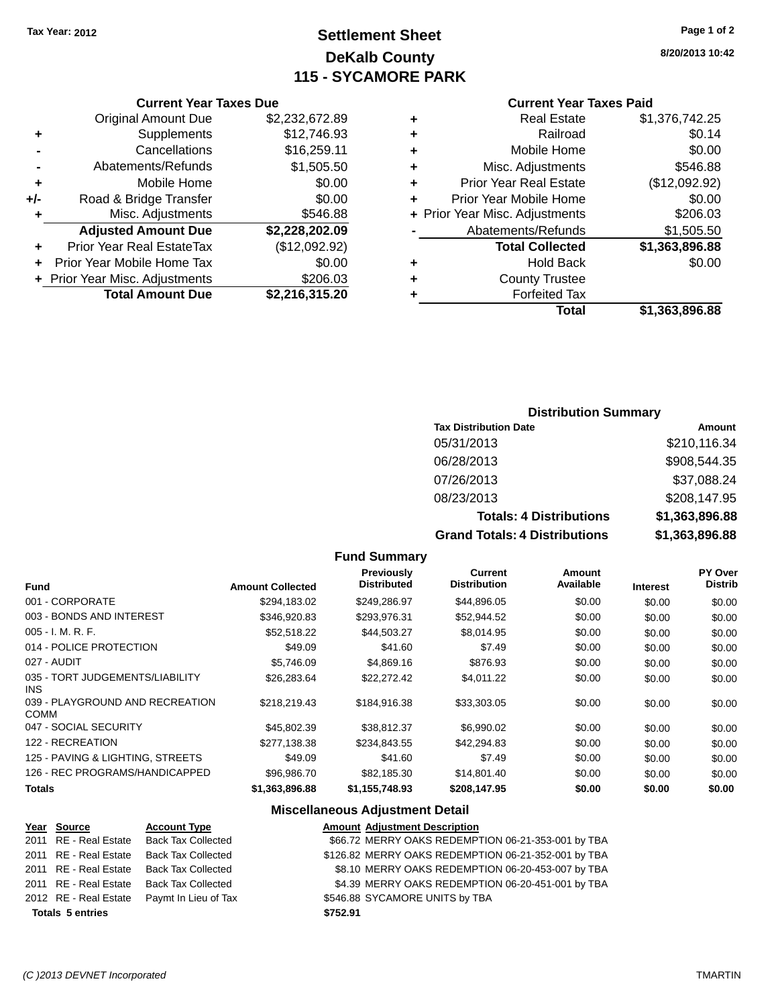## **Settlement Sheet Tax Year: 2012 Page 1 of 2 DeKalb County 115 - SYCAMORE PARK**

#### **8/20/2013 10:42**

#### **Current Year Taxes Paid**

|   | <b>Real Estate</b>             | \$1,376,742.25 |
|---|--------------------------------|----------------|
| ٠ | Railroad                       | \$0.14         |
| ٠ | Mobile Home                    | \$0.00         |
| ٠ | Misc. Adjustments              | \$546.88       |
| ٠ | <b>Prior Year Real Estate</b>  | (\$12,092.92)  |
| ÷ | Prior Year Mobile Home         | \$0.00         |
|   | + Prior Year Misc. Adjustments | \$206.03       |
|   | Abatements/Refunds             | \$1,505.50     |
|   | <b>Total Collected</b>         | \$1,363,896.88 |
| ٠ | <b>Hold Back</b>               | \$0.00         |
| ٠ | <b>County Trustee</b>          |                |
|   | <b>Forfeited Tax</b>           |                |
|   | Total                          | \$1,363,896.88 |

### **Current Year Taxes Due** Original Amount Due \$2,232,672.89 **+** Supplements \$12,746.93 **-** Cancellations \$16,259.11 **-** Abatements/Refunds \$1,505.50 **+** Mobile Home \$0.00 **+/-** Road & Bridge Transfer \$0.00 **+** Misc. Adjustments \$546.88 **Adjusted Amount Due \$2,228,202.09 +** Prior Year Real EstateTax (\$12,092.92) **+** Prior Year Mobile Home Tax \$0.00 **+** Prior Year Misc. Adjustments \$206.03 **Total Amount Due \$2,216,315.20**

### **Distribution Summary**

| <b>Tax Distribution Date</b>         | Amount         |
|--------------------------------------|----------------|
| 05/31/2013                           | \$210,116.34   |
| 06/28/2013                           | \$908,544.35   |
| 07/26/2013                           | \$37,088.24    |
| 08/23/2013                           | \$208,147.95   |
| <b>Totals: 4 Distributions</b>       | \$1,363,896.88 |
| <b>Grand Totals: 4 Distributions</b> | \$1,363,896.88 |

#### **Fund Summary**

|                                         |                         | Previously<br><b>Distributed</b> | <b>Current</b><br><b>Distribution</b> | Amount<br>Available |                 | <b>PY Over</b><br><b>Distrib</b> |
|-----------------------------------------|-------------------------|----------------------------------|---------------------------------------|---------------------|-----------------|----------------------------------|
| <b>Fund</b>                             | <b>Amount Collected</b> |                                  |                                       |                     | <b>Interest</b> |                                  |
| 001 - CORPORATE                         | \$294,183.02            | \$249,286.97                     | \$44,896.05                           | \$0.00              | \$0.00          | \$0.00                           |
| 003 - BONDS AND INTEREST                | \$346,920.83            | \$293,976.31                     | \$52,944.52                           | \$0.00              | \$0.00          | \$0.00                           |
| $005 - I. M. R. F.$                     | \$52,518.22             | \$44,503.27                      | \$8,014.95                            | \$0.00              | \$0.00          | \$0.00                           |
| 014 - POLICE PROTECTION                 | \$49.09                 | \$41.60                          | \$7.49                                | \$0.00              | \$0.00          | \$0.00                           |
| 027 - AUDIT                             | \$5,746.09              | \$4,869.16                       | \$876.93                              | \$0.00              | \$0.00          | \$0.00                           |
| 035 - TORT JUDGEMENTS/LIABILITY<br>INS. | \$26,283.64             | \$22,272.42                      | \$4,011.22                            | \$0.00              | \$0.00          | \$0.00                           |
| 039 - PLAYGROUND AND RECREATION<br>COMM | \$218.219.43            | \$184.916.38                     | \$33,303.05                           | \$0.00              | \$0.00          | \$0.00                           |
| 047 - SOCIAL SECURITY                   | \$45,802.39             | \$38.812.37                      | \$6,990.02                            | \$0.00              | \$0.00          | \$0.00                           |
| 122 - RECREATION                        | \$277,138.38            | \$234,843.55                     | \$42,294.83                           | \$0.00              | \$0.00          | \$0.00                           |
| 125 - PAVING & LIGHTING, STREETS        | \$49.09                 | \$41.60                          | \$7.49                                | \$0.00              | \$0.00          | \$0.00                           |
| 126 - REC PROGRAMS/HANDICAPPED          | \$96,986.70             | \$82,185.30                      | \$14,801.40                           | \$0.00              | \$0.00          | \$0.00                           |
| <b>Totals</b>                           | \$1.363.896.88          | \$1.155.748.93                   | \$208.147.95                          | \$0.00              | \$0.00          | \$0.00                           |

#### **Miscellaneous Adjustment Detail**

| Year Source             | <b>Account Type</b>       |          | <b>Amount Adjustment Description</b>                |
|-------------------------|---------------------------|----------|-----------------------------------------------------|
| 2011 RE - Real Estate   | <b>Back Tax Collected</b> |          | \$66.72 MERRY OAKS REDEMPTION 06-21-353-001 by TBA  |
| 2011 RE - Real Estate   | <b>Back Tax Collected</b> |          | \$126.82 MERRY OAKS REDEMPTION 06-21-352-001 by TBA |
| 2011 RE - Real Estate   | <b>Back Tax Collected</b> |          | \$8.10 MERRY OAKS REDEMPTION 06-20-453-007 by TBA   |
| 2011 RE - Real Estate   | <b>Back Tax Collected</b> |          | \$4.39 MERRY OAKS REDEMPTION 06-20-451-001 by TBA   |
| 2012 RE - Real Estate   | Paymt In Lieu of Tax      |          | \$546.88 SYCAMORE UNITS by TBA                      |
| <b>Totals 5 entries</b> |                           | \$752.91 |                                                     |
|                         |                           |          |                                                     |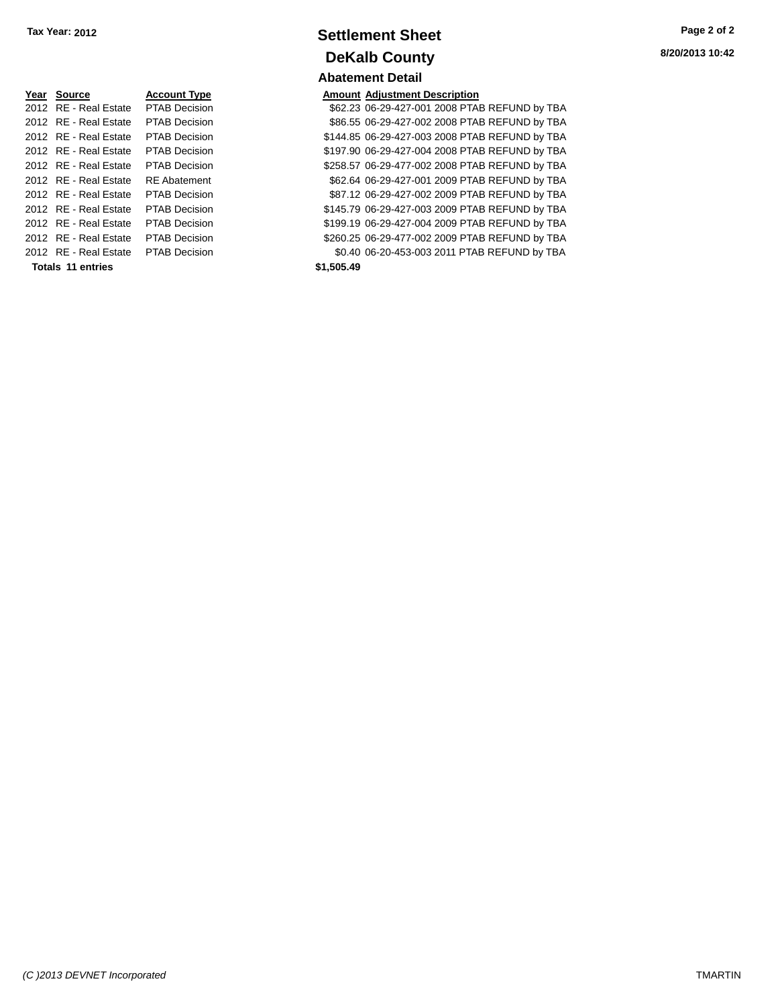| Year Source           | <b>Account Type</b>  | Amount     |
|-----------------------|----------------------|------------|
| 2012 RE - Real Estate | <b>PTAB Decision</b> | \$62.23    |
| 2012 RE - Real Estate | <b>PTAB Decision</b> | \$86.55    |
| 2012 RE - Real Estate | <b>PTAB Decision</b> | \$144.85   |
| 2012 RE - Real Estate | <b>PTAB Decision</b> | \$197.90   |
| 2012 RE - Real Estate | <b>PTAB Decision</b> | \$258.57   |
| 2012 RE - Real Estate | <b>RE</b> Abatement  | \$62.64    |
| 2012 RE - Real Estate | <b>PTAB Decision</b> | \$87.12    |
| 2012 RF - Real Estate | <b>PTAB Decision</b> | \$145.79   |
| 2012 RE - Real Estate | <b>PTAB Decision</b> | \$199.19   |
| 2012 RE - Real Estate | <b>PTAB Decision</b> | \$260.25   |
| 2012 RE - Real Estate | <b>PTAB Decision</b> | \$0.40     |
| Totals 11 entries     |                      | \$1,505.49 |

### **Settlement Sheet Tax Year: 2012 Page 2 of 2 DeKalb County Abatement Detail**

#### **Amount Adjustment Description**

\$62.23 06-29-427-001 2008 PTAB REFUND by TBA \$86.55 06-29-427-002 2008 PTAB REFUND by TBA \$144.85 06-29-427-003 2008 PTAB REFUND by TBA \$197.90 06-29-427-004 2008 PTAB REFUND by TBA \$258.57 06-29-477-002 2008 PTAB REFUND by TBA \$62.64 06-29-427-001 2009 PTAB REFUND by TBA \$87.12 06-29-427-002 2009 PTAB REFUND by TBA \$145.79 06-29-427-003 2009 PTAB REFUND by TBA \$199.19 06-29-427-004 2009 PTAB REFUND by TBA \$260.25 06-29-477-002 2009 PTAB REFUND by TBA \$0.40 06-20-453-003 2011 PTAB REFUND by TBA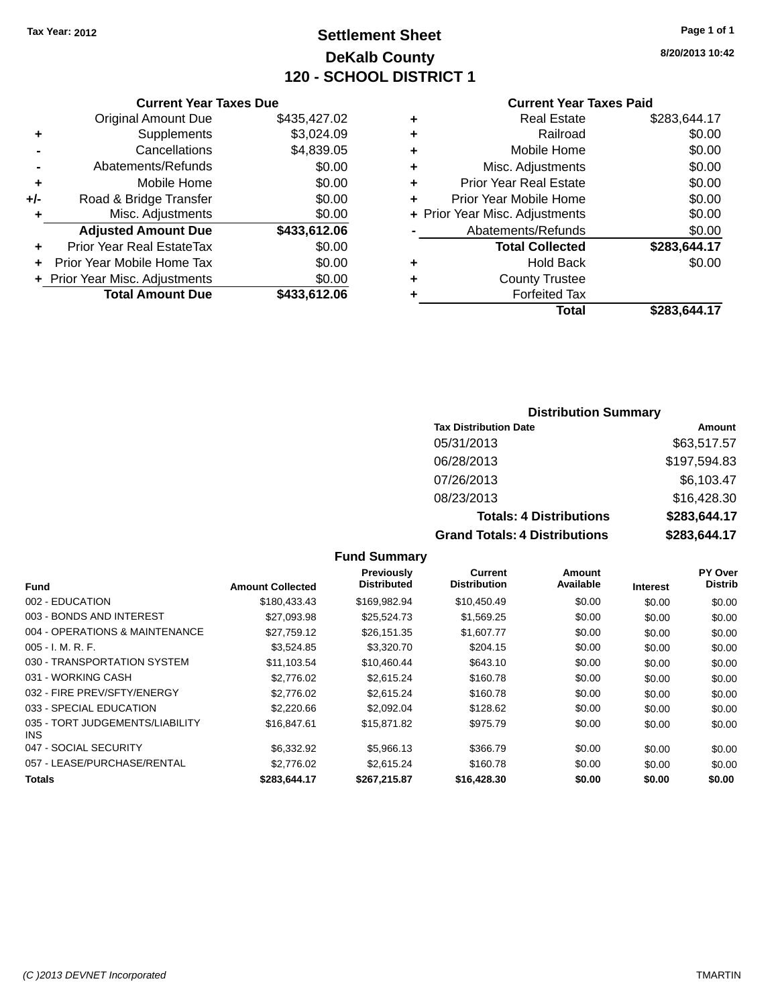## **Settlement Sheet Tax Year: 2012 Page 1 of 1 DeKalb County 120 - SCHOOL DISTRICT 1**

**8/20/2013 10:42**

#### **Current Year Taxes Paid**

|   | Total                          | \$283.644.17 |
|---|--------------------------------|--------------|
|   | <b>Forfeited Tax</b>           |              |
| ٠ | <b>County Trustee</b>          |              |
| ٠ | <b>Hold Back</b>               | \$0.00       |
|   | <b>Total Collected</b>         | \$283,644.17 |
|   | Abatements/Refunds             | \$0.00       |
|   | + Prior Year Misc. Adjustments | \$0.00       |
|   | Prior Year Mobile Home         | \$0.00       |
| ÷ | <b>Prior Year Real Estate</b>  | \$0.00       |
| ٠ | Misc. Adjustments              | \$0.00       |
| ٠ | Mobile Home                    | \$0.00       |
|   | Railroad                       | \$0.00       |
|   | <b>Real Estate</b>             | \$283,644.17 |
|   |                                |              |

### **Current Year Taxes Due** Original Amount Due \$435,427.02 **+** Supplements \$3,024.09 **-** Cancellations \$4,839.05 **-** Abatements/Refunds **\$0.00 +** Mobile Home \$0.00 **+/-** Road & Bridge Transfer \$0.00 **+** Misc. Adjustments \$0.00 **Adjusted Amount Due \$433,612.06 +** Prior Year Real EstateTax \$0.00 **+** Prior Year Mobile Home Tax \$0.00

**+ Prior Year Misc. Adjustments**  $$0.00$ 

**Total Amount Due \$433,612.06**

#### **Distribution Summary**

| <b>Tax Distribution Date</b>         | Amount       |
|--------------------------------------|--------------|
| 05/31/2013                           | \$63,517.57  |
| 06/28/2013                           | \$197,594.83 |
| 07/26/2013                           | \$6,103.47   |
| 08/23/2013                           | \$16,428.30  |
| <b>Totals: 4 Distributions</b>       | \$283,644.17 |
| <b>Grand Totals: 4 Distributions</b> | \$283,644.17 |

#### **Fund Interest Amount Collected Distributed PY Over Distrib Amount Available Current Distribution Previously** 002 - EDUCATION \$180,433.43 \$169,982.94 \$10,450.49 \$0.00 \$0.00 \$0.00 003 - BONDS AND INTEREST 60.00 \$27,093.98 \$25,524.73 \$1,569.25 \$0.00 \$0.00 \$0.00 004 - OPERATIONS & MAINTENANCE  $$27,759.12$   $$26,151.35$   $$1,607.77$   $$0.00$   $$0.00$   $$0.00$ 005 - I. M. R. F. \$3,524.85 \$3,320.70 \$204.15 \$0.00 \$0.00 \$0.00 030 - TRANSPORTATION SYSTEM \$11,103.54 \$10,460.44 \$643.10 \$0.00 \$0.00 \$0.00 \$0.00 031 - WORKING CASH \$2,776.02 \$2,615.24 \$160.78 \$0.00 \$0.00 \$0.00 \$0.00 \$0.00 \$0.00 \$0.00 \$0.00 \$0.00 \$0.00 \$0.00 032 - FIRE PREV/SFTY/ENERGY \$2,776.02 \$2,615.24 \$160.78 \$0.00 \$0.00 \$0.00 \$0.00 033 - SPECIAL EDUCATION \$2,220.66 \$2,092.04 \$128.62 \$0.00 \$0.00 \$0.00 \$0.00 035 - TORT JUDGEMENTS/LIABILITY INS \$16,847.61 \$15,871.82 \$975.79 \$0.00 \$0.00 \$0.00 047 - SOCIAL SECURITY \$6,332.92 \$5,966.13 \$366.79 \$0.00 \$0.00 \$0.00 057 - LEASE/PURCHASE/RENTAL  $$2,776.02$   $$2,615.24$   $$160.78$   $$0.00$   $$0.00$   $$0.00$ **Totals \$283,644.17 \$267,215.87 \$16,428.30 \$0.00 \$0.00 \$0.00**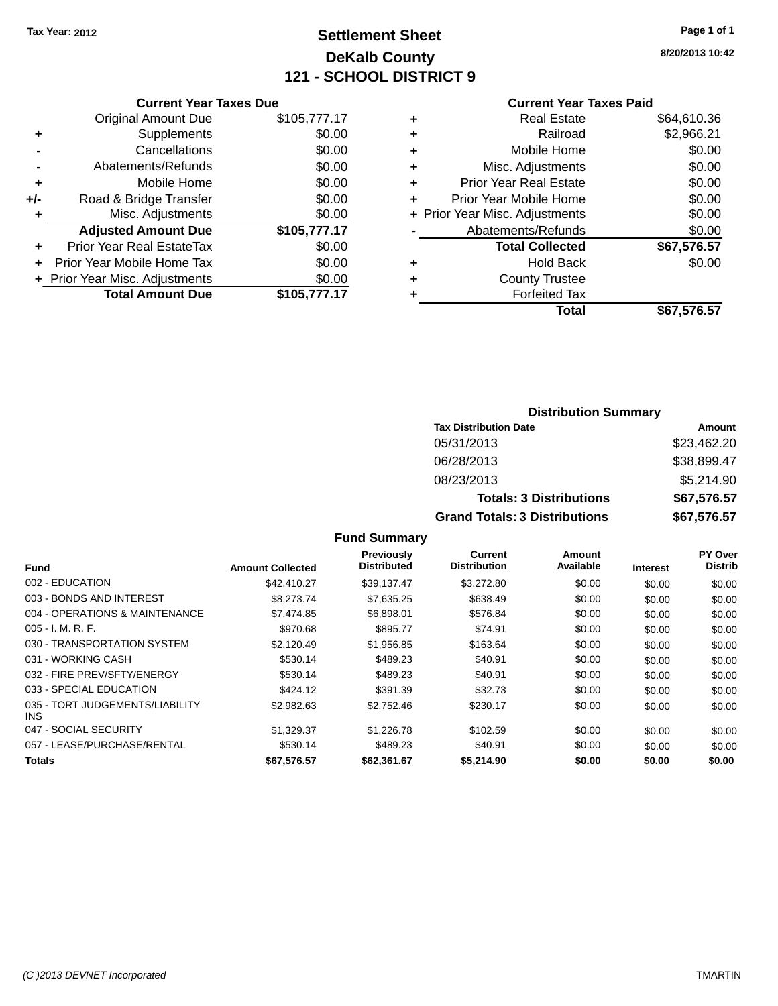## **Settlement Sheet Tax Year: 2012 Page 1 of 1 DeKalb County 121 - SCHOOL DISTRICT 9**

**8/20/2013 10:42**

#### **Current Year Taxes Paid**

|       | <b>Current Year Taxes Due</b>  |              |
|-------|--------------------------------|--------------|
|       | <b>Original Amount Due</b>     | \$105,777.17 |
| ٠     | Supplements                    | \$0.00       |
|       | Cancellations                  | \$0.00       |
|       | Abatements/Refunds             | \$0.00       |
| ٠     | Mobile Home                    | \$0.00       |
| $+/-$ | Road & Bridge Transfer         | \$0.00       |
| ٠     | Misc. Adjustments              | \$0.00       |
|       | <b>Adjusted Amount Due</b>     | \$105,777.17 |
| ÷     | Prior Year Real EstateTax      | \$0.00       |
|       | Prior Year Mobile Home Tax     | \$0.00       |
|       | + Prior Year Misc. Adjustments | \$0.00       |
|       | <b>Total Amount Due</b>        | \$105,777.17 |
|       |                                |              |

|   | <b>Real Estate</b>             | \$64,610.36 |
|---|--------------------------------|-------------|
| ٠ | Railroad                       | \$2,966.21  |
| ٠ | Mobile Home                    | \$0.00      |
| ٠ | Misc. Adjustments              | \$0.00      |
| ٠ | <b>Prior Year Real Estate</b>  | \$0.00      |
|   | Prior Year Mobile Home         | \$0.00      |
|   | + Prior Year Misc. Adjustments | \$0.00      |
|   | Abatements/Refunds             | \$0.00      |
|   | <b>Total Collected</b>         | \$67,576.57 |
| ٠ | <b>Hold Back</b>               | \$0.00      |
| ٠ | <b>County Trustee</b>          |             |
| ٠ | <b>Forfeited Tax</b>           |             |
|   | Total                          | \$67,576.57 |
|   |                                |             |

### **Distribution Summary Tax Distribution Date Amount** 05/31/2013 \$23,462.20 06/28/2013 \$38,899.47 08/23/2013 \$5,214.90 **Totals: 3 Distributions \$67,576.57 Grand Totals: 3 Distributions \$67,576.57**

| Fund                                    | <b>Amount Collected</b> | <b>Previously</b><br><b>Distributed</b> | Current<br><b>Distribution</b> | Amount<br>Available | <b>Interest</b> | PY Over<br><b>Distrib</b> |
|-----------------------------------------|-------------------------|-----------------------------------------|--------------------------------|---------------------|-----------------|---------------------------|
| 002 - EDUCATION                         | \$42,410.27             | \$39,137.47                             | \$3,272.80                     | \$0.00              | \$0.00          | \$0.00                    |
| 003 - BONDS AND INTEREST                | \$8,273,74              | \$7,635.25                              | \$638.49                       | \$0.00              | \$0.00          | \$0.00                    |
| 004 - OPERATIONS & MAINTENANCE          | \$7.474.85              | \$6,898.01                              | \$576.84                       | \$0.00              | \$0.00          | \$0.00                    |
| $005 - I. M. R. F.$                     | \$970.68                | \$895.77                                | \$74.91                        | \$0.00              | \$0.00          | \$0.00                    |
| 030 - TRANSPORTATION SYSTEM             | \$2,120.49              | \$1,956.85                              | \$163.64                       | \$0.00              | \$0.00          | \$0.00                    |
| 031 - WORKING CASH                      | \$530.14                | \$489.23                                | \$40.91                        | \$0.00              | \$0.00          | \$0.00                    |
| 032 - FIRE PREV/SFTY/ENERGY             | \$530.14                | \$489.23                                | \$40.91                        | \$0.00              | \$0.00          | \$0.00                    |
| 033 - SPECIAL EDUCATION                 | \$424.12                | \$391.39                                | \$32.73                        | \$0.00              | \$0.00          | \$0.00                    |
| 035 - TORT JUDGEMENTS/LIABILITY<br>INS. | \$2,982.63              | \$2,752.46                              | \$230.17                       | \$0.00              | \$0.00          | \$0.00                    |
| 047 - SOCIAL SECURITY                   | \$1.329.37              | \$1,226,78                              | \$102.59                       | \$0.00              | \$0.00          | \$0.00                    |
| 057 - LEASE/PURCHASE/RENTAL             | \$530.14                | \$489.23                                | \$40.91                        | \$0.00              | \$0.00          | \$0.00                    |
| <b>Totals</b>                           | \$67.576.57             | \$62.361.67                             | \$5,214,90                     | \$0.00              | \$0.00          | \$0.00                    |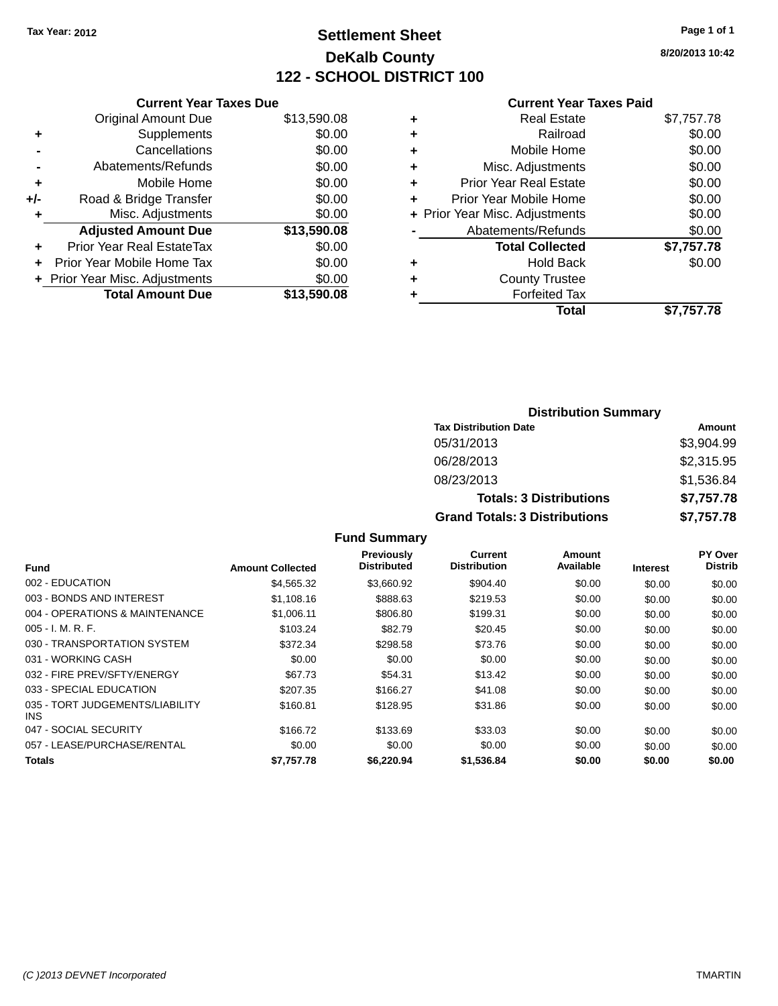## **Settlement Sheet Tax Year: 2012 Page 1 of 1 DeKalb County 122 - SCHOOL DISTRICT 100**

**8/20/2013 10:42**

#### **Current Year Taxes Paid**

|       | <b>Current Year Taxes Due</b>  |             |
|-------|--------------------------------|-------------|
|       | <b>Original Amount Due</b>     | \$13,590.08 |
| ٠     | Supplements                    | \$0.00      |
|       | Cancellations                  | \$0.00      |
|       | Abatements/Refunds             | \$0.00      |
| ٠     | Mobile Home                    | \$0.00      |
| $+/-$ | Road & Bridge Transfer         | \$0.00      |
|       | Misc. Adjustments              | \$0.00      |
|       | <b>Adjusted Amount Due</b>     | \$13,590.08 |
| ٠     | Prior Year Real EstateTax      | \$0.00      |
|       | Prior Year Mobile Home Tax     | \$0.00      |
|       | + Prior Year Misc. Adjustments | \$0.00      |
|       | <b>Total Amount Due</b>        | \$13,590,08 |
|       |                                |             |

|   | <b>Real Estate</b>             | \$7,757.78 |
|---|--------------------------------|------------|
| ٠ | Railroad                       | \$0.00     |
| ٠ | Mobile Home                    | \$0.00     |
| ٠ | Misc. Adjustments              | \$0.00     |
| ٠ | <b>Prior Year Real Estate</b>  | \$0.00     |
| ٠ | Prior Year Mobile Home         | \$0.00     |
|   | + Prior Year Misc. Adjustments | \$0.00     |
|   | Abatements/Refunds             | \$0.00     |
|   | <b>Total Collected</b>         | \$7,757.78 |
| ٠ | <b>Hold Back</b>               | \$0.00     |
| ٠ | <b>County Trustee</b>          |            |
| ٠ | <b>Forfeited Tax</b>           |            |
|   | Total                          | \$7,757.78 |
|   |                                |            |

| <b>Distribution Summary</b>          |            |  |  |  |
|--------------------------------------|------------|--|--|--|
| <b>Tax Distribution Date</b>         | Amount     |  |  |  |
| 05/31/2013                           | \$3,904.99 |  |  |  |
| 06/28/2013                           | \$2,315.95 |  |  |  |
| 08/23/2013                           | \$1,536.84 |  |  |  |
| <b>Totals: 3 Distributions</b>       | \$7,757.78 |  |  |  |
| <b>Grand Totals: 3 Distributions</b> | \$7,757.78 |  |  |  |

| <b>Fund</b>                             | <b>Amount Collected</b> | <b>Previously</b><br><b>Distributed</b> | Current<br><b>Distribution</b> | Amount<br>Available | <b>Interest</b> | <b>PY Over</b><br><b>Distrib</b> |
|-----------------------------------------|-------------------------|-----------------------------------------|--------------------------------|---------------------|-----------------|----------------------------------|
| 002 - EDUCATION                         | \$4,565.32              | \$3,660.92                              | \$904.40                       | \$0.00              | \$0.00          | \$0.00                           |
| 003 - BONDS AND INTEREST                | \$1,108.16              | \$888.63                                | \$219.53                       | \$0.00              | \$0.00          | \$0.00                           |
| 004 - OPERATIONS & MAINTENANCE          | \$1,006.11              | \$806.80                                | \$199.31                       | \$0.00              | \$0.00          | \$0.00                           |
| $005 - I. M. R. F.$                     | \$103.24                | \$82.79                                 | \$20.45                        | \$0.00              | \$0.00          | \$0.00                           |
| 030 - TRANSPORTATION SYSTEM             | \$372.34                | \$298.58                                | \$73.76                        | \$0.00              | \$0.00          | \$0.00                           |
| 031 - WORKING CASH                      | \$0.00                  | \$0.00                                  | \$0.00                         | \$0.00              | \$0.00          | \$0.00                           |
| 032 - FIRE PREV/SFTY/ENERGY             | \$67.73                 | \$54.31                                 | \$13.42                        | \$0.00              | \$0.00          | \$0.00                           |
| 033 - SPECIAL EDUCATION                 | \$207.35                | \$166.27                                | \$41.08                        | \$0.00              | \$0.00          | \$0.00                           |
| 035 - TORT JUDGEMENTS/LIABILITY<br>INS. | \$160.81                | \$128.95                                | \$31.86                        | \$0.00              | \$0.00          | \$0.00                           |
| 047 - SOCIAL SECURITY                   | \$166.72                | \$133.69                                | \$33.03                        | \$0.00              | \$0.00          | \$0.00                           |
| 057 - LEASE/PURCHASE/RENTAL             | \$0.00                  | \$0.00                                  | \$0.00                         | \$0.00              | \$0.00          | \$0.00                           |
| <b>Totals</b>                           | \$7,757.78              | \$6,220,94                              | \$1.536.84                     | \$0.00              | \$0.00          | \$0.00                           |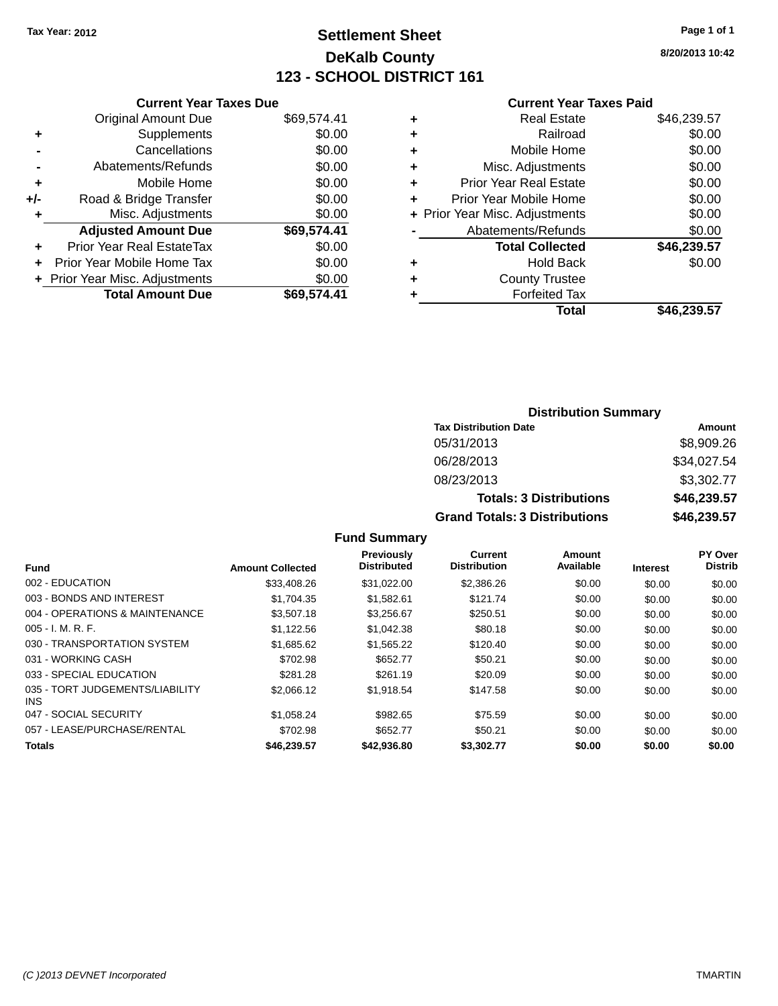## **Settlement Sheet Tax Year: 2012 Page 1 of 1 DeKalb County 123 - SCHOOL DISTRICT 161**

**8/20/2013 10:42**

#### **Current Year Taxes Paid**

|     | <b>Current Year Taxes Due</b>  |             |
|-----|--------------------------------|-------------|
|     | <b>Original Amount Due</b>     | \$69,574.41 |
| ٠   | Supplements                    | \$0.00      |
|     | Cancellations                  | \$0.00      |
|     | Abatements/Refunds             | \$0.00      |
| ٠   | Mobile Home                    | \$0.00      |
| +/- | Road & Bridge Transfer         | \$0.00      |
|     | Misc. Adjustments              | \$0.00      |
|     | <b>Adjusted Amount Due</b>     | \$69,574.41 |
| ٠   | Prior Year Real EstateTax      | \$0.00      |
|     | Prior Year Mobile Home Tax     | \$0.00      |
|     | + Prior Year Misc. Adjustments | \$0.00      |
|     | <b>Total Amount Due</b>        | \$69.574.41 |
|     |                                |             |

| ٠ | <b>Real Estate</b>             | \$46,239.57 |
|---|--------------------------------|-------------|
| ٠ | Railroad                       | \$0.00      |
| ٠ | Mobile Home                    | \$0.00      |
| ٠ | Misc. Adjustments              | \$0.00      |
| ٠ | <b>Prior Year Real Estate</b>  | \$0.00      |
|   | Prior Year Mobile Home         | \$0.00      |
|   | + Prior Year Misc. Adjustments | \$0.00      |
|   | Abatements/Refunds             | \$0.00      |
|   | <b>Total Collected</b>         | \$46,239.57 |
| ٠ | Hold Back                      | \$0.00      |
|   | <b>County Trustee</b>          |             |
| ٠ | <b>Forfeited Tax</b>           |             |
|   | Total                          | \$46,239.57 |

| <b>Distribution Summary</b>          |             |  |  |  |
|--------------------------------------|-------------|--|--|--|
| <b>Tax Distribution Date</b>         | Amount      |  |  |  |
| 05/31/2013                           | \$8,909.26  |  |  |  |
| 06/28/2013                           | \$34,027.54 |  |  |  |
| 08/23/2013                           | \$3,302.77  |  |  |  |
| <b>Totals: 3 Distributions</b>       | \$46,239.57 |  |  |  |
| <b>Grand Totals: 3 Distributions</b> | \$46,239.57 |  |  |  |

| <b>Fund</b>                             | <b>Amount Collected</b> | Previously<br><b>Distributed</b> | <b>Current</b><br><b>Distribution</b> | Amount<br>Available | <b>Interest</b> | PY Over<br><b>Distrib</b> |
|-----------------------------------------|-------------------------|----------------------------------|---------------------------------------|---------------------|-----------------|---------------------------|
| 002 - EDUCATION                         | \$33,408.26             | \$31.022.00                      | \$2,386.26                            | \$0.00              | \$0.00          | \$0.00                    |
| 003 - BONDS AND INTEREST                | \$1,704.35              | \$1,582.61                       | \$121.74                              | \$0.00              | \$0.00          | \$0.00                    |
| 004 - OPERATIONS & MAINTENANCE          | \$3,507.18              | \$3,256.67                       | \$250.51                              | \$0.00              | \$0.00          | \$0.00                    |
| $005 - I. M. R. F.$                     | \$1.122.56              | \$1.042.38                       | \$80.18                               | \$0.00              | \$0.00          | \$0.00                    |
| 030 - TRANSPORTATION SYSTEM             | \$1,685.62              | \$1,565,22                       | \$120.40                              | \$0.00              | \$0.00          | \$0.00                    |
| 031 - WORKING CASH                      | \$702.98                | \$652.77                         | \$50.21                               | \$0.00              | \$0.00          | \$0.00                    |
| 033 - SPECIAL EDUCATION                 | \$281.28                | \$261.19                         | \$20.09                               | \$0.00              | \$0.00          | \$0.00                    |
| 035 - TORT JUDGEMENTS/LIABILITY<br>INS. | \$2,066.12              | \$1.918.54                       | \$147.58                              | \$0.00              | \$0.00          | \$0.00                    |
| 047 - SOCIAL SECURITY                   | \$1.058.24              | \$982.65                         | \$75.59                               | \$0.00              | \$0.00          | \$0.00                    |
| 057 - LEASE/PURCHASE/RENTAL             | \$702.98                | \$652.77                         | \$50.21                               | \$0.00              | \$0.00          | \$0.00                    |
| <b>Totals</b>                           | \$46,239.57             | \$42,936.80                      | \$3,302.77                            | \$0.00              | \$0.00          | \$0.00                    |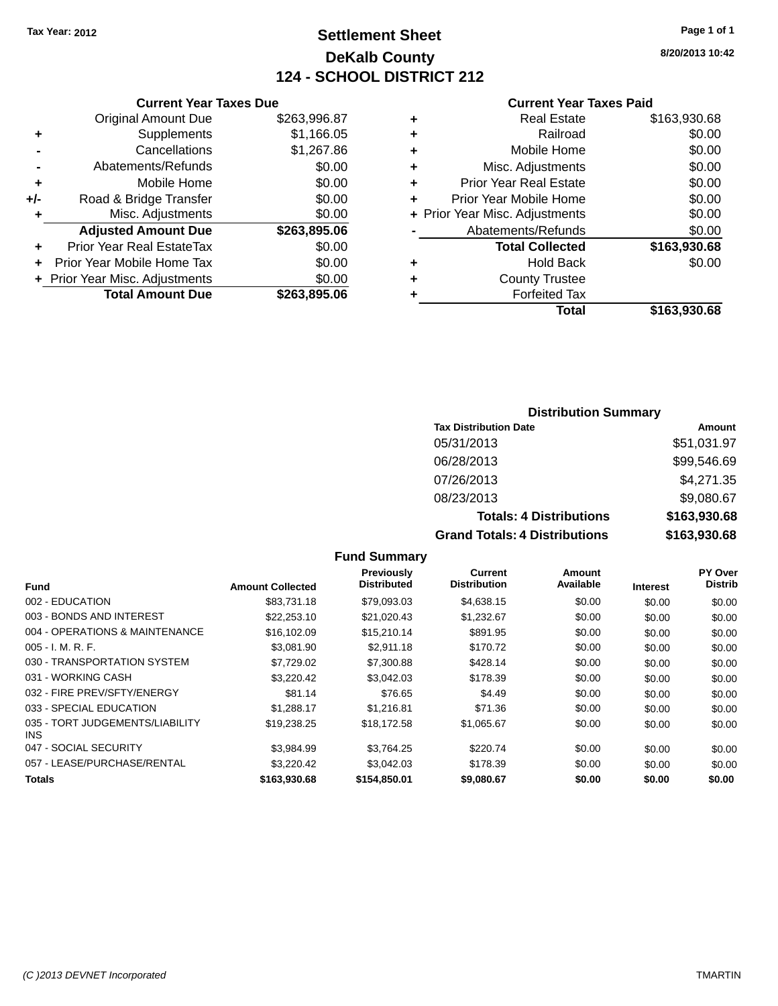## **Settlement Sheet Tax Year: 2012 Page 1 of 1 DeKalb County 124 - SCHOOL DISTRICT 212**

**8/20/2013 10:42**

#### **Current Year Taxes Paid**

|     | <b>Current Year Taxes Due</b>  |              |  |  |  |
|-----|--------------------------------|--------------|--|--|--|
|     | <b>Original Amount Due</b>     | \$263,996.87 |  |  |  |
| ٠   | Supplements                    | \$1,166.05   |  |  |  |
|     | Cancellations                  | \$1,267.86   |  |  |  |
|     | Abatements/Refunds             | \$0.00       |  |  |  |
| ٠   | Mobile Home                    | \$0.00       |  |  |  |
| +/- | Road & Bridge Transfer         | \$0.00       |  |  |  |
| ٠   | Misc. Adjustments              | \$0.00       |  |  |  |
|     | <b>Adjusted Amount Due</b>     | \$263,895.06 |  |  |  |
| ÷   | Prior Year Real EstateTax      | \$0.00       |  |  |  |
|     | Prior Year Mobile Home Tax     | \$0.00       |  |  |  |
|     | + Prior Year Misc. Adjustments | \$0.00       |  |  |  |
|     | <b>Total Amount Due</b>        | \$263,895.06 |  |  |  |
|     |                                |              |  |  |  |

|   | <b>Real Estate</b>             | \$163,930.68 |
|---|--------------------------------|--------------|
| ٠ | Railroad                       | \$0.00       |
| ٠ | Mobile Home                    | \$0.00       |
| ٠ | Misc. Adjustments              | \$0.00       |
| ٠ | <b>Prior Year Real Estate</b>  | \$0.00       |
| ٠ | Prior Year Mobile Home         | \$0.00       |
|   | + Prior Year Misc. Adjustments | \$0.00       |
|   | Abatements/Refunds             | \$0.00       |
|   | <b>Total Collected</b>         | \$163,930.68 |
| ٠ | <b>Hold Back</b>               | \$0.00       |
| ٠ | <b>County Trustee</b>          |              |
|   | <b>Forfeited Tax</b>           |              |
|   | Total                          | \$163,930.68 |
|   |                                |              |

### **Distribution Summary Tax Distribution Date Amount** 05/31/2013 \$51,031.97 06/28/2013 \$99,546.69 07/26/2013 \$4,271.35 08/23/2013 \$9,080.67

| <b>Totals: 4 Distributions</b>       | \$163,930.68 |
|--------------------------------------|--------------|
| <b>Grand Totals: 4 Distributions</b> | \$163,930.68 |

|                                         |                         | <b>Previously</b>  | Current             | Amount    |                 | PY Over        |
|-----------------------------------------|-------------------------|--------------------|---------------------|-----------|-----------------|----------------|
| <b>Fund</b>                             | <b>Amount Collected</b> | <b>Distributed</b> | <b>Distribution</b> | Available | <b>Interest</b> | <b>Distrib</b> |
| 002 - EDUCATION                         | \$83,731,18             | \$79,093.03        | \$4,638.15          | \$0.00    | \$0.00          | \$0.00         |
| 003 - BONDS AND INTEREST                | \$22,253.10             | \$21,020.43        | \$1,232.67          | \$0.00    | \$0.00          | \$0.00         |
| 004 - OPERATIONS & MAINTENANCE          | \$16,102.09             | \$15,210.14        | \$891.95            | \$0.00    | \$0.00          | \$0.00         |
| $005 - I. M. R. F.$                     | \$3.081.90              | \$2.911.18         | \$170.72            | \$0.00    | \$0.00          | \$0.00         |
| 030 - TRANSPORTATION SYSTEM             | \$7.729.02              | \$7,300.88         | \$428.14            | \$0.00    | \$0.00          | \$0.00         |
| 031 - WORKING CASH                      | \$3,220.42              | \$3.042.03         | \$178.39            | \$0.00    | \$0.00          | \$0.00         |
| 032 - FIRE PREV/SFTY/ENERGY             | \$81.14                 | \$76.65            | \$4.49              | \$0.00    | \$0.00          | \$0.00         |
| 033 - SPECIAL EDUCATION                 | \$1.288.17              | \$1.216.81         | \$71.36             | \$0.00    | \$0.00          | \$0.00         |
| 035 - TORT JUDGEMENTS/LIABILITY<br>INS. | \$19,238,25             | \$18,172.58        | \$1,065.67          | \$0.00    | \$0.00          | \$0.00         |
| 047 - SOCIAL SECURITY                   | \$3.984.99              | \$3.764.25         | \$220.74            | \$0.00    | \$0.00          | \$0.00         |
| 057 - LEASE/PURCHASE/RENTAL             | \$3,220.42              | \$3.042.03         | \$178.39            | \$0.00    | \$0.00          | \$0.00         |
| <b>Totals</b>                           | \$163,930.68            | \$154,850.01       | \$9,080.67          | \$0.00    | \$0.00          | \$0.00         |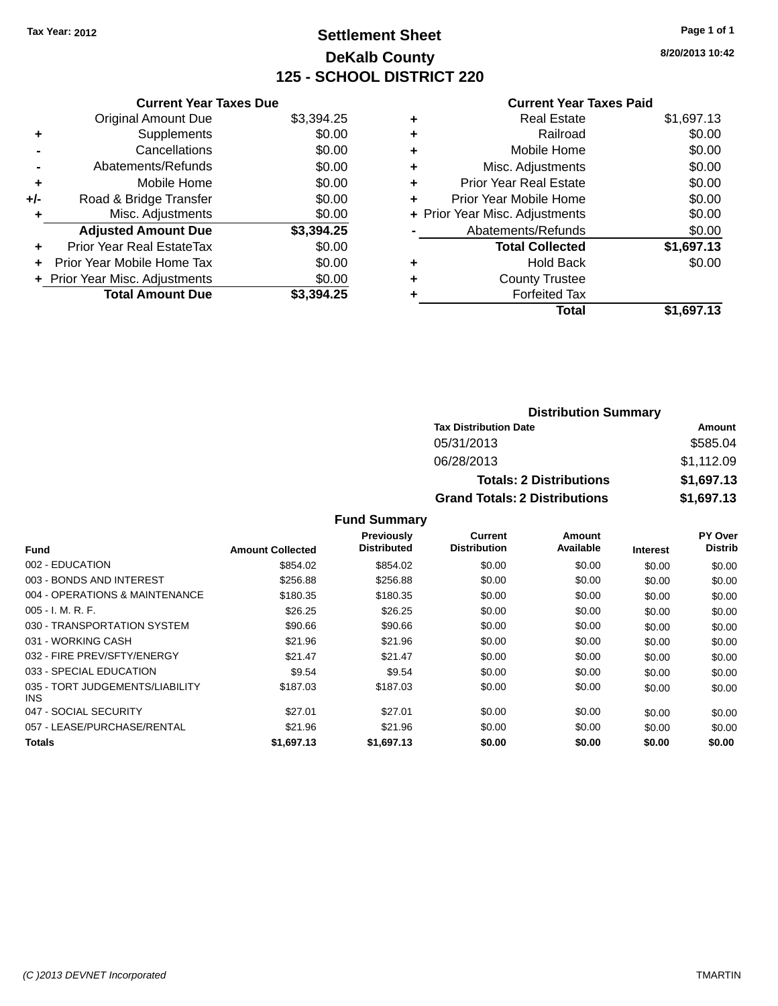## **Settlement Sheet Tax Year: 2012 Page 1 of 1 DeKalb County 125 - SCHOOL DISTRICT 220**

**8/20/2013 10:42**

#### **Current Year Taxes Paid**

| <b>Current Year Taxes Due</b> |                                |
|-------------------------------|--------------------------------|
| <b>Original Amount Due</b>    | \$3,394.25                     |
| Supplements                   | \$0.00                         |
| Cancellations                 | \$0.00                         |
| Abatements/Refunds            | \$0.00                         |
| Mobile Home                   | \$0.00                         |
| Road & Bridge Transfer        | \$0.00                         |
| Misc. Adjustments             | \$0.00                         |
| <b>Adjusted Amount Due</b>    | \$3,394.25                     |
| Prior Year Real EstateTax     | \$0.00                         |
| Prior Year Mobile Home Tax    | \$0.00                         |
|                               | \$0.00                         |
| <b>Total Amount Due</b>       | \$3.394.25                     |
|                               | + Prior Year Misc. Adjustments |

| ٠ | <b>Real Estate</b>             | \$1,697.13 |
|---|--------------------------------|------------|
| ٠ | Railroad                       | \$0.00     |
| ٠ | Mobile Home                    | \$0.00     |
| ٠ | Misc. Adjustments              | \$0.00     |
| ٠ | <b>Prior Year Real Estate</b>  | \$0.00     |
| ٠ | Prior Year Mobile Home         | \$0.00     |
|   | + Prior Year Misc. Adjustments | \$0.00     |
|   | Abatements/Refunds             | \$0.00     |
|   | <b>Total Collected</b>         | \$1,697.13 |
| ٠ | <b>Hold Back</b>               | \$0.00     |
| ٠ | <b>County Trustee</b>          |            |
| ٠ | <b>Forfeited Tax</b>           |            |
|   | <b>Total</b>                   | \$1,697.13 |
|   |                                |            |

| <b>Distribution Summary</b>          |            |  |  |  |
|--------------------------------------|------------|--|--|--|
| <b>Tax Distribution Date</b>         | Amount     |  |  |  |
| 05/31/2013                           | \$585.04   |  |  |  |
| 06/28/2013                           | \$1,112.09 |  |  |  |
| <b>Totals: 2 Distributions</b>       | \$1,697.13 |  |  |  |
| <b>Grand Totals: 2 Distributions</b> | \$1,697.13 |  |  |  |

|                                         |                         | <b>Previously</b>  | <b>Current</b>      | Amount    |                 | <b>PY Over</b> |
|-----------------------------------------|-------------------------|--------------------|---------------------|-----------|-----------------|----------------|
| <b>Fund</b>                             | <b>Amount Collected</b> | <b>Distributed</b> | <b>Distribution</b> | Available | <b>Interest</b> | <b>Distrib</b> |
| 002 - EDUCATION                         | \$854.02                | \$854.02           | \$0.00              | \$0.00    | \$0.00          | \$0.00         |
| 003 - BONDS AND INTEREST                | \$256.88                | \$256.88           | \$0.00              | \$0.00    | \$0.00          | \$0.00         |
| 004 - OPERATIONS & MAINTENANCE          | \$180.35                | \$180.35           | \$0.00              | \$0.00    | \$0.00          | \$0.00         |
| $005 - I. M. R. F.$                     | \$26.25                 | \$26.25            | \$0.00              | \$0.00    | \$0.00          | \$0.00         |
| 030 - TRANSPORTATION SYSTEM             | \$90.66                 | \$90.66            | \$0.00              | \$0.00    | \$0.00          | \$0.00         |
| 031 - WORKING CASH                      | \$21.96                 | \$21.96            | \$0.00              | \$0.00    | \$0.00          | \$0.00         |
| 032 - FIRE PREV/SFTY/ENERGY             | \$21.47                 | \$21.47            | \$0.00              | \$0.00    | \$0.00          | \$0.00         |
| 033 - SPECIAL EDUCATION                 | \$9.54                  | \$9.54             | \$0.00              | \$0.00    | \$0.00          | \$0.00         |
| 035 - TORT JUDGEMENTS/LIABILITY<br>INS. | \$187.03                | \$187.03           | \$0.00              | \$0.00    | \$0.00          | \$0.00         |
| 047 - SOCIAL SECURITY                   | \$27.01                 | \$27.01            | \$0.00              | \$0.00    | \$0.00          | \$0.00         |
| 057 - LEASE/PURCHASE/RENTAL             | \$21.96                 | \$21.96            | \$0.00              | \$0.00    | \$0.00          | \$0.00         |
| <b>Totals</b>                           | \$1,697.13              | \$1,697.13         | \$0.00              | \$0.00    | \$0.00          | \$0.00         |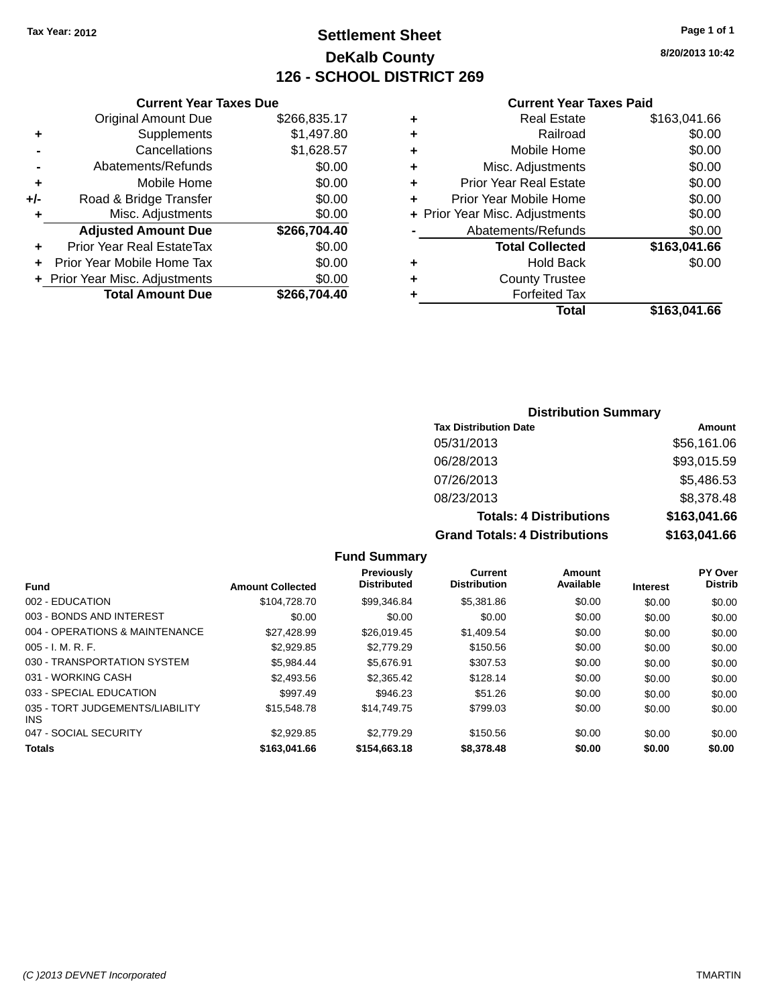## **Settlement Sheet Tax Year: 2012 Page 1 of 1 DeKalb County 126 - SCHOOL DISTRICT 269**

**8/20/2013 10:42**

#### **Current Year Taxes Paid**

|     | <b>Current Year Taxes Due</b>  |              |
|-----|--------------------------------|--------------|
|     | <b>Original Amount Due</b>     | \$266,835.17 |
| ٠   | Supplements                    | \$1,497.80   |
|     | Cancellations                  | \$1,628.57   |
|     | Abatements/Refunds             | \$0.00       |
| ٠   | Mobile Home                    | \$0.00       |
| +/- | Road & Bridge Transfer         | \$0.00       |
| ٠   | Misc. Adjustments              | \$0.00       |
|     | <b>Adjusted Amount Due</b>     | \$266,704.40 |
|     | Prior Year Real EstateTax      | \$0.00       |
|     | Prior Year Mobile Home Tax     | \$0.00       |
|     | + Prior Year Misc. Adjustments | \$0.00       |
|     | <b>Total Amount Due</b>        | \$266.704.40 |
|     |                                |              |

|   | <b>Real Estate</b>             | \$163,041.66 |
|---|--------------------------------|--------------|
| ٠ | Railroad                       | \$0.00       |
| ٠ | Mobile Home                    | \$0.00       |
| ٠ | Misc. Adjustments              | \$0.00       |
| ٠ | <b>Prior Year Real Estate</b>  | \$0.00       |
| ٠ | Prior Year Mobile Home         | \$0.00       |
|   | + Prior Year Misc. Adjustments | \$0.00       |
|   | Abatements/Refunds             | \$0.00       |
|   | <b>Total Collected</b>         | \$163,041.66 |
| ٠ | <b>Hold Back</b>               | \$0.00       |
|   | <b>County Trustee</b>          |              |
| ٠ | <b>Forfeited Tax</b>           |              |
|   | Total                          | \$163,041.66 |
|   |                                |              |

### **Distribution Summary Tax Distribution Date Amount** 05/31/2013 \$56,161.06 06/28/2013 \$93,015.59 07/26/2013 \$5,486.53 08/23/2013 \$8,378.48 **Totals: 4 Distributions \$163,041.66 Grand Totals: 4 Distributions \$163,041.66**

|                                               |                         | .                                       |                                       |                            |                 |                                  |
|-----------------------------------------------|-------------------------|-----------------------------------------|---------------------------------------|----------------------------|-----------------|----------------------------------|
| Fund                                          | <b>Amount Collected</b> | <b>Previously</b><br><b>Distributed</b> | <b>Current</b><br><b>Distribution</b> | <b>Amount</b><br>Available | <b>Interest</b> | <b>PY Over</b><br><b>Distrib</b> |
| 002 - EDUCATION                               | \$104.728.70            | \$99,346.84                             | \$5,381.86                            | \$0.00                     | \$0.00          | \$0.00                           |
| 003 - BONDS AND INTEREST                      | \$0.00                  | \$0.00                                  | \$0.00                                | \$0.00                     | \$0.00          | \$0.00                           |
| 004 - OPERATIONS & MAINTENANCE                | \$27.428.99             | \$26,019.45                             | \$1,409.54                            | \$0.00                     | \$0.00          | \$0.00                           |
| $005 - I. M. R. F.$                           | \$2,929.85              | \$2,779.29                              | \$150.56                              | \$0.00                     | \$0.00          | \$0.00                           |
| 030 - TRANSPORTATION SYSTEM                   | \$5.984.44              | \$5.676.91                              | \$307.53                              | \$0.00                     | \$0.00          | \$0.00                           |
| 031 - WORKING CASH                            | \$2,493.56              | \$2.365.42                              | \$128.14                              | \$0.00                     | \$0.00          | \$0.00                           |
| 033 - SPECIAL EDUCATION                       | \$997.49                | \$946.23                                | \$51.26                               | \$0.00                     | \$0.00          | \$0.00                           |
| 035 - TORT JUDGEMENTS/LIABILITY<br><b>INS</b> | \$15,548.78             | \$14,749.75                             | \$799.03                              | \$0.00                     | \$0.00          | \$0.00                           |
| 047 - SOCIAL SECURITY                         | \$2,929.85              | \$2,779.29                              | \$150.56                              | \$0.00                     | \$0.00          | \$0.00                           |
| <b>Totals</b>                                 | \$163,041,66            | \$154,663,18                            | \$8,378,48                            | \$0.00                     | \$0.00          | \$0.00                           |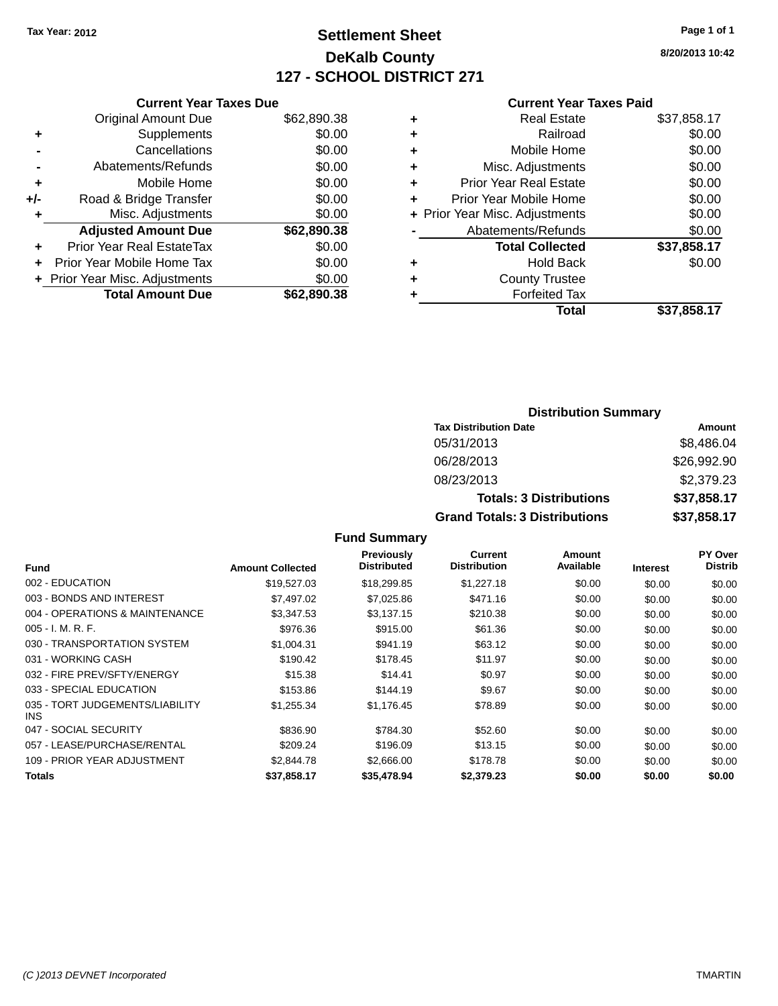## **Settlement Sheet Tax Year: 2012 Page 1 of 1 DeKalb County 127 - SCHOOL DISTRICT 271**

**8/20/2013 10:42**

#### **Current Year Taxes Paid**

|     | <b>Current Year Taxes Due</b>  |             |
|-----|--------------------------------|-------------|
|     | <b>Original Amount Due</b>     | \$62,890.38 |
| ٠   | Supplements                    | \$0.00      |
|     | Cancellations                  | \$0.00      |
|     | Abatements/Refunds             | \$0.00      |
| ٠   | Mobile Home                    | \$0.00      |
| +/- | Road & Bridge Transfer         | \$0.00      |
| ٠   | Misc. Adjustments              | \$0.00      |
|     | <b>Adjusted Amount Due</b>     | \$62,890.38 |
| ÷   | Prior Year Real EstateTax      | \$0.00      |
|     | Prior Year Mobile Home Tax     | \$0.00      |
|     | + Prior Year Misc. Adjustments | \$0.00      |
|     | <b>Total Amount Due</b>        | \$62,890,38 |
|     |                                |             |

| ٠ | <b>Real Estate</b>             | \$37,858.17 |
|---|--------------------------------|-------------|
| ٠ | Railroad                       | \$0.00      |
| ٠ | Mobile Home                    | \$0.00      |
| ٠ | Misc. Adjustments              | \$0.00      |
| ٠ | <b>Prior Year Real Estate</b>  | \$0.00      |
| ٠ | Prior Year Mobile Home         | \$0.00      |
|   | + Prior Year Misc. Adjustments | \$0.00      |
|   | Abatements/Refunds             | \$0.00      |
|   | <b>Total Collected</b>         | \$37,858.17 |
| ٠ | <b>Hold Back</b>               | \$0.00      |
| ٠ | <b>County Trustee</b>          |             |
| ٠ | <b>Forfeited Tax</b>           |             |
|   | Total                          | \$37,858.17 |
|   |                                |             |

### **Distribution Summary Tax Distribution Date Amount** 05/31/2013 \$8,486.04 06/28/2013 \$26,992.90 08/23/2013 \$2,379.23 **Totals: 3 Distributions \$37,858.17 Grand Totals: 3 Distributions \$37,858.17**

| <b>Fund</b>                             | <b>Amount Collected</b> | Previously<br><b>Distributed</b> | Current<br><b>Distribution</b> | Amount<br>Available | <b>Interest</b> | <b>PY Over</b><br><b>Distrib</b> |
|-----------------------------------------|-------------------------|----------------------------------|--------------------------------|---------------------|-----------------|----------------------------------|
| 002 - EDUCATION                         | \$19,527.03             | \$18,299.85                      | \$1,227.18                     | \$0.00              | \$0.00          | \$0.00                           |
| 003 - BONDS AND INTEREST                | \$7.497.02              | \$7,025.86                       | \$471.16                       | \$0.00              | \$0.00          | \$0.00                           |
| 004 - OPERATIONS & MAINTENANCE          | \$3,347.53              | \$3,137.15                       | \$210.38                       | \$0.00              | \$0.00          | \$0.00                           |
| $005 - I. M. R. F.$                     | \$976.36                | \$915.00                         | \$61.36                        | \$0.00              | \$0.00          | \$0.00                           |
| 030 - TRANSPORTATION SYSTEM             | \$1,004.31              | \$941.19                         | \$63.12                        | \$0.00              | \$0.00          | \$0.00                           |
| 031 - WORKING CASH                      | \$190.42                | \$178.45                         | \$11.97                        | \$0.00              | \$0.00          | \$0.00                           |
| 032 - FIRE PREV/SFTY/ENERGY             | \$15.38                 | \$14.41                          | \$0.97                         | \$0.00              | \$0.00          | \$0.00                           |
| 033 - SPECIAL EDUCATION                 | \$153.86                | \$144.19                         | \$9.67                         | \$0.00              | \$0.00          | \$0.00                           |
| 035 - TORT JUDGEMENTS/LIABILITY<br>INS. | \$1,255.34              | \$1,176.45                       | \$78.89                        | \$0.00              | \$0.00          | \$0.00                           |
| 047 - SOCIAL SECURITY                   | \$836.90                | \$784.30                         | \$52.60                        | \$0.00              | \$0.00          | \$0.00                           |
| 057 - LEASE/PURCHASE/RENTAL             | \$209.24                | \$196.09                         | \$13.15                        | \$0.00              | \$0.00          | \$0.00                           |
| 109 - PRIOR YEAR ADJUSTMENT             | \$2.844.78              | \$2,666.00                       | \$178.78                       | \$0.00              | \$0.00          | \$0.00                           |
| Totals                                  | \$37.858.17             | \$35,478.94                      | \$2,379.23                     | \$0.00              | \$0.00          | \$0.00                           |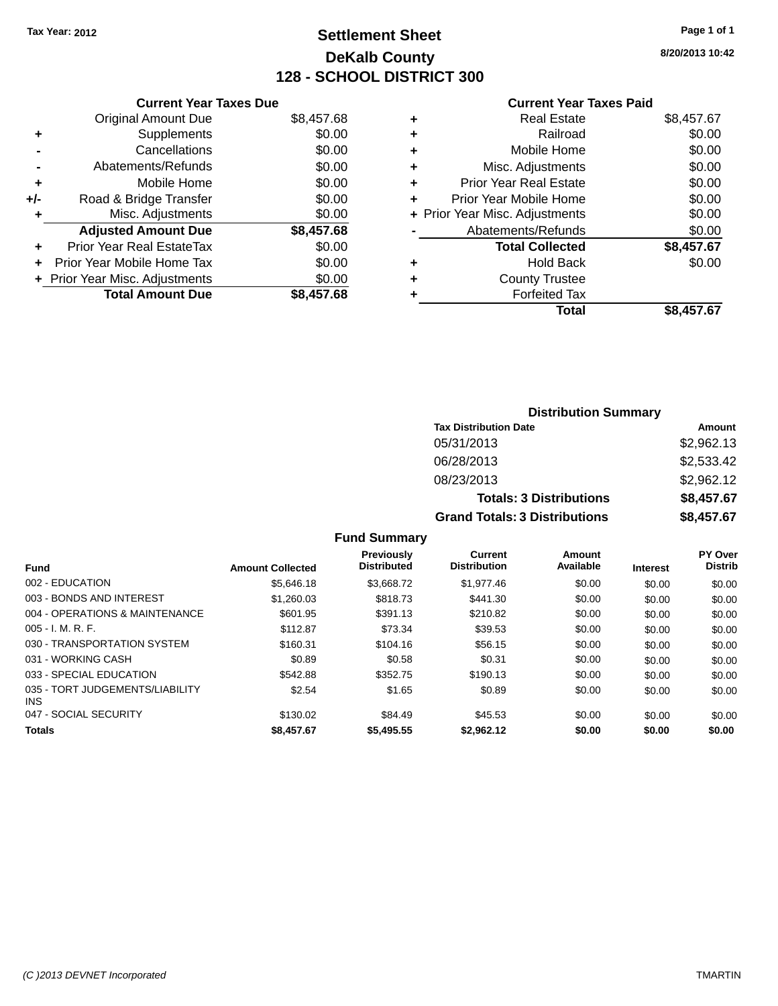## **Settlement Sheet Tax Year: 2012 Page 1 of 1 DeKalb County 128 - SCHOOL DISTRICT 300**

**8/20/2013 10:42**

#### **Current Year Taxes Paid**

|     | <b>Current Year Taxes Due</b>    |            |
|-----|----------------------------------|------------|
|     | <b>Original Amount Due</b>       | \$8,457.68 |
| ٠   | Supplements                      | \$0.00     |
|     | Cancellations                    | \$0.00     |
|     | Abatements/Refunds               | \$0.00     |
| ٠   | Mobile Home                      | \$0.00     |
| +/- | Road & Bridge Transfer           | \$0.00     |
| ٠   | Misc. Adjustments                | \$0.00     |
|     | <b>Adjusted Amount Due</b>       | \$8,457.68 |
| ٠   | <b>Prior Year Real EstateTax</b> | \$0.00     |
| ÷   | Prior Year Mobile Home Tax       | \$0.00     |
|     | + Prior Year Misc. Adjustments   | \$0.00     |
|     | <b>Total Amount Due</b>          | \$8,457.68 |

| Real Estate                    | \$8,457.67 |
|--------------------------------|------------|
| Railroad                       | \$0.00     |
| Mobile Home                    | \$0.00     |
| Misc. Adjustments              | \$0.00     |
| <b>Prior Year Real Estate</b>  | \$0.00     |
| Prior Year Mobile Home         | \$0.00     |
| + Prior Year Misc. Adjustments | \$0.00     |
| Abatements/Refunds             | \$0.00     |
| <b>Total Collected</b>         | \$8,457.67 |
| <b>Hold Back</b>               | \$0.00     |
| <b>County Trustee</b>          |            |
| <b>Forfeited Tax</b>           |            |
| <b>Total</b>                   | \$8,457.67 |
|                                |            |

| <b>Distribution Summary</b>          |            |  |  |  |
|--------------------------------------|------------|--|--|--|
| <b>Tax Distribution Date</b>         | Amount     |  |  |  |
| 05/31/2013                           | \$2,962.13 |  |  |  |
| 06/28/2013                           | \$2,533.42 |  |  |  |
| 08/23/2013                           | \$2,962.12 |  |  |  |
| <b>Totals: 3 Distributions</b>       | \$8,457.67 |  |  |  |
| <b>Grand Totals: 3 Distributions</b> | \$8,457.67 |  |  |  |

| <b>Fund</b>                             | <b>Amount Collected</b> | <b>Previously</b><br><b>Distributed</b> | Current<br><b>Distribution</b> | Amount<br>Available | <b>Interest</b> | <b>PY Over</b><br><b>Distrib</b> |
|-----------------------------------------|-------------------------|-----------------------------------------|--------------------------------|---------------------|-----------------|----------------------------------|
| 002 - EDUCATION                         | \$5,646.18              | \$3.668.72                              | \$1,977.46                     | \$0.00              | \$0.00          | \$0.00                           |
| 003 - BONDS AND INTEREST                | \$1,260.03              | \$818.73                                | \$441.30                       | \$0.00              | \$0.00          | \$0.00                           |
| 004 - OPERATIONS & MAINTENANCE          | \$601.95                | \$391.13                                | \$210.82                       | \$0.00              | \$0.00          | \$0.00                           |
| $005 - I. M. R. F.$                     | \$112.87                | \$73.34                                 | \$39.53                        | \$0.00              | \$0.00          | \$0.00                           |
| 030 - TRANSPORTATION SYSTEM             | \$160.31                | \$104.16                                | \$56.15                        | \$0.00              | \$0.00          | \$0.00                           |
| 031 - WORKING CASH                      | \$0.89                  | \$0.58                                  | \$0.31                         | \$0.00              | \$0.00          | \$0.00                           |
| 033 - SPECIAL EDUCATION                 | \$542.88                | \$352.75                                | \$190.13                       | \$0.00              | \$0.00          | \$0.00                           |
| 035 - TORT JUDGEMENTS/LIABILITY<br>INS. | \$2.54                  | \$1.65                                  | \$0.89                         | \$0.00              | \$0.00          | \$0.00                           |
| 047 - SOCIAL SECURITY                   | \$130.02                | \$84.49                                 | \$45.53                        | \$0.00              | \$0.00          | \$0.00                           |
| <b>Totals</b>                           | \$8,457.67              | \$5,495.55                              | \$2.962.12                     | \$0.00              | \$0.00          | \$0.00                           |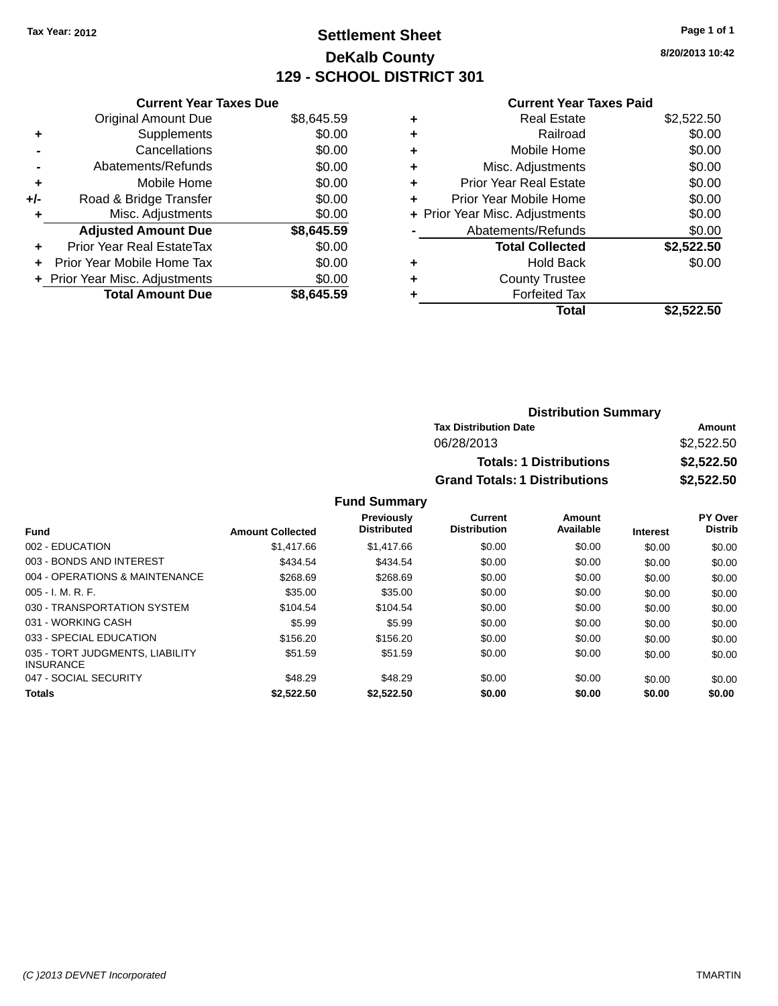## **Settlement Sheet Tax Year: 2012 Page 1 of 1 DeKalb County 129 - SCHOOL DISTRICT 301**

**8/20/2013 10:42**

#### **Current Year Taxes Paid**

|     | <b>Current Year Taxes Due</b>  |            |
|-----|--------------------------------|------------|
|     | <b>Original Amount Due</b>     | \$8,645.59 |
| ÷   | Supplements                    | \$0.00     |
|     | Cancellations                  | \$0.00     |
|     | Abatements/Refunds             | \$0.00     |
| ٠   | Mobile Home                    | \$0.00     |
| +/- | Road & Bridge Transfer         | \$0.00     |
| ٠   | Misc. Adjustments              | \$0.00     |
|     | <b>Adjusted Amount Due</b>     | \$8,645.59 |
| ÷   | Prior Year Real EstateTax      | \$0.00     |
| ÷   | Prior Year Mobile Home Tax     | \$0.00     |
|     | + Prior Year Misc. Adjustments | \$0.00     |
|     | <b>Total Amount Due</b>        | \$8.645.59 |

| ٠ | <b>Real Estate</b>             | \$2,522.50 |
|---|--------------------------------|------------|
| ٠ | Railroad                       | \$0.00     |
| ٠ | Mobile Home                    | \$0.00     |
| ٠ | Misc. Adjustments              | \$0.00     |
| ٠ | <b>Prior Year Real Estate</b>  | \$0.00     |
| ٠ | Prior Year Mobile Home         | \$0.00     |
|   | + Prior Year Misc. Adjustments | \$0.00     |
|   | Abatements/Refunds             | \$0.00     |
|   | <b>Total Collected</b>         | \$2,522.50 |
| ٠ | <b>Hold Back</b>               | \$0.00     |
| ٠ | <b>County Trustee</b>          |            |
| ٠ | <b>Forfeited Tax</b>           |            |
|   | Total                          | \$2.522.50 |
|   |                                |            |

| <b>Distribution Summary</b>          |            |
|--------------------------------------|------------|
| <b>Tax Distribution Date</b>         | Amount     |
| 06/28/2013                           | \$2,522.50 |
| <b>Totals: 1 Distributions</b>       | \$2,522.50 |
| <b>Grand Totals: 1 Distributions</b> | \$2,522.50 |

| <b>Fund</b>                                         | <b>Amount Collected</b> | <b>Previously</b><br><b>Distributed</b> | Current<br><b>Distribution</b> | Amount<br>Available | <b>Interest</b> | PY Over<br><b>Distrib</b> |
|-----------------------------------------------------|-------------------------|-----------------------------------------|--------------------------------|---------------------|-----------------|---------------------------|
| 002 - EDUCATION                                     | \$1,417.66              | \$1,417.66                              | \$0.00                         | \$0.00              | \$0.00          | \$0.00                    |
| 003 - BONDS AND INTEREST                            | \$434.54                | \$434.54                                | \$0.00                         | \$0.00              | \$0.00          | \$0.00                    |
| 004 - OPERATIONS & MAINTENANCE                      | \$268.69                | \$268.69                                | \$0.00                         | \$0.00              | \$0.00          | \$0.00                    |
| $005 - I. M. R. F.$                                 | \$35.00                 | \$35.00                                 | \$0.00                         | \$0.00              | \$0.00          | \$0.00                    |
| 030 - TRANSPORTATION SYSTEM                         | \$104.54                | \$104.54                                | \$0.00                         | \$0.00              | \$0.00          | \$0.00                    |
| 031 - WORKING CASH                                  | \$5.99                  | \$5.99                                  | \$0.00                         | \$0.00              | \$0.00          | \$0.00                    |
| 033 - SPECIAL EDUCATION                             | \$156.20                | \$156.20                                | \$0.00                         | \$0.00              | \$0.00          | \$0.00                    |
| 035 - TORT JUDGMENTS, LIABILITY<br><b>INSURANCE</b> | \$51.59                 | \$51.59                                 | \$0.00                         | \$0.00              | \$0.00          | \$0.00                    |
| 047 - SOCIAL SECURITY                               | \$48.29                 | \$48.29                                 | \$0.00                         | \$0.00              | \$0.00          | \$0.00                    |
| <b>Totals</b>                                       | \$2.522.50              | \$2,522.50                              | \$0.00                         | \$0.00              | \$0.00          | \$0.00                    |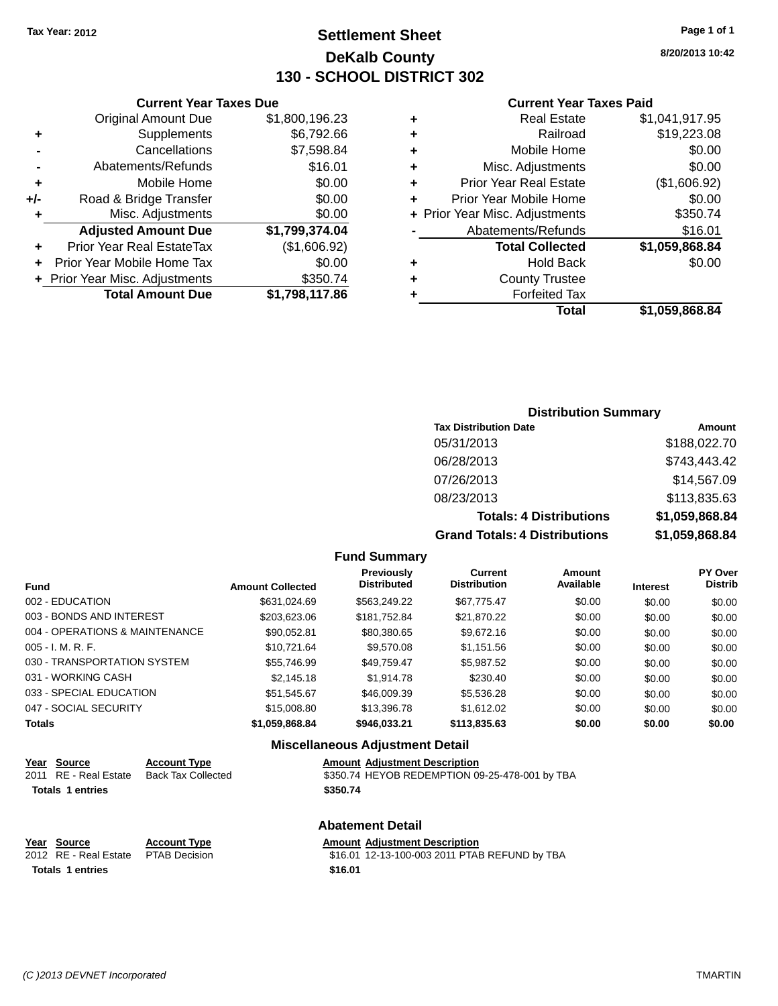## **Settlement Sheet Tax Year: 2012 Page 1 of 1 DeKalb County 130 - SCHOOL DISTRICT 302**

**8/20/2013 10:42**

#### **Current Year Taxes Paid**

|     | <b>Current Year Taxes Due</b>  |                |
|-----|--------------------------------|----------------|
|     | <b>Original Amount Due</b>     | \$1,800,196.23 |
| ٠   | Supplements                    | \$6,792.66     |
|     | Cancellations                  | \$7,598.84     |
|     | Abatements/Refunds             | \$16.01        |
| ٠   | Mobile Home                    | \$0.00         |
| +/- | Road & Bridge Transfer         | \$0.00         |
| ٠   | Misc. Adjustments              | \$0.00         |
|     | <b>Adjusted Amount Due</b>     | \$1,799,374.04 |
| ٠   | Prior Year Real EstateTax      | (\$1,606.92)   |
| ٠   | Prior Year Mobile Home Tax     | \$0.00         |
|     | + Prior Year Misc. Adjustments | \$350.74       |
|     | <b>Total Amount Due</b>        | \$1,798,117.86 |

### **Distribution Summary**

| <b>Tax Distribution Date</b>         | Amount         |
|--------------------------------------|----------------|
| 05/31/2013                           | \$188,022.70   |
| 06/28/2013                           | \$743,443.42   |
| 07/26/2013                           | \$14,567.09    |
| 08/23/2013                           | \$113,835.63   |
| <b>Totals: 4 Distributions</b>       | \$1,059,868.84 |
| <b>Grand Totals: 4 Distributions</b> | \$1,059,868.84 |

#### **Fund Summary**

| <b>Fund</b>                    | <b>Amount Collected</b> | <b>Previously</b><br><b>Distributed</b> | Current<br><b>Distribution</b> | Amount<br>Available | <b>Interest</b> | <b>PY Over</b><br><b>Distrib</b> |
|--------------------------------|-------------------------|-----------------------------------------|--------------------------------|---------------------|-----------------|----------------------------------|
|                                |                         |                                         |                                |                     |                 |                                  |
| 002 - EDUCATION                | \$631.024.69            | \$563,249.22                            | \$67,775.47                    | \$0.00              | \$0.00          | \$0.00                           |
| 003 - BONDS AND INTEREST       | \$203,623.06            | \$181,752.84                            | \$21,870.22                    | \$0.00              | \$0.00          | \$0.00                           |
| 004 - OPERATIONS & MAINTENANCE | \$90,052.81             | \$80,380.65                             | \$9.672.16                     | \$0.00              | \$0.00          | \$0.00                           |
| $005 - I. M. R. F.$            | \$10.721.64             | \$9,570.08                              | \$1,151.56                     | \$0.00              | \$0.00          | \$0.00                           |
| 030 - TRANSPORTATION SYSTEM    | \$55,746.99             | \$49.759.47                             | \$5,987.52                     | \$0.00              | \$0.00          | \$0.00                           |
| 031 - WORKING CASH             | \$2,145.18              | \$1,914.78                              | \$230.40                       | \$0.00              | \$0.00          | \$0.00                           |
| 033 - SPECIAL EDUCATION        | \$51,545.67             | \$46,009.39                             | \$5,536.28                     | \$0.00              | \$0.00          | \$0.00                           |
| 047 - SOCIAL SECURITY          | \$15,008.80             | \$13,396.78                             | \$1.612.02                     | \$0.00              | \$0.00          | \$0.00                           |
| <b>Totals</b>                  | \$1,059,868.84          | \$946,033.21                            | \$113,835.63                   | \$0.00              | \$0.00          | \$0.00                           |

### **Miscellaneous Adjustment Detail**

| Year Source             | <b>Account Type</b>       | <b>Amount Adjustment Description</b>           |
|-------------------------|---------------------------|------------------------------------------------|
| 2011 RE - Real Estate   | <b>Back Tax Collected</b> | \$350.74 HEYOB REDEMPTION 09-25-478-001 by TBA |
| <b>Totals 1 entries</b> |                           | \$350.74                                       |
|                         |                           | <b>Abatement Detail</b>                        |
| Year Source             | <b>Account Type</b>       | <b>Amount Adjustment Description</b>           |
| 2012 RE - Real Estate   | <b>PTAB Decision</b>      | \$16.01 12-13-100-003 2011 PTAB REFUND by TBA  |

**Totals 1 entries \$16.01**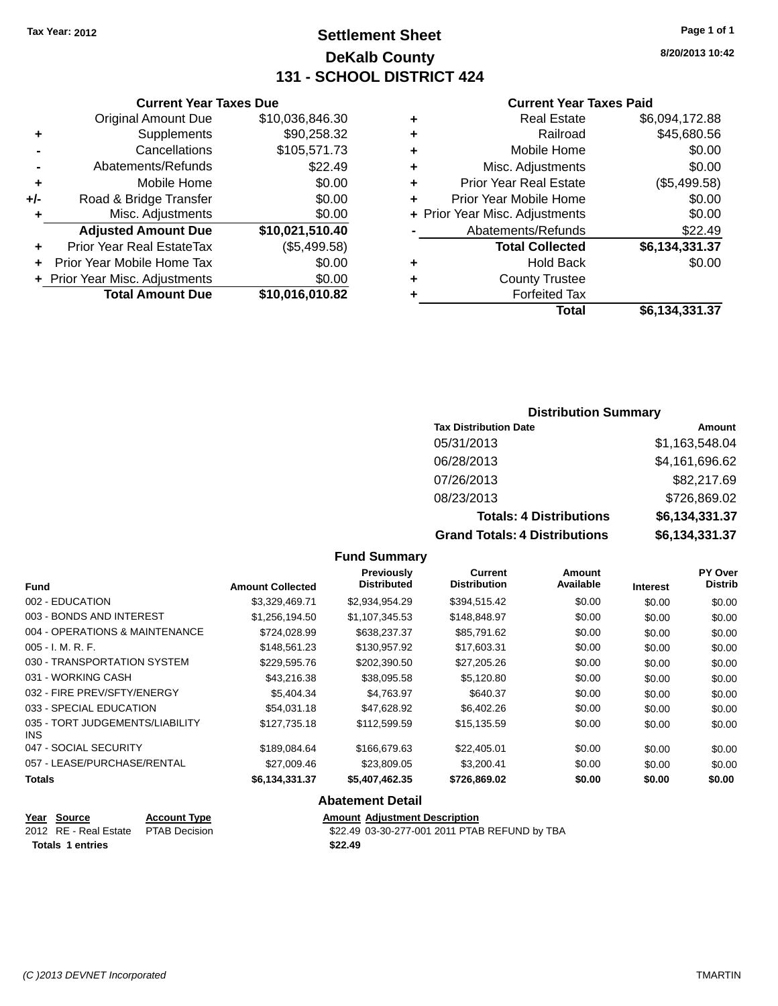## **Settlement Sheet Tax Year: 2012 Page 1 of 1 DeKalb County 131 - SCHOOL DISTRICT 424**

**8/20/2013 10:42**

#### **Current Year Taxes Paid**

| ٠ | <b>Real Estate</b>             | \$6,094,172.88 |
|---|--------------------------------|----------------|
| ٠ | Railroad                       | \$45,680.56    |
| ٠ | Mobile Home                    | \$0.00         |
| ٠ | Misc. Adjustments              | \$0.00         |
| ٠ | <b>Prior Year Real Estate</b>  | (\$5,499.58)   |
| ٠ | Prior Year Mobile Home         | \$0.00         |
|   | + Prior Year Misc. Adjustments | \$0.00         |
|   | Abatements/Refunds             | \$22.49        |
|   | <b>Total Collected</b>         | \$6,134,331.37 |
| ٠ | <b>Hold Back</b>               | \$0.00         |
| ٠ | <b>County Trustee</b>          |                |
|   | <b>Forfeited Tax</b>           |                |
|   | Total                          | \$6,134,331.37 |
|   |                                |                |

### **Current Year Taxes Due** Original Amount Due \$10,036,846.30 **+** Supplements \$90,258.32 **-** Cancellations \$105,571.73 **-** Abatements/Refunds \$22.49 **+** Mobile Home \$0.00 **+/-** Road & Bridge Transfer \$0.00 **+** Misc. Adjustments \$0.00 **Adjusted Amount Due \$10,021,510.40 +** Prior Year Real EstateTax (\$5,499.58) **+** Prior Year Mobile Home Tax \$0.00 **+ Prior Year Misc. Adjustments**  $$0.00$ **Total Amount Due \$10,016,010.82**

### **Distribution Summary**

| <b>Tax Distribution Date</b>         | Amount         |
|--------------------------------------|----------------|
| 05/31/2013                           | \$1,163,548.04 |
| 06/28/2013                           | \$4,161,696.62 |
| 07/26/2013                           | \$82,217.69    |
| 08/23/2013                           | \$726,869.02   |
| <b>Totals: 4 Distributions</b>       | \$6,134,331.37 |
| <b>Grand Totals: 4 Distributions</b> | \$6,134,331.37 |

#### **Fund Summary**

|                                         |                         | Previously         | Current             | Amount    |                 | PY Over        |
|-----------------------------------------|-------------------------|--------------------|---------------------|-----------|-----------------|----------------|
| <b>Fund</b>                             | <b>Amount Collected</b> | <b>Distributed</b> | <b>Distribution</b> | Available | <b>Interest</b> | <b>Distrib</b> |
| 002 - EDUCATION                         | \$3,329,469.71          | \$2,934,954.29     | \$394,515.42        | \$0.00    | \$0.00          | \$0.00         |
| 003 - BONDS AND INTEREST                | \$1,256,194.50          | \$1,107,345.53     | \$148,848.97        | \$0.00    | \$0.00          | \$0.00         |
| 004 - OPERATIONS & MAINTENANCE          | \$724,028.99            | \$638,237.37       | \$85,791.62         | \$0.00    | \$0.00          | \$0.00         |
| $005 - I. M. R. F.$                     | \$148,561.23            | \$130,957.92       | \$17,603.31         | \$0.00    | \$0.00          | \$0.00         |
| 030 - TRANSPORTATION SYSTEM             | \$229,595.76            | \$202,390.50       | \$27,205.26         | \$0.00    | \$0.00          | \$0.00         |
| 031 - WORKING CASH                      | \$43,216.38             | \$38,095.58        | \$5,120.80          | \$0.00    | \$0.00          | \$0.00         |
| 032 - FIRE PREV/SFTY/ENERGY             | \$5,404.34              | \$4,763.97         | \$640.37            | \$0.00    | \$0.00          | \$0.00         |
| 033 - SPECIAL EDUCATION                 | \$54,031.18             | \$47,628.92        | \$6,402.26          | \$0.00    | \$0.00          | \$0.00         |
| 035 - TORT JUDGEMENTS/LIABILITY<br>INS. | \$127.735.18            | \$112,599.59       | \$15,135.59         | \$0.00    | \$0.00          | \$0.00         |
| 047 - SOCIAL SECURITY                   | \$189,084.64            | \$166,679.63       | \$22,405.01         | \$0.00    | \$0.00          | \$0.00         |
| 057 - LEASE/PURCHASE/RENTAL             | \$27,009.46             | \$23,809.05        | \$3.200.41          | \$0.00    | \$0.00          | \$0.00         |
| <b>Totals</b>                           | \$6,134,331.37          | \$5,407,462.35     | \$726,869.02        | \$0.00    | \$0.00          | \$0.00         |

#### **Abatement Detail**

| Year<br>Source                      | <b>Account Type</b> |         | <b>Amount Adiustment Description</b> |
|-------------------------------------|---------------------|---------|--------------------------------------|
| 2012 RE - Real Estate PTAB Decision |                     |         | \$22.49 03-30-277-001 2011 PTAI      |
| <b>Totals 1 entries</b>             |                     | \$22.49 |                                      |

 $\overline{49}$  03-30-277-001 2011 PTAB REFUND by TBA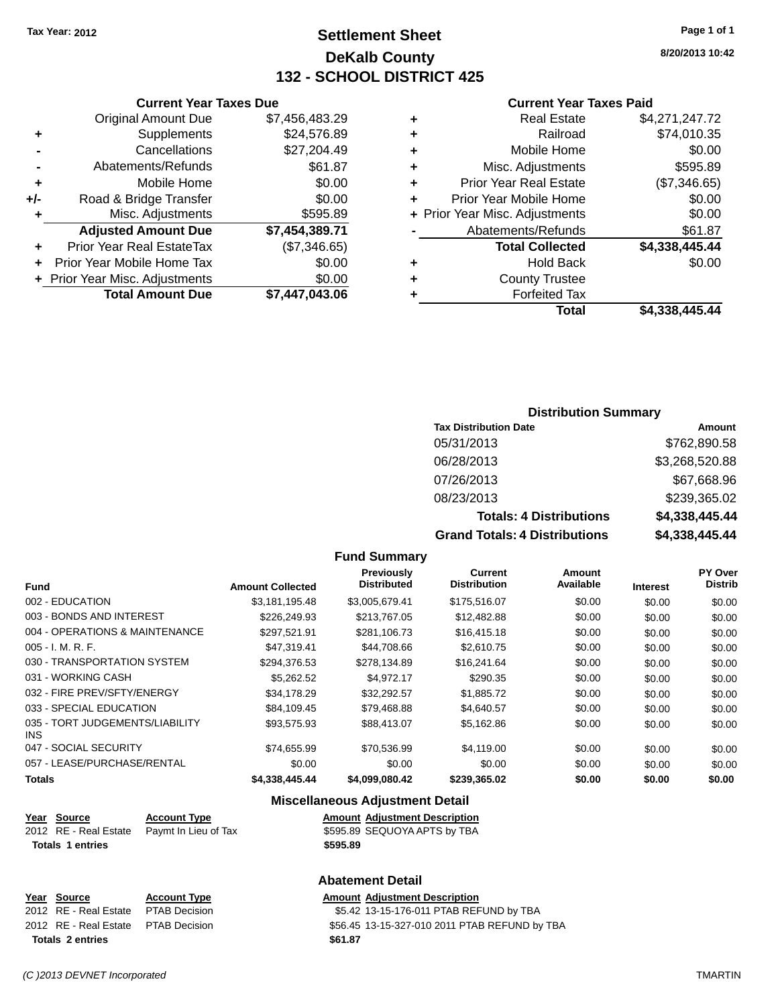## **Settlement Sheet Tax Year: 2012 Page 1 of 1 DeKalb County 132 - SCHOOL DISTRICT 425**

**8/20/2013 10:42**

#### **Current Year Taxes Paid**

| ٠ | <b>Real Estate</b>             | \$4,271,247.72 |
|---|--------------------------------|----------------|
| ٠ | Railroad                       | \$74,010.35    |
| ٠ | Mobile Home                    | \$0.00         |
| ٠ | Misc. Adjustments              | \$595.89       |
| ٠ | <b>Prior Year Real Estate</b>  | (\$7,346.65)   |
| ٠ | Prior Year Mobile Home         | \$0.00         |
|   | + Prior Year Misc. Adjustments | \$0.00         |
|   | Abatements/Refunds             | \$61.87        |
|   | <b>Total Collected</b>         | \$4,338,445.44 |
| ٠ | <b>Hold Back</b>               | \$0.00         |
| ٠ | <b>County Trustee</b>          |                |
|   | <b>Forfeited Tax</b>           |                |
|   | Total                          | \$4,338,445.44 |

### **Current Year Taxes Due** Original Amount Due \$7,456,483.29 **+** Supplements \$24,576.89 **-** Cancellations \$27,204.49 **-** Abatements/Refunds \$61.87 **+** Mobile Home \$0.00 **+/-** Road & Bridge Transfer \$0.00 **+** Misc. Adjustments \$595.89 **Adjusted Amount Due \$7,454,389.71 +** Prior Year Real EstateTax (\$7,346.65) **+** Prior Year Mobile Home Tax \$0.00 **+** Prior Year Misc. Adjustments  $$0.00$ **Total Amount Due \$7,447,043.06**

#### **Distribution Summary**

| <b>Tax Distribution Date</b>         | Amount         |
|--------------------------------------|----------------|
| 05/31/2013                           | \$762,890.58   |
| 06/28/2013                           | \$3,268,520.88 |
| 07/26/2013                           | \$67,668.96    |
| 08/23/2013                           | \$239,365.02   |
| <b>Totals: 4 Distributions</b>       | \$4,338,445.44 |
| <b>Grand Totals: 4 Distributions</b> | \$4,338,445.44 |

#### **Fund Summary**

|                                         |                         | Previously         | Current             | Amount    |                 | PY Over        |
|-----------------------------------------|-------------------------|--------------------|---------------------|-----------|-----------------|----------------|
| <b>Fund</b>                             | <b>Amount Collected</b> | <b>Distributed</b> | <b>Distribution</b> | Available | <b>Interest</b> | <b>Distrib</b> |
| 002 - EDUCATION                         | \$3,181,195.48          | \$3,005,679.41     | \$175,516.07        | \$0.00    | \$0.00          | \$0.00         |
| 003 - BONDS AND INTEREST                | \$226,249.93            | \$213,767.05       | \$12,482.88         | \$0.00    | \$0.00          | \$0.00         |
| 004 - OPERATIONS & MAINTENANCE          | \$297,521.91            | \$281,106.73       | \$16,415.18         | \$0.00    | \$0.00          | \$0.00         |
| $005 - I. M. R. F.$                     | \$47,319.41             | \$44,708.66        | \$2,610.75          | \$0.00    | \$0.00          | \$0.00         |
| 030 - TRANSPORTATION SYSTEM             | \$294.376.53            | \$278.134.89       | \$16,241.64         | \$0.00    | \$0.00          | \$0.00         |
| 031 - WORKING CASH                      | \$5,262.52              | \$4.972.17         | \$290.35            | \$0.00    | \$0.00          | \$0.00         |
| 032 - FIRE PREV/SFTY/ENERGY             | \$34,178.29             | \$32,292.57        | \$1,885.72          | \$0.00    | \$0.00          | \$0.00         |
| 033 - SPECIAL EDUCATION                 | \$84.109.45             | \$79.468.88        | \$4,640.57          | \$0.00    | \$0.00          | \$0.00         |
| 035 - TORT JUDGEMENTS/LIABILITY<br>INS. | \$93,575.93             | \$88,413.07        | \$5,162.86          | \$0.00    | \$0.00          | \$0.00         |
| 047 - SOCIAL SECURITY                   | \$74,655.99             | \$70,536.99        | \$4,119.00          | \$0.00    | \$0.00          | \$0.00         |
| 057 - LEASE/PURCHASE/RENTAL             | \$0.00                  | \$0.00             | \$0.00              | \$0.00    | \$0.00          | \$0.00         |
| Totals                                  | \$4,338,445,44          | \$4,099,080.42     | \$239,365.02        | \$0.00    | \$0.00          | \$0.00         |

#### **Miscellaneous Adjustment Detail**

| Year Source             | <b>Account Type</b>                        | <b>Amount Adjustment Description</b> |
|-------------------------|--------------------------------------------|--------------------------------------|
|                         | 2012 RE - Real Estate Paymt In Lieu of Tax | \$595.89 SEQUOYA APTS by TBA         |
| <b>Totals 1 entries</b> |                                            | \$595.89                             |

#### **Abatement Detail**

| Year Source |                         | <b>Account Type</b>                 | Amount  |
|-------------|-------------------------|-------------------------------------|---------|
|             |                         | 2012 RE - Real Estate PTAB Decision | \$5.42  |
|             |                         | 2012 RE - Real Estate PTAB Decision | \$56.45 |
|             | <b>Totals 2 entries</b> |                                     | \$61.87 |

**Amount Adjustment Description** \$5.42 13-15-176-011 PTAB REFUND by TBA \$56.45 13-15-327-010 2011 PTAB REFUND by TBA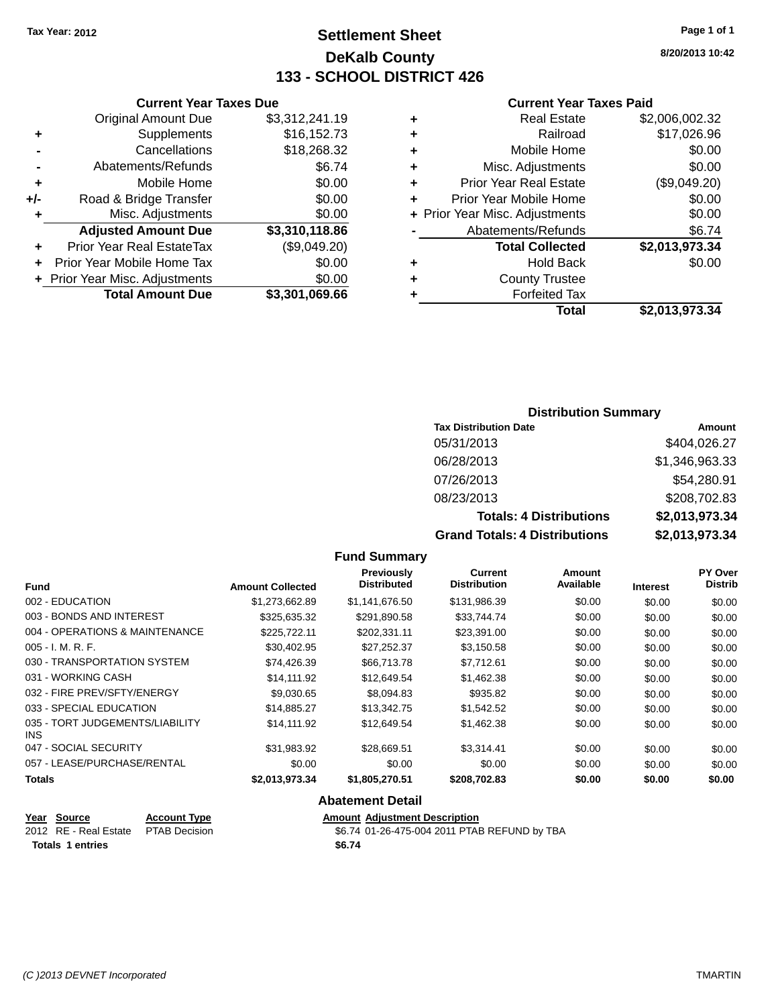## **Settlement Sheet Tax Year: 2012 Page 1 of 1 DeKalb County 133 - SCHOOL DISTRICT 426**

**8/20/2013 10:42**

#### **Current Year Taxes Paid**

|   | Total                          | \$2,013,973.34 |
|---|--------------------------------|----------------|
|   |                                |                |
|   | <b>Forfeited Tax</b>           |                |
| ٠ | <b>County Trustee</b>          |                |
| ٠ | <b>Hold Back</b>               | \$0.00         |
|   | <b>Total Collected</b>         | \$2,013,973.34 |
|   | Abatements/Refunds             | \$6.74         |
|   | + Prior Year Misc. Adjustments | \$0.00         |
| ٠ | Prior Year Mobile Home         | \$0.00         |
| ٠ | <b>Prior Year Real Estate</b>  | (\$9,049.20)   |
| ٠ | Misc. Adjustments              | \$0.00         |
| ٠ | Mobile Home                    | \$0.00         |
| ٠ | Railroad                       | \$17,026.96    |
| ٠ | <b>Real Estate</b>             | \$2,006,002.32 |
|   |                                |                |

|     | <b>Current Year Taxes Due</b> |                |
|-----|-------------------------------|----------------|
|     | <b>Original Amount Due</b>    | \$3,312,241.19 |
| ٠   | Supplements                   | \$16,152.73    |
|     | Cancellations                 | \$18,268.32    |
|     | Abatements/Refunds            | \$6.74         |
| ÷   | Mobile Home                   | \$0.00         |
| +/- | Road & Bridge Transfer        | \$0.00         |
| ÷   | Misc. Adjustments             | \$0.00         |
|     | <b>Adjusted Amount Due</b>    | \$3,310,118.86 |
| ٠   | Prior Year Real EstateTax     | (\$9,049.20)   |
| ÷   | Prior Year Mobile Home Tax    | \$0.00         |
|     | Prior Year Misc. Adjustments  | .ፍሰ ሰበ         |

| + Prior Year Misc. Adjustments | \$0.00         |
|--------------------------------|----------------|
| <b>Total Amount Due</b>        | \$3,301,069.66 |

### **Distribution Summary**

| <b>Tax Distribution Date</b>         | Amount         |
|--------------------------------------|----------------|
| 05/31/2013                           | \$404,026.27   |
| 06/28/2013                           | \$1,346,963.33 |
| 07/26/2013                           | \$54,280.91    |
| 08/23/2013                           | \$208,702.83   |
| <b>Totals: 4 Distributions</b>       | \$2,013,973.34 |
| <b>Grand Totals: 4 Distributions</b> | \$2,013,973.34 |

#### **Fund Summary**

|                                         |                         | <b>Previously</b>  | <b>Current</b>      | Amount    |                 | PY Over        |
|-----------------------------------------|-------------------------|--------------------|---------------------|-----------|-----------------|----------------|
| <b>Fund</b>                             | <b>Amount Collected</b> | <b>Distributed</b> | <b>Distribution</b> | Available | <b>Interest</b> | <b>Distrib</b> |
| 002 - EDUCATION                         | \$1,273,662.89          | \$1.141.676.50     | \$131,986.39        | \$0.00    | \$0.00          | \$0.00         |
| 003 - BONDS AND INTEREST                | \$325,635.32            | \$291,890.58       | \$33,744.74         | \$0.00    | \$0.00          | \$0.00         |
| 004 - OPERATIONS & MAINTENANCE          | \$225,722.11            | \$202,331.11       | \$23,391.00         | \$0.00    | \$0.00          | \$0.00         |
| $005 - I. M. R. F.$                     | \$30,402.95             | \$27,252.37        | \$3,150.58          | \$0.00    | \$0.00          | \$0.00         |
| 030 - TRANSPORTATION SYSTEM             | \$74.426.39             | \$66,713,78        | \$7.712.61          | \$0.00    | \$0.00          | \$0.00         |
| 031 - WORKING CASH                      | \$14,111.92             | \$12,649.54        | \$1,462.38          | \$0.00    | \$0.00          | \$0.00         |
| 032 - FIRE PREV/SFTY/ENERGY             | \$9.030.65              | \$8,094.83         | \$935.82            | \$0.00    | \$0.00          | \$0.00         |
| 033 - SPECIAL EDUCATION                 | \$14,885,27             | \$13,342.75        | \$1,542.52          | \$0.00    | \$0.00          | \$0.00         |
| 035 - TORT JUDGEMENTS/LIABILITY<br>INS. | \$14.111.92             | \$12.649.54        | \$1,462.38          | \$0.00    | \$0.00          | \$0.00         |
| 047 - SOCIAL SECURITY                   | \$31.983.92             | \$28,669.51        | \$3,314.41          | \$0.00    | \$0.00          | \$0.00         |
| 057 - LEASE/PURCHASE/RENTAL             | \$0.00                  | \$0.00             | \$0.00              | \$0.00    | \$0.00          | \$0.00         |
| Totals                                  | \$2,013,973.34          | \$1,805,270.51     | \$208,702.83        | \$0.00    | \$0.00          | \$0.00         |

#### **Abatement Detail**

| Year Source                         | <b>Account Type</b> | <b>Amount Adjustment Description</b> |
|-------------------------------------|---------------------|--------------------------------------|
| 2012 RE - Real Estate PTAB Decision |                     | \$6.74 01-26-475-004 2011 PTAE       |
| <b>Totals 1 entries</b>             |                     | \$6.74                               |

\$6.74 01-26-475-004 2011 PTAB REFUND by TBA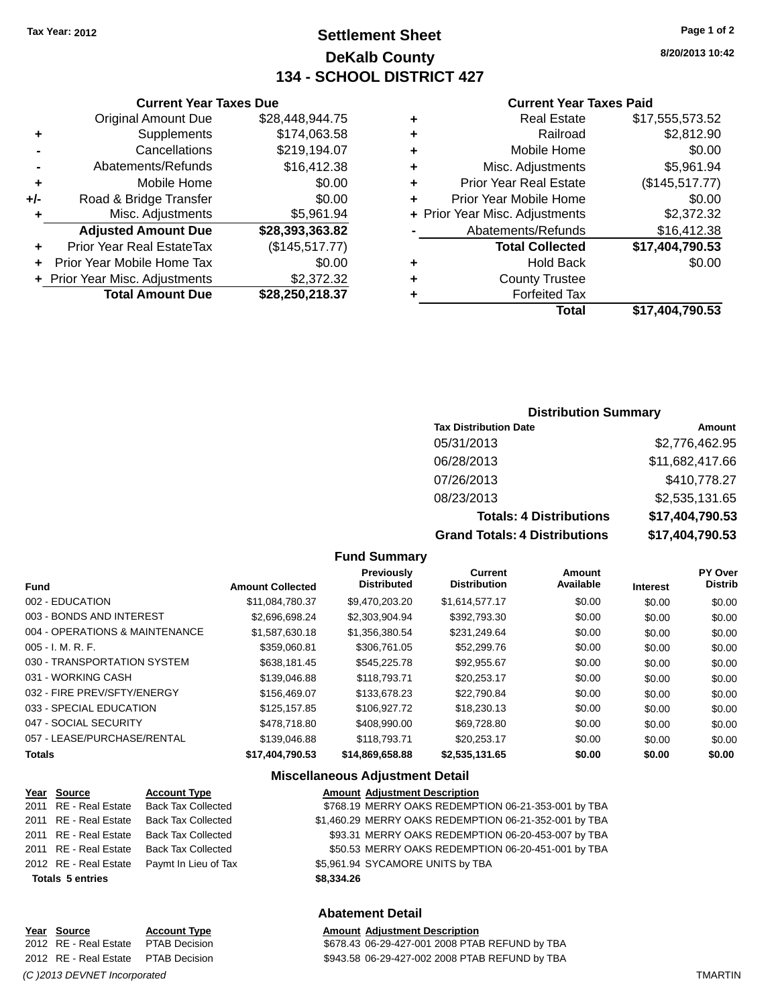## **Settlement Sheet Tax Year: 2012 Page 1 of 2 DeKalb County 134 - SCHOOL DISTRICT 427**

**8/20/2013 10:42**

#### **Current Year Taxes Paid**

| ٠ | <b>Real Estate</b>             | \$17,555,573.52 |
|---|--------------------------------|-----------------|
| ٠ | Railroad                       | \$2,812.90      |
| ٠ | Mobile Home                    | \$0.00          |
| ٠ | Misc. Adjustments              | \$5,961.94      |
| ٠ | <b>Prior Year Real Estate</b>  | (\$145,517.77)  |
| ٠ | Prior Year Mobile Home         | \$0.00          |
|   | + Prior Year Misc. Adjustments | \$2,372.32      |
|   | Abatements/Refunds             | \$16,412.38     |
|   | <b>Total Collected</b>         | \$17,404,790.53 |
| ٠ | <b>Hold Back</b>               | \$0.00          |
| ٠ | <b>County Trustee</b>          |                 |
| ٠ | <b>Forfeited Tax</b>           |                 |
|   | Total                          | \$17.404.790.53 |

|     | <b>Current Year Taxes Due</b>  |                 |  |  |
|-----|--------------------------------|-----------------|--|--|
|     | <b>Original Amount Due</b>     | \$28,448,944.75 |  |  |
| ٠   | Supplements                    | \$174,063.58    |  |  |
|     | Cancellations                  | \$219,194.07    |  |  |
|     | Abatements/Refunds             | \$16,412.38     |  |  |
| ٠   | Mobile Home                    | \$0.00          |  |  |
| +/- | Road & Bridge Transfer         | \$0.00          |  |  |
| ٠   | Misc. Adjustments              | \$5,961.94      |  |  |
|     | <b>Adjusted Amount Due</b>     | \$28,393,363.82 |  |  |
|     | Prior Year Real EstateTax      | (\$145,517.77)  |  |  |
|     | Prior Year Mobile Home Tax     | \$0.00          |  |  |
|     | + Prior Year Misc. Adjustments | \$2,372.32      |  |  |
|     | <b>Total Amount Due</b>        | \$28,250,218.37 |  |  |

### **Distribution Summary**

| <b>Tax Distribution Date</b>         | Amount          |
|--------------------------------------|-----------------|
| 05/31/2013                           | \$2,776,462.95  |
| 06/28/2013                           | \$11,682,417.66 |
| 07/26/2013                           | \$410,778.27    |
| 08/23/2013                           | \$2,535,131.65  |
| <b>Totals: 4 Distributions</b>       | \$17,404,790.53 |
| <b>Grand Totals: 4 Distributions</b> | \$17,404,790.53 |

#### **Fund Summary**

|                                |                         | Previously<br><b>Distributed</b> | <b>Current</b><br><b>Distribution</b> | Amount<br>Available |                 | PY Over<br><b>Distrib</b> |
|--------------------------------|-------------------------|----------------------------------|---------------------------------------|---------------------|-----------------|---------------------------|
| <b>Fund</b>                    | <b>Amount Collected</b> |                                  |                                       |                     | <b>Interest</b> |                           |
| 002 - EDUCATION                | \$11.084.780.37         | \$9.470.203.20                   | \$1,614,577.17                        | \$0.00              | \$0.00          | \$0.00                    |
| 003 - BONDS AND INTEREST       | \$2.696.698.24          | \$2,303,904.94                   | \$392,793.30                          | \$0.00              | \$0.00          | \$0.00                    |
| 004 - OPERATIONS & MAINTENANCE | \$1,587,630.18          | \$1,356,380.54                   | \$231,249.64                          | \$0.00              | \$0.00          | \$0.00                    |
| $005 - I. M. R. F.$            | \$359,060.81            | \$306,761.05                     | \$52,299.76                           | \$0.00              | \$0.00          | \$0.00                    |
| 030 - TRANSPORTATION SYSTEM    | \$638.181.45            | \$545,225.78                     | \$92,955.67                           | \$0.00              | \$0.00          | \$0.00                    |
| 031 - WORKING CASH             | \$139,046.88            | \$118,793,71                     | \$20.253.17                           | \$0.00              | \$0.00          | \$0.00                    |
| 032 - FIRE PREV/SFTY/ENERGY    | \$156,469.07            | \$133,678.23                     | \$22.790.84                           | \$0.00              | \$0.00          | \$0.00                    |
| 033 - SPECIAL EDUCATION        | \$125,157.85            | \$106,927.72                     | \$18,230.13                           | \$0.00              | \$0.00          | \$0.00                    |
| 047 - SOCIAL SECURITY          | \$478,718.80            | \$408,990,00                     | \$69,728.80                           | \$0.00              | \$0.00          | \$0.00                    |
| 057 - LEASE/PURCHASE/RENTAL    | \$139,046.88            | \$118,793,71                     | \$20.253.17                           | \$0.00              | \$0.00          | \$0.00                    |
| <b>Totals</b>                  | \$17,404,790.53         | \$14,869,658.88                  | \$2,535,131.65                        | \$0.00              | \$0.00          | \$0.00                    |

#### **Miscellaneous Adjustment Detail**

| Year Source             | <b>Account Type</b>                        |            | <b>Amount Adjustment Description</b>                  |
|-------------------------|--------------------------------------------|------------|-------------------------------------------------------|
| 2011 RE - Real Estate   | <b>Back Tax Collected</b>                  |            | \$768.19 MERRY OAKS REDEMPTION 06-21-353-001 by TBA   |
| 2011 RE - Real Estate   | <b>Back Tax Collected</b>                  |            | \$1,460.29 MERRY OAKS REDEMPTION 06-21-352-001 by TBA |
| 2011 RE - Real Estate   | <b>Back Tax Collected</b>                  |            | \$93.31 MERRY OAKS REDEMPTION 06-20-453-007 by TBA    |
| 2011 RE - Real Estate   | <b>Back Tax Collected</b>                  |            | \$50.53 MERRY OAKS REDEMPTION 06-20-451-001 by TBA    |
|                         | 2012 RE - Real Estate Paymt In Lieu of Tax |            | \$5,961.94 SYCAMORE UNITS by TBA                      |
| <b>Totals 5 entries</b> |                                            | \$8,334.26 |                                                       |
|                         |                                            |            |                                                       |

#### **Abatement Detail**

# \$678.43 06-29-427-001 2008 PTAB REFUND by TBA

**Year Source Account Type Amount Adjustment Description** 2012 RE - Real Estate PTAB Decision \$943.58 06-29-427-002 2008 PTAB REFUND by TBA

*(C )2013 DEVNET Incorporated* TMARTIN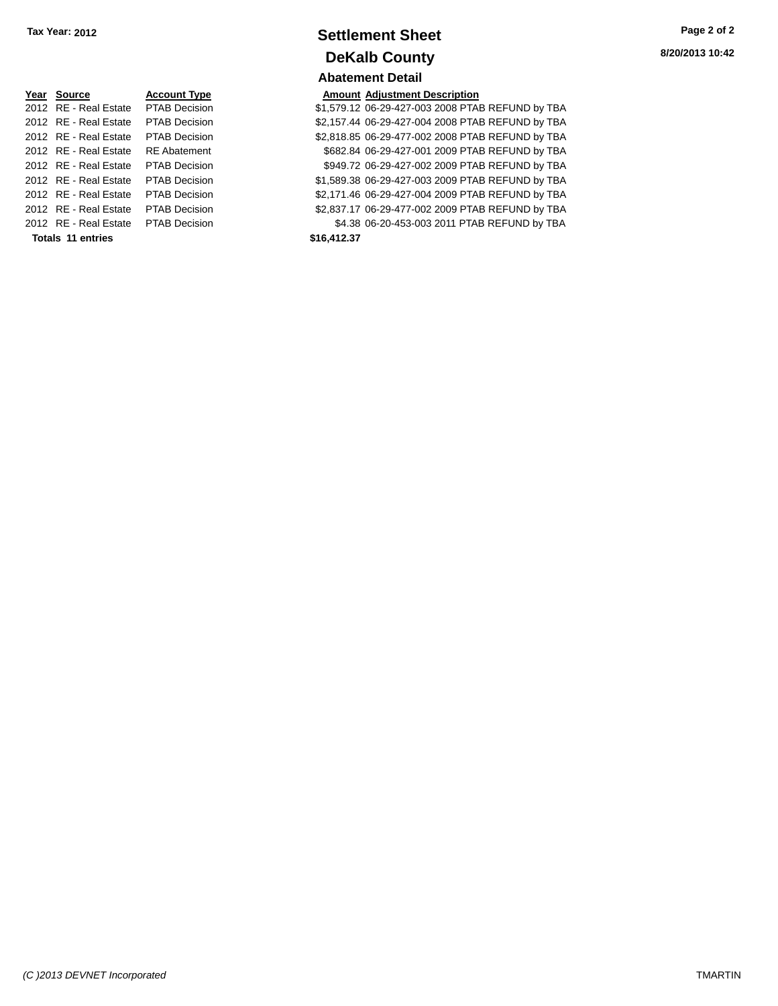| Year Source                         | <b>Account Type</b>  |             | <b>Amount Adjustment Description</b> |
|-------------------------------------|----------------------|-------------|--------------------------------------|
| 2012 RE - Real Estate               | <b>PTAB Decision</b> |             | \$1,579.12 06-29-427-003 2008 PTA    |
| 2012 RE - Real Estate               | <b>PTAB Decision</b> |             | \$2,157.44 06-29-427-004 2008 PTA    |
| 2012 RE - Real Estate               | <b>PTAB Decision</b> |             | \$2,818.85 06-29-477-002 2008 PTA    |
| 2012 RE - Real Estate               | <b>RE</b> Abatement  |             | \$682.84 06-29-427-001 2009 PTA      |
| 2012 RE - Real Estate               | <b>PTAB Decision</b> |             | \$949.72 06-29-427-002 2009 PTA      |
| 2012 RE - Real Estate               | <b>PTAB Decision</b> |             | \$1,589.38 06-29-427-003 2009 PTA    |
| 2012 RE - Real Estate               | <b>PTAB Decision</b> |             | \$2,171.46 06-29-427-004 2009 PTA    |
| 2012 RE - Real Estate               | <b>PTAB Decision</b> |             | \$2,837.17 06-29-477-002 2009 PTA    |
| 2012 RE - Real Estate PTAB Decision |                      |             | \$4.38 06-20-453-003 2011 PTA        |
| Totals 11 entries                   |                      | \$16,412.37 |                                      |

### **Settlement Sheet Tax Year: 2012 Page 2 of 2 DeKalb County Abatement Detail**

**8/20/2013 10:42**

|  | <b>Amount Adjustment Description</b> |  |
|--|--------------------------------------|--|

| Totals 11 entries                   |               | \$16,412.37 |                                                  |  |  |  |
|-------------------------------------|---------------|-------------|--------------------------------------------------|--|--|--|
| 2012 RE - Real Estate PTAB Decision |               |             | \$4.38 06-20-453-003 2011 PTAB REFUND by TBA     |  |  |  |
| 2012 RE - Real Estate               | PTAB Decision |             | \$2,837.17 06-29-477-002 2009 PTAB REFUND by TBA |  |  |  |
| 2012 RE - Real Estate               | PTAB Decision |             | \$2,171.46 06-29-427-004 2009 PTAB REFUND by TBA |  |  |  |
| 2012 RE - Real Estate PTAB Decision |               |             | \$1,589.38 06-29-427-003 2009 PTAB REFUND by TBA |  |  |  |
| 2012 RE - Real Estate PTAB Decision |               |             | \$949.72 06-29-427-002 2009 PTAB REFUND by TBA   |  |  |  |
| 2012 RE - Real Estate RE Abatement  |               |             | \$682.84 06-29-427-001 2009 PTAB REFUND by TBA   |  |  |  |
| 2012 RE - Real Estate               | PTAB Decision |             | \$2,818.85 06-29-477-002 2008 PTAB REFUND by TBA |  |  |  |
| 2012 RE - Real Estate PTAB Decision |               |             | \$2,157.44 06-29-427-004 2008 PTAB REFUND by TBA |  |  |  |
| 2012 RE - Real Estate PTAB Decision |               |             | \$1,579.12 06-29-427-003 2008 PTAB REFUND by TBA |  |  |  |
|                                     |               |             |                                                  |  |  |  |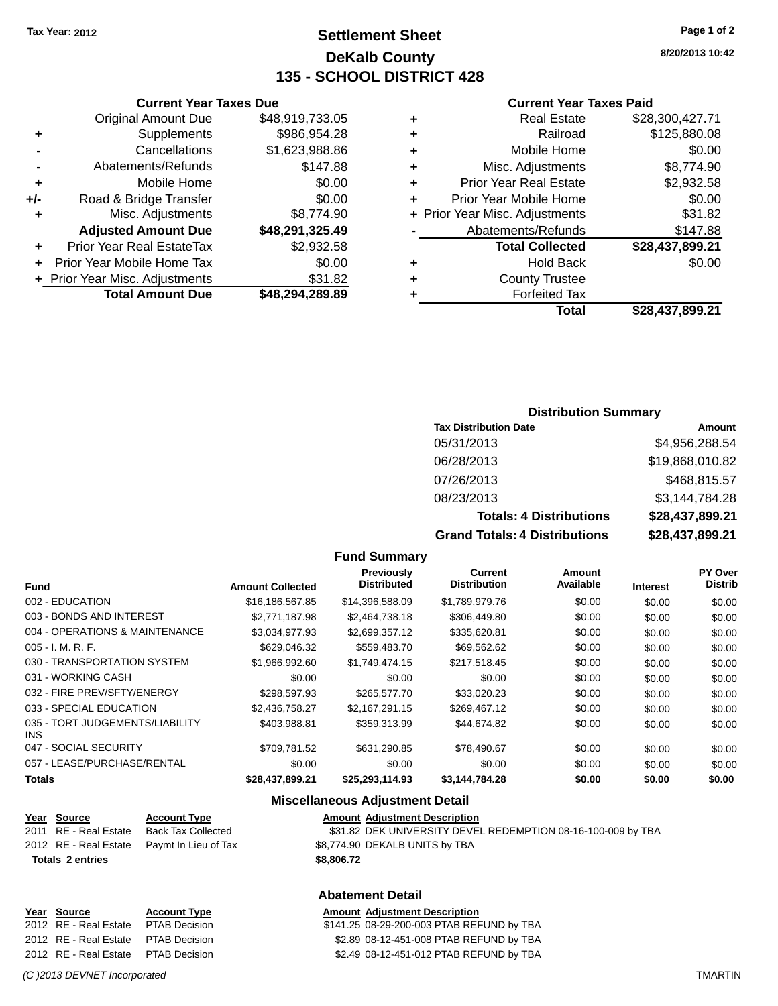## **Settlement Sheet Tax Year: 2012 Page 1 of 2 DeKalb County 135 - SCHOOL DISTRICT 428**

**8/20/2013 10:42**

#### **Current Year Taxes Paid**

|   | <b>Real Estate</b>             | \$28,300,427.71 |
|---|--------------------------------|-----------------|
| ٠ | Railroad                       | \$125,880.08    |
| ٠ | Mobile Home                    | \$0.00          |
| ٠ | Misc. Adjustments              | \$8,774.90      |
| ٠ | <b>Prior Year Real Estate</b>  | \$2,932.58      |
| ÷ | Prior Year Mobile Home         | \$0.00          |
|   | + Prior Year Misc. Adjustments | \$31.82         |
|   | Abatements/Refunds             | \$147.88        |
|   | <b>Total Collected</b>         | \$28,437,899.21 |
| ٠ | <b>Hold Back</b>               | \$0.00          |
| ٠ | <b>County Trustee</b>          |                 |
|   | <b>Forfeited Tax</b>           |                 |
|   | Total                          | \$28,437,899.21 |

### **Current Year Taxes Due** Original Amount Due \$48,919,733.05 **+** Supplements \$986,954.28 **-** Cancellations \$1,623,988.86 **-** Abatements/Refunds \$147.88 **+** Mobile Home \$0.00 **+/-** Road & Bridge Transfer \$0.00 **+** Misc. Adjustments \$8,774.90 **Adjusted Amount Due \$48,291,325.49 +** Prior Year Real EstateTax \$2,932.58 **+** Prior Year Mobile Home Tax \$0.00 **+** Prior Year Misc. Adjustments \$31.82

**Total Amount Due \$48,294,289.89**

#### **Distribution Summary**

| <b>Tax Distribution Date</b>         | Amount          |
|--------------------------------------|-----------------|
| 05/31/2013                           | \$4,956,288.54  |
| 06/28/2013                           | \$19,868,010.82 |
| 07/26/2013                           | \$468,815.57    |
| 08/23/2013                           | \$3,144,784.28  |
| <b>Totals: 4 Distributions</b>       | \$28,437,899.21 |
| <b>Grand Totals: 4 Distributions</b> | \$28,437,899.21 |

#### **Fund Summary**

|                                         |                         | Previously<br><b>Distributed</b> | Current<br><b>Distribution</b> | <b>Amount</b><br>Available |                 | PY Over<br><b>Distrib</b> |
|-----------------------------------------|-------------------------|----------------------------------|--------------------------------|----------------------------|-----------------|---------------------------|
| <b>Fund</b>                             | <b>Amount Collected</b> |                                  |                                |                            | <b>Interest</b> |                           |
| 002 - EDUCATION                         | \$16,186,567.85         | \$14,396,588.09                  | \$1,789,979.76                 | \$0.00                     | \$0.00          | \$0.00                    |
| 003 - BONDS AND INTEREST                | \$2,771,187.98          | \$2,464,738.18                   | \$306,449.80                   | \$0.00                     | \$0.00          | \$0.00                    |
| 004 - OPERATIONS & MAINTENANCE          | \$3,034,977.93          | \$2,699,357.12                   | \$335,620.81                   | \$0.00                     | \$0.00          | \$0.00                    |
| $005 - I. M. R. F.$                     | \$629,046.32            | \$559,483.70                     | \$69,562.62                    | \$0.00                     | \$0.00          | \$0.00                    |
| 030 - TRANSPORTATION SYSTEM             | \$1,966,992.60          | \$1,749,474.15                   | \$217,518.45                   | \$0.00                     | \$0.00          | \$0.00                    |
| 031 - WORKING CASH                      | \$0.00                  | \$0.00                           | \$0.00                         | \$0.00                     | \$0.00          | \$0.00                    |
| 032 - FIRE PREV/SFTY/ENERGY             | \$298,597.93            | \$265,577.70                     | \$33,020.23                    | \$0.00                     | \$0.00          | \$0.00                    |
| 033 - SPECIAL EDUCATION                 | \$2,436,758.27          | \$2.167.291.15                   | \$269,467.12                   | \$0.00                     | \$0.00          | \$0.00                    |
| 035 - TORT JUDGEMENTS/LIABILITY<br>INS. | \$403,988.81            | \$359,313.99                     | \$44,674.82                    | \$0.00                     | \$0.00          | \$0.00                    |
| 047 - SOCIAL SECURITY                   | \$709.781.52            | \$631,290.85                     | \$78,490.67                    | \$0.00                     | \$0.00          | \$0.00                    |
| 057 - LEASE/PURCHASE/RENTAL             | \$0.00                  | \$0.00                           | \$0.00                         | \$0.00                     | \$0.00          | \$0.00                    |
| <b>Totals</b>                           | \$28,437,899.21         | \$25,293,114.93                  | \$3,144,784.28                 | \$0.00                     | \$0.00          | \$0.00                    |

#### **Miscellaneous Adjustment Detail**

|  | Year Source             | <b>Account Type</b>                        |            | <b>Amount Adjustment Description</b>                         |
|--|-------------------------|--------------------------------------------|------------|--------------------------------------------------------------|
|  | 2011 RE - Real Estate   | Back Tax Collected                         |            | \$31.82 DEK UNIVERSITY DEVEL REDEMPTION 08-16-100-009 by TBA |
|  |                         | 2012 RE - Real Estate Paymt In Lieu of Tax |            | \$8,774.90 DEKALB UNITS by TBA                               |
|  | <b>Totals 2 entries</b> |                                            | \$8,806,72 |                                                              |
|  |                         |                                            |            |                                                              |

#### **Abatement Detail**

| Year Source                         | <b>Account Type</b> | <b>Amount Adjustment Description</b>      |
|-------------------------------------|---------------------|-------------------------------------------|
| 2012 RE - Real Estate PTAB Decision |                     | \$141.25 08-29-200-003 PTAB REFUND by TBA |
| 2012 RE - Real Estate PTAB Decision |                     | \$2.89 08-12-451-008 PTAB REFUND by TBA   |
| 2012 RE - Real Estate PTAB Decision |                     | \$2.49 08-12-451-012 PTAB REFUND by TBA   |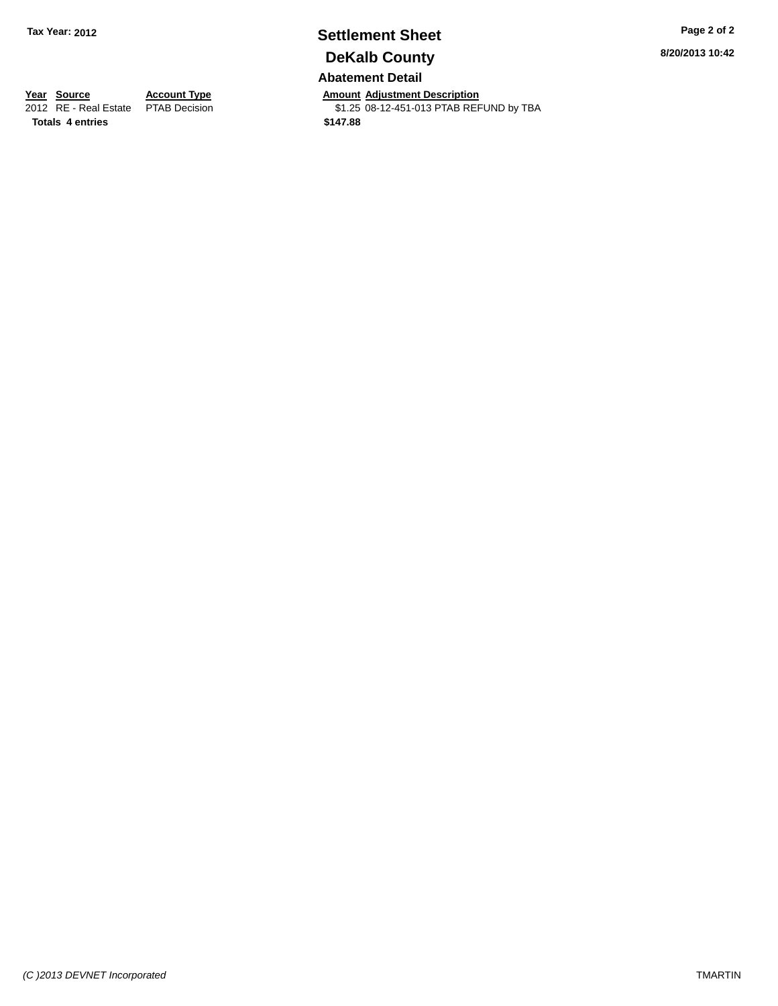# **Settlement Sheet Tax Year: 2012 Page 2 of 2 DeKalb County**

**Abatement Detail**

**Year Source Account Type Annount Adjustment Description**<br>2012 RE - Real Estate PTAB Decision **Amount Adjustment Description** \$1.25 08-12-451-013 PTAB REFUND by TBA

**Totals 4 entries \$147.88**

*(C )2013 DEVNET Incorporated* TMARTIN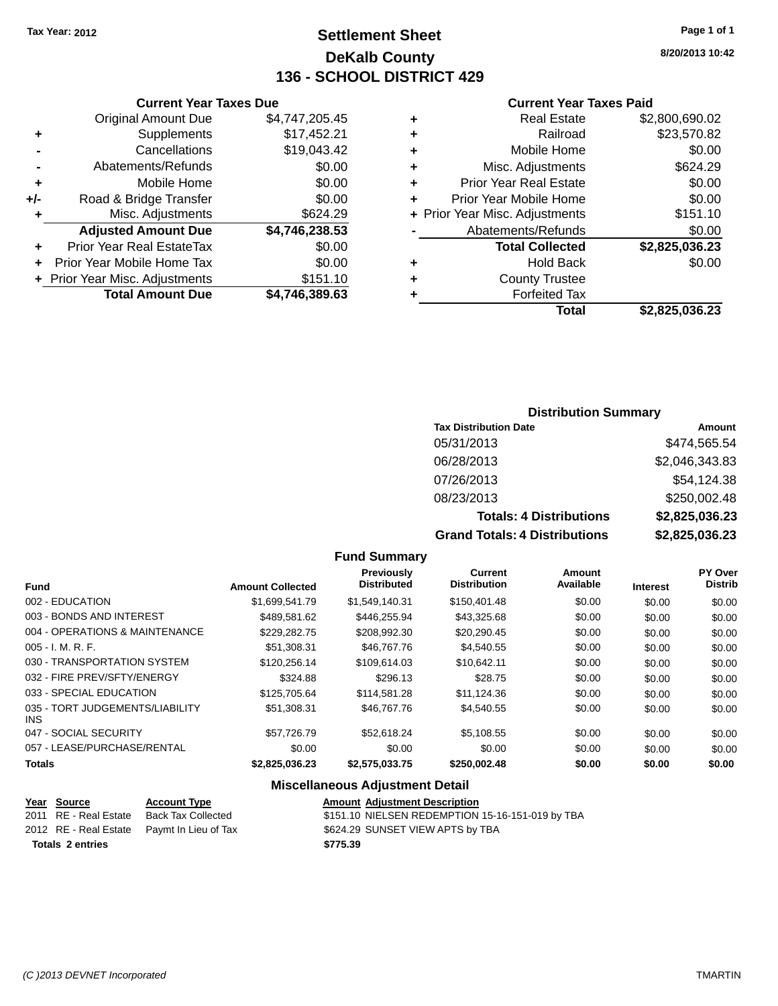## **Settlement Sheet Tax Year: 2012 Page 1 of 1 DeKalb County 136 - SCHOOL DISTRICT 429**

**8/20/2013 10:42**

#### **Current Year Taxes Paid**

|     | <b>Current Year Taxes Due</b>  |                | <b>Current Year Taxes Paid</b> |                                |                |
|-----|--------------------------------|----------------|--------------------------------|--------------------------------|----------------|
|     | Original Amount Due            | \$4,747,205.45 |                                | <b>Real Estate</b>             | \$2,800,690.02 |
| ٠   | Supplements                    | \$17,452.21    | ٠                              | Railroad                       | \$23,570.82    |
|     | Cancellations                  | \$19,043.42    | ٠                              | Mobile Home                    | \$0.00         |
|     | Abatements/Refunds             | \$0.00         | ٠                              | Misc. Adjustments              | \$624.29       |
| ٠   | Mobile Home                    | \$0.00         | ٠                              | <b>Prior Year Real Estate</b>  | \$0.00         |
| +/- | Road & Bridge Transfer         | \$0.00         |                                | Prior Year Mobile Home         | \$0.00         |
|     | Misc. Adjustments              | \$624.29       |                                | + Prior Year Misc. Adjustments | \$151.10       |
|     | <b>Adjusted Amount Due</b>     | \$4,746,238.53 |                                | Abatements/Refunds             | \$0.00         |
| ٠   | Prior Year Real EstateTax      | \$0.00         |                                | <b>Total Collected</b>         | \$2,825,036.23 |
| ÷.  | Prior Year Mobile Home Tax     | \$0.00         | ٠                              | <b>Hold Back</b>               | \$0.00         |
|     | + Prior Year Misc. Adjustments | \$151.10       | ٠                              | <b>County Trustee</b>          |                |
|     | <b>Total Amount Due</b>        | \$4,746,389.63 |                                | <b>Forfeited Tax</b>           |                |
|     |                                |                |                                | <b>Total</b>                   | \$2,825,036.23 |

| \$2,825,036.23 |  |
|----------------|--|

### **Distribution Summary**

| <b>Tax Distribution Date</b>         | Amount         |
|--------------------------------------|----------------|
| 05/31/2013                           | \$474,565.54   |
| 06/28/2013                           | \$2,046,343.83 |
| 07/26/2013                           | \$54,124.38    |
| 08/23/2013                           | \$250,002.48   |
| <b>Totals: 4 Distributions</b>       | \$2,825,036.23 |
| <b>Grand Totals: 4 Distributions</b> | \$2,825,036.23 |

#### **Fund Summary**

|                                         |                         | <b>Previously</b>  | <b>Current</b>      | Amount    |                 | <b>PY Over</b> |
|-----------------------------------------|-------------------------|--------------------|---------------------|-----------|-----------------|----------------|
| <b>Fund</b>                             | <b>Amount Collected</b> | <b>Distributed</b> | <b>Distribution</b> | Available | <b>Interest</b> | <b>Distrib</b> |
| 002 - EDUCATION                         | \$1,699,541.79          | \$1,549,140.31     | \$150,401.48        | \$0.00    | \$0.00          | \$0.00         |
| 003 - BONDS AND INTEREST                | \$489.581.62            | \$446.255.94       | \$43,325.68         | \$0.00    | \$0.00          | \$0.00         |
| 004 - OPERATIONS & MAINTENANCE          | \$229.282.75            | \$208,992.30       | \$20,290.45         | \$0.00    | \$0.00          | \$0.00         |
| $005 - I. M. R. F.$                     | \$51,308.31             | \$46,767.76        | \$4,540.55          | \$0.00    | \$0.00          | \$0.00         |
| 030 - TRANSPORTATION SYSTEM             | \$120,256.14            | \$109,614.03       | \$10,642.11         | \$0.00    | \$0.00          | \$0.00         |
| 032 - FIRE PREV/SFTY/ENERGY             | \$324.88                | \$296.13           | \$28.75             | \$0.00    | \$0.00          | \$0.00         |
| 033 - SPECIAL EDUCATION                 | \$125,705.64            | \$114.581.28       | \$11.124.36         | \$0.00    | \$0.00          | \$0.00         |
| 035 - TORT JUDGEMENTS/LIABILITY<br>INS. | \$51.308.31             | \$46,767.76        | \$4.540.55          | \$0.00    | \$0.00          | \$0.00         |
| 047 - SOCIAL SECURITY                   | \$57.726.79             | \$52,618.24        | \$5.108.55          | \$0.00    | \$0.00          | \$0.00         |
| 057 - LEASE/PURCHASE/RENTAL             | \$0.00                  | \$0.00             | \$0.00              | \$0.00    | \$0.00          | \$0.00         |
| <b>Totals</b>                           | \$2,825,036.23          | \$2,575,033.75     | \$250,002.48        | \$0.00    | \$0.00          | \$0.00         |

#### **Miscellaneous Adjustment Detail**

| Year Source             | <b>Account Type</b>                        | <b>Amount Adiustment Description</b>             |
|-------------------------|--------------------------------------------|--------------------------------------------------|
| 2011 RE - Real Estate   | Back Tax Collected                         | \$151.10 NIELSEN REDEMPTION 15-16-151-019 by TBA |
|                         | 2012 RE - Real Estate Paymt In Lieu of Tax | \$624.29 SUNSET VIEW APTS by TBA                 |
| <b>Totals 2 entries</b> |                                            | \$775.39                                         |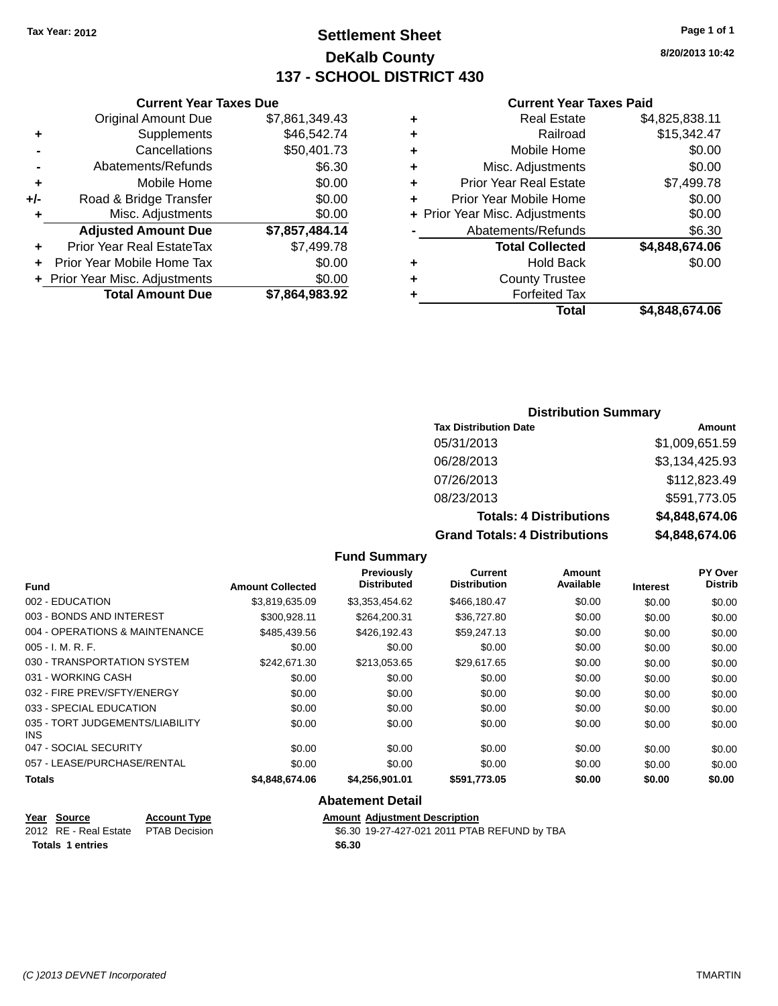## **Settlement Sheet Tax Year: 2012 Page 1 of 1 DeKalb County 137 - SCHOOL DISTRICT 430**

**8/20/2013 10:42**

#### **Current Year Taxes Paid**

|     | <b>Original Amount Due</b>       | \$7,861,349.43 | ٠ |                  |
|-----|----------------------------------|----------------|---|------------------|
|     | Supplements                      | \$46,542.74    | ٠ |                  |
|     | Cancellations                    | \$50,401.73    | ٠ |                  |
|     | Abatements/Refunds               | \$6.30         | ٠ | Mi:              |
|     | Mobile Home                      | \$0.00         | ٠ | Prior Y          |
| +/- | Road & Bridge Transfer           | \$0.00         |   | Prior Yea        |
|     | Misc. Adjustments                | \$0.00         |   | + Prior Year Mis |
|     | <b>Adjusted Amount Due</b>       | \$7,857,484.14 |   | Abate            |
| ÷   | <b>Prior Year Real EstateTax</b> | \$7,499.78     |   |                  |
| ٠   | Prior Year Mobile Home Tax       | \$0.00         | ٠ |                  |
|     | + Prior Year Misc. Adjustments   | \$0.00         | ٠ |                  |
|     | <b>Total Amount Due</b>          | \$7,864,983.92 |   |                  |
|     |                                  |                |   |                  |

**Current Year Taxes Due**

|   | Total                          | \$4,848,674.06 |
|---|--------------------------------|----------------|
|   | <b>Forfeited Tax</b>           |                |
| ٠ | <b>County Trustee</b>          |                |
| ٠ | Hold Back                      | \$0.00         |
|   | <b>Total Collected</b>         | \$4,848,674.06 |
|   | Abatements/Refunds             | \$6.30         |
|   | + Prior Year Misc. Adjustments | \$0.00         |
|   | Prior Year Mobile Home         | \$0.00         |
| ٠ | <b>Prior Year Real Estate</b>  | \$7,499.78     |
| ٠ | Misc. Adjustments              | \$0.00         |
| ٠ | Mobile Home                    | \$0.00         |
| ٠ | Railroad                       | \$15,342.47    |
|   | <b>Real Estate</b>             | \$4,825,838.11 |

#### **Distribution Summary**

| <b>Tax Distribution Date</b>         | Amount         |
|--------------------------------------|----------------|
| 05/31/2013                           | \$1,009,651.59 |
| 06/28/2013                           | \$3,134,425.93 |
| 07/26/2013                           | \$112,823.49   |
| 08/23/2013                           | \$591,773.05   |
| <b>Totals: 4 Distributions</b>       | \$4,848,674.06 |
| <b>Grand Totals: 4 Distributions</b> | \$4,848,674.06 |

#### **Fund Summary Fund Interest Amount Collected Distributed PY Over Distrib Amount Available Current Distribution Previously** 002 - EDUCATION \$3,819,635.09 \$3,353,454.62 \$466,180.47 \$0.00 \$0.00 \$0.00 003 - BONDS AND INTEREST 60.00 \$300,928.11 \$264,200.31 \$36,727.80 \$0.00 \$0.00 \$0.00 \$0.00 004 - OPERATIONS & MAINTENANCE \$485,439.56 \$426,192.43 \$59,247.13 \$0.00 \$0.00 \$0.00 005 - I. M. R. F. Channel Communication of the South State of South State State State State State State State S 030 - TRANSPORTATION SYSTEM \$242,671.30 \$213,053.65 \$29,617.65 \$0.00 \$0.00 \$0.00 031 - WORKING CASH \$0.00 \$0.00 \$0.00 \$0.00 \$0.00 \$0.00 032 - FIRE PREV/SFTY/ENERGY  $$0.00$   $$0.00$   $$0.00$   $$0.00$   $$0.00$   $$0.00$   $$0.00$   $$0.00$ 033 - SPECIAL EDUCATION 60.00 \$0.00 \$0.00 \$0.00 \$0.00 \$0.00 \$0.00 \$0.00 \$0.00 \$0.00 \$0.00 035 - TORT JUDGEMENTS/LIABILITY INS \$0.00 \$0.00 \$0.00 \$0.00 \$0.00 \$0.00 047 - SOCIAL SECURITY \$0.00 \$0.00 \$0.00 \$0.00 \$0.00 \$0.00 057 - LEASE/PURCHASE/RENTAL  $$0.00$   $$0.00$   $$0.00$   $$0.00$   $$0.00$   $$0.00$   $$0.00$   $$0.00$ **Totals \$4,848,674.06 \$4,256,901.01 \$591,773.05 \$0.00 \$0.00 \$0.00 Abatement Detail**

#### **Year Source Account Type Amount Adjustment Description** 2012 RE - Real Estate PTAB Decision \$6.30 19-27-427-021 2011 PTAB REFUND by TBA **Totals 1 entries \$6.30**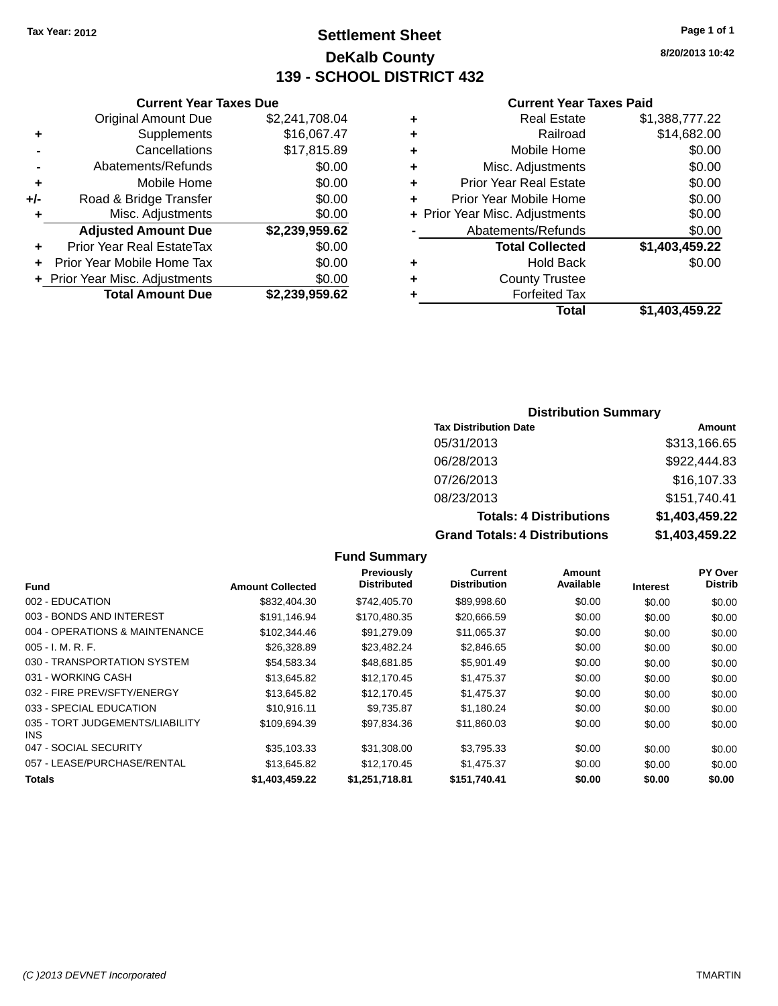## **Settlement Sheet Tax Year: 2012 Page 1 of 1 DeKalb County 139 - SCHOOL DISTRICT 432**

**8/20/2013 10:42**

#### **Current Year Taxes Paid**

|     | <b>Current Year Taxes Due</b>  |                |  |  |  |  |
|-----|--------------------------------|----------------|--|--|--|--|
|     | <b>Original Amount Due</b>     | \$2,241,708.04 |  |  |  |  |
| ٠   | Supplements                    | \$16,067.47    |  |  |  |  |
|     | Cancellations                  | \$17,815.89    |  |  |  |  |
|     | Abatements/Refunds             | \$0.00         |  |  |  |  |
| ٠   | Mobile Home                    | \$0.00         |  |  |  |  |
| +/- | Road & Bridge Transfer         | \$0.00         |  |  |  |  |
| ٠   | Misc. Adjustments              | \$0.00         |  |  |  |  |
|     | <b>Adjusted Amount Due</b>     | \$2,239,959.62 |  |  |  |  |
| ÷   | Prior Year Real EstateTax      | \$0.00         |  |  |  |  |
|     | Prior Year Mobile Home Tax     | \$0.00         |  |  |  |  |
|     | + Prior Year Misc. Adjustments | \$0.00         |  |  |  |  |
|     | <b>Total Amount Due</b>        | \$2,239,959.62 |  |  |  |  |
|     |                                |                |  |  |  |  |

|   | <b>Real Estate</b>             | \$1,388,777.22 |
|---|--------------------------------|----------------|
| ٠ | Railroad                       | \$14,682.00    |
| ٠ | Mobile Home                    | \$0.00         |
| ٠ | Misc. Adjustments              | \$0.00         |
| ٠ | <b>Prior Year Real Estate</b>  | \$0.00         |
| ٠ | Prior Year Mobile Home         | \$0.00         |
|   | + Prior Year Misc. Adjustments | \$0.00         |
|   | Abatements/Refunds             | \$0.00         |
|   | <b>Total Collected</b>         | \$1,403,459.22 |
| ٠ | Hold Back                      | \$0.00         |
| ٠ | <b>County Trustee</b>          |                |
| ٠ | <b>Forfeited Tax</b>           |                |
|   | Total                          | \$1,403,459.22 |
|   |                                |                |

### **Distribution Summary**

| <b>Tax Distribution Date</b>         | Amount         |
|--------------------------------------|----------------|
| 05/31/2013                           | \$313,166.65   |
| 06/28/2013                           | \$922,444.83   |
| 07/26/2013                           | \$16,107.33    |
| 08/23/2013                           | \$151,740.41   |
| <b>Totals: 4 Distributions</b>       | \$1,403,459.22 |
| <b>Grand Totals: 4 Distributions</b> | \$1,403,459.22 |

|                                         |                         | <b>Previously</b>  | Current             | Amount    |                 | PY Over        |
|-----------------------------------------|-------------------------|--------------------|---------------------|-----------|-----------------|----------------|
| Fund                                    | <b>Amount Collected</b> | <b>Distributed</b> | <b>Distribution</b> | Available | <b>Interest</b> | <b>Distrib</b> |
| 002 - EDUCATION                         | \$832,404.30            | \$742,405.70       | \$89,998.60         | \$0.00    | \$0.00          | \$0.00         |
| 003 - BONDS AND INTEREST                | \$191.146.94            | \$170.480.35       | \$20,666.59         | \$0.00    | \$0.00          | \$0.00         |
| 004 - OPERATIONS & MAINTENANCE          | \$102,344.46            | \$91.279.09        | \$11,065.37         | \$0.00    | \$0.00          | \$0.00         |
| 005 - I. M. R. F.                       | \$26,328.89             | \$23,482.24        | \$2,846.65          | \$0.00    | \$0.00          | \$0.00         |
| 030 - TRANSPORTATION SYSTEM             | \$54,583.34             | \$48.681.85        | \$5,901.49          | \$0.00    | \$0.00          | \$0.00         |
| 031 - WORKING CASH                      | \$13,645.82             | \$12,170.45        | \$1,475.37          | \$0.00    | \$0.00          | \$0.00         |
| 032 - FIRE PREV/SFTY/ENERGY             | \$13,645.82             | \$12,170.45        | \$1,475.37          | \$0.00    | \$0.00          | \$0.00         |
| 033 - SPECIAL EDUCATION                 | \$10.916.11             | \$9.735.87         | \$1,180.24          | \$0.00    | \$0.00          | \$0.00         |
| 035 - TORT JUDGEMENTS/LIABILITY<br>INS. | \$109,694.39            | \$97,834.36        | \$11,860.03         | \$0.00    | \$0.00          | \$0.00         |
| 047 - SOCIAL SECURITY                   | \$35,103.33             | \$31,308.00        | \$3,795.33          | \$0.00    | \$0.00          | \$0.00         |
| 057 - LEASE/PURCHASE/RENTAL             | \$13,645.82             | \$12,170.45        | \$1,475.37          | \$0.00    | \$0.00          | \$0.00         |
| Totals                                  | \$1,403,459.22          | \$1,251,718.81     | \$151,740.41        | \$0.00    | \$0.00          | \$0.00         |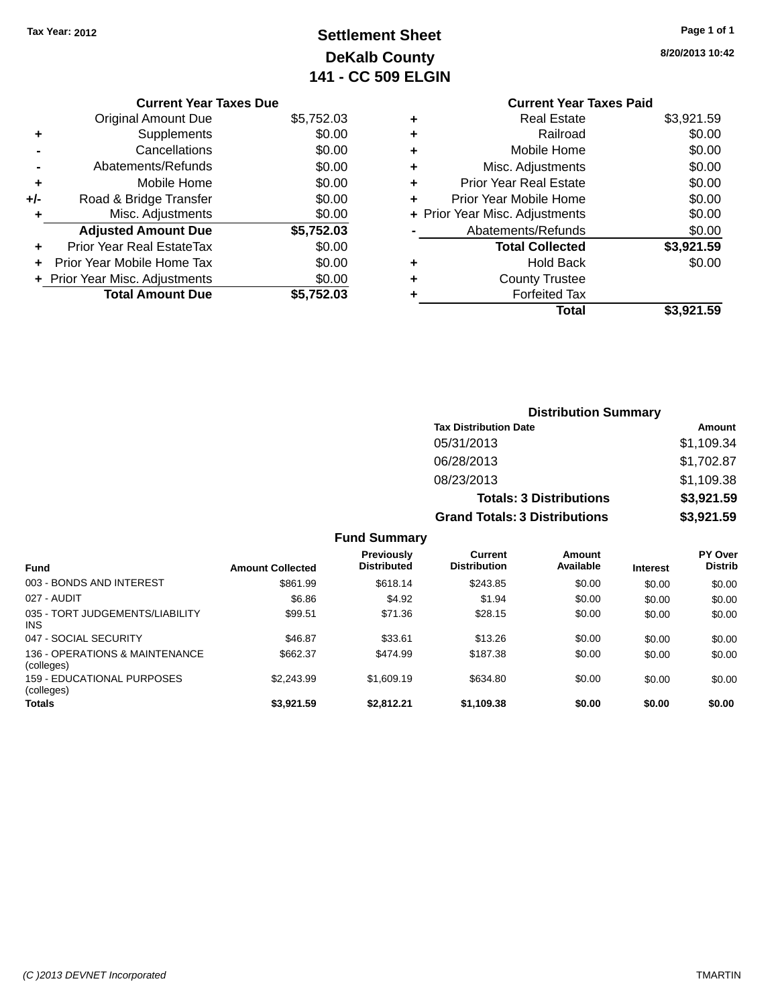## **Settlement Sheet Tax Year: 2012 Page 1 of 1 DeKalb County 141 - CC 509 ELGIN**

**8/20/2013 10:42**

|     | <b>Current Year Taxes Due</b>  |            |
|-----|--------------------------------|------------|
|     | <b>Original Amount Due</b>     | \$5,752.03 |
| ٠   | Supplements                    | \$0.00     |
|     | Cancellations                  | \$0.00     |
|     | Abatements/Refunds             | \$0.00     |
| ٠   | Mobile Home                    | \$0.00     |
| +/- | Road & Bridge Transfer         | \$0.00     |
| ٠   | Misc. Adjustments              | \$0.00     |
|     | <b>Adjusted Amount Due</b>     | \$5,752.03 |
|     | Prior Year Real EstateTax      | \$0.00     |
|     | Prior Year Mobile Home Tax     | \$0.00     |
|     | + Prior Year Misc. Adjustments | \$0.00     |
|     | <b>Total Amount Due</b>        | \$5.752.03 |
|     |                                |            |

### **Current Year Taxes Paid +** Real Estate \$3,921.59 **+** Railroad \$0.00 **+** Mobile Home \$0.00 **+** Misc. Adjustments \$0.00 **+** Prior Year Real Estate \$0.00 **+** Prior Year Mobile Home \$0.00 **+ Prior Year Misc. Adjustments**  $$0.00$ **-** Abatements/Refunds \$0.00 **Total Collected \$3,921.59 +** Hold Back \$0.00 **+** County Trustee **+** Forfeited Tax **Total \$3,921.59**

|                                                 |                         |                                  |                                       | <b>Distribution Summary</b>    |                 |                           |
|-------------------------------------------------|-------------------------|----------------------------------|---------------------------------------|--------------------------------|-----------------|---------------------------|
|                                                 |                         |                                  | <b>Tax Distribution Date</b>          |                                |                 | Amount                    |
|                                                 |                         |                                  | 05/31/2013                            |                                |                 | \$1,109.34                |
|                                                 |                         |                                  | 06/28/2013                            |                                |                 | \$1,702.87                |
|                                                 |                         |                                  | 08/23/2013                            |                                |                 | \$1,109.38                |
|                                                 |                         |                                  |                                       | <b>Totals: 3 Distributions</b> |                 | \$3,921.59                |
|                                                 |                         |                                  | <b>Grand Totals: 3 Distributions</b>  |                                |                 | \$3,921.59                |
|                                                 |                         | <b>Fund Summary</b>              |                                       |                                |                 |                           |
| <b>Fund</b>                                     | <b>Amount Collected</b> | Previously<br><b>Distributed</b> | <b>Current</b><br><b>Distribution</b> | <b>Amount</b><br>Available     | <b>Interest</b> | PY Over<br><b>Distrib</b> |
| 003 - BONDS AND INTEREST                        | \$861.99                | \$618.14                         | \$243.85                              | \$0.00                         | \$0.00          | \$0.00                    |
| 027 - AUDIT                                     | \$6.86                  | \$4.92                           | \$1.94                                | \$0.00                         | \$0.00          | \$0.00                    |
| 035 - TORT JUDGEMENTS/LIABILITY<br><b>INS</b>   | \$99.51                 | \$71.36                          | \$28.15                               | \$0.00                         | \$0.00          | \$0.00                    |
| 047 - SOCIAL SECURITY                           | \$46.87                 | \$33.61                          | \$13.26                               | \$0.00                         | \$0.00          | \$0.00                    |
| 136 - OPERATIONS & MAINTENANCE<br>(colleges)    | \$662.37                | \$474.99                         | \$187.38                              | \$0.00                         | \$0.00          | \$0.00                    |
| <b>159 - EDUCATIONAL PURPOSES</b><br>(colleges) | \$2,243.99              | \$1,609.19                       | \$634.80                              | \$0.00                         | \$0.00          | \$0.00                    |
| <b>Totals</b>                                   | \$3,921.59              | \$2,812.21                       | \$1,109.38                            | \$0.00                         | \$0.00          | \$0.00                    |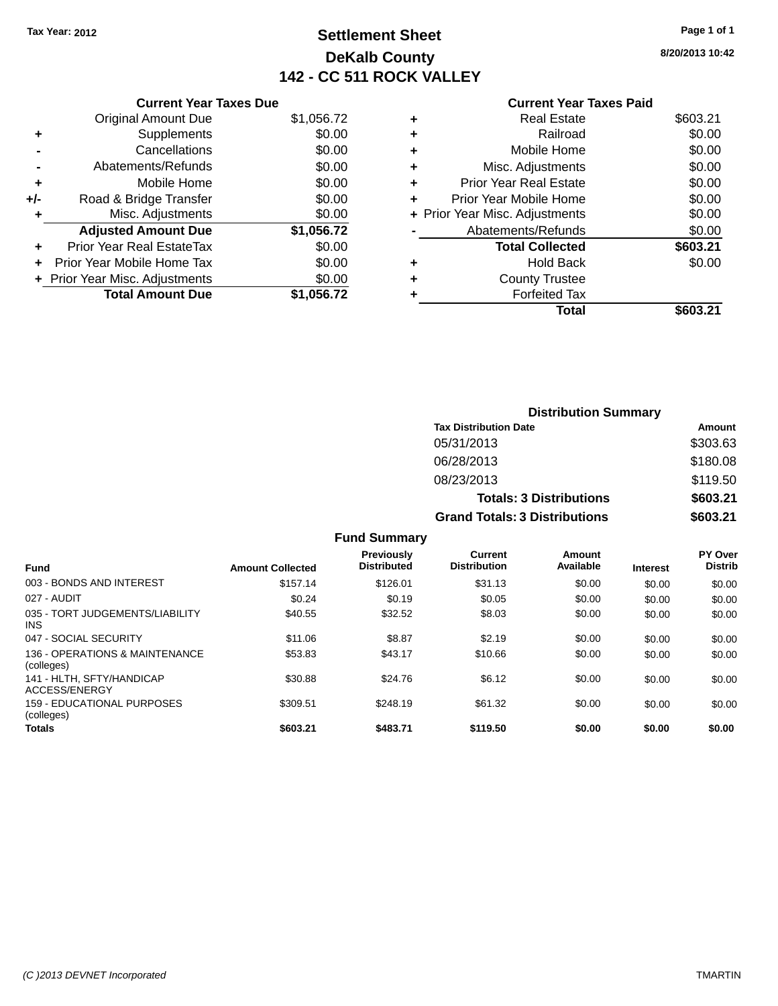## **Settlement Sheet Tax Year: 2012 Page 1 of 1 DeKalb County 142 - CC 511 ROCK VALLEY**

**8/20/2013 10:42**

#### **Current Year Taxes Paid**

| <b>Current Year Taxes Due</b>    |                                |
|----------------------------------|--------------------------------|
| <b>Original Amount Due</b>       | \$1,056.72                     |
| Supplements                      | \$0.00                         |
| Cancellations                    | \$0.00                         |
| Abatements/Refunds               | \$0.00                         |
| Mobile Home                      | \$0.00                         |
| Road & Bridge Transfer           | \$0.00                         |
| Misc. Adjustments                | \$0.00                         |
| <b>Adjusted Amount Due</b>       | \$1,056.72                     |
| <b>Prior Year Real EstateTax</b> | \$0.00                         |
| Prior Year Mobile Home Tax       | \$0.00                         |
|                                  | \$0.00                         |
| <b>Total Amount Due</b>          | \$1,056.72                     |
|                                  | + Prior Year Misc. Adjustments |

|   | <b>Real Estate</b>             | \$603.21 |
|---|--------------------------------|----------|
| ٠ | Railroad                       | \$0.00   |
| ٠ | Mobile Home                    | \$0.00   |
| ٠ | Misc. Adjustments              | \$0.00   |
| ٠ | <b>Prior Year Real Estate</b>  | \$0.00   |
| ٠ | Prior Year Mobile Home         | \$0.00   |
|   | + Prior Year Misc. Adjustments | \$0.00   |
|   | Abatements/Refunds             | \$0.00   |
|   | <b>Total Collected</b>         | \$603.21 |
| ٠ | Hold Back                      | \$0.00   |
|   | <b>County Trustee</b>          |          |
| ٠ | <b>Forfeited Tax</b>           |          |
|   | Total                          | \$603.21 |
|   |                                |          |

| <b>Distribution Summary</b>          |          |
|--------------------------------------|----------|
| <b>Tax Distribution Date</b>         | Amount   |
| 05/31/2013                           | \$303.63 |
| 06/28/2013                           | \$180.08 |
| 08/23/2013                           | \$119.50 |
| <b>Totals: 3 Distributions</b>       | \$603.21 |
| <b>Grand Totals: 3 Distributions</b> | \$603.21 |

| <b>Fund</b>                                     | <b>Amount Collected</b> | <b>Previously</b><br><b>Distributed</b> | Current<br><b>Distribution</b> | Amount<br>Available | <b>Interest</b> | <b>PY Over</b><br><b>Distrib</b> |
|-------------------------------------------------|-------------------------|-----------------------------------------|--------------------------------|---------------------|-----------------|----------------------------------|
| 003 - BONDS AND INTEREST                        | \$157.14                | \$126.01                                | \$31.13                        | \$0.00              | \$0.00          | \$0.00                           |
| 027 - AUDIT                                     | \$0.24                  | \$0.19                                  | \$0.05                         | \$0.00              | \$0.00          | \$0.00                           |
| 035 - TORT JUDGEMENTS/LIABILITY<br><b>INS</b>   | \$40.55                 | \$32.52                                 | \$8.03                         | \$0.00              | \$0.00          | \$0.00                           |
| 047 - SOCIAL SECURITY                           | \$11.06                 | \$8.87                                  | \$2.19                         | \$0.00              | \$0.00          | \$0.00                           |
| 136 - OPERATIONS & MAINTENANCE<br>(colleges)    | \$53.83                 | \$43.17                                 | \$10.66                        | \$0.00              | \$0.00          | \$0.00                           |
| 141 - HLTH, SFTY/HANDICAP<br>ACCESS/ENERGY      | \$30.88                 | \$24.76                                 | \$6.12                         | \$0.00              | \$0.00          | \$0.00                           |
| <b>159 - EDUCATIONAL PURPOSES</b><br>(colleges) | \$309.51                | \$248.19                                | \$61.32                        | \$0.00              | \$0.00          | \$0.00                           |
| <b>Totals</b>                                   | \$603.21                | \$483.71                                | \$119.50                       | \$0.00              | \$0.00          | \$0.00                           |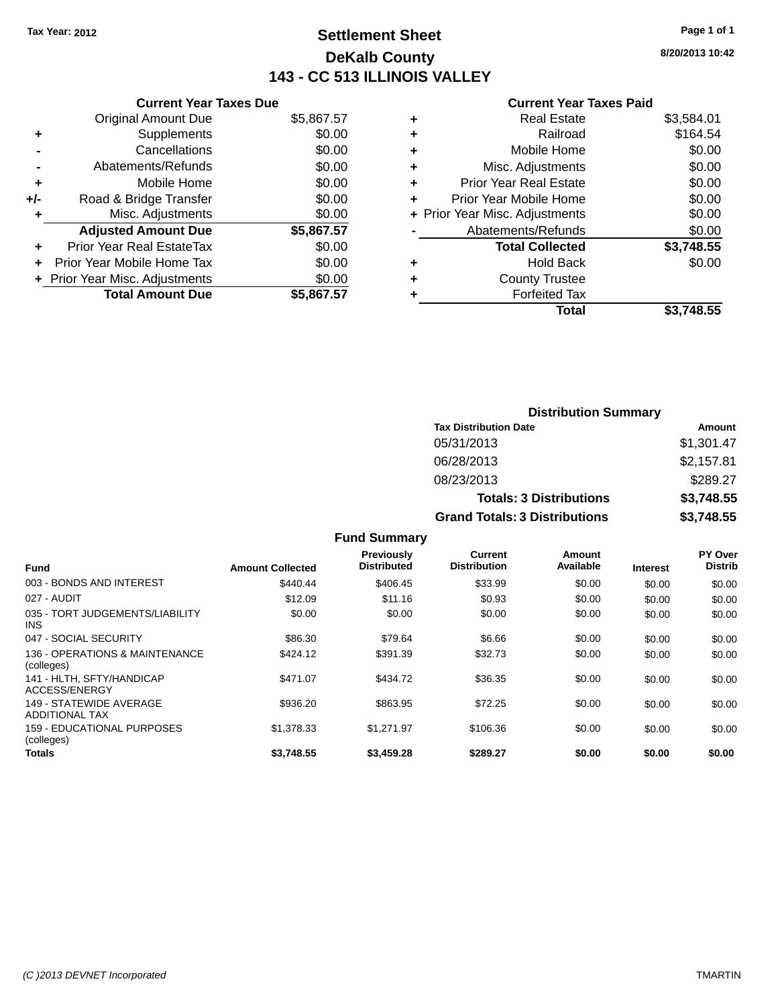## **Settlement Sheet Tax Year: 2012 Page 1 of 1 DeKalb County 143 - CC 513 ILLINOIS VALLEY**

**8/20/2013 10:42**

#### **Current Year Taxes Paid**

|     | <b>Current Year Taxes Due</b>  |            |
|-----|--------------------------------|------------|
|     | <b>Original Amount Due</b>     | \$5,867.57 |
| ÷   | Supplements                    | \$0.00     |
|     | Cancellations                  | \$0.00     |
|     | Abatements/Refunds             | \$0.00     |
| ٠   | Mobile Home                    | \$0.00     |
| +/- | Road & Bridge Transfer         | \$0.00     |
|     | Misc. Adjustments              | \$0.00     |
|     | <b>Adjusted Amount Due</b>     | \$5,867.57 |
| ÷   | Prior Year Real EstateTax      | \$0.00     |
|     | Prior Year Mobile Home Tax     | \$0.00     |
|     | + Prior Year Misc. Adjustments | \$0.00     |
|     | <b>Total Amount Due</b>        | \$5,867.57 |
|     |                                |            |

| ٠ | <b>Real Estate</b>             | \$3,584.01 |
|---|--------------------------------|------------|
| ٠ | Railroad                       | \$164.54   |
| ٠ | Mobile Home                    | \$0.00     |
| ٠ | Misc. Adjustments              | \$0.00     |
| ٠ | Prior Year Real Estate         | \$0.00     |
| ٠ | Prior Year Mobile Home         | \$0.00     |
|   | + Prior Year Misc. Adjustments | \$0.00     |
|   | Abatements/Refunds             | \$0.00     |
|   | <b>Total Collected</b>         | \$3,748.55 |
| ٠ | Hold Back                      | \$0.00     |
| ٠ | <b>County Trustee</b>          |            |
| ٠ | <b>Forfeited Tax</b>           |            |
|   | Total                          | \$3.748.55 |
|   |                                |            |

| <b>Distribution Summary</b>          |            |
|--------------------------------------|------------|
| <b>Tax Distribution Date</b>         | Amount     |
| 05/31/2013                           | \$1,301.47 |
| 06/28/2013                           | \$2,157.81 |
| 08/23/2013                           | \$289.27   |
| <b>Totals: 3 Distributions</b>       | \$3,748.55 |
| <b>Grand Totals: 3 Distributions</b> | \$3,748.55 |

| <b>Fund</b>                                      | <b>Amount Collected</b> | Previously<br><b>Distributed</b> | <b>Current</b><br><b>Distribution</b> | Amount<br>Available | <b>Interest</b> | PY Over<br><b>Distrib</b> |
|--------------------------------------------------|-------------------------|----------------------------------|---------------------------------------|---------------------|-----------------|---------------------------|
| 003 - BONDS AND INTEREST                         | \$440.44                | \$406.45                         | \$33.99                               | \$0.00              | \$0.00          | \$0.00                    |
| 027 - AUDIT                                      | \$12.09                 | \$11.16                          | \$0.93                                | \$0.00              | \$0.00          | \$0.00                    |
| 035 - TORT JUDGEMENTS/LIABILITY<br>INS.          | \$0.00                  | \$0.00                           | \$0.00                                | \$0.00              | \$0.00          | \$0.00                    |
| 047 - SOCIAL SECURITY                            | \$86.30                 | \$79.64                          | \$6.66                                | \$0.00              | \$0.00          | \$0.00                    |
| 136 - OPERATIONS & MAINTENANCE<br>(colleges)     | \$424.12                | \$391.39                         | \$32.73                               | \$0.00              | \$0.00          | \$0.00                    |
| 141 - HLTH, SFTY/HANDICAP<br>ACCESS/ENERGY       | \$471.07                | \$434.72                         | \$36.35                               | \$0.00              | \$0.00          | \$0.00                    |
| 149 - STATEWIDE AVERAGE<br><b>ADDITIONAL TAX</b> | \$936.20                | \$863.95                         | \$72.25                               | \$0.00              | \$0.00          | \$0.00                    |
| 159 - EDUCATIONAL PURPOSES<br>(colleges)         | \$1,378,33              | \$1.271.97                       | \$106.36                              | \$0.00              | \$0.00          | \$0.00                    |
| Totals                                           | \$3.748.55              | \$3,459.28                       | \$289.27                              | \$0.00              | \$0.00          | \$0.00                    |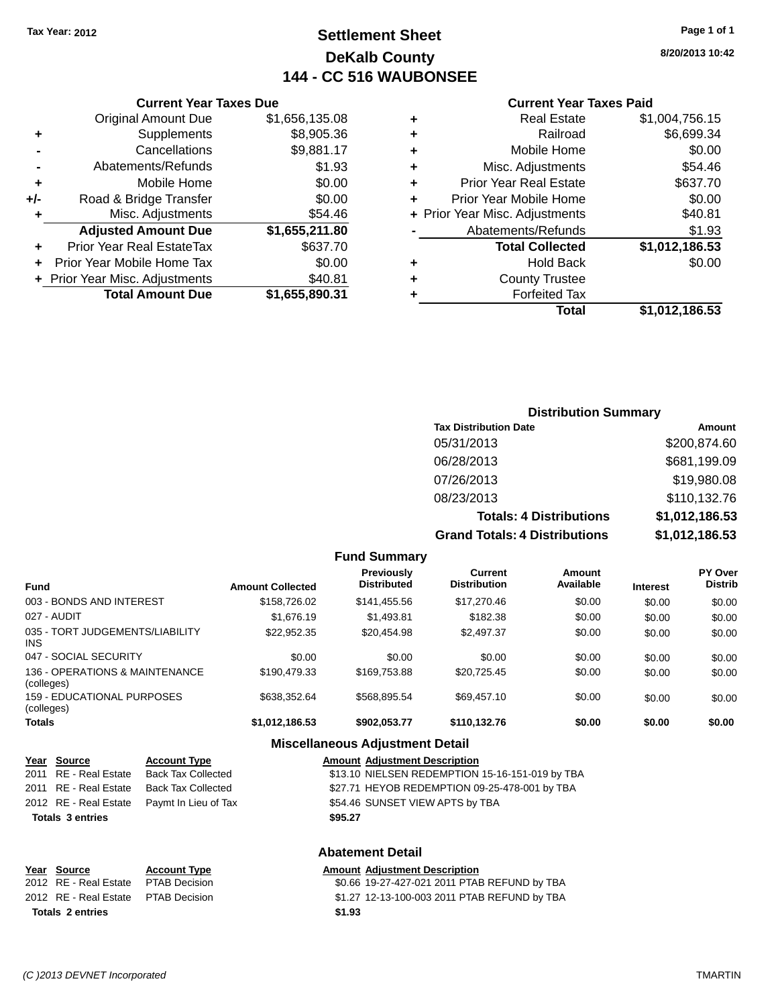## **Settlement Sheet Tax Year: 2012 Page 1 of 1 DeKalb County 144 - CC 516 WAUBONSEE**

#### **8/20/2013 10:42**

#### **Current Year Taxes Paid**

|     | <b>Total Amount Due</b>          | \$1,655,890.31 |       |
|-----|----------------------------------|----------------|-------|
|     |                                  |                |       |
|     | + Prior Year Misc. Adjustments   | \$40.81        | ٠     |
|     | Prior Year Mobile Home Tax       | \$0.00         | ٠     |
|     | <b>Prior Year Real EstateTax</b> | \$637.70       |       |
|     | <b>Adjusted Amount Due</b>       | \$1,655,211.80 |       |
|     | Misc. Adjustments                | \$54.46        | + Pri |
| +/- | Road & Bridge Transfer           | \$0.00         | ٠     |
|     | Mobile Home                      | \$0.00         | ٠     |
|     | Abatements/Refunds               | \$1.93         | ٠     |
|     | Cancellations                    | \$9,881.17     | ٠     |
|     | Supplements                      | \$8,905.36     | ٠     |
|     | <b>Original Amount Due</b>       | \$1,656,135.08 | ٠     |
|     |                                  |                |       |

**Current Year Taxes Due**

|   | <b>Real Estate</b>             | \$1,004,756.15 |
|---|--------------------------------|----------------|
| ٠ | Railroad                       | \$6,699.34     |
| ٠ | Mobile Home                    | \$0.00         |
| ٠ | Misc. Adjustments              | \$54.46        |
| ٠ | <b>Prior Year Real Estate</b>  | \$637.70       |
| ٠ | Prior Year Mobile Home         | \$0.00         |
|   | + Prior Year Misc. Adjustments | \$40.81        |
|   | Abatements/Refunds             | \$1.93         |
|   | <b>Total Collected</b>         | \$1,012,186.53 |
| ٠ | <b>Hold Back</b>               | \$0.00         |
| ٠ | <b>County Trustee</b>          |                |
| ٠ | <b>Forfeited Tax</b>           |                |
|   | Total                          | \$1,012,186.53 |
|   |                                |                |

### **Distribution Summary Tax Distribution Date Amount** 05/31/2013 \$200,874.60 06/28/2013 \$681,199.09 07/26/2013 \$19,980.08 08/23/2013 \$110,132.76 **Totals: 4 Distributions \$1,012,186.53 Grand Totals: 4 Distributions \$1,012,186.53**

|                                              |                         | <b>Fund Summary</b>                     |                                       |                     |                 |                                  |
|----------------------------------------------|-------------------------|-----------------------------------------|---------------------------------------|---------------------|-----------------|----------------------------------|
| <b>Fund</b>                                  | <b>Amount Collected</b> | <b>Previously</b><br><b>Distributed</b> | <b>Current</b><br><b>Distribution</b> | Amount<br>Available | <b>Interest</b> | <b>PY Over</b><br><b>Distrib</b> |
| 003 - BONDS AND INTEREST                     | \$158,726.02            | \$141.455.56                            | \$17,270.46                           | \$0.00              | \$0.00          | \$0.00                           |
| 027 - AUDIT                                  | \$1,676.19              | \$1,493.81                              | \$182.38                              | \$0.00              | \$0.00          | \$0.00                           |
| 035 - TORT JUDGEMENTS/LIABILITY<br>INS.      | \$22.952.35             | \$20.454.98                             | \$2.497.37                            | \$0.00              | \$0.00          | \$0.00                           |
| 047 - SOCIAL SECURITY                        | \$0.00                  | \$0.00                                  | \$0.00                                | \$0.00              | \$0.00          | \$0.00                           |
| 136 - OPERATIONS & MAINTENANCE<br>(colleges) | \$190.479.33            | \$169,753,88                            | \$20.725.45                           | \$0.00              | \$0.00          | \$0.00                           |
| 159 - EDUCATIONAL PURPOSES<br>(colleges)     | \$638.352.64            | \$568.895.54                            | \$69.457.10                           | \$0.00              | \$0.00          | \$0.00                           |
| <b>Totals</b>                                | \$1.012.186.53          | \$902,053.77                            | \$110.132.76                          | \$0.00              | \$0.00          | \$0.00                           |

#### **Miscellaneous Adjustment Detail**

| Year Source             | <b>Account Type</b>                        | <b>Amount Adjustment Description</b>            |
|-------------------------|--------------------------------------------|-------------------------------------------------|
| 2011 RE - Real Estate   | <b>Back Tax Collected</b>                  | \$13.10 NIELSEN REDEMPTION 15-16-151-019 by TBA |
| 2011 RE - Real Estate   | <b>Back Tax Collected</b>                  | \$27.71 HEYOB REDEMPTION 09-25-478-001 by TBA   |
|                         | 2012 RE - Real Estate Paymt In Lieu of Tax | \$54.46 SUNSET VIEW APTS by TBA                 |
| <b>Totals 3 entries</b> |                                            | \$95.27                                         |
|                         |                                            | <b>Abatement Detail</b>                         |

| Year Source                         | <b>Account Type</b>  | <b>Amount Adiustment Description</b>         |  |
|-------------------------------------|----------------------|----------------------------------------------|--|
| 2012 RE - Real Estate               | <b>PTAB Decision</b> | \$0.66 19-27-427-021 2011 PTAB REFUND by TBA |  |
| 2012 RE - Real Estate PTAB Decision |                      | \$1.27 12-13-100-003 2011 PTAB REFUND by TBA |  |
| <b>Totals 2 entries</b>             |                      | \$1.93                                       |  |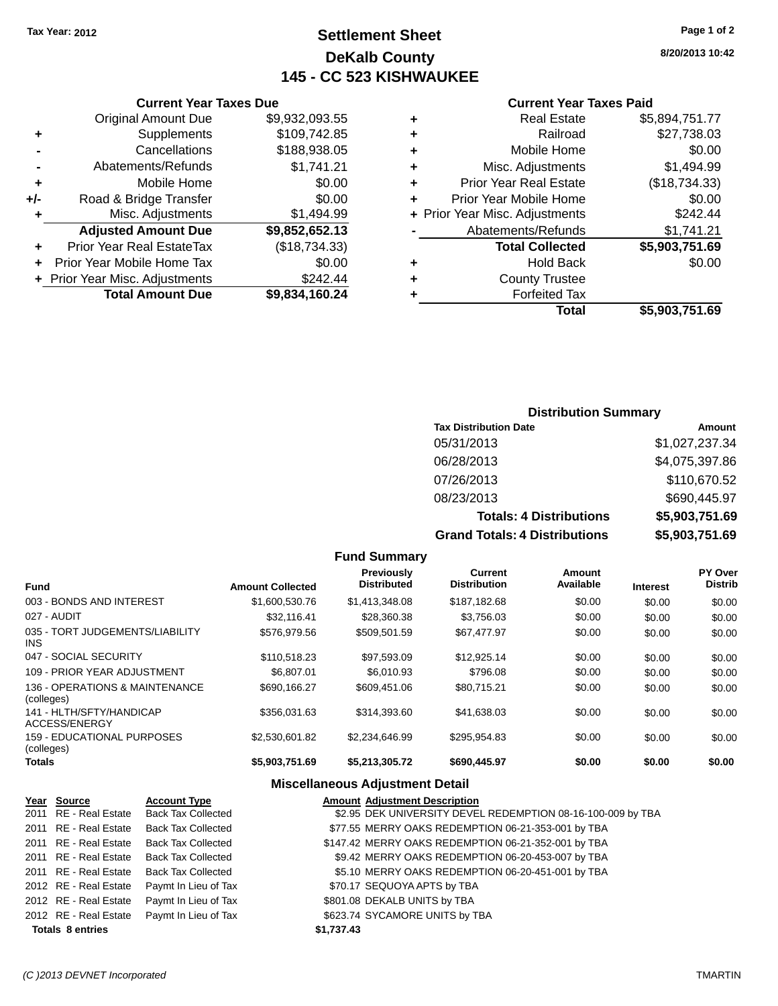## **Settlement Sheet Tax Year: 2012 Page 1 of 2 DeKalb County 145 - CC 523 KISHWAUKEE**

**8/20/2013 10:42**

#### **Current Year Taxes Paid**

| ٠ | <b>Real Estate</b>             | \$5,894,751.77 |
|---|--------------------------------|----------------|
| ٠ | Railroad                       | \$27,738.03    |
| ÷ | Mobile Home                    | \$0.00         |
| ٠ | Misc. Adjustments              | \$1,494.99     |
| ٠ | <b>Prior Year Real Estate</b>  | (\$18,734.33)  |
| ٠ | Prior Year Mobile Home         | \$0.00         |
|   | + Prior Year Misc. Adjustments | \$242.44       |
|   | Abatements/Refunds             | \$1,741.21     |
|   | <b>Total Collected</b>         | \$5,903,751.69 |
| ٠ | <b>Hold Back</b>               | \$0.00         |
| ٠ | <b>County Trustee</b>          |                |
| ٠ | <b>Forfeited Tax</b>           |                |
|   | <b>Total</b>                   | \$5,903,751.69 |

|     | <b>Current Year Taxes Due</b>    |                |
|-----|----------------------------------|----------------|
|     | <b>Original Amount Due</b>       | \$9,932,093.55 |
| ٠   | Supplements                      | \$109,742.85   |
|     | Cancellations                    | \$188,938.05   |
|     | Abatements/Refunds               | \$1,741.21     |
| ٠   | Mobile Home                      | \$0.00         |
| +/- | Road & Bridge Transfer           | \$0.00         |
| ٠   | Misc. Adjustments                | \$1,494.99     |
|     | <b>Adjusted Amount Due</b>       | \$9,852,652.13 |
|     | <b>Prior Year Real EstateTax</b> | (\$18,734.33)  |
|     | Prior Year Mobile Home Tax       | \$0.00         |
|     | + Prior Year Misc. Adjustments   | \$242.44       |
|     | <b>Total Amount Due</b>          | \$9,834,160.24 |

| <b>Distribution Summary</b> |  |
|-----------------------------|--|
|-----------------------------|--|

| <b>Tax Distribution Date</b>         | Amount         |
|--------------------------------------|----------------|
| 05/31/2013                           | \$1,027,237.34 |
| 06/28/2013                           | \$4,075,397.86 |
| 07/26/2013                           | \$110,670.52   |
| 08/23/2013                           | \$690,445.97   |
| <b>Totals: 4 Distributions</b>       | \$5,903,751.69 |
| <b>Grand Totals: 4 Distributions</b> | \$5,903,751.69 |

|                                               |                         | <b>Fund Summary</b>              |                                       |                     |                 |                                  |
|-----------------------------------------------|-------------------------|----------------------------------|---------------------------------------|---------------------|-----------------|----------------------------------|
| <b>Fund</b>                                   | <b>Amount Collected</b> | Previously<br><b>Distributed</b> | <b>Current</b><br><b>Distribution</b> | Amount<br>Available | <b>Interest</b> | <b>PY Over</b><br><b>Distrib</b> |
| 003 - BONDS AND INTEREST                      | \$1,600,530.76          | \$1,413,348.08                   | \$187,182.68                          | \$0.00              | \$0.00          | \$0.00                           |
| 027 - AUDIT                                   | \$32.116.41             | \$28,360.38                      | \$3.756.03                            | \$0.00              | \$0.00          | \$0.00                           |
| 035 - TORT JUDGEMENTS/LIABILITY<br><b>INS</b> | \$576,979.56            | \$509.501.59                     | \$67,477.97                           | \$0.00              | \$0.00          | \$0.00                           |
| 047 - SOCIAL SECURITY                         | \$110,518.23            | \$97.593.09                      | \$12,925.14                           | \$0.00              | \$0.00          | \$0.00                           |
| 109 - PRIOR YEAR ADJUSTMENT                   | \$6,807.01              | \$6,010.93                       | \$796.08                              | \$0.00              | \$0.00          | \$0.00                           |
| 136 - OPERATIONS & MAINTENANCE<br>(colleges)  | \$690.166.27            | \$609.451.06                     | \$80.715.21                           | \$0.00              | \$0.00          | \$0.00                           |
| 141 - HLTH/SFTY/HANDICAP<br>ACCESS/ENERGY     | \$356,031.63            | \$314,393.60                     | \$41,638.03                           | \$0.00              | \$0.00          | \$0.00                           |
| 159 - EDUCATIONAL PURPOSES<br>(colleges)      | \$2,530,601.82          | \$2,234,646.99                   | \$295,954.83                          | \$0.00              | \$0.00          | \$0.00                           |
| Totals                                        | \$5,903,751.69          | \$5,213,305.72                   | \$690,445.97                          | \$0.00              | \$0.00          | \$0.00                           |

### **Miscellaneous Adjustment Detail**

| Year Source             | <b>Account Type</b>                        | <b>Amount Adjustment Description</b>                        |
|-------------------------|--------------------------------------------|-------------------------------------------------------------|
|                         | 2011 RE - Real Estate Back Tax Collected   | \$2.95 DEK UNIVERSITY DEVEL REDEMPTION 08-16-100-009 by TBA |
| 2011 RE - Real Estate   | <b>Back Tax Collected</b>                  | \$77.55 MERRY OAKS REDEMPTION 06-21-353-001 by TBA          |
| 2011 RE - Real Estate   | <b>Back Tax Collected</b>                  | \$147.42 MERRY OAKS REDEMPTION 06-21-352-001 by TBA         |
|                         | 2011 RE - Real Estate Back Tax Collected   | \$9.42 MERRY OAKS REDEMPTION 06-20-453-007 by TBA           |
|                         | 2011 RE - Real Estate Back Tax Collected   | \$5.10 MERRY OAKS REDEMPTION 06-20-451-001 by TBA           |
|                         | 2012 RE - Real Estate Paymt In Lieu of Tax | \$70.17 SEQUOYA APTS by TBA                                 |
|                         | 2012 RE - Real Estate Paymt In Lieu of Tax | \$801.08 DEKALB UNITS by TBA                                |
|                         | 2012 RE - Real Estate Paymt In Lieu of Tax | \$623.74 SYCAMORE UNITS by TBA                              |
| <b>Totals 8 entries</b> |                                            | \$1,737.43                                                  |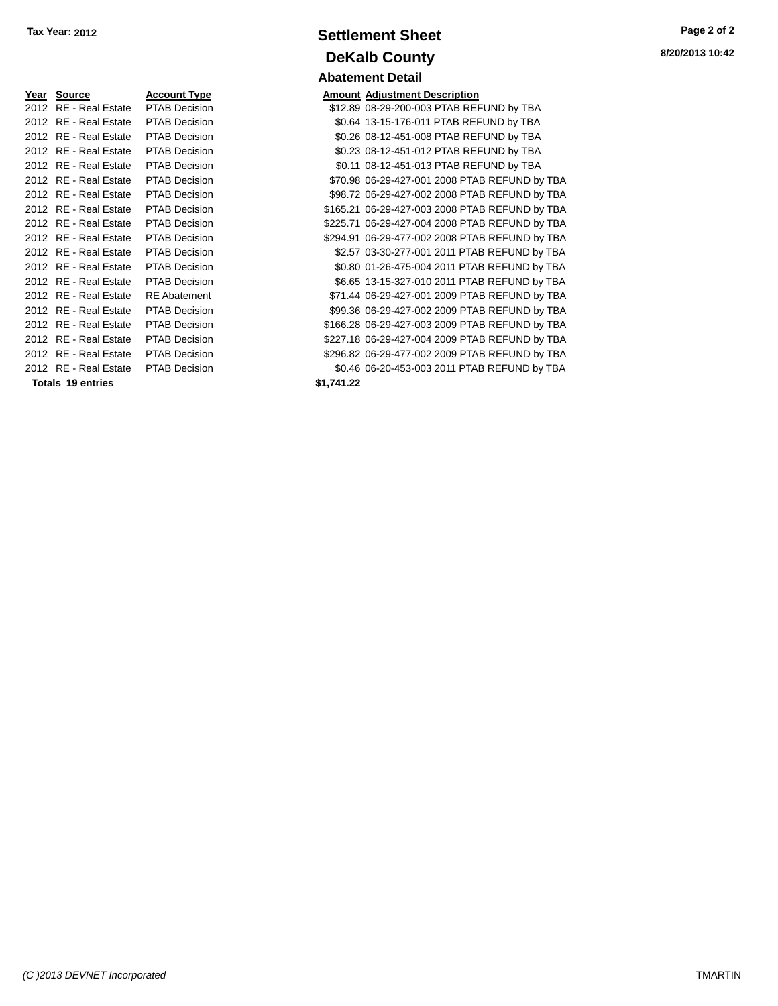| Year | Source                   | Acc <u>ount Type</u> |
|------|--------------------------|----------------------|
| 2012 | RF - Real Estate         | <b>PTAB Decision</b> |
| 2012 | RE - Real Estate         | <b>PTAB Decision</b> |
| 2012 | RF - Real Estate         | PTAB Decision        |
| 2012 | RE - Real Estate         | PTAB Decision        |
| 2012 | RE - Real Estate         | <b>PTAB Decision</b> |
| 2012 | RF - Real Estate         | PTAB Decision        |
| 2012 | RF - Real Estate         | PTAB Decision        |
| 2012 | RF - Real Estate         | PTAB Decision        |
| 2012 | RF - Real Estate         | PTAB Decision        |
| 2012 | RF - Real Estate         | <b>PTAB Decision</b> |
| 2012 | RF - Real Estate         | PTAB Decision        |
| 2012 | RF - Real Estate         | PTAB Decision        |
| 2012 | RF - Real Estate         | PTAB Decision        |
| 2012 | RF - Real Estate         | <b>RE</b> Abatement  |
| 2012 | RE - Real Estate         | <b>PTAB Decision</b> |
| 2012 | RF - Real Estate         | PTAB Decision        |
| 2012 | RE - Real Estate         | PTAB Decision        |
| 2012 | RF - Real Estate         | <b>PTAB Decision</b> |
| 2012 | RF - Real Estate         | <b>PTAB Decision</b> |
|      | <b>Totals 19 entries</b> |                      |

## **Settlement Sheet Tax Year: 2012 Page 2 of 2 DeKalb County Abatement Detail**

**Amount Adjustment Description** \$12.89 08-29-200-003 PTAB REFUND by TBA \$0.64 13-15-176-011 PTAB REFUND by TBA \$0.26 08-12-451-008 PTAB REFUND by TBA \$0.23 08-12-451-012 PTAB REFUND by TBA \$0.11 08-12-451-013 PTAB REFUND by TBA \$70.98 06-29-427-001 2008 PTAB REFUND by TBA \$98.72 06-29-427-002 2008 PTAB REFUND by TBA \$165.21 06-29-427-003 2008 PTAB REFUND by TBA \$225.71 06-29-427-004 2008 PTAB REFUND by TBA \$294.91 06-29-477-002 2008 PTAB REFUND by TBA \$2.57 03-30-277-001 2011 PTAB REFUND by TBA \$0.80 01-26-475-004 2011 PTAB REFUND by TBA \$6.65 13-15-327-010 2011 PTAB REFUND by TBA \$71.44 06-29-427-001 2009 PTAB REFUND by TBA \$99.36 06-29-427-002 2009 PTAB REFUND by TBA \$166.28 06-29-427-003 2009 PTAB REFUND by TBA \$227.18 06-29-427-004 2009 PTAB REFUND by TBA \$296.82 06-29-477-002 2009 PTAB REFUND by TBA \$0.46 06-20-453-003 2011 PTAB REFUND by TBA **Totals 19 entries \$1,741.22**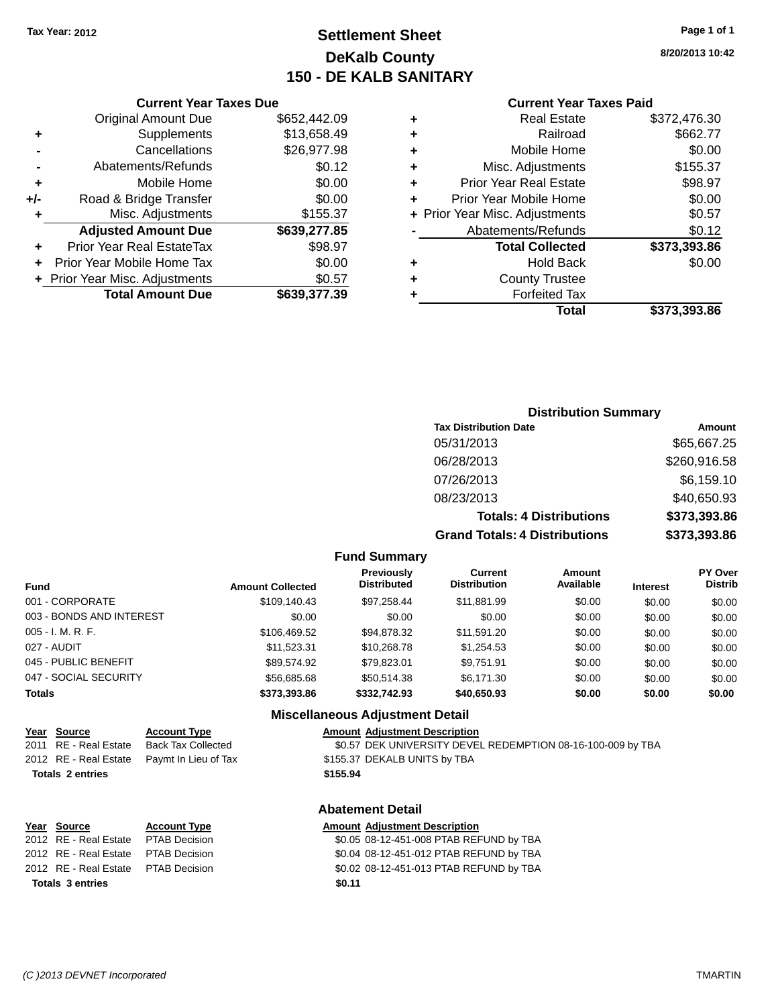## **Settlement Sheet Tax Year: 2012 Page 1 of 1 DeKalb County 150 - DE KALB SANITARY**

**8/20/2013 10:42**

#### **Current Year Taxes Paid**

|       | <b>Original Amount Due</b>     | \$652,442.09 |
|-------|--------------------------------|--------------|
| ٠     | Supplements                    | \$13,658.49  |
|       | Cancellations                  | \$26,977.98  |
|       | Abatements/Refunds             | \$0.12       |
| ÷     | Mobile Home                    | \$0.00       |
| $+/-$ | Road & Bridge Transfer         | \$0.00       |
| ٠     | Misc. Adjustments              | \$155.37     |
|       | <b>Adjusted Amount Due</b>     | \$639,277.85 |
| ÷     | Prior Year Real EstateTax      | \$98.97      |
| ٠     | Prior Year Mobile Home Tax     | \$0.00       |
|       | + Prior Year Misc. Adjustments | \$0.57       |
|       | <b>Total Amount Due</b>        | \$639,377.39 |
|       |                                |              |

**Current Year Taxes Due**

| ٠ | <b>Real Estate</b>             | \$372,476.30 |
|---|--------------------------------|--------------|
| ٠ | Railroad                       | \$662.77     |
| ٠ | Mobile Home                    | \$0.00       |
| ٠ | Misc. Adjustments              | \$155.37     |
| ٠ | <b>Prior Year Real Estate</b>  | \$98.97      |
| ٠ | Prior Year Mobile Home         | \$0.00       |
|   | + Prior Year Misc. Adjustments | \$0.57       |
|   | Abatements/Refunds             | \$0.12       |
|   | <b>Total Collected</b>         | \$373,393.86 |
| ٠ | <b>Hold Back</b>               | \$0.00       |
| ٠ | <b>County Trustee</b>          |              |
| ٠ | <b>Forfeited Tax</b>           |              |
|   | Total                          | \$373,393.86 |
|   |                                |              |

### **Distribution Summary Tax Distribution Date Amount** 05/31/2013 \$65,667.25 06/28/2013 \$260,916.58 07/26/2013 \$6,159.10 08/23/2013 \$40,650.93 **Totals: 4 Distributions \$373,393.86 Grand Totals: 4 Distributions \$373,393.86**

#### **Fund Summary**

| <b>Fund</b>              | <b>Amount Collected</b> | Previously<br><b>Distributed</b> | Current<br><b>Distribution</b> | Amount<br>Available | <b>Interest</b> | <b>PY Over</b><br><b>Distrib</b> |
|--------------------------|-------------------------|----------------------------------|--------------------------------|---------------------|-----------------|----------------------------------|
| 001 - CORPORATE          | \$109.140.43            | \$97,258.44                      | \$11,881.99                    | \$0.00              | \$0.00          | \$0.00                           |
| 003 - BONDS AND INTEREST | \$0.00                  | \$0.00                           | \$0.00                         | \$0.00              | \$0.00          | \$0.00                           |
| 005 - I. M. R. F.        | \$106,469.52            | \$94.878.32                      | \$11.591.20                    | \$0.00              | \$0.00          | \$0.00                           |
| 027 - AUDIT              | \$11.523.31             | \$10.268.78                      | \$1.254.53                     | \$0.00              | \$0.00          | \$0.00                           |
| 045 - PUBLIC BENEFIT     | \$89.574.92             | \$79.823.01                      | \$9,751.91                     | \$0.00              | \$0.00          | \$0.00                           |
| 047 - SOCIAL SECURITY    | \$56,685,68             | \$50.514.38                      | \$6.171.30                     | \$0.00              | \$0.00          | \$0.00                           |
| Totals                   | \$373,393.86            | \$332,742.93                     | \$40,650.93                    | \$0.00              | \$0.00          | \$0.00                           |

#### **Miscellaneous Adjustment Detail**

#### **Year** Source **Account Type Account Adjustment Description**

2011 RE - Real Estate Back Tax Collected \$0.57 DEK UNIVERSITY DEVEL REDEMPTION 08-16-100-009 by TBA 2012 RE - Real Estate Paymt In Lieu of Tax \$155.37 DEKALB UNITS by TBA

#### **Totals 2 entries \$155.94**

### **Abatement Detail**

| Year Source                         | <b>Account Type</b> |        | <b>Amount Adjustment Description</b>    |
|-------------------------------------|---------------------|--------|-----------------------------------------|
| 2012 RE - Real Estate PTAB Decision |                     |        | \$0.05 08-12-451-008 PTAB REFUND by TBA |
| 2012 RE - Real Estate PTAB Decision |                     |        | \$0.04 08-12-451-012 PTAB REFUND by TBA |
| 2012 RE - Real Estate PTAB Decision |                     |        | \$0.02 08-12-451-013 PTAB REFUND by TBA |
| <b>Totals 3 entries</b>             |                     | \$0.11 |                                         |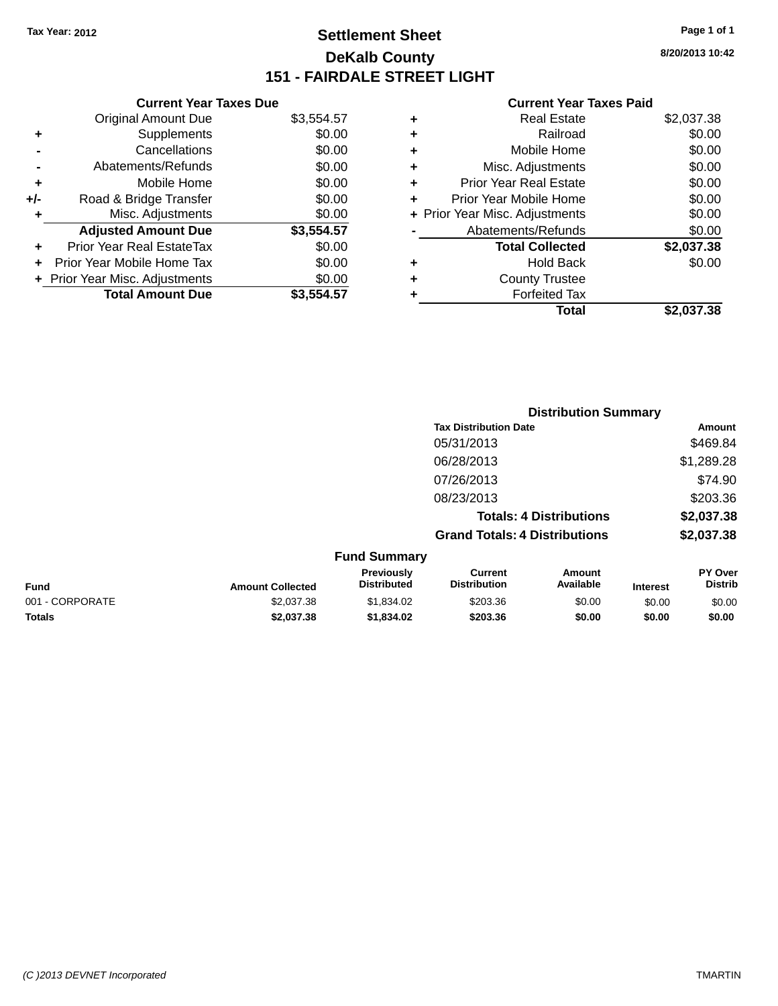## **Settlement Sheet Tax Year: 2012 Page 1 of 1 DeKalb County 151 - FAIRDALE STREET LIGHT**

**8/20/2013 10:42**

#### **Current Year Taxes Paid**

|   | <b>Real Estate</b>             | \$2,037.38 |
|---|--------------------------------|------------|
| ٠ | Railroad                       | \$0.00     |
| ٠ | Mobile Home                    | \$0.00     |
| ٠ | Misc. Adjustments              | \$0.00     |
| ٠ | <b>Prior Year Real Estate</b>  | \$0.00     |
| ٠ | Prior Year Mobile Home         | \$0.00     |
|   | + Prior Year Misc. Adjustments | \$0.00     |
|   | Abatements/Refunds             | \$0.00     |
|   | <b>Total Collected</b>         | \$2,037.38 |
| ٠ | Hold Back                      | \$0.00     |
| ٠ | <b>County Trustee</b>          |            |
| ٠ | <b>Forfeited Tax</b>           |            |
|   | Total                          | \$2,037.38 |
|   |                                |            |

|                 |                         | <b>Distribution Summary</b>      |                                      |                                |                 |                           |
|-----------------|-------------------------|----------------------------------|--------------------------------------|--------------------------------|-----------------|---------------------------|
|                 |                         |                                  | <b>Tax Distribution Date</b>         |                                |                 | Amount                    |
|                 |                         |                                  | 05/31/2013                           |                                |                 | \$469.84                  |
|                 |                         |                                  | 06/28/2013                           |                                |                 | \$1,289.28                |
|                 |                         |                                  | 07/26/2013                           |                                |                 | \$74.90                   |
|                 |                         |                                  | 08/23/2013                           |                                |                 | \$203.36                  |
|                 |                         |                                  |                                      | <b>Totals: 4 Distributions</b> |                 | \$2,037.38                |
|                 |                         |                                  | <b>Grand Totals: 4 Distributions</b> |                                |                 | \$2,037.38                |
|                 |                         | <b>Fund Summary</b>              |                                      |                                |                 |                           |
| <b>Fund</b>     | <b>Amount Collected</b> | Previously<br><b>Distributed</b> | Current<br><b>Distribution</b>       | <b>Amount</b><br>Available     | <b>Interest</b> | PY Over<br><b>Distrib</b> |
| 001 - CORPORATE | \$2,037.38              | \$1,834.02                       | \$203.36                             | \$0.00                         | \$0.00          | \$0.00                    |
| <b>Totals</b>   | \$2,037.38              | \$1,834.02                       | \$203.36                             | \$0.00                         | \$0.00          | \$0.00                    |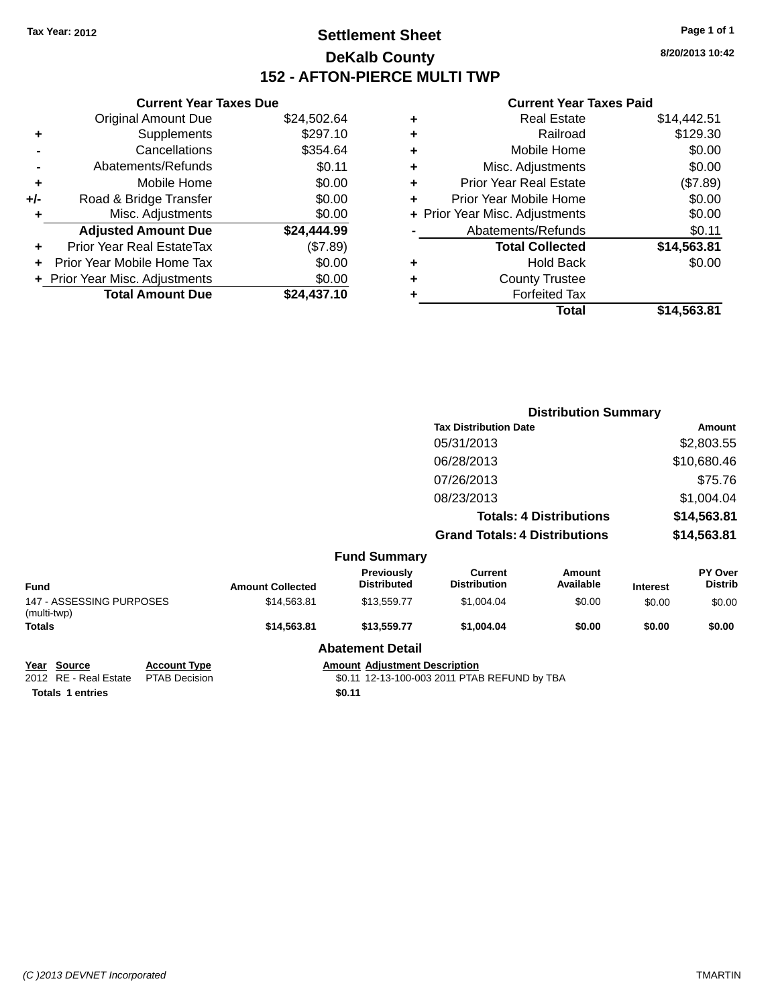## **Settlement Sheet Tax Year: 2012 Page 1 of 1 DeKalb County 152 - AFTON-PIERCE MULTI TWP**

**8/20/2013 10:42**

#### **Current Year Taxes Paid**

|     | <b>Current Year Taxes Due</b>  |             |   |
|-----|--------------------------------|-------------|---|
|     | <b>Original Amount Due</b>     | \$24,502.64 |   |
| ٠   | <b>Supplements</b>             | \$297.10    |   |
|     | Cancellations                  | \$354.64    |   |
|     | Abatements/Refunds             | \$0.11      |   |
| ٠   | Mobile Home                    | \$0.00      | 4 |
| +/- | Road & Bridge Transfer         | \$0.00      | ۰ |
| ٠   | Misc. Adjustments              | \$0.00      |   |
|     | <b>Adjusted Amount Due</b>     | \$24,444.99 |   |
| ٠   | Prior Year Real EstateTax      | (\$7.89)    |   |
| ÷   | Prior Year Mobile Home Tax     | \$0.00      |   |
|     | + Prior Year Misc. Adjustments | \$0.00      | 4 |
|     | <b>Total Amount Due</b>        | \$24,437.10 |   |
|     |                                |             |   |

| ٠ | <b>Real Estate</b>             | \$14,442.51 |
|---|--------------------------------|-------------|
| ٠ | Railroad                       | \$129.30    |
| ٠ | Mobile Home                    | \$0.00      |
| ٠ | Misc. Adjustments              | \$0.00      |
| ٠ | Prior Year Real Estate         | (\$7.89)    |
| ٠ | Prior Year Mobile Home         | \$0.00      |
|   | + Prior Year Misc. Adjustments | \$0.00      |
|   | Abatements/Refunds             | \$0.11      |
|   | <b>Total Collected</b>         | \$14,563.81 |
| ٠ | Hold Back                      | \$0.00      |
| ٠ | <b>County Trustee</b>          |             |
|   | <b>Forfeited Tax</b>           |             |
|   | Total                          | \$14,563.81 |
|   |                                |             |

|                                         |                         |                                  | <b>Distribution Summary</b>           |                     |                 |                           |
|-----------------------------------------|-------------------------|----------------------------------|---------------------------------------|---------------------|-----------------|---------------------------|
|                                         |                         |                                  | <b>Tax Distribution Date</b>          |                     |                 | Amount                    |
|                                         |                         |                                  | 05/31/2013                            |                     |                 | \$2,803.55                |
|                                         |                         |                                  | 06/28/2013                            |                     |                 | \$10,680.46               |
|                                         |                         |                                  | 07/26/2013                            |                     |                 | \$75.76                   |
|                                         |                         |                                  | 08/23/2013                            |                     |                 | \$1,004.04                |
| <b>Totals: 4 Distributions</b>          |                         | \$14,563.81                      |                                       |                     |                 |                           |
|                                         |                         |                                  | <b>Grand Totals: 4 Distributions</b>  |                     | \$14,563.81     |                           |
|                                         |                         | <b>Fund Summary</b>              |                                       |                     |                 |                           |
| <b>Fund</b>                             | <b>Amount Collected</b> | Previously<br><b>Distributed</b> | <b>Current</b><br><b>Distribution</b> | Amount<br>Available | <b>Interest</b> | PY Over<br><b>Distrib</b> |
| 147 - ASSESSING PURPOSES<br>(multi-twp) | \$14,563.81             | \$13,559.77                      | \$1,004.04                            | \$0.00              | \$0.00          | \$0.00                    |
| Totals                                  | \$14,563.81             | \$13,559.77                      | \$1,004.04                            | \$0.00              | \$0.00          | \$0.00                    |
|                                         |                         | <b>Abatement Detail</b>          |                                       |                     |                 |                           |

**Year Source Account Type Amount Adjustment Description**<br>
2012 RE - Real Estate PTAB Decision **Amount Adjustment Description**<br>
\$0.11 12-13-100-003 2011 PTAE **Totals** 1 entries **\$0.11** 

\$0.11 12-13-100-003 2011 PTAB REFUND by TBA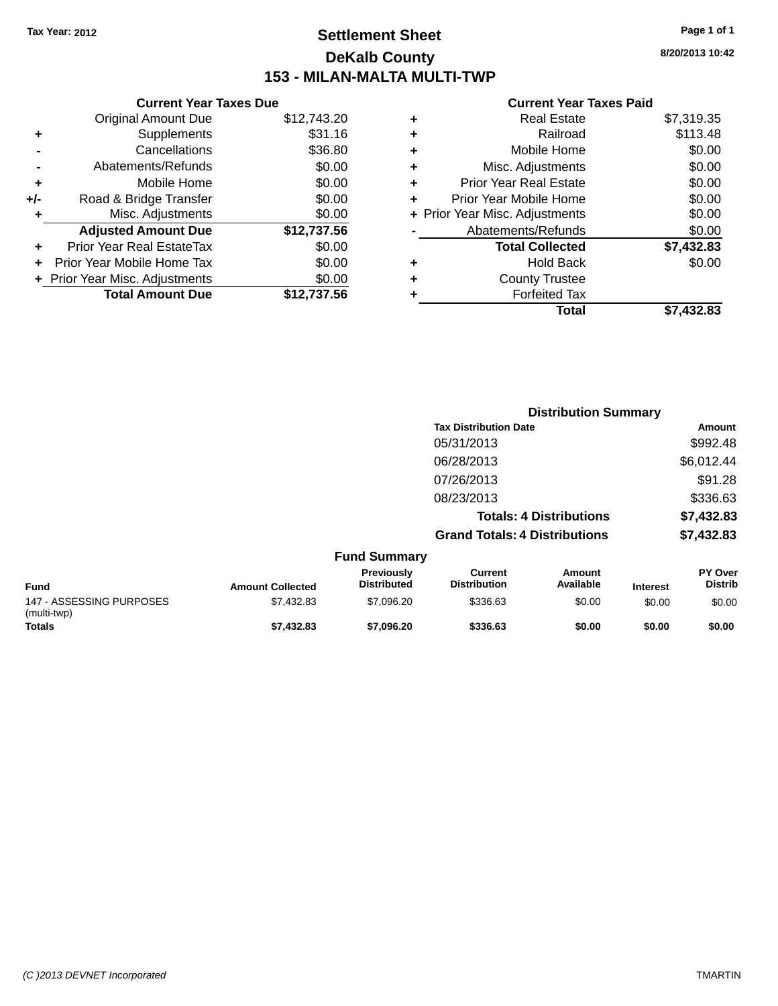## **Settlement Sheet Tax Year: 2012 Page 1 of 1 DeKalb County 153 - MILAN-MALTA MULTI-TWP**

### **8/20/2013 10:42**

| <b>Current Year Taxes Paid</b> |  |  |  |
|--------------------------------|--|--|--|
|--------------------------------|--|--|--|

|     | <b>Current Year Taxes Due</b>  |             |
|-----|--------------------------------|-------------|
|     | <b>Original Amount Due</b>     | \$12,743.20 |
| ٠   | Supplements                    | \$31.16     |
|     | Cancellations                  | \$36.80     |
|     | Abatements/Refunds             | \$0.00      |
| ٠   | Mobile Home                    | \$0.00      |
| +/- | Road & Bridge Transfer         | \$0.00      |
|     | Misc. Adjustments              | \$0.00      |
|     | <b>Adjusted Amount Due</b>     | \$12,737.56 |
| ٠   | Prior Year Real EstateTax      | \$0.00      |
|     | Prior Year Mobile Home Tax     | \$0.00      |
|     | + Prior Year Misc. Adjustments | \$0.00      |
|     | <b>Total Amount Due</b>        | \$12,737.56 |
|     |                                |             |

| ٠ | <b>Real Estate</b>             | \$7,319.35 |
|---|--------------------------------|------------|
| ٠ | Railroad                       | \$113.48   |
| ٠ | Mobile Home                    | \$0.00     |
| ٠ | Misc. Adjustments              | \$0.00     |
| ٠ | <b>Prior Year Real Estate</b>  | \$0.00     |
| ÷ | Prior Year Mobile Home         | \$0.00     |
|   | + Prior Year Misc. Adjustments | \$0.00     |
|   | Abatements/Refunds             | \$0.00     |
|   | <b>Total Collected</b>         | \$7,432.83 |
| ٠ | Hold Back                      | \$0.00     |
| ÷ | <b>County Trustee</b>          |            |
| ÷ | <b>Forfeited Tax</b>           |            |
|   | Total                          | \$7,432.83 |
|   |                                |            |

|                                         |                         |                                  | <b>Distribution Summary</b>           |                                |                 |                           |
|-----------------------------------------|-------------------------|----------------------------------|---------------------------------------|--------------------------------|-----------------|---------------------------|
|                                         |                         |                                  | <b>Tax Distribution Date</b>          |                                |                 | Amount                    |
|                                         |                         |                                  | 05/31/2013                            |                                |                 | \$992.48                  |
|                                         |                         |                                  | 06/28/2013                            |                                |                 | \$6,012.44                |
|                                         |                         |                                  | 07/26/2013                            |                                |                 | \$91.28                   |
|                                         |                         |                                  | 08/23/2013                            |                                |                 | \$336.63                  |
|                                         |                         |                                  |                                       | <b>Totals: 4 Distributions</b> |                 | \$7,432.83                |
|                                         |                         |                                  | <b>Grand Totals: 4 Distributions</b>  |                                |                 | \$7,432.83                |
|                                         |                         | <b>Fund Summary</b>              |                                       |                                |                 |                           |
| <b>Fund</b>                             | <b>Amount Collected</b> | Previously<br><b>Distributed</b> | <b>Current</b><br><b>Distribution</b> | Amount<br>Available            | <b>Interest</b> | PY Over<br><b>Distrib</b> |
| 147 - ASSESSING PURPOSES<br>(multi-twp) | \$7,432.83              | \$7,096.20                       | \$336.63                              | \$0.00                         | \$0.00          | \$0.00                    |
| Totals                                  | \$7,432.83              | \$7,096.20                       | \$336.63                              | \$0.00                         | \$0.00          | \$0.00                    |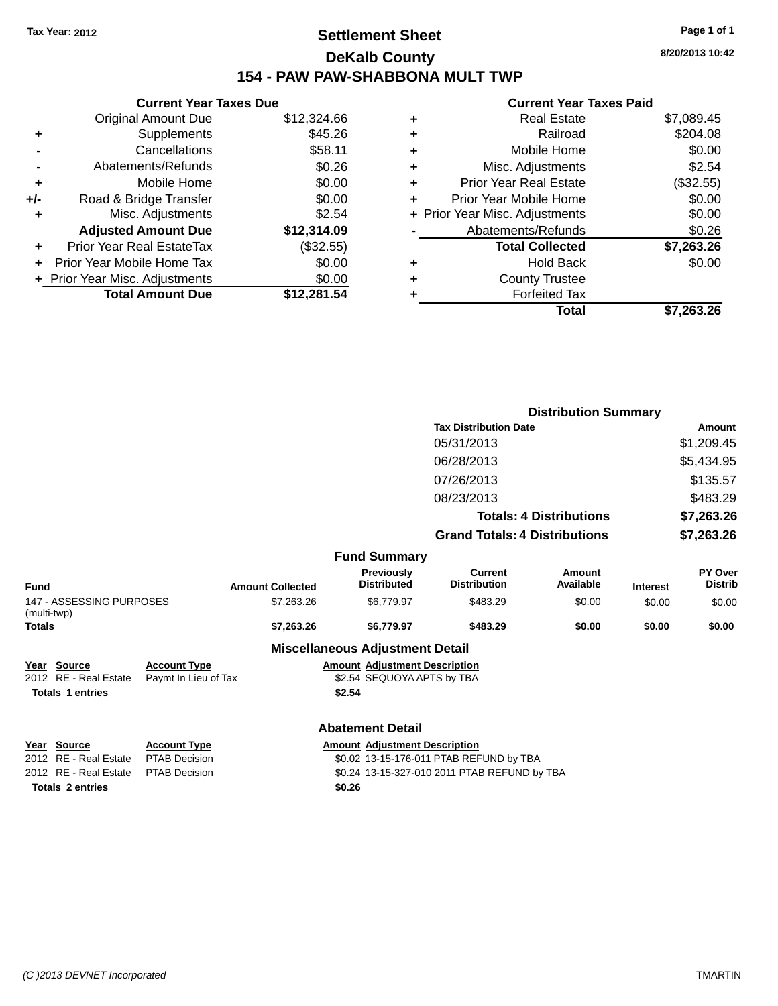## **Settlement Sheet Tax Year: 2012 Page 1 of 1 DeKalb County 154 - PAW PAW-SHABBONA MULT TWP**

| <b>Current Year Taxes Due</b> |                                |  |  |  |  |
|-------------------------------|--------------------------------|--|--|--|--|
| <b>Original Amount Due</b>    | \$12,324.66                    |  |  |  |  |
| Supplements                   | \$45.26                        |  |  |  |  |
| Cancellations                 | \$58.11                        |  |  |  |  |
| Abatements/Refunds            | \$0.26                         |  |  |  |  |
| Mobile Home                   | \$0.00                         |  |  |  |  |
| Road & Bridge Transfer        | \$0.00                         |  |  |  |  |
| Misc. Adjustments             | \$2.54                         |  |  |  |  |
| <b>Adjusted Amount Due</b>    | \$12,314.09                    |  |  |  |  |
| Prior Year Real EstateTax     | (\$32.55)                      |  |  |  |  |
| Prior Year Mobile Home Tax    | \$0.00                         |  |  |  |  |
|                               | \$0.00                         |  |  |  |  |
| <b>Total Amount Due</b>       | \$12.281.54                    |  |  |  |  |
|                               | + Prior Year Misc. Adjustments |  |  |  |  |

#### **Current Year Taxes Paid**

|   | <b>Real Estate</b>             | \$7,089.45  |
|---|--------------------------------|-------------|
| ٠ | Railroad                       | \$204.08    |
| ٠ | Mobile Home                    | \$0.00      |
| ٠ | Misc. Adjustments              | \$2.54      |
| ٠ | <b>Prior Year Real Estate</b>  | $(\$32.55)$ |
| ٠ | Prior Year Mobile Home         | \$0.00      |
|   | + Prior Year Misc. Adjustments | \$0.00      |
|   | Abatements/Refunds             | \$0.26      |
|   | <b>Total Collected</b>         | \$7,263.26  |
| ٠ | <b>Hold Back</b>               | \$0.00      |
| ٠ | <b>County Trustee</b>          |             |
|   | <b>Forfeited Tax</b>           |             |
|   | Total                          | \$7,263.26  |
|   |                                |             |

|                                         |                      |                         |                                         | <b>Distribution Summary</b>             |                                |                 |                           |
|-----------------------------------------|----------------------|-------------------------|-----------------------------------------|-----------------------------------------|--------------------------------|-----------------|---------------------------|
|                                         |                      |                         |                                         | <b>Tax Distribution Date</b>            |                                |                 | Amount                    |
|                                         |                      |                         |                                         | 05/31/2013                              |                                |                 | \$1,209.45                |
|                                         |                      |                         |                                         | 06/28/2013                              |                                |                 | \$5,434.95                |
|                                         |                      |                         |                                         | 07/26/2013                              |                                |                 | \$135.57                  |
|                                         |                      |                         |                                         | 08/23/2013                              |                                |                 | \$483.29                  |
|                                         |                      |                         |                                         |                                         | <b>Totals: 4 Distributions</b> |                 | \$7,263.26                |
|                                         |                      |                         |                                         | <b>Grand Totals: 4 Distributions</b>    |                                |                 | \$7,263.26                |
|                                         |                      |                         | <b>Fund Summary</b>                     |                                         |                                |                 |                           |
| <b>Fund</b>                             |                      | <b>Amount Collected</b> | <b>Previously</b><br><b>Distributed</b> | <b>Current</b><br><b>Distribution</b>   | Amount<br>Available            | <b>Interest</b> | PY Over<br><b>Distrib</b> |
| 147 - ASSESSING PURPOSES<br>(multi-twp) |                      | \$7,263.26              | \$6,779.97                              | \$483.29                                | \$0.00                         | \$0.00          | \$0.00                    |
| <b>Totals</b>                           |                      | \$7,263.26              | \$6,779.97                              | \$483.29                                | \$0.00                         | \$0.00          | \$0.00                    |
|                                         |                      |                         | <b>Miscellaneous Adjustment Detail</b>  |                                         |                                |                 |                           |
| Source<br>Year                          | <b>Account Type</b>  |                         | <b>Amount Adjustment Description</b>    |                                         |                                |                 |                           |
| 2012 RE - Real Estate                   | Paymt In Lieu of Tax |                         | \$2.54 SEQUOYA APTS by TBA              |                                         |                                |                 |                           |
| <b>Totals 1 entries</b>                 |                      |                         | \$2.54                                  |                                         |                                |                 |                           |
|                                         |                      |                         | <b>Abatement Detail</b>                 |                                         |                                |                 |                           |
| Year Source                             | <b>Account Type</b>  |                         | <b>Amount Adjustment Description</b>    |                                         |                                |                 |                           |
| 2012 RE - Real Estate                   | <b>PTAB Decision</b> |                         |                                         | \$0.02 13-15-176-011 PTAB REFUND by TBA |                                |                 |                           |

**Totals 2 entries \$0.26**

\$0.02 13-15-176-011 PTAB REFUND by TBA 2012 RE - Real Estate PTAB Decision \$0.24 13-15-327-010 2011 PTAB REFUND by TBA

*(C )2013 DEVNET Incorporated* TMARTIN

**8/20/2013 10:42**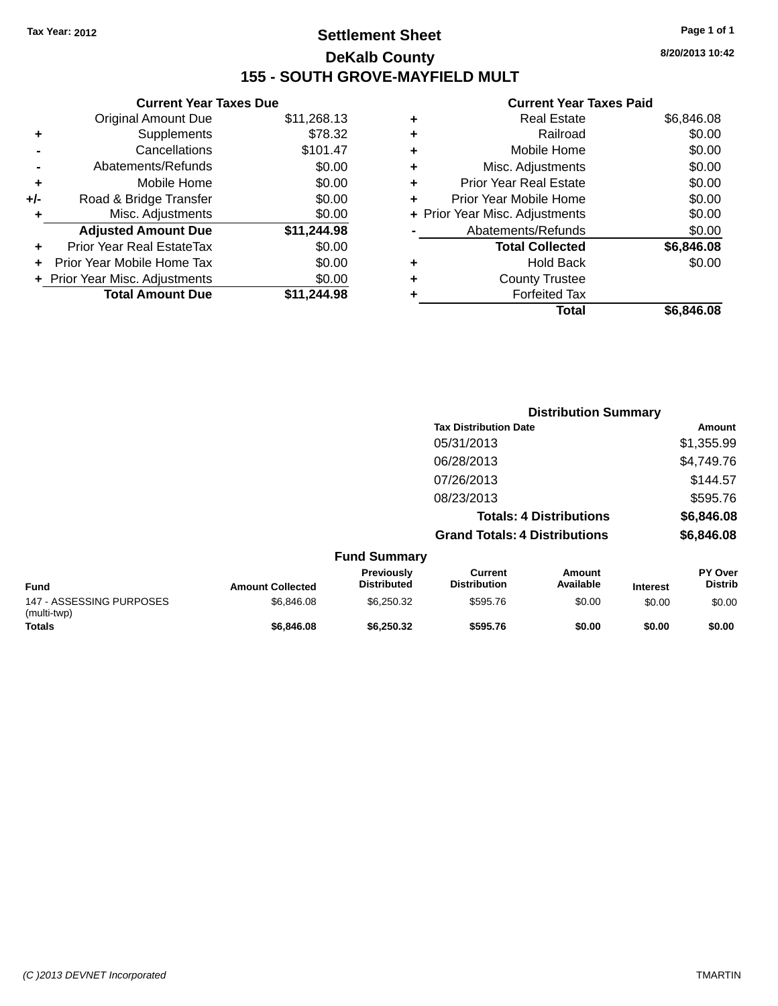### **Settlement Sheet Tax Year: 2012 Page 1 of 1 DeKalb County 155 - SOUTH GROVE-MAYFIELD MULT**

**8/20/2013 10:42**

|     | <b>Current Year Taxes Due</b> |             |  |
|-----|-------------------------------|-------------|--|
|     | <b>Original Amount Due</b>    | \$11,268.13 |  |
| ٠   | Supplements                   | \$78.32     |  |
|     | Cancellations                 | \$101.47    |  |
|     | Abatements/Refunds            | \$0.00      |  |
| ٠   | Mobile Home                   | \$0.00      |  |
| +/- | Road & Bridge Transfer        | \$0.00      |  |
| ٠   | Misc. Adjustments             | \$0.00      |  |
|     | <b>Adjusted Amount Due</b>    | \$11,244.98 |  |
| ٠   | Prior Year Real EstateTax     | \$0.00      |  |
|     | Prior Year Mobile Home Tax    | \$0.00      |  |
|     | Prior Year Misc. Adjustments  | \$0.00      |  |
|     | <b>Total Amount Due</b>       | \$11,244.98 |  |
|     |                               |             |  |

| ٠ | <b>Real Estate</b>             | \$6,846.08 |
|---|--------------------------------|------------|
| ٠ | Railroad                       | \$0.00     |
| ٠ | Mobile Home                    | \$0.00     |
| ٠ | Misc. Adjustments              | \$0.00     |
| ٠ | <b>Prior Year Real Estate</b>  | \$0.00     |
| ÷ | Prior Year Mobile Home         | \$0.00     |
|   | + Prior Year Misc. Adjustments | \$0.00     |
|   | Abatements/Refunds             | \$0.00     |
|   | <b>Total Collected</b>         | \$6,846.08 |
| ٠ | <b>Hold Back</b>               | \$0.00     |
| ٠ | <b>County Trustee</b>          |            |
| ٠ | <b>Forfeited Tax</b>           |            |
|   | Total                          | \$6,846.08 |
|   |                                |            |

|                                         |                         |                                         |                                      | <b>Distribution Summary</b>    |                 |                           |  |
|-----------------------------------------|-------------------------|-----------------------------------------|--------------------------------------|--------------------------------|-----------------|---------------------------|--|
|                                         |                         |                                         | <b>Tax Distribution Date</b>         |                                |                 | Amount                    |  |
|                                         |                         |                                         | 05/31/2013                           |                                |                 | \$1,355.99                |  |
|                                         |                         |                                         | 06/28/2013                           |                                |                 | \$4,749.76                |  |
|                                         |                         |                                         | 07/26/2013                           |                                |                 | \$144.57                  |  |
|                                         |                         |                                         | 08/23/2013                           |                                |                 | \$595.76                  |  |
|                                         |                         |                                         |                                      | <b>Totals: 4 Distributions</b> |                 | \$6,846.08                |  |
|                                         |                         |                                         | <b>Grand Totals: 4 Distributions</b> |                                |                 | \$6,846.08                |  |
|                                         |                         | <b>Fund Summary</b>                     |                                      |                                |                 |                           |  |
| <b>Fund</b>                             | <b>Amount Collected</b> | <b>Previously</b><br><b>Distributed</b> | Current<br><b>Distribution</b>       | <b>Amount</b><br>Available     | <b>Interest</b> | PY Over<br><b>Distrib</b> |  |
| 147 - ASSESSING PURPOSES<br>(multi-twp) | \$6,846.08              | \$6,250.32                              | \$595.76                             | \$0.00                         | \$0.00          | \$0.00                    |  |
| Totals                                  | \$6,846.08              | \$6,250.32                              | \$595.76                             | \$0.00                         | \$0.00          | \$0.00                    |  |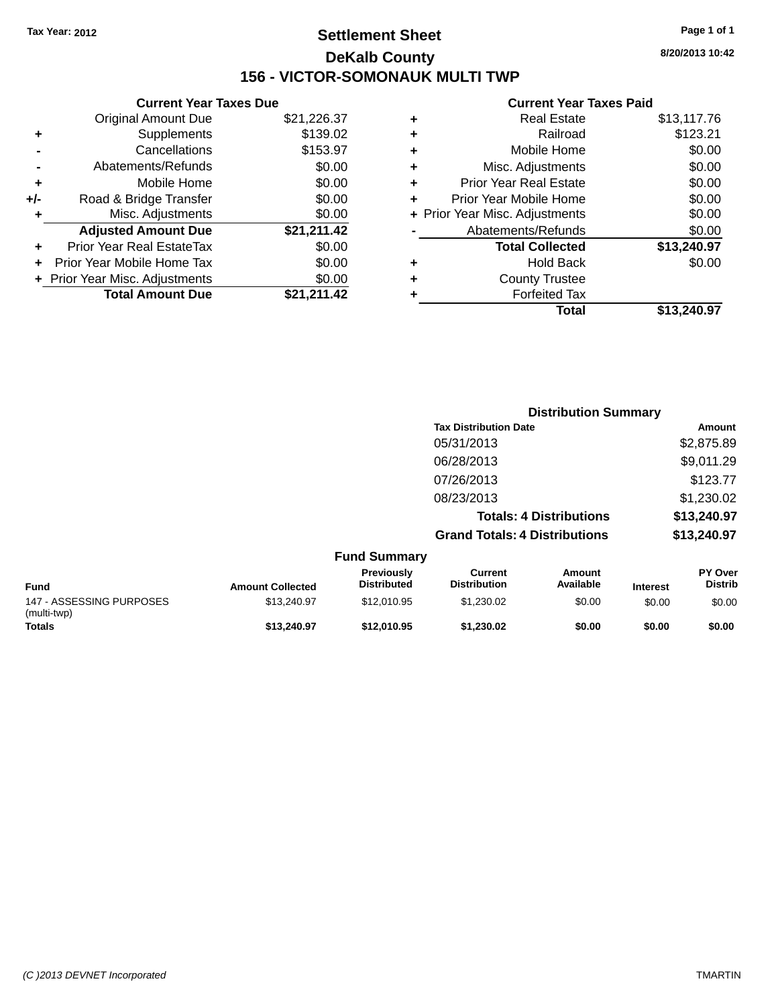## **Settlement Sheet Tax Year: 2012 Page 1 of 1 DeKalb County 156 - VICTOR-SOMONAUK MULTI TWP**

**8/20/2013 10:42**

|     | <b>Current Year Taxes Due</b>            |             |  |  |  |
|-----|------------------------------------------|-------------|--|--|--|
|     | <b>Original Amount Due</b>               | \$21,226.37 |  |  |  |
| ٠   | \$139.02<br>Supplements                  |             |  |  |  |
|     | Cancellations                            | \$153.97    |  |  |  |
|     | Abatements/Refunds                       | \$0.00      |  |  |  |
| ٠   | \$0.00<br>Mobile Home                    |             |  |  |  |
| +/- | \$0.00<br>Road & Bridge Transfer         |             |  |  |  |
| ٠   | Misc. Adjustments                        | \$0.00      |  |  |  |
|     | <b>Adjusted Amount Due</b>               | \$21,211.42 |  |  |  |
| ÷   | Prior Year Real EstateTax                | \$0.00      |  |  |  |
|     | \$0.00<br>Prior Year Mobile Home Tax     |             |  |  |  |
|     | \$0.00<br>+ Prior Year Misc. Adjustments |             |  |  |  |
|     | <b>Total Amount Due</b>                  | \$21.211.42 |  |  |  |

| ٠ | <b>Real Estate</b>             | \$13,117.76 |
|---|--------------------------------|-------------|
| ٠ | Railroad                       | \$123.21    |
| ٠ | Mobile Home                    | \$0.00      |
| ٠ | Misc. Adjustments              | \$0.00      |
| ٠ | <b>Prior Year Real Estate</b>  | \$0.00      |
| ÷ | Prior Year Mobile Home         | \$0.00      |
|   | + Prior Year Misc. Adjustments | \$0.00      |
|   | Abatements/Refunds             | \$0.00      |
|   | <b>Total Collected</b>         | \$13,240.97 |
| ٠ | <b>Hold Back</b>               | \$0.00      |
| ٠ | <b>County Trustee</b>          |             |
| ٠ | <b>Forfeited Tax</b>           |             |
|   | Total                          | \$13.240.97 |
|   |                                |             |

|                                         |                         |                                  |                                       | <b>Distribution Summary</b>    |                 |                           |
|-----------------------------------------|-------------------------|----------------------------------|---------------------------------------|--------------------------------|-----------------|---------------------------|
|                                         |                         |                                  | <b>Tax Distribution Date</b>          |                                |                 | Amount                    |
|                                         |                         |                                  | 05/31/2013                            |                                |                 | \$2,875.89                |
|                                         |                         |                                  | 06/28/2013                            |                                |                 | \$9,011.29                |
|                                         |                         |                                  | 07/26/2013                            |                                |                 | \$123.77                  |
|                                         |                         |                                  | 08/23/2013                            |                                |                 | \$1,230.02                |
|                                         |                         |                                  |                                       | <b>Totals: 4 Distributions</b> |                 | \$13,240.97               |
|                                         |                         |                                  | <b>Grand Totals: 4 Distributions</b>  |                                |                 | \$13,240.97               |
|                                         |                         | <b>Fund Summary</b>              |                                       |                                |                 |                           |
| <b>Fund</b>                             | <b>Amount Collected</b> | Previously<br><b>Distributed</b> | <b>Current</b><br><b>Distribution</b> | Amount<br>Available            | <b>Interest</b> | PY Over<br><b>Distrib</b> |
| 147 - ASSESSING PURPOSES<br>(multi-twp) | \$13,240.97             | \$12,010.95                      | \$1,230.02                            | \$0.00                         | \$0.00          | \$0.00                    |
| Totals                                  | \$13,240.97             | \$12,010.95                      | \$1,230.02                            | \$0.00                         | \$0.00          | \$0.00                    |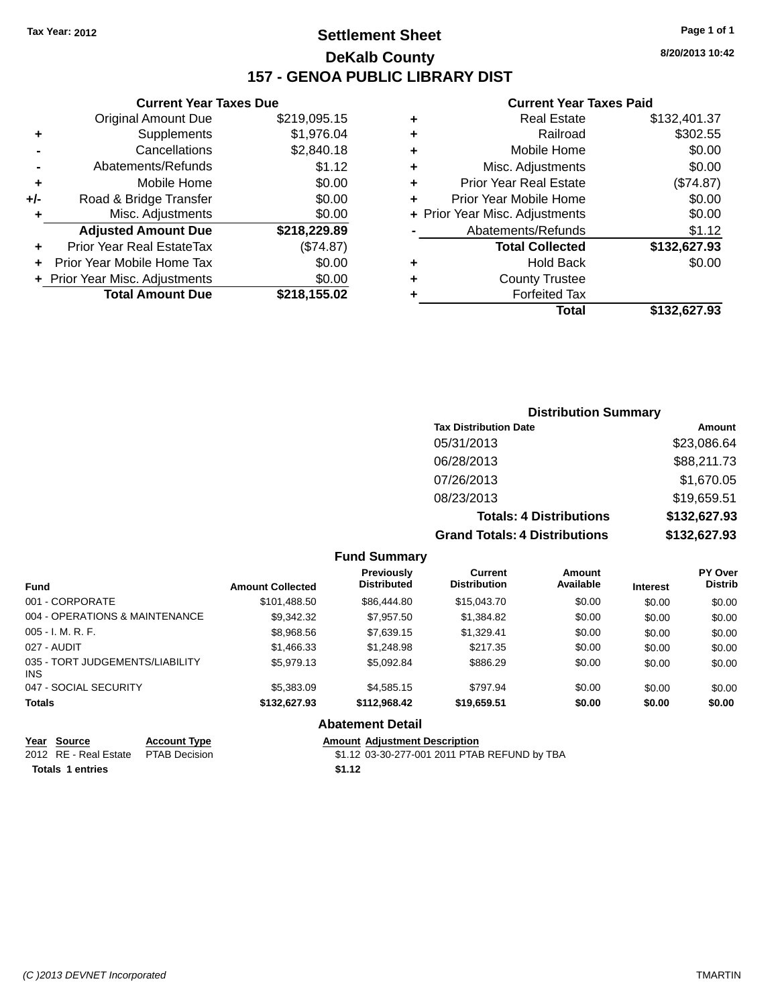## **Settlement Sheet Tax Year: 2012 Page 1 of 1 DeKalb County 157 - GENOA PUBLIC LIBRARY DIST**

**8/20/2013 10:42**

#### **Current Year Taxes Paid**

|       | <b>Current Year Taxes Due</b>              |              |  |  |  |
|-------|--------------------------------------------|--------------|--|--|--|
|       | \$219,095.15<br><b>Original Amount Due</b> |              |  |  |  |
| ٠     | \$1,976.04<br>Supplements                  |              |  |  |  |
|       | Cancellations                              | \$2,840.18   |  |  |  |
|       | Abatements/Refunds                         | \$1.12       |  |  |  |
| ٠     | Mobile Home                                | \$0.00       |  |  |  |
| $+/-$ | Road & Bridge Transfer                     | \$0.00       |  |  |  |
| ٠     | Misc. Adjustments                          | \$0.00       |  |  |  |
|       | <b>Adjusted Amount Due</b>                 | \$218,229.89 |  |  |  |
| ٠     | Prior Year Real EstateTax                  | (\$74.87)    |  |  |  |
|       | Prior Year Mobile Home Tax                 | \$0.00       |  |  |  |
|       | + Prior Year Misc. Adjustments             | \$0.00       |  |  |  |
|       | <b>Total Amount Due</b>                    | \$218,155.02 |  |  |  |
|       |                                            |              |  |  |  |

### **Distribution Summary Tax Distribution Date Amount** 05/31/2013 \$23,086.64 06/28/2013 \$88,211.73 07/26/2013 \$1,670.05 08/23/2013 \$19,659.51 **Totals: 4 Distributions \$132,627.93 Grand Totals: 4 Distributions \$132,627.93**

#### **Fund Summary**

| <b>Fund</b>                                   | <b>Amount Collected</b> | Previously<br><b>Distributed</b> | Current<br><b>Distribution</b> | Amount<br>Available | <b>Interest</b> | <b>PY Over</b><br><b>Distrib</b> |
|-----------------------------------------------|-------------------------|----------------------------------|--------------------------------|---------------------|-----------------|----------------------------------|
| 001 - CORPORATE                               | \$101,488.50            | \$86,444.80                      | \$15,043.70                    | \$0.00              | \$0.00          | \$0.00                           |
| 004 - OPERATIONS & MAINTENANCE                | \$9.342.32              | \$7.957.50                       | \$1,384.82                     | \$0.00              | \$0.00          | \$0.00                           |
| $005 - I. M. R. F.$                           | \$8,968.56              | \$7,639.15                       | \$1,329.41                     | \$0.00              | \$0.00          | \$0.00                           |
| 027 - AUDIT                                   | \$1,466.33              | \$1,248.98                       | \$217.35                       | \$0.00              | \$0.00          | \$0.00                           |
| 035 - TORT JUDGEMENTS/LIABILITY<br><b>INS</b> | \$5,979.13              | \$5.092.84                       | \$886.29                       | \$0.00              | \$0.00          | \$0.00                           |
| 047 - SOCIAL SECURITY                         | \$5,383.09              | \$4,585.15                       | \$797.94                       | \$0.00              | \$0.00          | \$0.00                           |
| <b>Totals</b>                                 | \$132,627.93            | \$112,968.42                     | \$19,659.51                    | \$0.00              | \$0.00          | \$0.00                           |

#### **Abatement Detail**

| Year Source                         | <b>Account Type</b> |        | <b>Amount Adiustment Description</b>         |
|-------------------------------------|---------------------|--------|----------------------------------------------|
| 2012 RE - Real Estate PTAB Decision |                     |        | \$1.12 03-30-277-001 2011 PTAB REFUND by TBA |
| <b>Totals 1 entries</b>             |                     | \$1.12 |                                              |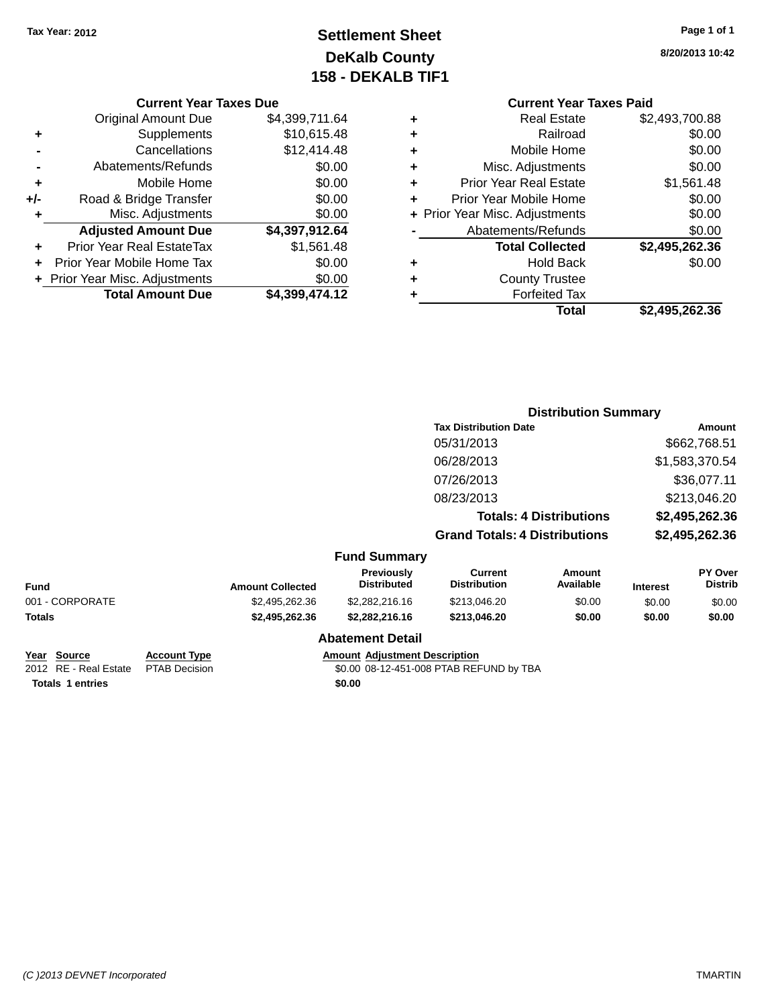## **Settlement Sheet Tax Year: 2012 Page 1 of 1 DeKalb County 158 - DEKALB TIF1**

**8/20/2013 10:42**

### **Current Year Taxes Due**

|       | <b>Original Amount Due</b>       | \$4,399,711.64 |
|-------|----------------------------------|----------------|
| ٠     | Supplements                      | \$10,615.48    |
|       | Cancellations                    | \$12,414.48    |
|       | Abatements/Refunds               | \$0.00         |
| ٠     | Mobile Home                      | \$0.00         |
| $+/-$ | Road & Bridge Transfer           | \$0.00         |
| ٠     | Misc. Adjustments                | \$0.00         |
|       | <b>Adjusted Amount Due</b>       | \$4,397,912.64 |
|       | <b>Prior Year Real EstateTax</b> | \$1,561.48     |
|       | Prior Year Mobile Home Tax       | \$0.00         |
|       | + Prior Year Misc. Adjustments   | \$0.00         |
|       | <b>Total Amount Due</b>          | \$4,399,474.12 |

|   | <b>Current Year Taxes Paid</b>              |                |  |  |  |
|---|---------------------------------------------|----------------|--|--|--|
| ٠ | <b>Real Estate</b>                          | \$2,493,700.88 |  |  |  |
| ٠ | Railroad                                    | \$0.00         |  |  |  |
| ٠ | Mobile Home                                 | \$0.00         |  |  |  |
| ٠ | Misc. Adjustments                           | \$0.00         |  |  |  |
| ٠ | <b>Prior Year Real Estate</b><br>\$1,561.48 |                |  |  |  |
| ٠ | \$0.00<br>Prior Year Mobile Home            |                |  |  |  |
|   | + Prior Year Misc. Adjustments              | \$0.00         |  |  |  |
|   | Abatements/Refunds                          | \$0.00         |  |  |  |
|   | <b>Total Collected</b>                      | \$2,495,262.36 |  |  |  |
| ٠ | Hold Back                                   | \$0.00         |  |  |  |
|   | <b>County Trustee</b>                       |                |  |  |  |
| ٠ | <b>Forfeited Tax</b>                        |                |  |  |  |
|   | Total                                       | \$2,495,262.36 |  |  |  |
|   |                                             |                |  |  |  |

|                 |                         |                                  | <b>Distribution Summary</b>          |                                |                 |                           |
|-----------------|-------------------------|----------------------------------|--------------------------------------|--------------------------------|-----------------|---------------------------|
|                 |                         |                                  |                                      | <b>Tax Distribution Date</b>   |                 |                           |
|                 |                         |                                  | 05/31/2013                           |                                |                 | \$662,768.51              |
|                 |                         |                                  | 06/28/2013                           |                                |                 | \$1,583,370.54            |
|                 |                         |                                  | 07/26/2013                           |                                |                 | \$36,077.11               |
|                 |                         |                                  | 08/23/2013                           |                                |                 | \$213,046.20              |
|                 |                         |                                  |                                      | <b>Totals: 4 Distributions</b> |                 | \$2,495,262.36            |
|                 |                         |                                  | <b>Grand Totals: 4 Distributions</b> |                                |                 | \$2,495,262.36            |
|                 |                         | <b>Fund Summary</b>              |                                      |                                |                 |                           |
| Fund            | <b>Amount Collected</b> | Previously<br><b>Distributed</b> | Current<br><b>Distribution</b>       | Amount<br>Available            | <b>Interest</b> | PY Over<br><b>Distrib</b> |
| 001 - CORPORATE | \$2,495,262.36          | \$2,282,216.16                   | \$213,046.20                         | \$0.00                         | \$0.00          | \$0.00                    |
| <b>Totals</b>   | \$2,495,262.36          | \$2,282,216.16                   | \$213,046.20                         | \$0.00                         | \$0.00          | \$0.00                    |

| \$2,282,216.16 |  |
|----------------|--|
|----------------|--|

| Year Source           | Acco |
|-----------------------|------|
| 2012 RE - Real Estate | PTA  |

**Totals 1 entries \$0.00**

**Abatement Detail**

# **<u>B Decision</u>**<br> **B Decision**<br> **B Decision**<br> **COLO 08-12-451-008 PTAB REF**

\$0.00 08-12-451-008 PTAB REFUND by TBA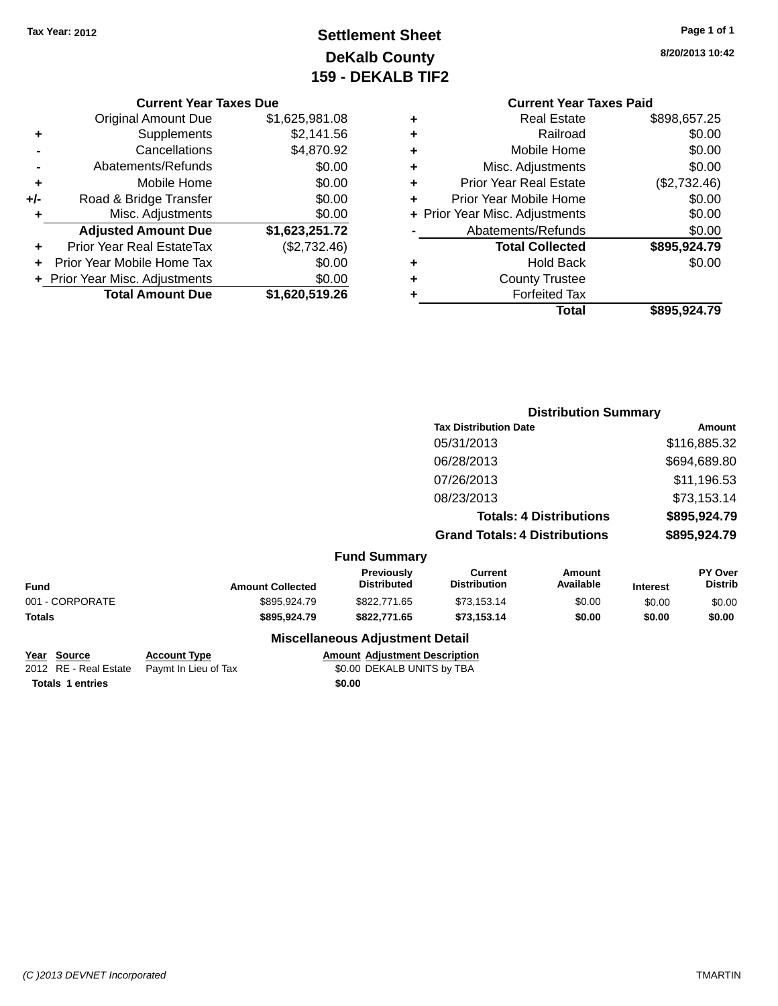## **Settlement Sheet Tax Year: 2012 Page 1 of 1 DeKalb County 159 - DEKALB TIF2**

**8/20/2013 10:42**

| <b>Current Year Taxes Due</b> |  |  |  |
|-------------------------------|--|--|--|
|-------------------------------|--|--|--|

|     | + Prior Year Misc. Adjustments<br><b>Total Amount Due</b> | \$0.00<br>\$1,620,519.26 |
|-----|-----------------------------------------------------------|--------------------------|
|     |                                                           |                          |
|     | Prior Year Mobile Home Tax                                | \$0.00                   |
|     | <b>Prior Year Real EstateTax</b>                          | (\$2,732.46)             |
|     | <b>Adjusted Amount Due</b>                                | \$1,623,251.72           |
| ٠   | Misc. Adjustments                                         | \$0.00                   |
| +/- | Road & Bridge Transfer                                    | \$0.00                   |
| ٠   | Mobile Home                                               | \$0.00                   |
|     | Abatements/Refunds                                        | \$0.00                   |
|     | Cancellations                                             | \$4,870.92               |
| ٠   | Supplements                                               | \$2,141.56               |
|     | <b>Original Amount Due</b>                                | \$1,625,981.08           |

|   | <b>Current Year Taxes Paid</b> |              |
|---|--------------------------------|--------------|
| ÷ | Real Estate                    | \$898,657.25 |
| ÷ | Railroad                       | \$0.00       |

|   | Total                          | \$895,924.79 |
|---|--------------------------------|--------------|
|   | <b>Forfeited Tax</b>           |              |
| ÷ | <b>County Trustee</b>          |              |
| ٠ | <b>Hold Back</b>               | \$0.00       |
|   | <b>Total Collected</b>         | \$895,924.79 |
|   | Abatements/Refunds             | \$0.00       |
|   | + Prior Year Misc. Adjustments | \$0.00       |
|   | Prior Year Mobile Home         | \$0.00       |
| ٠ | <b>Prior Year Real Estate</b>  | (\$2,732.46) |
|   | Misc. Adjustments              | \$0.00       |
| ÷ | Mobile Home                    | \$0.00       |
| ┳ | i vani vau                     | ⊎∪.∪∪        |

|                         | <b>Tax Distribution Date</b>     |                                       |                            |                                                                        | Amount                      |  |
|-------------------------|----------------------------------|---------------------------------------|----------------------------|------------------------------------------------------------------------|-----------------------------|--|
|                         |                                  | 05/31/2013                            |                            |                                                                        | \$116,885.32                |  |
|                         |                                  | 06/28/2013                            |                            |                                                                        | \$694,689.80                |  |
|                         |                                  | 07/26/2013                            |                            |                                                                        | \$11,196.53                 |  |
|                         |                                  | 08/23/2013                            |                            |                                                                        | \$73,153.14                 |  |
|                         |                                  |                                       |                            |                                                                        | \$895,924.79                |  |
|                         |                                  |                                       |                            |                                                                        | \$895,924.79                |  |
|                         |                                  |                                       |                            |                                                                        |                             |  |
| <b>Amount Collected</b> | Previously<br><b>Distributed</b> | <b>Current</b><br><b>Distribution</b> | <b>Amount</b><br>Available | <b>Interest</b>                                                        | PY Over<br><b>Distrib</b>   |  |
| \$895,924.79            | \$822,771.65                     | \$73,153.14                           | \$0.00                     | \$0.00                                                                 | \$0.00                      |  |
| \$895,924.79            | \$822,771.65                     | \$73,153.14                           | \$0.00                     | \$0.00                                                                 | \$0.00                      |  |
|                         |                                  |                                       | <b>Fund Summary</b>        | <b>Totals: 4 Distributions</b><br><b>Grand Totals: 4 Distributions</b> | <b>Distribution Summary</b> |  |

| Year Source             | <b>Account Type</b>                        |        | <b>Amount Adiustment Description</b> |
|-------------------------|--------------------------------------------|--------|--------------------------------------|
|                         | 2012 RE - Real Estate Paymt In Lieu of Tax |        | \$0.00 DEKALB UNITS by TBA           |
| <b>Totals 1 entries</b> |                                            | \$0.00 |                                      |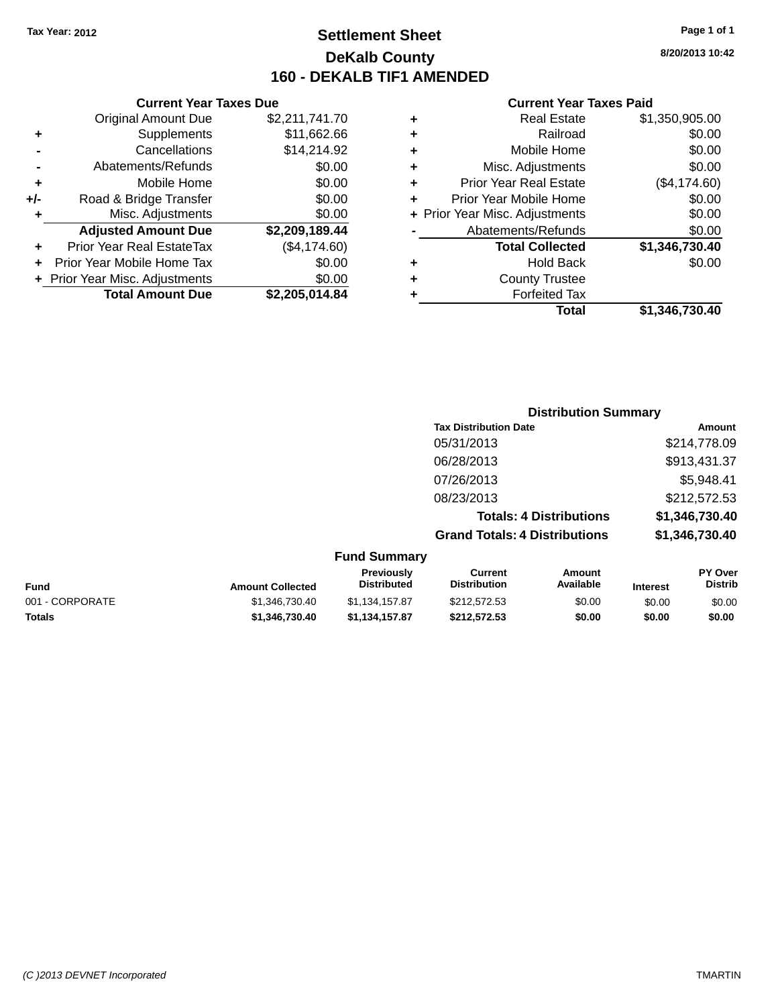**Current Year Taxes Due** Original Amount Due \$2,211,741.70

**Adjusted Amount Due \$2,209,189.44**

**Total Amount Due \$2,205,014.84**

**+** Supplements \$11,662.66 **-** Cancellations \$14,214.92 **-** Abatements/Refunds \$0.00 **+** Mobile Home \$0.00 **+/-** Road & Bridge Transfer \$0.00 **+** Misc. Adjustments \$0.00

**+** Prior Year Real EstateTax (\$4,174.60) **+** Prior Year Mobile Home Tax \$0.00 **+ Prior Year Misc. Adjustments**  $$0.00$ 

## **Settlement Sheet Tax Year: 2012 Page 1 of 1 DeKalb County 160 - DEKALB TIF1 AMENDED**

**8/20/2013 10:42**

#### **Current Year Taxes Paid**

| ٠ | <b>Real Estate</b>             | \$1,350,905.00 |
|---|--------------------------------|----------------|
| ٠ | Railroad                       | \$0.00         |
| ٠ | Mobile Home                    | \$0.00         |
| ÷ | Misc. Adjustments              | \$0.00         |
| ٠ | <b>Prior Year Real Estate</b>  | (\$4,174.60)   |
| ٠ | Prior Year Mobile Home         | \$0.00         |
|   | + Prior Year Misc. Adjustments | \$0.00         |
|   | Abatements/Refunds             | \$0.00         |
|   | <b>Total Collected</b>         | \$1,346,730.40 |
| ٠ | <b>Hold Back</b>               | \$0.00         |
| ٠ | <b>County Trustee</b>          |                |
|   | <b>Forfeited Tax</b>           |                |
|   | Total                          | \$1.346.730.40 |
|   |                                |                |

|                 |                         |                                  |                                      | <b>Distribution Summary</b>    |          |                                  |
|-----------------|-------------------------|----------------------------------|--------------------------------------|--------------------------------|----------|----------------------------------|
|                 |                         |                                  | <b>Tax Distribution Date</b>         |                                |          | Amount                           |
|                 |                         |                                  | 05/31/2013                           |                                |          | \$214,778.09                     |
|                 |                         |                                  | 06/28/2013                           |                                |          | \$913,431.37                     |
|                 |                         |                                  | 07/26/2013                           |                                |          | \$5,948.41                       |
|                 |                         |                                  | 08/23/2013                           |                                |          | \$212,572.53                     |
|                 |                         |                                  |                                      | <b>Totals: 4 Distributions</b> |          | \$1,346,730.40                   |
|                 |                         |                                  | <b>Grand Totals: 4 Distributions</b> |                                |          | \$1,346,730.40                   |
|                 |                         | <b>Fund Summary</b>              |                                      |                                |          |                                  |
| Fund            | <b>Amount Collected</b> | Previously<br><b>Distributed</b> | Current<br><b>Distribution</b>       | Amount<br>Available            | Interest | <b>PY Over</b><br><b>Distrib</b> |
| 001 - CORPORATE | \$1,346,730.40          | \$1,134,157.87                   | \$212,572.53                         | \$0.00                         | \$0.00   | \$0.00                           |

**Totals \$1,346,730.40 \$1,134,157.87 \$212,572.53 \$0.00 \$0.00 \$0.00**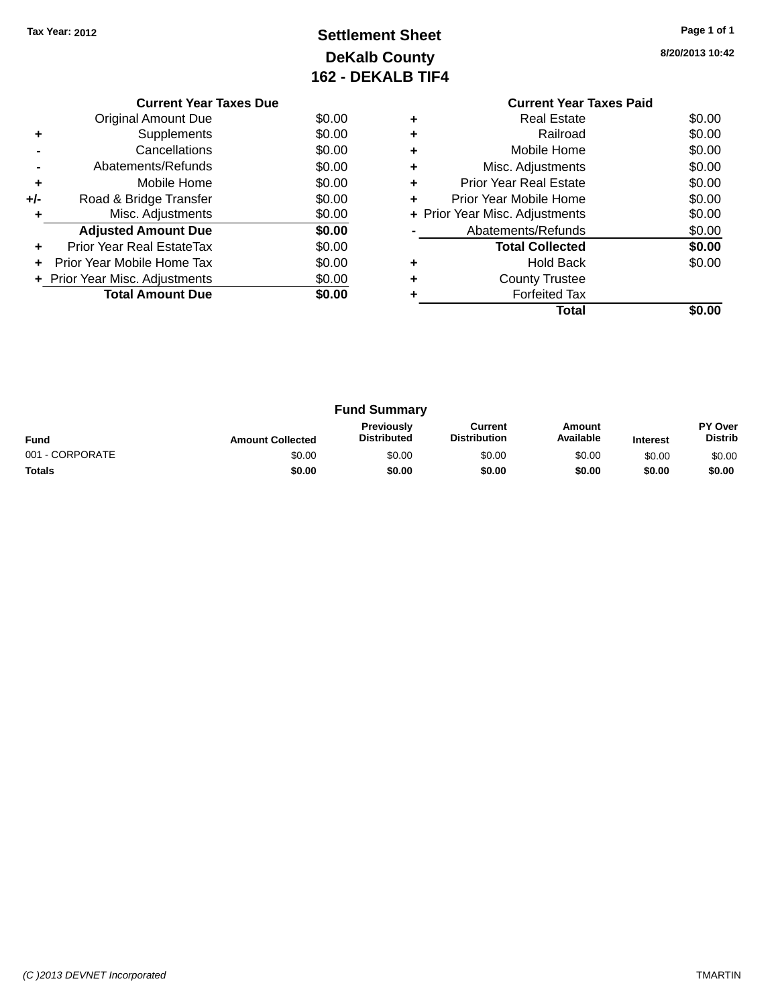## **Settlement Sheet Tax Year: 2012 Page 1 of 1 DeKalb County 162 - DEKALB TIF4**

**8/20/2013 10:42**

|     | <b>Current Year Taxes Due</b>  |        |
|-----|--------------------------------|--------|
|     | Original Amount Due            | \$0.00 |
| ٠   | Supplements                    | \$0.00 |
|     | Cancellations                  | \$0.00 |
|     | Abatements/Refunds             | \$0.00 |
| ٠   | Mobile Home                    | \$0.00 |
| +/- | Road & Bridge Transfer         | \$0.00 |
| ٠   | Misc. Adjustments              | \$0.00 |
|     | <b>Adjusted Amount Due</b>     | \$0.00 |
| ٠   | Prior Year Real EstateTax      | \$0.00 |
| ÷   | Prior Year Mobile Home Tax     | \$0.00 |
|     | + Prior Year Misc. Adjustments | \$0.00 |
|     | <b>Total Amount Due</b>        | \$0.00 |
|     |                                |        |

### **Current Year Taxes Paid +** Real Estate \$0.00 **+** Railroad \$0.00

|           | Total                          | \$0.00 |
|-----------|--------------------------------|--------|
|           | <b>Forfeited Tax</b>           |        |
| ÷         | <b>County Trustee</b>          |        |
| ÷         | <b>Hold Back</b>               | \$0.00 |
|           | <b>Total Collected</b>         | \$0.00 |
|           | Abatements/Refunds             | \$0.00 |
|           | + Prior Year Misc. Adjustments | \$0.00 |
| ÷         | Prior Year Mobile Home         | \$0.00 |
| ÷         | <b>Prior Year Real Estate</b>  | \$0.00 |
| $\ddot{}$ | Misc. Adjustments              | \$0.00 |
| ÷         | Mobile Home                    | \$0.00 |
|           |                                |        |

| <b>Fund Summary</b> |                         |                                         |                                |                     |                 |                           |
|---------------------|-------------------------|-----------------------------------------|--------------------------------|---------------------|-----------------|---------------------------|
| <b>Fund</b>         | <b>Amount Collected</b> | <b>Previously</b><br><b>Distributed</b> | Current<br><b>Distribution</b> | Amount<br>Available | <b>Interest</b> | PY Over<br><b>Distrib</b> |
| 001 - CORPORATE     | \$0.00                  | \$0.00                                  | \$0.00                         | \$0.00              | \$0.00          | \$0.00                    |
| <b>Totals</b>       | \$0.00                  | \$0.00                                  | \$0.00                         | \$0.00              | \$0.00          | \$0.00                    |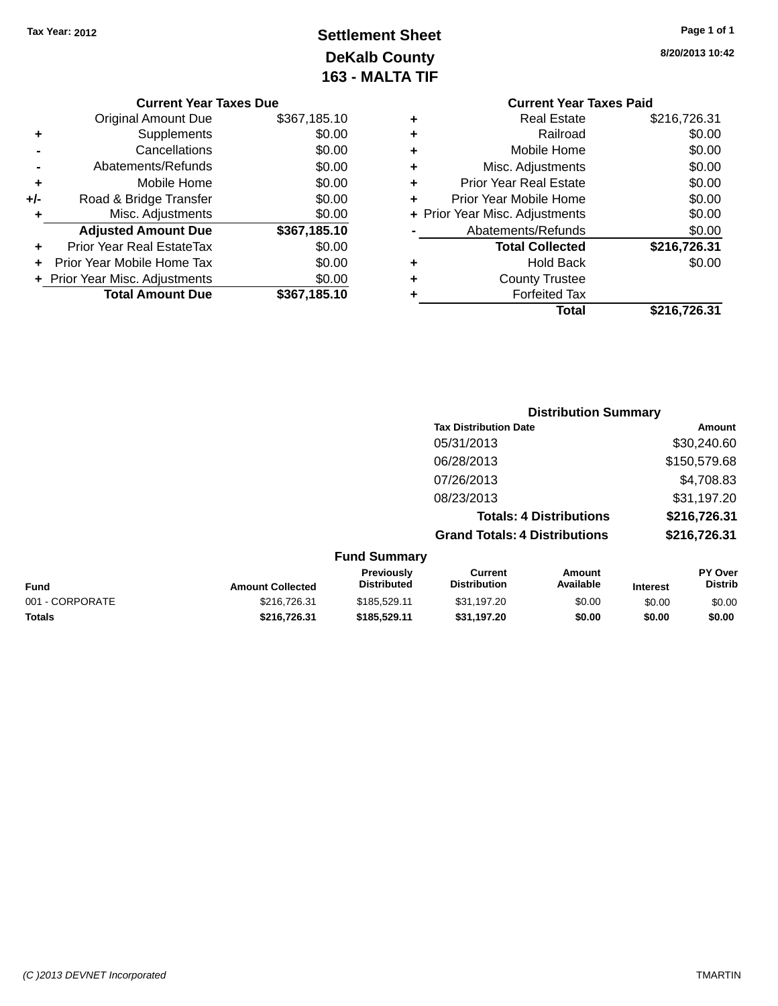## **Settlement Sheet Tax Year: 2012 Page 1 of 1 DeKalb County 163 - MALTA TIF**

**8/20/2013 10:42**

|   | <b>Current Year Taxes Paid</b> |              |  |  |
|---|--------------------------------|--------------|--|--|
| ٠ | Real Estate                    | \$216,726.31 |  |  |
| ٠ | Railroad                       | \$0.00       |  |  |
| ٠ | Mobile Home                    | \$0.00       |  |  |
| ٠ | Misc. Adjustments              | \$0.00       |  |  |
| ٠ | <b>Prior Year Real Estate</b>  | \$0.00       |  |  |
| ٠ | Prior Year Mobile Home         | \$0.00       |  |  |
|   | + Prior Year Misc. Adjustments | \$0.00       |  |  |
|   | Abatements/Refunds             | \$0.00       |  |  |
|   | <b>Total Collected</b>         | \$216,726.31 |  |  |
|   | Hold Back                      | \$0.00       |  |  |
| ٠ | <b>County Trustee</b>          |              |  |  |
|   | <b>Forfeited Tax</b>           |              |  |  |
|   | Total                          | \$216,726.31 |  |  |

|     | <b>Current Year Taxes Due</b>  |              |
|-----|--------------------------------|--------------|
|     | <b>Original Amount Due</b>     | \$367,185.10 |
| ٠   | Supplements                    | \$0.00       |
|     | Cancellations                  | \$0.00       |
|     | Abatements/Refunds             | \$0.00       |
| ٠   | Mobile Home                    | \$0.00       |
| +/- | Road & Bridge Transfer         | \$0.00       |
|     | Misc. Adjustments              | \$0.00       |
|     | <b>Adjusted Amount Due</b>     | \$367,185.10 |
| ٠   | Prior Year Real EstateTax      | \$0.00       |
|     | Prior Year Mobile Home Tax     | \$0.00       |
|     | + Prior Year Misc. Adjustments | \$0.00       |
|     | <b>Total Amount Due</b>        | \$367,185.10 |
|     |                                |              |

|                     | <b>Distribution Summary</b>          |              |
|---------------------|--------------------------------------|--------------|
|                     | <b>Tax Distribution Date</b>         | Amount       |
|                     | 05/31/2013                           | \$30,240.60  |
|                     | 06/28/2013                           | \$150,579.68 |
|                     | 07/26/2013                           | \$4,708.83   |
|                     | 08/23/2013                           | \$31,197.20  |
|                     | <b>Totals: 4 Distributions</b>       | \$216,726.31 |
|                     | <b>Grand Totals: 4 Distributions</b> | \$216,726.31 |
| <b>Fund Summarv</b> |                                      |              |

| <b>Fund</b>     | <b>Amount Collected</b> | <b>Previously</b><br><b>Distributed</b> | Current<br><b>Distribution</b> | Amount<br>Available | <b>Interest</b> | PY Over<br><b>Distrib</b> |
|-----------------|-------------------------|-----------------------------------------|--------------------------------|---------------------|-----------------|---------------------------|
| 001 - CORPORATE | \$216,726.31            | \$185,529.11                            | \$31,197.20                    | \$0.00              | \$0.00          | \$0.00                    |
| <b>Totals</b>   | \$216,726,31            | \$185,529.11                            | \$31.197.20                    | \$0.00              | \$0.00          | \$0.00                    |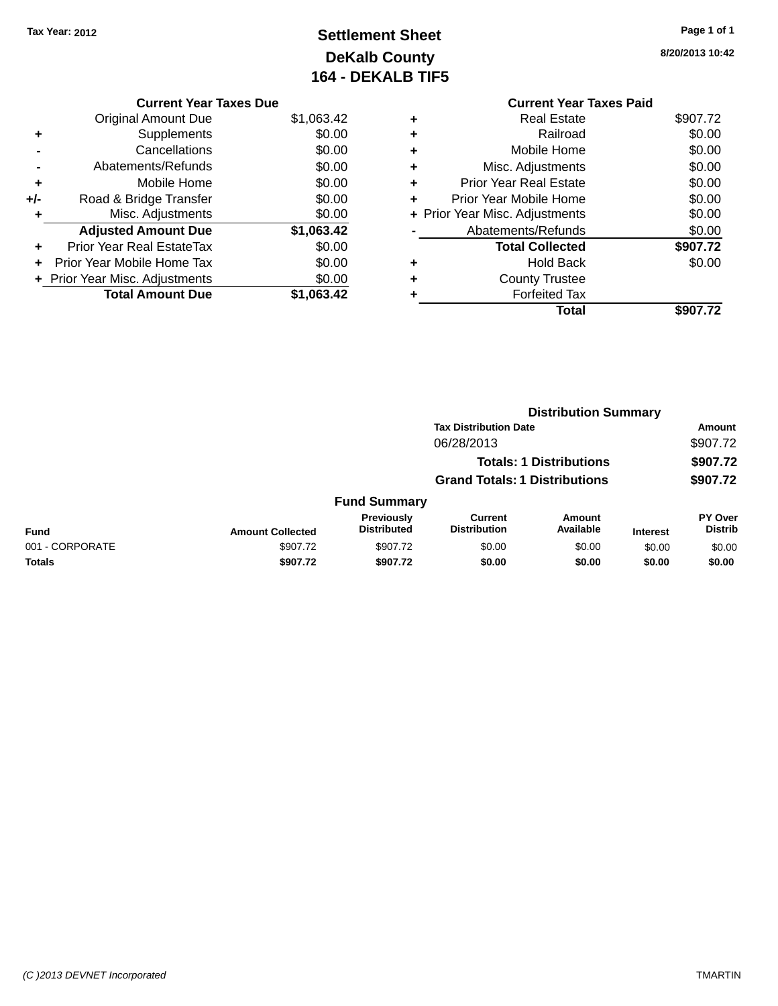## **Settlement Sheet Tax Year: 2012 Page 1 of 1 DeKalb County 164 - DEKALB TIF5**

**8/20/2013 10:42**

|   | <b>Current Year Taxes Paid</b> |          |
|---|--------------------------------|----------|
|   | Real Estate                    | \$907.72 |
|   | Railroad                       | \$0.00   |
|   | Mobile Home                    | \$0.00   |
|   | Misc. Adjustments              | \$0.00   |
|   | <b>Prior Year Real Estate</b>  | \$0.00   |
| ÷ | Prior Year Mobile Home         | \$0.00   |
|   | + Prior Year Misc. Adjustments | \$0.00   |
|   | Abatements/Refunds             | \$0.00   |
|   | <b>Total Collected</b>         | \$907.72 |
|   | <b>Hold Back</b>               | \$0.00   |
|   | <b>County Trustee</b>          |          |
|   | Forfeited Tax                  |          |
|   | Total                          | \$907.72 |

**Distribution Summary**

### **Current Year Taxes Due** Original Amount Due \$1,063.42 **+** Supplements \$0.00 **-** Cancellations \$0.00 **-** Abatements/Refunds \$0.00 **+** Mobile Home \$0.00 **+/-** Road & Bridge Transfer \$0.00 **+** Misc. Adjustments \$0.00 **Adjusted Amount Due \$1,063.42 +** Prior Year Real EstateTax \$0.00 **+** Prior Year Mobile Home Tax \$0.00 **+ Prior Year Misc. Adjustments**  $$0.00$ **Total Amount Due \$1,063.42**

|                 |                         |                                  | <b>Tax Distribution Date</b>         |                                |                 | Amount                           |
|-----------------|-------------------------|----------------------------------|--------------------------------------|--------------------------------|-----------------|----------------------------------|
|                 |                         |                                  | 06/28/2013                           |                                |                 | \$907.72                         |
|                 |                         |                                  |                                      | <b>Totals: 1 Distributions</b> |                 | \$907.72                         |
|                 |                         |                                  | <b>Grand Totals: 1 Distributions</b> |                                |                 | \$907.72                         |
|                 |                         | <b>Fund Summary</b>              |                                      |                                |                 |                                  |
| <b>Fund</b>     | <b>Amount Collected</b> | Previously<br><b>Distributed</b> | Current<br><b>Distribution</b>       | <b>Amount</b><br>Available     | <b>Interest</b> | <b>PY Over</b><br><b>Distrib</b> |
| 001 - CORPORATE | \$907.72                | \$907.72                         | \$0.00                               | \$0.00                         | \$0.00          | \$0.00                           |
| <b>Totals</b>   | \$907.72                | \$907.72                         | \$0.00                               | \$0.00                         | \$0.00          | \$0.00                           |
|                 |                         |                                  |                                      |                                |                 |                                  |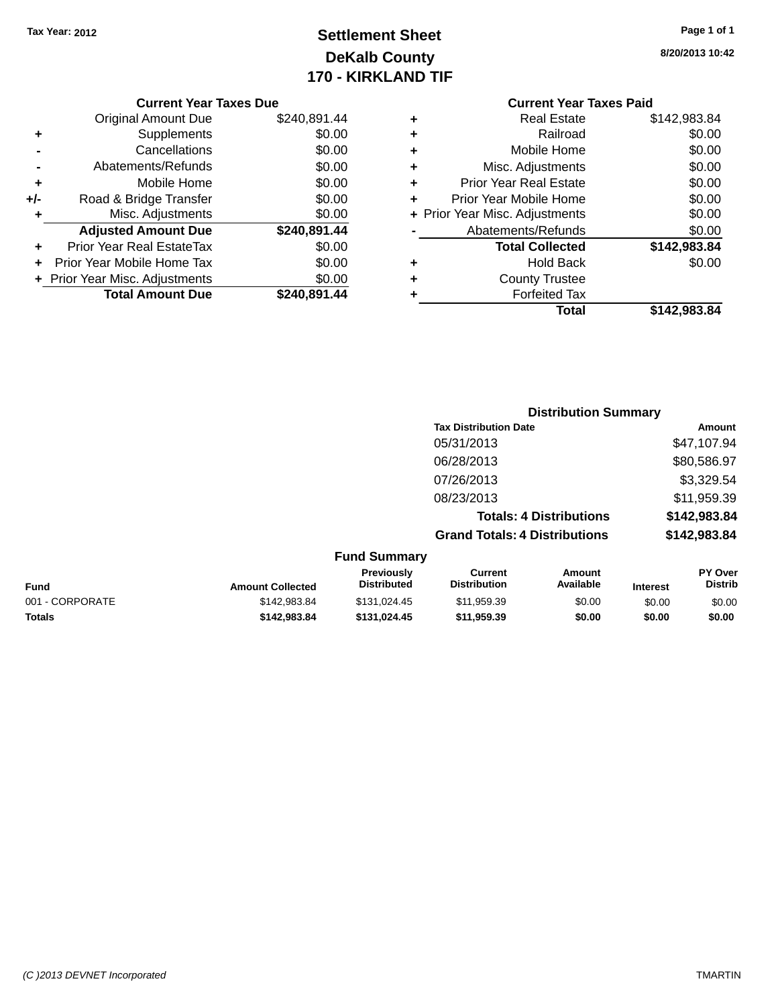## **Settlement Sheet Tax Year: 2012 Page 1 of 1 DeKalb County 170 - KIRKLAND TIF**

**8/20/2013 10:42**

|       | <b>Original Amount Due</b>     | \$240,891.44 |
|-------|--------------------------------|--------------|
| ٠     | Supplements                    | \$0.00       |
|       | Cancellations                  | \$0.00       |
|       | Abatements/Refunds             | \$0.00       |
| ٠     | Mobile Home                    | \$0.00       |
| $+/-$ | Road & Bridge Transfer         | \$0.00       |
| ٠     | Misc. Adjustments              | \$0.00       |
|       | <b>Adjusted Amount Due</b>     | \$240,891.44 |
| ÷     | Prior Year Real EstateTax      | \$0.00       |
|       | Prior Year Mobile Home Tax     | \$0.00       |
|       | + Prior Year Misc. Adjustments | \$0.00       |
|       | <b>Total Amount Due</b>        | \$240,891.44 |

| ٠ | Real Estate                    | \$142,983.84 |
|---|--------------------------------|--------------|
| ٠ | Railroad                       | \$0.00       |
| ٠ | Mobile Home                    | \$0.00       |
| ٠ | Misc. Adjustments              | \$0.00       |
| ٠ | <b>Prior Year Real Estate</b>  | \$0.00       |
| ٠ | Prior Year Mobile Home         | \$0.00       |
|   | + Prior Year Misc. Adjustments | \$0.00       |
|   | Abatements/Refunds             | \$0.00       |
|   | <b>Total Collected</b>         | \$142,983.84 |
| ٠ | <b>Hold Back</b>               | \$0.00       |
| ٠ | <b>County Trustee</b>          |              |
| ٠ | <b>Forfeited Tax</b>           |              |
|   | Total                          | \$142,983.84 |
|   |                                |              |

|                     | <b>Distribution Summary</b>          |              |
|---------------------|--------------------------------------|--------------|
|                     | <b>Tax Distribution Date</b>         | Amount       |
|                     | 05/31/2013                           | \$47,107.94  |
|                     | 06/28/2013                           | \$80,586.97  |
|                     | 07/26/2013                           | \$3,329.54   |
|                     | 08/23/2013                           | \$11,959.39  |
|                     | <b>Totals: 4 Distributions</b>       | \$142,983.84 |
|                     | <b>Grand Totals: 4 Distributions</b> | \$142,983.84 |
| <b>Fund Summary</b> |                                      |              |

|                 |                         | .                                       |                                |                     |                 |                                  |
|-----------------|-------------------------|-----------------------------------------|--------------------------------|---------------------|-----------------|----------------------------------|
| <b>Fund</b>     | <b>Amount Collected</b> | <b>Previously</b><br><b>Distributed</b> | Current<br><b>Distribution</b> | Amount<br>Available | <b>Interest</b> | <b>PY Over</b><br><b>Distrib</b> |
| 001 - CORPORATE | \$142.983.84            | \$131.024.45                            | \$11.959.39                    | \$0.00              | \$0.00          | \$0.00                           |
| <b>Totals</b>   | \$142.983.84            | \$131.024.45                            | \$11.959.39                    | \$0.00              | \$0.00          | \$0.00                           |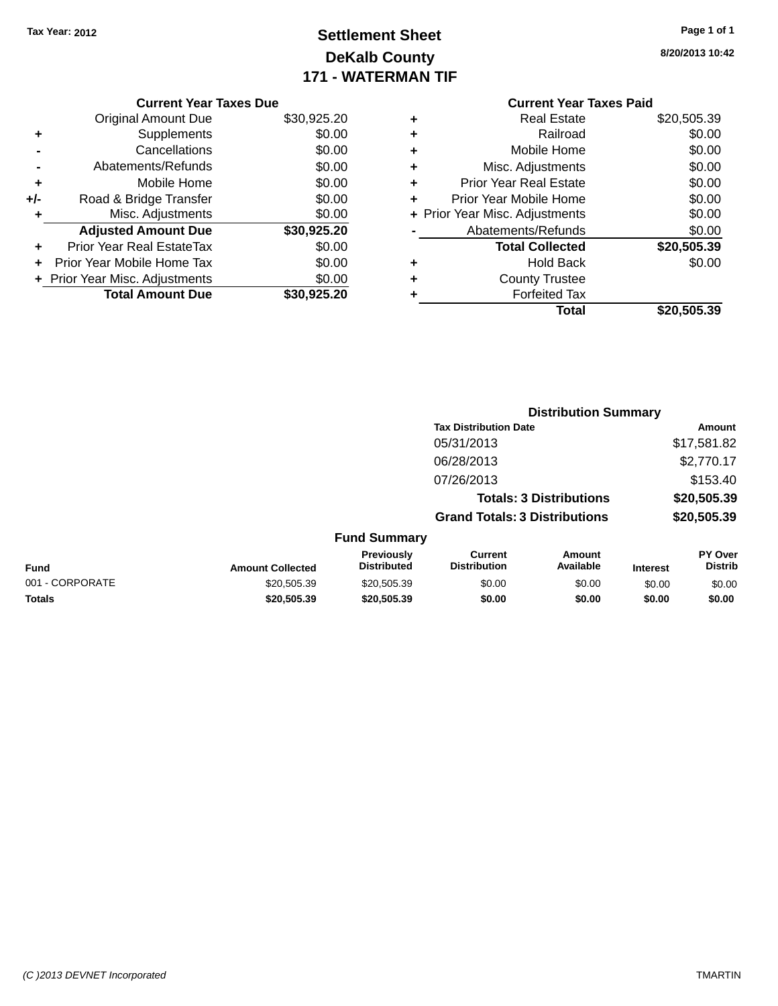## **Settlement Sheet Tax Year: 2012 Page 1 of 1 DeKalb County 171 - WATERMAN TIF**

| Page 1 of 1 |  |  |  |
|-------------|--|--|--|
|-------------|--|--|--|

**8/20/2013 10:42**

### **Current Year Taxes Due**

|     | <b>Original Amount Due</b>       | \$30,925.20 |
|-----|----------------------------------|-------------|
| ٠   | Supplements                      | \$0.00      |
|     | Cancellations                    | \$0.00      |
|     | Abatements/Refunds               | \$0.00      |
| ٠   | Mobile Home                      | \$0.00      |
| +/- | Road & Bridge Transfer           | \$0.00      |
| ٠   | Misc. Adjustments                | \$0.00      |
|     | <b>Adjusted Amount Due</b>       | \$30,925.20 |
|     | <b>Prior Year Real EstateTax</b> | \$0.00      |
|     | Prior Year Mobile Home Tax       | \$0.00      |
|     | + Prior Year Misc. Adjustments   | \$0.00      |
|     | <b>Total Amount Due</b>          | \$30,925.20 |

## **Current Year Taxes Paid**

| ٠ | <b>Real Estate</b>             | \$20,505.39 |
|---|--------------------------------|-------------|
| ٠ | Railroad                       | \$0.00      |
| ٠ | Mobile Home                    | \$0.00      |
| ٠ | Misc. Adjustments              | \$0.00      |
| ٠ | <b>Prior Year Real Estate</b>  | \$0.00      |
| ٠ | Prior Year Mobile Home         | \$0.00      |
|   | + Prior Year Misc. Adjustments | \$0.00      |
|   | Abatements/Refunds             | \$0.00      |
|   | <b>Total Collected</b>         | \$20,505.39 |
| ٠ | <b>Hold Back</b>               | \$0.00      |
| ٠ | <b>County Trustee</b>          |             |
| ٠ | <b>Forfeited Tax</b>           |             |
|   | Total                          | \$20,505.39 |
|   |                                |             |

|                         |                                  | <b>Distribution Summary</b>          |                                |                 |                                  |  |  |
|-------------------------|----------------------------------|--------------------------------------|--------------------------------|-----------------|----------------------------------|--|--|
|                         |                                  | <b>Tax Distribution Date</b>         |                                |                 | Amount                           |  |  |
|                         |                                  | 05/31/2013                           |                                |                 | \$17,581.82                      |  |  |
|                         |                                  | 06/28/2013                           |                                |                 | \$2,770.17                       |  |  |
|                         |                                  | 07/26/2013                           |                                |                 | \$153.40                         |  |  |
|                         |                                  |                                      | <b>Totals: 3 Distributions</b> |                 | \$20,505.39                      |  |  |
|                         |                                  | <b>Grand Totals: 3 Distributions</b> |                                |                 | \$20,505.39                      |  |  |
|                         | <b>Fund Summary</b>              |                                      |                                |                 |                                  |  |  |
| <b>Amount Collected</b> | Previously<br><b>Distributed</b> | Current<br><b>Distribution</b>       | Amount<br>Available            | <b>Interest</b> | <b>PY Over</b><br><b>Distrib</b> |  |  |
| 00050520                | 200 EDE 20                       | en on                                | en on                          | 0000            | 0000                             |  |  |

### **Fund Interest** 001 - CORPORATE \$20,505.39 \$20,505.39 \$0.00 \$0.00 \$0.00 \$0.00 **Totals \$20,505.39 \$20,505.39 \$0.00 \$0.00 \$0.00 \$0.00**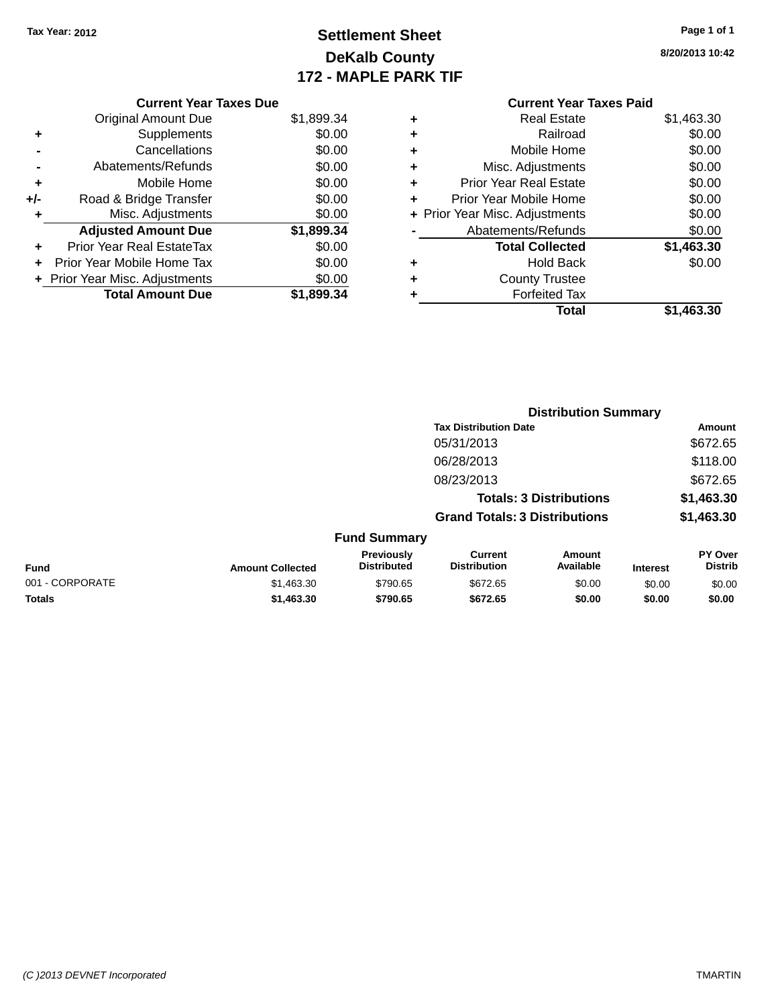## **Settlement Sheet Tax Year: 2012 Page 1 of 1 DeKalb County 172 - MAPLE PARK TIF**

**8/20/2013 10:42**

### **Current Year Taxes Paid +** Real Estate \$1,463.30 **+** Railroad \$0.00 **+** Mobile Home \$0.00 **+** Misc. Adjustments \$0.00 **+** Prior Year Real Estate \$0.00 **+** Prior Year Mobile Home \$0.00 **+ Prior Year Misc. Adjustments**  $$0.00$ **-** Abatements/Refunds \$0.00 **Total Collected \$1,463.30 +** Hold Back \$0.00 **+** County Trustee **+** Forfeited Tax **Total \$1,463.30**

**Distribution Summary**

|                 |                         |                                  | <b>Tax Distribution Date</b>          |                                |                 | <b>Amount</b>             |
|-----------------|-------------------------|----------------------------------|---------------------------------------|--------------------------------|-----------------|---------------------------|
|                 |                         |                                  | 05/31/2013                            |                                |                 | \$672.65                  |
|                 |                         |                                  | 06/28/2013                            |                                |                 | \$118.00                  |
|                 |                         |                                  | 08/23/2013                            |                                |                 | \$672.65                  |
|                 |                         |                                  |                                       | <b>Totals: 3 Distributions</b> |                 | \$1,463.30                |
|                 |                         |                                  | <b>Grand Totals: 3 Distributions</b>  |                                |                 | \$1,463.30                |
|                 |                         | <b>Fund Summary</b>              |                                       |                                |                 |                           |
| Fund            | <b>Amount Collected</b> | Previously<br><b>Distributed</b> | <b>Current</b><br><b>Distribution</b> | Amount<br>Available            | <b>Interest</b> | PY Over<br><b>Distrib</b> |
| 001 - CORPORATE | \$1,463.30              | \$790.65                         | \$672.65                              | \$0.00                         | \$0.00          | \$0.00                    |
| <b>Totals</b>   | \$1,463,30              | \$790.65                         | \$672.65                              | \$0.00                         | \$0.00          | \$0.00                    |
|                 |                         |                                  |                                       |                                |                 |                           |

### **Current Year Taxes Due**

|     | <b>Original Amount Due</b>     | \$1,899.34 |
|-----|--------------------------------|------------|
| ٠   | Supplements                    | \$0.00     |
|     | Cancellations                  | \$0.00     |
|     | Abatements/Refunds             | \$0.00     |
| ÷   | Mobile Home                    | \$0.00     |
| +/- | Road & Bridge Transfer         | \$0.00     |
|     | Misc. Adjustments              | \$0.00     |
|     | <b>Adjusted Amount Due</b>     | \$1,899.34 |
|     |                                |            |
| ٠   | Prior Year Real EstateTax      | \$0.00     |
|     | Prior Year Mobile Home Tax     | \$0.00     |
|     | + Prior Year Misc. Adjustments | \$0.00     |
|     | <b>Total Amount Due</b>        | \$1,899.34 |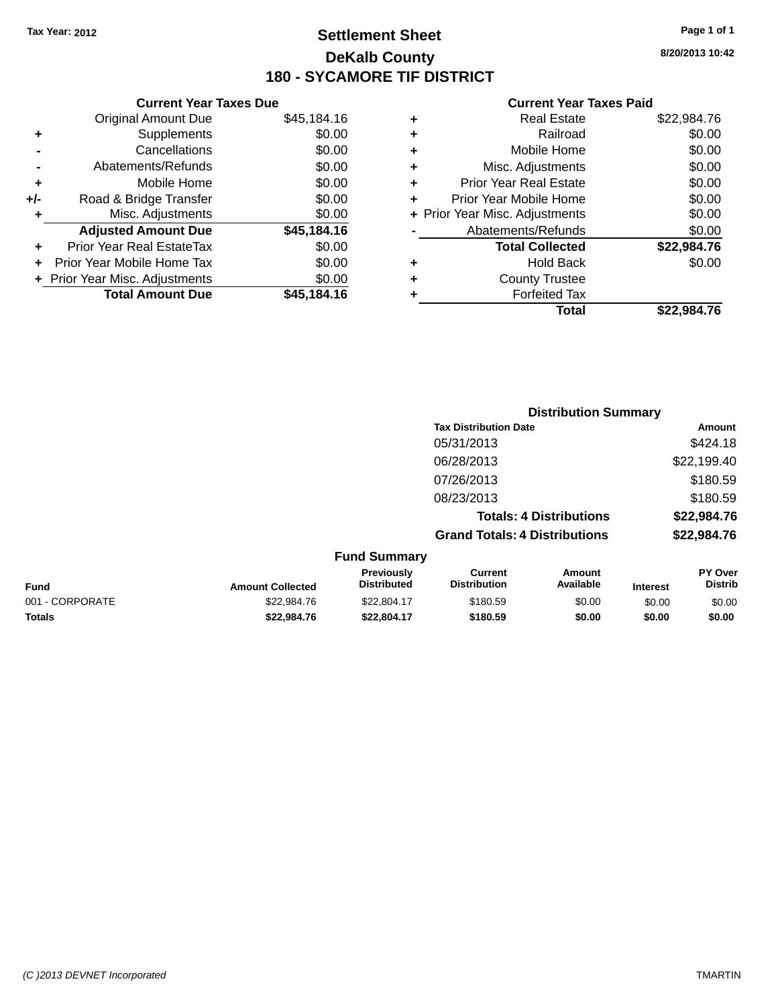## **Settlement Sheet Tax Year: 2012 Page 1 of 1 DeKalb County 180 - SYCAMORE TIF DISTRICT**

**8/20/2013 10:42**

|     | <b>Current Year Taxes Due</b>  |             |
|-----|--------------------------------|-------------|
|     | <b>Original Amount Due</b>     | \$45,184.16 |
| ٠   | Supplements                    | \$0.00      |
|     | Cancellations                  | \$0.00      |
|     | Abatements/Refunds             | \$0.00      |
| ٠   | Mobile Home                    | \$0.00      |
| +/- | Road & Bridge Transfer         | \$0.00      |
| ٠   | Misc. Adjustments              | \$0.00      |
|     | <b>Adjusted Amount Due</b>     | \$45,184.16 |
|     | Prior Year Real EstateTax      | \$0.00      |
|     | Prior Year Mobile Home Tax     | \$0.00      |
|     | + Prior Year Misc. Adjustments | \$0.00      |
|     | <b>Total Amount Due</b>        | \$45.184.16 |
|     |                                |             |

|   | <b>Real Estate</b>             | \$22,984.76 |
|---|--------------------------------|-------------|
| ٠ | Railroad                       | \$0.00      |
| ٠ | Mobile Home                    | \$0.00      |
| ٠ | Misc. Adjustments              | \$0.00      |
| ٠ | <b>Prior Year Real Estate</b>  | \$0.00      |
| ٠ | Prior Year Mobile Home         | \$0.00      |
|   | + Prior Year Misc. Adjustments | \$0.00      |
|   | Abatements/Refunds             | \$0.00      |
|   | <b>Total Collected</b>         | \$22,984.76 |
| ٠ | <b>Hold Back</b>               | \$0.00      |
| ٠ | <b>County Trustee</b>          |             |
| ٠ | <b>Forfeited Tax</b>           |             |
|   | Total                          | \$22.984.76 |
|   |                                |             |

|                     | <b>Distribution Summary</b>          |             |
|---------------------|--------------------------------------|-------------|
|                     | <b>Tax Distribution Date</b>         | Amount      |
|                     | 05/31/2013                           | \$424.18    |
|                     | 06/28/2013                           | \$22,199.40 |
|                     | 07/26/2013                           | \$180.59    |
|                     | 08/23/2013                           | \$180.59    |
|                     | <b>Totals: 4 Distributions</b>       | \$22,984.76 |
|                     | <b>Grand Totals: 4 Distributions</b> | \$22,984.76 |
| <b>Fund Summary</b> |                                      |             |

| Fund            | <b>Amount Collected</b> | <b>Previously</b><br><b>Distributed</b> | Current<br><b>Distribution</b> | Amount<br>Available | <b>Interest</b> | <b>PY Over</b><br><b>Distrib</b> |
|-----------------|-------------------------|-----------------------------------------|--------------------------------|---------------------|-----------------|----------------------------------|
| 001 - CORPORATE | \$22.984.76             | \$22,804.17                             | \$180.59                       | \$0.00              | \$0.00          | \$0.00                           |
| Totals          | \$22,984.76             | \$22.804.17                             | \$180.59                       | \$0.00              | \$0.00          | \$0.00                           |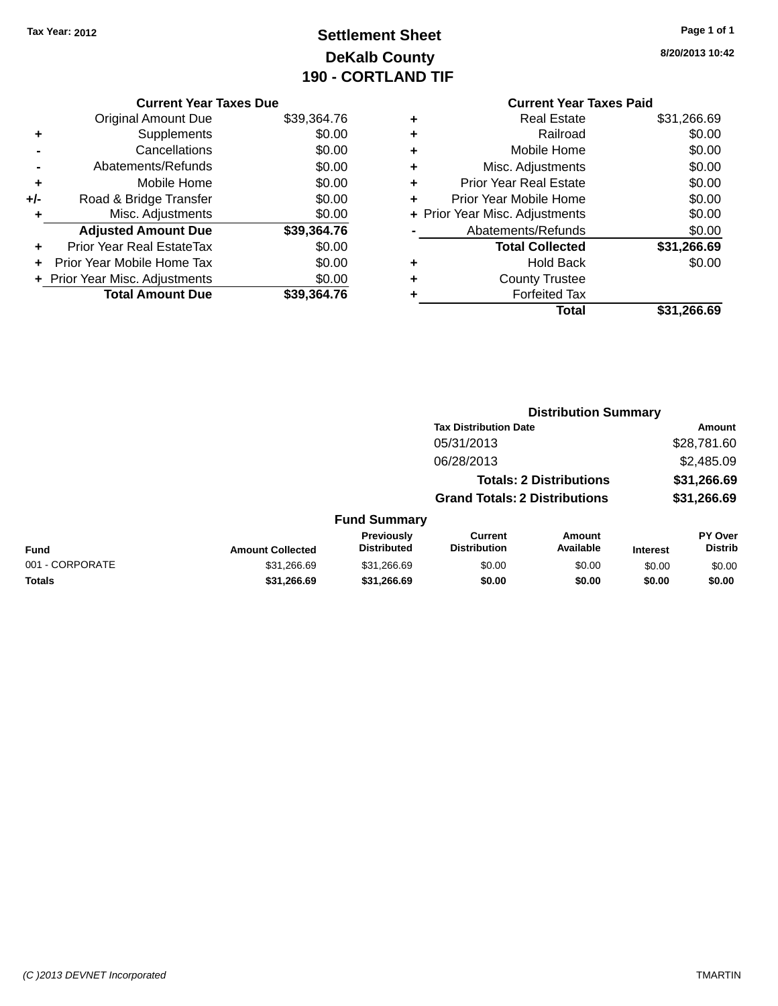## **Settlement Sheet Tax Year: 2012 Page 1 of 1 DeKalb County 190 - CORTLAND TIF**

**8/20/2013 10:42**

|     | <b>Current Year Taxes Due</b>  |             |
|-----|--------------------------------|-------------|
|     | <b>Original Amount Due</b>     | \$39,364.76 |
| ٠   | Supplements                    | \$0.00      |
|     | Cancellations                  | \$0.00      |
|     | Abatements/Refunds             | \$0.00      |
| ٠   | Mobile Home                    | \$0.00      |
| +/- | Road & Bridge Transfer         | \$0.00      |
| ٠   | Misc. Adjustments              | \$0.00      |
|     | <b>Adjusted Amount Due</b>     | \$39,364.76 |
| ٠   | Prior Year Real EstateTax      | \$0.00      |
|     | Prior Year Mobile Home Tax     | \$0.00      |
|     | + Prior Year Misc. Adjustments | \$0.00      |
|     | <b>Total Amount Due</b>        | \$39,364.76 |
|     |                                |             |

### **Current Year Taxes Paid +** Real Estate \$31,266.69 **+** Railroad \$0.00 **+** Mobile Home \$0.00 **+** Misc. Adjustments \$0.00 **+** Prior Year Real Estate \$0.00 **+** Prior Year Mobile Home \$0.00 **+ Prior Year Misc. Adjustments**  $$0.00$ **-** Abatements/Refunds \$0.00 **Total Collected \$31,266.69 +** Hold Back \$0.00 **+** County Trustee **+** Forfeited Tax **Total \$31,266.69**

|                 |                         |                                         |                                       | <b>Distribution Summary</b>    |                 |                           |
|-----------------|-------------------------|-----------------------------------------|---------------------------------------|--------------------------------|-----------------|---------------------------|
|                 |                         |                                         | <b>Tax Distribution Date</b>          |                                |                 | <b>Amount</b>             |
|                 |                         |                                         | 05/31/2013                            |                                |                 | \$28,781.60               |
|                 |                         |                                         | 06/28/2013                            |                                |                 | \$2,485.09                |
|                 |                         |                                         |                                       | <b>Totals: 2 Distributions</b> |                 | \$31,266.69               |
|                 |                         |                                         | <b>Grand Totals: 2 Distributions</b>  |                                |                 | \$31,266.69               |
|                 |                         | <b>Fund Summary</b>                     |                                       |                                |                 |                           |
| Fund            | <b>Amount Collected</b> | <b>Previously</b><br><b>Distributed</b> | <b>Current</b><br><b>Distribution</b> | Amount<br>Available            | <b>Interest</b> | PY Over<br><b>Distrib</b> |
| 001 - CORPORATE | \$31.266.69             | \$31.266.69                             | \$0.00                                | \$0.00                         | \$0.00          | \$0.00                    |
| <b>Totals</b>   | \$31.266.69             | \$31,266.69                             | \$0.00                                | \$0.00                         | \$0.00          | \$0.00                    |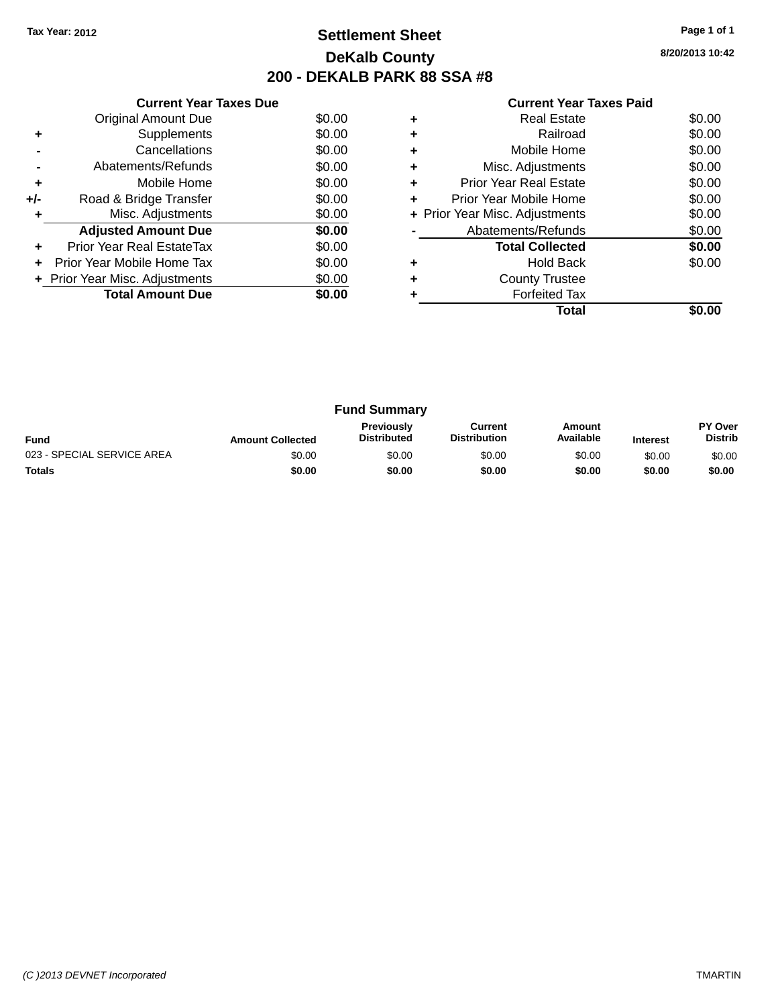## **Settlement Sheet Tax Year: 2012 Page 1 of 1 DeKalb County 200 - DEKALB PARK 88 SSA #8**

**8/20/2013 10:42**

|     | <b>Current Year Taxes Due</b>  |        |
|-----|--------------------------------|--------|
|     | Original Amount Due            | \$0.00 |
| ٠   | Supplements                    | \$0.00 |
|     | Cancellations                  | \$0.00 |
|     | Abatements/Refunds             | \$0.00 |
| ٠   | Mobile Home                    | \$0.00 |
| +/- | Road & Bridge Transfer         | \$0.00 |
| ٠   | Misc. Adjustments              | \$0.00 |
|     | <b>Adjusted Amount Due</b>     | \$0.00 |
| ٠   | Prior Year Real EstateTax      | \$0.00 |
| ÷   | Prior Year Mobile Home Tax     | \$0.00 |
|     | + Prior Year Misc. Adjustments | \$0.00 |
|     | <b>Total Amount Due</b>        | \$0.00 |
|     |                                |        |

|   | <b>Real Estate</b>             | \$0.00 |
|---|--------------------------------|--------|
| ÷ | Railroad                       | \$0.00 |
| ٠ | Mobile Home                    | \$0.00 |
| ٠ | Misc. Adjustments              | \$0.00 |
| ٠ | <b>Prior Year Real Estate</b>  | \$0.00 |
|   | Prior Year Mobile Home         | \$0.00 |
|   | + Prior Year Misc. Adjustments | \$0.00 |
|   | Abatements/Refunds             | \$0.00 |
|   | <b>Total Collected</b>         | \$0.00 |
| ٠ | <b>Hold Back</b>               | \$0.00 |
| ٠ | <b>County Trustee</b>          |        |
|   | <b>Forfeited Tax</b>           |        |
|   | Total                          |        |

|                            |                         | <b>Fund Summary</b>                     |                                |                     |                 |                           |
|----------------------------|-------------------------|-----------------------------------------|--------------------------------|---------------------|-----------------|---------------------------|
| <b>Fund</b>                | <b>Amount Collected</b> | <b>Previously</b><br><b>Distributed</b> | Current<br><b>Distribution</b> | Amount<br>Available | <b>Interest</b> | PY Over<br><b>Distrib</b> |
| 023 - SPECIAL SERVICE AREA | \$0.00                  | \$0.00                                  | \$0.00                         | \$0.00              | \$0.00          | \$0.00                    |
| <b>Totals</b>              | \$0.00                  | \$0.00                                  | \$0.00                         | \$0.00              | \$0.00          | \$0.00                    |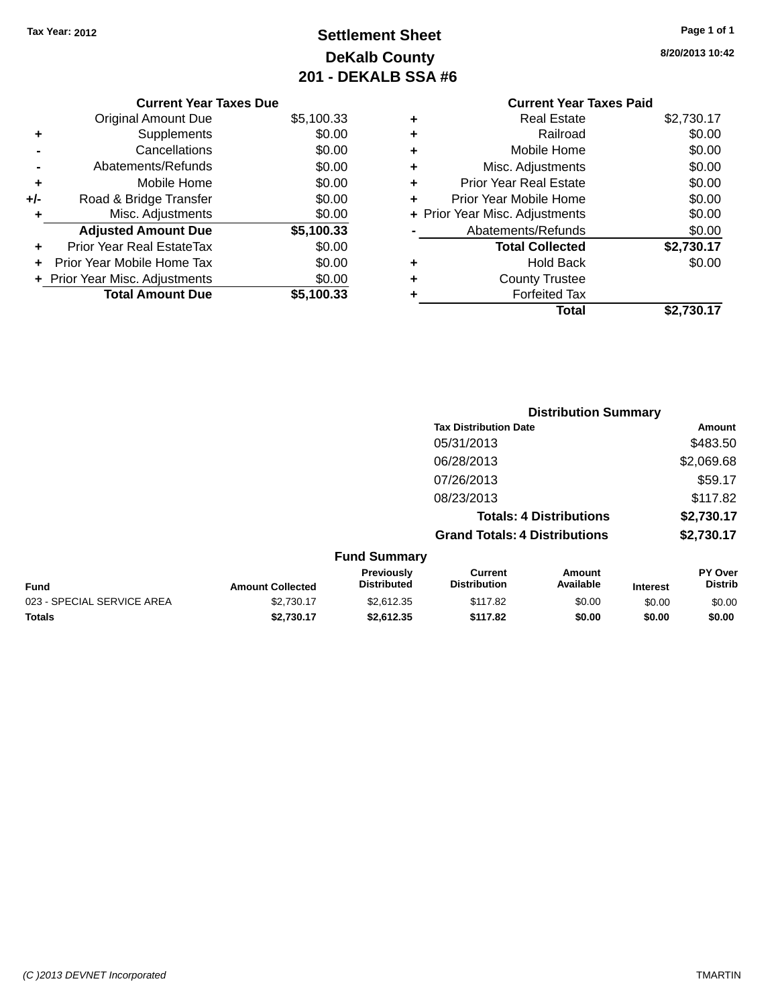## **Settlement Sheet Tax Year: 2012 Page 1 of 1 DeKalb County 201 - DEKALB SSA #6**

**8/20/2013 10:42**

|   | Total                          | \$2,730.17 |
|---|--------------------------------|------------|
| ٠ | <b>Forfeited Tax</b>           |            |
| ٠ | <b>County Trustee</b>          |            |
| ٠ | <b>Hold Back</b>               | \$0.00     |
|   | <b>Total Collected</b>         | \$2,730.17 |
|   | Abatements/Refunds             | \$0.00     |
|   | + Prior Year Misc. Adjustments | \$0.00     |
| ٠ | Prior Year Mobile Home         | \$0.00     |
| ٠ | <b>Prior Year Real Estate</b>  | \$0.00     |
| ٠ | Misc. Adjustments              | \$0.00     |
| ٠ | Mobile Home                    | \$0.00     |
| ٠ | Railroad                       | \$0.00     |
| ٠ | Real Estate                    | \$2,730.17 |
|   | <b>Current Year Taxes Paid</b> |            |
|   |                                |            |

|     | <b>Current Year Taxes Due</b>  |            |
|-----|--------------------------------|------------|
|     | <b>Original Amount Due</b>     | \$5,100.33 |
| ٠   | Supplements                    | \$0.00     |
|     | Cancellations                  | \$0.00     |
|     | Abatements/Refunds             | \$0.00     |
| ٠   | Mobile Home                    | \$0.00     |
| +/- | Road & Bridge Transfer         | \$0.00     |
|     | Misc. Adjustments              | \$0.00     |
|     | <b>Adjusted Amount Due</b>     | \$5,100.33 |
|     | Prior Year Real EstateTax      | \$0.00     |
|     | Prior Year Mobile Home Tax     | \$0.00     |
|     | + Prior Year Misc. Adjustments | \$0.00     |
|     | <b>Total Amount Due</b>        | \$5.100.33 |
|     |                                |            |

|                     |                                      | <b>Distribution Summary</b>    |                |
|---------------------|--------------------------------------|--------------------------------|----------------|
|                     | <b>Tax Distribution Date</b>         |                                | Amount         |
|                     | 05/31/2013                           |                                | \$483.50       |
|                     | 06/28/2013                           |                                | \$2,069.68     |
|                     | 07/26/2013                           |                                | \$59.17        |
|                     | 08/23/2013                           |                                | \$117.82       |
|                     |                                      | <b>Totals: 4 Distributions</b> | \$2,730.17     |
|                     | <b>Grand Totals: 4 Distributions</b> |                                | \$2,730.17     |
| <b>Fund Summary</b> |                                      |                                |                |
| Previously          | Current:                             | Amount                         | <b>PY Over</b> |

|                            |                         | Previously         | Current             | Amount    |                 | <b>PY Over</b> |
|----------------------------|-------------------------|--------------------|---------------------|-----------|-----------------|----------------|
| Fund                       | <b>Amount Collected</b> | <b>Distributed</b> | <b>Distribution</b> | Available | <b>Interest</b> | Distrib        |
| 023 - SPECIAL SERVICE AREA | \$2.730.17              | \$2.612.35         | \$117.82            | \$0.00    | \$0.00          | \$0.00         |
| Totals                     | \$2.730.17              | \$2.612.35         | \$117.82            | \$0.00    | \$0.00          | \$0.00         |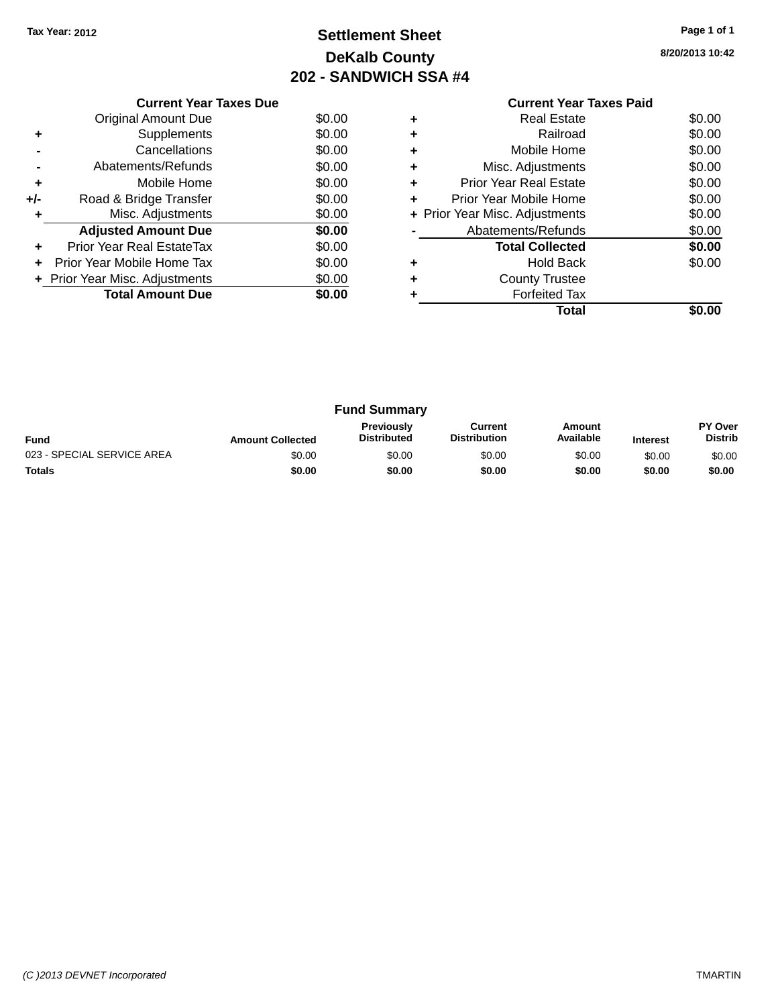## **Settlement Sheet Tax Year: 2012 Page 1 of 1 DeKalb County 202 - SANDWICH SSA #4**

**8/20/2013 10:42**

| <b>Current Year Taxes Paid</b> |  |
|--------------------------------|--|
|                                |  |

|     | <b>Current Year Taxes Due</b>  |        |
|-----|--------------------------------|--------|
|     | <b>Original Amount Due</b>     | \$0.00 |
| ٠   | Supplements                    | \$0.00 |
|     | Cancellations                  | \$0.00 |
|     | Abatements/Refunds             | \$0.00 |
| ٠   | Mobile Home                    | \$0.00 |
| +/- | Road & Bridge Transfer         | \$0.00 |
| ٠   | Misc. Adjustments              | \$0.00 |
|     | <b>Adjusted Amount Due</b>     | \$0.00 |
|     | Prior Year Real EstateTax      | \$0.00 |
|     | Prior Year Mobile Home Tax     | \$0.00 |
|     | + Prior Year Misc. Adjustments | \$0.00 |
|     | <b>Total Amount Due</b>        | \$0.00 |
|     |                                |        |

|   | <b>Real Estate</b>             | \$0.00 |
|---|--------------------------------|--------|
| ٠ | Railroad                       | \$0.00 |
| ٠ | Mobile Home                    | \$0.00 |
| ٠ | Misc. Adjustments              | \$0.00 |
| ٠ | <b>Prior Year Real Estate</b>  | \$0.00 |
| ٠ | Prior Year Mobile Home         | \$0.00 |
|   | + Prior Year Misc. Adjustments | \$0.00 |
|   | Abatements/Refunds             | \$0.00 |
|   | <b>Total Collected</b>         | \$0.00 |
| ٠ | <b>Hold Back</b>               | \$0.00 |
| ٠ | <b>County Trustee</b>          |        |
|   | <b>Forfeited Tax</b>           |        |
|   | Total                          |        |

|                            |                         | <b>Fund Summary</b>                     |                                |                     |                 |                           |
|----------------------------|-------------------------|-----------------------------------------|--------------------------------|---------------------|-----------------|---------------------------|
| <b>Fund</b>                | <b>Amount Collected</b> | <b>Previously</b><br><b>Distributed</b> | Current<br><b>Distribution</b> | Amount<br>Available | <b>Interest</b> | PY Over<br><b>Distrib</b> |
| 023 - SPECIAL SERVICE AREA | \$0.00                  | \$0.00                                  | \$0.00                         | \$0.00              | \$0.00          | \$0.00                    |
| <b>Totals</b>              | \$0.00                  | \$0.00                                  | \$0.00                         | \$0.00              | \$0.00          | \$0.00                    |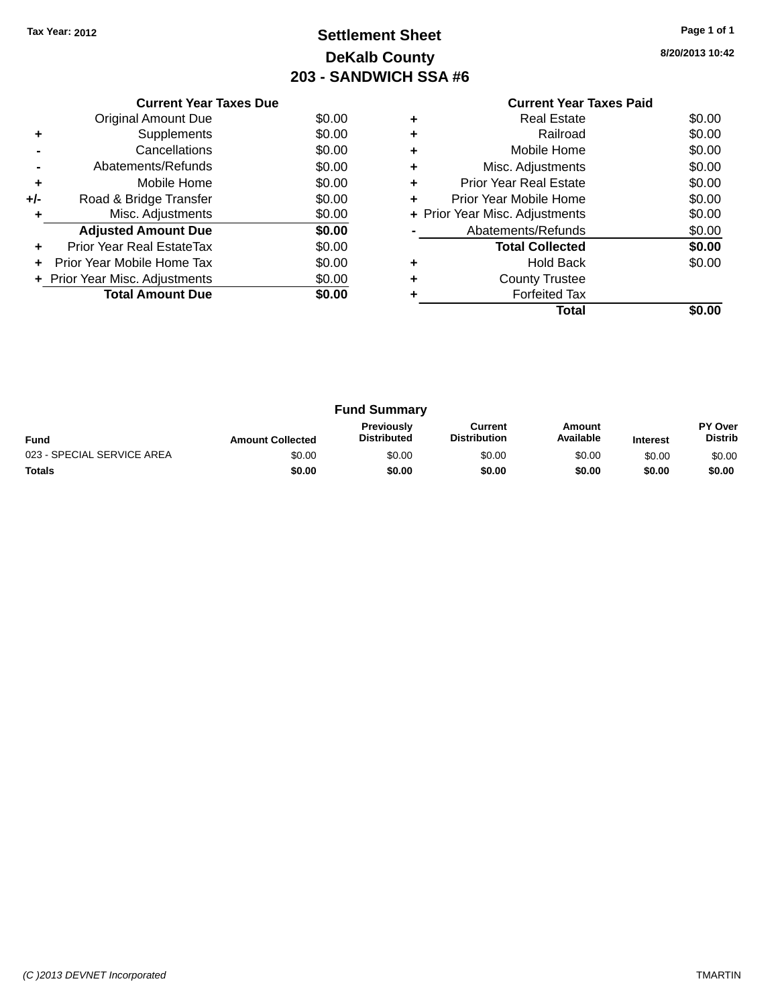## **Settlement Sheet Tax Year: 2012 Page 1 of 1 DeKalb County 203 - SANDWICH SSA #6**

**8/20/2013 10:42**

|     | <b>Current Year Taxes Due</b>  |        |
|-----|--------------------------------|--------|
|     | <b>Original Amount Due</b>     | \$0.00 |
| ٠   | Supplements                    | \$0.00 |
|     | Cancellations                  | \$0.00 |
|     | Abatements/Refunds             | \$0.00 |
| ٠   | Mobile Home                    | \$0.00 |
| +/- | Road & Bridge Transfer         | \$0.00 |
|     | Misc. Adjustments              | \$0.00 |
|     | <b>Adjusted Amount Due</b>     | \$0.00 |
|     | Prior Year Real EstateTax      | \$0.00 |
|     | Prior Year Mobile Home Tax     | \$0.00 |
|     | + Prior Year Misc. Adjustments | \$0.00 |
|     | <b>Total Amount Due</b>        | \$0.00 |
|     |                                |        |

### **Current Year Taxes Paid +** Real Estate \$0.00 <sup>+</sup><br>
Railroad \$0.00<br>
+ Mobile Home \$0.00 **+** Mobile Home

|           | Total                          | \$0.00 |
|-----------|--------------------------------|--------|
|           | <b>Forfeited Tax</b>           |        |
| ÷         | <b>County Trustee</b>          |        |
|           | <b>Hold Back</b>               | \$0.00 |
|           | <b>Total Collected</b>         | \$0.00 |
|           | Abatements/Refunds             | \$0.00 |
|           | + Prior Year Misc. Adjustments | \$0.00 |
|           | Prior Year Mobile Home         | \$0.00 |
| ÷         | <b>Prior Year Real Estate</b>  | \$0.00 |
| $\ddot{}$ | Misc. Adjustments              | \$0.00 |
|           |                                |        |

|                            |                         | <b>Fund Summary</b>              |                                |                     |                 |                           |
|----------------------------|-------------------------|----------------------------------|--------------------------------|---------------------|-----------------|---------------------------|
| <b>Fund</b>                | <b>Amount Collected</b> | Previously<br><b>Distributed</b> | Current<br><b>Distribution</b> | Amount<br>Available | <b>Interest</b> | PY Over<br><b>Distrib</b> |
| 023 - SPECIAL SERVICE AREA | \$0.00                  | \$0.00                           | \$0.00                         | \$0.00              | \$0.00          | \$0.00                    |
| <b>Totals</b>              | \$0.00                  | \$0.00                           | \$0.00                         | \$0.00              | \$0.00          | \$0.00                    |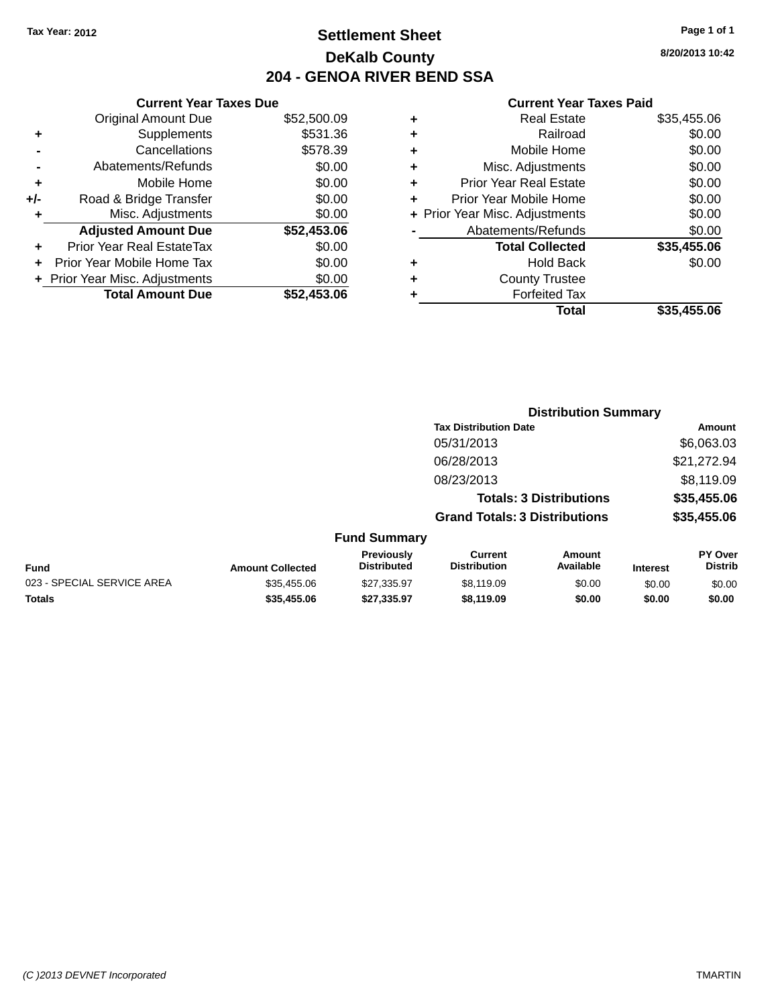## **Settlement Sheet Tax Year: 2012 Page 1 of 1 DeKalb County 204 - GENOA RIVER BEND SSA**

**8/20/2013 10:42**

|       | <b>Current Year Taxes Due</b>  |             |
|-------|--------------------------------|-------------|
|       | <b>Original Amount Due</b>     | \$52,500.09 |
| ٠     | Supplements                    | \$531.36    |
|       | Cancellations                  | \$578.39    |
|       | Abatements/Refunds             | \$0.00      |
| ٠     | Mobile Home                    | \$0.00      |
| $+/-$ | Road & Bridge Transfer         | \$0.00      |
| ٠     | Misc. Adjustments              | \$0.00      |
|       | <b>Adjusted Amount Due</b>     | \$52,453.06 |
| ٠     | Prior Year Real EstateTax      | \$0.00      |
|       | Prior Year Mobile Home Tax     | \$0.00      |
|       | + Prior Year Misc. Adjustments | \$0.00      |
|       | <b>Total Amount Due</b>        | \$52,453,06 |
|       |                                |             |

| ٠ | <b>Real Estate</b>             | \$35,455.06 |
|---|--------------------------------|-------------|
| ٠ | Railroad                       | \$0.00      |
| ٠ | Mobile Home                    | \$0.00      |
| ٠ | Misc. Adjustments              | \$0.00      |
| ٠ | <b>Prior Year Real Estate</b>  | \$0.00      |
| ٠ | Prior Year Mobile Home         | \$0.00      |
|   | + Prior Year Misc. Adjustments | \$0.00      |
|   | Abatements/Refunds             | \$0.00      |
|   | <b>Total Collected</b>         | \$35,455.06 |
| ٠ | <b>Hold Back</b>               | \$0.00      |
|   | <b>County Trustee</b>          |             |
| ٠ | <b>Forfeited Tax</b>           |             |
|   | Total                          | \$35,455.06 |
|   |                                |             |

|                            |                         |                                  | <b>Distribution Summary</b>           |                                |                 |                                  |
|----------------------------|-------------------------|----------------------------------|---------------------------------------|--------------------------------|-----------------|----------------------------------|
|                            |                         |                                  | <b>Tax Distribution Date</b>          |                                |                 | Amount                           |
|                            |                         |                                  | 05/31/2013                            |                                |                 | \$6,063.03                       |
|                            |                         |                                  | 06/28/2013                            |                                |                 | \$21,272.94                      |
|                            |                         |                                  | 08/23/2013                            |                                |                 | \$8,119.09                       |
|                            |                         |                                  |                                       | <b>Totals: 3 Distributions</b> |                 | \$35,455.06                      |
|                            |                         |                                  | <b>Grand Totals: 3 Distributions</b>  |                                |                 | \$35,455.06                      |
|                            |                         | <b>Fund Summary</b>              |                                       |                                |                 |                                  |
| <b>Fund</b>                | <b>Amount Collected</b> | Previously<br><b>Distributed</b> | <b>Current</b><br><b>Distribution</b> | <b>Amount</b><br>Available     | <b>Interest</b> | <b>PY Over</b><br><b>Distrib</b> |
| 023 - SPECIAL SERVICE AREA | \$35,455.06             | \$27,335.97                      | \$8,119.09                            | \$0.00                         | \$0.00          | \$0.00                           |
| <b>Totals</b>              | \$35,455.06             | \$27,335.97                      | \$8,119.09                            | \$0.00                         | \$0.00          | \$0.00                           |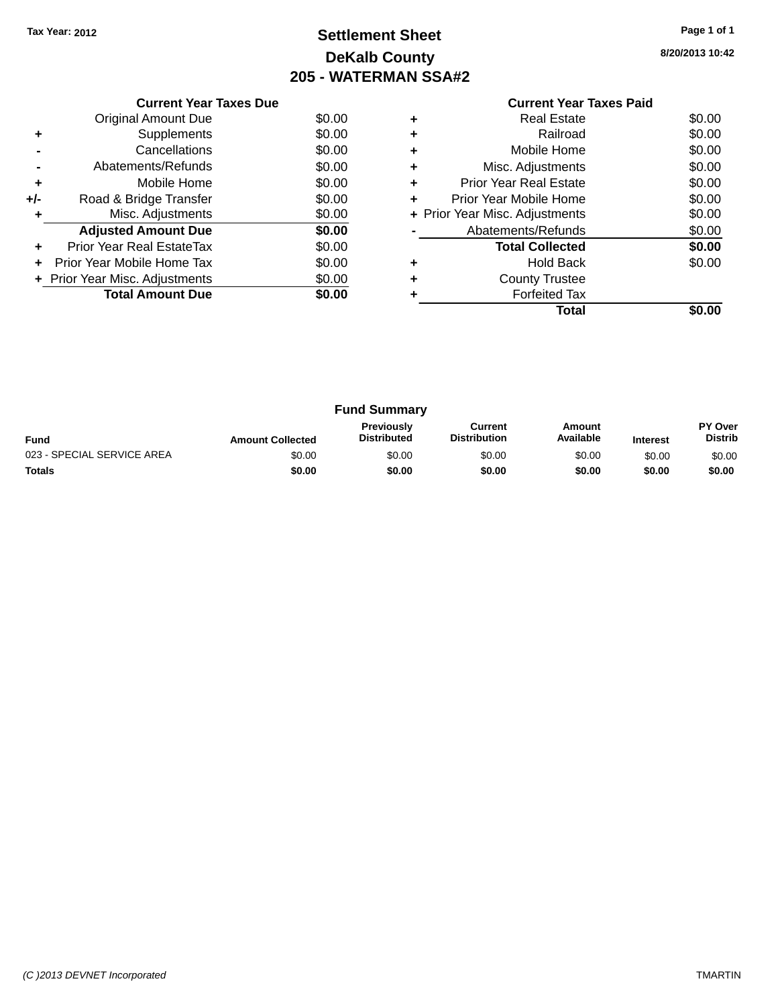## **Settlement Sheet Tax Year: 2012 Page 1 of 1 DeKalb County 205 - WATERMAN SSA#2**

**8/20/2013 10:42**

|     | <b>Current Year Taxes Due</b> |        |
|-----|-------------------------------|--------|
|     | Original Amount Due           | \$0.00 |
| ٠   | Supplements                   | \$0.00 |
|     | Cancellations                 | \$0.00 |
|     | Abatements/Refunds            | \$0.00 |
| ٠   | Mobile Home                   | \$0.00 |
| +/- | Road & Bridge Transfer        | \$0.00 |
| ٠   | Misc. Adjustments             | \$0.00 |
|     | <b>Adjusted Amount Due</b>    | \$0.00 |
| ٠   | Prior Year Real EstateTax     | \$0.00 |
|     | Prior Year Mobile Home Tax    | \$0.00 |
|     | Prior Year Misc. Adjustments  | \$0.00 |
|     | <b>Total Amount Due</b>       | \$0.00 |
|     |                               |        |

### **Current Year Taxes Paid +** Real Estate \$0.00 **+** Railroad \$0.00

|           | Total                          | \$0.00 |
|-----------|--------------------------------|--------|
|           | <b>Forfeited Tax</b>           |        |
| $\ddot{}$ | <b>County Trustee</b>          |        |
| ٠         | <b>Hold Back</b>               | \$0.00 |
|           | <b>Total Collected</b>         | \$0.00 |
|           | Abatements/Refunds             | \$0.00 |
|           | + Prior Year Misc. Adjustments | \$0.00 |
| ÷         | Prior Year Mobile Home         | \$0.00 |
| $\ddot{}$ | <b>Prior Year Real Estate</b>  | \$0.00 |
| $\ddot{}$ | Misc. Adjustments              | \$0.00 |
| $\ddot{}$ | Mobile Home                    | \$0.00 |
|           | Nallivau                       | ou.uu  |

|                            |                         | <b>Fund Summary</b>                     |                                |                     |                 |                           |
|----------------------------|-------------------------|-----------------------------------------|--------------------------------|---------------------|-----------------|---------------------------|
| <b>Fund</b>                | <b>Amount Collected</b> | <b>Previously</b><br><b>Distributed</b> | Current<br><b>Distribution</b> | Amount<br>Available | <b>Interest</b> | PY Over<br><b>Distrib</b> |
| 023 - SPECIAL SERVICE AREA | \$0.00                  | \$0.00                                  | \$0.00                         | \$0.00              | \$0.00          | \$0.00                    |
| <b>Totals</b>              | \$0.00                  | \$0.00                                  | \$0.00                         | \$0.00              | \$0.00          | \$0.00                    |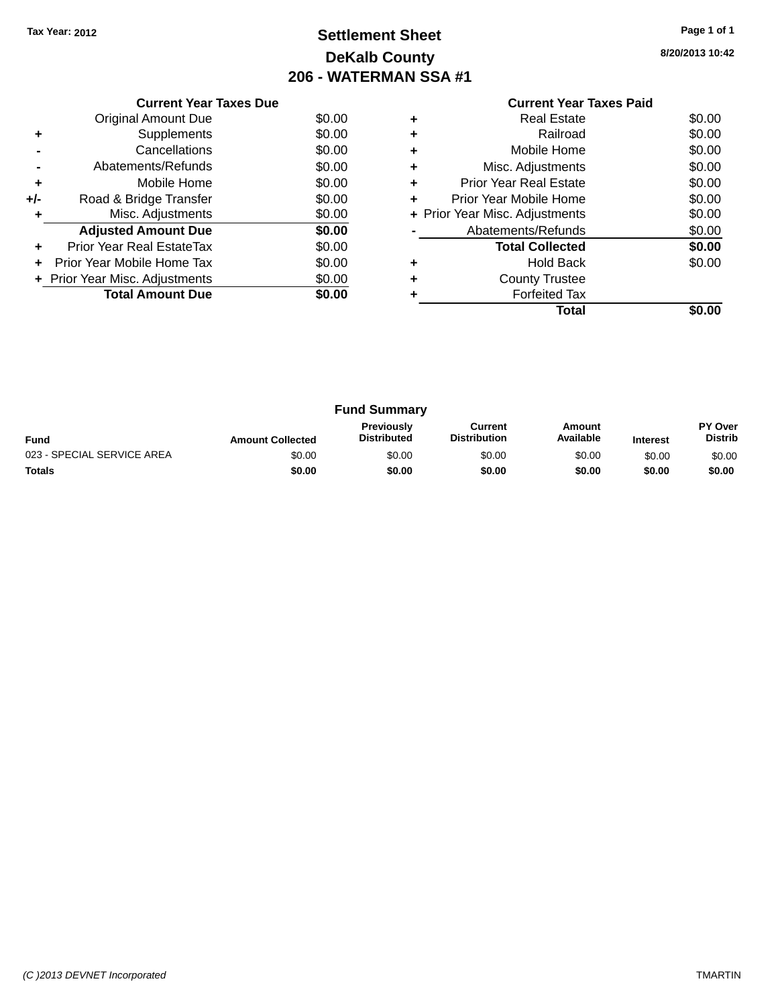## **Settlement Sheet Tax Year: 2012 Page 1 of 1 DeKalb County 206 - WATERMAN SSA #1**

**8/20/2013 10:42**

| <b>Current Year Taxes Paid</b> |  |  |
|--------------------------------|--|--|

|     | <b>Current Year Taxes Due</b>  |        |
|-----|--------------------------------|--------|
|     | Original Amount Due            | \$0.00 |
| ٠   | Supplements                    | \$0.00 |
|     | Cancellations                  | \$0.00 |
|     | Abatements/Refunds             | \$0.00 |
| ÷   | Mobile Home                    | \$0.00 |
| +/- | Road & Bridge Transfer         | \$0.00 |
| ٠   | Misc. Adjustments              | \$0.00 |
|     | <b>Adjusted Amount Due</b>     | \$0.00 |
| ٠   | Prior Year Real EstateTax      | \$0.00 |
| ÷   | Prior Year Mobile Home Tax     | \$0.00 |
|     | + Prior Year Misc. Adjustments | \$0.00 |
|     | <b>Total Amount Due</b>        | \$0.00 |
|     |                                |        |

|   | <b>Real Estate</b>             | \$0.00 |
|---|--------------------------------|--------|
| ٠ | Railroad                       | \$0.00 |
| ٠ | Mobile Home                    | \$0.00 |
| ٠ | Misc. Adjustments              | \$0.00 |
| ٠ | <b>Prior Year Real Estate</b>  | \$0.00 |
| ٠ | Prior Year Mobile Home         | \$0.00 |
|   | + Prior Year Misc. Adjustments | \$0.00 |
|   | Abatements/Refunds             | \$0.00 |
|   | <b>Total Collected</b>         | \$0.00 |
| ٠ | <b>Hold Back</b>               | \$0.00 |
| ٠ | <b>County Trustee</b>          |        |
|   | <b>Forfeited Tax</b>           |        |
|   | Total                          |        |

| <b>Fund Summary</b>        |                         |                                         |                                |                     |                 |                           |
|----------------------------|-------------------------|-----------------------------------------|--------------------------------|---------------------|-----------------|---------------------------|
| <b>Fund</b>                | <b>Amount Collected</b> | <b>Previously</b><br><b>Distributed</b> | Current<br><b>Distribution</b> | Amount<br>Available | <b>Interest</b> | PY Over<br><b>Distrib</b> |
| 023 - SPECIAL SERVICE AREA | \$0.00                  | \$0.00                                  | \$0.00                         | \$0.00              | \$0.00          | \$0.00                    |
| <b>Totals</b>              | \$0.00                  | \$0.00                                  | \$0.00                         | \$0.00              | \$0.00          | \$0.00                    |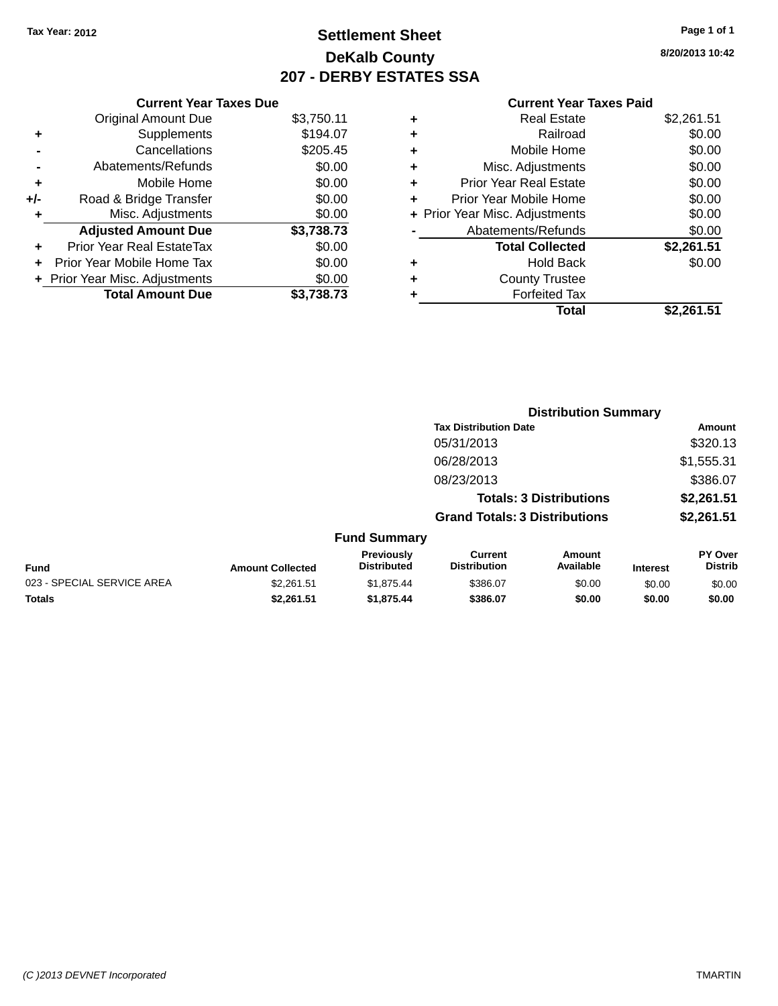## **Settlement Sheet Tax Year: 2012 Page 1 of 1 DeKalb County 207 - DERBY ESTATES SSA**

**8/20/2013 10:42**

|       | <b>Current Year Taxes Due</b>  |            |
|-------|--------------------------------|------------|
|       | <b>Original Amount Due</b>     | \$3,750.11 |
| ٠     | Supplements                    | \$194.07   |
|       | Cancellations                  | \$205.45   |
|       | Abatements/Refunds             | \$0.00     |
| ٠     | Mobile Home                    | \$0.00     |
| $+/-$ | Road & Bridge Transfer         | \$0.00     |
| ٠     | Misc. Adjustments              | \$0.00     |
|       | <b>Adjusted Amount Due</b>     | \$3,738.73 |
| ٠     | Prior Year Real EstateTax      | \$0.00     |
|       | Prior Year Mobile Home Tax     | \$0.00     |
|       | + Prior Year Misc. Adjustments | \$0.00     |
|       | <b>Total Amount Due</b>        | \$3.738.73 |

| ٠ | <b>Real Estate</b>             | \$2,261.51 |
|---|--------------------------------|------------|
| ٠ | Railroad                       | \$0.00     |
| ٠ | Mobile Home                    | \$0.00     |
| ٠ | Misc. Adjustments              | \$0.00     |
| ٠ | <b>Prior Year Real Estate</b>  | \$0.00     |
| ٠ | Prior Year Mobile Home         | \$0.00     |
|   | + Prior Year Misc. Adjustments | \$0.00     |
|   | Abatements/Refunds             | \$0.00     |
|   | <b>Total Collected</b>         | \$2,261.51 |
| ٠ | Hold Back                      | \$0.00     |
| ٠ | <b>County Trustee</b>          |            |
|   | <b>Forfeited Tax</b>           |            |
|   | Total                          | \$2,261.51 |
|   |                                |            |

|                            |                         |                                  |                                       | <b>Distribution Summary</b>    |                 |                           |
|----------------------------|-------------------------|----------------------------------|---------------------------------------|--------------------------------|-----------------|---------------------------|
|                            |                         |                                  | <b>Tax Distribution Date</b>          |                                |                 | Amount                    |
|                            |                         |                                  | 05/31/2013                            |                                |                 | \$320.13                  |
|                            |                         |                                  | 06/28/2013                            |                                |                 | \$1,555.31                |
|                            |                         |                                  | 08/23/2013                            |                                |                 | \$386.07                  |
|                            |                         |                                  |                                       | <b>Totals: 3 Distributions</b> |                 | \$2,261.51                |
|                            |                         |                                  | <b>Grand Totals: 3 Distributions</b>  |                                |                 | \$2,261.51                |
|                            |                         | <b>Fund Summary</b>              |                                       |                                |                 |                           |
| <b>Fund</b>                | <b>Amount Collected</b> | Previously<br><b>Distributed</b> | <b>Current</b><br><b>Distribution</b> | Amount<br>Available            | <b>Interest</b> | PY Over<br><b>Distrib</b> |
| 023 - SPECIAL SERVICE AREA | \$2,261.51              | \$1,875.44                       | \$386.07                              | \$0.00                         | \$0.00          | \$0.00                    |
| <b>Totals</b>              | \$2,261.51              | \$1,875.44                       | \$386.07                              | \$0.00                         | \$0.00          | \$0.00                    |
|                            |                         |                                  |                                       |                                |                 |                           |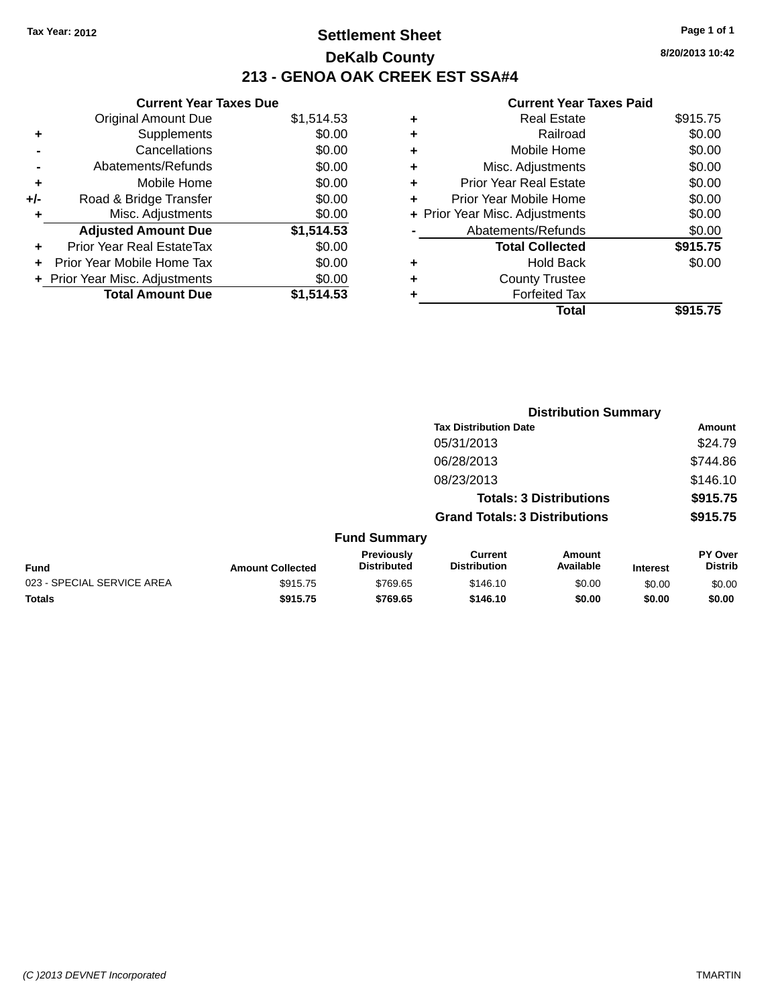## **Settlement Sheet Tax Year: 2012 Page 1 of 1 DeKalb County 213 - GENOA OAK CREEK EST SSA#4**

**8/20/2013 10:42**

|       | <b>Current Year Taxes Due</b>  |            |
|-------|--------------------------------|------------|
|       | <b>Original Amount Due</b>     | \$1,514.53 |
| ٠     | Supplements                    | \$0.00     |
|       | Cancellations                  | \$0.00     |
|       | Abatements/Refunds             | \$0.00     |
| ٠     | Mobile Home                    | \$0.00     |
| $+/-$ | Road & Bridge Transfer         | \$0.00     |
| ٠     | Misc. Adjustments              | \$0.00     |
|       | <b>Adjusted Amount Due</b>     | \$1,514.53 |
| ÷     | Prior Year Real EstateTax      | \$0.00     |
| ٠     | Prior Year Mobile Home Tax     | \$0.00     |
|       | + Prior Year Misc. Adjustments | \$0.00     |
|       | <b>Total Amount Due</b>        | \$1,514.53 |
|       |                                |            |

| ٠ | Real Estate                    | \$915.75 |
|---|--------------------------------|----------|
| ٠ | Railroad                       | \$0.00   |
| ٠ | Mobile Home                    | \$0.00   |
| ٠ | Misc. Adjustments              | \$0.00   |
| ٠ | Prior Year Real Estate         | \$0.00   |
|   | Prior Year Mobile Home         | \$0.00   |
|   | + Prior Year Misc. Adjustments | \$0.00   |
|   | Abatements/Refunds             | \$0.00   |
|   | <b>Total Collected</b>         | \$915.75 |
| ٠ | Hold Back                      | \$0.00   |
|   | <b>County Trustee</b>          |          |
| ٠ | <b>Forfeited Tax</b>           |          |
|   | Total                          | \$915.75 |
|   |                                |          |

|                            |                         |                                  |                                       | <b>Distribution Summary</b>    |                 |                           |
|----------------------------|-------------------------|----------------------------------|---------------------------------------|--------------------------------|-----------------|---------------------------|
|                            |                         |                                  | <b>Tax Distribution Date</b>          |                                |                 | Amount                    |
|                            |                         |                                  | 05/31/2013                            |                                |                 | \$24.79                   |
|                            |                         |                                  | 06/28/2013                            |                                |                 | \$744.86                  |
|                            |                         |                                  | 08/23/2013                            |                                |                 | \$146.10                  |
|                            |                         |                                  |                                       | <b>Totals: 3 Distributions</b> |                 | \$915.75                  |
|                            |                         |                                  | <b>Grand Totals: 3 Distributions</b>  |                                |                 | \$915.75                  |
|                            |                         | <b>Fund Summary</b>              |                                       |                                |                 |                           |
| <b>Fund</b>                | <b>Amount Collected</b> | Previously<br><b>Distributed</b> | <b>Current</b><br><b>Distribution</b> | Amount<br>Available            | <b>Interest</b> | PY Over<br><b>Distrib</b> |
| 023 - SPECIAL SERVICE AREA | \$915.75                | \$769.65                         | \$146.10                              | \$0.00                         | \$0.00          | \$0.00                    |
| <b>Totals</b>              | \$915.75                | \$769.65                         | \$146.10                              | \$0.00                         | \$0.00          | \$0.00                    |
|                            |                         |                                  |                                       |                                |                 |                           |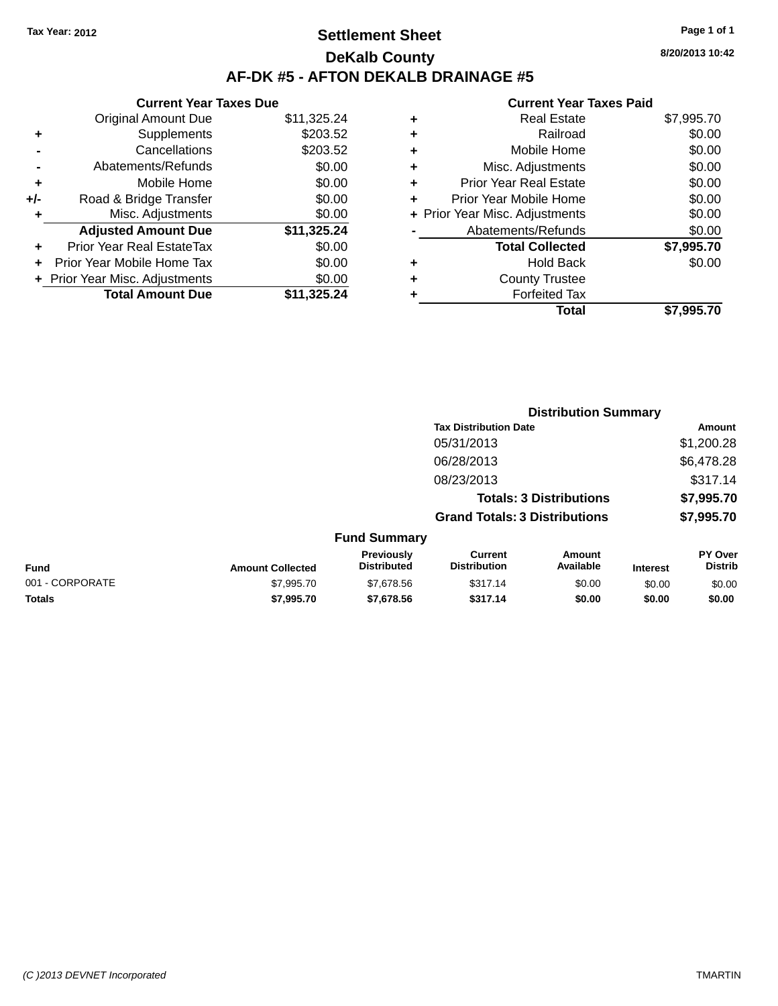## **Settlement Sheet Tax Year: 2012 Page 1 of 1 DeKalb County AF-DK #5 - AFTON DEKALB DRAINAGE #5**

**Current Year Taxes Due** Original Amount Due \$11,325.24 **+** Supplements \$203.52 **-** Cancellations \$203.52 **-** Abatements/Refunds \$0.00 **+** Mobile Home \$0.00 **+/-** Road & Bridge Transfer \$0.00 **+** Misc. Adjustments \$0.00 **Adjusted Amount Due \$11,325.24 +** Prior Year Real EstateTax \$0.00 **+** Prior Year Mobile Home Tax \$0.00 **+ Prior Year Misc. Adjustments**  $$0.00$ **Total Amount Due \$11,325.24**

|   | <b>Real Estate</b>             | \$7,995.70 |
|---|--------------------------------|------------|
| ٠ | Railroad                       | \$0.00     |
| ٠ | Mobile Home                    | \$0.00     |
| ٠ | Misc. Adjustments              | \$0.00     |
| ٠ | <b>Prior Year Real Estate</b>  | \$0.00     |
| ٠ | Prior Year Mobile Home         | \$0.00     |
|   | + Prior Year Misc. Adjustments | \$0.00     |
|   | Abatements/Refunds             | \$0.00     |
|   | <b>Total Collected</b>         | \$7,995.70 |
| ٠ | <b>Hold Back</b>               | \$0.00     |
| ٠ | <b>County Trustee</b>          |            |
|   | <b>Forfeited Tax</b>           |            |
|   | Total                          | \$7.995.70 |
|   |                                |            |

|                 |                         |                                  |                                       | <b>Distribution Summary</b>    |                 |                                  |
|-----------------|-------------------------|----------------------------------|---------------------------------------|--------------------------------|-----------------|----------------------------------|
|                 |                         |                                  | <b>Tax Distribution Date</b>          |                                |                 | Amount                           |
|                 |                         |                                  | 05/31/2013                            |                                |                 | \$1,200.28                       |
|                 |                         |                                  | 06/28/2013                            |                                |                 | \$6,478.28                       |
|                 |                         |                                  | 08/23/2013                            |                                |                 | \$317.14                         |
|                 |                         |                                  |                                       | <b>Totals: 3 Distributions</b> |                 | \$7,995.70                       |
|                 |                         |                                  | <b>Grand Totals: 3 Distributions</b>  |                                |                 | \$7,995.70                       |
|                 |                         | <b>Fund Summary</b>              |                                       |                                |                 |                                  |
| Fund            | <b>Amount Collected</b> | Previously<br><b>Distributed</b> | <b>Current</b><br><b>Distribution</b> | Amount<br>Available            | <b>Interest</b> | <b>PY Over</b><br><b>Distrib</b> |
| 001 - CORPORATE | \$7,995.70              | \$7,678.56                       | \$317.14                              | \$0.00                         | \$0.00          | \$0.00                           |
| <b>Totals</b>   | \$7,995.70              | \$7,678.56                       | \$317.14                              | \$0.00                         | \$0.00          | \$0.00                           |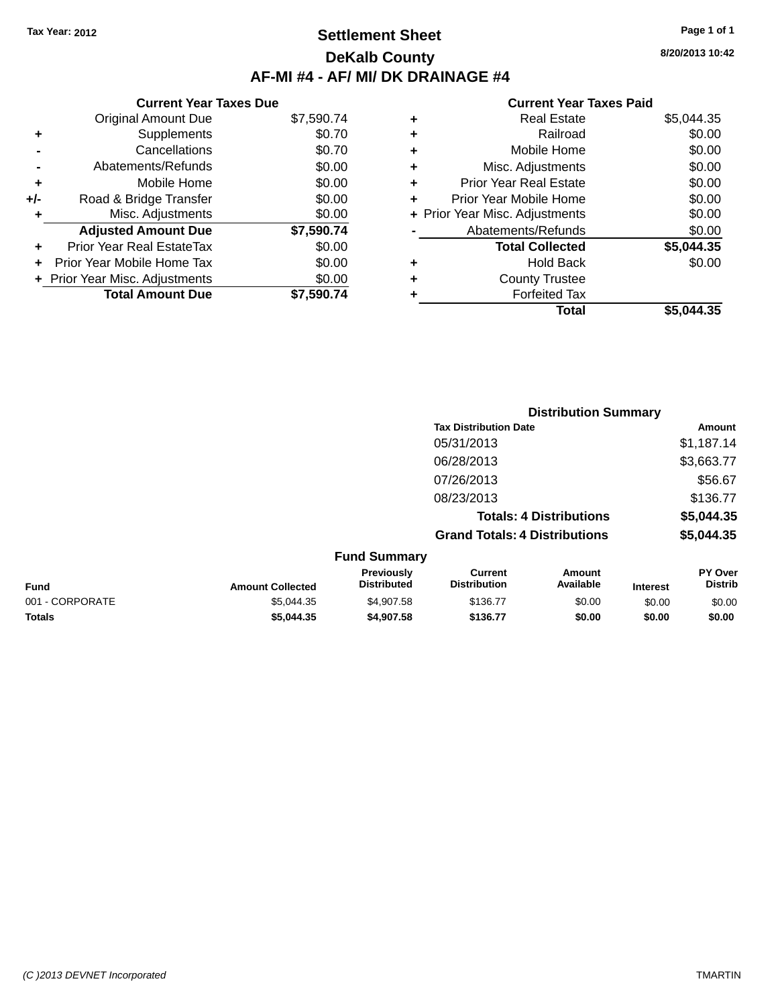### **Settlement Sheet Tax Year: 2012 Page 1 of 1 DeKalb County AF-MI #4 - AF/ MI/ DK DRAINAGE #4**

### **Current Year Taxes Due** Original Amount Due \$7,590.74 **+** Supplements \$0.70 **-** Cancellations \$0.70 **-** Abatements/Refunds \$0.00 **+** Mobile Home \$0.00 **+/-** Road & Bridge Transfer \$0.00 **+** Misc. Adjustments \$0.00 **Adjusted Amount Due \$7,590.74 +** Prior Year Real EstateTax \$0.00 **+** Prior Year Mobile Home Tax \$0.00 **+ Prior Year Misc. Adjustments**  $$0.00$ **Total Amount Due \$7,590.74**

#### **Current Year Taxes Paid**

| ٠ | <b>Real Estate</b>             | \$5,044.35 |
|---|--------------------------------|------------|
| ٠ | Railroad                       | \$0.00     |
| ٠ | Mobile Home                    | \$0.00     |
| ٠ | Misc. Adjustments              | \$0.00     |
| ٠ | <b>Prior Year Real Estate</b>  | \$0.00     |
| ٠ | Prior Year Mobile Home         | \$0.00     |
|   | + Prior Year Misc. Adjustments | \$0.00     |
|   | Abatements/Refunds             | \$0.00     |
|   | <b>Total Collected</b>         | \$5,044.35 |
| ٠ | Hold Back                      | \$0.00     |
| ٠ | <b>County Trustee</b>          |            |
| ٠ | <b>Forfeited Tax</b>           |            |
|   | Total                          | \$5.044.35 |
|   |                                |            |

|                 |                         |                                  |                                       | <b>Distribution Summary</b>    |                 |                           |
|-----------------|-------------------------|----------------------------------|---------------------------------------|--------------------------------|-----------------|---------------------------|
|                 |                         |                                  | <b>Tax Distribution Date</b>          |                                |                 | Amount                    |
|                 |                         |                                  | 05/31/2013                            |                                |                 | \$1,187.14                |
|                 |                         |                                  | 06/28/2013                            |                                |                 | \$3,663.77                |
|                 |                         |                                  | 07/26/2013                            |                                |                 | \$56.67                   |
|                 |                         |                                  | 08/23/2013                            |                                |                 | \$136.77                  |
|                 |                         |                                  |                                       | <b>Totals: 4 Distributions</b> |                 | \$5,044.35                |
|                 |                         |                                  | <b>Grand Totals: 4 Distributions</b>  |                                |                 | \$5,044.35                |
|                 |                         | <b>Fund Summary</b>              |                                       |                                |                 |                           |
| <b>Fund</b>     | <b>Amount Collected</b> | Previously<br><b>Distributed</b> | <b>Current</b><br><b>Distribution</b> | Amount<br>Available            | <b>Interest</b> | PY Over<br><b>Distrib</b> |
| 001 - CORPORATE | \$5,044.35              | \$4,907.58                       | \$136.77                              | \$0.00                         | \$0.00          | \$0.00                    |

**Totals \$5,044.35 \$4,907.58 \$136.77 \$0.00 \$0.00 \$0.00**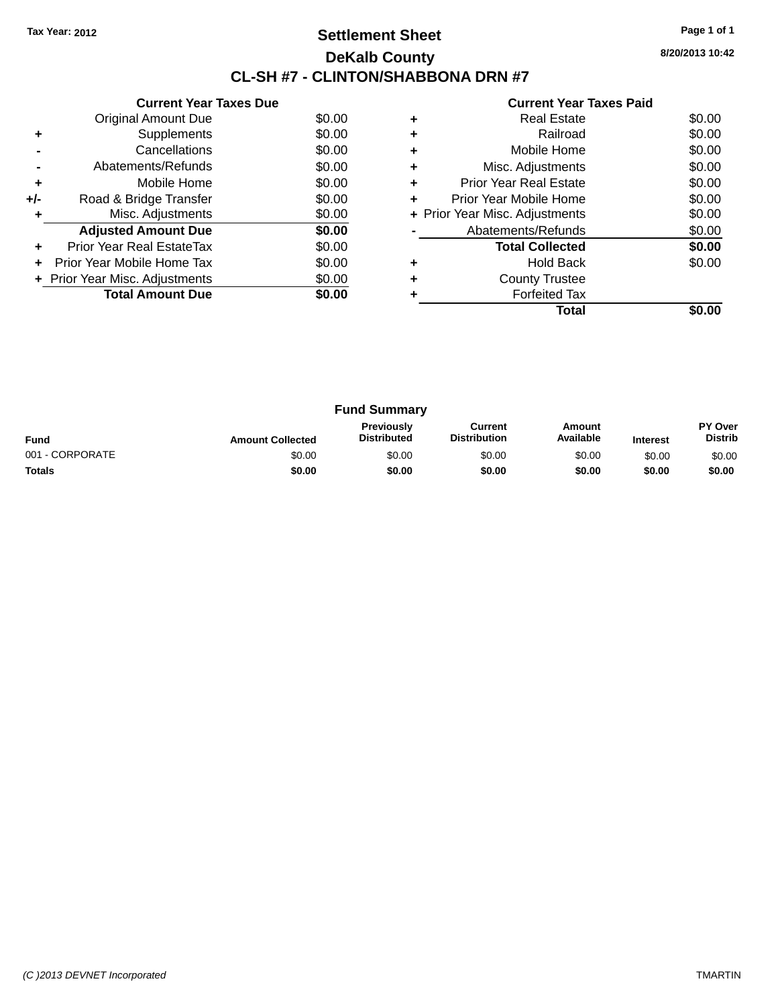## **Settlement Sheet Tax Year: 2012 Page 1 of 1 DeKalb County CL-SH #7 - CLINTON/SHABBONA DRN #7**

**8/20/2013 10:42**

|     | <b>Current Year Taxes Due</b>  |        |
|-----|--------------------------------|--------|
|     | Original Amount Due            | \$0.00 |
| ٠   | Supplements                    | \$0.00 |
|     | Cancellations                  | \$0.00 |
|     | Abatements/Refunds             | \$0.00 |
| ٠   | Mobile Home                    | \$0.00 |
| +/- | Road & Bridge Transfer         | \$0.00 |
| ٠   | Misc. Adjustments              | \$0.00 |
|     | <b>Adjusted Amount Due</b>     | \$0.00 |
| ٠   | Prior Year Real EstateTax      | \$0.00 |
| ÷   | Prior Year Mobile Home Tax     | \$0.00 |
|     | + Prior Year Misc. Adjustments | \$0.00 |
|     | <b>Total Amount Due</b>        | \$0.00 |
|     |                                |        |

|   | Total                          |        |
|---|--------------------------------|--------|
|   | <b>Forfeited Tax</b>           |        |
|   | <b>County Trustee</b>          |        |
|   | <b>Hold Back</b>               | \$0.00 |
|   | <b>Total Collected</b>         | \$0.00 |
|   | Abatements/Refunds             | \$0.00 |
|   | + Prior Year Misc. Adjustments | \$0.00 |
| ٠ | Prior Year Mobile Home         | \$0.00 |
| ٠ | <b>Prior Year Real Estate</b>  | \$0.00 |
| ٠ | Misc. Adjustments              | \$0.00 |
| ٠ | Mobile Home                    | \$0.00 |
|   | Railroad                       | \$0.00 |
|   | <b>Real Estate</b>             | \$0.00 |

| <b>Fund Summary</b> |                         |                                  |                                |                     |                 |                                  |
|---------------------|-------------------------|----------------------------------|--------------------------------|---------------------|-----------------|----------------------------------|
| <b>Fund</b>         | <b>Amount Collected</b> | Previously<br><b>Distributed</b> | Current<br><b>Distribution</b> | Amount<br>Available | <b>Interest</b> | <b>PY Over</b><br><b>Distrib</b> |
| 001 - CORPORATE     | \$0.00                  | \$0.00                           | \$0.00                         | \$0.00              | \$0.00          | \$0.00                           |
| <b>Totals</b>       | \$0.00                  | \$0.00                           | \$0.00                         | \$0.00              | \$0.00          | \$0.00                           |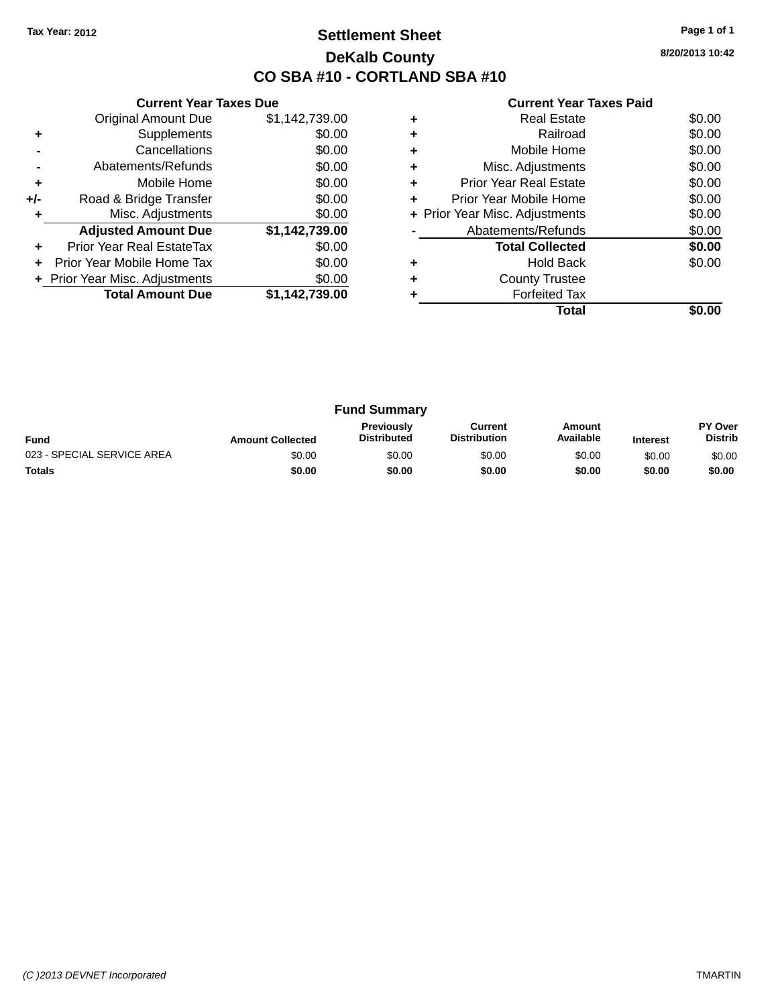## **Settlement Sheet Tax Year: 2012 Page 1 of 1 DeKalb County CO SBA #10 - CORTLAND SBA #10**

**8/20/2013 10:42**

|     | <b>Current Year Taxes Due</b>  |                |
|-----|--------------------------------|----------------|
|     | <b>Original Amount Due</b>     | \$1,142,739.00 |
| ٠   | Supplements                    | \$0.00         |
|     | Cancellations                  | \$0.00         |
|     | Abatements/Refunds             | \$0.00         |
| ٠   | Mobile Home                    | \$0.00         |
| +/- | Road & Bridge Transfer         | \$0.00         |
| ٠   | Misc. Adjustments              | \$0.00         |
|     | <b>Adjusted Amount Due</b>     | \$1,142,739.00 |
| ٠   | Prior Year Real EstateTax      | \$0.00         |
| ÷   | Prior Year Mobile Home Tax     | \$0.00         |
|     | + Prior Year Misc. Adjustments | \$0.00         |
|     | <b>Total Amount Due</b>        | \$1,142,739.00 |
|     |                                |                |

|   | Total                          |        |
|---|--------------------------------|--------|
|   | <b>Forfeited Tax</b>           |        |
|   | <b>County Trustee</b>          |        |
|   | Hold Back                      | \$0.00 |
|   | <b>Total Collected</b>         | \$0.00 |
|   | Abatements/Refunds             | \$0.00 |
|   | + Prior Year Misc. Adjustments | \$0.00 |
| ٠ | Prior Year Mobile Home         | \$0.00 |
| ٠ | <b>Prior Year Real Estate</b>  | \$0.00 |
| ٠ | Misc. Adjustments              | \$0.00 |
|   | Mobile Home                    | \$0.00 |
|   | Railroad                       | \$0.00 |
|   | <b>Real Estate</b>             | \$0.00 |

| <b>Fund Summary</b>        |                         |                                  |                                |                     |                 |                           |
|----------------------------|-------------------------|----------------------------------|--------------------------------|---------------------|-----------------|---------------------------|
| <b>Fund</b>                | <b>Amount Collected</b> | Previously<br><b>Distributed</b> | Current<br><b>Distribution</b> | Amount<br>Available | <b>Interest</b> | PY Over<br><b>Distrib</b> |
| 023 - SPECIAL SERVICE AREA | \$0.00                  | \$0.00                           | \$0.00                         | \$0.00              | \$0.00          | \$0.00                    |
| <b>Totals</b>              | \$0.00                  | \$0.00                           | \$0.00                         | \$0.00              | \$0.00          | \$0.00                    |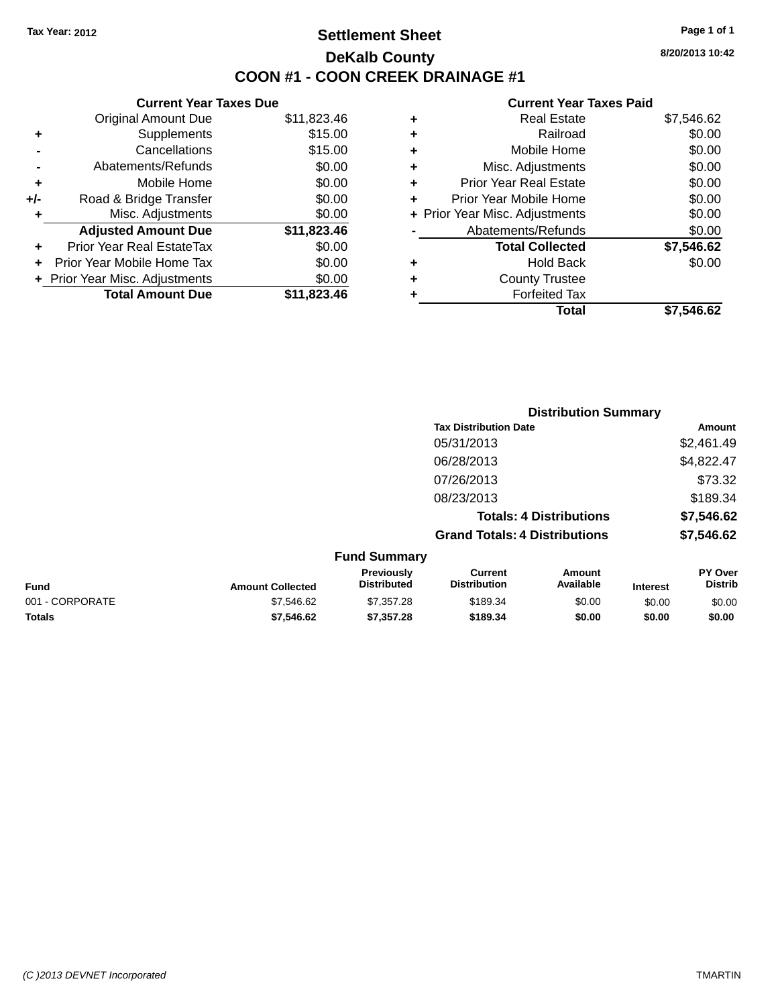## **Settlement Sheet Tax Year: 2012 Page 1 of 1 DeKalb County COON #1 - COON CREEK DRAINAGE #1**

**8/20/2013 10:42**

### **Current Year Taxes Paid**

|     | <b>Current Year Taxes Due</b>  |             |  |
|-----|--------------------------------|-------------|--|
|     | <b>Original Amount Due</b>     | \$11,823.46 |  |
| ٠   | Supplements                    | \$15.00     |  |
|     | Cancellations                  | \$15.00     |  |
|     | Abatements/Refunds             | \$0.00      |  |
| ٠   | Mobile Home                    | \$0.00      |  |
| +/- | Road & Bridge Transfer         | \$0.00      |  |
| ٠   | Misc. Adjustments              | \$0.00      |  |
|     | <b>Adjusted Amount Due</b>     | \$11,823.46 |  |
| ٠   | Prior Year Real EstateTax      | \$0.00      |  |
| ÷   | Prior Year Mobile Home Tax     | \$0.00      |  |
|     | + Prior Year Misc. Adjustments | \$0.00      |  |
|     | <b>Total Amount Due</b>        | \$11.823.46 |  |
|     |                                |             |  |

| ٠ | Misc. Adjustments              | \$0.00     |
|---|--------------------------------|------------|
|   |                                |            |
| ٠ | <b>Prior Year Real Estate</b>  | \$0.00     |
| ٠ | Prior Year Mobile Home         | \$0.00     |
|   | + Prior Year Misc. Adjustments | \$0.00     |
|   | Abatements/Refunds             | \$0.00     |
|   | <b>Total Collected</b>         | \$7,546.62 |
| ٠ | Hold Back                      | \$0.00     |
| ٠ | <b>County Trustee</b>          |            |
|   | <b>Forfeited Tax</b>           |            |
|   | Total                          | \$7,546.62 |
|   |                                |            |

|                 | <b>Distribution Summary</b> |                                  |                                       |                                |                 |                                  |
|-----------------|-----------------------------|----------------------------------|---------------------------------------|--------------------------------|-----------------|----------------------------------|
|                 |                             |                                  | <b>Tax Distribution Date</b>          |                                |                 | Amount                           |
|                 |                             |                                  | 05/31/2013                            |                                |                 | \$2,461.49                       |
|                 |                             |                                  | 06/28/2013                            |                                |                 | \$4,822.47                       |
|                 |                             |                                  | 07/26/2013                            |                                |                 | \$73.32                          |
|                 |                             |                                  | 08/23/2013                            |                                |                 | \$189.34                         |
|                 |                             |                                  |                                       | <b>Totals: 4 Distributions</b> |                 | \$7,546.62                       |
|                 |                             |                                  | <b>Grand Totals: 4 Distributions</b>  |                                |                 | \$7,546.62                       |
|                 |                             | <b>Fund Summary</b>              |                                       |                                |                 |                                  |
| <b>Fund</b>     | <b>Amount Collected</b>     | Previously<br><b>Distributed</b> | <b>Current</b><br><b>Distribution</b> | Amount<br>Available            | <b>Interest</b> | <b>PY Over</b><br><b>Distrib</b> |
| 001 - CORPORATE | \$7,546.62                  | \$7,357.28                       | \$189.34                              | \$0.00                         | \$0.00          | \$0.00                           |
|                 |                             |                                  |                                       |                                |                 |                                  |

**Totals \$7,546.62 \$7,357.28 \$189.34 \$0.00 \$0.00 \$0.00**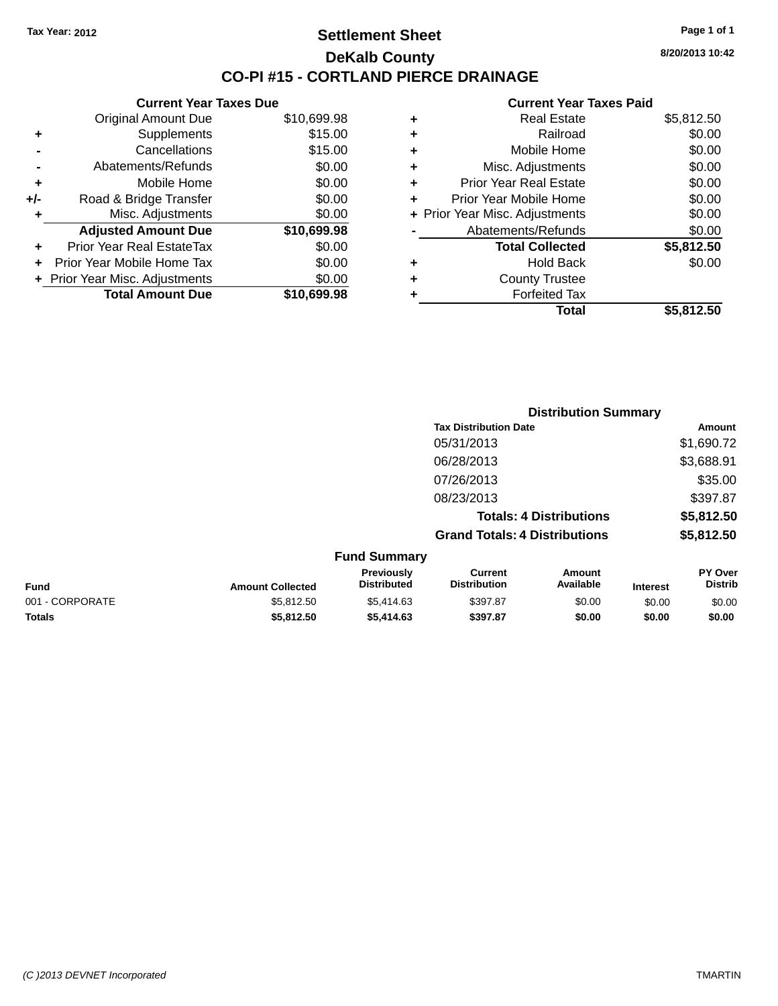### **Settlement Sheet Tax Year: 2012 Page 1 of 1 DeKalb County CO-PI #15 - CORTLAND PIERCE DRAINAGE**

**8/20/2013 10:42**

#### **Current Year Taxes Paid**

|     | <b>Current Year Taxes Due</b>  |             |
|-----|--------------------------------|-------------|
|     | <b>Original Amount Due</b>     | \$10,699.98 |
| ٠   | Supplements                    | \$15.00     |
|     | Cancellations                  | \$15.00     |
|     | Abatements/Refunds             | \$0.00      |
| ٠   | Mobile Home                    | \$0.00      |
| +/- | Road & Bridge Transfer         | \$0.00      |
| ٠   | Misc. Adjustments              | \$0.00      |
|     | <b>Adjusted Amount Due</b>     | \$10,699.98 |
| ٠   | Prior Year Real EstateTax      | \$0.00      |
|     | Prior Year Mobile Home Tax     | \$0.00      |
|     | + Prior Year Misc. Adjustments | \$0.00      |
|     | <b>Total Amount Due</b>        | \$10,699.98 |
|     |                                |             |

|   | <b>Real Estate</b>             | \$5,812.50 |
|---|--------------------------------|------------|
| ٠ | Railroad                       | \$0.00     |
| ٠ | Mobile Home                    | \$0.00     |
| ٠ | Misc. Adjustments              | \$0.00     |
| ٠ | <b>Prior Year Real Estate</b>  | \$0.00     |
| ÷ | Prior Year Mobile Home         | \$0.00     |
|   | + Prior Year Misc. Adjustments | \$0.00     |
|   | Abatements/Refunds             | \$0.00     |
|   | <b>Total Collected</b>         | \$5,812.50 |
| ٠ | Hold Back                      | \$0.00     |
| ٠ | <b>County Trustee</b>          |            |
| ٠ | <b>Forfeited Tax</b>           |            |
|   | Total                          | \$5,812.50 |
|   |                                |            |

|                 | <b>Distribution Summary</b> |                                  |                                       |                                |                 |                           |
|-----------------|-----------------------------|----------------------------------|---------------------------------------|--------------------------------|-----------------|---------------------------|
|                 |                             |                                  | <b>Tax Distribution Date</b>          |                                |                 | Amount                    |
|                 |                             |                                  | 05/31/2013                            |                                |                 | \$1,690.72                |
|                 |                             |                                  | 06/28/2013                            |                                |                 | \$3,688.91                |
|                 |                             |                                  | 07/26/2013                            |                                |                 | \$35.00                   |
|                 |                             |                                  | 08/23/2013                            |                                |                 | \$397.87                  |
|                 |                             |                                  |                                       | <b>Totals: 4 Distributions</b> |                 | \$5,812.50                |
|                 |                             |                                  | <b>Grand Totals: 4 Distributions</b>  |                                |                 | \$5,812.50                |
|                 |                             | <b>Fund Summary</b>              |                                       |                                |                 |                           |
| <b>Fund</b>     | <b>Amount Collected</b>     | Previously<br><b>Distributed</b> | <b>Current</b><br><b>Distribution</b> | <b>Amount</b><br>Available     | <b>Interest</b> | PY Over<br><b>Distrib</b> |
| 001 - CORPORATE | \$5,812.50                  | \$5,414.63                       | \$397.87                              | \$0.00                         | \$0.00          | \$0.00                    |

**Totals \$5,812.50 \$5,414.63 \$397.87 \$0.00 \$0.00 \$0.00**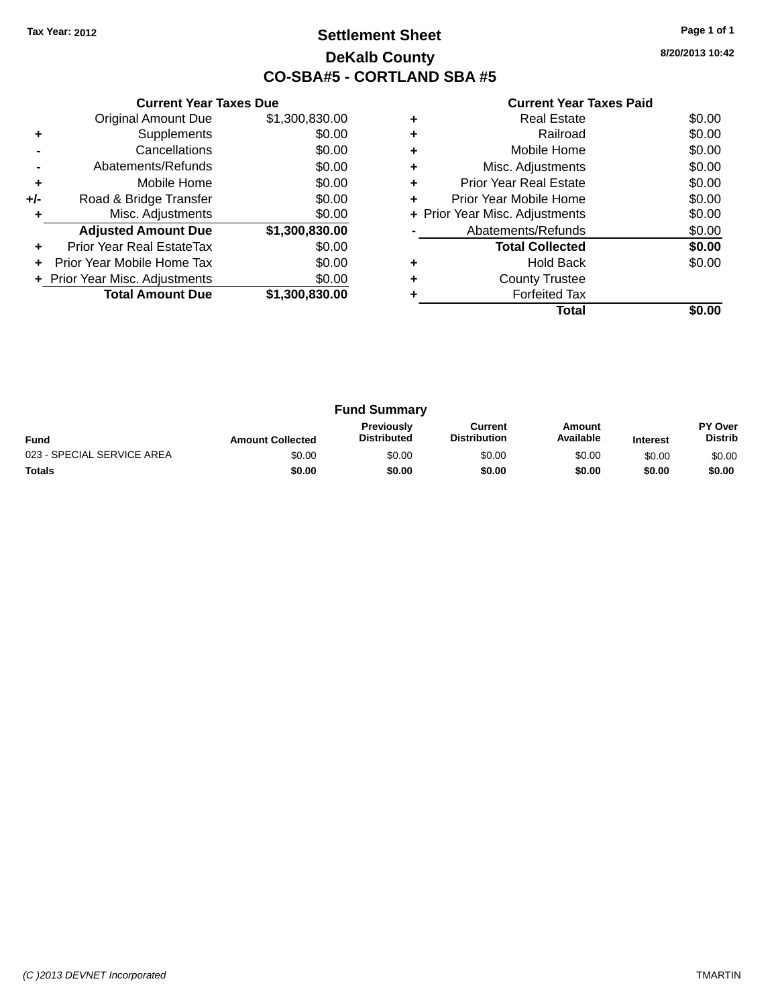## **Settlement Sheet Tax Year: 2012 Page 1 of 1 DeKalb County CO-SBA#5 - CORTLAND SBA #5**

**8/20/2013 10:42**

|     | <b>Current Year Taxes Due</b>  |                |  |  |  |
|-----|--------------------------------|----------------|--|--|--|
|     | <b>Original Amount Due</b>     | \$1,300,830.00 |  |  |  |
| ٠   | Supplements                    | \$0.00         |  |  |  |
|     | Cancellations                  | \$0.00         |  |  |  |
|     | Abatements/Refunds             | \$0.00         |  |  |  |
| ٠   | Mobile Home                    | \$0.00         |  |  |  |
| +/- | Road & Bridge Transfer         | \$0.00         |  |  |  |
| ٠   | Misc. Adjustments              | \$0.00         |  |  |  |
|     | <b>Adjusted Amount Due</b>     | \$1,300,830.00 |  |  |  |
| ٠   | Prior Year Real EstateTax      | \$0.00         |  |  |  |
|     | Prior Year Mobile Home Tax     | \$0.00         |  |  |  |
|     | + Prior Year Misc. Adjustments | \$0.00         |  |  |  |
|     | <b>Total Amount Due</b>        | \$1,300,830.00 |  |  |  |
|     |                                |                |  |  |  |

| Railroad                       |        |
|--------------------------------|--------|
|                                | \$0.00 |
| Mobile Home<br>٠               | \$0.00 |
| Misc. Adjustments              | \$0.00 |
| Prior Year Real Estate         | \$0.00 |
| Prior Year Mobile Home         | \$0.00 |
| + Prior Year Misc. Adjustments | \$0.00 |
| Abatements/Refunds             | \$0.00 |
| <b>Total Collected</b>         | \$0.00 |
|                                |        |
| Hold Back                      | \$0.00 |
| <b>County Trustee</b><br>٠     |        |
| <b>Forfeited Tax</b>           |        |

| <b>Fund Summary</b>        |                         |                                         |                                |                     |                 |                           |
|----------------------------|-------------------------|-----------------------------------------|--------------------------------|---------------------|-----------------|---------------------------|
| <b>Fund</b>                | <b>Amount Collected</b> | <b>Previously</b><br><b>Distributed</b> | Current<br><b>Distribution</b> | Amount<br>Available | <b>Interest</b> | PY Over<br><b>Distrib</b> |
| 023 - SPECIAL SERVICE AREA | \$0.00                  | \$0.00                                  | \$0.00                         | \$0.00              | \$0.00          | \$0.00                    |
| <b>Totals</b>              | \$0.00                  | \$0.00                                  | \$0.00                         | \$0.00              | \$0.00          | \$0.00                    |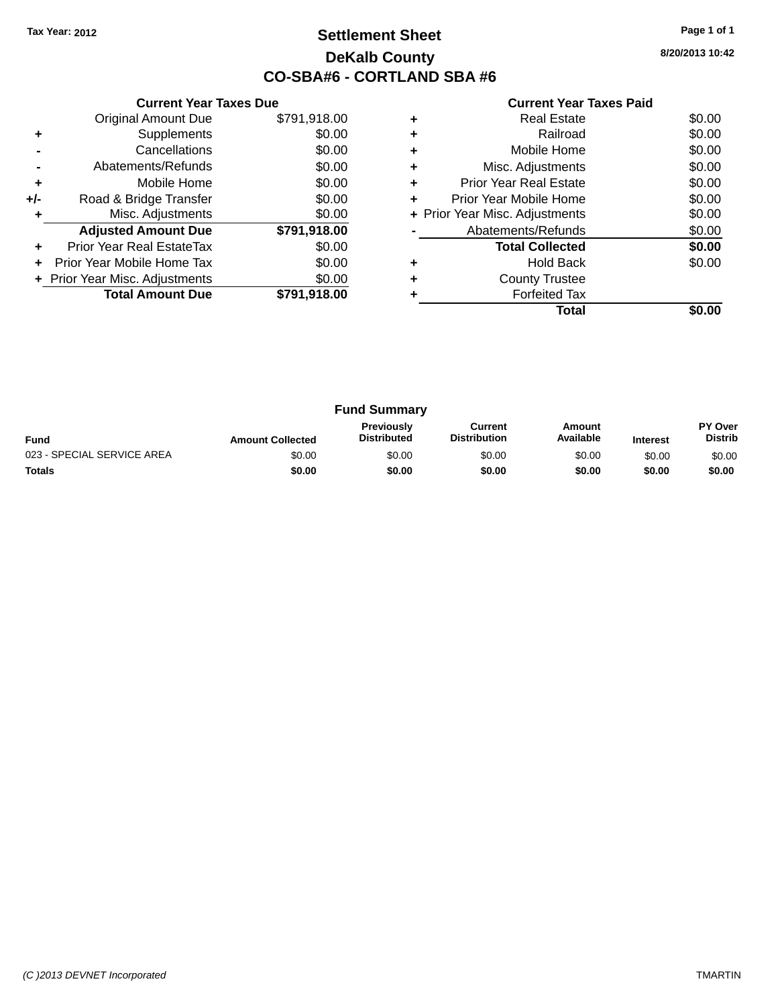## **Settlement Sheet Tax Year: 2012 Page 1 of 1 DeKalb County CO-SBA#6 - CORTLAND SBA #6**

**8/20/2013 10:42**

|     | <b>Current Year Taxes Due</b>  |              |  |  |  |
|-----|--------------------------------|--------------|--|--|--|
|     | <b>Original Amount Due</b>     | \$791,918.00 |  |  |  |
| ٠   | Supplements                    | \$0.00       |  |  |  |
|     | Cancellations                  | \$0.00       |  |  |  |
|     | Abatements/Refunds             | \$0.00       |  |  |  |
| ٠   | Mobile Home                    | \$0.00       |  |  |  |
| +/- | Road & Bridge Transfer         | \$0.00       |  |  |  |
| ٠   | Misc. Adjustments              | \$0.00       |  |  |  |
|     | <b>Adjusted Amount Due</b>     | \$791,918.00 |  |  |  |
| ٠   | Prior Year Real EstateTax      | \$0.00       |  |  |  |
| ÷   | Prior Year Mobile Home Tax     | \$0.00       |  |  |  |
|     | + Prior Year Misc. Adjustments | \$0.00       |  |  |  |
|     | <b>Total Amount Due</b>        | \$791,918.00 |  |  |  |

|   | <b>Real Estate</b>             | \$0.00 |
|---|--------------------------------|--------|
| ٠ | Railroad                       | \$0.00 |
| ٠ | Mobile Home                    | \$0.00 |
| ٠ | Misc. Adjustments              | \$0.00 |
|   | <b>Prior Year Real Estate</b>  | \$0.00 |
|   | Prior Year Mobile Home         | \$0.00 |
|   | + Prior Year Misc. Adjustments | \$0.00 |
|   | Abatements/Refunds             | \$0.00 |
|   | <b>Total Collected</b>         | \$0.00 |
|   | <b>Hold Back</b>               | \$0.00 |
| ٠ | <b>County Trustee</b>          |        |
|   | <b>Forfeited Tax</b>           |        |
|   | Total                          |        |

| <b>Fund Summary</b>        |                         |                                         |                                |                     |                 |                           |
|----------------------------|-------------------------|-----------------------------------------|--------------------------------|---------------------|-----------------|---------------------------|
| <b>Fund</b>                | <b>Amount Collected</b> | <b>Previously</b><br><b>Distributed</b> | Current<br><b>Distribution</b> | Amount<br>Available | <b>Interest</b> | PY Over<br><b>Distrib</b> |
| 023 - SPECIAL SERVICE AREA | \$0.00                  | \$0.00                                  | \$0.00                         | \$0.00              | \$0.00          | \$0.00                    |
| <b>Totals</b>              | \$0.00                  | \$0.00                                  | \$0.00                         | \$0.00              | \$0.00          | \$0.00                    |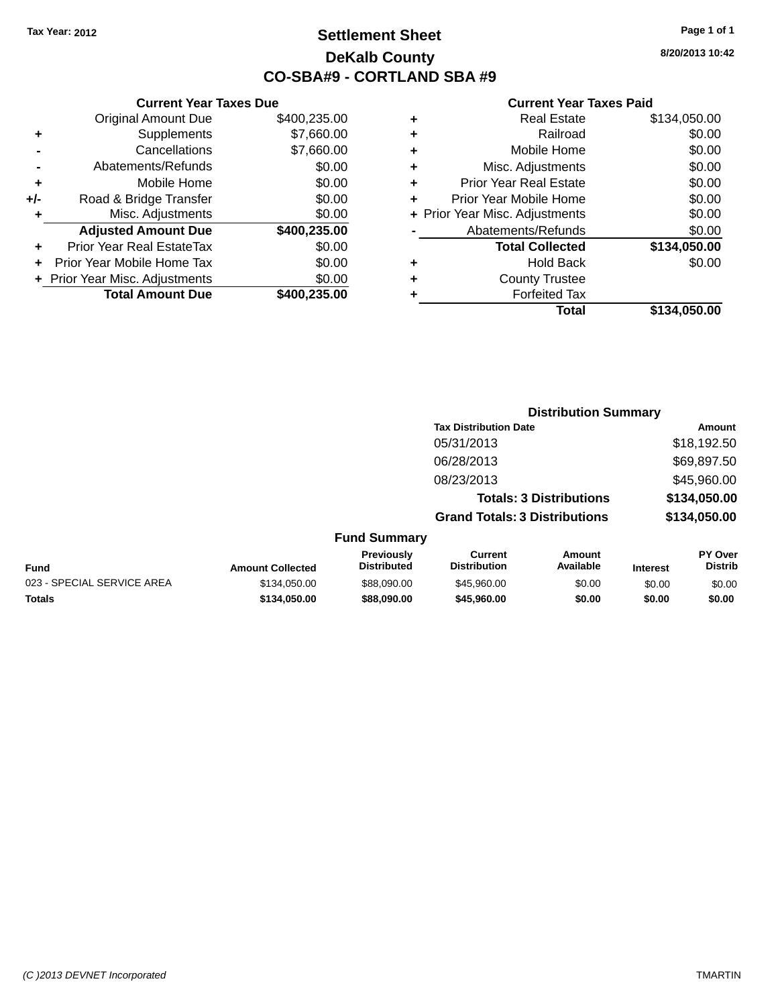**Current Year Taxes Due** Original Amount Due \$400,235.00

**Adjusted Amount Due \$400,235.00**

**Total Amount Due \$400,235.00**

**+** Supplements \$7,660.00 **-** Cancellations \$7,660.00 **-** Abatements/Refunds \$0.00 **+** Mobile Home \$0.00 **+/-** Road & Bridge Transfer \$0.00 **+** Misc. Adjustments \$0.00

**+** Prior Year Real EstateTax \$0.00 **+** Prior Year Mobile Home Tax \$0.00 **+ Prior Year Misc. Adjustments**  $$0.00$ 

## **Settlement Sheet Tax Year: 2012 Page 1 of 1 DeKalb County CO-SBA#9 - CORTLAND SBA #9**

**8/20/2013 10:42**

| Total                          | \$134,050.00 |
|--------------------------------|--------------|
| <b>Forfeited Tax</b>           |              |
| <b>County Trustee</b>          |              |
| <b>Hold Back</b>               | \$0.00       |
| <b>Total Collected</b>         | \$134,050.00 |
| Abatements/Refunds             | \$0.00       |
| + Prior Year Misc. Adjustments | \$0.00       |
| Prior Year Mobile Home         | \$0.00       |
| <b>Prior Year Real Estate</b>  | \$0.00       |
| Misc. Adjustments              | \$0.00       |
| Mobile Home                    | \$0.00       |
| Railroad                       | \$0.00       |
| <b>Real Estate</b>             | \$134,050.00 |
|                                |              |

|                            |                         | <b>Distribution Summary</b>      |                                       |                                |                 |                                  |
|----------------------------|-------------------------|----------------------------------|---------------------------------------|--------------------------------|-----------------|----------------------------------|
|                            |                         |                                  | <b>Tax Distribution Date</b>          |                                |                 | Amount                           |
|                            |                         |                                  | 05/31/2013                            |                                |                 | \$18,192.50                      |
|                            |                         |                                  | 06/28/2013                            |                                |                 | \$69,897.50                      |
|                            |                         |                                  | 08/23/2013                            |                                |                 | \$45,960.00                      |
|                            |                         |                                  |                                       | <b>Totals: 3 Distributions</b> |                 | \$134,050.00                     |
|                            |                         |                                  | <b>Grand Totals: 3 Distributions</b>  |                                |                 | \$134,050.00                     |
|                            |                         | <b>Fund Summary</b>              |                                       |                                |                 |                                  |
| <b>Fund</b>                | <b>Amount Collected</b> | Previously<br><b>Distributed</b> | <b>Current</b><br><b>Distribution</b> | Amount<br>Available            | <b>Interest</b> | <b>PY Over</b><br><b>Distrib</b> |
| 023 - SPECIAL SERVICE AREA | \$134,050.00            | \$88,090.00                      | \$45,960.00                           | \$0.00                         | \$0.00          | \$0.00                           |
| <b>Totals</b>              | \$134,050,00            | \$88,090.00                      | \$45,960,00                           | \$0.00                         | \$0.00          | \$0.00                           |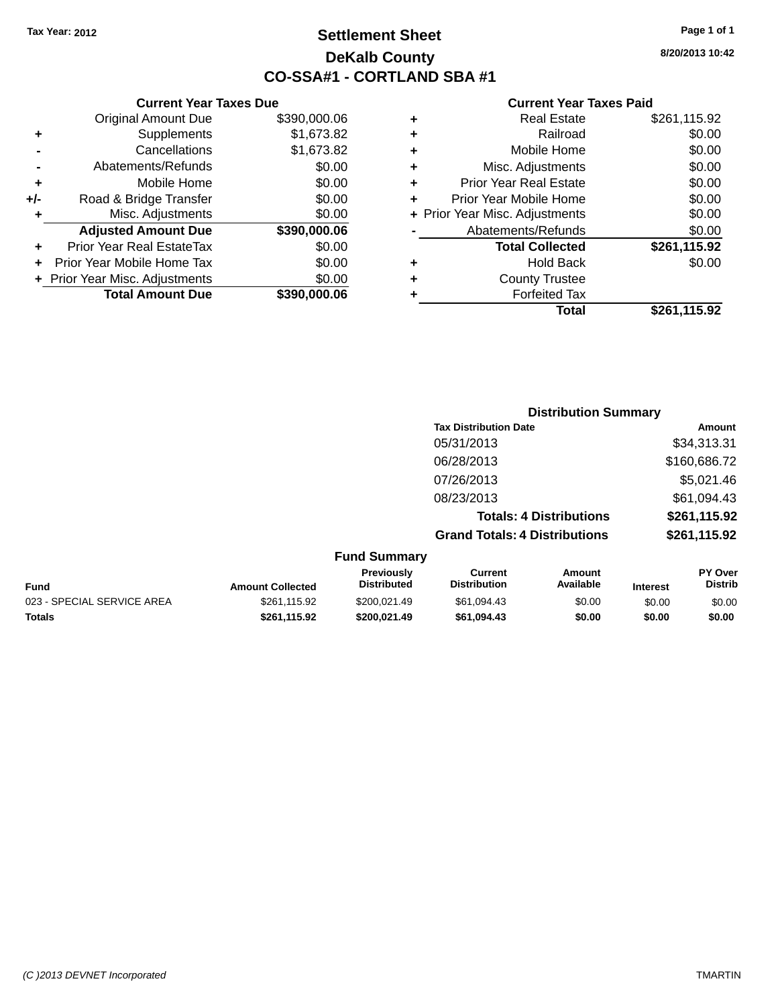## **Settlement Sheet Tax Year: 2012 Page 1 of 1 DeKalb County CO-SSA#1 - CORTLAND SBA #1**

**8/20/2013 10:42**

|   | Total                          | \$261.115.92 |
|---|--------------------------------|--------------|
|   | <b>Forfeited Tax</b>           |              |
| ÷ | <b>County Trustee</b>          |              |
| ٠ | <b>Hold Back</b>               | \$0.00       |
|   | <b>Total Collected</b>         | \$261,115.92 |
|   | Abatements/Refunds             | \$0.00       |
|   | + Prior Year Misc. Adjustments | \$0.00       |
| ٠ | Prior Year Mobile Home         | \$0.00       |
| ÷ | <b>Prior Year Real Estate</b>  | \$0.00       |
| ٠ | Misc. Adjustments              | \$0.00       |
| ٠ | Mobile Home                    | \$0.00       |
| ٠ | Railroad                       | \$0.00       |
| ٠ | Real Estate                    | \$261,115.92 |

|     | <b>Current Year Taxes Due</b>  |              |
|-----|--------------------------------|--------------|
|     | <b>Original Amount Due</b>     | \$390,000.06 |
| ٠   | Supplements                    | \$1,673.82   |
|     | Cancellations                  | \$1,673.82   |
|     | Abatements/Refunds             | \$0.00       |
| ٠   | Mobile Home                    | \$0.00       |
| +/- | Road & Bridge Transfer         | \$0.00       |
|     | Misc. Adjustments              | \$0.00       |
|     | <b>Adjusted Amount Due</b>     | \$390,000.06 |
| ٠   | Prior Year Real EstateTax      | \$0.00       |
|     | Prior Year Mobile Home Tax     | \$0.00       |
|     | + Prior Year Misc. Adjustments | \$0.00       |
|     | <b>Total Amount Due</b>        | \$390,000,06 |

|                     | <b>Distribution Summary</b>          |              |
|---------------------|--------------------------------------|--------------|
|                     | <b>Tax Distribution Date</b>         | Amount       |
|                     | 05/31/2013                           | \$34,313.31  |
|                     | 06/28/2013                           | \$160,686.72 |
|                     | 07/26/2013                           | \$5,021.46   |
|                     | 08/23/2013                           | \$61,094.43  |
|                     | <b>Totals: 4 Distributions</b>       | \$261,115.92 |
|                     | <b>Grand Totals: 4 Distributions</b> | \$261,115.92 |
| <b>Fund Summary</b> |                                      |              |

| <b>Fund</b>                | <b>Amount Collected</b> | <b>Previously</b><br><b>Distributed</b> | Current<br><b>Distribution</b> | Amount<br>Available | <b>Interest</b> | <b>PY Over</b><br><b>Distrib</b> |
|----------------------------|-------------------------|-----------------------------------------|--------------------------------|---------------------|-----------------|----------------------------------|
| 023 - SPECIAL SERVICE AREA | \$261.115.92            | \$200.021.49                            | \$61.094.43                    | \$0.00              | \$0.00          | \$0.00                           |
| Totals                     | \$261.115.92            | \$200.021.49                            | \$61.094.43                    | \$0.00              | \$0.00          | \$0.00                           |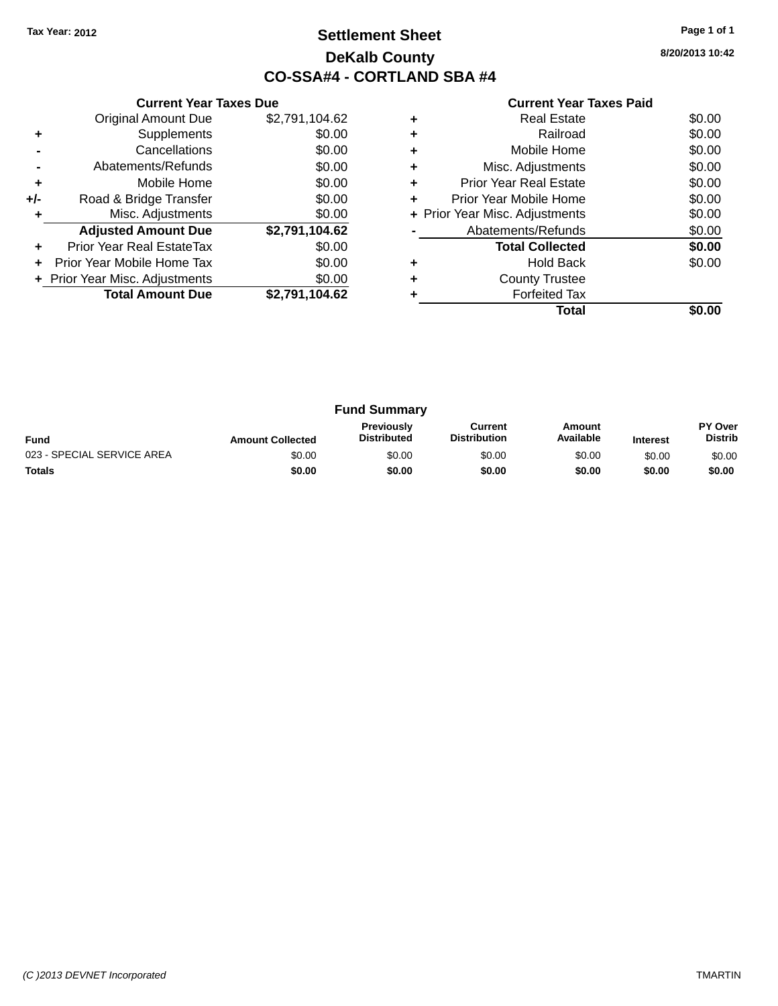## **Settlement Sheet Tax Year: 2012 Page 1 of 1 DeKalb County CO-SSA#4 - CORTLAND SBA #4**

**8/20/2013 10:42**

|     | <b>Current Year Taxes Due</b>  |                |
|-----|--------------------------------|----------------|
|     | <b>Original Amount Due</b>     | \$2,791,104.62 |
| ٠   | Supplements                    | \$0.00         |
|     | Cancellations                  | \$0.00         |
|     | Abatements/Refunds             | \$0.00         |
| ٠   | Mobile Home                    | \$0.00         |
| +/- | Road & Bridge Transfer         | \$0.00         |
|     | Misc. Adjustments              | \$0.00         |
|     | <b>Adjusted Amount Due</b>     | \$2,791,104.62 |
|     | Prior Year Real EstateTax      | \$0.00         |
|     | Prior Year Mobile Home Tax     | \$0.00         |
|     | + Prior Year Misc. Adjustments | \$0.00         |
|     | <b>Total Amount Due</b>        | \$2,791,104.62 |
|     |                                |                |

|   | <b>Real Estate</b>             | \$0.00 |
|---|--------------------------------|--------|
|   | Railroad                       | \$0.00 |
|   | Mobile Home                    | \$0.00 |
|   | Misc. Adjustments              | \$0.00 |
| ٠ | <b>Prior Year Real Estate</b>  | \$0.00 |
| ٠ | Prior Year Mobile Home         | \$0.00 |
|   | + Prior Year Misc. Adjustments | \$0.00 |
|   | Abatements/Refunds             | \$0.00 |
|   | <b>Total Collected</b>         | \$0.00 |
|   | <b>Hold Back</b>               | \$0.00 |
|   | <b>County Trustee</b>          |        |
|   | <b>Forfeited Tax</b>           |        |
|   | Total                          |        |

| <b>Fund Summary</b>        |                         |                                         |                                |                     |                 |                           |
|----------------------------|-------------------------|-----------------------------------------|--------------------------------|---------------------|-----------------|---------------------------|
| <b>Fund</b>                | <b>Amount Collected</b> | <b>Previously</b><br><b>Distributed</b> | Current<br><b>Distribution</b> | Amount<br>Available | <b>Interest</b> | PY Over<br><b>Distrib</b> |
| 023 - SPECIAL SERVICE AREA | \$0.00                  | \$0.00                                  | \$0.00                         | \$0.00              | \$0.00          | \$0.00                    |
| <b>Totals</b>              | \$0.00                  | \$0.00                                  | \$0.00                         | \$0.00              | \$0.00          | \$0.00                    |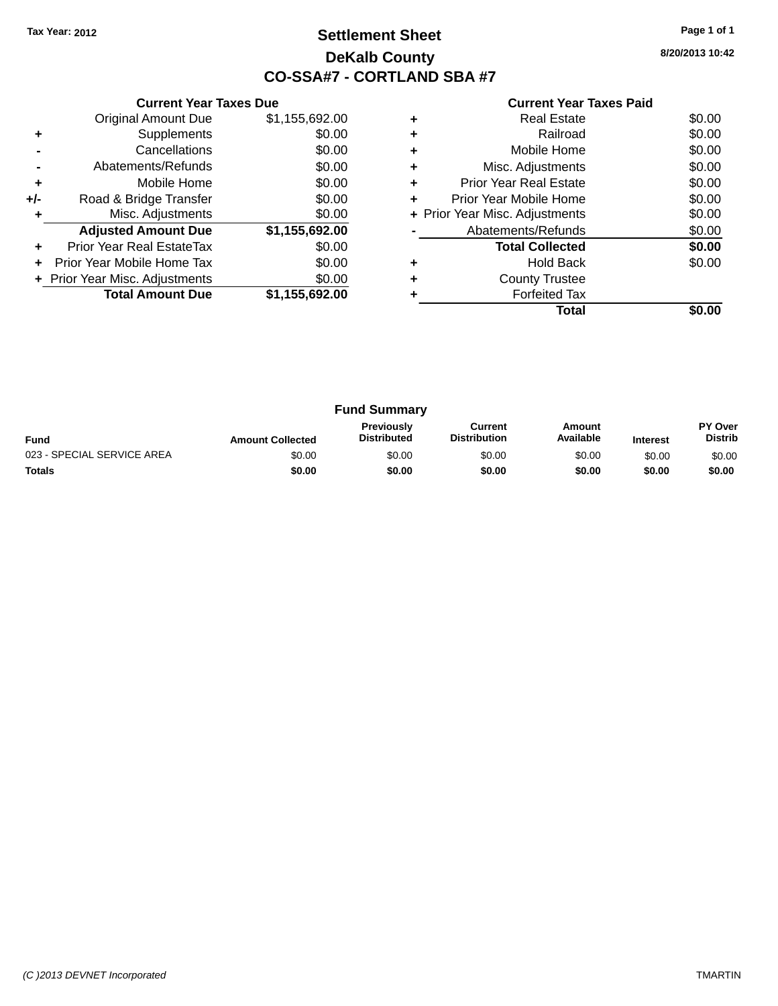## **Settlement Sheet Tax Year: 2012 Page 1 of 1 DeKalb County CO-SSA#7 - CORTLAND SBA #7**

**8/20/2013 10:42**

|     | <b>Current Year Taxes Due</b>  |                |
|-----|--------------------------------|----------------|
|     | <b>Original Amount Due</b>     | \$1,155,692.00 |
| ٠   | Supplements                    | \$0.00         |
|     | Cancellations                  | \$0.00         |
|     | Abatements/Refunds             | \$0.00         |
| ٠   | Mobile Home                    | \$0.00         |
| +/- | Road & Bridge Transfer         | \$0.00         |
| ٠   | Misc. Adjustments              | \$0.00         |
|     | <b>Adjusted Amount Due</b>     | \$1,155,692.00 |
| ÷   | Prior Year Real EstateTax      | \$0.00         |
| ÷   | Prior Year Mobile Home Tax     | \$0.00         |
|     | + Prior Year Misc. Adjustments | \$0.00         |
|     | <b>Total Amount Due</b>        | \$1,155,692.00 |
|     |                                |                |

|   | <b>Real Estate</b>             | \$0.00 |
|---|--------------------------------|--------|
| ٠ | Railroad                       | \$0.00 |
| ٠ | Mobile Home                    | \$0.00 |
| ٠ | Misc. Adjustments              | \$0.00 |
| ٠ | <b>Prior Year Real Estate</b>  | \$0.00 |
| ٠ | Prior Year Mobile Home         | \$0.00 |
|   | + Prior Year Misc. Adjustments | \$0.00 |
|   | Abatements/Refunds             | \$0.00 |
|   | <b>Total Collected</b>         | \$0.00 |
|   | <b>Hold Back</b>               | \$0.00 |
| ٠ | <b>County Trustee</b>          |        |
|   | <b>Forfeited Tax</b>           |        |
|   | Total                          |        |

| <b>Fund Summary</b>        |                         |                                         |                                |                     |                 |                                  |
|----------------------------|-------------------------|-----------------------------------------|--------------------------------|---------------------|-----------------|----------------------------------|
| <b>Fund</b>                | <b>Amount Collected</b> | <b>Previously</b><br><b>Distributed</b> | Current<br><b>Distribution</b> | Amount<br>Available | <b>Interest</b> | <b>PY Over</b><br><b>Distrib</b> |
| 023 - SPECIAL SERVICE AREA | \$0.00                  | \$0.00                                  | \$0.00                         | \$0.00              | \$0.00          | \$0.00                           |
| <b>Totals</b>              | \$0.00                  | \$0.00                                  | \$0.00                         | \$0.00              | \$0.00          | \$0.00                           |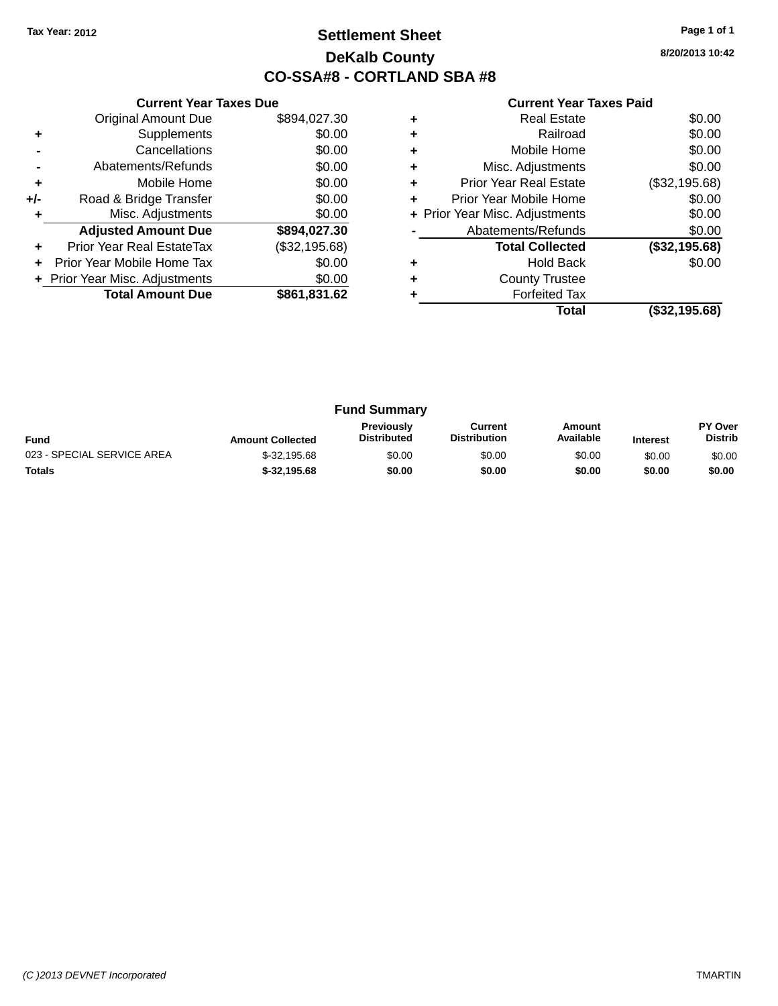## **Settlement Sheet Tax Year: 2012 Page 1 of 1 DeKalb County CO-SSA#8 - CORTLAND SBA #8**

**8/20/2013 10:42**

#### **Current Year Taxes Paid**

|     | <b>Original Amount Due</b>     | \$894,027.30  |
|-----|--------------------------------|---------------|
| ٠   | Supplements                    | \$0.00        |
|     | Cancellations                  | \$0.00        |
| -   | Abatements/Refunds             | \$0.00        |
| ٠   | Mobile Home                    | \$0.00        |
| +/- | Road & Bridge Transfer         | \$0.00        |
|     | Misc. Adjustments              | \$0.00        |
|     | <b>Adjusted Amount Due</b>     | \$894,027.30  |
| ٠   | Prior Year Real EstateTax      | (\$32,195.68) |
|     | Prior Year Mobile Home Tax     | \$0.00        |
|     | + Prior Year Misc. Adjustments | \$0.00        |
|     | <b>Total Amount Due</b>        | \$861,831.62  |
|     |                                |               |

**Current Year Taxes Due**

|   | Total                          | (\$32,195.68) |
|---|--------------------------------|---------------|
|   | <b>Forfeited Tax</b>           |               |
| ٠ | <b>County Trustee</b>          |               |
|   | <b>Hold Back</b>               | \$0.00        |
|   | <b>Total Collected</b>         | (\$32,195.68) |
|   | Abatements/Refunds             | \$0.00        |
|   | + Prior Year Misc. Adjustments | \$0.00        |
| ٠ | Prior Year Mobile Home         | \$0.00        |
| ٠ | <b>Prior Year Real Estate</b>  | (\$32,195.68) |
| ٠ | Misc. Adjustments              | \$0.00        |
| ٠ | Mobile Home                    | \$0.00        |
|   | Railroad                       | \$0.00        |
| ٠ | <b>Real Estate</b>             | \$0.00        |
|   |                                |               |

| <b>Fund Summary</b>        |                         |                                         |                                |                     |                 |                                  |
|----------------------------|-------------------------|-----------------------------------------|--------------------------------|---------------------|-----------------|----------------------------------|
| <b>Fund</b>                | <b>Amount Collected</b> | <b>Previously</b><br><b>Distributed</b> | Current<br><b>Distribution</b> | Amount<br>Available | <b>Interest</b> | <b>PY Over</b><br><b>Distrib</b> |
| 023 - SPECIAL SERVICE AREA | $$-32,195.68$           | \$0.00                                  | \$0.00                         | \$0.00              | \$0.00          | \$0.00                           |
| <b>Totals</b>              | $$-32,195.68$           | \$0.00                                  | \$0.00                         | \$0.00              | \$0.00          | \$0.00                           |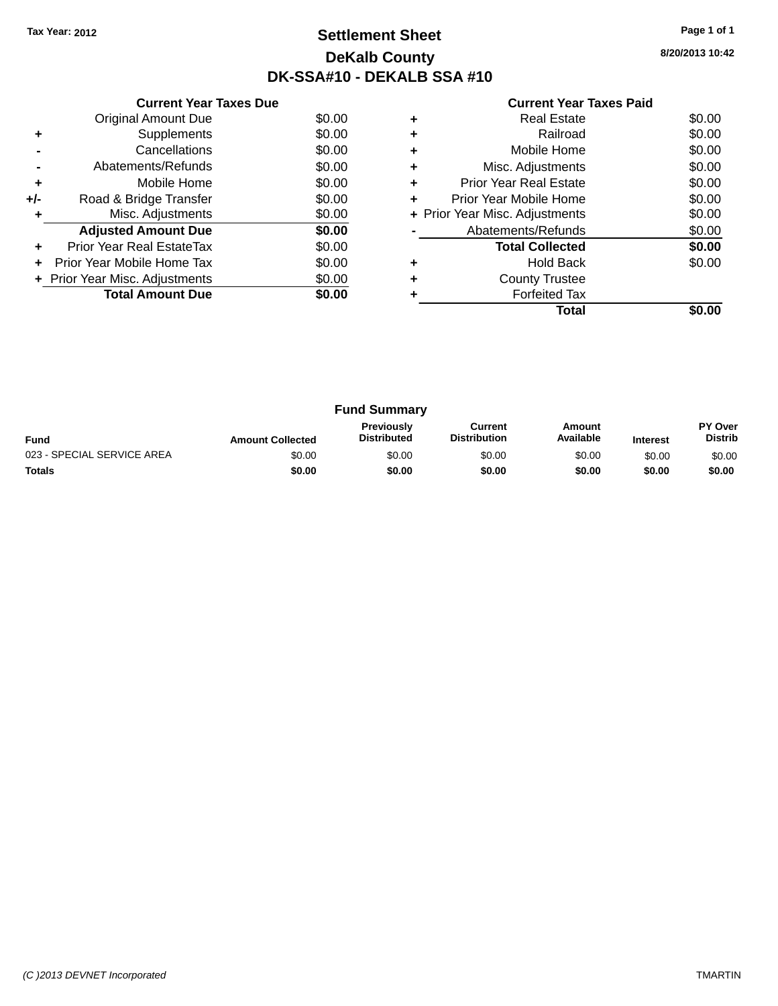## **Settlement Sheet Tax Year: 2012 Page 1 of 1 DeKalb County DK-SSA#10 - DEKALB SSA #10**

**8/20/2013 10:42**

|     | <b>Current Year Taxes Due</b>  |        |  |  |  |  |  |
|-----|--------------------------------|--------|--|--|--|--|--|
|     | <b>Original Amount Due</b>     | \$0.00 |  |  |  |  |  |
| ٠   | Supplements                    | \$0.00 |  |  |  |  |  |
|     | Cancellations                  | \$0.00 |  |  |  |  |  |
|     | Abatements/Refunds             | \$0.00 |  |  |  |  |  |
| ٠   | Mobile Home                    | \$0.00 |  |  |  |  |  |
| +/- | Road & Bridge Transfer         | \$0.00 |  |  |  |  |  |
| ٠   | Misc. Adjustments              | \$0.00 |  |  |  |  |  |
|     | <b>Adjusted Amount Due</b>     | \$0.00 |  |  |  |  |  |
| ÷   | Prior Year Real EstateTax      | \$0.00 |  |  |  |  |  |
|     | Prior Year Mobile Home Tax     | \$0.00 |  |  |  |  |  |
|     | + Prior Year Misc. Adjustments | \$0.00 |  |  |  |  |  |
|     | <b>Total Amount Due</b>        | \$0.00 |  |  |  |  |  |
|     |                                |        |  |  |  |  |  |

|   | Real Estate                    | \$0.00 |
|---|--------------------------------|--------|
|   | Railroad                       | \$0.00 |
| ٠ | Mobile Home                    | \$0.00 |
| ٠ | Misc. Adjustments              | \$0.00 |
| ٠ | Prior Year Real Estate         | \$0.00 |
| ٠ | Prior Year Mobile Home         | \$0.00 |
|   | + Prior Year Misc. Adjustments | \$0.00 |
|   | Abatements/Refunds             | \$0.00 |
|   | <b>Total Collected</b>         | \$0.00 |
|   | <b>Hold Back</b>               | \$0.00 |
|   | <b>County Trustee</b>          |        |
|   | <b>Forfeited Tax</b>           |        |
|   | Total                          |        |

| <b>Fund Summary</b>        |                         |                                         |                                |                     |                 |                           |
|----------------------------|-------------------------|-----------------------------------------|--------------------------------|---------------------|-----------------|---------------------------|
| <b>Fund</b>                | <b>Amount Collected</b> | <b>Previously</b><br><b>Distributed</b> | Current<br><b>Distribution</b> | Amount<br>Available | <b>Interest</b> | PY Over<br><b>Distrib</b> |
| 023 - SPECIAL SERVICE AREA | \$0.00                  | \$0.00                                  | \$0.00                         | \$0.00              | \$0.00          | \$0.00                    |
| <b>Totals</b>              | \$0.00                  | \$0.00                                  | \$0.00                         | \$0.00              | \$0.00          | \$0.00                    |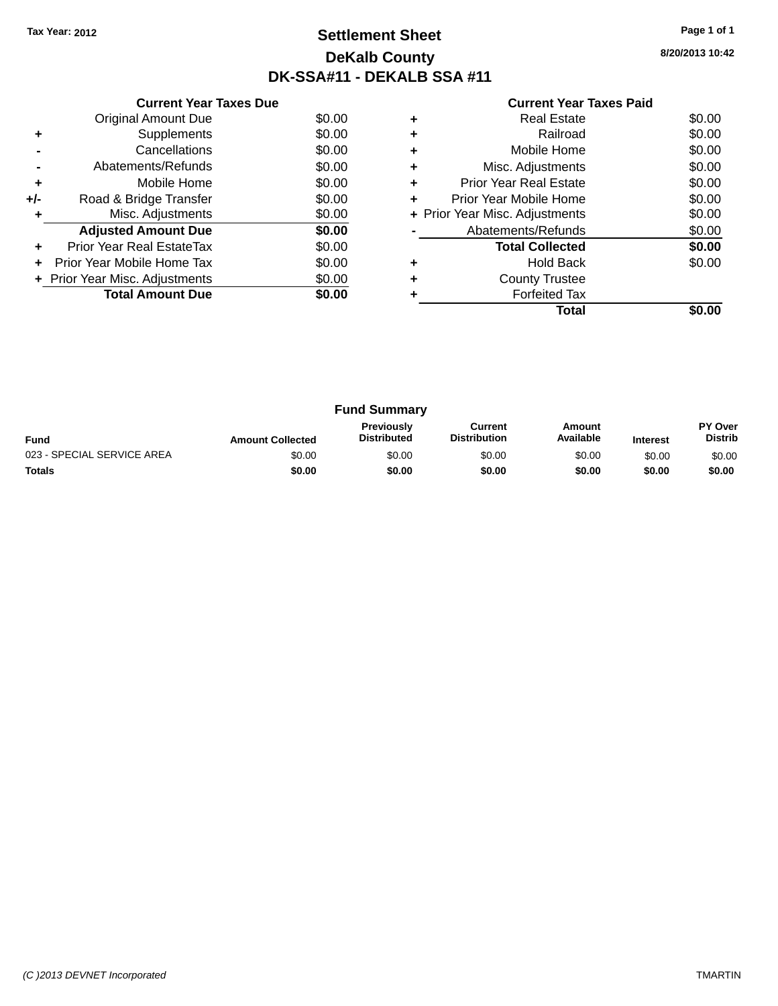## **Settlement Sheet Tax Year: 2012 Page 1 of 1 DeKalb County DK-SSA#11 - DEKALB SSA #11**

**8/20/2013 10:42**

|     | <b>Current Year Taxes Due</b>  |        |
|-----|--------------------------------|--------|
|     | <b>Original Amount Due</b>     | \$0.00 |
| ٠   | Supplements                    | \$0.00 |
|     | Cancellations                  | \$0.00 |
|     | Abatements/Refunds             | \$0.00 |
| ٠   | Mobile Home                    | \$0.00 |
| +/- | Road & Bridge Transfer         | \$0.00 |
| ٠   | Misc. Adjustments              | \$0.00 |
|     | <b>Adjusted Amount Due</b>     | \$0.00 |
| ÷   | Prior Year Real EstateTax      | \$0.00 |
| ÷   | Prior Year Mobile Home Tax     | \$0.00 |
|     | + Prior Year Misc. Adjustments | \$0.00 |
|     | <b>Total Amount Due</b>        | \$0.00 |
|     |                                |        |

|   | <b>Real Estate</b>             | \$0.00 |
|---|--------------------------------|--------|
|   | Railroad                       | \$0.00 |
|   | Mobile Home                    | \$0.00 |
| ٠ | Misc. Adjustments              | \$0.00 |
| ٠ | Prior Year Real Estate         | \$0.00 |
| ٠ | Prior Year Mobile Home         | \$0.00 |
|   | + Prior Year Misc. Adjustments | \$0.00 |
|   | Abatements/Refunds             | \$0.00 |
|   | <b>Total Collected</b>         | \$0.00 |
|   | <b>Hold Back</b>               | \$0.00 |
|   | <b>County Trustee</b>          |        |
|   | <b>Forfeited Tax</b>           |        |
|   | Total                          |        |

| <b>Fund Summary</b>        |                         |                                         |                                |                     |                 |                           |
|----------------------------|-------------------------|-----------------------------------------|--------------------------------|---------------------|-----------------|---------------------------|
| <b>Fund</b>                | <b>Amount Collected</b> | <b>Previously</b><br><b>Distributed</b> | Current<br><b>Distribution</b> | Amount<br>Available | <b>Interest</b> | PY Over<br><b>Distrib</b> |
| 023 - SPECIAL SERVICE AREA | \$0.00                  | \$0.00                                  | \$0.00                         | \$0.00              | \$0.00          | \$0.00                    |
| <b>Totals</b>              | \$0.00                  | \$0.00                                  | \$0.00                         | \$0.00              | \$0.00          | \$0.00                    |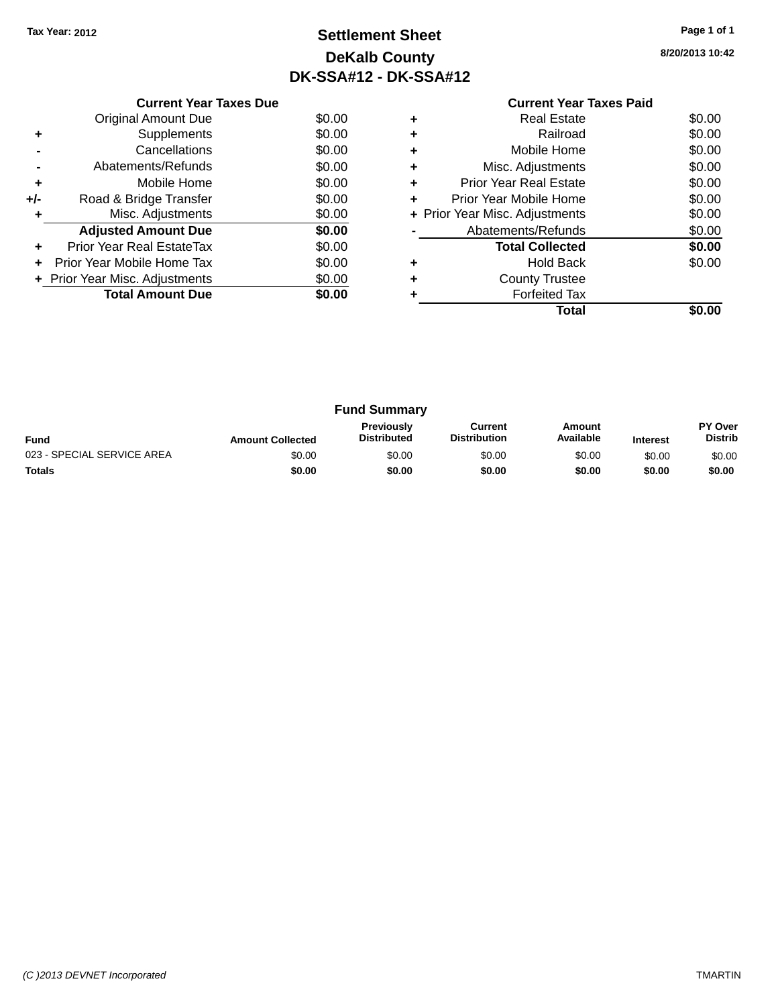# **Settlement Sheet Tax Year: 2012 Page 1 of 1 DeKalb County DK-SSA#12 - DK-SSA#12**

**8/20/2013 10:42**

|     | <b>Current Year Taxes Due</b>  |        |  |  |  |  |
|-----|--------------------------------|--------|--|--|--|--|
|     | Original Amount Due            | \$0.00 |  |  |  |  |
| ٠   | Supplements                    | \$0.00 |  |  |  |  |
|     | Cancellations                  | \$0.00 |  |  |  |  |
|     | Abatements/Refunds             | \$0.00 |  |  |  |  |
| ٠   | Mobile Home                    | \$0.00 |  |  |  |  |
| +/- | Road & Bridge Transfer         | \$0.00 |  |  |  |  |
| ٠   | Misc. Adjustments              | \$0.00 |  |  |  |  |
|     | <b>Adjusted Amount Due</b>     | \$0.00 |  |  |  |  |
|     | Prior Year Real EstateTax      | \$0.00 |  |  |  |  |
|     | Prior Year Mobile Home Tax     | \$0.00 |  |  |  |  |
|     | + Prior Year Misc. Adjustments | \$0.00 |  |  |  |  |
|     | <b>Total Amount Due</b>        | \$0.00 |  |  |  |  |
|     |                                |        |  |  |  |  |

|   | <b>Real Estate</b>             | \$0.00 |
|---|--------------------------------|--------|
| ٠ | Railroad                       | \$0.00 |
| ٠ | Mobile Home                    | \$0.00 |
| ٠ | Misc. Adjustments              | \$0.00 |
| ٠ | Prior Year Real Estate         | \$0.00 |
| ٠ | Prior Year Mobile Home         | \$0.00 |
|   | + Prior Year Misc. Adjustments | \$0.00 |
|   | Abatements/Refunds             | \$0.00 |
|   | <b>Total Collected</b>         | \$0.00 |
|   | Hold Back                      | \$0.00 |
| ٠ | <b>County Trustee</b>          |        |
|   | <b>Forfeited Tax</b>           |        |
|   | Total                          |        |

| <b>Fund Summary</b>        |                         |                                  |                                |                     |                 |                                  |
|----------------------------|-------------------------|----------------------------------|--------------------------------|---------------------|-----------------|----------------------------------|
| <b>Fund</b>                | <b>Amount Collected</b> | Previously<br><b>Distributed</b> | Current<br><b>Distribution</b> | Amount<br>Available | <b>Interest</b> | <b>PY Over</b><br><b>Distrib</b> |
| 023 - SPECIAL SERVICE AREA | \$0.00                  | \$0.00                           | \$0.00                         | \$0.00              | \$0.00          | \$0.00                           |
| <b>Totals</b>              | \$0.00                  | \$0.00                           | \$0.00                         | \$0.00              | \$0.00          | \$0.00                           |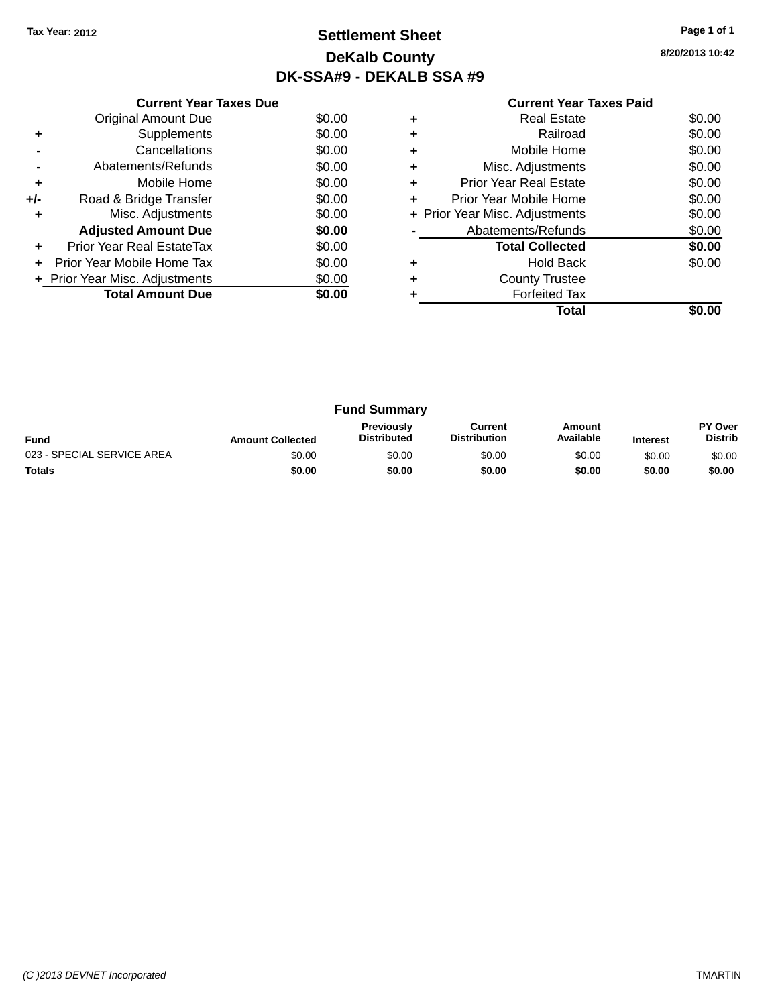# **Settlement Sheet Tax Year: 2012 Page 1 of 1 DeKalb County DK-SSA#9 - DEKALB SSA #9**

**8/20/2013 10:42**

|       | <b>Current Year Taxes Due</b>        |        |  |  |  |  |  |  |
|-------|--------------------------------------|--------|--|--|--|--|--|--|
|       | <b>Original Amount Due</b><br>\$0.00 |        |  |  |  |  |  |  |
| ٠     | Supplements                          | \$0.00 |  |  |  |  |  |  |
|       | Cancellations                        | \$0.00 |  |  |  |  |  |  |
|       | Abatements/Refunds                   | \$0.00 |  |  |  |  |  |  |
| ٠     | Mobile Home                          | \$0.00 |  |  |  |  |  |  |
| $+/-$ | Road & Bridge Transfer               | \$0.00 |  |  |  |  |  |  |
|       | Misc. Adjustments                    | \$0.00 |  |  |  |  |  |  |
|       | <b>Adjusted Amount Due</b>           | \$0.00 |  |  |  |  |  |  |
|       | Prior Year Real EstateTax            | \$0.00 |  |  |  |  |  |  |
|       | Prior Year Mobile Home Tax           | \$0.00 |  |  |  |  |  |  |
|       | + Prior Year Misc. Adjustments       | \$0.00 |  |  |  |  |  |  |
|       | <b>Total Amount Due</b>              | \$0.00 |  |  |  |  |  |  |
|       |                                      |        |  |  |  |  |  |  |

| <b>Real Estate</b>             | \$0.00 |
|--------------------------------|--------|
| Railroad                       | \$0.00 |
| Mobile Home                    | \$0.00 |
| Misc. Adjustments              | \$0.00 |
| Prior Year Real Estate         | \$0.00 |
| Prior Year Mobile Home         | \$0.00 |
| + Prior Year Misc. Adjustments | \$0.00 |
| Abatements/Refunds             | \$0.00 |
| <b>Total Collected</b>         | \$0.00 |
| <b>Hold Back</b>               | \$0.00 |
| <b>County Trustee</b>          |        |
| <b>Forfeited Tax</b>           |        |
| Total                          |        |
|                                |        |

| <b>Fund Summary</b>        |                         |                                         |                                |                     |                 |                           |
|----------------------------|-------------------------|-----------------------------------------|--------------------------------|---------------------|-----------------|---------------------------|
| <b>Fund</b>                | <b>Amount Collected</b> | <b>Previously</b><br><b>Distributed</b> | Current<br><b>Distribution</b> | Amount<br>Available | <b>Interest</b> | PY Over<br><b>Distrib</b> |
| 023 - SPECIAL SERVICE AREA | \$0.00                  | \$0.00                                  | \$0.00                         | \$0.00              | \$0.00          | \$0.00                    |
| <b>Totals</b>              | \$0.00                  | \$0.00                                  | \$0.00                         | \$0.00              | \$0.00          | \$0.00                    |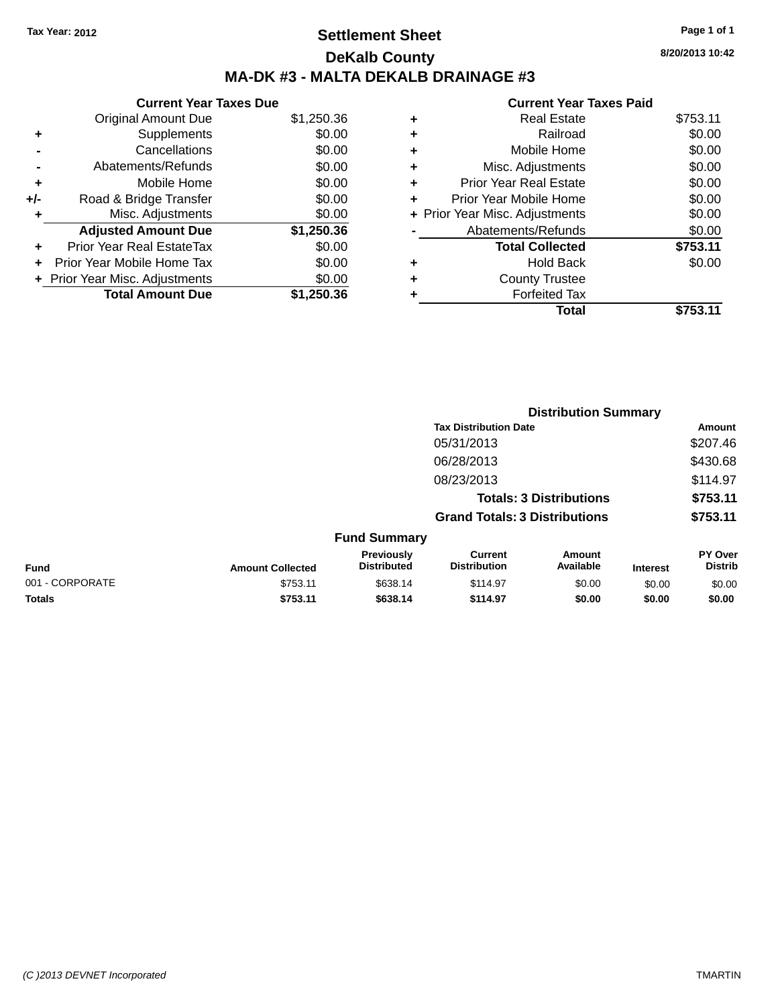# **Settlement Sheet Tax Year: 2012 Page 1 of 1 DeKalb County MA-DK #3 - MALTA DEKALB DRAINAGE #3**

|       | <b>Current Year Taxes Due</b>  |            |  |  |  |
|-------|--------------------------------|------------|--|--|--|
|       | <b>Original Amount Due</b>     | \$1,250.36 |  |  |  |
| ٠     | Supplements                    | \$0.00     |  |  |  |
|       | Cancellations                  | \$0.00     |  |  |  |
|       | Abatements/Refunds             | \$0.00     |  |  |  |
| ٠     | Mobile Home                    | \$0.00     |  |  |  |
| $+/-$ | Road & Bridge Transfer         | \$0.00     |  |  |  |
| ٠     | Misc. Adjustments              | \$0.00     |  |  |  |
|       | <b>Adjusted Amount Due</b>     | \$1,250.36 |  |  |  |
| ÷     | Prior Year Real EstateTax      | \$0.00     |  |  |  |
|       | Prior Year Mobile Home Tax     | \$0.00     |  |  |  |
|       | + Prior Year Misc. Adjustments | \$0.00     |  |  |  |
|       | <b>Total Amount Due</b>        | \$1.250.36 |  |  |  |

#### **Current Year Taxes Paid +** Real Estate \$753.11 **+** Railroad \$0.00 **+** Mobile Home \$0.00 **+** Misc. Adjustments \$0.00 **+** Prior Year Real Estate \$0.00 **+** Prior Year Mobile Home \$0.00 **+ Prior Year Misc. Adjustments**  $$0.00$ **-** Abatements/Refunds \$0.00 **Total Collected \$753.11 +** Hold Back \$0.00 **+** County Trustee **+** Forfeited Tax **Total \$753.11**

**Distribution Summary**

|                 |                         |                                  |                                       | 213811846911 9411111141 <b>7</b> |                 |                                  |  |
|-----------------|-------------------------|----------------------------------|---------------------------------------|----------------------------------|-----------------|----------------------------------|--|
|                 |                         |                                  | <b>Tax Distribution Date</b>          |                                  |                 | Amount                           |  |
|                 |                         |                                  | 05/31/2013                            |                                  |                 | \$207.46                         |  |
|                 |                         |                                  | 06/28/2013                            |                                  |                 | \$430.68                         |  |
|                 |                         |                                  | 08/23/2013                            |                                  |                 | \$114.97                         |  |
|                 |                         |                                  |                                       | <b>Totals: 3 Distributions</b>   |                 | \$753.11                         |  |
|                 |                         |                                  | <b>Grand Totals: 3 Distributions</b>  |                                  |                 | \$753.11                         |  |
|                 |                         | <b>Fund Summary</b>              |                                       |                                  |                 |                                  |  |
| <b>Fund</b>     | <b>Amount Collected</b> | Previously<br><b>Distributed</b> | <b>Current</b><br><b>Distribution</b> | Amount<br>Available              | <b>Interest</b> | <b>PY Over</b><br><b>Distrib</b> |  |
| 001 - CORPORATE | \$753.11                | \$638.14                         | \$114.97                              | \$0.00                           | \$0.00          | \$0.00                           |  |
| <b>Totals</b>   | \$753.11                | \$638.14                         | \$114.97                              | \$0.00                           | \$0.00          | \$0.00                           |  |
|                 |                         |                                  |                                       |                                  |                 |                                  |  |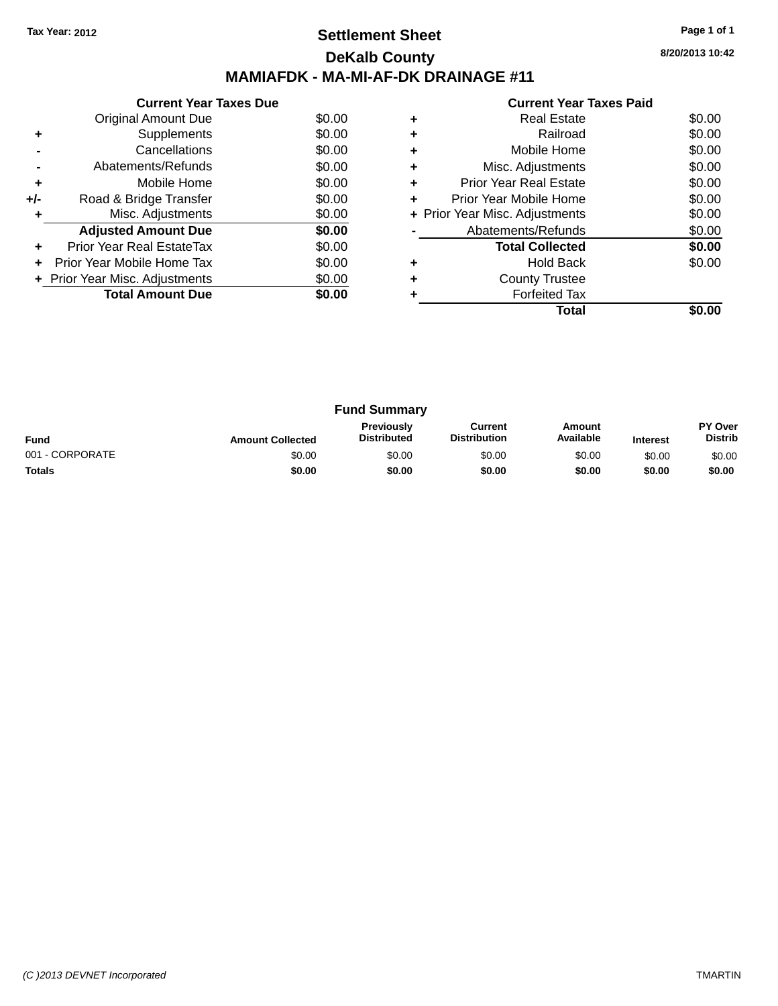## **Settlement Sheet Tax Year: 2012 Page 1 of 1 DeKalb County MAMIAFDK - MA-MI-AF-DK DRAINAGE #11**

| Current Year Taxes Paid |  |
|-------------------------|--|

|       | <b>Current Year Taxes Due</b>  |        |  |  |  |  |  |
|-------|--------------------------------|--------|--|--|--|--|--|
|       | \$0.00<br>Original Amount Due  |        |  |  |  |  |  |
|       | Supplements                    | \$0.00 |  |  |  |  |  |
|       | Cancellations                  | \$0.00 |  |  |  |  |  |
|       | Abatements/Refunds             | \$0.00 |  |  |  |  |  |
| ٠     | Mobile Home                    | \$0.00 |  |  |  |  |  |
| $+/-$ | Road & Bridge Transfer         | \$0.00 |  |  |  |  |  |
|       | Misc. Adjustments              | \$0.00 |  |  |  |  |  |
|       | <b>Adjusted Amount Due</b>     | \$0.00 |  |  |  |  |  |
|       | Prior Year Real EstateTax      | \$0.00 |  |  |  |  |  |
|       | Prior Year Mobile Home Tax     | \$0.00 |  |  |  |  |  |
|       | + Prior Year Misc. Adjustments | \$0.00 |  |  |  |  |  |
|       | <b>Total Amount Due</b>        | \$0.00 |  |  |  |  |  |
|       |                                |        |  |  |  |  |  |

|   | <b>Real Estate</b>             | \$0.00 |
|---|--------------------------------|--------|
| ٠ | Railroad                       | \$0.00 |
|   | Mobile Home                    | \$0.00 |
| ٠ | Misc. Adjustments              | \$0.00 |
| ٠ | <b>Prior Year Real Estate</b>  | \$0.00 |
| ٠ | Prior Year Mobile Home         | \$0.00 |
|   | + Prior Year Misc. Adjustments | \$0.00 |
|   | Abatements/Refunds             | \$0.00 |
|   | <b>Total Collected</b>         | \$0.00 |
|   | <b>Hold Back</b>               | \$0.00 |
| ٠ | <b>County Trustee</b>          |        |
|   | <b>Forfeited Tax</b>           |        |
|   | Total                          |        |
|   |                                |        |

| <b>Fund Summary</b> |                         |                                         |                                |                     |                 |                                  |
|---------------------|-------------------------|-----------------------------------------|--------------------------------|---------------------|-----------------|----------------------------------|
| <b>Fund</b>         | <b>Amount Collected</b> | <b>Previously</b><br><b>Distributed</b> | Current<br><b>Distribution</b> | Amount<br>Available | <b>Interest</b> | <b>PY Over</b><br><b>Distrib</b> |
| 001 - CORPORATE     | \$0.00                  | \$0.00                                  | \$0.00                         | \$0.00              | \$0.00          | \$0.00                           |
| <b>Totals</b>       | \$0.00                  | \$0.00                                  | \$0.00                         | \$0.00              | \$0.00          | \$0.00                           |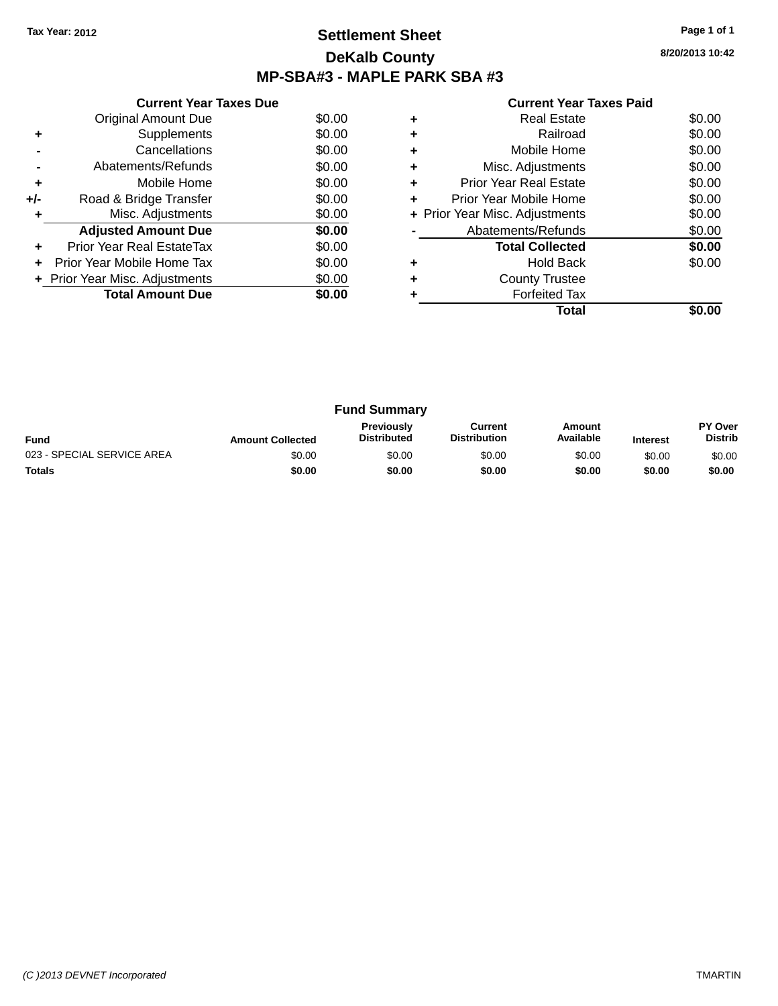## **Settlement Sheet Tax Year: 2012 Page 1 of 1 DeKalb County MP-SBA#3 - MAPLE PARK SBA #3**

**8/20/2013 10:42**

|     | <b>Current Year Taxes Due</b>        |        |  |  |  |  |  |
|-----|--------------------------------------|--------|--|--|--|--|--|
|     | <b>Original Amount Due</b><br>\$0.00 |        |  |  |  |  |  |
| ÷   | Supplements                          | \$0.00 |  |  |  |  |  |
|     | Cancellations                        | \$0.00 |  |  |  |  |  |
|     | Abatements/Refunds                   | \$0.00 |  |  |  |  |  |
| ٠   | Mobile Home                          | \$0.00 |  |  |  |  |  |
| +/- | Road & Bridge Transfer               | \$0.00 |  |  |  |  |  |
| ٠   | Misc. Adjustments                    | \$0.00 |  |  |  |  |  |
|     | <b>Adjusted Amount Due</b>           | \$0.00 |  |  |  |  |  |
| ٠   | Prior Year Real EstateTax            | \$0.00 |  |  |  |  |  |
| ÷   | Prior Year Mobile Home Tax           | \$0.00 |  |  |  |  |  |
|     | + Prior Year Misc. Adjustments       | \$0.00 |  |  |  |  |  |
|     | <b>Total Amount Due</b>              | \$0.00 |  |  |  |  |  |
|     |                                      |        |  |  |  |  |  |

|   | <b>Real Estate</b>             | \$0.00 |
|---|--------------------------------|--------|
| ٠ | Railroad                       | \$0.00 |
| ٠ | Mobile Home                    | \$0.00 |
| ٠ | Misc. Adjustments              | \$0.00 |
| ٠ | <b>Prior Year Real Estate</b>  | \$0.00 |
| ٠ | Prior Year Mobile Home         | \$0.00 |
|   | + Prior Year Misc. Adjustments | \$0.00 |
|   | Abatements/Refunds             | \$0.00 |
|   | <b>Total Collected</b>         | \$0.00 |
| ٠ | <b>Hold Back</b>               | \$0.00 |
| ٠ | <b>County Trustee</b>          |        |
|   | <b>Forfeited Tax</b>           |        |
|   | Total                          |        |

| <b>Fund Summary</b>        |                         |                                         |                                |                     |                 |                           |
|----------------------------|-------------------------|-----------------------------------------|--------------------------------|---------------------|-----------------|---------------------------|
| <b>Fund</b>                | <b>Amount Collected</b> | <b>Previously</b><br><b>Distributed</b> | Current<br><b>Distribution</b> | Amount<br>Available | <b>Interest</b> | PY Over<br><b>Distrib</b> |
| 023 - SPECIAL SERVICE AREA | \$0.00                  | \$0.00                                  | \$0.00                         | \$0.00              | \$0.00          | \$0.00                    |
| <b>Totals</b>              | \$0.00                  | \$0.00                                  | \$0.00                         | \$0.00              | \$0.00          | \$0.00                    |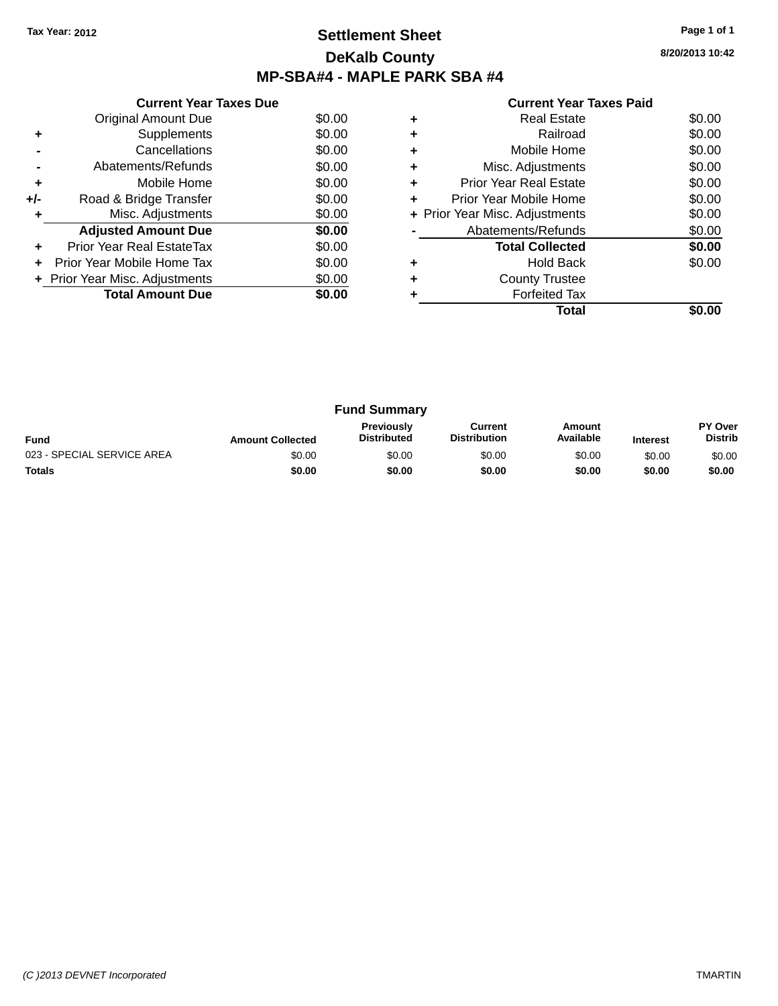### **Settlement Sheet Tax Year: 2012 Page 1 of 1 DeKalb County MP-SBA#4 - MAPLE PARK SBA #4**

|     | <b>Current Year Taxes Due</b>        |        |  |  |  |  |  |
|-----|--------------------------------------|--------|--|--|--|--|--|
|     | <b>Original Amount Due</b><br>\$0.00 |        |  |  |  |  |  |
| ٠   | Supplements                          | \$0.00 |  |  |  |  |  |
|     | Cancellations                        | \$0.00 |  |  |  |  |  |
|     | Abatements/Refunds                   | \$0.00 |  |  |  |  |  |
| ٠   | Mobile Home                          | \$0.00 |  |  |  |  |  |
| +/- | Road & Bridge Transfer               | \$0.00 |  |  |  |  |  |
| ٠   | Misc. Adjustments                    | \$0.00 |  |  |  |  |  |
|     | <b>Adjusted Amount Due</b>           | \$0.00 |  |  |  |  |  |
| ÷   | Prior Year Real EstateTax            | \$0.00 |  |  |  |  |  |
| ÷   | Prior Year Mobile Home Tax           | \$0.00 |  |  |  |  |  |
|     | + Prior Year Misc. Adjustments       | \$0.00 |  |  |  |  |  |
|     | <b>Total Amount Due</b>              | \$0.00 |  |  |  |  |  |
|     |                                      |        |  |  |  |  |  |

|   | <b>Real Estate</b>             | \$0.00 |
|---|--------------------------------|--------|
|   | Railroad                       | \$0.00 |
|   | Mobile Home                    | \$0.00 |
| ٠ | Misc. Adjustments              | \$0.00 |
| ٠ | Prior Year Real Estate         | \$0.00 |
| ٠ | Prior Year Mobile Home         | \$0.00 |
|   | + Prior Year Misc. Adjustments | \$0.00 |
|   | Abatements/Refunds             | \$0.00 |
|   | <b>Total Collected</b>         | \$0.00 |
|   | <b>Hold Back</b>               | \$0.00 |
|   | <b>County Trustee</b>          |        |
|   | <b>Forfeited Tax</b>           |        |
|   | Total                          |        |

| <b>Fund Summary</b>        |                         |                                         |                                |                     |                 |                           |
|----------------------------|-------------------------|-----------------------------------------|--------------------------------|---------------------|-----------------|---------------------------|
| <b>Fund</b>                | <b>Amount Collected</b> | <b>Previously</b><br><b>Distributed</b> | Current<br><b>Distribution</b> | Amount<br>Available | <b>Interest</b> | PY Over<br><b>Distrib</b> |
| 023 - SPECIAL SERVICE AREA | \$0.00                  | \$0.00                                  | \$0.00                         | \$0.00              | \$0.00          | \$0.00                    |
| <b>Totals</b>              | \$0.00                  | \$0.00                                  | \$0.00                         | \$0.00              | \$0.00          | \$0.00                    |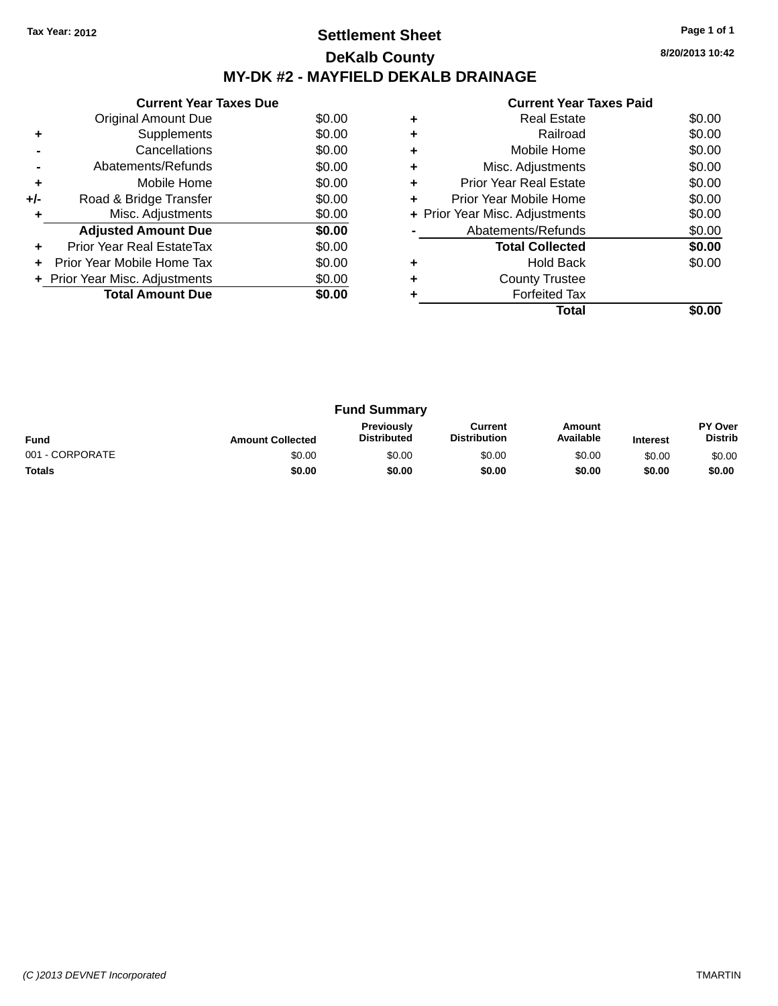## **Settlement Sheet Tax Year: 2012 Page 1 of 1 DeKalb County MY-DK #2 - MAYFIELD DEKALB DRAINAGE**

**8/20/2013 10:42**

|     | <b>Current Year Taxes Due</b>  |        |
|-----|--------------------------------|--------|
|     | Original Amount Due            | \$0.00 |
| ÷   | Supplements                    | \$0.00 |
|     | Cancellations                  | \$0.00 |
|     | Abatements/Refunds             | \$0.00 |
| ٠   | Mobile Home                    | \$0.00 |
| +/- | Road & Bridge Transfer         | \$0.00 |
| ÷   | Misc. Adjustments              | \$0.00 |
|     | <b>Adjusted Amount Due</b>     | \$0.00 |
| ٠   | Prior Year Real EstateTax      | \$0.00 |
| ÷   | Prior Year Mobile Home Tax     | \$0.00 |
|     | + Prior Year Misc. Adjustments | \$0.00 |
|     | <b>Total Amount Due</b>        | \$0.00 |
|     |                                |        |

|   | <b>Real Estate</b>             | \$0.00 |
|---|--------------------------------|--------|
| ٠ | Railroad                       | \$0.00 |
| ٠ | Mobile Home                    | \$0.00 |
| ٠ | Misc. Adjustments              | \$0.00 |
| ٠ | Prior Year Real Estate         | \$0.00 |
| ٠ | Prior Year Mobile Home         | \$0.00 |
|   | + Prior Year Misc. Adjustments | \$0.00 |
|   | Abatements/Refunds             | \$0.00 |
|   | <b>Total Collected</b>         | \$0.00 |
|   | <b>Hold Back</b>               | \$0.00 |
|   | <b>County Trustee</b>          |        |
|   | <b>Forfeited Tax</b>           |        |
|   | Total                          |        |

| <b>Fund Summary</b> |                         |                                         |                                |                     |                 |                           |
|---------------------|-------------------------|-----------------------------------------|--------------------------------|---------------------|-----------------|---------------------------|
| <b>Fund</b>         | <b>Amount Collected</b> | <b>Previously</b><br><b>Distributed</b> | Current<br><b>Distribution</b> | Amount<br>Available | <b>Interest</b> | PY Over<br><b>Distrib</b> |
| 001 - CORPORATE     | \$0.00                  | \$0.00                                  | \$0.00                         | \$0.00              | \$0.00          | \$0.00                    |
| <b>Totals</b>       | \$0.00                  | \$0.00                                  | \$0.00                         | \$0.00              | \$0.00          | \$0.00                    |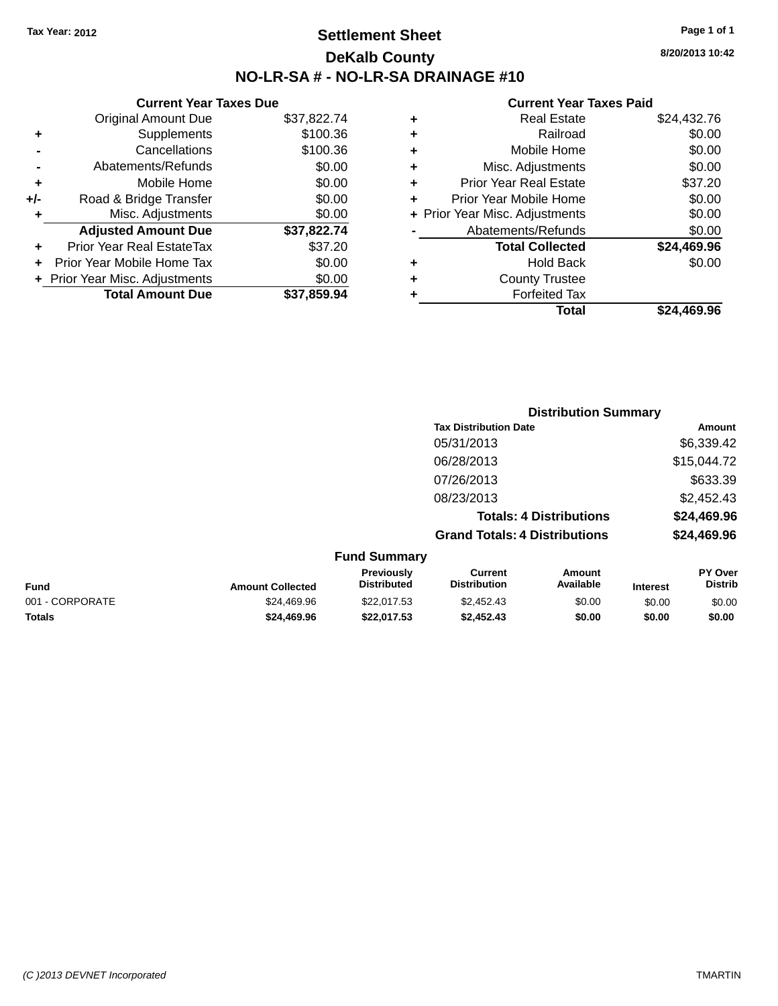## **Settlement Sheet Tax Year: 2012 Page 1 of 1 DeKalb County NO-LR-SA # - NO-LR-SA DRAINAGE #10**

**8/20/2013 10:42**

| <b>Current Year Taxes Due</b>  |             |
|--------------------------------|-------------|
| <b>Original Amount Due</b>     | \$37,822.74 |
| Supplements                    | \$100.36    |
| Cancellations                  | \$100.36    |
| Abatements/Refunds             | \$0.00      |
| Mobile Home                    | \$0.00      |
| Road & Bridge Transfer         | \$0.00      |
| Misc. Adjustments              | \$0.00      |
| <b>Adjusted Amount Due</b>     | \$37,822.74 |
|                                |             |
| Prior Year Real EstateTax      | \$37.20     |
| Prior Year Mobile Home Tax     | \$0.00      |
| + Prior Year Misc. Adjustments | \$0.00      |
|                                |             |

| ٠ | Real Estate                    | \$24,432.76 |
|---|--------------------------------|-------------|
| ٠ | Railroad                       | \$0.00      |
| ٠ | Mobile Home                    | \$0.00      |
| ٠ | Misc. Adjustments              | \$0.00      |
| ٠ | <b>Prior Year Real Estate</b>  | \$37.20     |
| ٠ | Prior Year Mobile Home         | \$0.00      |
|   | + Prior Year Misc. Adjustments | \$0.00      |
|   | Abatements/Refunds             | \$0.00      |
|   | <b>Total Collected</b>         | \$24,469.96 |
| ٠ | Hold Back                      | \$0.00      |
| ٠ | <b>County Trustee</b>          |             |
| ٠ | <b>Forfeited Tax</b>           |             |
|   | Total                          | \$24,469.96 |

|                                          |                                      | <b>Distribution Summary</b>    |                |
|------------------------------------------|--------------------------------------|--------------------------------|----------------|
|                                          | <b>Tax Distribution Date</b>         |                                | Amount         |
|                                          | 05/31/2013                           |                                | \$6,339.42     |
|                                          | 06/28/2013                           |                                | \$15,044.72    |
|                                          | 07/26/2013                           |                                | \$633.39       |
|                                          | 08/23/2013                           |                                | \$2,452.43     |
|                                          |                                      | <b>Totals: 4 Distributions</b> | \$24,469.96    |
|                                          | <b>Grand Totals: 4 Distributions</b> |                                | \$24,469.96    |
| <b>Fund Summary</b><br><b>Drovioushi</b> | C                                    | Amair                          | <b>DV Over</b> |

| <b>Fund</b>     | <b>Amount Collected</b> | Previously<br><b>Distributed</b> | Current<br><b>Distribution</b> | Amount<br><b>Available</b> | <b>Interest</b> | PY Over<br>Distrib |
|-----------------|-------------------------|----------------------------------|--------------------------------|----------------------------|-----------------|--------------------|
| 001 - CORPORATE | \$24.469.96             | \$22,017.53                      | \$2.452.43                     | \$0.00                     | \$0.00          | \$0.00             |
| <b>Totals</b>   | \$24.469.96             | \$22.017.53                      | \$2,452.43                     | \$0.00                     | \$0.00          | \$0.00             |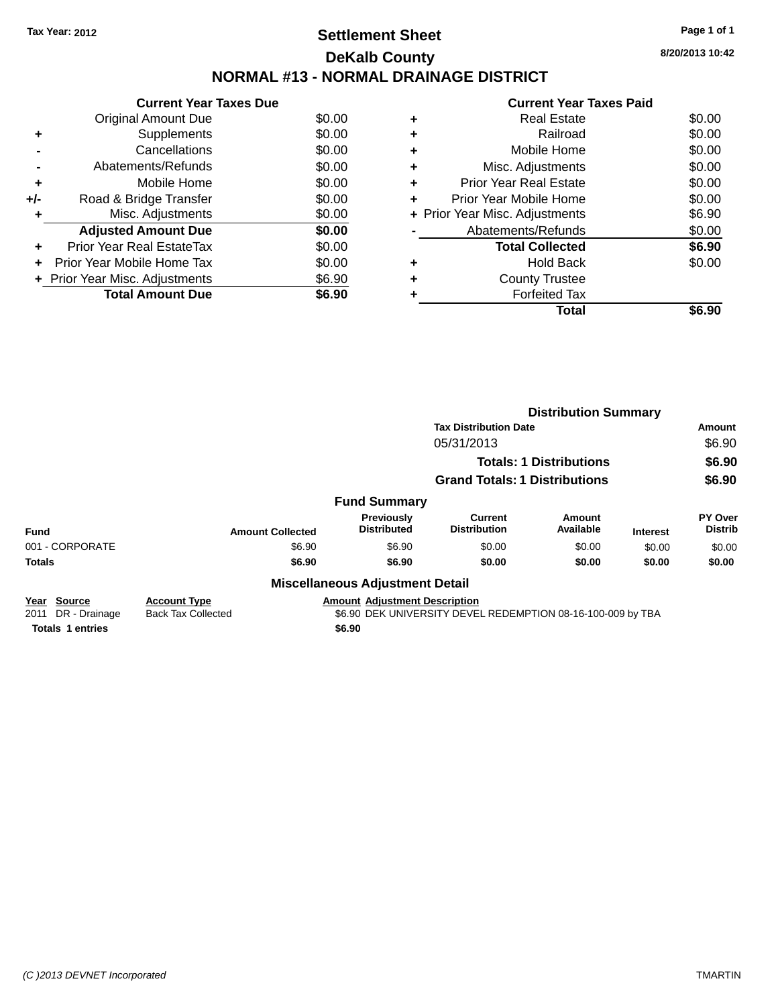# **Settlement Sheet Tax Year: 2012 Page 1 of 1 DeKalb County NORMAL #13 - NORMAL DRAINAGE DISTRICT**

**Current Year Taxes Due** Original Amount Due \$0.00 **+** Supplements \$0.00 **-** Cancellations \$0.00 **-** Abatements/Refunds \$0.00 **+** Mobile Home \$0.00 **+/-** Road & Bridge Transfer \$0.00 **+** Misc. Adjustments \$0.00 **Adjusted Amount Due \$0.00 +** Prior Year Real EstateTax \$0.00 **+** Prior Year Mobile Home Tax \$0.00 **+** Prior Year Misc. Adjustments  $$6.90$ **Total Amount Due \$6.90**

#### **Current Year Taxes Paid +** Real Estate \$0.00 **+** Railroad \$0.00 **+** Mobile Home \$0.00 **+** Misc. Adjustments \$0.00 **+** Prior Year Real Estate \$0.00 **+** Prior Year Mobile Home \$0.00 **+** Prior Year Misc. Adjustments  $$6.90$ **-** Abatements/Refunds \$0.00 **Total Collected \$6.90 +** Hold Back \$0.00 **+** County Trustee **+** Forfeited Tax **Total \$6.90**

|                                                |                                                  |                                        | <b>Distribution Summary</b>                                            |                     |                 |                           |
|------------------------------------------------|--------------------------------------------------|----------------------------------------|------------------------------------------------------------------------|---------------------|-----------------|---------------------------|
|                                                |                                                  |                                        | <b>Tax Distribution Date</b><br>05/31/2013                             |                     |                 | Amount                    |
|                                                |                                                  |                                        |                                                                        |                     |                 | \$6.90                    |
|                                                |                                                  |                                        | <b>Totals: 1 Distributions</b><br><b>Grand Totals: 1 Distributions</b> |                     |                 | \$6.90                    |
|                                                |                                                  |                                        |                                                                        |                     |                 | \$6.90                    |
|                                                |                                                  | <b>Fund Summary</b>                    |                                                                        |                     |                 |                           |
| <b>Fund</b>                                    | <b>Amount Collected</b>                          | Previously<br><b>Distributed</b>       | Current<br><b>Distribution</b>                                         | Amount<br>Available | <b>Interest</b> | PY Over<br><b>Distrib</b> |
| 001 - CORPORATE                                | \$6.90                                           | \$6.90                                 | \$0.00                                                                 | \$0.00              | \$0.00          | \$0.00                    |
| <b>Totals</b>                                  | \$6.90                                           | \$6.90                                 | \$0.00                                                                 | \$0.00              | \$0.00          | \$0.00                    |
|                                                |                                                  | <b>Miscellaneous Adjustment Detail</b> |                                                                        |                     |                 |                           |
| <b>Source</b><br>Year<br>2011<br>DR - Drainage | <b>Account Type</b><br><b>Back Tax Collected</b> | <b>Amount Adjustment Description</b>   | \$6.90 DEK UNIVERSITY DEVEL REDEMPTION 08-16-100-009 by TBA            |                     |                 |                           |
| <b>Totals 1 entries</b>                        |                                                  | \$6.90                                 |                                                                        |                     |                 |                           |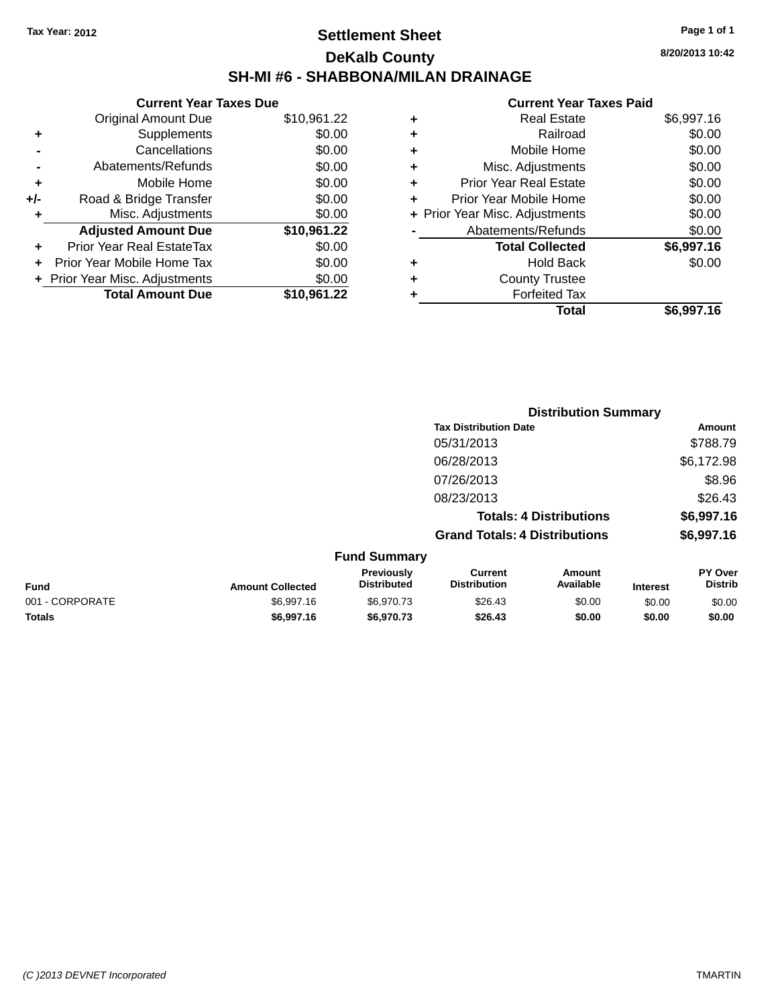## **Settlement Sheet Tax Year: 2012 Page 1 of 1 DeKalb County SH-MI #6 - SHABBONA/MILAN DRAINAGE**

|       | <b>Current Year Taxes Due</b>  |             |
|-------|--------------------------------|-------------|
|       | <b>Original Amount Due</b>     | \$10,961.22 |
| ٠     | Supplements                    | \$0.00      |
|       | Cancellations                  | \$0.00      |
|       | Abatements/Refunds             | \$0.00      |
| ٠     | Mobile Home                    | \$0.00      |
| $+/-$ | Road & Bridge Transfer         | \$0.00      |
| ٠     | Misc. Adjustments              | \$0.00      |
|       | <b>Adjusted Amount Due</b>     | \$10,961.22 |
| ÷     | Prior Year Real EstateTax      | \$0.00      |
|       | Prior Year Mobile Home Tax     | \$0.00      |
|       | + Prior Year Misc. Adjustments | \$0.00      |
|       | <b>Total Amount Due</b>        | \$10.961.22 |
|       |                                |             |

#### **Current Year Taxes Paid**

|   | <b>Real Estate</b>             | \$6,997.16 |
|---|--------------------------------|------------|
| ٠ | Railroad                       | \$0.00     |
| ٠ | Mobile Home                    | \$0.00     |
| ٠ | Misc. Adjustments              | \$0.00     |
| ٠ | <b>Prior Year Real Estate</b>  | \$0.00     |
| ٠ | Prior Year Mobile Home         | \$0.00     |
|   | + Prior Year Misc. Adjustments | \$0.00     |
|   | Abatements/Refunds             | \$0.00     |
|   | <b>Total Collected</b>         | \$6,997.16 |
| ٠ | Hold Back                      | \$0.00     |
| ٠ | <b>County Trustee</b>          |            |
| ٠ | <b>Forfeited Tax</b>           |            |
|   | Total                          | \$6,997.16 |
|   |                                |            |

|                 |                         |                                  |                                       | <b>Distribution Summary</b>    |                 |                           |
|-----------------|-------------------------|----------------------------------|---------------------------------------|--------------------------------|-----------------|---------------------------|
|                 |                         |                                  | <b>Tax Distribution Date</b>          |                                |                 | Amount                    |
|                 |                         |                                  | 05/31/2013                            |                                |                 | \$788.79                  |
|                 |                         |                                  | 06/28/2013                            |                                |                 | \$6,172.98                |
|                 |                         |                                  | 07/26/2013                            |                                |                 | \$8.96                    |
|                 |                         |                                  | 08/23/2013                            |                                |                 | \$26.43                   |
|                 |                         |                                  |                                       | <b>Totals: 4 Distributions</b> |                 | \$6,997.16                |
|                 |                         |                                  | <b>Grand Totals: 4 Distributions</b>  |                                |                 | \$6,997.16                |
|                 |                         | <b>Fund Summary</b>              |                                       |                                |                 |                           |
| <b>Fund</b>     | <b>Amount Collected</b> | Previously<br><b>Distributed</b> | <b>Current</b><br><b>Distribution</b> | Amount<br>Available            | <b>Interest</b> | PY Over<br><b>Distrib</b> |
| 001 - CORPORATE | \$6,997.16              | \$6,970.73                       | \$26.43                               | \$0.00                         | \$0.00          | \$0.00                    |
|                 |                         |                                  |                                       |                                |                 |                           |

**Totals \$6,997.16 \$6,970.73 \$26.43 \$0.00 \$0.00 \$0.00**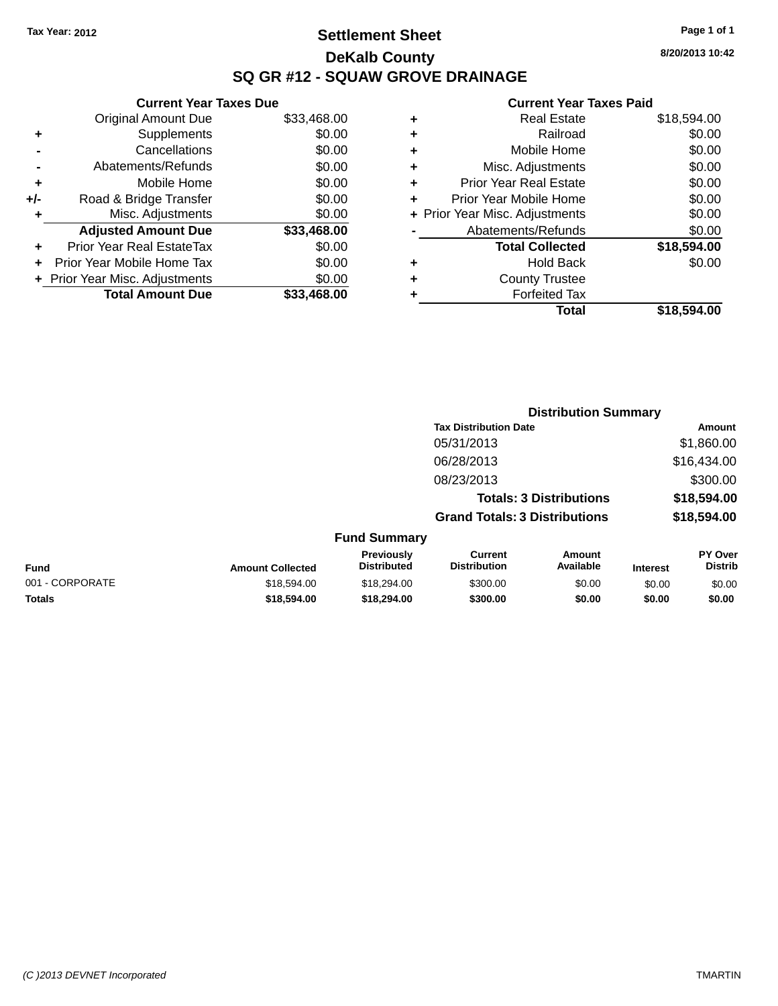## **Settlement Sheet Tax Year: 2012 Page 1 of 1 DeKalb County SQ GR #12 - SQUAW GROVE DRAINAGE**

**8/20/2013 10:42**

#### **Current Year Taxes Paid**

|     | <b>Current Year Taxes Due</b>  |             |     |
|-----|--------------------------------|-------------|-----|
|     | <b>Original Amount Due</b>     | \$33,468.00 |     |
|     | Supplements                    | \$0.00      |     |
|     | Cancellations                  | \$0.00      |     |
|     | Abatements/Refunds             | \$0.00      | ٠   |
|     | Mobile Home                    | \$0.00      |     |
| +/- | Road & Bridge Transfer         | \$0.00      |     |
|     | Misc. Adjustments              | \$0.00      | + F |
|     | <b>Adjusted Amount Due</b>     | \$33,468.00 |     |
|     | Prior Year Real EstateTax      | \$0.00      |     |
|     | Prior Year Mobile Home Tax     | \$0.00      |     |
|     | + Prior Year Misc. Adjustments | \$0.00      |     |
|     | <b>Total Amount Due</b>        | \$33,468.00 |     |

| ٠ | <b>Real Estate</b>             | \$18,594.00 |
|---|--------------------------------|-------------|
| ٠ | Railroad                       | \$0.00      |
| ٠ | Mobile Home                    | \$0.00      |
| ٠ | Misc. Adjustments              | \$0.00      |
| ٠ | <b>Prior Year Real Estate</b>  | \$0.00      |
| ÷ | Prior Year Mobile Home         | \$0.00      |
|   | + Prior Year Misc. Adjustments | \$0.00      |
|   | Abatements/Refunds             | \$0.00      |
|   | <b>Total Collected</b>         | \$18,594.00 |
| ٠ | <b>Hold Back</b>               | \$0.00      |
| ٠ | <b>County Trustee</b>          |             |
| ٠ | <b>Forfeited Tax</b>           |             |
|   | Total                          | \$18,594.00 |
|   |                                |             |

|                 |                         |                                  |                                       | <b>Distribution Summary</b>    |                 |                                  |
|-----------------|-------------------------|----------------------------------|---------------------------------------|--------------------------------|-----------------|----------------------------------|
|                 |                         |                                  | <b>Tax Distribution Date</b>          |                                |                 | Amount                           |
|                 |                         |                                  | 05/31/2013                            |                                |                 | \$1,860.00                       |
|                 |                         |                                  | 06/28/2013                            |                                |                 | \$16,434.00                      |
|                 |                         |                                  | 08/23/2013                            |                                |                 | \$300.00                         |
|                 |                         |                                  |                                       | <b>Totals: 3 Distributions</b> |                 | \$18,594.00                      |
|                 |                         |                                  | <b>Grand Totals: 3 Distributions</b>  |                                |                 | \$18,594.00                      |
|                 |                         | <b>Fund Summary</b>              |                                       |                                |                 |                                  |
| <b>Fund</b>     | <b>Amount Collected</b> | Previously<br><b>Distributed</b> | <b>Current</b><br><b>Distribution</b> | Amount<br>Available            | <b>Interest</b> | <b>PY Over</b><br><b>Distrib</b> |
| 001 - CORPORATE | \$18,594.00             | \$18,294.00                      | \$300.00                              | \$0.00                         | \$0.00          | \$0.00                           |
| <b>Totals</b>   | \$18,594.00             | \$18,294.00                      | \$300.00                              | \$0.00                         | \$0.00          | \$0.00                           |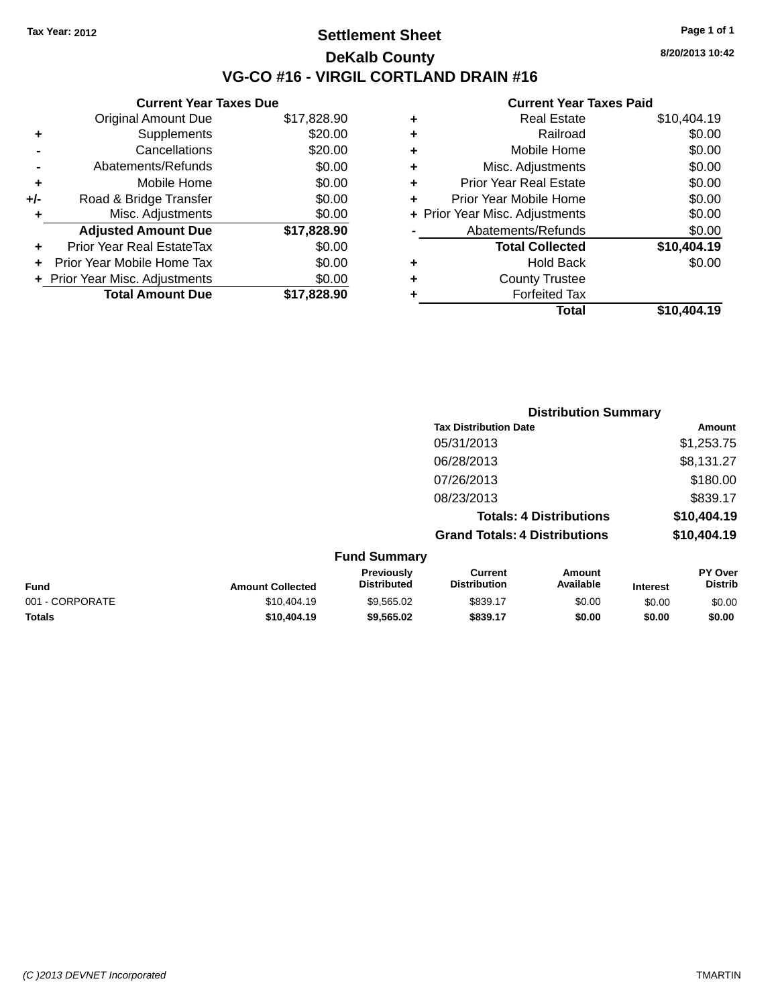### **Settlement Sheet Tax Year: 2012 Page 1 of 1 DeKalb County VG-CO #16 - VIRGIL CORTLAND DRAIN #16**

**8/20/2013 10:42**

|     | <b>Current Year Taxes Due</b>  |             |
|-----|--------------------------------|-------------|
|     | <b>Original Amount Due</b>     | \$17,828.90 |
| ٠   | Supplements                    | \$20.00     |
|     | Cancellations                  | \$20.00     |
|     | Abatements/Refunds             | \$0.00      |
| ٠   | Mobile Home                    | \$0.00      |
| +/- | Road & Bridge Transfer         | \$0.00      |
| ٠   | Misc. Adjustments              | \$0.00      |
|     | <b>Adjusted Amount Due</b>     | \$17,828.90 |
|     | Prior Year Real EstateTax      | \$0.00      |
| ÷   | Prior Year Mobile Home Tax     | \$0.00      |
|     | + Prior Year Misc. Adjustments | \$0.00      |
|     | <b>Total Amount Due</b>        | \$17,828.90 |
|     |                                |             |

| ٠ | <b>Real Estate</b>             | \$10,404.19 |
|---|--------------------------------|-------------|
| ٠ | Railroad                       | \$0.00      |
| ٠ | Mobile Home                    | \$0.00      |
| ٠ | Misc. Adjustments              | \$0.00      |
| ٠ | <b>Prior Year Real Estate</b>  | \$0.00      |
| ٠ | Prior Year Mobile Home         | \$0.00      |
|   | + Prior Year Misc. Adjustments | \$0.00      |
|   | Abatements/Refunds             | \$0.00      |
|   | <b>Total Collected</b>         | \$10,404.19 |
| ٠ | <b>Hold Back</b>               | \$0.00      |
| ٠ | <b>County Trustee</b>          |             |
| ٠ | <b>Forfeited Tax</b>           |             |
|   | Total                          | \$10,404.19 |
|   |                                |             |

|                     | <b>Distribution Summary</b>          |             |
|---------------------|--------------------------------------|-------------|
|                     | <b>Tax Distribution Date</b>         | Amount      |
|                     | 05/31/2013                           | \$1,253.75  |
|                     | 06/28/2013                           | \$8,131.27  |
|                     | 07/26/2013                           | \$180.00    |
|                     | 08/23/2013                           | \$839.17    |
|                     | <b>Totals: 4 Distributions</b>       | \$10,404.19 |
|                     | <b>Grand Totals: 4 Distributions</b> | \$10,404.19 |
| <b>Fund Summary</b> |                                      |             |

| <b>Fund</b>     | <b>Amount Collected</b> | <b>Previously</b><br><b>Distributed</b> | Current<br><b>Distribution</b> | Amount<br>Available | <b>Interest</b> | <b>PY Over</b><br><b>Distrib</b> |
|-----------------|-------------------------|-----------------------------------------|--------------------------------|---------------------|-----------------|----------------------------------|
| 001 - CORPORATE | \$10.404.19             | \$9,565.02                              | \$839.17                       | \$0.00              | \$0.00          | \$0.00                           |
| <b>Totals</b>   | \$10,404.19             | \$9,565,02                              | \$839.17                       | \$0.00              | \$0.00          | \$0.00                           |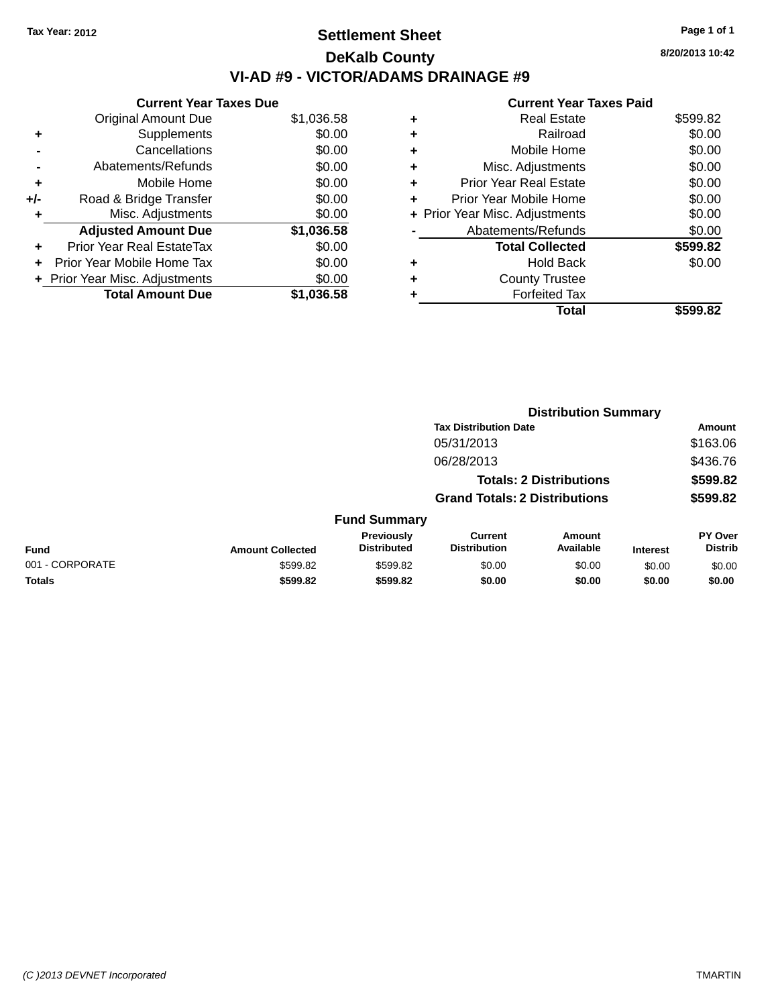## **Settlement Sheet Tax Year: 2012 Page 1 of 1 DeKalb County VI-AD #9 - VICTOR/ADAMS DRAINAGE #9**

|     | <b>Current Year Taxes Due</b>  |            |
|-----|--------------------------------|------------|
|     | <b>Original Amount Due</b>     | \$1,036.58 |
| ٠   | Supplements                    | \$0.00     |
|     | Cancellations                  | \$0.00     |
|     | Abatements/Refunds             | \$0.00     |
| ٠   | Mobile Home                    | \$0.00     |
| +/- | Road & Bridge Transfer         | \$0.00     |
| ٠   | Misc. Adjustments              | \$0.00     |
|     | <b>Adjusted Amount Due</b>     | \$1,036.58 |
| ÷   | Prior Year Real EstateTax      | \$0.00     |
|     | Prior Year Mobile Home Tax     | \$0.00     |
|     | + Prior Year Misc. Adjustments | \$0.00     |
|     | <b>Total Amount Due</b>        | \$1,036.58 |

#### **Current Year Taxes Paid**

| ٠ | <b>Real Estate</b>             | \$599.82 |
|---|--------------------------------|----------|
| ٠ | Railroad                       | \$0.00   |
| ٠ | Mobile Home                    | \$0.00   |
| ٠ | Misc. Adjustments              | \$0.00   |
| ٠ | <b>Prior Year Real Estate</b>  | \$0.00   |
| ٠ | Prior Year Mobile Home         | \$0.00   |
|   | + Prior Year Misc. Adjustments | \$0.00   |
|   | Abatements/Refunds             | \$0.00   |
|   | <b>Total Collected</b>         | \$599.82 |
| ٠ | <b>Hold Back</b>               | \$0.00   |
|   | <b>County Trustee</b>          |          |
|   | <b>Forfeited Tax</b>           |          |
|   | Total                          | \$599.82 |
|   |                                |          |

|                 |                         |                                  |                                       | <b>Distribution Summary</b>    |                 |                           |
|-----------------|-------------------------|----------------------------------|---------------------------------------|--------------------------------|-----------------|---------------------------|
|                 |                         |                                  | <b>Tax Distribution Date</b>          |                                |                 | <b>Amount</b>             |
|                 |                         |                                  | 05/31/2013                            |                                |                 | \$163.06                  |
|                 |                         |                                  | 06/28/2013                            |                                |                 | \$436.76                  |
|                 |                         |                                  |                                       | <b>Totals: 2 Distributions</b> |                 | \$599.82                  |
|                 |                         |                                  | <b>Grand Totals: 2 Distributions</b>  |                                |                 | \$599.82                  |
|                 |                         | <b>Fund Summary</b>              |                                       |                                |                 |                           |
| <b>Fund</b>     | <b>Amount Collected</b> | Previously<br><b>Distributed</b> | <b>Current</b><br><b>Distribution</b> | Amount<br>Available            | <b>Interest</b> | PY Over<br><b>Distrib</b> |
| 001 - CORPORATE | \$599.82                | \$599.82                         | \$0.00                                | \$0.00                         | \$0.00          | \$0.00                    |
| <b>Totals</b>   | \$599.82                | \$599.82                         | \$0.00                                | \$0.00                         | \$0.00          | \$0.00                    |
|                 |                         |                                  |                                       |                                |                 |                           |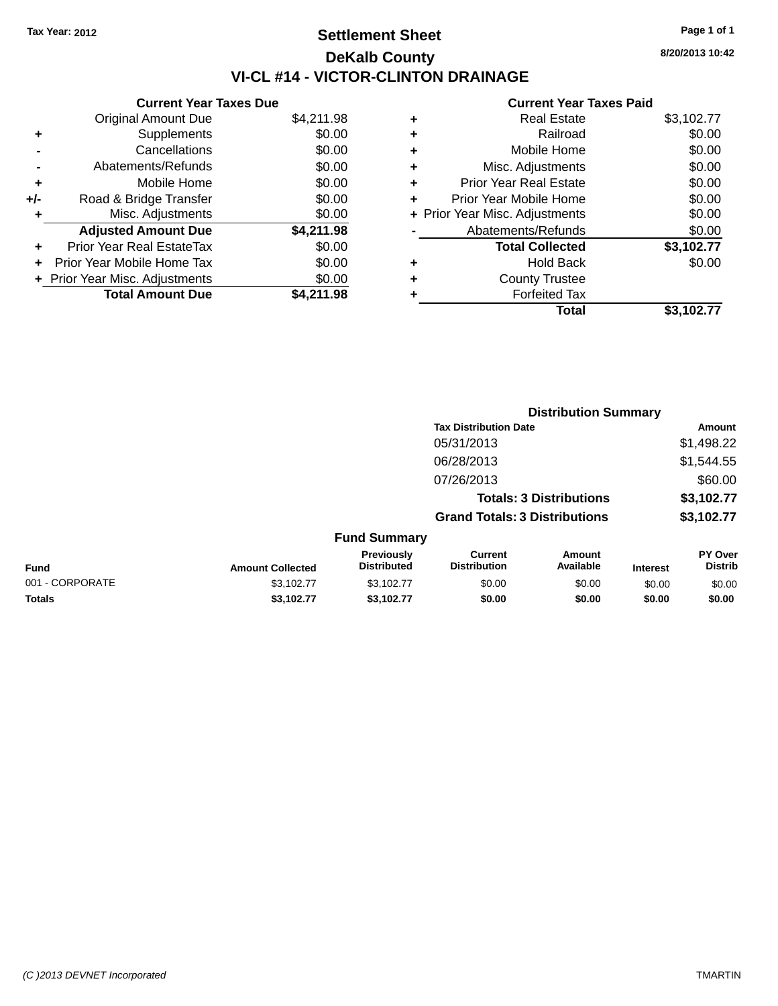# **Settlement Sheet Tax Year: 2012 Page 1 of 1 DeKalb County VI-CL #14 - VICTOR-CLINTON DRAINAGE**

|       | <b>Current Year Taxes Due</b>  |            |
|-------|--------------------------------|------------|
|       | <b>Original Amount Due</b>     | \$4,211.98 |
| ٠     | Supplements                    | \$0.00     |
|       | Cancellations                  | \$0.00     |
|       | Abatements/Refunds             | \$0.00     |
| ٠     | Mobile Home                    | \$0.00     |
| $+/-$ | Road & Bridge Transfer         | \$0.00     |
| ٠     | Misc. Adjustments              | \$0.00     |
|       | <b>Adjusted Amount Due</b>     | \$4,211.98 |
| ٠     | Prior Year Real EstateTax      | \$0.00     |
|       | Prior Year Mobile Home Tax     | \$0.00     |
|       | + Prior Year Misc. Adjustments | \$0.00     |
|       | <b>Total Amount Due</b>        | \$4,211.98 |

#### **Current Year Taxes Paid**

| ٠ | <b>Real Estate</b>             | \$3,102.77 |
|---|--------------------------------|------------|
| ٠ | Railroad                       | \$0.00     |
| ٠ | Mobile Home                    | \$0.00     |
| ٠ | Misc. Adjustments              | \$0.00     |
| ٠ | <b>Prior Year Real Estate</b>  | \$0.00     |
| ٠ | Prior Year Mobile Home         | \$0.00     |
|   | + Prior Year Misc. Adjustments | \$0.00     |
|   | Abatements/Refunds             | \$0.00     |
|   | <b>Total Collected</b>         | \$3,102.77 |
| ٠ | <b>Hold Back</b>               | \$0.00     |
| ٠ | <b>County Trustee</b>          |            |
| ٠ | <b>Forfeited Tax</b>           |            |
|   | Total                          | \$3,102.77 |
|   |                                |            |

|                 |                         |                                         | <b>Distribution Summary</b>                                            |                     |                 |                           |  |
|-----------------|-------------------------|-----------------------------------------|------------------------------------------------------------------------|---------------------|-----------------|---------------------------|--|
|                 |                         |                                         | <b>Tax Distribution Date</b>                                           |                     |                 | Amount                    |  |
|                 |                         |                                         | 05/31/2013                                                             |                     |                 | \$1,498.22                |  |
|                 |                         |                                         | 06/28/2013                                                             |                     |                 | \$1,544.55                |  |
|                 |                         |                                         | 07/26/2013                                                             |                     |                 | \$60.00                   |  |
|                 |                         |                                         | <b>Totals: 3 Distributions</b><br><b>Grand Totals: 3 Distributions</b> |                     |                 | \$3,102.77                |  |
|                 |                         |                                         |                                                                        |                     |                 | \$3,102.77                |  |
|                 |                         | <b>Fund Summary</b>                     |                                                                        |                     |                 |                           |  |
| <b>Fund</b>     | <b>Amount Collected</b> | <b>Previously</b><br><b>Distributed</b> | <b>Current</b><br><b>Distribution</b>                                  | Amount<br>Available | <b>Interest</b> | PY Over<br><b>Distrib</b> |  |
| 001 - CORPORATE | \$3,102.77              | \$3,102.77                              | \$0.00                                                                 | \$0.00              | \$0.00          | \$0.00                    |  |
| <b>Totals</b>   | \$3,102.77              | \$3,102.77                              | \$0.00                                                                 | \$0.00              | \$0.00          | \$0.00                    |  |